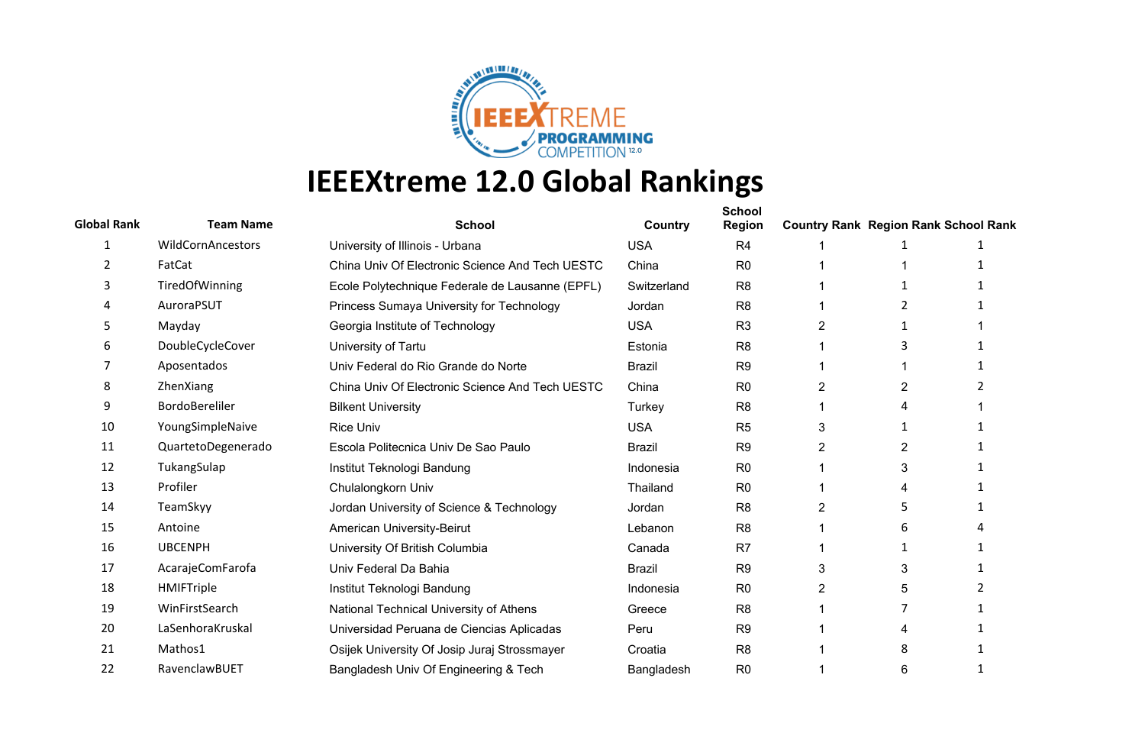

| <b>Global Rank</b> | <b>Team Name</b>   | <b>School</b>                                   | Country       | <b>School</b><br><b>Region</b> |   | <b>Country Rank Region Rank School Rank</b> |  |
|--------------------|--------------------|-------------------------------------------------|---------------|--------------------------------|---|---------------------------------------------|--|
| 1                  | WildCornAncestors  | University of Illinois - Urbana                 | <b>USA</b>    | R <sub>4</sub>                 |   |                                             |  |
| 2                  | FatCat             | China Univ Of Electronic Science And Tech UESTC | China         | R <sub>0</sub>                 |   |                                             |  |
| 3                  | TiredOfWinning     | Ecole Polytechnique Federale de Lausanne (EPFL) | Switzerland   | R <sub>8</sub>                 |   |                                             |  |
| 4                  | AuroraPSUT         | Princess Sumaya University for Technology       | Jordan        | R <sub>8</sub>                 |   |                                             |  |
| 5                  | Mayday             | Georgia Institute of Technology                 | <b>USA</b>    | R <sub>3</sub>                 | 2 | -1                                          |  |
| 6                  | DoubleCycleCover   | University of Tartu                             | Estonia       | R <sub>8</sub>                 |   | 3                                           |  |
|                    | Aposentados        | Univ Federal do Rio Grande do Norte             | <b>Brazil</b> | R <sub>9</sub>                 |   |                                             |  |
| 8                  | ZhenXiang          | China Univ Of Electronic Science And Tech UESTC | China         | R <sub>0</sub>                 | 2 | 2                                           |  |
| 9                  | BordoBereliler     | <b>Bilkent University</b>                       | Turkey        | R <sub>8</sub>                 |   |                                             |  |
| 10                 | YoungSimpleNaive   | <b>Rice Univ</b>                                | <b>USA</b>    | R <sub>5</sub>                 | 3 |                                             |  |
| 11                 | QuartetoDegenerado | Escola Politecnica Univ De Sao Paulo            | <b>Brazil</b> | R <sub>9</sub>                 | 2 |                                             |  |
| 12                 | TukangSulap        | Institut Teknologi Bandung                      | Indonesia     | R <sub>0</sub>                 |   |                                             |  |
| 13                 | Profiler           | Chulalongkorn Univ                              | Thailand      | R <sub>0</sub>                 |   |                                             |  |
| 14                 | TeamSkyy           | Jordan University of Science & Technology       | Jordan        | R <sub>8</sub>                 | 2 |                                             |  |
| 15                 | Antoine            | American University-Beirut                      | Lebanon       | R <sub>8</sub>                 |   | 6                                           |  |
| 16                 | <b>UBCENPH</b>     | University Of British Columbia                  | Canada        | R <sub>7</sub>                 |   |                                             |  |
| 17                 | AcarajeComFarofa   | Univ Federal Da Bahia                           | <b>Brazil</b> | R <sub>9</sub>                 | 3 | 3                                           |  |
| 18                 | HMIFTriple         | Institut Teknologi Bandung                      | Indonesia     | R <sub>0</sub>                 | 2 | 5                                           |  |
| 19                 | WinFirstSearch     | National Technical University of Athens         | Greece        | R <sub>8</sub>                 |   |                                             |  |
| 20                 | LaSenhoraKruskal   | Universidad Peruana de Ciencias Aplicadas       | Peru          | R <sub>9</sub>                 |   |                                             |  |
| 21                 | Mathos1            | Osijek University Of Josip Juraj Strossmayer    | Croatia       | R <sub>8</sub>                 |   | 8                                           |  |
| 22                 | RavenclawBUET      | Bangladesh Univ Of Engineering & Tech           | Bangladesh    | R <sub>0</sub>                 |   | 6                                           |  |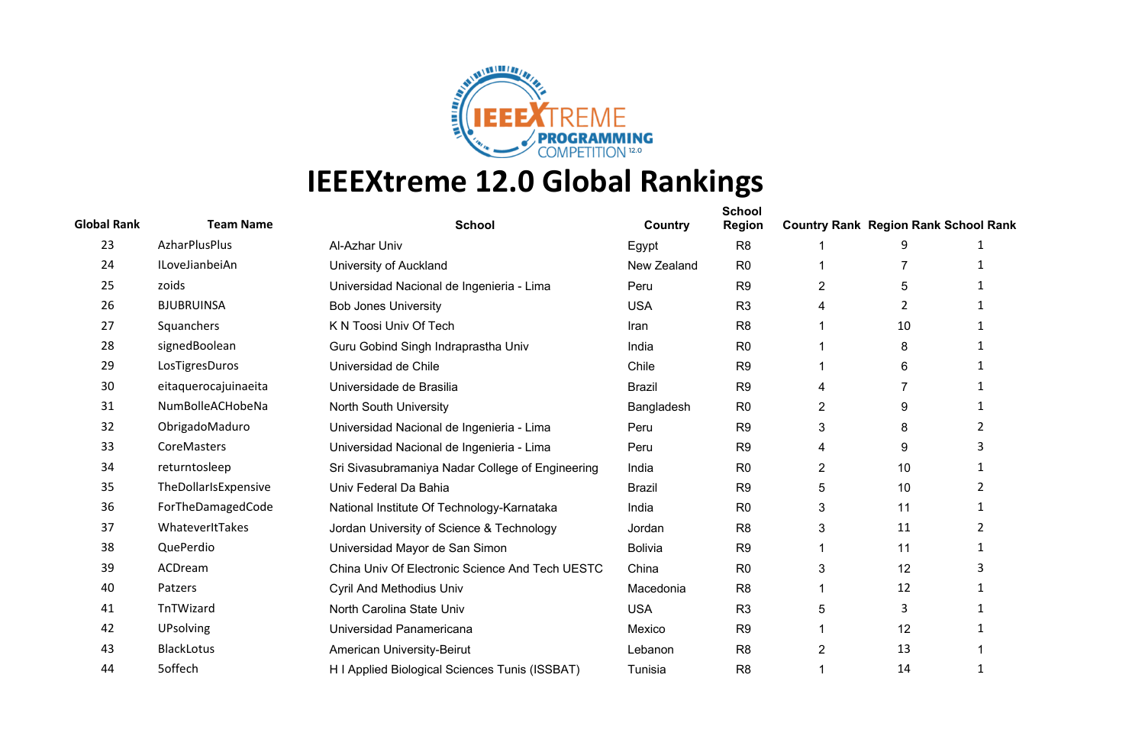

| <b>Global Rank</b> | <b>Team Name</b>     | <b>School</b>                                    | Country        | <b>School</b><br><b>Region</b> | <b>Country Rank Region Rank School Rank</b> |    |                |
|--------------------|----------------------|--------------------------------------------------|----------------|--------------------------------|---------------------------------------------|----|----------------|
| 23                 | AzharPlusPlus        | Al-Azhar Univ                                    | Egypt          | R <sub>8</sub>                 |                                             |    |                |
| 24                 | ILoveJianbeiAn       | University of Auckland                           | New Zealand    | R <sub>0</sub>                 |                                             | 7  | $\mathbf 1$    |
| 25                 | zoids                | Universidad Nacional de Ingenieria - Lima        | Peru           | R <sub>9</sub>                 | 2                                           | 5  |                |
| 26                 | <b>BJUBRUINSA</b>    | <b>Bob Jones University</b>                      | <b>USA</b>     | R <sub>3</sub>                 | 4                                           | 2  |                |
| 27                 | Squanchers           | K N Toosi Univ Of Tech                           | Iran           | R <sub>8</sub>                 |                                             | 10 |                |
| 28                 | signedBoolean        | Guru Gobind Singh Indraprastha Univ              | India          | R <sub>0</sub>                 |                                             | 8  |                |
| 29                 | LosTigresDuros       | Universidad de Chile                             | Chile          | R <sub>9</sub>                 |                                             | 6  |                |
| 30                 | eitaquerocajuinaeita | Universidade de Brasilia                         | <b>Brazil</b>  | R <sub>9</sub>                 | 4                                           |    |                |
| 31                 | NumBolleACHobeNa     | North South University                           | Bangladesh     | R <sub>0</sub>                 | $\overline{2}$                              | 9  |                |
| 32                 | ObrigadoMaduro       | Universidad Nacional de Ingenieria - Lima        | Peru           | R <sub>9</sub>                 | 3                                           | 8  | 2              |
| 33                 | CoreMasters          | Universidad Nacional de Ingenieria - Lima        | Peru           | R <sub>9</sub>                 | 4                                           | 9  |                |
| 34                 | returntosleep        | Sri Sivasubramaniya Nadar College of Engineering | India          | R <sub>0</sub>                 | $\overline{2}$                              | 10 |                |
| 35                 | TheDollarIsExpensive | Univ Federal Da Bahia                            | <b>Brazil</b>  | R <sub>9</sub>                 | 5                                           | 10 | $\overline{2}$ |
| 36                 | ForTheDamagedCode    | National Institute Of Technology-Karnataka       | India          | R <sub>0</sub>                 | 3                                           | 11 |                |
| 37                 | WhateverItTakes      | Jordan University of Science & Technology        | Jordan         | R <sub>8</sub>                 | 3                                           | 11 | 2              |
| 38                 | QuePerdio            | Universidad Mayor de San Simon                   | <b>Bolivia</b> | R <sub>9</sub>                 |                                             | 11 | $\mathbf{1}$   |
| 39                 | ACDream              | China Univ Of Electronic Science And Tech UESTC  | China          | R <sub>0</sub>                 | 3                                           | 12 | 3              |
| 40                 | Patzers              | <b>Cyril And Methodius Univ</b>                  | Macedonia      | R <sub>8</sub>                 |                                             | 12 |                |
| 41                 | TnTWizard            | North Carolina State Univ                        | <b>USA</b>     | R <sub>3</sub>                 | 5                                           | 3  |                |
| 42                 | <b>UPsolving</b>     | Universidad Panamericana                         | Mexico         | R <sub>9</sub>                 |                                             | 12 |                |
| 43                 | <b>BlackLotus</b>    | American University-Beirut                       | Lebanon        | R <sub>8</sub>                 | 2                                           | 13 |                |
| 44                 | 5offech              | H I Applied Biological Sciences Tunis (ISSBAT)   | Tunisia        | R <sub>8</sub>                 |                                             | 14 | 1              |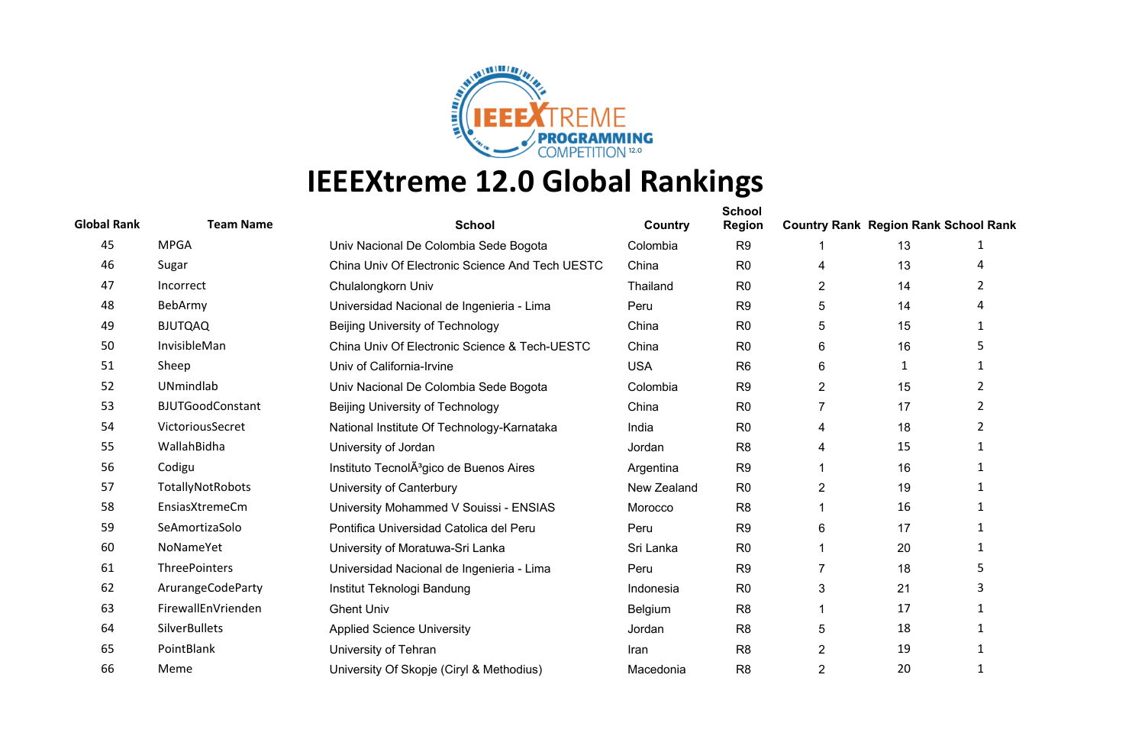

| <b>Global Rank</b> | <b>Team Name</b>        | <b>School</b>                                       | Country     | <b>School</b><br><b>Region</b> | <b>Country Rank Region Rank School Rank</b> |    |                |
|--------------------|-------------------------|-----------------------------------------------------|-------------|--------------------------------|---------------------------------------------|----|----------------|
| 45                 | <b>MPGA</b>             | Univ Nacional De Colombia Sede Bogota               | Colombia    | R <sub>9</sub>                 |                                             | 13 |                |
| 46                 | Sugar                   | China Univ Of Electronic Science And Tech UESTC     | China       | R <sub>0</sub>                 | 4                                           | 13 | 4              |
| 47                 | Incorrect               | Chulalongkorn Univ                                  | Thailand    | R <sub>0</sub>                 | 2                                           | 14 | 2              |
| 48                 | BebArmy                 | Universidad Nacional de Ingenieria - Lima           | Peru        | R <sub>9</sub>                 | 5                                           | 14 |                |
| 49                 | <b>BJUTQAQ</b>          | <b>Beijing University of Technology</b>             | China       | R <sub>0</sub>                 | 5                                           | 15 | 1              |
| 50                 | InvisibleMan            | China Univ Of Electronic Science & Tech-UESTC       | China       | R <sub>0</sub>                 | 6                                           | 16 |                |
| 51                 | Sheep                   | Univ of California-Irvine                           | <b>USA</b>  | R <sub>6</sub>                 | 6                                           | 1  | $\mathbf{1}$   |
| 52                 | UNmindlab               | Univ Nacional De Colombia Sede Bogota               | Colombia    | R <sub>9</sub>                 | $\overline{c}$                              | 15 | $\overline{2}$ |
| 53                 | <b>BJUTGoodConstant</b> | Beijing University of Technology                    | China       | R <sub>0</sub>                 | 7                                           | 17 | $\overline{2}$ |
| 54                 | VictoriousSecret        | National Institute Of Technology-Karnataka          | India       | R <sub>0</sub>                 | 4                                           | 18 | 2              |
| 55                 | WallahBidha             | University of Jordan                                | Jordan      | R <sub>8</sub>                 | 4                                           | 15 | -1             |
| 56                 | Codigu                  | Instituto TecnolA <sup>3</sup> gico de Buenos Aires | Argentina   | R <sub>9</sub>                 |                                             | 16 |                |
| 57                 | TotallyNotRobots        | University of Canterbury                            | New Zealand | R <sub>0</sub>                 | $\overline{2}$                              | 19 | 1              |
| 58                 | EnsiasXtremeCm          | University Mohammed V Souissi - ENSIAS              | Morocco     | R <sub>8</sub>                 |                                             | 16 |                |
| 59                 | SeAmortizaSolo          | Pontifica Universidad Catolica del Peru             | Peru        | R <sub>9</sub>                 | 6                                           | 17 | $\mathbf{1}$   |
| 60                 | NoNameYet               | University of Moratuwa-Sri Lanka                    | Sri Lanka   | R <sub>0</sub>                 |                                             | 20 | -1             |
| 61                 | <b>ThreePointers</b>    | Universidad Nacional de Ingenieria - Lima           | Peru        | R <sub>9</sub>                 | 7                                           | 18 | 5              |
| 62                 | ArurangeCodeParty       | Institut Teknologi Bandung                          | Indonesia   | R <sub>0</sub>                 | 3                                           | 21 |                |
| 63                 | FirewallEnVrienden      | <b>Ghent Univ</b>                                   | Belgium     | R <sub>8</sub>                 |                                             | 17 |                |
| 64                 | <b>SilverBullets</b>    | <b>Applied Science University</b>                   | Jordan      | R <sub>8</sub>                 | 5                                           | 18 | 1              |
| 65                 | PointBlank              | University of Tehran                                | Iran        | R <sub>8</sub>                 | 2                                           | 19 |                |
| 66                 | Meme                    | University Of Skopje (Ciryl & Methodius)            | Macedonia   | R <sub>8</sub>                 | $\overline{2}$                              | 20 | 1              |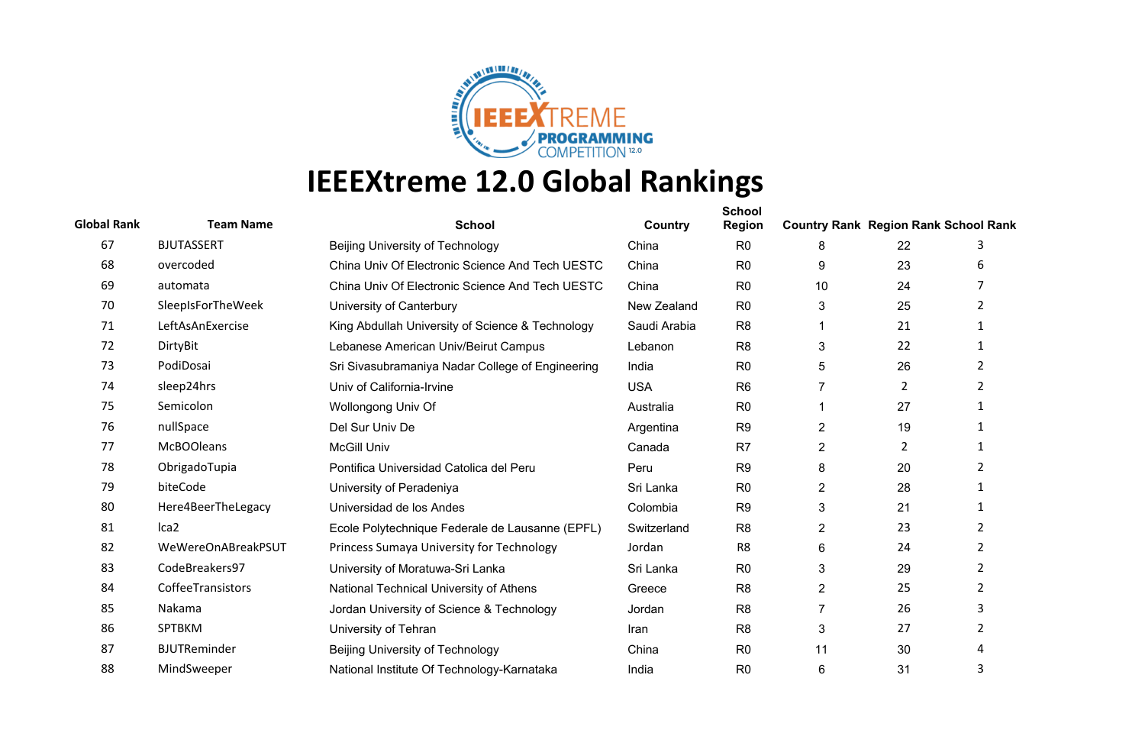

| <b>Global Rank</b> | <b>Team Name</b>    | <b>School</b>                                    | Country      | <b>School</b><br><b>Region</b> | <b>Country Rank Region Rank School Rank</b> |    |                |
|--------------------|---------------------|--------------------------------------------------|--------------|--------------------------------|---------------------------------------------|----|----------------|
| 67                 | <b>BJUTASSERT</b>   | Beijing University of Technology                 | China        | R <sub>0</sub>                 | 8                                           | 22 | 3              |
| 68                 | overcoded           | China Univ Of Electronic Science And Tech UESTC  | China        | R <sub>0</sub>                 | 9                                           | 23 | 6              |
| 69                 | automata            | China Univ Of Electronic Science And Tech UESTC  | China        | R <sub>0</sub>                 | 10                                          | 24 | 7              |
| 70                 | SleepIsForTheWeek   | University of Canterbury                         | New Zealand  | R <sub>0</sub>                 | 3                                           | 25 | $\overline{2}$ |
| 71                 | LeftAsAnExercise    | King Abdullah University of Science & Technology | Saudi Arabia | R <sub>8</sub>                 |                                             | 21 | $\mathbf{1}$   |
| 72                 | DirtyBit            | Lebanese American Univ/Beirut Campus             | Lebanon      | R <sub>8</sub>                 | 3                                           | 22 | -1             |
| 73                 | PodiDosai           | Sri Sivasubramaniya Nadar College of Engineering | India        | R <sub>0</sub>                 | 5                                           | 26 | $\overline{2}$ |
| 74                 | sleep24hrs          | Univ of California-Irvine                        | <b>USA</b>   | R <sub>6</sub>                 | 7                                           | 2  | $\overline{2}$ |
| 75                 | Semicolon           | Wollongong Univ Of                               | Australia    | R <sub>0</sub>                 |                                             | 27 |                |
| 76                 | nullSpace           | Del Sur Univ De                                  | Argentina    | R <sub>9</sub>                 | $\overline{2}$                              | 19 | $\mathbf{1}$   |
| 77                 | <b>McBOOleans</b>   | <b>McGill Univ</b>                               | Canada       | R <sub>7</sub>                 | $\overline{2}$                              | 2  | $\mathbf{1}$   |
| 78                 | ObrigadoTupia       | Pontifica Universidad Catolica del Peru          | Peru         | R <sub>9</sub>                 | 8                                           | 20 | 2              |
| 79                 | biteCode            | University of Peradeniya                         | Sri Lanka    | R <sub>0</sub>                 | 2                                           | 28 | $\mathbf{1}$   |
| 80                 | Here4BeerTheLegacy  | Universidad de los Andes                         | Colombia     | R <sub>9</sub>                 | 3                                           | 21 |                |
| 81                 | Ica <sub>2</sub>    | Ecole Polytechnique Federale de Lausanne (EPFL)  | Switzerland  | R <sub>8</sub>                 | $\overline{2}$                              | 23 | $\overline{2}$ |
| 82                 | WeWereOnABreakPSUT  | Princess Sumaya University for Technology        | Jordan       | R <sub>8</sub>                 | 6                                           | 24 | $\overline{2}$ |
| 83                 | CodeBreakers97      | University of Moratuwa-Sri Lanka                 | Sri Lanka    | R <sub>0</sub>                 | 3                                           | 29 | $\overline{2}$ |
| 84                 | CoffeeTransistors   | National Technical University of Athens          | Greece       | R <sub>8</sub>                 | $\overline{2}$                              | 25 | $\overline{2}$ |
| 85                 | Nakama              | Jordan University of Science & Technology        | Jordan       | R <sub>8</sub>                 | 7                                           | 26 | 3              |
| 86                 | SPTBKM              | University of Tehran                             | Iran         | R <sub>8</sub>                 | 3                                           | 27 | 2              |
| 87                 | <b>BJUTReminder</b> | Beijing University of Technology                 | China        | R <sub>0</sub>                 | 11                                          | 30 | 4              |
| 88                 | MindSweeper         | National Institute Of Technology-Karnataka       | India        | R <sub>0</sub>                 | 6                                           | 31 | 3              |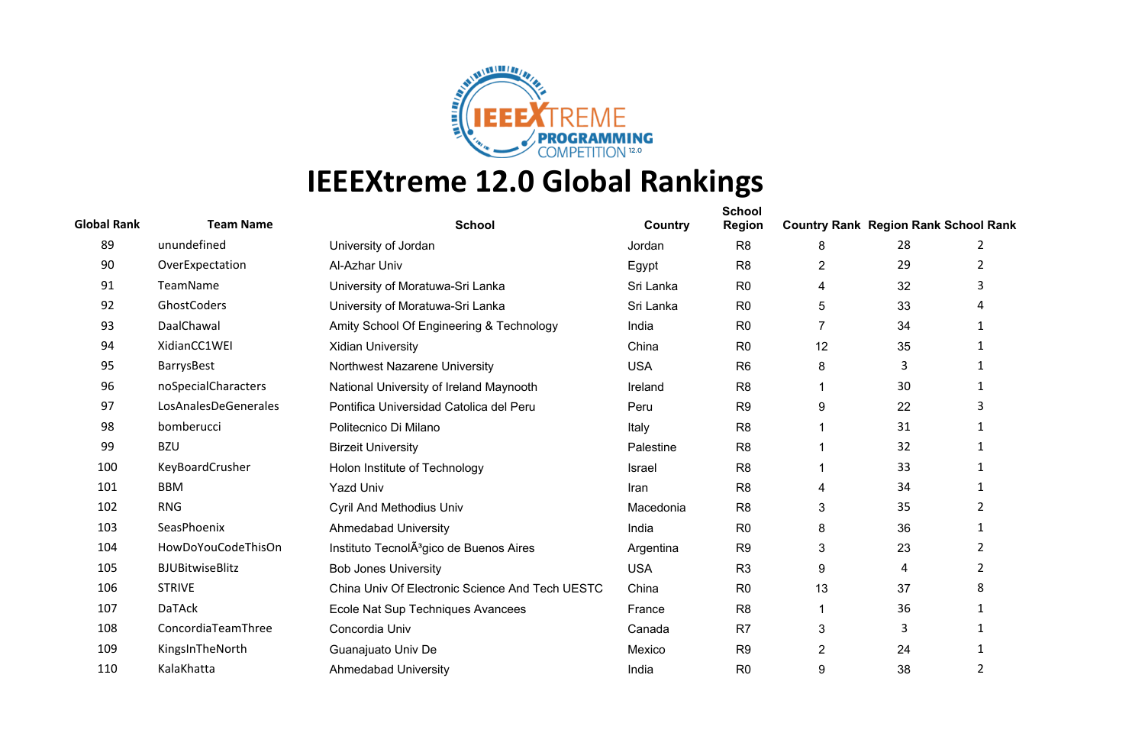

| <b>Global Rank</b> | <b>Team Name</b>       | <b>School</b>                                       | Country    | <b>School</b><br><b>Region</b> | <b>Country Rank Region Rank School Rank</b> |    |                |
|--------------------|------------------------|-----------------------------------------------------|------------|--------------------------------|---------------------------------------------|----|----------------|
| 89                 | unundefined            | University of Jordan                                | Jordan     | R <sub>8</sub>                 | 8                                           | 28 | 2              |
| 90                 | OverExpectation        | Al-Azhar Univ                                       | Egypt      | R <sub>8</sub>                 | 2                                           | 29 | 2              |
| 91                 | TeamName               | University of Moratuwa-Sri Lanka                    | Sri Lanka  | R <sub>0</sub>                 | 4                                           | 32 |                |
| 92                 | GhostCoders            | University of Moratuwa-Sri Lanka                    | Sri Lanka  | R <sub>0</sub>                 | 5                                           | 33 |                |
| 93                 | DaalChawal             | Amity School Of Engineering & Technology            | India      | R <sub>0</sub>                 | $\overline{7}$                              | 34 |                |
| 94                 | XidianCC1WEI           | <b>Xidian University</b>                            | China      | R <sub>0</sub>                 | 12                                          | 35 |                |
| 95                 | BarrysBest             | Northwest Nazarene University                       | <b>USA</b> | R <sub>6</sub>                 | 8                                           | 3  |                |
| 96                 | noSpecialCharacters    | National University of Ireland Maynooth             | Ireland    | R <sub>8</sub>                 |                                             | 30 | -1             |
| 97                 | LosAnalesDeGenerales   | Pontifica Universidad Catolica del Peru             | Peru       | R <sub>9</sub>                 | 9                                           | 22 |                |
| 98                 | bomberucci             | Politecnico Di Milano                               | Italy      | R <sub>8</sub>                 |                                             | 31 |                |
| 99                 | <b>BZU</b>             | <b>Birzeit University</b>                           | Palestine  | R <sub>8</sub>                 |                                             | 32 |                |
| 100                | KeyBoardCrusher        | Holon Institute of Technology                       | Israel     | R <sub>8</sub>                 |                                             | 33 |                |
| 101                | <b>BBM</b>             | <b>Yazd Univ</b>                                    | Iran       | R <sub>8</sub>                 | 4                                           | 34 | $\mathbf{1}$   |
| 102                | <b>RNG</b>             | <b>Cyril And Methodius Univ</b>                     | Macedonia  | R <sub>8</sub>                 | 3                                           | 35 | 2              |
| 103                | SeasPhoenix            | <b>Ahmedabad University</b>                         | India      | R <sub>0</sub>                 | 8                                           | 36 | 1              |
| 104                | HowDoYouCodeThisOn     | Instituto TecnolA <sup>3</sup> gico de Buenos Aires | Argentina  | R <sub>9</sub>                 | 3                                           | 23 | $\overline{2}$ |
| 105                | <b>BJUBitwiseBlitz</b> | <b>Bob Jones University</b>                         | <b>USA</b> | R <sub>3</sub>                 | 9                                           | 4  | 2              |
| 106                | <b>STRIVE</b>          | China Univ Of Electronic Science And Tech UESTC     | China      | R <sub>0</sub>                 | 13                                          | 37 | 8              |
| 107                | <b>DaTAck</b>          | Ecole Nat Sup Techniques Avancees                   | France     | R <sub>8</sub>                 |                                             | 36 |                |
| 108                | ConcordiaTeamThree     | Concordia Univ                                      | Canada     | R <sub>7</sub>                 | 3                                           | 3  |                |
| 109                | KingsInTheNorth        | Guanajuato Univ De                                  | Mexico     | R <sub>9</sub>                 | 2                                           | 24 |                |
| 110                | KalaKhatta             | <b>Ahmedabad University</b>                         | India      | R <sub>0</sub>                 | 9                                           | 38 | $\overline{2}$ |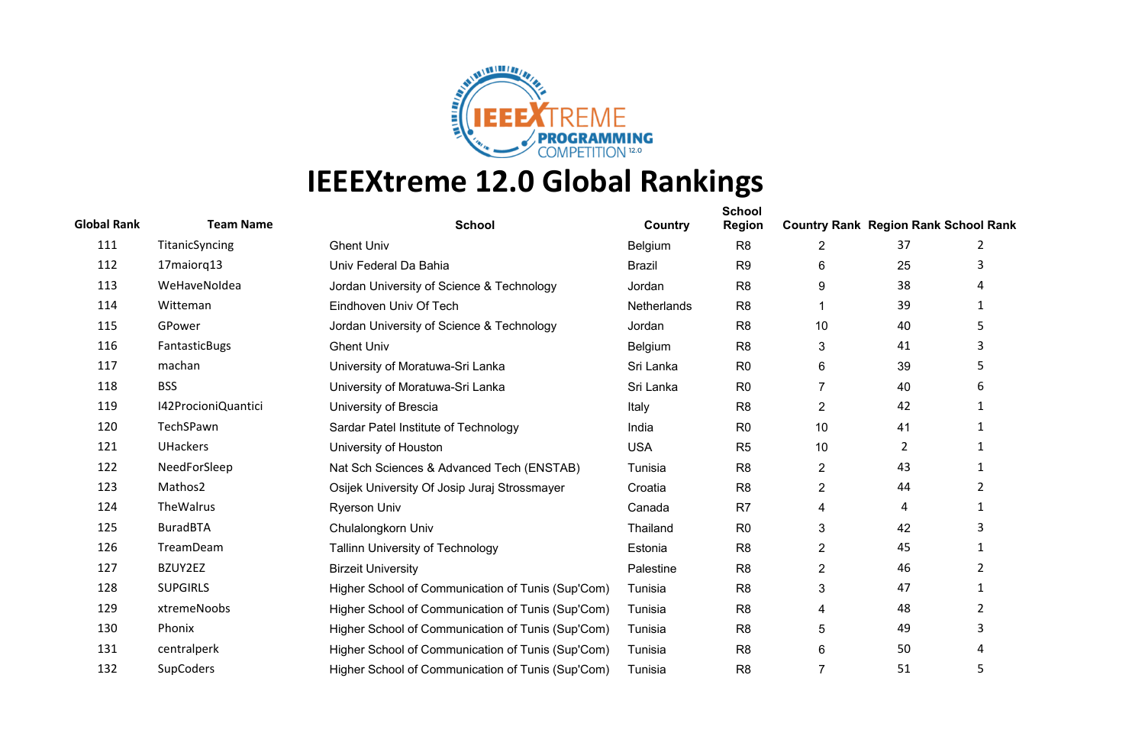

| <b>Global Rank</b> | <b>Team Name</b>    | <b>School</b>                                     | Country       | <b>School</b><br><b>Region</b> | <b>Country Rank Region Rank School Rank</b> |    |                |
|--------------------|---------------------|---------------------------------------------------|---------------|--------------------------------|---------------------------------------------|----|----------------|
| 111                | TitanicSyncing      | <b>Ghent Univ</b>                                 | Belgium       | R <sub>8</sub>                 | 2                                           | 37 | 2              |
| 112                | 17maiorq13          | Univ Federal Da Bahia                             | <b>Brazil</b> | R <sub>9</sub>                 | 6                                           | 25 | 3              |
| 113                | WeHaveNoldea        | Jordan University of Science & Technology         | Jordan        | R <sub>8</sub>                 | 9                                           | 38 | 4              |
| 114                | Witteman            | Eindhoven Univ Of Tech                            | Netherlands   | R <sub>8</sub>                 |                                             | 39 | 1              |
| 115                | GPower              | Jordan University of Science & Technology         | Jordan        | R <sub>8</sub>                 | 10                                          | 40 | 5              |
| 116                | FantasticBugs       | <b>Ghent Univ</b>                                 | Belgium       | R <sub>8</sub>                 | 3                                           | 41 | 3              |
| 117                | machan              | University of Moratuwa-Sri Lanka                  | Sri Lanka     | R <sub>0</sub>                 | 6                                           | 39 | 5              |
| 118                | <b>BSS</b>          | University of Moratuwa-Sri Lanka                  | Sri Lanka     | R <sub>0</sub>                 | $\overline{7}$                              | 40 | 6              |
| 119                | I42ProcioniQuantici | University of Brescia                             | Italy         | R <sub>8</sub>                 | $\overline{\mathbf{c}}$                     | 42 | $\mathbf{1}$   |
| 120                | TechSPawn           | Sardar Patel Institute of Technology              | India         | R <sub>0</sub>                 | 10                                          | 41 | 1              |
| 121                | <b>UHackers</b>     | University of Houston                             | <b>USA</b>    | R <sub>5</sub>                 | 10                                          | 2  | $\mathbf{1}$   |
| 122                | NeedForSleep        | Nat Sch Sciences & Advanced Tech (ENSTAB)         | Tunisia       | R <sub>8</sub>                 | $\overline{c}$                              | 43 | 1              |
| 123                | Mathos2             | Osijek University Of Josip Juraj Strossmayer      | Croatia       | R <sub>8</sub>                 | $\overline{2}$                              | 44 | $\overline{2}$ |
| 124                | TheWalrus           | <b>Ryerson Univ</b>                               | Canada        | R <sub>7</sub>                 | 4                                           | 4  | 1              |
| 125                | <b>BuradBTA</b>     | Chulalongkorn Univ                                | Thailand      | R <sub>0</sub>                 | 3                                           | 42 | 3              |
| 126                | TreamDeam           | Tallinn University of Technology                  | Estonia       | R <sub>8</sub>                 | $\overline{c}$                              | 45 | $\mathbf{1}$   |
| 127                | BZUY2EZ             | <b>Birzeit University</b>                         | Palestine     | R <sub>8</sub>                 | $\overline{c}$                              | 46 | 2              |
| 128                | <b>SUPGIRLS</b>     | Higher School of Communication of Tunis (Sup'Com) | Tunisia       | R <sub>8</sub>                 | 3                                           | 47 | $\mathbf{1}$   |
| 129                | xtremeNoobs         | Higher School of Communication of Tunis (Sup'Com) | Tunisia       | R <sub>8</sub>                 | 4                                           | 48 | 2              |
| 130                | Phonix              | Higher School of Communication of Tunis (Sup'Com) | Tunisia       | R <sub>8</sub>                 | 5                                           | 49 | 3              |
| 131                | centralperk         | Higher School of Communication of Tunis (Sup'Com) | Tunisia       | R <sub>8</sub>                 | 6                                           | 50 | 4              |
| 132                | <b>SupCoders</b>    | Higher School of Communication of Tunis (Sup'Com) | Tunisia       | R <sub>8</sub>                 | $\overline{7}$                              | 51 | 5              |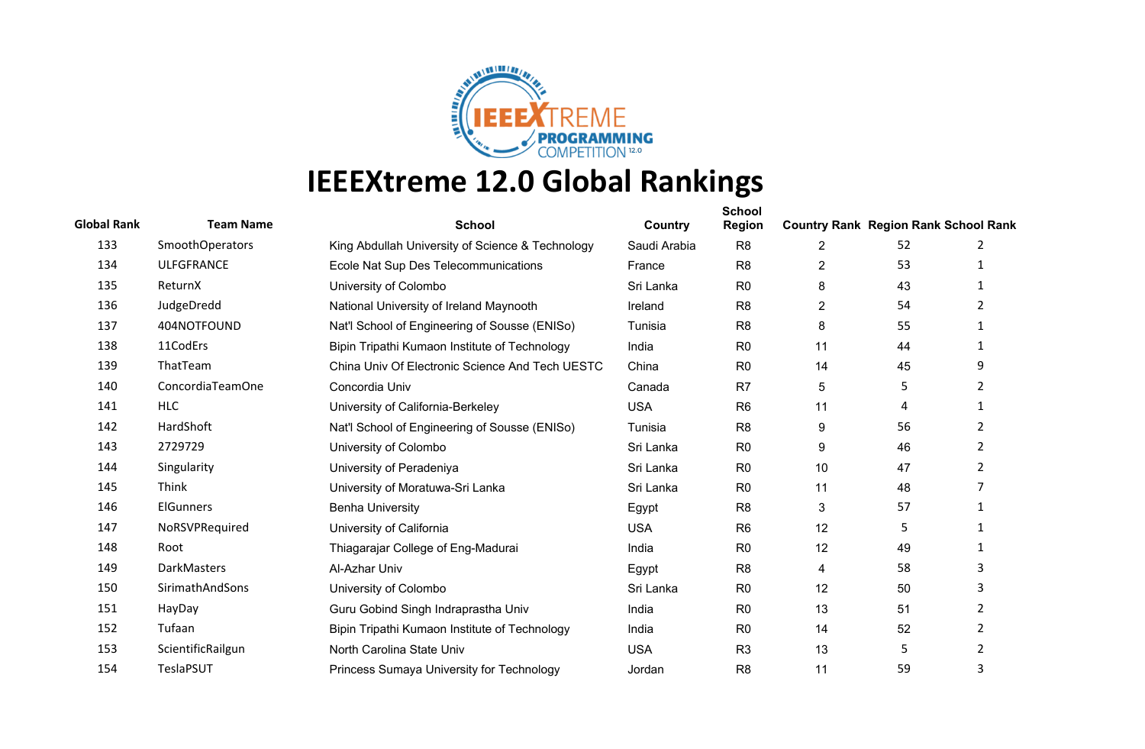

| <b>Global Rank</b> | <b>Team Name</b>       | <b>School</b>                                    | Country      | <b>School</b><br><b>Region</b> | <b>Country Rank Region Rank School Rank</b> |    |                |
|--------------------|------------------------|--------------------------------------------------|--------------|--------------------------------|---------------------------------------------|----|----------------|
| 133                | <b>SmoothOperators</b> | King Abdullah University of Science & Technology | Saudi Arabia | R <sub>8</sub>                 | 2                                           | 52 | 2              |
| 134                | <b>ULFGFRANCE</b>      | Ecole Nat Sup Des Telecommunications             | France       | R <sub>8</sub>                 | $\overline{c}$                              | 53 | 1              |
| 135                | ReturnX                | University of Colombo                            | Sri Lanka    | R <sub>0</sub>                 | 8                                           | 43 | 1              |
| 136                | JudgeDredd             | National University of Ireland Maynooth          | Ireland      | R <sub>8</sub>                 | $\overline{2}$                              | 54 | 2              |
| 137                | 404NOTFOUND            | Nat'l School of Engineering of Sousse (ENISo)    | Tunisia      | R <sub>8</sub>                 | 8                                           | 55 | 1              |
| 138                | 11CodErs               | Bipin Tripathi Kumaon Institute of Technology    | India        | R <sub>0</sub>                 | 11                                          | 44 | 1              |
| 139                | ThatTeam               | China Univ Of Electronic Science And Tech UESTC  | China        | R <sub>0</sub>                 | 14                                          | 45 | 9              |
| 140                | ConcordiaTeamOne       | Concordia Univ                                   | Canada       | R <sub>7</sub>                 | 5                                           | 5  | 2              |
| 141                | <b>HLC</b>             | University of California-Berkeley                | <b>USA</b>   | R <sub>6</sub>                 | 11                                          | 4  | 1              |
| 142                | HardShoft              | Nat'l School of Engineering of Sousse (ENISo)    | Tunisia      | R <sub>8</sub>                 | 9                                           | 56 | 2              |
| 143                | 2729729                | University of Colombo                            | Sri Lanka    | R <sub>0</sub>                 | 9                                           | 46 | 2              |
| 144                | Singularity            | University of Peradeniya                         | Sri Lanka    | R <sub>0</sub>                 | 10                                          | 47 | 2              |
| 145                | Think                  | University of Moratuwa-Sri Lanka                 | Sri Lanka    | R <sub>0</sub>                 | 11                                          | 48 | 7              |
| 146                | ElGunners              | <b>Benha University</b>                          | Egypt        | R <sub>8</sub>                 | 3                                           | 57 | 1              |
| 147                | NoRSVPRequired         | University of California                         | <b>USA</b>   | R <sub>6</sub>                 | 12                                          | 5  | $\mathbf{1}$   |
| 148                | Root                   | Thiagarajar College of Eng-Madurai               | India        | R <sub>0</sub>                 | 12                                          | 49 | 1              |
| 149                | DarkMasters            | Al-Azhar Univ                                    | Egypt        | R <sub>8</sub>                 | 4                                           | 58 | 3              |
| 150                | SirimathAndSons        | University of Colombo                            | Sri Lanka    | R <sub>0</sub>                 | 12                                          | 50 | 3              |
| 151                | HayDay                 | Guru Gobind Singh Indraprastha Univ              | India        | R <sub>0</sub>                 | 13                                          | 51 | 2              |
| 152                | Tufaan                 | Bipin Tripathi Kumaon Institute of Technology    | India        | R <sub>0</sub>                 | 14                                          | 52 | $\overline{2}$ |
| 153                | ScientificRailgun      | North Carolina State Univ                        | <b>USA</b>   | R <sub>3</sub>                 | 13                                          | 5  | 2              |
| 154                | TeslaPSUT              | Princess Sumaya University for Technology        | Jordan       | R <sub>8</sub>                 | 11                                          | 59 | 3              |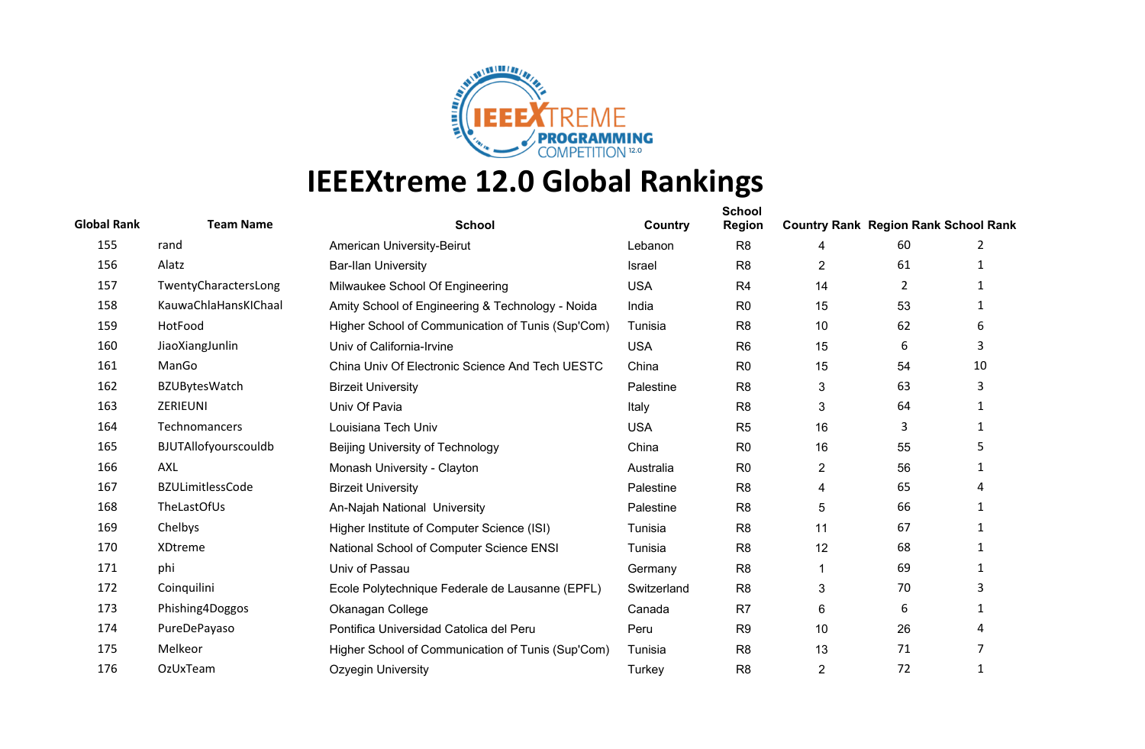

| <b>Global Rank</b> | <b>Team Name</b>        | <b>School</b>                                     | <b>Country</b> | <b>School</b><br><b>Region</b> | <b>Country Rank Region Rank School Rank</b> |    |              |
|--------------------|-------------------------|---------------------------------------------------|----------------|--------------------------------|---------------------------------------------|----|--------------|
| 155                | rand                    | American University-Beirut                        | Lebanon        | R <sub>8</sub>                 | 4                                           | 60 | 2            |
| 156                | Alatz                   | <b>Bar-Ilan University</b>                        | Israel         | R <sub>8</sub>                 | $\overline{2}$                              | 61 | $\mathbf{1}$ |
| 157                | TwentyCharactersLong    | Milwaukee School Of Engineering                   | <b>USA</b>     | R <sub>4</sub>                 | 14                                          | 2  |              |
| 158                | KauwaChlaHansKIChaal    | Amity School of Engineering & Technology - Noida  | India          | R <sub>0</sub>                 | 15                                          | 53 |              |
| 159                | HotFood                 | Higher School of Communication of Tunis (Sup'Com) | Tunisia        | R <sub>8</sub>                 | 10                                          | 62 | 6            |
| 160                | JiaoXiangJunlin         | Univ of California-Irvine                         | <b>USA</b>     | R <sub>6</sub>                 | 15                                          | 6  | 3            |
| 161                | ManGo                   | China Univ Of Electronic Science And Tech UESTC   | China          | R <sub>0</sub>                 | 15                                          | 54 | 10           |
| 162                | <b>BZUBytesWatch</b>    | <b>Birzeit University</b>                         | Palestine      | R <sub>8</sub>                 | 3                                           | 63 | 3            |
| 163                | ZERIEUNI                | Univ Of Pavia                                     | Italy          | R <sub>8</sub>                 | 3                                           | 64 |              |
| 164                | Technomancers           | Louisiana Tech Univ                               | <b>USA</b>     | R <sub>5</sub>                 | 16                                          | 3  | $\mathbf{1}$ |
| 165                | BJUTAllofyourscouldb    | Beijing University of Technology                  | China          | R <sub>0</sub>                 | 16                                          | 55 | 5.           |
| 166                | AXL                     | Monash University - Clayton                       | Australia      | R <sub>0</sub>                 | $\mathbf{2}$                                | 56 |              |
| 167                | <b>BZULimitlessCode</b> | <b>Birzeit University</b>                         | Palestine      | R <sub>8</sub>                 | 4                                           | 65 | 4            |
| 168                | TheLastOfUs             | An-Najah National University                      | Palestine      | R <sub>8</sub>                 | 5                                           | 66 |              |
| 169                | Chelbys                 | Higher Institute of Computer Science (ISI)        | Tunisia        | R <sub>8</sub>                 | 11                                          | 67 |              |
| 170                | XDtreme                 | National School of Computer Science ENSI          | Tunisia        | R <sub>8</sub>                 | 12                                          | 68 | -1           |
| 171                | phi                     | Univ of Passau                                    | Germany        | R <sub>8</sub>                 | 1                                           | 69 |              |
| 172                | Coinquilini             | Ecole Polytechnique Federale de Lausanne (EPFL)   | Switzerland    | R <sub>8</sub>                 | 3                                           | 70 |              |
| 173                | Phishing4Doggos         | Okanagan College                                  | Canada         | R7                             | 6                                           | 6  |              |
| 174                | PureDePayaso            | Pontifica Universidad Catolica del Peru           | Peru           | R <sub>9</sub>                 | 10                                          | 26 |              |
| 175                | Melkeor                 | Higher School of Communication of Tunis (Sup'Com) | Tunisia        | R <sub>8</sub>                 | 13                                          | 71 |              |
| 176                | OzUxTeam                | Ozyegin University                                | Turkey         | R <sub>8</sub>                 | $\overline{2}$                              | 72 | 1            |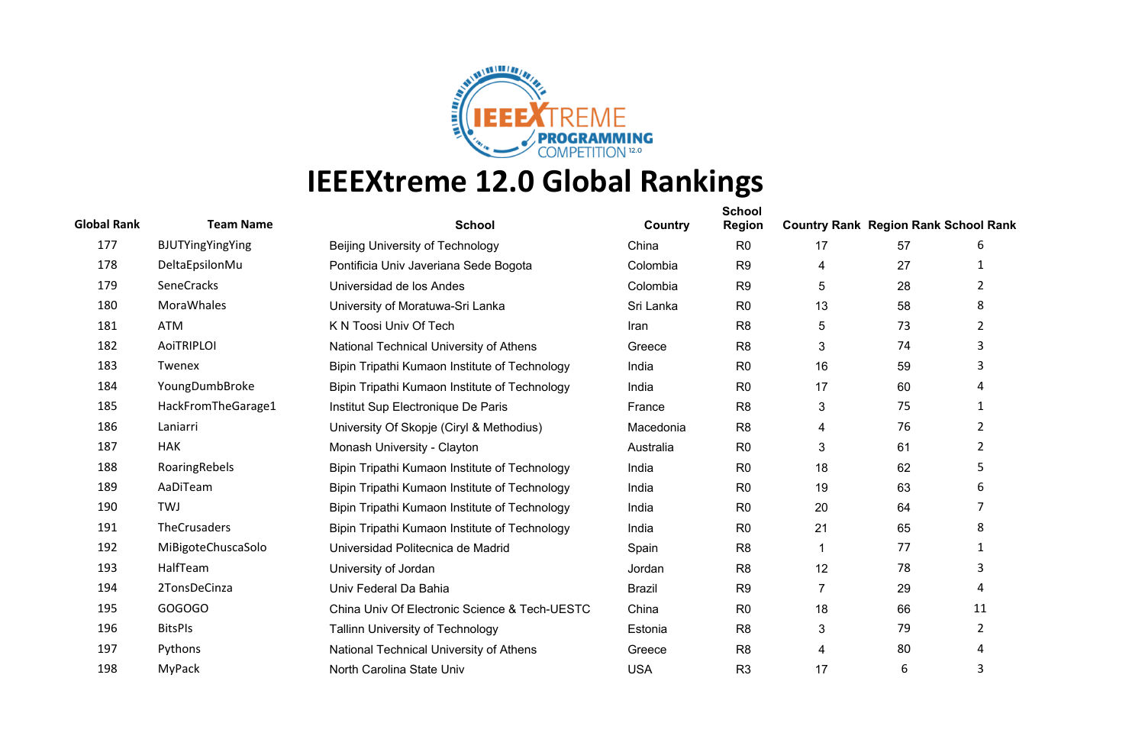

| <b>Global Rank</b> | <b>Team Name</b>    | <b>School</b>                                 | Country       | <b>School</b><br><b>Region</b> | <b>Country Rank Region Rank School Rank</b> |    |                |
|--------------------|---------------------|-----------------------------------------------|---------------|--------------------------------|---------------------------------------------|----|----------------|
| 177                | BJUTYingYingYing    | Beijing University of Technology              | China         | R <sub>0</sub>                 | 17                                          | 57 | 6              |
| 178                | DeltaEpsilonMu      | Pontificia Univ Javeriana Sede Bogota         | Colombia      | R <sub>9</sub>                 | 4                                           | 27 | $\mathbf 1$    |
| 179                | SeneCracks          | Universidad de los Andes                      | Colombia      | R <sub>9</sub>                 | 5                                           | 28 | 2              |
| 180                | MoraWhales          | University of Moratuwa-Sri Lanka              | Sri Lanka     | R <sub>0</sub>                 | 13                                          | 58 | 8              |
| 181                | ATM                 | K N Toosi Univ Of Tech                        | Iran          | R <sub>8</sub>                 | 5                                           | 73 | $\overline{2}$ |
| 182                | <b>AoiTRIPLOI</b>   | National Technical University of Athens       | Greece        | R <sub>8</sub>                 | 3                                           | 74 | 3              |
| 183                | Twenex              | Bipin Tripathi Kumaon Institute of Technology | India         | R <sub>0</sub>                 | 16                                          | 59 | 3              |
| 184                | YoungDumbBroke      | Bipin Tripathi Kumaon Institute of Technology | India         | R <sub>0</sub>                 | 17                                          | 60 |                |
| 185                | HackFromTheGarage1  | Institut Sup Electronique De Paris            | France        | R <sub>8</sub>                 | 3                                           | 75 | 1              |
| 186                | Laniarri            | University Of Skopje (Ciryl & Methodius)      | Macedonia     | R <sub>8</sub>                 | 4                                           | 76 | 2              |
| 187                | <b>HAK</b>          | Monash University - Clayton                   | Australia     | R <sub>0</sub>                 | 3                                           | 61 | 2              |
| 188                | RoaringRebels       | Bipin Tripathi Kumaon Institute of Technology | India         | R <sub>0</sub>                 | 18                                          | 62 | 5              |
| 189                | AaDiTeam            | Bipin Tripathi Kumaon Institute of Technology | India         | R <sub>0</sub>                 | 19                                          | 63 | 6              |
| 190                | <b>TWJ</b>          | Bipin Tripathi Kumaon Institute of Technology | India         | R <sub>0</sub>                 | 20                                          | 64 | 7              |
| 191                | <b>TheCrusaders</b> | Bipin Tripathi Kumaon Institute of Technology | India         | R <sub>0</sub>                 | 21                                          | 65 | 8              |
| 192                | MiBigoteChuscaSolo  | Universidad Politecnica de Madrid             | Spain         | R <sub>8</sub>                 | 1                                           | 77 | $\mathbf{1}$   |
| 193                | HalfTeam            | University of Jordan                          | Jordan        | R <sub>8</sub>                 | 12                                          | 78 | 3              |
| 194                | 2TonsDeCinza        | Univ Federal Da Bahia                         | <b>Brazil</b> | R <sub>9</sub>                 | $\overline{7}$                              | 29 | 4              |
| 195                | GOGOGO              | China Univ Of Electronic Science & Tech-UESTC | China         | R <sub>0</sub>                 | 18                                          | 66 | 11             |
| 196                | <b>BitsPIs</b>      | Tallinn University of Technology              | Estonia       | R <sub>8</sub>                 | 3                                           | 79 | $\overline{2}$ |
| 197                | Pythons             | National Technical University of Athens       | Greece        | R <sub>8</sub>                 | 4                                           | 80 | 4              |
| 198                | MyPack              | North Carolina State Univ                     | <b>USA</b>    | R <sub>3</sub>                 | 17                                          | 6  | 3              |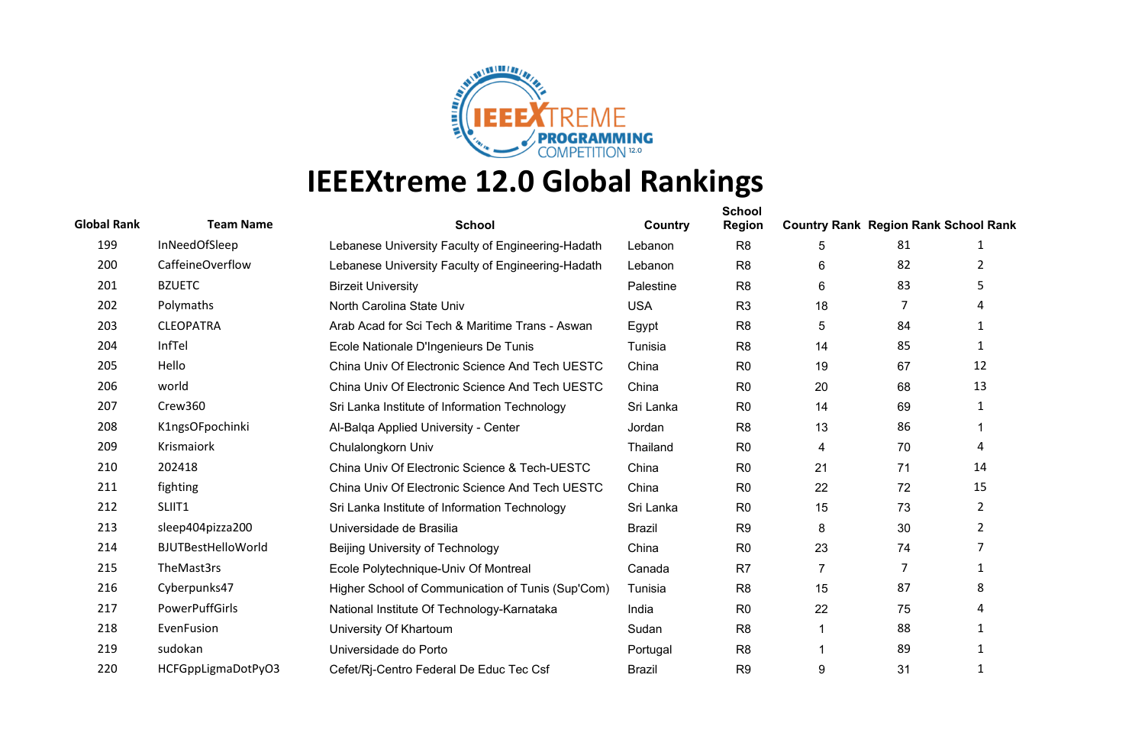

| <b>Global Rank</b> | <b>Team Name</b>      | <b>School</b>                                     | Country       | <b>School</b><br><b>Region</b> | <b>Country Rank Region Rank School Rank</b> |    |                |
|--------------------|-----------------------|---------------------------------------------------|---------------|--------------------------------|---------------------------------------------|----|----------------|
| 199                | InNeedOfSleep         | Lebanese University Faculty of Engineering-Hadath | Lebanon       | R <sub>8</sub>                 | 5                                           | 81 | 1              |
| 200                | CaffeineOverflow      | Lebanese University Faculty of Engineering-Hadath | Lebanon       | R <sub>8</sub>                 | 6                                           | 82 | 2              |
| 201                | <b>BZUETC</b>         | <b>Birzeit University</b>                         | Palestine     | R <sub>8</sub>                 | 6                                           | 83 | 5              |
| 202                | Polymaths             | North Carolina State Univ                         | <b>USA</b>    | R <sub>3</sub>                 | 18                                          | 7  |                |
| 203                | <b>CLEOPATRA</b>      | Arab Acad for Sci Tech & Maritime Trans - Aswan   | Egypt         | R <sub>8</sub>                 | 5                                           | 84 | 1              |
| 204                | InfTel                | Ecole Nationale D'Ingenieurs De Tunis             | Tunisia       | R <sub>8</sub>                 | 14                                          | 85 | 1              |
| 205                | Hello                 | China Univ Of Electronic Science And Tech UESTC   | China         | R <sub>0</sub>                 | 19                                          | 67 | 12             |
| 206                | world                 | China Univ Of Electronic Science And Tech UESTC   | China         | R <sub>0</sub>                 | 20                                          | 68 | 13             |
| 207                | Crew360               | Sri Lanka Institute of Information Technology     | Sri Lanka     | R <sub>0</sub>                 | 14                                          | 69 | 1              |
| 208                | K1ngsOFpochinki       | Al-Balga Applied University - Center              | Jordan        | R <sub>8</sub>                 | 13                                          | 86 |                |
| 209                | Krismaiork            | Chulalongkorn Univ                                | Thailand      | R <sub>0</sub>                 | 4                                           | 70 | 4              |
| 210                | 202418                | China Univ Of Electronic Science & Tech-UESTC     | China         | R <sub>0</sub>                 | 21                                          | 71 | 14             |
| 211                | fighting              | China Univ Of Electronic Science And Tech UESTC   | China         | R <sub>0</sub>                 | 22                                          | 72 | 15             |
| 212                | SLIIT1                | Sri Lanka Institute of Information Technology     | Sri Lanka     | R <sub>0</sub>                 | 15                                          | 73 | $\overline{2}$ |
| 213                | sleep404pizza200      | Universidade de Brasilia                          | <b>Brazil</b> | R <sub>9</sub>                 | 8                                           | 30 | $\overline{2}$ |
| 214                | BJUTBestHelloWorld    | Beijing University of Technology                  | China         | R <sub>0</sub>                 | 23                                          | 74 | 7              |
| 215                | TheMast3rs            | Ecole Polytechnique-Univ Of Montreal              | Canada        | R7                             | $\overline{7}$                              | 7  | 1              |
| 216                | Cyberpunks47          | Higher School of Communication of Tunis (Sup'Com) | Tunisia       | R <sub>8</sub>                 | 15                                          | 87 | 8              |
| 217                | <b>PowerPuffGirls</b> | National Institute Of Technology-Karnataka        | India         | R <sub>0</sub>                 | 22                                          | 75 |                |
| 218                | EvenFusion            | University Of Khartoum                            | Sudan         | R <sub>8</sub>                 |                                             | 88 | 1              |
| 219                | sudokan               | Universidade do Porto                             | Portugal      | R <sub>8</sub>                 |                                             | 89 | 1              |
| 220                | HCFGppLigmaDotPyO3    | Cefet/Rj-Centro Federal De Educ Tec Csf           | <b>Brazil</b> | R <sub>9</sub>                 | 9                                           | 31 | 1              |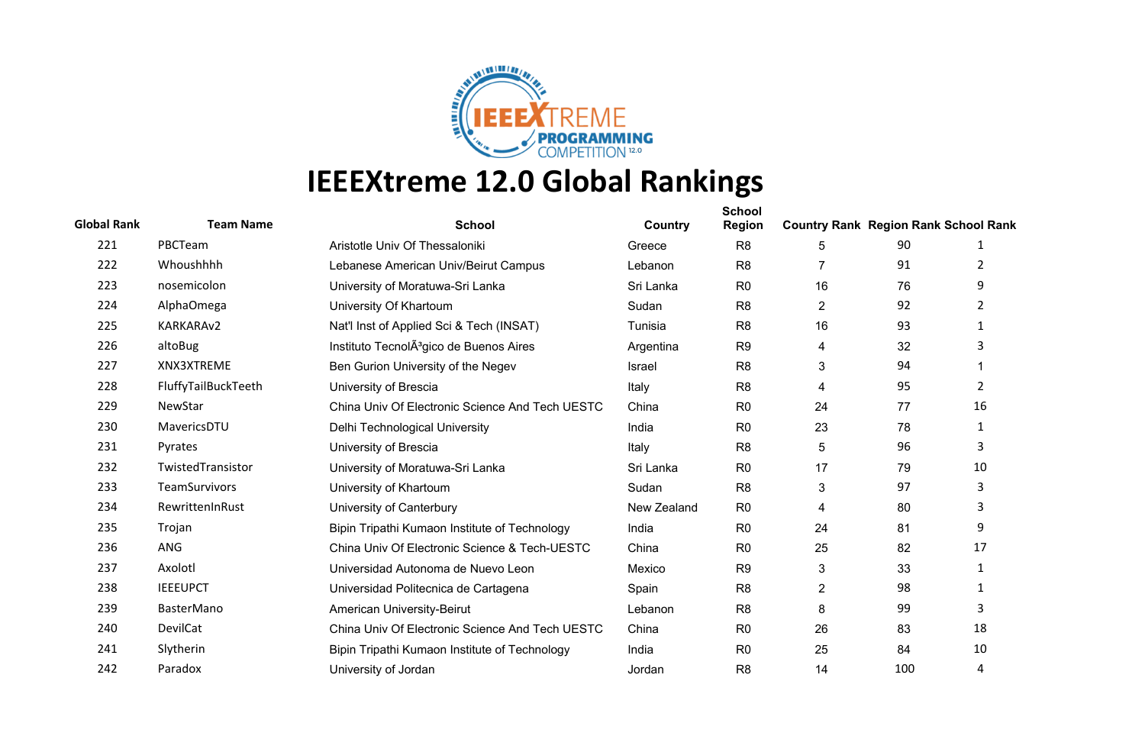

| <b>Global Rank</b> | <b>Team Name</b>    | <b>School</b>                                       | Country     | <b>School</b><br><b>Region</b> | <b>Country Rank Region Rank School Rank</b> |     |                |
|--------------------|---------------------|-----------------------------------------------------|-------------|--------------------------------|---------------------------------------------|-----|----------------|
| 221                | PBCTeam             | Aristotle Univ Of Thessaloniki                      | Greece      | R <sub>8</sub>                 | 5                                           | 90  | 1              |
| 222                | Whoushhhh           | Lebanese American Univ/Beirut Campus                | Lebanon     | R <sub>8</sub>                 |                                             | 91  | 2              |
| 223                | nosemicolon         | University of Moratuwa-Sri Lanka                    | Sri Lanka   | R <sub>0</sub>                 | 16                                          | 76  | 9              |
| 224                | AlphaOmega          | University Of Khartoum                              | Sudan       | R <sub>8</sub>                 | $\overline{c}$                              | 92  | 2              |
| 225                | KARKARAv2           | Nat'l Inst of Applied Sci & Tech (INSAT)            | Tunisia     | R <sub>8</sub>                 | 16                                          | 93  | 1              |
| 226                | altoBug             | Instituto TecnolA <sup>3</sup> gico de Buenos Aires | Argentina   | R <sub>9</sub>                 | 4                                           | 32  | 3              |
| 227                | XNX3XTREME          | Ben Gurion University of the Negev                  | Israel      | R <sub>8</sub>                 | 3                                           | 94  |                |
| 228                | FluffyTailBuckTeeth | University of Brescia                               | Italy       | R <sub>8</sub>                 | 4                                           | 95  | $\overline{2}$ |
| 229                | NewStar             | China Univ Of Electronic Science And Tech UESTC     | China       | R <sub>0</sub>                 | 24                                          | 77  | 16             |
| 230                | MavericsDTU         | Delhi Technological University                      | India       | R <sub>0</sub>                 | 23                                          | 78  | $\mathbf{1}$   |
| 231                | Pyrates             | University of Brescia                               | Italy       | R <sub>8</sub>                 | 5                                           | 96  | 3              |
| 232                | TwistedTransistor   | University of Moratuwa-Sri Lanka                    | Sri Lanka   | R <sub>0</sub>                 | 17                                          | 79  | 10             |
| 233                | TeamSurvivors       | University of Khartoum                              | Sudan       | R <sub>8</sub>                 | 3                                           | 97  | 3              |
| 234                | RewrittenInRust     | University of Canterbury                            | New Zealand | R <sub>0</sub>                 | 4                                           | 80  | 3              |
| 235                | Trojan              | Bipin Tripathi Kumaon Institute of Technology       | India       | R <sub>0</sub>                 | 24                                          | 81  | 9              |
| 236                | <b>ANG</b>          | China Univ Of Electronic Science & Tech-UESTC       | China       | R <sub>0</sub>                 | 25                                          | 82  | 17             |
| 237                | Axolotl             | Universidad Autonoma de Nuevo Leon                  | Mexico      | R <sub>9</sub>                 | 3                                           | 33  | 1              |
| 238                | <b>IEEEUPCT</b>     | Universidad Politecnica de Cartagena                | Spain       | R <sub>8</sub>                 | 2                                           | 98  | 1              |
| 239                | <b>BasterMano</b>   | American University-Beirut                          | Lebanon     | R <sub>8</sub>                 | 8                                           | 99  | 3              |
| 240                | DevilCat            | China Univ Of Electronic Science And Tech UESTC     | China       | R <sub>0</sub>                 | 26                                          | 83  | 18             |
| 241                | Slytherin           | Bipin Tripathi Kumaon Institute of Technology       | India       | R <sub>0</sub>                 | 25                                          | 84  | 10             |
| 242                | Paradox             | University of Jordan                                | Jordan      | R <sub>8</sub>                 | 14                                          | 100 | 4              |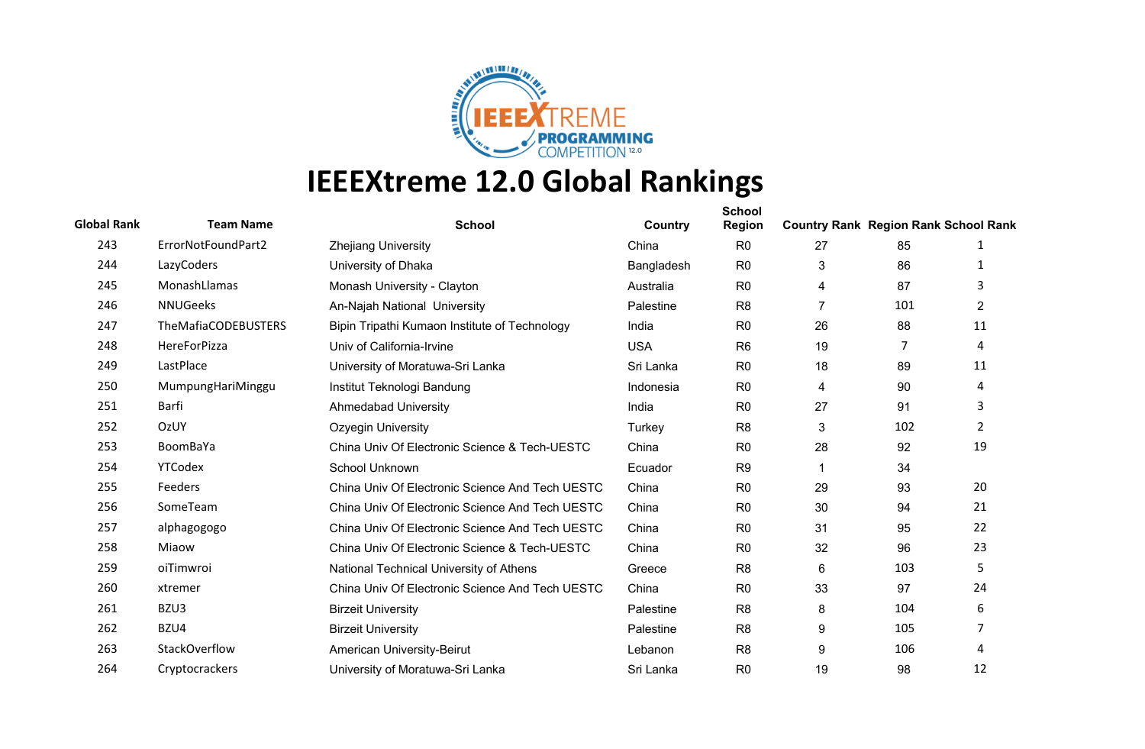

| <b>Global Rank</b> | <b>Team Name</b>    | <b>School</b>                                   | Country    | <b>School</b><br><b>Region</b> | <b>Country Rank Region Rank School Rank</b> |     |                |
|--------------------|---------------------|-------------------------------------------------|------------|--------------------------------|---------------------------------------------|-----|----------------|
| 243                | ErrorNotFoundPart2  | <b>Zhejiang University</b>                      | China      | R <sub>0</sub>                 | 27                                          | 85  | 1              |
| 244                | LazyCoders          | University of Dhaka                             | Bangladesh | R <sub>0</sub>                 | 3                                           | 86  | 1              |
| 245                | MonashLlamas        | Monash University - Clayton                     | Australia  | R <sub>0</sub>                 | 4                                           | 87  | 3              |
| 246                | <b>NNUGeeks</b>     | An-Najah National University                    | Palestine  | R <sub>8</sub>                 | $\overline{7}$                              | 101 | $\overline{2}$ |
| 247                | TheMafiaCODEBUSTERS | Bipin Tripathi Kumaon Institute of Technology   | India      | R <sub>0</sub>                 | 26                                          | 88  | 11             |
| 248                | HereForPizza        | Univ of California-Irvine                       | <b>USA</b> | R <sub>6</sub>                 | 19                                          | 7   | 4              |
| 249                | LastPlace           | University of Moratuwa-Sri Lanka                | Sri Lanka  | R <sub>0</sub>                 | 18                                          | 89  | 11             |
| 250                | MumpungHariMinggu   | Institut Teknologi Bandung                      | Indonesia  | R <sub>0</sub>                 | 4                                           | 90  | 4              |
| 251                | Barfi               | <b>Ahmedabad University</b>                     | India      | R <sub>0</sub>                 | 27                                          | 91  | 3              |
| 252                | OzUY                | Ozyegin University                              | Turkey     | R <sub>8</sub>                 | 3                                           | 102 | $\overline{2}$ |
| 253                | BoomBaYa            | China Univ Of Electronic Science & Tech-UESTC   | China      | R <sub>0</sub>                 | 28                                          | 92  | 19             |
| 254                | YTCodex             | School Unknown                                  | Ecuador    | R <sub>9</sub>                 |                                             | 34  |                |
| 255                | Feeders             | China Univ Of Electronic Science And Tech UESTC | China      | R <sub>0</sub>                 | 29                                          | 93  | 20             |
| 256                | SomeTeam            | China Univ Of Electronic Science And Tech UESTC | China      | R <sub>0</sub>                 | 30                                          | 94  | 21             |
| 257                | alphagogogo         | China Univ Of Electronic Science And Tech UESTC | China      | R <sub>0</sub>                 | 31                                          | 95  | 22             |
| 258                | Miaow               | China Univ Of Electronic Science & Tech-UESTC   | China      | R <sub>0</sub>                 | 32                                          | 96  | 23             |
| 259                | oiTimwroi           | National Technical University of Athens         | Greece     | R <sub>8</sub>                 | 6                                           | 103 | 5              |
| 260                | xtremer             | China Univ Of Electronic Science And Tech UESTC | China      | R <sub>0</sub>                 | 33                                          | 97  | 24             |
| 261                | BZU3                | <b>Birzeit University</b>                       | Palestine  | R <sub>8</sub>                 | 8                                           | 104 | 6              |
| 262                | BZU4                | <b>Birzeit University</b>                       | Palestine  | R <sub>8</sub>                 | 9                                           | 105 | 7              |
| 263                | StackOverflow       | American University-Beirut                      | Lebanon    | R <sub>8</sub>                 | 9                                           | 106 | 4              |
| 264                | Cryptocrackers      | University of Moratuwa-Sri Lanka                | Sri Lanka  | R <sub>0</sub>                 | 19                                          | 98  | 12             |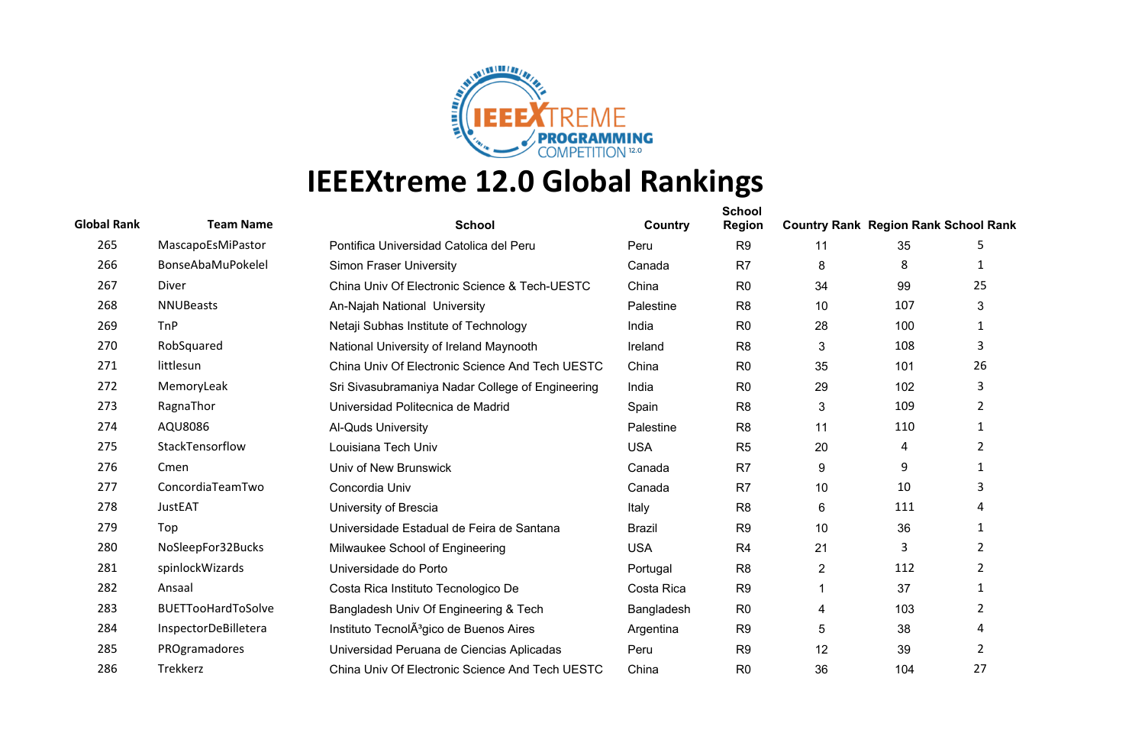

| <b>Global Rank</b> | <b>Team Name</b>          | <b>School</b>                                       | Country       | <b>School</b><br><b>Region</b> | <b>Country Rank Region Rank School Rank</b> |     |                |
|--------------------|---------------------------|-----------------------------------------------------|---------------|--------------------------------|---------------------------------------------|-----|----------------|
| 265                | MascapoEsMiPastor         | Pontifica Universidad Catolica del Peru             | Peru          | R <sub>9</sub>                 | 11                                          | 35  | 5              |
| 266                | BonseAbaMuPokelel         | <b>Simon Fraser University</b>                      | Canada        | R <sub>7</sub>                 | 8                                           | 8   | 1              |
| 267                | <b>Diver</b>              | China Univ Of Electronic Science & Tech-UESTC       | China         | R <sub>0</sub>                 | 34                                          | 99  | 25             |
| 268                | <b>NNUBeasts</b>          | An-Najah National University                        | Palestine     | R <sub>8</sub>                 | 10                                          | 107 | 3              |
| 269                | TnP                       | Netaji Subhas Institute of Technology               | India         | R <sub>0</sub>                 | 28                                          | 100 | $\mathbf{1}$   |
| 270                | RobSquared                | National University of Ireland Maynooth             | Ireland       | R <sub>8</sub>                 | 3                                           | 108 | 3              |
| 271                | littlesun                 | China Univ Of Electronic Science And Tech UESTC     | China         | R <sub>0</sub>                 | 35                                          | 101 | 26             |
| 272                | MemoryLeak                | Sri Sivasubramaniya Nadar College of Engineering    | India         | R <sub>0</sub>                 | 29                                          | 102 | 3              |
| 273                | RagnaThor                 | Universidad Politecnica de Madrid                   | Spain         | R <sub>8</sub>                 | 3                                           | 109 | $\overline{2}$ |
| 274                | AQU8086                   | Al-Quds University                                  | Palestine     | R <sub>8</sub>                 | 11                                          | 110 | 1              |
| 275                | StackTensorflow           | Louisiana Tech Univ                                 | <b>USA</b>    | R <sub>5</sub>                 | 20                                          | 4   | $\overline{2}$ |
| 276                | Cmen                      | Univ of New Brunswick                               | Canada        | R7                             | 9                                           | 9   |                |
| 277                | ConcordiaTeamTwo          | Concordia Univ                                      | Canada        | R <sub>7</sub>                 | 10 <sup>°</sup>                             | 10  | 3              |
| 278                | <b>JustEAT</b>            | University of Brescia                               | Italy         | R <sub>8</sub>                 | 6                                           | 111 |                |
| 279                | Top                       | Universidade Estadual de Feira de Santana           | <b>Brazil</b> | R <sub>9</sub>                 | 10                                          | 36  | 1              |
| 280                | NoSleepFor32Bucks         | Milwaukee School of Engineering                     | <b>USA</b>    | R <sub>4</sub>                 | 21                                          | 3   | $\overline{2}$ |
| 281                | spinlockWizards           | Universidade do Porto                               | Portugal      | R <sub>8</sub>                 | $\overline{2}$                              | 112 | $\overline{2}$ |
| 282                | Ansaal                    | Costa Rica Instituto Tecnologico De                 | Costa Rica    | R <sub>9</sub>                 |                                             | 37  | $\mathbf{1}$   |
| 283                | <b>BUETTooHardToSolve</b> | Bangladesh Univ Of Engineering & Tech               | Bangladesh    | R <sub>0</sub>                 | 4                                           | 103 | 2              |
| 284                | InspectorDeBilletera      | Instituto TecnolA <sup>3</sup> gico de Buenos Aires | Argentina     | R <sub>9</sub>                 | 5                                           | 38  | Δ              |
| 285                | PROgramadores             | Universidad Peruana de Ciencias Aplicadas           | Peru          | R <sub>9</sub>                 | 12                                          | 39  | $\overline{2}$ |
| 286                | Trekkerz                  | China Univ Of Electronic Science And Tech UESTC     | China         | R <sub>0</sub>                 | 36                                          | 104 | 27             |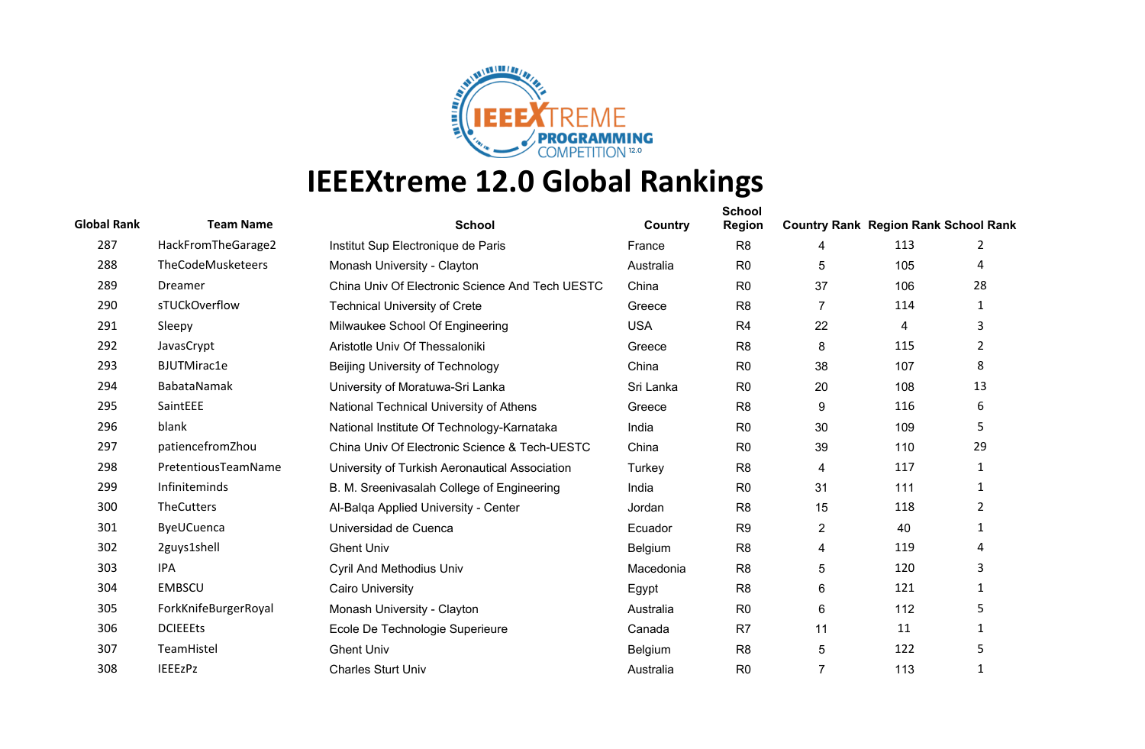

| <b>Global Rank</b> | <b>Team Name</b>         | <b>School</b>                                   | Country    | <b>School</b><br><b>Region</b> | <b>Country Rank Region Rank School Rank</b> |     |                |
|--------------------|--------------------------|-------------------------------------------------|------------|--------------------------------|---------------------------------------------|-----|----------------|
| 287                | HackFromTheGarage2       | Institut Sup Electronique de Paris              | France     | R <sub>8</sub>                 | 4                                           | 113 | 2              |
| 288                | <b>TheCodeMusketeers</b> | Monash University - Clayton                     | Australia  | R <sub>0</sub>                 | 5                                           | 105 | 4              |
| 289                | Dreamer                  | China Univ Of Electronic Science And Tech UESTC | China      | R <sub>0</sub>                 | 37                                          | 106 | 28             |
| 290                | sTUCkOverflow            | <b>Technical University of Crete</b>            | Greece     | R <sub>8</sub>                 | 7                                           | 114 | 1              |
| 291                | Sleepy                   | Milwaukee School Of Engineering                 | <b>USA</b> | R <sub>4</sub>                 | 22                                          | 4   | 3              |
| 292                | JavasCrypt               | Aristotle Univ Of Thessaloniki                  | Greece     | R <sub>8</sub>                 | 8                                           | 115 | 2              |
| 293                | <b>BJUTMirac1e</b>       | Beijing University of Technology                | China      | R <sub>0</sub>                 | 38                                          | 107 | 8              |
| 294                | BabataNamak              | University of Moratuwa-Sri Lanka                | Sri Lanka  | R <sub>0</sub>                 | 20                                          | 108 | 13             |
| 295                | SaintEEE                 | National Technical University of Athens         | Greece     | R <sub>8</sub>                 | 9                                           | 116 | 6              |
| 296                | blank                    | National Institute Of Technology-Karnataka      | India      | R <sub>0</sub>                 | 30                                          | 109 | 5              |
| 297                | patiencefromZhou         | China Univ Of Electronic Science & Tech-UESTC   | China      | R <sub>0</sub>                 | 39                                          | 110 | 29             |
| 298                | PretentiousTeamName      | University of Turkish Aeronautical Association  | Turkey     | R <sub>8</sub>                 | 4                                           | 117 | $\mathbf{1}$   |
| 299                | Infiniteminds            | B. M. Sreenivasalah College of Engineering      | India      | R <sub>0</sub>                 | 31                                          | 111 | 1              |
| 300                | TheCutters               | Al-Balga Applied University - Center            | Jordan     | R <sub>8</sub>                 | 15                                          | 118 | $\overline{2}$ |
| 301                | ByeUCuenca               | Universidad de Cuenca                           | Ecuador    | R <sub>9</sub>                 | $\overline{2}$                              | 40  | $\mathbf{1}$   |
| 302                | 2guys1shell              | <b>Ghent Univ</b>                               | Belgium    | R <sub>8</sub>                 | 4                                           | 119 | 4              |
| 303                | IPA                      | <b>Cyril And Methodius Univ</b>                 | Macedonia  | R <sub>8</sub>                 | 5                                           | 120 | 3              |
| 304                | <b>EMBSCU</b>            | <b>Cairo University</b>                         | Egypt      | R <sub>8</sub>                 | 6                                           | 121 | 1              |
| 305                | ForkKnifeBurgerRoyal     | Monash University - Clayton                     | Australia  | R <sub>0</sub>                 | 6                                           | 112 | 5              |
| 306                | <b>DCIEEEts</b>          | Ecole De Technologie Superieure                 | Canada     | R <sub>7</sub>                 | 11                                          | 11  | 1              |
| 307                | TeamHistel               | <b>Ghent Univ</b>                               | Belgium    | R <sub>8</sub>                 | 5                                           | 122 | 5              |
| 308                | <b>IEEEzPz</b>           | <b>Charles Sturt Univ</b>                       | Australia  | R <sub>0</sub>                 | $\overline{7}$                              | 113 | $\mathbf{1}$   |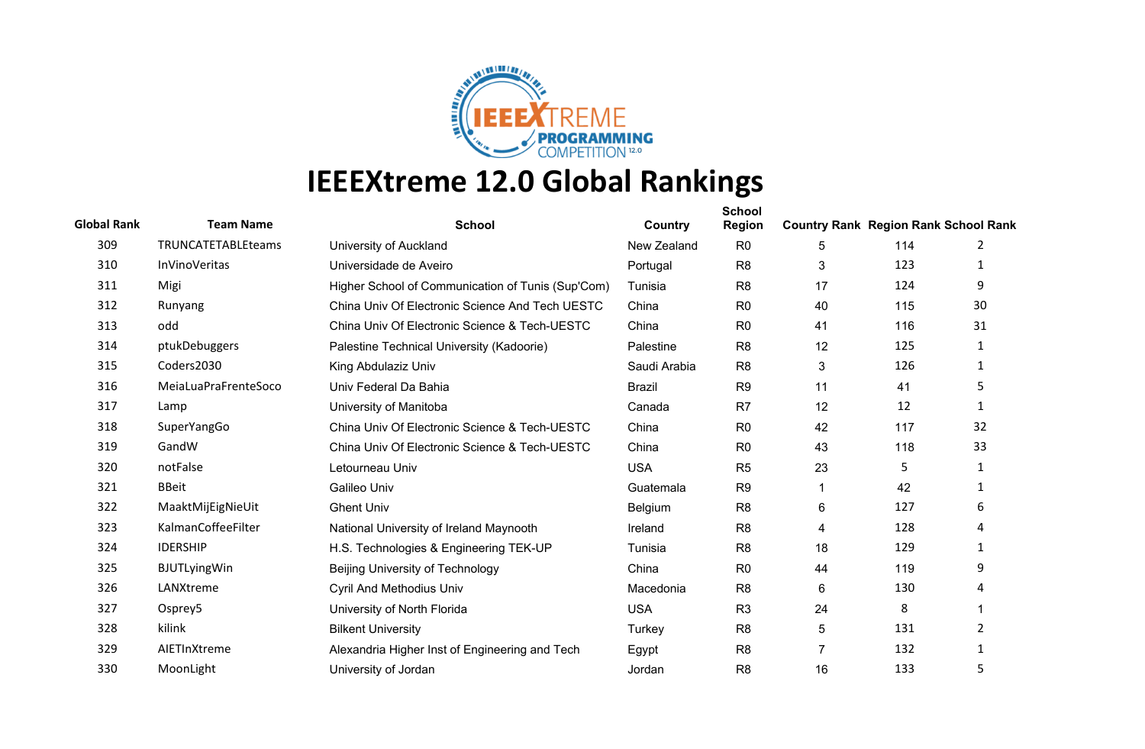

| <b>Global Rank</b> | <b>Team Name</b>     | <b>School</b>                                     | Country       | <b>School</b><br><b>Region</b> | <b>Country Rank Region Rank School Rank</b> |     |              |
|--------------------|----------------------|---------------------------------------------------|---------------|--------------------------------|---------------------------------------------|-----|--------------|
| 309                | TRUNCATETABLEteams   | University of Auckland                            | New Zealand   | R <sub>0</sub>                 | 5                                           | 114 | 2            |
| 310                | <b>InVinoVeritas</b> | Universidade de Aveiro                            | Portugal      | R <sub>8</sub>                 | 3                                           | 123 | 1            |
| 311                | Migi                 | Higher School of Communication of Tunis (Sup'Com) | Tunisia       | R <sub>8</sub>                 | 17                                          | 124 | 9            |
| 312                | Runyang              | China Univ Of Electronic Science And Tech UESTC   | China         | R <sub>0</sub>                 | 40                                          | 115 | 30           |
| 313                | odd                  | China Univ Of Electronic Science & Tech-UESTC     | China         | R <sub>0</sub>                 | 41                                          | 116 | 31           |
| 314                | ptukDebuggers        | Palestine Technical University (Kadoorie)         | Palestine     | R <sub>8</sub>                 | 12                                          | 125 | 1            |
| 315                | Coders2030           | King Abdulaziz Univ                               | Saudi Arabia  | R <sub>8</sub>                 | 3                                           | 126 | $\mathbf{1}$ |
| 316                | MeiaLuaPraFrenteSoco | Univ Federal Da Bahia                             | <b>Brazil</b> | R <sub>9</sub>                 | 11                                          | 41  | 5            |
| 317                | Lamp                 | University of Manitoba                            | Canada        | R <sub>7</sub>                 | 12                                          | 12  | 1            |
| 318                | SuperYangGo          | China Univ Of Electronic Science & Tech-UESTC     | China         | R <sub>0</sub>                 | 42                                          | 117 | 32           |
| 319                | GandW                | China Univ Of Electronic Science & Tech-UESTC     | China         | R <sub>0</sub>                 | 43                                          | 118 | 33           |
| 320                | notFalse             | Letourneau Univ                                   | <b>USA</b>    | R <sub>5</sub>                 | 23                                          | 5   | 1            |
| 321                | <b>BBeit</b>         | Galileo Univ                                      | Guatemala     | R <sub>9</sub>                 | 1                                           | 42  | 1            |
| 322                | MaaktMijEigNieUit    | <b>Ghent Univ</b>                                 | Belgium       | R <sub>8</sub>                 | 6                                           | 127 | 6            |
| 323                | KalmanCoffeeFilter   | National University of Ireland Maynooth           | Ireland       | R <sub>8</sub>                 | 4                                           | 128 | 4            |
| 324                | <b>IDERSHIP</b>      | H.S. Technologies & Engineering TEK-UP            | Tunisia       | R <sub>8</sub>                 | 18                                          | 129 | $\mathbf{1}$ |
| 325                | <b>BJUTLyingWin</b>  | Beijing University of Technology                  | China         | R <sub>0</sub>                 | 44                                          | 119 | 9            |
| 326                | LANXtreme            | <b>Cyril And Methodius Univ</b>                   | Macedonia     | R <sub>8</sub>                 | 6                                           | 130 | 4            |
| 327                | Osprey5              | University of North Florida                       | <b>USA</b>    | R <sub>3</sub>                 | 24                                          | 8   |              |
| 328                | kilink               | <b>Bilkent University</b>                         | Turkey        | R <sub>8</sub>                 | 5                                           | 131 | 2            |
| 329                | AIETInXtreme         | Alexandria Higher Inst of Engineering and Tech    | Egypt         | R <sub>8</sub>                 | 7                                           | 132 | 1            |
| 330                | MoonLight            | University of Jordan                              | Jordan        | R <sub>8</sub>                 | 16                                          | 133 | 5            |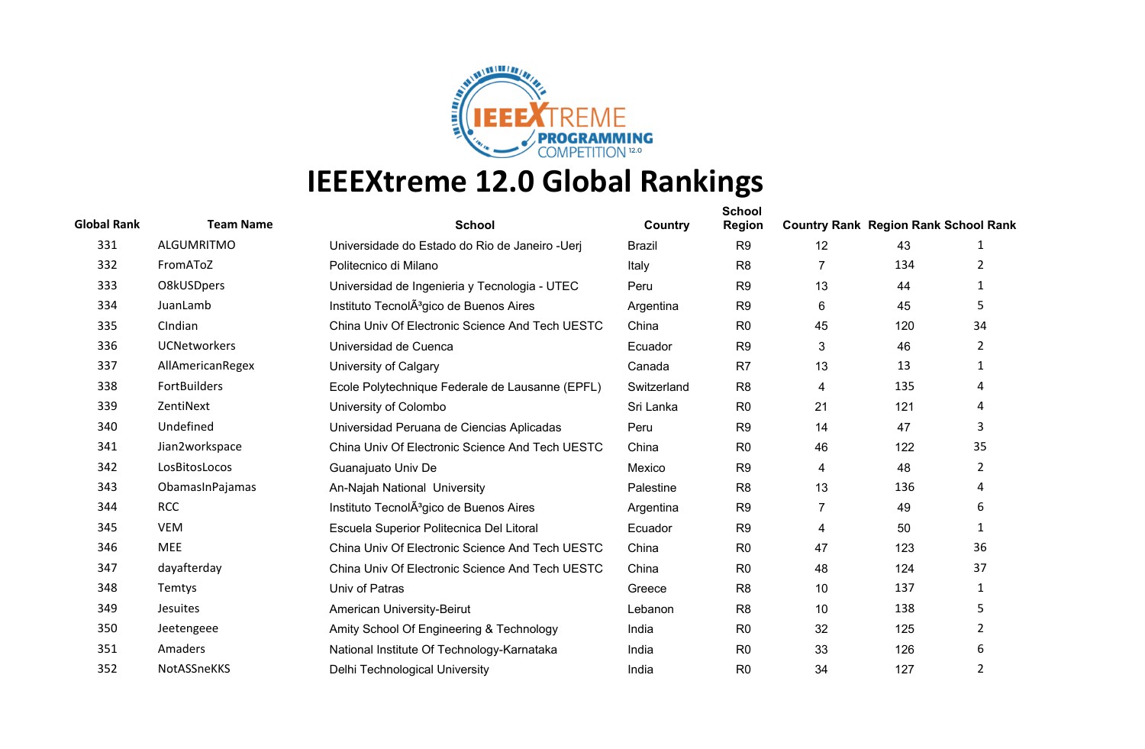

| <b>Global Rank</b> | <b>Team Name</b>    | <b>School</b>                                       | Country       | <b>School</b><br><b>Region</b> | <b>Country Rank Region Rank School Rank</b> |     |                |
|--------------------|---------------------|-----------------------------------------------------|---------------|--------------------------------|---------------------------------------------|-----|----------------|
| 331                | <b>ALGUMRITMO</b>   | Universidade do Estado do Rio de Janeiro - Ueri     | <b>Brazil</b> | R <sub>9</sub>                 | 12                                          | 43  | 1              |
| 332                | FromAToZ            | Politecnico di Milano                               | Italy         | R <sub>8</sub>                 | 7                                           | 134 | 2              |
| 333                | O8kUSDpers          | Universidad de Ingenieria y Tecnologia - UTEC       | Peru          | R <sub>9</sub>                 | 13                                          | 44  | 1              |
| 334                | JuanLamb            | Instituto TecnolA <sup>3</sup> gico de Buenos Aires | Argentina     | R <sub>9</sub>                 | 6                                           | 45  | 5.             |
| 335                | CIndian             | China Univ Of Electronic Science And Tech UESTC     | China         | R <sub>0</sub>                 | 45                                          | 120 | 34             |
| 336                | <b>UCNetworkers</b> | Universidad de Cuenca                               | Ecuador       | R <sub>9</sub>                 | 3                                           | 46  | $\overline{2}$ |
| 337                | AllAmericanRegex    | University of Calgary                               | Canada        | R <sub>7</sub>                 | 13                                          | 13  | $\mathbf{1}$   |
| 338                | <b>FortBuilders</b> | Ecole Polytechnique Federale de Lausanne (EPFL)     | Switzerland   | R <sub>8</sub>                 | 4                                           | 135 | 4              |
| 339                | ZentiNext           | University of Colombo                               | Sri Lanka     | R <sub>0</sub>                 | 21                                          | 121 | 4              |
| 340                | Undefined           | Universidad Peruana de Ciencias Aplicadas           | Peru          | R <sub>9</sub>                 | 14                                          | 47  | 3              |
| 341                | Jian2workspace      | China Univ Of Electronic Science And Tech UESTC     | China         | R <sub>0</sub>                 | 46                                          | 122 | 35             |
| 342                | LosBitosLocos       | Guanajuato Univ De                                  | Mexico        | R <sub>9</sub>                 | 4                                           | 48  | $\overline{2}$ |
| 343                | ObamasInPajamas     | An-Najah National University                        | Palestine     | R <sub>8</sub>                 | 13                                          | 136 | 4              |
| 344                | <b>RCC</b>          | Instituto TecnolA <sup>3</sup> gico de Buenos Aires | Argentina     | R <sub>9</sub>                 | $\overline{7}$                              | 49  | 6              |
| 345                | VEM                 | Escuela Superior Politecnica Del Litoral            | Ecuador       | R <sub>9</sub>                 | 4                                           | 50  | 1              |
| 346                | <b>MEE</b>          | China Univ Of Electronic Science And Tech UESTC     | China         | R <sub>0</sub>                 | 47                                          | 123 | 36             |
| 347                | dayafterday         | China Univ Of Electronic Science And Tech UESTC     | China         | R <sub>0</sub>                 | 48                                          | 124 | 37             |
| 348                | Temtys              | Univ of Patras                                      | Greece        | R <sub>8</sub>                 | 10                                          | 137 | 1              |
| 349                | <b>Jesuites</b>     | American University-Beirut                          | Lebanon       | R <sub>8</sub>                 | 10                                          | 138 | 5              |
| 350                | Jeetengeee          | Amity School Of Engineering & Technology            | India         | R <sub>0</sub>                 | 32                                          | 125 | $\overline{2}$ |
| 351                | Amaders             | National Institute Of Technology-Karnataka          | India         | R <sub>0</sub>                 | 33                                          | 126 | 6              |
| 352                | NotASSneKKS         | Delhi Technological University                      | India         | R <sub>0</sub>                 | 34                                          | 127 | 2              |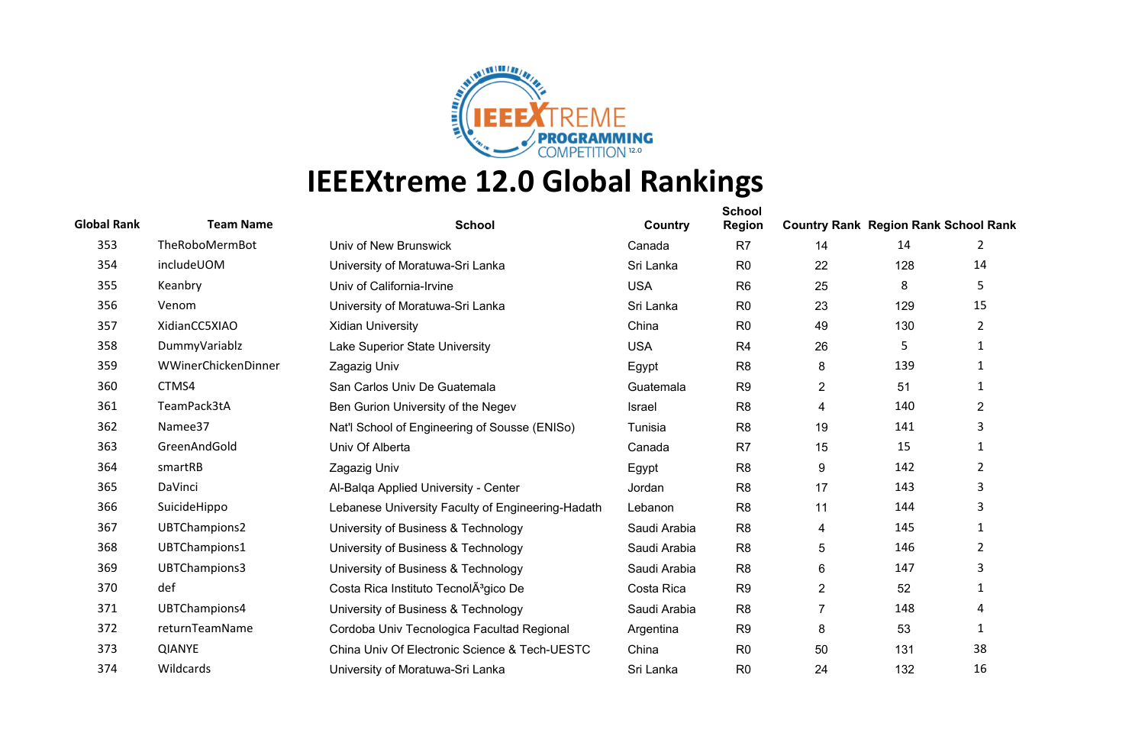

| <b>Global Rank</b> | <b>Team Name</b>    | <b>School</b>                                     | Country      | <b>School</b><br><b>Region</b> | <b>Country Rank Region Rank School Rank</b> |     |                |
|--------------------|---------------------|---------------------------------------------------|--------------|--------------------------------|---------------------------------------------|-----|----------------|
| 353                | TheRoboMermBot      | Univ of New Brunswick                             | Canada       | R7                             | 14                                          | 14  | 2              |
| 354                | includeUOM          | University of Moratuwa-Sri Lanka                  | Sri Lanka    | R <sub>0</sub>                 | 22                                          | 128 | 14             |
| 355                | Keanbry             | Univ of California-Irvine                         | <b>USA</b>   | R <sub>6</sub>                 | 25                                          | 8   | 5              |
| 356                | Venom               | University of Moratuwa-Sri Lanka                  | Sri Lanka    | R <sub>0</sub>                 | 23                                          | 129 | 15             |
| 357                | XidianCC5XIAO       | <b>Xidian University</b>                          | China        | R <sub>0</sub>                 | 49                                          | 130 | 2              |
| 358                | DummyVariablz       | Lake Superior State University                    | <b>USA</b>   | R4                             | 26                                          | 5   | 1              |
| 359                | WWinerChickenDinner | Zagazig Univ                                      | Egypt        | R <sub>8</sub>                 | 8                                           | 139 | 1              |
| 360                | CTMS4               | San Carlos Univ De Guatemala                      | Guatemala    | R <sub>9</sub>                 | $\overline{2}$                              | 51  | 1              |
| 361                | TeamPack3tA         | Ben Gurion University of the Negev                | Israel       | R <sub>8</sub>                 | 4                                           | 140 | $\overline{2}$ |
| 362                | Namee37             | Nat'l School of Engineering of Sousse (ENISo)     | Tunisia      | R <sub>8</sub>                 | 19                                          | 141 | 3              |
| 363                | GreenAndGold        | Univ Of Alberta                                   | Canada       | R <sub>7</sub>                 | 15                                          | 15  | 1              |
| 364                | smartRB             | Zagazig Univ                                      | Egypt        | R <sub>8</sub>                 | 9                                           | 142 | 2              |
| 365                | DaVinci             | Al-Balga Applied University - Center              | Jordan       | R <sub>8</sub>                 | 17                                          | 143 | 3              |
| 366                | SuicideHippo        | Lebanese University Faculty of Engineering-Hadath | Lebanon      | R <sub>8</sub>                 | 11                                          | 144 | 3              |
| 367                | UBTChampions2       | University of Business & Technology               | Saudi Arabia | R <sub>8</sub>                 | 4                                           | 145 | 1              |
| 368                | UBTChampions1       | University of Business & Technology               | Saudi Arabia | R <sub>8</sub>                 | 5                                           | 146 | $\overline{2}$ |
| 369                | UBTChampions3       | University of Business & Technology               | Saudi Arabia | R <sub>8</sub>                 | 6                                           | 147 | 3              |
| 370                | def                 | Costa Rica Instituto TecnolÂ <sup>3</sup> gico De | Costa Rica   | R <sub>9</sub>                 | $\overline{2}$                              | 52  | 1              |
| 371                | UBTChampions4       | University of Business & Technology               | Saudi Arabia | R <sub>8</sub>                 | $\overline{7}$                              | 148 | 4              |
| 372                | returnTeamName      | Cordoba Univ Tecnologica Facultad Regional        | Argentina    | R <sub>9</sub>                 | 8                                           | 53  | 1              |
| 373                | <b>QIANYE</b>       | China Univ Of Electronic Science & Tech-UESTC     | China        | R <sub>0</sub>                 | 50                                          | 131 | 38             |
| 374                | Wildcards           | University of Moratuwa-Sri Lanka                  | Sri Lanka    | R <sub>0</sub>                 | 24                                          | 132 | 16             |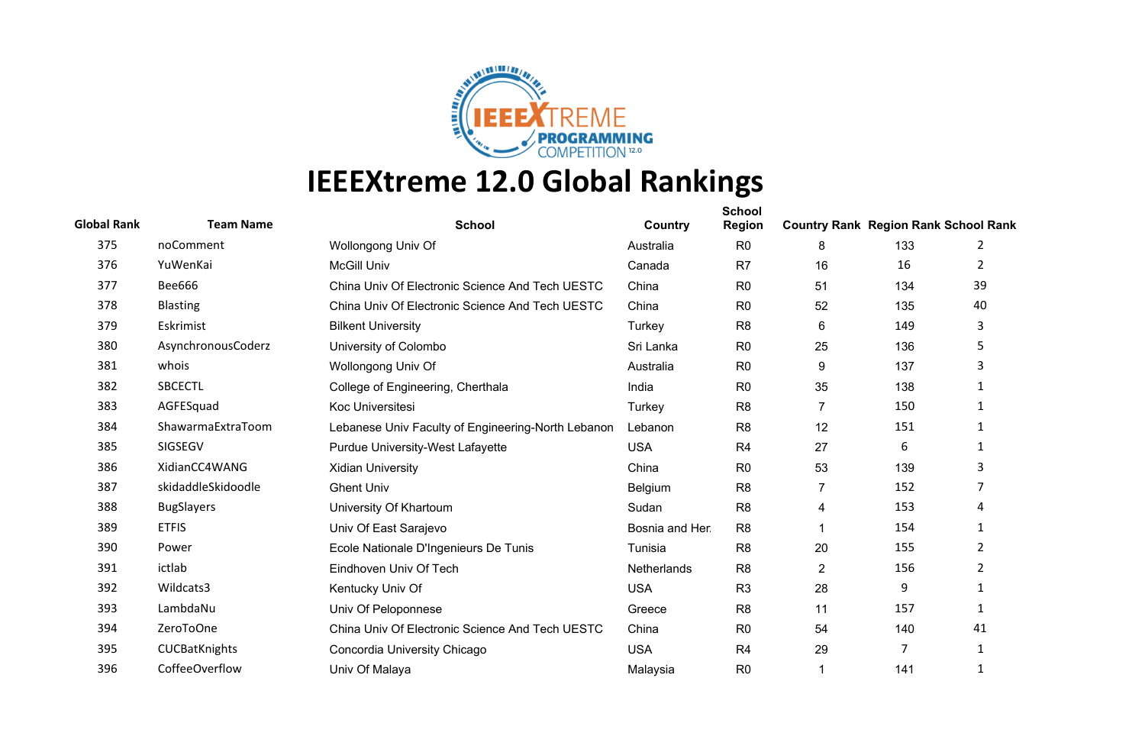

| <b>Global Rank</b> | <b>Team Name</b>   | <b>School</b>                                      | Country         | <b>School</b><br><b>Region</b> | <b>Country Rank Region Rank School Rank</b> |     |                |
|--------------------|--------------------|----------------------------------------------------|-----------------|--------------------------------|---------------------------------------------|-----|----------------|
| 375                | noComment          | Wollongong Univ Of                                 | Australia       | R <sub>0</sub>                 | 8                                           | 133 | 2              |
| 376                | YuWenKai           | <b>McGill Univ</b>                                 | Canada          | R <sub>7</sub>                 | 16                                          | 16  | 2              |
| 377                | <b>Bee666</b>      | China Univ Of Electronic Science And Tech UESTC    | China           | R <sub>0</sub>                 | 51                                          | 134 | 39             |
| 378                | <b>Blasting</b>    | China Univ Of Electronic Science And Tech UESTC    | China           | R <sub>0</sub>                 | 52                                          | 135 | 40             |
| 379                | Eskrimist          | <b>Bilkent University</b>                          | Turkey          | R <sub>8</sub>                 | 6                                           | 149 | 3              |
| 380                | AsynchronousCoderz | University of Colombo                              | Sri Lanka       | R <sub>0</sub>                 | 25                                          | 136 | 5              |
| 381                | whois              | Wollongong Univ Of                                 | Australia       | R <sub>0</sub>                 | 9                                           | 137 | 3              |
| 382                | <b>SBCECTL</b>     | College of Engineering, Cherthala                  | India           | R <sub>0</sub>                 | 35                                          | 138 | $\mathbf{1}$   |
| 383                | AGFESquad          | <b>Koc Universitesi</b>                            | Turkey          | R <sub>8</sub>                 | $\overline{7}$                              | 150 | 1              |
| 384                | ShawarmaExtraToom  | Lebanese Univ Faculty of Engineering-North Lebanon | Lebanon         | R <sub>8</sub>                 | 12                                          | 151 | 1              |
| 385                | SIGSEGV            | Purdue University-West Lafayette                   | <b>USA</b>      | R4                             | 27                                          | 6   | 1              |
| 386                | XidianCC4WANG      | <b>Xidian University</b>                           | China           | R <sub>0</sub>                 | 53                                          | 139 | 3              |
| 387                | skidaddleSkidoodle | <b>Ghent Univ</b>                                  | Belgium         | R <sub>8</sub>                 | $\overline{7}$                              | 152 | 7              |
| 388                | <b>BugSlayers</b>  | University Of Khartoum                             | Sudan           | R <sub>8</sub>                 | 4                                           | 153 | 4              |
| 389                | <b>ETFIS</b>       | Univ Of East Sarajevo                              | Bosnia and Her. | R <sub>8</sub>                 |                                             | 154 | 1              |
| 390                | Power              | Ecole Nationale D'Ingenieurs De Tunis              | Tunisia         | R <sub>8</sub>                 | 20                                          | 155 | $\overline{2}$ |
| 391                | ictlab             | Eindhoven Univ Of Tech                             | Netherlands     | R <sub>8</sub>                 | $\overline{2}$                              | 156 | $\overline{2}$ |
| 392                | Wildcats3          | Kentucky Univ Of                                   | <b>USA</b>      | R <sub>3</sub>                 | 28                                          | 9   | 1              |
| 393                | LambdaNu           | Univ Of Peloponnese                                | Greece          | R <sub>8</sub>                 | 11                                          | 157 | 1              |
| 394                | ZeroToOne          | China Univ Of Electronic Science And Tech UESTC    | China           | R <sub>0</sub>                 | 54                                          | 140 | 41             |
| 395                | CUCBatKnights      | Concordia University Chicago                       | <b>USA</b>      | R4                             | 29                                          | 7   | 1              |
| 396                | CoffeeOverflow     | Univ Of Malaya                                     | Malaysia        | R <sub>0</sub>                 |                                             | 141 | $\mathbf{1}$   |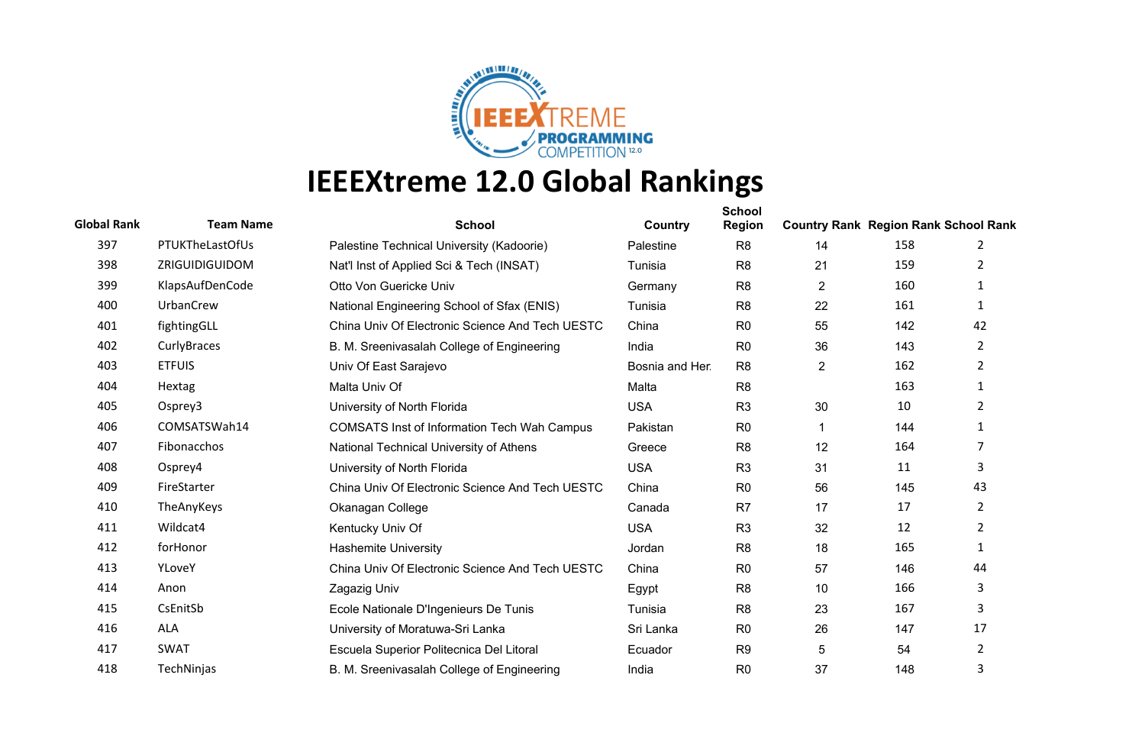

| <b>Global Rank</b> | <b>Team Name</b> | <b>School</b>                                      | Country         | <b>School</b><br><b>Region</b> | <b>Country Rank Region Rank School Rank</b> |     |                |
|--------------------|------------------|----------------------------------------------------|-----------------|--------------------------------|---------------------------------------------|-----|----------------|
| 397                | PTUKTheLastOfUs  | Palestine Technical University (Kadoorie)          | Palestine       | R <sub>8</sub>                 | 14                                          | 158 | 2              |
| 398                | ZRIGUIDIGUIDOM   | Nat'l Inst of Applied Sci & Tech (INSAT)           | Tunisia         | R <sub>8</sub>                 | 21                                          | 159 | 2              |
| 399                | KlapsAufDenCode  | Otto Von Guericke Univ                             | Germany         | R <sub>8</sub>                 | 2                                           | 160 | $\mathbf{1}$   |
| 400                | UrbanCrew        | National Engineering School of Sfax (ENIS)         | Tunisia         | R <sub>8</sub>                 | 22                                          | 161 | $\mathbf{1}$   |
| 401                | fightingGLL      | China Univ Of Electronic Science And Tech UESTC    | China           | R <sub>0</sub>                 | 55                                          | 142 | 42             |
| 402                | CurlyBraces      | B. M. Sreenivasalah College of Engineering         | India           | R <sub>0</sub>                 | 36                                          | 143 | $\overline{2}$ |
| 403                | <b>ETFUIS</b>    | Univ Of East Sarajevo                              | Bosnia and Her. | R <sub>8</sub>                 | $\overline{2}$                              | 162 | $\overline{2}$ |
| 404                | Hextag           | Malta Univ Of                                      | Malta           | R <sub>8</sub>                 |                                             | 163 | 1              |
| 405                | Osprey3          | University of North Florida                        | <b>USA</b>      | R <sub>3</sub>                 | 30                                          | 10  | $\overline{2}$ |
| 406                | COMSATSWah14     | <b>COMSATS Inst of Information Tech Wah Campus</b> | Pakistan        | R <sub>0</sub>                 |                                             | 144 | 1              |
| 407                | Fibonacchos      | National Technical University of Athens            | Greece          | R <sub>8</sub>                 | 12                                          | 164 | 7              |
| 408                | Osprey4          | University of North Florida                        | <b>USA</b>      | R <sub>3</sub>                 | 31                                          | 11  | 3              |
| 409                | FireStarter      | China Univ Of Electronic Science And Tech UESTC    | China           | R <sub>0</sub>                 | 56                                          | 145 | 43             |
| 410                | TheAnyKeys       | Okanagan College                                   | Canada          | R <sub>7</sub>                 | 17                                          | 17  | $\overline{2}$ |
| 411                | Wildcat4         | Kentucky Univ Of                                   | <b>USA</b>      | R <sub>3</sub>                 | 32                                          | 12  | $\overline{2}$ |
| 412                | forHonor         | <b>Hashemite University</b>                        | Jordan          | R <sub>8</sub>                 | 18                                          | 165 | 1              |
| 413                | YLoveY           | China Univ Of Electronic Science And Tech UESTC    | China           | R <sub>0</sub>                 | 57                                          | 146 | 44             |
| 414                | Anon             | Zagazig Univ                                       | Egypt           | R <sub>8</sub>                 | 10                                          | 166 | 3              |
| 415                | CsEnitSb         | Ecole Nationale D'Ingenieurs De Tunis              | Tunisia         | R <sub>8</sub>                 | 23                                          | 167 | 3              |
| 416                | <b>ALA</b>       | University of Moratuwa-Sri Lanka                   | Sri Lanka       | R <sub>0</sub>                 | 26                                          | 147 | 17             |
| 417                | <b>SWAT</b>      | Escuela Superior Politecnica Del Litoral           | Ecuador         | R <sub>9</sub>                 | $\overline{5}$                              | 54  | 2              |
| 418                | TechNinjas       | B. M. Sreenivasalah College of Engineering         | India           | R <sub>0</sub>                 | 37                                          | 148 | 3              |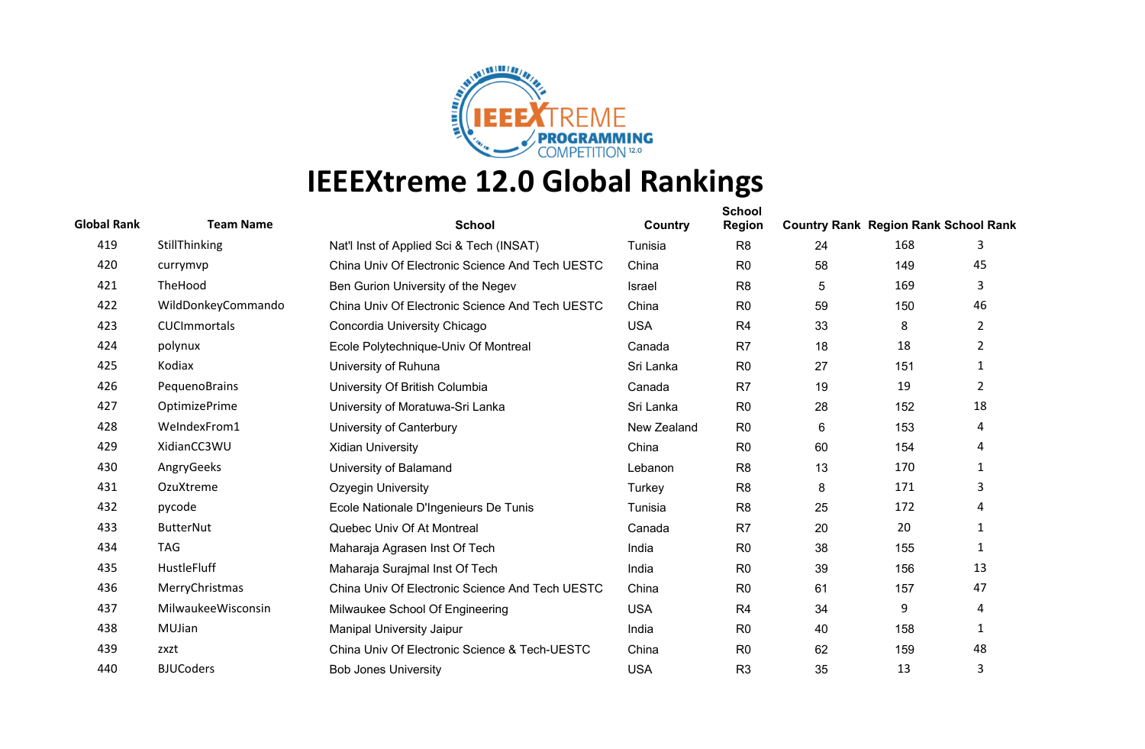

| <b>Global Rank</b> | <b>Team Name</b>    | <b>School</b>                                   | Country       | <b>School</b><br><b>Region</b> | <b>Country Rank Region Rank School Rank</b> |     |                |
|--------------------|---------------------|-------------------------------------------------|---------------|--------------------------------|---------------------------------------------|-----|----------------|
| 419                | StillThinking       | Nat'l Inst of Applied Sci & Tech (INSAT)        | Tunisia       | R <sub>8</sub>                 | 24                                          | 168 | 3              |
| 420                | currymvp            | China Univ Of Electronic Science And Tech UESTC | China         | R <sub>0</sub>                 | 58                                          | 149 | 45             |
| 421                | TheHood             | Ben Gurion University of the Negev              | <b>Israel</b> | R <sub>8</sub>                 | 5                                           | 169 | 3              |
| 422                | WildDonkeyCommando  | China Univ Of Electronic Science And Tech UESTC | China         | R <sub>0</sub>                 | 59                                          | 150 | 46             |
| 423                | <b>CUCImmortals</b> | Concordia University Chicago                    | <b>USA</b>    | R <sub>4</sub>                 | 33                                          | 8   | $\overline{2}$ |
| 424                | polynux             | Ecole Polytechnique-Univ Of Montreal            | Canada        | R7                             | 18                                          | 18  | 2              |
| 425                | Kodiax              | University of Ruhuna                            | Sri Lanka     | R <sub>0</sub>                 | 27                                          | 151 | 1              |
| 426                | PequenoBrains       | University Of British Columbia                  | Canada        | R <sub>7</sub>                 | 19                                          | 19  | $\overline{2}$ |
| 427                | OptimizePrime       | University of Moratuwa-Sri Lanka                | Sri Lanka     | R <sub>0</sub>                 | 28                                          | 152 | 18             |
| 428                | WeIndexFrom1        | University of Canterbury                        | New Zealand   | R <sub>0</sub>                 | 6                                           | 153 | 4              |
| 429                | XidianCC3WU         | <b>Xidian University</b>                        | China         | R <sub>0</sub>                 | 60                                          | 154 | 4              |
| 430                | AngryGeeks          | University of Balamand                          | Lebanon       | R <sub>8</sub>                 | 13                                          | 170 | 1              |
| 431                | OzuXtreme           | Ozyegin University                              | Turkey        | R <sub>8</sub>                 | 8                                           | 171 | 3              |
| 432                | pycode              | Ecole Nationale D'Ingenieurs De Tunis           | Tunisia       | R <sub>8</sub>                 | 25                                          | 172 | 4              |
| 433                | <b>ButterNut</b>    | Quebec Univ Of At Montreal                      | Canada        | R <sub>7</sub>                 | 20                                          | 20  | $\mathbf{1}$   |
| 434                | <b>TAG</b>          | Maharaja Agrasen Inst Of Tech                   | India         | R <sub>0</sub>                 | 38                                          | 155 | 1              |
| 435                | HustleFluff         | Maharaja Surajmal Inst Of Tech                  | India         | R <sub>0</sub>                 | 39                                          | 156 | 13             |
| 436                | MerryChristmas      | China Univ Of Electronic Science And Tech UESTC | China         | R <sub>0</sub>                 | 61                                          | 157 | 47             |
| 437                | MilwaukeeWisconsin  | Milwaukee School Of Engineering                 | <b>USA</b>    | R <sub>4</sub>                 | 34                                          | 9   | 4              |
| 438                | MUJian              | <b>Manipal University Jaipur</b>                | India         | R <sub>0</sub>                 | 40                                          | 158 | 1              |
| 439                | zxzt                | China Univ Of Electronic Science & Tech-UESTC   | China         | R <sub>0</sub>                 | 62                                          | 159 | 48             |
| 440                | <b>BJUCoders</b>    | <b>Bob Jones University</b>                     | <b>USA</b>    | R <sub>3</sub>                 | 35                                          | 13  | 3              |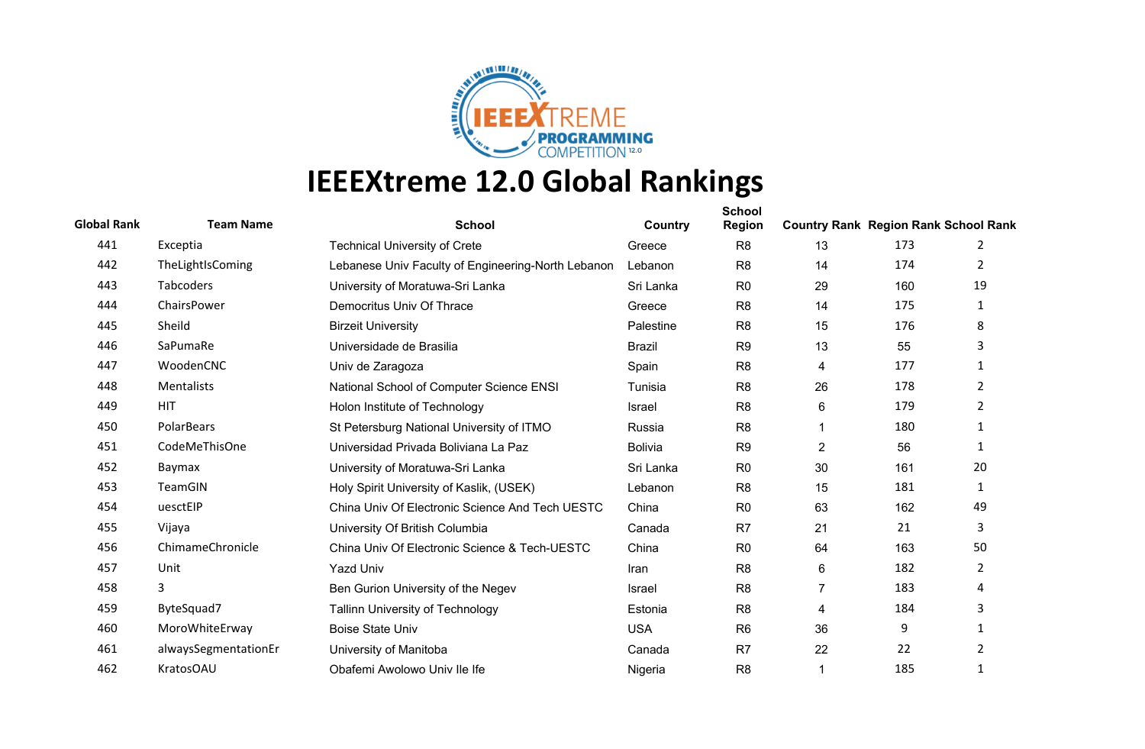

| <b>Global Rank</b> | <b>Team Name</b>     | <b>School</b>                                      | Country        | <b>School</b><br><b>Region</b> | <b>Country Rank Region Rank School Rank</b> |     |                |
|--------------------|----------------------|----------------------------------------------------|----------------|--------------------------------|---------------------------------------------|-----|----------------|
| 441                | Exceptia             | <b>Technical University of Crete</b>               | Greece         | R <sub>8</sub>                 | 13                                          | 173 | 2              |
| 442                | TheLightIsComing     | Lebanese Univ Faculty of Engineering-North Lebanon | Lebanon        | R <sub>8</sub>                 | 14                                          | 174 | $\overline{2}$ |
| 443                | Tabcoders            | University of Moratuwa-Sri Lanka                   | Sri Lanka      | R <sub>0</sub>                 | 29                                          | 160 | 19             |
| 444                | ChairsPower          | Democritus Univ Of Thrace                          | Greece         | R <sub>8</sub>                 | 14                                          | 175 | 1              |
| 445                | Sheild               | <b>Birzeit University</b>                          | Palestine      | R <sub>8</sub>                 | 15                                          | 176 | 8              |
| 446                | SaPumaRe             | Universidade de Brasilia                           | <b>Brazil</b>  | R <sub>9</sub>                 | 13                                          | 55  | 3              |
| 447                | WoodenCNC            | Univ de Zaragoza                                   | Spain          | R <sub>8</sub>                 | 4                                           | 177 | $\mathbf{1}$   |
| 448                | Mentalists           | National School of Computer Science ENSI           | Tunisia        | R <sub>8</sub>                 | 26                                          | 178 | $\overline{2}$ |
| 449                | <b>HIT</b>           | Holon Institute of Technology                      | Israel         | R <sub>8</sub>                 | 6                                           | 179 | $\overline{2}$ |
| 450                | PolarBears           | St Petersburg National University of ITMO          | Russia         | R <sub>8</sub>                 |                                             | 180 | 1              |
| 451                | CodeMeThisOne        | Universidad Privada Boliviana La Paz               | <b>Bolivia</b> | R <sub>9</sub>                 | $\overline{c}$                              | 56  | $\mathbf{1}$   |
| 452                | Baymax               | University of Moratuwa-Sri Lanka                   | Sri Lanka      | R <sub>0</sub>                 | 30                                          | 161 | 20             |
| 453                | TeamGIN              | Holy Spirit University of Kaslik, (USEK)           | Lebanon        | R <sub>8</sub>                 | 15                                          | 181 | 1              |
| 454                | uesctEIP             | China Univ Of Electronic Science And Tech UESTC    | China          | R <sub>0</sub>                 | 63                                          | 162 | 49             |
| 455                | Vijaya               | University Of British Columbia                     | Canada         | R7                             | 21                                          | 21  | 3              |
| 456                | ChimameChronicle     | China Univ Of Electronic Science & Tech-UESTC      | China          | R <sub>0</sub>                 | 64                                          | 163 | 50             |
| 457                | Unit                 | <b>Yazd Univ</b>                                   | Iran           | R <sub>8</sub>                 | 6                                           | 182 | $\overline{2}$ |
| 458                | 3                    | Ben Gurion University of the Negev                 | <b>Israel</b>  | R <sub>8</sub>                 | $\overline{7}$                              | 183 | 4              |
| 459                | ByteSquad7           | <b>Tallinn University of Technology</b>            | Estonia        | R <sub>8</sub>                 | 4                                           | 184 | 3              |
| 460                | MoroWhiteErway       | <b>Boise State Univ</b>                            | <b>USA</b>     | R <sub>6</sub>                 | 36                                          | 9   | $\mathbf{1}$   |
| 461                | alwaysSegmentationEr | University of Manitoba                             | Canada         | R7                             | 22                                          | 22  | $\overline{2}$ |
| 462                | <b>KratosOAU</b>     | Obafemi Awolowo Univ Ile Ife                       | Nigeria        | R <sub>8</sub>                 |                                             | 185 | 1              |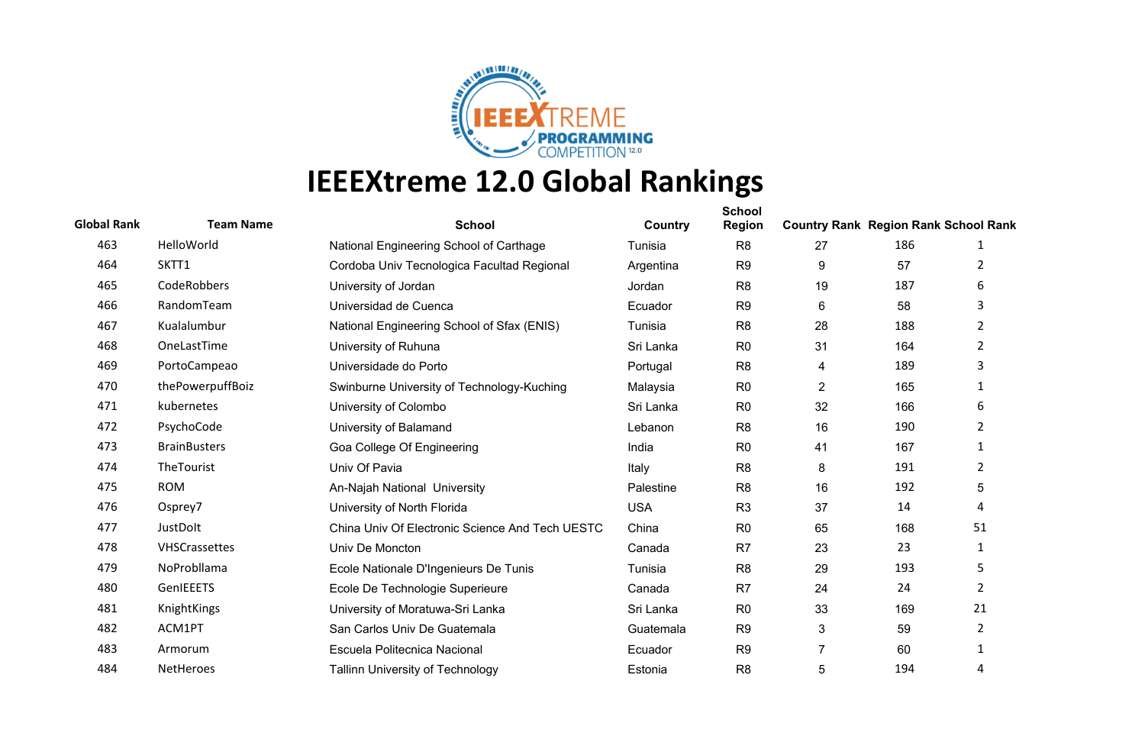

| <b>Global Rank</b> | <b>Team Name</b>     | <b>School</b>                                   | Country    | <b>School</b><br><b>Region</b> | <b>Country Rank Region Rank School Rank</b> |     |                |
|--------------------|----------------------|-------------------------------------------------|------------|--------------------------------|---------------------------------------------|-----|----------------|
| 463                | HelloWorld           | National Engineering School of Carthage         | Tunisia    | R <sub>8</sub>                 | 27                                          | 186 | 1              |
| 464                | SKTT1                | Cordoba Univ Tecnologica Facultad Regional      | Argentina  | R <sub>9</sub>                 | 9                                           | 57  | 2              |
| 465                | CodeRobbers          | University of Jordan                            | Jordan     | R <sub>8</sub>                 | 19                                          | 187 | 6              |
| 466                | RandomTeam           | Universidad de Cuenca                           | Ecuador    | R <sub>9</sub>                 | 6                                           | 58  | 3              |
| 467                | Kualalumbur          | National Engineering School of Sfax (ENIS)      | Tunisia    | R <sub>8</sub>                 | 28                                          | 188 | $\overline{2}$ |
| 468                | OneLastTime          | University of Ruhuna                            | Sri Lanka  | R <sub>0</sub>                 | 31                                          | 164 | $\overline{2}$ |
| 469                | PortoCampeao         | Universidade do Porto                           | Portugal   | R <sub>8</sub>                 | 4                                           | 189 | 3              |
| 470                | thePowerpuffBoiz     | Swinburne University of Technology-Kuching      | Malaysia   | R <sub>0</sub>                 | $\overline{2}$                              | 165 | 1              |
| 471                | kubernetes           | University of Colombo                           | Sri Lanka  | R <sub>0</sub>                 | 32                                          | 166 | 6              |
| 472                | PsychoCode           | University of Balamand                          | Lebanon    | R <sub>8</sub>                 | 16                                          | 190 | $\overline{2}$ |
| 473                | <b>BrainBusters</b>  | Goa College Of Engineering                      | India      | R <sub>0</sub>                 | 41                                          | 167 | 1              |
| 474                | TheTourist           | Univ Of Pavia                                   | Italy      | R <sub>8</sub>                 | 8                                           | 191 | $\overline{2}$ |
| 475                | <b>ROM</b>           | An-Najah National University                    | Palestine  | R <sub>8</sub>                 | 16                                          | 192 | 5              |
| 476                | Osprey7              | University of North Florida                     | <b>USA</b> | R <sub>3</sub>                 | 37                                          | 14  | 4              |
| 477                | JustDolt             | China Univ Of Electronic Science And Tech UESTC | China      | R <sub>0</sub>                 | 65                                          | 168 | 51             |
| 478                | <b>VHSCrassettes</b> | Univ De Moncton                                 | Canada     | R <sub>7</sub>                 | 23                                          | 23  | 1              |
| 479                | NoProbllama          | Ecole Nationale D'Ingenieurs De Tunis           | Tunisia    | R <sub>8</sub>                 | 29                                          | 193 | 5              |
| 480                | GenIEEETS            | Ecole De Technologie Superieure                 | Canada     | R <sub>7</sub>                 | 24                                          | 24  | $\overline{2}$ |
| 481                | KnightKings          | University of Moratuwa-Sri Lanka                | Sri Lanka  | R <sub>0</sub>                 | 33                                          | 169 | 21             |
| 482                | ACM1PT               | San Carlos Univ De Guatemala                    | Guatemala  | R <sub>9</sub>                 | 3                                           | 59  | $\overline{2}$ |
| 483                | Armorum              | Escuela Politecnica Nacional                    | Ecuador    | R <sub>9</sub>                 | $\overline{7}$                              | 60  | $\mathbf{1}$   |
| 484                | NetHeroes            | <b>Tallinn University of Technology</b>         | Estonia    | R <sub>8</sub>                 | 5                                           | 194 | 4              |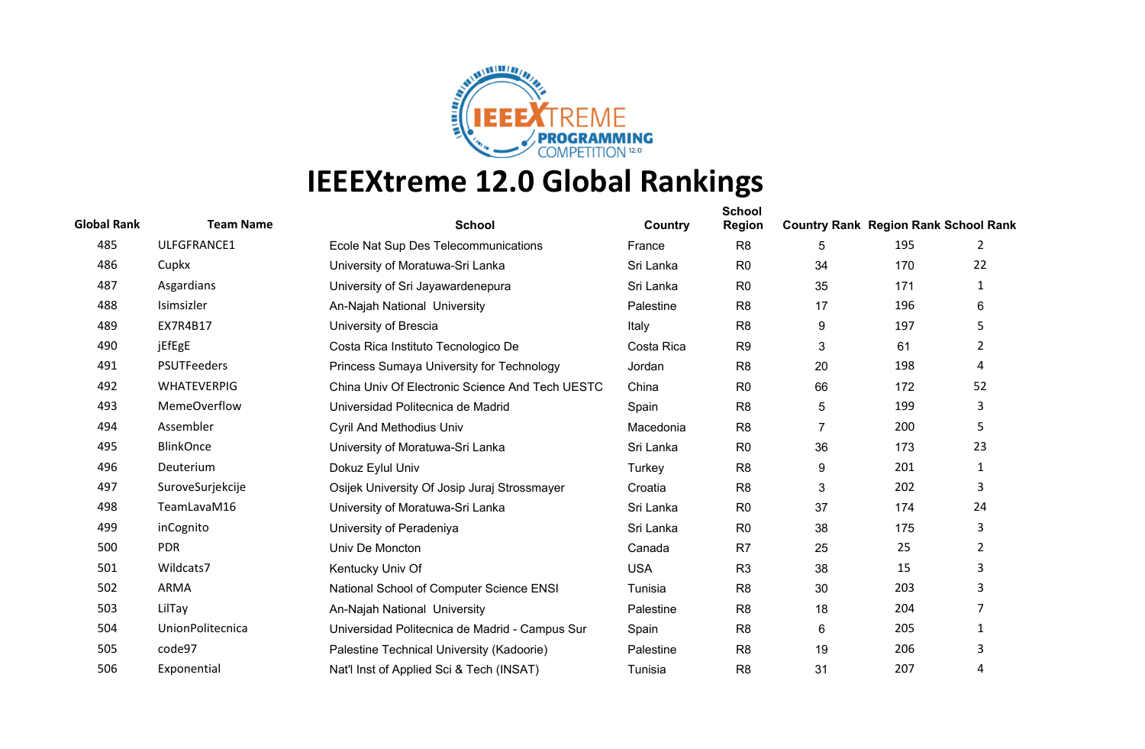

| <b>Global Rank</b> | <b>Team Name</b>    | <b>School</b>                                   | Country    | <b>School</b><br><b>Region</b> | <b>Country Rank Region Rank School Rank</b> |     |                |
|--------------------|---------------------|-------------------------------------------------|------------|--------------------------------|---------------------------------------------|-----|----------------|
| 485                | ULFGFRANCE1         | Ecole Nat Sup Des Telecommunications            | France     | R <sub>8</sub>                 | 5                                           | 195 | 2              |
| 486                | Cupkx               | University of Moratuwa-Sri Lanka                | Sri Lanka  | R <sub>0</sub>                 | 34                                          | 170 | 22             |
| 487                | Asgardians          | University of Sri Jayawardenepura               | Sri Lanka  | R <sub>0</sub>                 | 35                                          | 171 | 1              |
| 488                | Isimsizler          | An-Najah National University                    | Palestine  | R <sub>8</sub>                 | 17                                          | 196 | 6              |
| 489                | EX7R4B17            | University of Brescia                           | Italy      | R <sub>8</sub>                 | 9                                           | 197 | 5              |
| 490                | jEfEgE              | Costa Rica Instituto Tecnologico De             | Costa Rica | R <sub>9</sub>                 | 3                                           | 61  | $\overline{2}$ |
| 491                | <b>PSUTFeeders</b>  | Princess Sumaya University for Technology       | Jordan     | R <sub>8</sub>                 | 20                                          | 198 | 4              |
| 492                | <b>WHATEVERPIG</b>  | China Univ Of Electronic Science And Tech UESTC | China      | R <sub>0</sub>                 | 66                                          | 172 | 52             |
| 493                | <b>MemeOverflow</b> | Universidad Politecnica de Madrid               | Spain      | R <sub>8</sub>                 | 5                                           | 199 | 3              |
| 494                | Assembler           | <b>Cyril And Methodius Univ</b>                 | Macedonia  | R <sub>8</sub>                 | 7                                           | 200 | 5              |
| 495                | <b>BlinkOnce</b>    | University of Moratuwa-Sri Lanka                | Sri Lanka  | R <sub>0</sub>                 | 36                                          | 173 | 23             |
| 496                | Deuterium           | Dokuz Eylul Univ                                | Turkey     | R <sub>8</sub>                 | 9                                           | 201 | $\mathbf{1}$   |
| 497                | SuroveSurjekcije    | Osijek University Of Josip Juraj Strossmayer    | Croatia    | R <sub>8</sub>                 | 3                                           | 202 | 3              |
| 498                | TeamLavaM16         | University of Moratuwa-Sri Lanka                | Sri Lanka  | R <sub>0</sub>                 | 37                                          | 174 | 24             |
| 499                | inCognito           | University of Peradeniya                        | Sri Lanka  | R <sub>0</sub>                 | 38                                          | 175 | 3              |
| 500                | <b>PDR</b>          | Univ De Moncton                                 | Canada     | R <sub>7</sub>                 | 25                                          | 25  | $\overline{2}$ |
| 501                | Wildcats7           | Kentucky Univ Of                                | <b>USA</b> | R <sub>3</sub>                 | 38                                          | 15  | 3              |
| 502                | <b>ARMA</b>         | National School of Computer Science ENSI        | Tunisia    | R <sub>8</sub>                 | 30                                          | 203 | 3              |
| 503                | LilTay              | An-Najah National University                    | Palestine  | R <sub>8</sub>                 | 18                                          | 204 | 7              |
| 504                | UnionPolitecnica    | Universidad Politecnica de Madrid - Campus Sur  | Spain      | R <sub>8</sub>                 | 6                                           | 205 | 1              |
| 505                | code97              | Palestine Technical University (Kadoorie)       | Palestine  | R <sub>8</sub>                 | 19                                          | 206 | 3              |
| 506                | Exponential         | Nat'l Inst of Applied Sci & Tech (INSAT)        | Tunisia    | R <sub>8</sub>                 | 31                                          | 207 | 4              |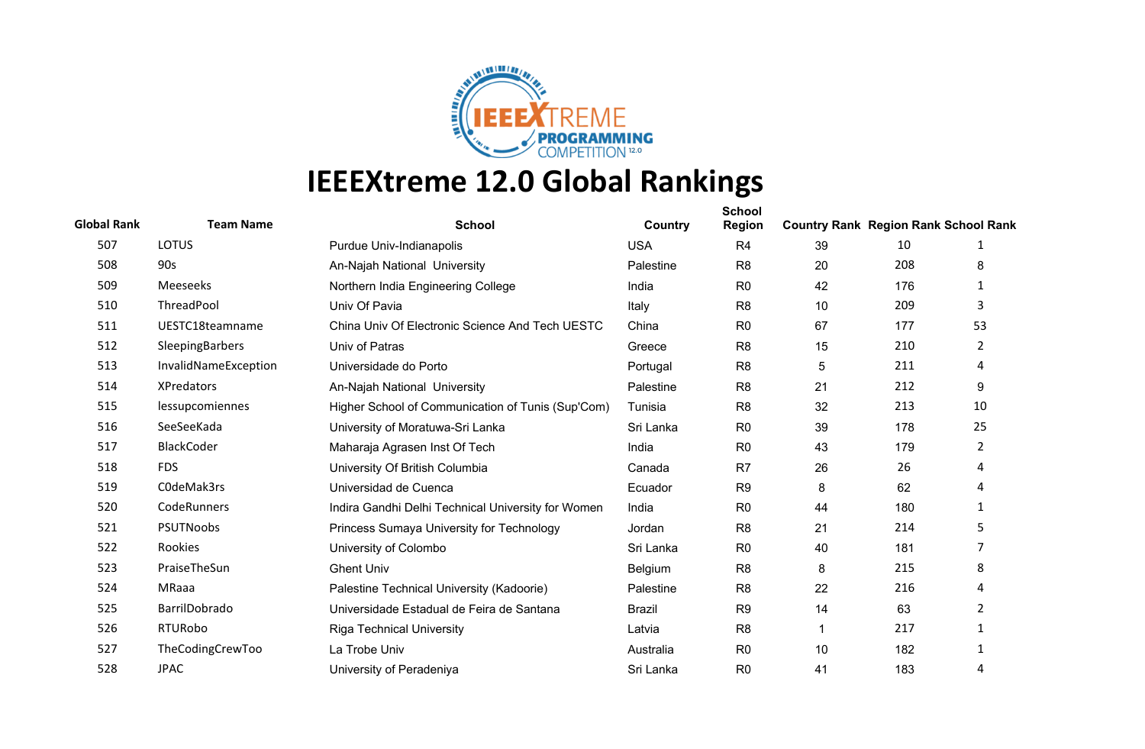

| <b>Global Rank</b> | <b>Team Name</b>     | <b>School</b>                                      | Country       | <b>School</b><br><b>Region</b> | <b>Country Rank Region Rank School Rank</b> |     |                |
|--------------------|----------------------|----------------------------------------------------|---------------|--------------------------------|---------------------------------------------|-----|----------------|
| 507                | <b>LOTUS</b>         | Purdue Univ-Indianapolis                           | <b>USA</b>    | R <sub>4</sub>                 | 39                                          | 10  | 1              |
| 508                | 90s                  | An-Najah National University                       | Palestine     | R <sub>8</sub>                 | 20                                          | 208 | 8              |
| 509                | Meeseeks             | Northern India Engineering College                 | India         | R <sub>0</sub>                 | 42                                          | 176 | 1              |
| 510                | ThreadPool           | Univ Of Pavia                                      | Italy         | R <sub>8</sub>                 | 10                                          | 209 | 3              |
| 511                | UESTC18teamname      | China Univ Of Electronic Science And Tech UESTC    | China         | R <sub>0</sub>                 | 67                                          | 177 | 53             |
| 512                | SleepingBarbers      | Univ of Patras                                     | Greece        | R <sub>8</sub>                 | 15                                          | 210 | $\overline{2}$ |
| 513                | InvalidNameException | Universidade do Porto                              | Portugal      | R <sub>8</sub>                 | 5                                           | 211 | 4              |
| 514                | <b>XPredators</b>    | An-Najah National University                       | Palestine     | R <sub>8</sub>                 | 21                                          | 212 | 9              |
| 515                | lessupcomiennes      | Higher School of Communication of Tunis (Sup'Com)  | Tunisia       | R <sub>8</sub>                 | 32                                          | 213 | 10             |
| 516                | SeeSeeKada           | University of Moratuwa-Sri Lanka                   | Sri Lanka     | R <sub>0</sub>                 | 39                                          | 178 | 25             |
| 517                | <b>BlackCoder</b>    | Maharaja Agrasen Inst Of Tech                      | India         | R <sub>0</sub>                 | 43                                          | 179 | $\mathbf{2}$   |
| 518                | <b>FDS</b>           | University Of British Columbia                     | Canada        | R <sub>7</sub>                 | 26                                          | 26  | 4              |
| 519                | C0deMak3rs           | Universidad de Cuenca                              | Ecuador       | R <sub>9</sub>                 | 8                                           | 62  | 4              |
| 520                | CodeRunners          | Indira Gandhi Delhi Technical University for Women | India         | R <sub>0</sub>                 | 44                                          | 180 | 1              |
| 521                | <b>PSUTNoobs</b>     | Princess Sumaya University for Technology          | Jordan        | R <sub>8</sub>                 | 21                                          | 214 | 5              |
| 522                | Rookies              | University of Colombo                              | Sri Lanka     | R <sub>0</sub>                 | 40                                          | 181 | 7              |
| 523                | PraiseTheSun         | <b>Ghent Univ</b>                                  | Belgium       | R <sub>8</sub>                 | 8                                           | 215 | 8              |
| 524                | MRaaa                | Palestine Technical University (Kadoorie)          | Palestine     | R <sub>8</sub>                 | 22                                          | 216 | 4              |
| 525                | BarrilDobrado        | Universidade Estadual de Feira de Santana          | <b>Brazil</b> | R <sub>9</sub>                 | 14                                          | 63  | 2              |
| 526                | RTURobo              | <b>Riga Technical University</b>                   | Latvia        | R <sub>8</sub>                 |                                             | 217 | 1              |
| 527                | TheCodingCrewToo     | La Trobe Univ                                      | Australia     | R <sub>0</sub>                 | 10                                          | 182 | 1              |
| 528                | <b>JPAC</b>          | University of Peradeniya                           | Sri Lanka     | R <sub>0</sub>                 | 41                                          | 183 | 4              |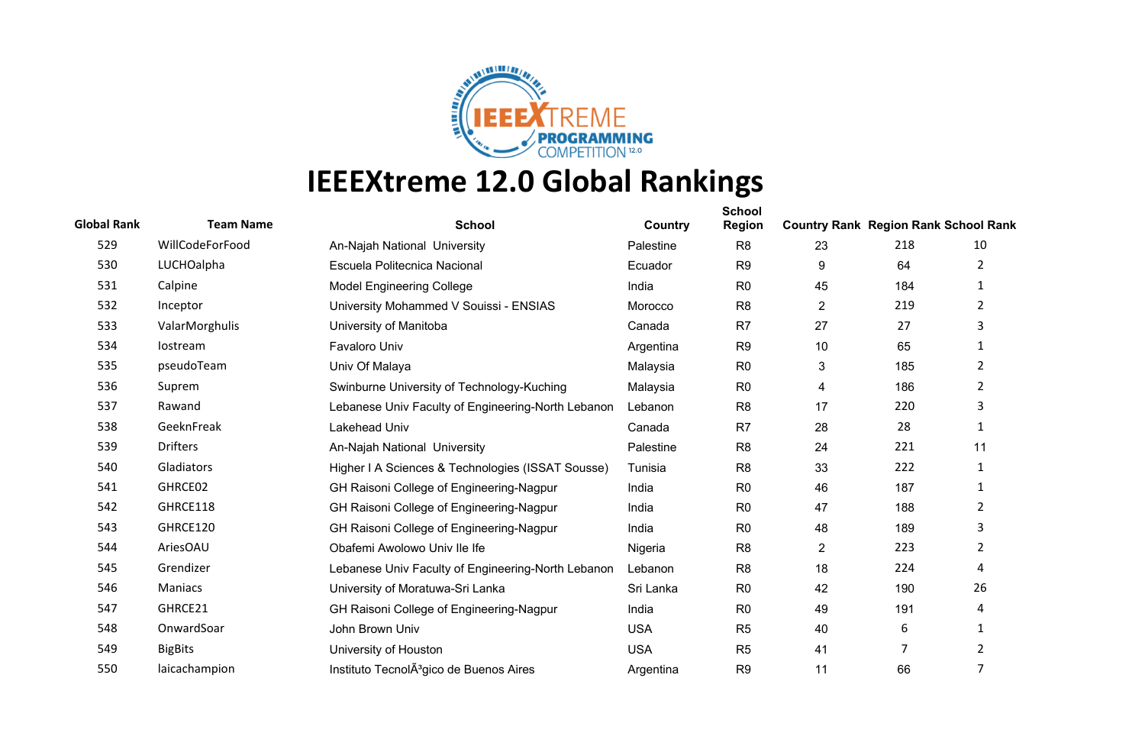

| <b>Global Rank</b> | <b>Team Name</b> | <b>School</b>                                       | Country    | <b>School</b><br>Region | <b>Country Rank Region Rank School Rank</b> |     |                |
|--------------------|------------------|-----------------------------------------------------|------------|-------------------------|---------------------------------------------|-----|----------------|
| 529                | WillCodeForFood  | An-Najah National University                        | Palestine  | R <sub>8</sub>          | 23                                          | 218 | 10             |
| 530                | LUCHOalpha       | Escuela Politecnica Nacional                        | Ecuador    | R <sub>9</sub>          | 9                                           | 64  | $\overline{2}$ |
| 531                | Calpine          | <b>Model Engineering College</b>                    | India      | R <sub>0</sub>          | 45                                          | 184 | $\mathbf{1}$   |
| 532                | Inceptor         | University Mohammed V Souissi - ENSIAS              | Morocco    | R <sub>8</sub>          | $\overline{2}$                              | 219 | $\overline{2}$ |
| 533                | ValarMorghulis   | University of Manitoba                              | Canada     | R <sub>7</sub>          | 27                                          | 27  | 3              |
| 534                | lostream         | <b>Favaloro Univ</b>                                | Argentina  | R <sub>9</sub>          | 10                                          | 65  | 1              |
| 535                | pseudoTeam       | Univ Of Malaya                                      | Malaysia   | R <sub>0</sub>          | 3                                           | 185 | $\overline{2}$ |
| 536                | Suprem           | Swinburne University of Technology-Kuching          | Malaysia   | R <sub>0</sub>          | 4                                           | 186 | $\overline{2}$ |
| 537                | Rawand           | Lebanese Univ Faculty of Engineering-North Lebanon  | Lebanon    | R <sub>8</sub>          | 17                                          | 220 | 3              |
| 538                | GeeknFreak       | Lakehead Univ                                       | Canada     | R7                      | 28                                          | 28  | 1              |
| 539                | <b>Drifters</b>  | An-Najah National University                        | Palestine  | R <sub>8</sub>          | 24                                          | 221 | 11             |
| 540                | Gladiators       | Higher I A Sciences & Technologies (ISSAT Sousse)   | Tunisia    | R <sub>8</sub>          | 33                                          | 222 | 1              |
| 541                | GHRCE02          | GH Raisoni College of Engineering-Nagpur            | India      | R <sub>0</sub>          | 46                                          | 187 | 1              |
| 542                | GHRCE118         | GH Raisoni College of Engineering-Nagpur            | India      | R <sub>0</sub>          | 47                                          | 188 | $\overline{2}$ |
| 543                | GHRCE120         | GH Raisoni College of Engineering-Nagpur            | India      | R <sub>0</sub>          | 48                                          | 189 | 3              |
| 544                | AriesOAU         | Obafemi Awolowo Univ Ile Ife                        | Nigeria    | R <sub>8</sub>          | $\overline{2}$                              | 223 | $\overline{2}$ |
| 545                | Grendizer        | Lebanese Univ Faculty of Engineering-North Lebanon  | Lebanon    | R <sub>8</sub>          | 18                                          | 224 | 4              |
| 546                | Maniacs          | University of Moratuwa-Sri Lanka                    | Sri Lanka  | R <sub>0</sub>          | 42                                          | 190 | 26             |
| 547                | GHRCE21          | GH Raisoni College of Engineering-Nagpur            | India      | R <sub>0</sub>          | 49                                          | 191 | 4              |
| 548                | OnwardSoar       | John Brown Univ                                     | <b>USA</b> | R <sub>5</sub>          | 40                                          | 6   | 1              |
| 549                | <b>BigBits</b>   | University of Houston                               | <b>USA</b> | R <sub>5</sub>          | 41                                          | 7   | 2              |
| 550                | laicachampion    | Instituto TecnolA <sup>3</sup> gico de Buenos Aires | Argentina  | R <sub>9</sub>          | 11                                          | 66  | 7              |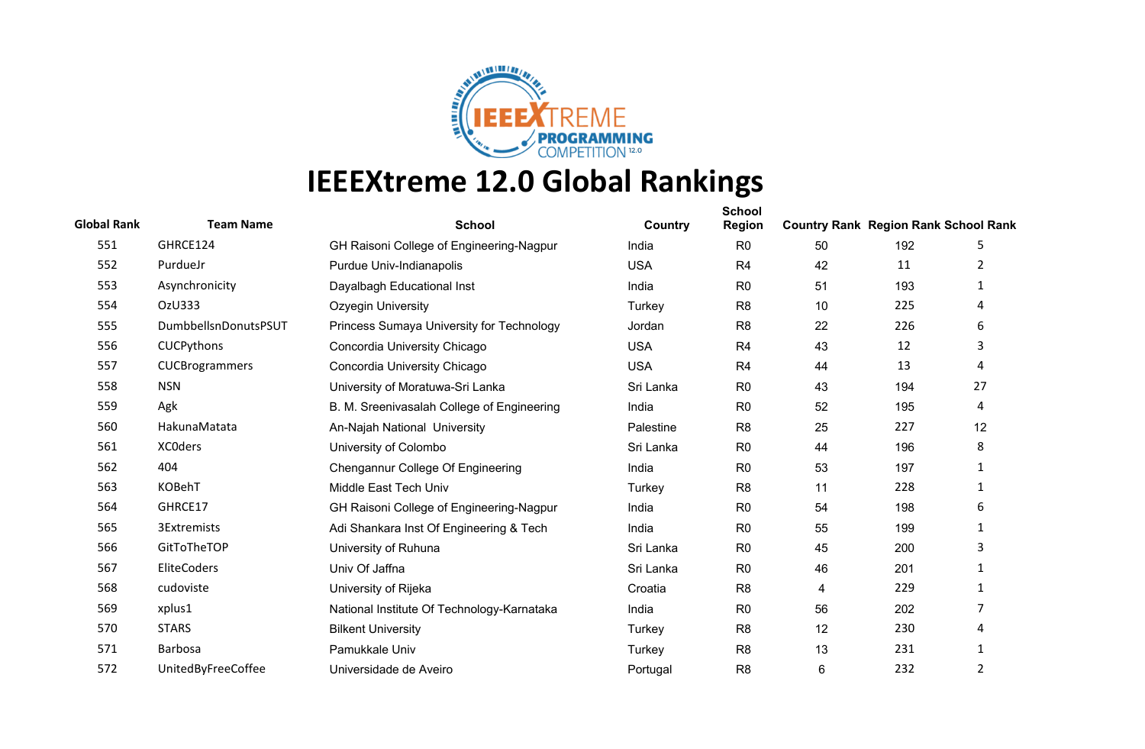

| <b>Global Rank</b> | <b>Team Name</b>     | <b>School</b>                              | Country    | <b>School</b><br><b>Region</b> | <b>Country Rank Region Rank School Rank</b> |     |                |
|--------------------|----------------------|--------------------------------------------|------------|--------------------------------|---------------------------------------------|-----|----------------|
| 551                | GHRCE124             | GH Raisoni College of Engineering-Nagpur   | India      | R <sub>0</sub>                 | 50                                          | 192 | 5              |
| 552                | PurdueJr             | Purdue Univ-Indianapolis                   | <b>USA</b> | R <sub>4</sub>                 | 42                                          | 11  | 2              |
| 553                | Asynchronicity       | Dayalbagh Educational Inst                 | India      | R <sub>0</sub>                 | 51                                          | 193 | 1              |
| 554                | OzU333               | Ozyegin University                         | Turkey     | R <sub>8</sub>                 | 10                                          | 225 | 4              |
| 555                | DumbbellsnDonutsPSUT | Princess Sumaya University for Technology  | Jordan     | R <sub>8</sub>                 | 22                                          | 226 | 6              |
| 556                | CUCPythons           | Concordia University Chicago               | <b>USA</b> | R <sub>4</sub>                 | 43                                          | 12  | 3              |
| 557                | CUCBrogrammers       | Concordia University Chicago               | <b>USA</b> | R <sub>4</sub>                 | 44                                          | 13  | 4              |
| 558                | <b>NSN</b>           | University of Moratuwa-Sri Lanka           | Sri Lanka  | R <sub>0</sub>                 | 43                                          | 194 | 27             |
| 559                | Agk                  | B. M. Sreenivasalah College of Engineering | India      | R <sub>0</sub>                 | 52                                          | 195 | 4              |
| 560                | HakunaMatata         | An-Najah National University               | Palestine  | R <sub>8</sub>                 | 25                                          | 227 | 12             |
| 561                | <b>XCOders</b>       | University of Colombo                      | Sri Lanka  | R <sub>0</sub>                 | 44                                          | 196 | 8              |
| 562                | 404                  | Chengannur College Of Engineering          | India      | R <sub>0</sub>                 | 53                                          | 197 | $\mathbf{1}$   |
| 563                | <b>KOBehT</b>        | Middle East Tech Univ                      | Turkey     | R <sub>8</sub>                 | 11                                          | 228 | 1              |
| 564                | GHRCE17              | GH Raisoni College of Engineering-Nagpur   | India      | R <sub>0</sub>                 | 54                                          | 198 | 6              |
| 565                | 3Extremists          | Adi Shankara Inst Of Engineering & Tech    | India      | R <sub>0</sub>                 | 55                                          | 199 | $\mathbf{1}$   |
| 566                | GitToTheTOP          | University of Ruhuna                       | Sri Lanka  | R <sub>0</sub>                 | 45                                          | 200 | 3              |
| 567                | EliteCoders          | Univ Of Jaffna                             | Sri Lanka  | R <sub>0</sub>                 | 46                                          | 201 | $\mathbf 1$    |
| 568                | cudoviste            | University of Rijeka                       | Croatia    | R <sub>8</sub>                 | 4                                           | 229 | 1              |
| 569                | xplus1               | National Institute Of Technology-Karnataka | India      | R <sub>0</sub>                 | 56                                          | 202 | 7              |
| 570                | <b>STARS</b>         | <b>Bilkent University</b>                  | Turkey     | R <sub>8</sub>                 | 12                                          | 230 | 4              |
| 571                | <b>Barbosa</b>       | Pamukkale Univ                             | Turkey     | R <sub>8</sub>                 | 13                                          | 231 | 1              |
| 572                | UnitedByFreeCoffee   | Universidade de Aveiro                     | Portugal   | R <sub>8</sub>                 | 6                                           | 232 | $\overline{2}$ |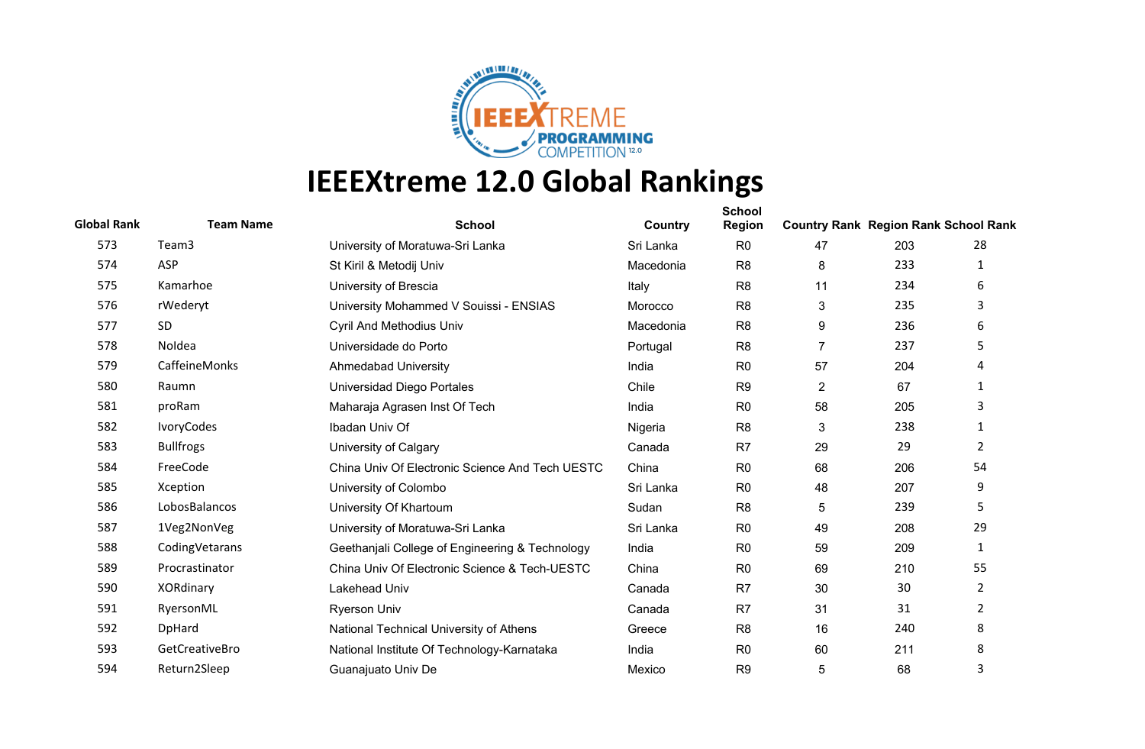

| <b>Global Rank</b> | <b>Team Name</b> | <b>School</b>                                   | Country   | <b>School</b><br><b>Region</b> | <b>Country Rank Region Rank School Rank</b> |     |                |
|--------------------|------------------|-------------------------------------------------|-----------|--------------------------------|---------------------------------------------|-----|----------------|
| 573                | Team3            | University of Moratuwa-Sri Lanka                | Sri Lanka | R <sub>0</sub>                 | 47                                          | 203 | 28             |
| 574                | ASP              | St Kiril & Metodij Univ                         | Macedonia | R <sub>8</sub>                 | 8                                           | 233 | 1              |
| 575                | Kamarhoe         | University of Brescia                           | Italy     | R <sub>8</sub>                 | 11                                          | 234 | 6              |
| 576                | rWederyt         | University Mohammed V Souissi - ENSIAS          | Morocco   | R <sub>8</sub>                 | 3                                           | 235 | 3              |
| 577                | SD               | <b>Cyril And Methodius Univ</b>                 | Macedonia | R <sub>8</sub>                 | 9                                           | 236 | 6              |
| 578                | Noldea           | Universidade do Porto                           | Portugal  | R <sub>8</sub>                 | $\overline{7}$                              | 237 | 5              |
| 579                | CaffeineMonks    | <b>Ahmedabad University</b>                     | India     | R <sub>0</sub>                 | 57                                          | 204 | 4              |
| 580                | Raumn            | Universidad Diego Portales                      | Chile     | R <sub>9</sub>                 | $\overline{2}$                              | 67  | 1              |
| 581                | proRam           | Maharaja Agrasen Inst Of Tech                   | India     | R <sub>0</sub>                 | 58                                          | 205 | 3              |
| 582                | IvoryCodes       | Ibadan Univ Of                                  | Nigeria   | R <sub>8</sub>                 | 3                                           | 238 | 1              |
| 583                | <b>Bullfrogs</b> | University of Calgary                           | Canada    | R <sub>7</sub>                 | 29                                          | 29  | $\overline{2}$ |
| 584                | FreeCode         | China Univ Of Electronic Science And Tech UESTC | China     | R <sub>0</sub>                 | 68                                          | 206 | 54             |
| 585                | Xception         | University of Colombo                           | Sri Lanka | R <sub>0</sub>                 | 48                                          | 207 | 9              |
| 586                | LobosBalancos    | University Of Khartoum                          | Sudan     | R <sub>8</sub>                 | 5                                           | 239 | 5              |
| 587                | 1Veg2NonVeg      | University of Moratuwa-Sri Lanka                | Sri Lanka | R <sub>0</sub>                 | 49                                          | 208 | 29             |
| 588                | CodingVetarans   | Geethanjali College of Engineering & Technology | India     | R <sub>0</sub>                 | 59                                          | 209 | $\mathbf{1}$   |
| 589                | Procrastinator   | China Univ Of Electronic Science & Tech-UESTC   | China     | R <sub>0</sub>                 | 69                                          | 210 | 55             |
| 590                | XORdinary        | Lakehead Univ                                   | Canada    | R <sub>7</sub>                 | 30                                          | 30  | 2              |
| 591                | RyersonML        | <b>Ryerson Univ</b>                             | Canada    | R <sub>7</sub>                 | 31                                          | 31  | $\overline{2}$ |
| 592                | DpHard           | National Technical University of Athens         | Greece    | R <sub>8</sub>                 | 16                                          | 240 | 8              |
| 593                | GetCreativeBro   | National Institute Of Technology-Karnataka      | India     | R <sub>0</sub>                 | 60                                          | 211 | 8              |
| 594                | Return2Sleep     | Guanajuato Univ De                              | Mexico    | R <sub>9</sub>                 | 5                                           | 68  | 3              |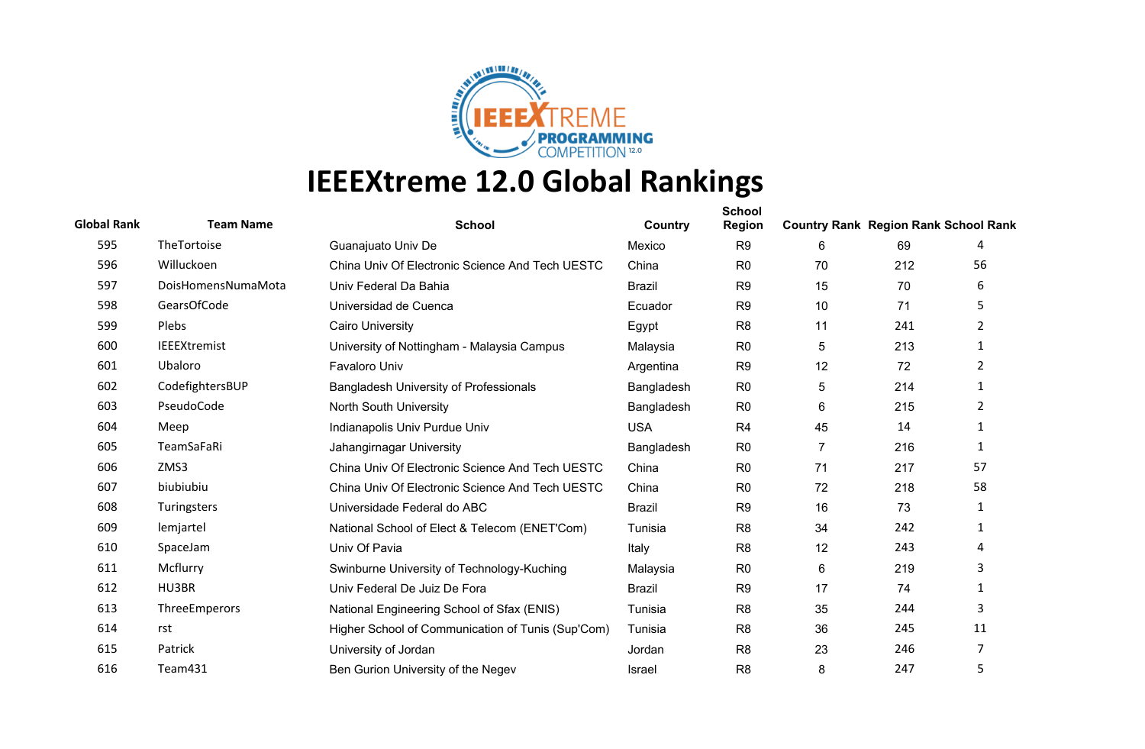

| <b>Global Rank</b> | <b>Team Name</b>    | <b>School</b>                                     | Country       | <b>School</b><br><b>Region</b> | <b>Country Rank Region Rank School Rank</b> |     |                |
|--------------------|---------------------|---------------------------------------------------|---------------|--------------------------------|---------------------------------------------|-----|----------------|
| 595                | TheTortoise         | Guanajuato Univ De                                | Mexico        | R <sub>9</sub>                 | 6                                           | 69  | 4              |
| 596                | Willuckoen          | China Univ Of Electronic Science And Tech UESTC   | China         | R <sub>0</sub>                 | 70                                          | 212 | 56             |
| 597                | DoisHomensNumaMota  | Univ Federal Da Bahia                             | <b>Brazil</b> | R <sub>9</sub>                 | 15                                          | 70  | 6              |
| 598                | GearsOfCode         | Universidad de Cuenca                             | Ecuador       | R <sub>9</sub>                 | 10                                          | 71  | 5              |
| 599                | Plebs               | <b>Cairo University</b>                           | Egypt         | R <sub>8</sub>                 | 11                                          | 241 | 2              |
| 600                | <b>IEEEXtremist</b> | University of Nottingham - Malaysia Campus        | Malaysia      | R <sub>0</sub>                 | 5                                           | 213 | 1              |
| 601                | Ubaloro             | <b>Favaloro Univ</b>                              | Argentina     | R <sub>9</sub>                 | 12                                          | 72  | $\overline{2}$ |
| 602                | CodefightersBUP     | <b>Bangladesh University of Professionals</b>     | Bangladesh    | R <sub>0</sub>                 | 5                                           | 214 | 1              |
| 603                | PseudoCode          | North South University                            | Bangladesh    | R <sub>0</sub>                 | 6                                           | 215 | $\overline{2}$ |
| 604                | Meep                | Indianapolis Univ Purdue Univ                     | <b>USA</b>    | R <sub>4</sub>                 | 45                                          | 14  | 1              |
| 605                | TeamSaFaRi          | Jahangirnagar University                          | Bangladesh    | R <sub>0</sub>                 | 7                                           | 216 | 1              |
| 606                | ZMS3                | China Univ Of Electronic Science And Tech UESTC   | China         | R <sub>0</sub>                 | 71                                          | 217 | 57             |
| 607                | biubiubiu           | China Univ Of Electronic Science And Tech UESTC   | China         | R <sub>0</sub>                 | 72                                          | 218 | 58             |
| 608                | Turingsters         | Universidade Federal do ABC                       | <b>Brazil</b> | R <sub>9</sub>                 | 16                                          | 73  | 1              |
| 609                | lemjartel           | National School of Elect & Telecom (ENET'Com)     | Tunisia       | R <sub>8</sub>                 | 34                                          | 242 | 1              |
| 610                | SpaceJam            | Univ Of Pavia                                     | Italy         | R <sub>8</sub>                 | 12                                          | 243 | 4              |
| 611                | Mcflurry            | Swinburne University of Technology-Kuching        | Malaysia      | R <sub>0</sub>                 | 6                                           | 219 | 3              |
| 612                | HU3BR               | Univ Federal De Juiz De Fora                      | <b>Brazil</b> | R <sub>9</sub>                 | 17                                          | 74  | 1              |
| 613                | ThreeEmperors       | National Engineering School of Sfax (ENIS)        | Tunisia       | R <sub>8</sub>                 | 35                                          | 244 | 3              |
| 614                | rst                 | Higher School of Communication of Tunis (Sup'Com) | Tunisia       | R <sub>8</sub>                 | 36                                          | 245 | 11             |
| 615                | Patrick             | University of Jordan                              | Jordan        | R <sub>8</sub>                 | 23                                          | 246 | 7              |
| 616                | Team431             | Ben Gurion University of the Negev                | <b>Israel</b> | R <sub>8</sub>                 | 8                                           | 247 | 5              |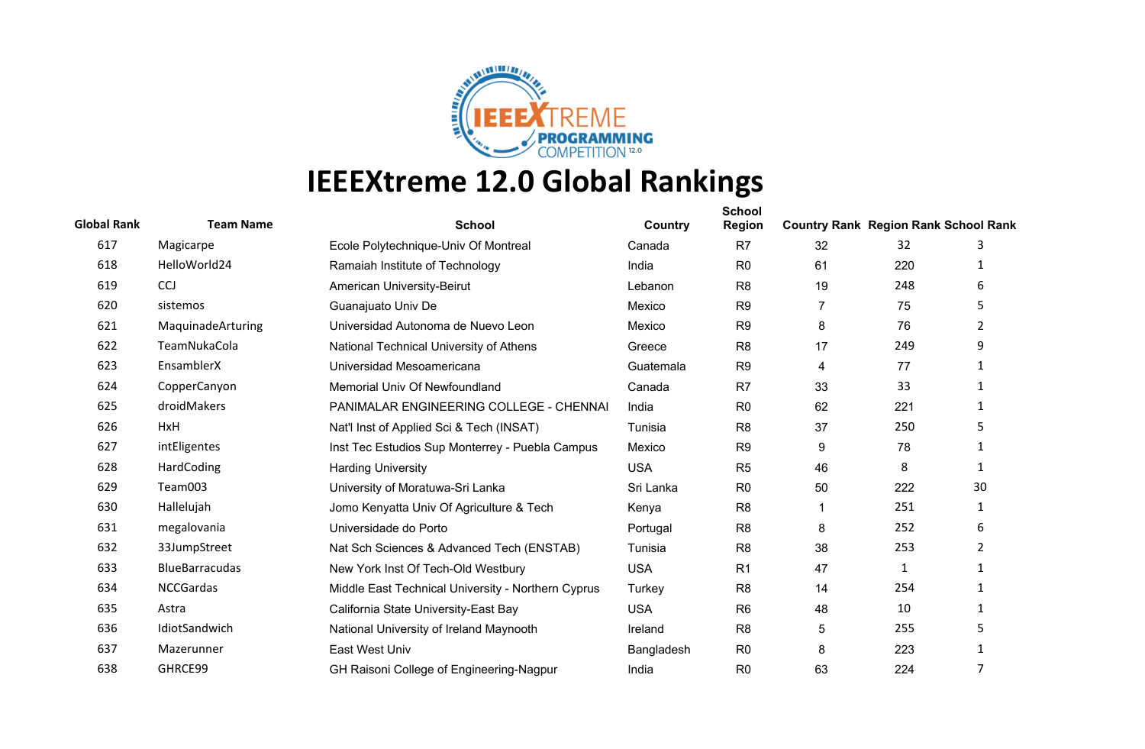

| <b>Global Rank</b> | <b>Team Name</b>      | <b>School</b>                                      | Country    | <b>School</b><br><b>Region</b> | <b>Country Rank Region Rank School Rank</b> |     |                |
|--------------------|-----------------------|----------------------------------------------------|------------|--------------------------------|---------------------------------------------|-----|----------------|
| 617                | Magicarpe             | Ecole Polytechnique-Univ Of Montreal               | Canada     | R <sub>7</sub>                 | 32                                          | 32  | 3              |
| 618                | HelloWorld24          | Ramaiah Institute of Technology                    | India      | R <sub>0</sub>                 | 61                                          | 220 | 1              |
| 619                | CCJ                   | American University-Beirut                         | Lebanon    | R <sub>8</sub>                 | 19                                          | 248 | 6              |
| 620                | sistemos              | Guanajuato Univ De                                 | Mexico     | R <sub>9</sub>                 | $\overline{7}$                              | 75  | 5.             |
| 621                | MaquinadeArturing     | Universidad Autonoma de Nuevo Leon                 | Mexico     | R <sub>9</sub>                 | 8                                           | 76  | $\overline{2}$ |
| 622                | TeamNukaCola          | National Technical University of Athens            | Greece     | R <sub>8</sub>                 | 17                                          | 249 | 9              |
| 623                | EnsamblerX            | Universidad Mesoamericana                          | Guatemala  | R <sub>9</sub>                 | 4                                           | 77  | $\mathbf{1}$   |
| 624                | CopperCanyon          | Memorial Univ Of Newfoundland                      | Canada     | R <sub>7</sub>                 | 33                                          | 33  | 1              |
| 625                | droidMakers           | PANIMALAR ENGINEERING COLLEGE - CHENNAI            | India      | R <sub>0</sub>                 | 62                                          | 221 | $\mathbf{1}$   |
| 626                | HxH                   | Nat'l Inst of Applied Sci & Tech (INSAT)           | Tunisia    | R <sub>8</sub>                 | 37                                          | 250 | 5              |
| 627                | intEligentes          | Inst Tec Estudios Sup Monterrey - Puebla Campus    | Mexico     | R <sub>9</sub>                 | 9                                           | 78  | $\mathbf{1}$   |
| 628                | HardCoding            | <b>Harding University</b>                          | <b>USA</b> | R <sub>5</sub>                 | 46                                          | 8   | 1              |
| 629                | Team003               | University of Moratuwa-Sri Lanka                   | Sri Lanka  | R <sub>0</sub>                 | 50                                          | 222 | 30             |
| 630                | Hallelujah            | Jomo Kenyatta Univ Of Agriculture & Tech           | Kenya      | R <sub>8</sub>                 | 1                                           | 251 | 1              |
| 631                | megalovania           | Universidade do Porto                              | Portugal   | R <sub>8</sub>                 | 8                                           | 252 | 6              |
| 632                | 33JumpStreet          | Nat Sch Sciences & Advanced Tech (ENSTAB)          | Tunisia    | R <sub>8</sub>                 | 38                                          | 253 | $\overline{2}$ |
| 633                | <b>BlueBarracudas</b> | New York Inst Of Tech-Old Westbury                 | <b>USA</b> | R <sub>1</sub>                 | 47                                          | 1   |                |
| 634                | <b>NCCGardas</b>      | Middle East Technical University - Northern Cyprus | Turkey     | R <sub>8</sub>                 | 14                                          | 254 | $\mathbf{1}$   |
| 635                | Astra                 | California State University-East Bay               | <b>USA</b> | R <sub>6</sub>                 | 48                                          | 10  | $\mathbf{1}$   |
| 636                | IdiotSandwich         | National University of Ireland Maynooth            | Ireland    | R <sub>8</sub>                 | 5                                           | 255 | 5              |
| 637                | Mazerunner            | East West Univ                                     | Bangladesh | R <sub>0</sub>                 | 8                                           | 223 | 1              |
| 638                | GHRCE99               | GH Raisoni College of Engineering-Nagpur           | India      | R <sub>0</sub>                 | 63                                          | 224 | 7              |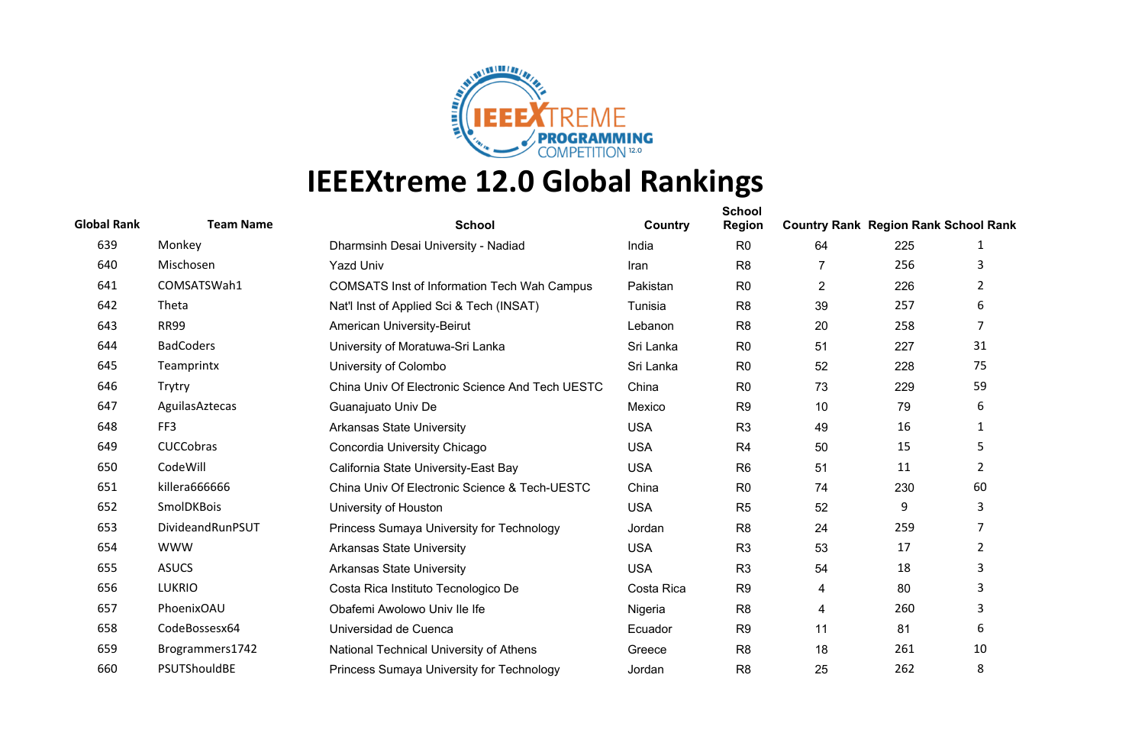

| <b>Global Rank</b> | <b>Team Name</b> | <b>School</b>                                      | Country    | <b>School</b><br><b>Region</b> | <b>Country Rank Region Rank School Rank</b> |     |                |
|--------------------|------------------|----------------------------------------------------|------------|--------------------------------|---------------------------------------------|-----|----------------|
| 639                | Monkey           | Dharmsinh Desai University - Nadiad                | India      | R <sub>0</sub>                 | 64                                          | 225 | 1              |
| 640                | Mischosen        | <b>Yazd Univ</b>                                   | Iran       | R <sub>8</sub>                 | 7                                           | 256 | 3              |
| 641                | COMSATSWah1      | <b>COMSATS Inst of Information Tech Wah Campus</b> | Pakistan   | R <sub>0</sub>                 | $\overline{2}$                              | 226 | 2              |
| 642                | Theta            | Nat'l Inst of Applied Sci & Tech (INSAT)           | Tunisia    | R <sub>8</sub>                 | 39                                          | 257 | 6              |
| 643                | <b>RR99</b>      | <b>American University-Beirut</b>                  | Lebanon    | R <sub>8</sub>                 | 20                                          | 258 | $\overline{7}$ |
| 644                | <b>BadCoders</b> | University of Moratuwa-Sri Lanka                   | Sri Lanka  | R <sub>0</sub>                 | 51                                          | 227 | 31             |
| 645                | Teamprintx       | University of Colombo                              | Sri Lanka  | R <sub>0</sub>                 | 52                                          | 228 | 75             |
| 646                | Trytry           | China Univ Of Electronic Science And Tech UESTC    | China      | R <sub>0</sub>                 | 73                                          | 229 | 59             |
| 647                | AguilasAztecas   | Guanajuato Univ De                                 | Mexico     | R <sub>9</sub>                 | 10                                          | 79  | 6              |
| 648                | FF3              | <b>Arkansas State University</b>                   | <b>USA</b> | R <sub>3</sub>                 | 49                                          | 16  | 1              |
| 649                | <b>CUCCobras</b> | Concordia University Chicago                       | <b>USA</b> | R <sub>4</sub>                 | 50                                          | 15  | 5              |
| 650                | CodeWill         | California State University-East Bay               | <b>USA</b> | R <sub>6</sub>                 | 51                                          | 11  | $\overline{2}$ |
| 651                | killera666666    | China Univ Of Electronic Science & Tech-UESTC      | China      | R <sub>0</sub>                 | 74                                          | 230 | 60             |
| 652                | SmolDKBois       | University of Houston                              | <b>USA</b> | R <sub>5</sub>                 | 52                                          | 9   | 3              |
| 653                | DivideandRunPSUT | Princess Sumaya University for Technology          | Jordan     | R <sub>8</sub>                 | 24                                          | 259 | $\overline{7}$ |
| 654                | <b>WWW</b>       | <b>Arkansas State University</b>                   | <b>USA</b> | R <sub>3</sub>                 | 53                                          | 17  | $\overline{2}$ |
| 655                | <b>ASUCS</b>     | <b>Arkansas State University</b>                   | <b>USA</b> | R <sub>3</sub>                 | 54                                          | 18  | 3              |
| 656                | <b>LUKRIO</b>    | Costa Rica Instituto Tecnologico De                | Costa Rica | R <sub>9</sub>                 | 4                                           | 80  | 3              |
| 657                | PhoenixOAU       | Obafemi Awolowo Univ Ile Ife                       | Nigeria    | R <sub>8</sub>                 | 4                                           | 260 | 3              |
| 658                | CodeBossesx64    | Universidad de Cuenca                              | Ecuador    | R <sub>9</sub>                 | 11                                          | 81  | 6              |
| 659                | Brogrammers1742  | National Technical University of Athens            | Greece     | R <sub>8</sub>                 | 18                                          | 261 | 10             |
| 660                | PSUTShouldBE     | Princess Sumaya University for Technology          | Jordan     | R <sub>8</sub>                 | 25                                          | 262 | 8              |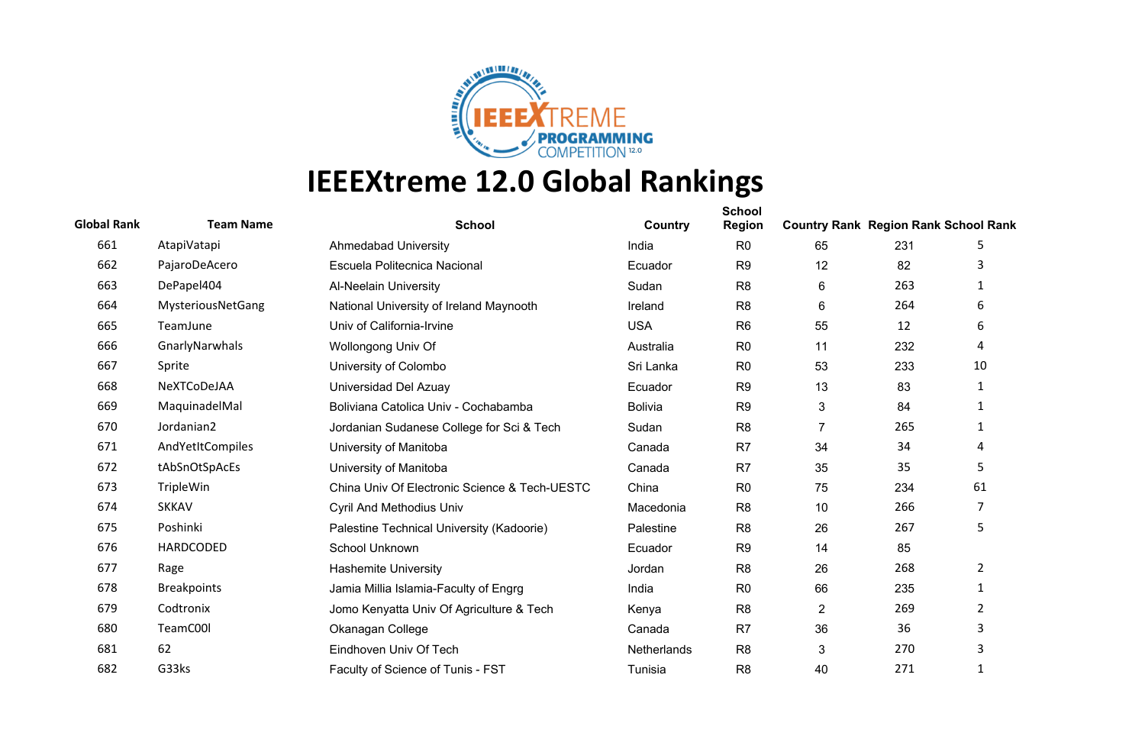

| <b>Global Rank</b> | <b>Team Name</b>   | <b>School</b>                                 | Country        | <b>School</b><br><b>Region</b> | <b>Country Rank Region Rank School Rank</b> |     |              |
|--------------------|--------------------|-----------------------------------------------|----------------|--------------------------------|---------------------------------------------|-----|--------------|
| 661                | AtapiVatapi        | <b>Ahmedabad University</b>                   | India          | R <sub>0</sub>                 | 65                                          | 231 | 5            |
| 662                | PajaroDeAcero      | Escuela Politecnica Nacional                  | Ecuador        | R <sub>9</sub>                 | 12                                          | 82  | 3            |
| 663                | DePapel404         | <b>Al-Neelain University</b>                  | Sudan          | R <sub>8</sub>                 | 6                                           | 263 | 1            |
| 664                | MysteriousNetGang  | National University of Ireland Maynooth       | Ireland        | R <sub>8</sub>                 | 6                                           | 264 | 6            |
| 665                | TeamJune           | Univ of California-Irvine                     | <b>USA</b>     | R <sub>6</sub>                 | 55                                          | 12  | 6            |
| 666                | GnarlyNarwhals     | Wollongong Univ Of                            | Australia      | R <sub>0</sub>                 | 11                                          | 232 | 4            |
| 667                | Sprite             | University of Colombo                         | Sri Lanka      | R <sub>0</sub>                 | 53                                          | 233 | 10           |
| 668                | NeXTCoDeJAA        | Universidad Del Azuay                         | Ecuador        | R <sub>9</sub>                 | 13                                          | 83  | 1            |
| 669                | MaquinadelMal      | Boliviana Catolica Univ - Cochabamba          | <b>Bolivia</b> | R <sub>9</sub>                 | 3                                           | 84  | 1            |
| 670                | Jordanian2         | Jordanian Sudanese College for Sci & Tech     | Sudan          | R <sub>8</sub>                 | $\overline{7}$                              | 265 | 1            |
| 671                | AndYetItCompiles   | University of Manitoba                        | Canada         | R <sub>7</sub>                 | 34                                          | 34  | 4            |
| 672                | tAbSnOtSpAcEs      | University of Manitoba                        | Canada         | R7                             | 35                                          | 35  | 5            |
| 673                | TripleWin          | China Univ Of Electronic Science & Tech-UESTC | China          | R <sub>0</sub>                 | 75                                          | 234 | 61           |
| 674                | <b>SKKAV</b>       | <b>Cyril And Methodius Univ</b>               | Macedonia      | R <sub>8</sub>                 | 10                                          | 266 | 7            |
| 675                | Poshinki           | Palestine Technical University (Kadoorie)     | Palestine      | R <sub>8</sub>                 | 26                                          | 267 | 5            |
| 676                | HARDCODED          | School Unknown                                | Ecuador        | R <sub>9</sub>                 | 14                                          | 85  |              |
| 677                | Rage               | <b>Hashemite University</b>                   | Jordan         | R <sub>8</sub>                 | 26                                          | 268 | 2            |
| 678                | <b>Breakpoints</b> | Jamia Millia Islamia-Faculty of Engrg         | India          | R <sub>0</sub>                 | 66                                          | 235 | $\mathbf{1}$ |
| 679                | Codtronix          | Jomo Kenyatta Univ Of Agriculture & Tech      | Kenya          | R <sub>8</sub>                 | $\overline{2}$                              | 269 | 2            |
| 680                | TeamC00l           | Okanagan College                              | Canada         | R <sub>7</sub>                 | 36                                          | 36  | 3            |
| 681                | 62                 | Eindhoven Univ Of Tech                        | Netherlands    | R <sub>8</sub>                 | 3                                           | 270 | 3            |
| 682                | G33ks              | Faculty of Science of Tunis - FST             | Tunisia        | R <sub>8</sub>                 | 40                                          | 271 | 1            |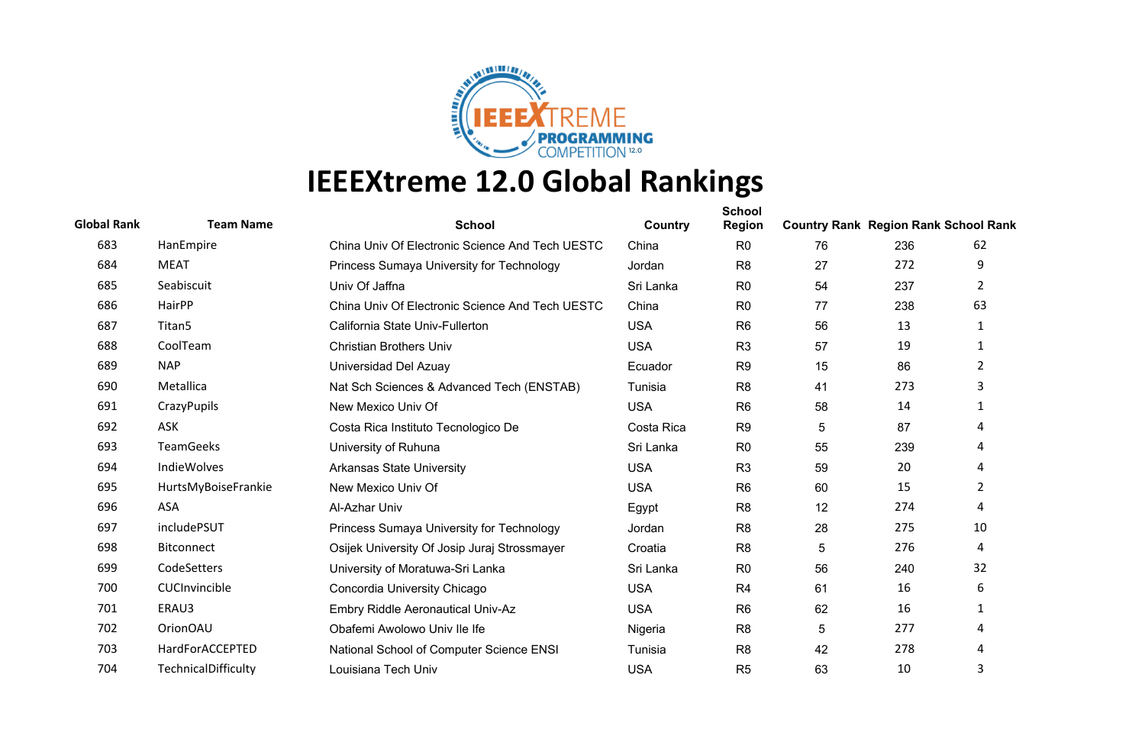

| <b>Global Rank</b> | <b>Team Name</b>    | <b>School</b>                                   | Country    | <b>School</b><br><b>Region</b> | <b>Country Rank Region Rank School Rank</b> |     |                |
|--------------------|---------------------|-------------------------------------------------|------------|--------------------------------|---------------------------------------------|-----|----------------|
| 683                | HanEmpire           | China Univ Of Electronic Science And Tech UESTC | China      | R <sub>0</sub>                 | 76                                          | 236 | 62             |
| 684                | <b>MEAT</b>         | Princess Sumaya University for Technology       | Jordan     | R <sub>8</sub>                 | 27                                          | 272 | 9              |
| 685                | Seabiscuit          | Univ Of Jaffna                                  | Sri Lanka  | R <sub>0</sub>                 | 54                                          | 237 | 2              |
| 686                | HairPP              | China Univ Of Electronic Science And Tech UESTC | China      | R <sub>0</sub>                 | 77                                          | 238 | 63             |
| 687                | Titan <sub>5</sub>  | California State Univ-Fullerton                 | <b>USA</b> | R <sub>6</sub>                 | 56                                          | 13  | 1              |
| 688                | CoolTeam            | <b>Christian Brothers Univ</b>                  | <b>USA</b> | R <sub>3</sub>                 | 57                                          | 19  | 1              |
| 689                | <b>NAP</b>          | Universidad Del Azuay                           | Ecuador    | R <sub>9</sub>                 | 15                                          | 86  | $\overline{2}$ |
| 690                | Metallica           | Nat Sch Sciences & Advanced Tech (ENSTAB)       | Tunisia    | R <sub>8</sub>                 | 41                                          | 273 | 3              |
| 691                | CrazyPupils         | New Mexico Univ Of                              | <b>USA</b> | R <sub>6</sub>                 | 58                                          | 14  | 1              |
| 692                | ASK                 | Costa Rica Instituto Tecnologico De             | Costa Rica | R <sub>9</sub>                 | 5                                           | 87  | 4              |
| 693                | <b>TeamGeeks</b>    | University of Ruhuna                            | Sri Lanka  | R <sub>0</sub>                 | 55                                          | 239 | 4              |
| 694                | <b>IndieWolves</b>  | <b>Arkansas State University</b>                | <b>USA</b> | R <sub>3</sub>                 | 59                                          | 20  | 4              |
| 695                | HurtsMyBoiseFrankie | New Mexico Univ Of                              | <b>USA</b> | R <sub>6</sub>                 | 60                                          | 15  | $\overline{2}$ |
| 696                | ASA                 | Al-Azhar Univ                                   | Egypt      | R <sub>8</sub>                 | 12                                          | 274 | 4              |
| 697                | includePSUT         | Princess Sumaya University for Technology       | Jordan     | R <sub>8</sub>                 | 28                                          | 275 | 10             |
| 698                | <b>Bitconnect</b>   | Osijek University Of Josip Juraj Strossmayer    | Croatia    | R <sub>8</sub>                 | 5                                           | 276 | 4              |
| 699                | CodeSetters         | University of Moratuwa-Sri Lanka                | Sri Lanka  | R <sub>0</sub>                 | 56                                          | 240 | 32             |
| 700                | CUCInvincible       | Concordia University Chicago                    | <b>USA</b> | R <sub>4</sub>                 | 61                                          | 16  | 6              |
| 701                | ERAU3               | Embry Riddle Aeronautical Univ-Az               | <b>USA</b> | R <sub>6</sub>                 | 62                                          | 16  | 1              |
| 702                | <b>OrionOAU</b>     | Obafemi Awolowo Univ Ile Ife                    | Nigeria    | R <sub>8</sub>                 | 5                                           | 277 | 4              |
| 703                | HardForACCEPTED     | National School of Computer Science ENSI        | Tunisia    | R <sub>8</sub>                 | 42                                          | 278 | 4              |
| 704                | TechnicalDifficulty | Louisiana Tech Univ                             | <b>USA</b> | R <sub>5</sub>                 | 63                                          | 10  | 3              |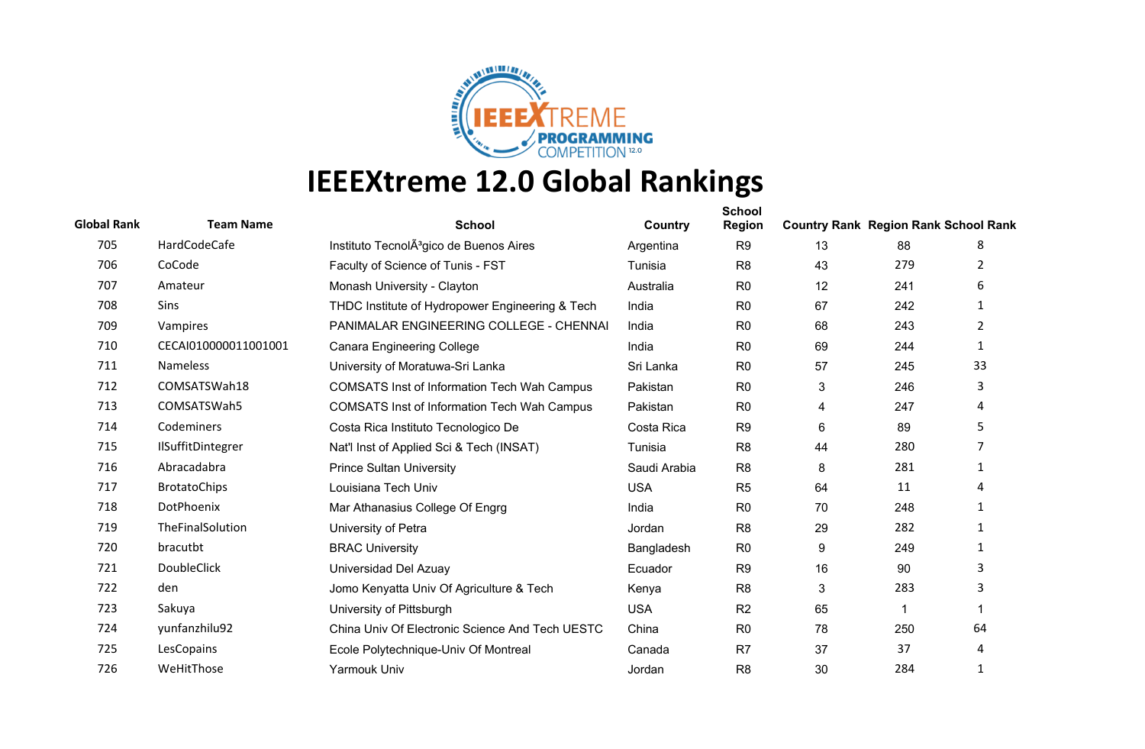

| <b>Global Rank</b> | <b>Team Name</b>         | <b>School</b>                                       | Country      | <b>School</b><br><b>Region</b> | <b>Country Rank Region Rank School Rank</b> |     |                |
|--------------------|--------------------------|-----------------------------------------------------|--------------|--------------------------------|---------------------------------------------|-----|----------------|
| 705                | HardCodeCafe             | Instituto TecnolA <sup>3</sup> gico de Buenos Aires | Argentina    | R <sub>9</sub>                 | 13                                          | 88  | 8              |
| 706                | CoCode                   | Faculty of Science of Tunis - FST                   | Tunisia      | R <sub>8</sub>                 | 43                                          | 279 | 2              |
| 707                | Amateur                  | Monash University - Clayton                         | Australia    | R <sub>0</sub>                 | 12                                          | 241 | 6              |
| 708                | <b>Sins</b>              | THDC Institute of Hydropower Engineering & Tech     | India        | R <sub>0</sub>                 | 67                                          | 242 | 1              |
| 709                | Vampires                 | PANIMALAR ENGINEERING COLLEGE - CHENNAI             | India        | R <sub>0</sub>                 | 68                                          | 243 | $\overline{2}$ |
| 710                | CECAI010000011001001     | <b>Canara Engineering College</b>                   | India        | R <sub>0</sub>                 | 69                                          | 244 | 1              |
| 711                | Nameless                 | University of Moratuwa-Sri Lanka                    | Sri Lanka    | R <sub>0</sub>                 | 57                                          | 245 | 33             |
| 712                | COMSATSWah18             | <b>COMSATS Inst of Information Tech Wah Campus</b>  | Pakistan     | R <sub>0</sub>                 | 3                                           | 246 | 3              |
| 713                | COMSATSWah5              | <b>COMSATS Inst of Information Tech Wah Campus</b>  | Pakistan     | R <sub>0</sub>                 | 4                                           | 247 | 4              |
| 714                | Codeminers               | Costa Rica Instituto Tecnologico De                 | Costa Rica   | R <sub>9</sub>                 | 6                                           | 89  | 5              |
| 715                | <b>IlSuffitDintegrer</b> | Nat'l Inst of Applied Sci & Tech (INSAT)            | Tunisia      | R <sub>8</sub>                 | 44                                          | 280 |                |
| 716                | Abracadabra              | <b>Prince Sultan University</b>                     | Saudi Arabia | R <sub>8</sub>                 | 8                                           | 281 | 1              |
| 717                | <b>BrotatoChips</b>      | Louisiana Tech Univ                                 | <b>USA</b>   | R <sub>5</sub>                 | 64                                          | 11  | 4              |
| 718                | DotPhoenix               | Mar Athanasius College Of Engrg                     | India        | R <sub>0</sub>                 | 70                                          | 248 | 1              |
| 719                | TheFinalSolution         | University of Petra                                 | Jordan       | R <sub>8</sub>                 | 29                                          | 282 | $\mathbf{1}$   |
| 720                | bracutbt                 | <b>BRAC University</b>                              | Bangladesh   | R <sub>0</sub>                 | 9                                           | 249 | 1              |
| 721                | <b>DoubleClick</b>       | Universidad Del Azuay                               | Ecuador      | R <sub>9</sub>                 | 16                                          | 90  | 3              |
| 722                | den                      | Jomo Kenyatta Univ Of Agriculture & Tech            | Kenya        | R <sub>8</sub>                 | 3                                           | 283 | 3              |
| 723                | Sakuya                   | University of Pittsburgh                            | <b>USA</b>   | R <sub>2</sub>                 | 65                                          | -1  |                |
| 724                | yunfanzhilu92            | China Univ Of Electronic Science And Tech UESTC     | China        | R <sub>0</sub>                 | 78                                          | 250 | 64             |
| 725                | LesCopains               | Ecole Polytechnique-Univ Of Montreal                | Canada       | R <sub>7</sub>                 | 37                                          | 37  | 4              |
| 726                | WeHitThose               | <b>Yarmouk Univ</b>                                 | Jordan       | R <sub>8</sub>                 | 30                                          | 284 | 1              |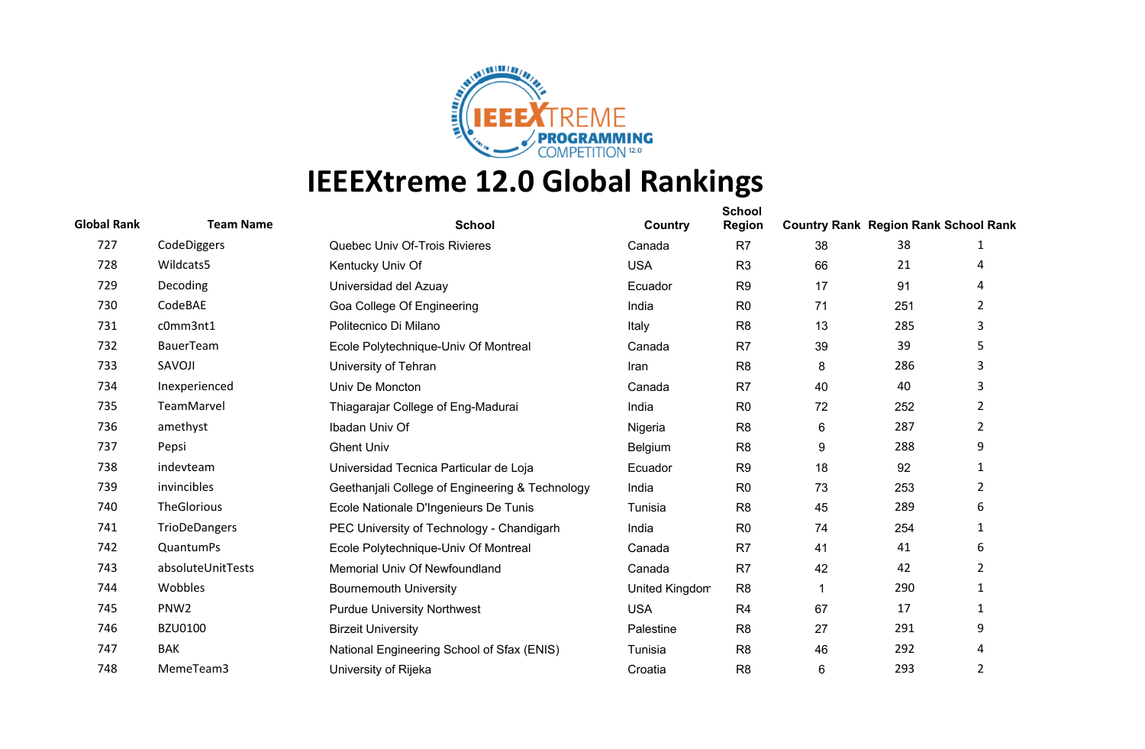

| <b>Global Rank</b> | <b>Team Name</b>   | <b>School</b>                                   | Country        | <b>School</b><br><b>Region</b> | <b>Country Rank Region Rank School Rank</b> |     |                |
|--------------------|--------------------|-------------------------------------------------|----------------|--------------------------------|---------------------------------------------|-----|----------------|
| 727                | CodeDiggers        | Quebec Univ Of-Trois Rivieres                   | Canada         | R <sub>7</sub>                 | 38                                          | 38  | 1              |
| 728                | Wildcats5          | Kentucky Univ Of                                | <b>USA</b>     | R <sub>3</sub>                 | 66                                          | 21  | 4              |
| 729                | Decoding           | Universidad del Azuay                           | Ecuador        | R <sub>9</sub>                 | 17                                          | 91  | 4              |
| 730                | CodeBAE            | Goa College Of Engineering                      | India          | R <sub>0</sub>                 | 71                                          | 251 | $\overline{2}$ |
| 731                | c0mm3nt1           | Politecnico Di Milano                           | Italy          | R <sub>8</sub>                 | 13                                          | 285 | 3              |
| 732                | BauerTeam          | Ecole Polytechnique-Univ Of Montreal            | Canada         | R7                             | 39                                          | 39  | 5              |
| 733                | SAVOJI             | University of Tehran                            | Iran           | R <sub>8</sub>                 | 8                                           | 286 | 3              |
| 734                | Inexperienced      | Univ De Moncton                                 | Canada         | R <sub>7</sub>                 | 40                                          | 40  | 3              |
| 735                | TeamMarvel         | Thiagarajar College of Eng-Madurai              | India          | R <sub>0</sub>                 | 72                                          | 252 | 2              |
| 736                | amethyst           | Ibadan Univ Of                                  | Nigeria        | R <sub>8</sub>                 | 6                                           | 287 | $\overline{2}$ |
| 737                | Pepsi              | <b>Ghent Univ</b>                               | Belgium        | R <sub>8</sub>                 | 9                                           | 288 | 9              |
| 738                | indevteam          | Universidad Tecnica Particular de Loja          | Ecuador        | R <sub>9</sub>                 | 18                                          | 92  | 1              |
| 739                | invincibles        | Geethanjali College of Engineering & Technology | India          | R <sub>0</sub>                 | 73                                          | 253 | $\overline{2}$ |
| 740                | <b>TheGlorious</b> | Ecole Nationale D'Ingenieurs De Tunis           | Tunisia        | R <sub>8</sub>                 | 45                                          | 289 | 6              |
| 741                | TrioDeDangers      | PEC University of Technology - Chandigarh       | India          | R <sub>0</sub>                 | 74                                          | 254 | 1              |
| 742                | QuantumPs          | Ecole Polytechnique-Univ Of Montreal            | Canada         | R7                             | 41                                          | 41  | 6              |
| 743                | absoluteUnitTests  | Memorial Univ Of Newfoundland                   | Canada         | R <sub>7</sub>                 | 42                                          | 42  | 2              |
| 744                | Wobbles            | <b>Bournemouth University</b>                   | United Kingdom | R <sub>8</sub>                 |                                             | 290 | 1              |
| 745                | PNW <sub>2</sub>   | <b>Purdue University Northwest</b>              | <b>USA</b>     | R <sub>4</sub>                 | 67                                          | 17  | $\mathbf{1}$   |
| 746                | <b>BZU0100</b>     | <b>Birzeit University</b>                       | Palestine      | R <sub>8</sub>                 | 27                                          | 291 | 9              |
| 747                | <b>BAK</b>         | National Engineering School of Sfax (ENIS)      | Tunisia        | R <sub>8</sub>                 | 46                                          | 292 | 4              |
| 748                | MemeTeam3          | University of Rijeka                            | Croatia        | R <sub>8</sub>                 | 6                                           | 293 | $\overline{2}$ |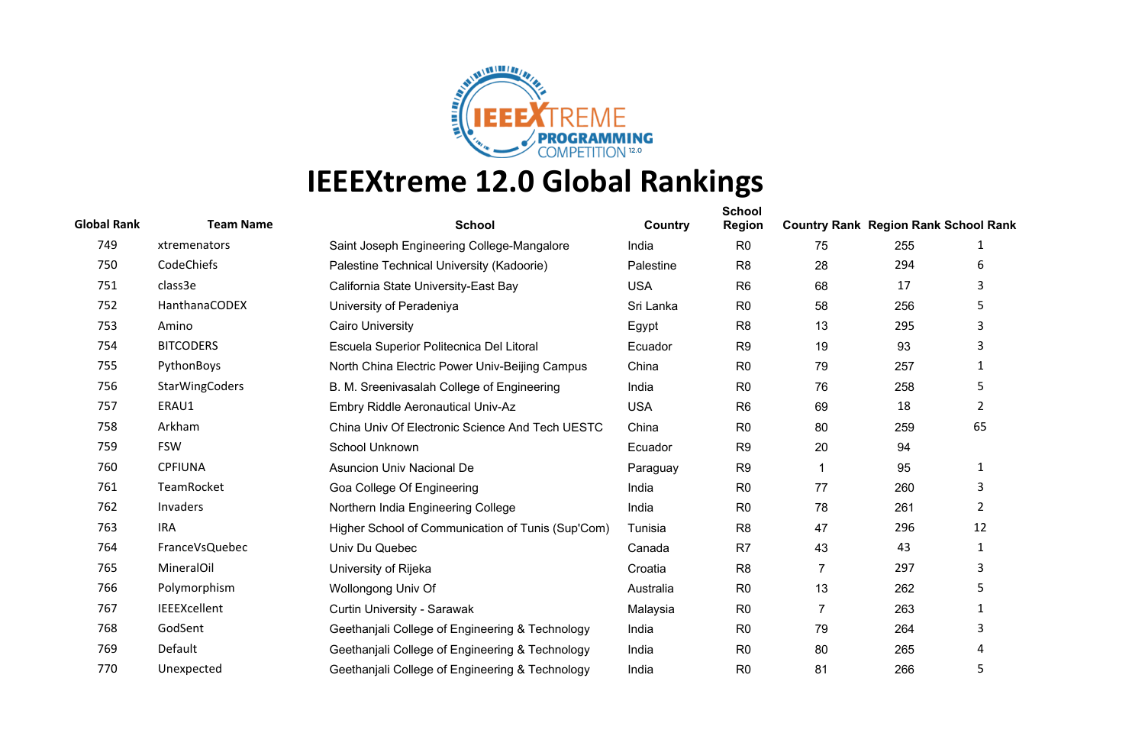

| <b>Global Rank</b> | <b>Team Name</b>      | <b>School</b>                                     | Country    | <b>School</b><br><b>Region</b> | <b>Country Rank Region Rank School Rank</b> |     |                |
|--------------------|-----------------------|---------------------------------------------------|------------|--------------------------------|---------------------------------------------|-----|----------------|
| 749                | xtremenators          | Saint Joseph Engineering College-Mangalore        | India      | R <sub>0</sub>                 | 75                                          | 255 | 1              |
| 750                | CodeChiefs            | Palestine Technical University (Kadoorie)         | Palestine  | R <sub>8</sub>                 | 28                                          | 294 | 6              |
| 751                | class3e               | California State University-East Bay              | <b>USA</b> | R <sub>6</sub>                 | 68                                          | 17  | 3              |
| 752                | HanthanaCODEX         | University of Peradeniya                          | Sri Lanka  | R <sub>0</sub>                 | 58                                          | 256 | 5              |
| 753                | Amino                 | <b>Cairo University</b>                           | Egypt      | R <sub>8</sub>                 | 13                                          | 295 | 3              |
| 754                | <b>BITCODERS</b>      | Escuela Superior Politecnica Del Litoral          | Ecuador    | R <sub>9</sub>                 | 19                                          | 93  | 3              |
| 755                | PythonBoys            | North China Electric Power Univ-Beijing Campus    | China      | R <sub>0</sub>                 | 79                                          | 257 | 1              |
| 756                | <b>StarWingCoders</b> | B. M. Sreenivasalah College of Engineering        | India      | R <sub>0</sub>                 | 76                                          | 258 | 5              |
| 757                | ERAU1                 | Embry Riddle Aeronautical Univ-Az                 | <b>USA</b> | R <sub>6</sub>                 | 69                                          | 18  | $\overline{2}$ |
| 758                | Arkham                | China Univ Of Electronic Science And Tech UESTC   | China      | R <sub>0</sub>                 | 80                                          | 259 | 65             |
| 759                | <b>FSW</b>            | School Unknown                                    | Ecuador    | R <sub>9</sub>                 | 20                                          | 94  |                |
| 760                | <b>CPFIUNA</b>        | <b>Asuncion Univ Nacional De</b>                  | Paraguay   | R <sub>9</sub>                 | 1                                           | 95  | $\mathbf{1}$   |
| 761                | TeamRocket            | Goa College Of Engineering                        | India      | R <sub>0</sub>                 | 77                                          | 260 | 3              |
| 762                | Invaders              | Northern India Engineering College                | India      | R <sub>0</sub>                 | 78                                          | 261 | $\overline{2}$ |
| 763                | <b>IRA</b>            | Higher School of Communication of Tunis (Sup'Com) | Tunisia    | R <sub>8</sub>                 | 47                                          | 296 | 12             |
| 764                | FranceVsQuebec        | Univ Du Quebec                                    | Canada     | R <sub>7</sub>                 | 43                                          | 43  | $\mathbf{1}$   |
| 765                | <b>MineralOil</b>     | University of Rijeka                              | Croatia    | R <sub>8</sub>                 | $\overline{7}$                              | 297 | 3              |
| 766                | Polymorphism          | Wollongong Univ Of                                | Australia  | R <sub>0</sub>                 | 13                                          | 262 | 5              |
| 767                | <b>IEEEXcellent</b>   | Curtin University - Sarawak                       | Malaysia   | R <sub>0</sub>                 | $\overline{7}$                              | 263 | $\mathbf{1}$   |
| 768                | GodSent               | Geethanjali College of Engineering & Technology   | India      | R <sub>0</sub>                 | 79                                          | 264 | 3              |
| 769                | Default               | Geethanjali College of Engineering & Technology   | India      | R <sub>0</sub>                 | 80                                          | 265 | 4              |
| 770                | Unexpected            | Geethanjali College of Engineering & Technology   | India      | R <sub>0</sub>                 | 81                                          | 266 | 5              |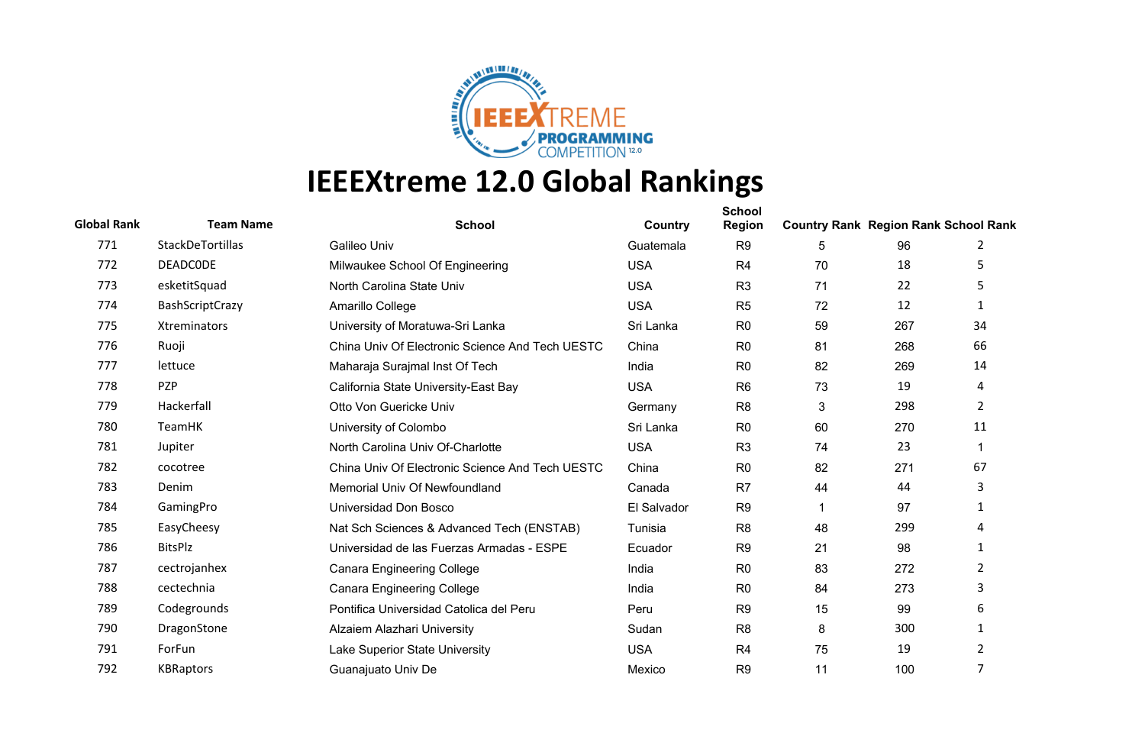

| <b>Global Rank</b> | <b>Team Name</b>    | <b>School</b>                                   | Country     | <b>School</b><br><b>Region</b> | <b>Country Rank Region Rank School Rank</b> |     |                |
|--------------------|---------------------|-------------------------------------------------|-------------|--------------------------------|---------------------------------------------|-----|----------------|
| 771                | StackDeTortillas    | Galileo Univ                                    | Guatemala   | R <sub>9</sub>                 | 5                                           | 96  | 2              |
| 772                | <b>DEADCODE</b>     | Milwaukee School Of Engineering                 | <b>USA</b>  | R <sub>4</sub>                 | 70                                          | 18  | 5              |
| 773                | esketitSquad        | North Carolina State Univ                       | <b>USA</b>  | R <sub>3</sub>                 | 71                                          | 22  | 5              |
| 774                | BashScriptCrazy     | Amarillo College                                | <b>USA</b>  | R <sub>5</sub>                 | 72                                          | 12  | 1              |
| 775                | <b>Xtreminators</b> | University of Moratuwa-Sri Lanka                | Sri Lanka   | R <sub>0</sub>                 | 59                                          | 267 | 34             |
| 776                | Ruoji               | China Univ Of Electronic Science And Tech UESTC | China       | R <sub>0</sub>                 | 81                                          | 268 | 66             |
| 777                | lettuce             | Maharaja Surajmal Inst Of Tech                  | India       | R <sub>0</sub>                 | 82                                          | 269 | 14             |
| 778                | <b>PZP</b>          | California State University-East Bay            | <b>USA</b>  | R <sub>6</sub>                 | 73                                          | 19  | 4              |
| 779                | Hackerfall          | Otto Von Guericke Univ                          | Germany     | R <sub>8</sub>                 | 3                                           | 298 | $\overline{2}$ |
| 780                | TeamHK              | University of Colombo                           | Sri Lanka   | R <sub>0</sub>                 | 60                                          | 270 | 11             |
| 781                | Jupiter             | North Carolina Univ Of-Charlotte                | <b>USA</b>  | R <sub>3</sub>                 | 74                                          | 23  | $\mathbf 1$    |
| 782                | cocotree            | China Univ Of Electronic Science And Tech UESTC | China       | R <sub>0</sub>                 | 82                                          | 271 | 67             |
| 783                | Denim               | Memorial Univ Of Newfoundland                   | Canada      | R <sub>7</sub>                 | 44                                          | 44  | 3              |
| 784                | GamingPro           | Universidad Don Bosco                           | El Salvador | R <sub>9</sub>                 |                                             | 97  | 1              |
| 785                | EasyCheesy          | Nat Sch Sciences & Advanced Tech (ENSTAB)       | Tunisia     | R <sub>8</sub>                 | 48                                          | 299 | $\overline{4}$ |
| 786                | <b>BitsPlz</b>      | Universidad de las Fuerzas Armadas - ESPE       | Ecuador     | R <sub>9</sub>                 | 21                                          | 98  | 1              |
| 787                | cectrojanhex        | <b>Canara Engineering College</b>               | India       | R <sub>0</sub>                 | 83                                          | 272 | 2              |
| 788                | cectechnia          | <b>Canara Engineering College</b>               | India       | R <sub>0</sub>                 | 84                                          | 273 | 3              |
| 789                | Codegrounds         | Pontifica Universidad Catolica del Peru         | Peru        | R <sub>9</sub>                 | 15                                          | 99  | 6              |
| 790                | DragonStone         | Alzaiem Alazhari University                     | Sudan       | R <sub>8</sub>                 | 8                                           | 300 | 1              |
| 791                | ForFun              | Lake Superior State University                  | <b>USA</b>  | R <sub>4</sub>                 | 75                                          | 19  | $\overline{2}$ |
| 792                | <b>KBRaptors</b>    | Guanajuato Univ De                              | Mexico      | R <sub>9</sub>                 | 11                                          | 100 | 7              |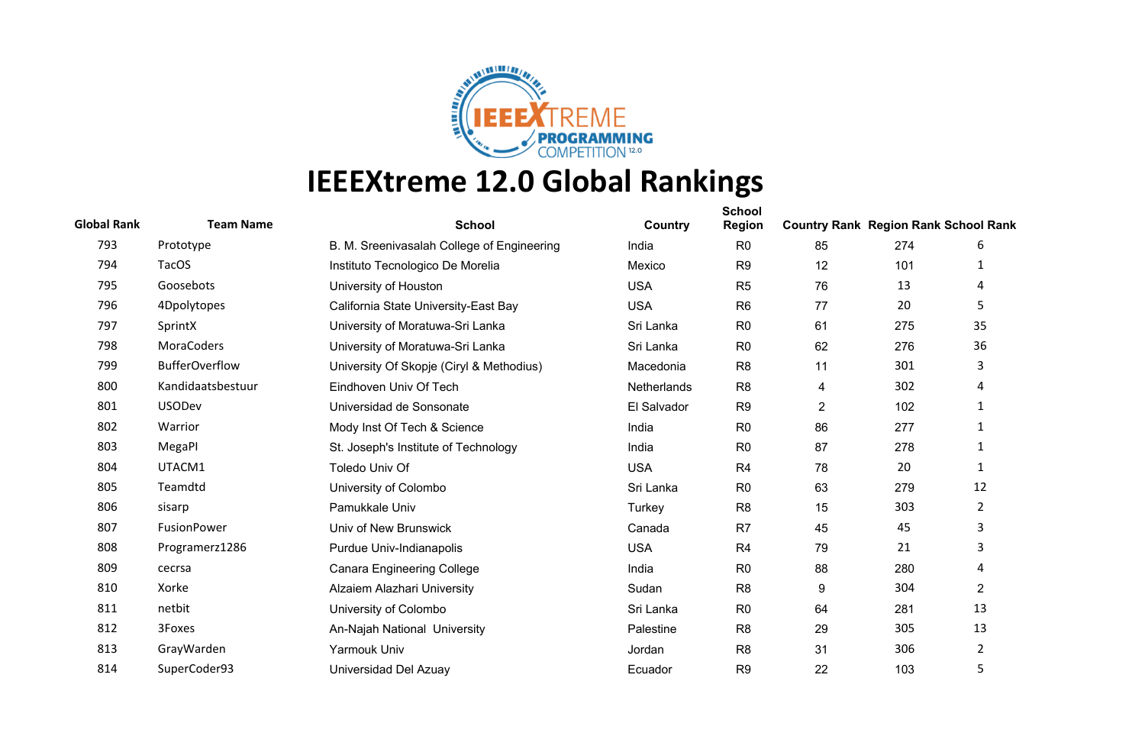

| <b>Global Rank</b> | <b>Team Name</b>      | <b>School</b>                              | Country     | <b>School</b><br><b>Region</b> | <b>Country Rank Region Rank School Rank</b> |     |                |
|--------------------|-----------------------|--------------------------------------------|-------------|--------------------------------|---------------------------------------------|-----|----------------|
| 793                | Prototype             | B. M. Sreenivasalah College of Engineering | India       | R <sub>0</sub>                 | 85                                          | 274 | 6              |
| 794                | <b>TacOS</b>          | Instituto Tecnologico De Morelia           | Mexico      | R <sub>9</sub>                 | 12                                          | 101 | 1              |
| 795                | Goosebots             | University of Houston                      | <b>USA</b>  | R <sub>5</sub>                 | 76                                          | 13  | 4              |
| 796                | 4Dpolytopes           | California State University-East Bay       | <b>USA</b>  | R <sub>6</sub>                 | 77                                          | 20  | 5              |
| 797                | SprintX               | University of Moratuwa-Sri Lanka           | Sri Lanka   | R <sub>0</sub>                 | 61                                          | 275 | 35             |
| 798                | MoraCoders            | University of Moratuwa-Sri Lanka           | Sri Lanka   | R <sub>0</sub>                 | 62                                          | 276 | 36             |
| 799                | <b>BufferOverflow</b> | University Of Skopje (Ciryl & Methodius)   | Macedonia   | R <sub>8</sub>                 | 11                                          | 301 | 3              |
| 800                | Kandidaatsbestuur     | Eindhoven Univ Of Tech                     | Netherlands | R <sub>8</sub>                 | 4                                           | 302 | 4              |
| 801                | <b>USODev</b>         | Universidad de Sonsonate                   | El Salvador | R <sub>9</sub>                 | $\overline{2}$                              | 102 | 1              |
| 802                | Warrior               | Mody Inst Of Tech & Science                | India       | R <sub>0</sub>                 | 86                                          | 277 | 1              |
| 803                | MegaPl                | St. Joseph's Institute of Technology       | India       | R <sub>0</sub>                 | 87                                          | 278 | 1              |
| 804                | UTACM1                | Toledo Univ Of                             | <b>USA</b>  | R <sub>4</sub>                 | 78                                          | 20  | $\mathbf{1}$   |
| 805                | Teamdtd               | University of Colombo                      | Sri Lanka   | R <sub>0</sub>                 | 63                                          | 279 | 12             |
| 806                | sisarp                | Pamukkale Univ                             | Turkey      | R <sub>8</sub>                 | 15                                          | 303 | $\overline{2}$ |
| 807                | FusionPower           | Univ of New Brunswick                      | Canada      | R <sub>7</sub>                 | 45                                          | 45  | 3              |
| 808                | Programerz1286        | Purdue Univ-Indianapolis                   | <b>USA</b>  | R <sub>4</sub>                 | 79                                          | 21  | 3              |
| 809                | cecrsa                | <b>Canara Engineering College</b>          | India       | R <sub>0</sub>                 | 88                                          | 280 | 4              |
| 810                | Xorke                 | Alzaiem Alazhari University                | Sudan       | R <sub>8</sub>                 | 9                                           | 304 | $\overline{2}$ |
| 811                | netbit                | University of Colombo                      | Sri Lanka   | R <sub>0</sub>                 | 64                                          | 281 | 13             |
| 812                | 3Foxes                | An-Najah National University               | Palestine   | R <sub>8</sub>                 | 29                                          | 305 | 13             |
| 813                | GrayWarden            | Yarmouk Univ                               | Jordan      | R <sub>8</sub>                 | 31                                          | 306 | $\overline{2}$ |
| 814                | SuperCoder93          | Universidad Del Azuay                      | Ecuador     | R <sub>9</sub>                 | 22                                          | 103 | 5              |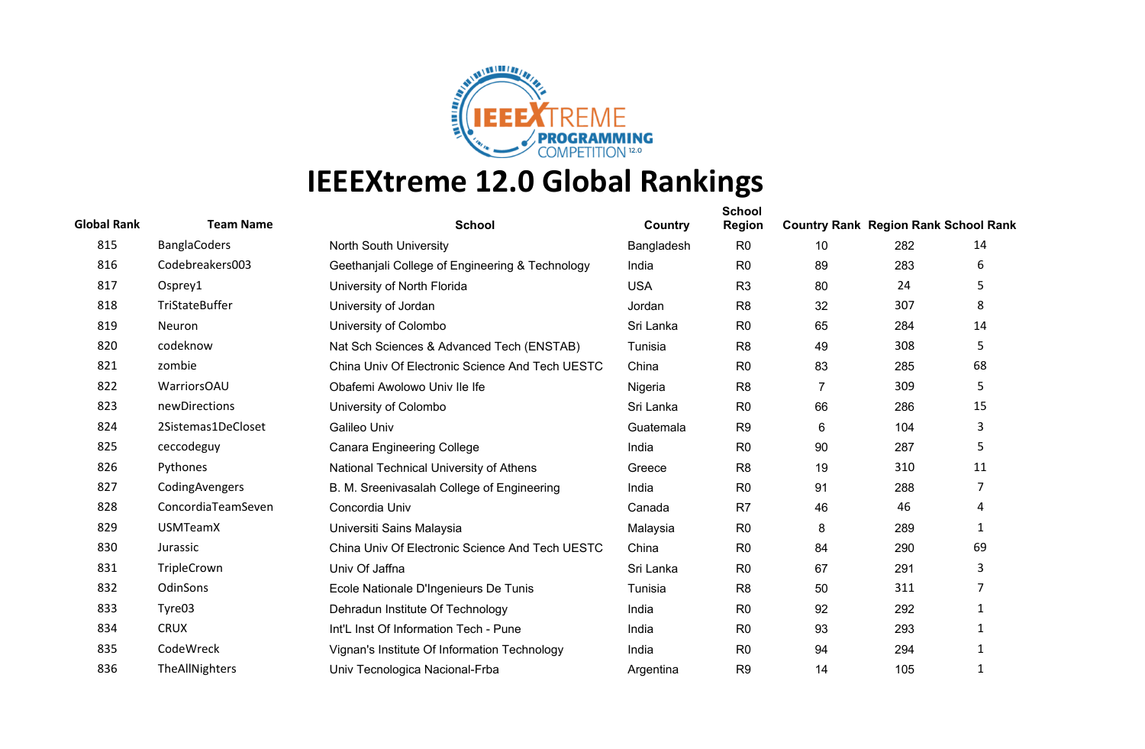

| <b>Global Rank</b> | <b>Team Name</b>    | <b>School</b>                                   | Country    | <b>School</b><br>Region | <b>Country Rank Region Rank School Rank</b> |     |                |
|--------------------|---------------------|-------------------------------------------------|------------|-------------------------|---------------------------------------------|-----|----------------|
| 815                | <b>BanglaCoders</b> | North South University                          | Bangladesh | R <sub>0</sub>          | 10                                          | 282 | 14             |
| 816                | Codebreakers003     | Geethanjali College of Engineering & Technology | India      | R <sub>0</sub>          | 89                                          | 283 | 6              |
| 817                | Osprey1             | University of North Florida                     | <b>USA</b> | R <sub>3</sub>          | 80                                          | 24  | 5              |
| 818                | TriStateBuffer      | University of Jordan                            | Jordan     | R <sub>8</sub>          | 32                                          | 307 | 8              |
| 819                | Neuron              | University of Colombo                           | Sri Lanka  | R <sub>0</sub>          | 65                                          | 284 | 14             |
| 820                | codeknow            | Nat Sch Sciences & Advanced Tech (ENSTAB)       | Tunisia    | R <sub>8</sub>          | 49                                          | 308 | 5              |
| 821                | zombie              | China Univ Of Electronic Science And Tech UESTC | China      | R <sub>0</sub>          | 83                                          | 285 | 68             |
| 822                | WarriorsOAU         | Obafemi Awolowo Univ Ile Ife                    | Nigeria    | R <sub>8</sub>          | $\overline{7}$                              | 309 | 5              |
| 823                | newDirections       | University of Colombo                           | Sri Lanka  | R <sub>0</sub>          | 66                                          | 286 | 15             |
| 824                | 2Sistemas1DeCloset  | Galileo Univ                                    | Guatemala  | R <sub>9</sub>          | 6                                           | 104 | 3              |
| 825                | ceccodeguy          | <b>Canara Engineering College</b>               | India      | R <sub>0</sub>          | 90                                          | 287 | 5              |
| 826                | Pythones            | National Technical University of Athens         | Greece     | R <sub>8</sub>          | 19                                          | 310 | 11             |
| 827                | CodingAvengers      | B. M. Sreenivasalah College of Engineering      | India      | R <sub>0</sub>          | 91                                          | 288 | $\overline{7}$ |
| 828                | ConcordiaTeamSeven  | Concordia Univ                                  | Canada     | R <sub>7</sub>          | 46                                          | 46  | 4              |
| 829                | <b>USMTeamX</b>     | Universiti Sains Malaysia                       | Malaysia   | R <sub>0</sub>          | 8                                           | 289 | 1              |
| 830                | Jurassic            | China Univ Of Electronic Science And Tech UESTC | China      | R <sub>0</sub>          | 84                                          | 290 | 69             |
| 831                | TripleCrown         | Univ Of Jaffna                                  | Sri Lanka  | R <sub>0</sub>          | 67                                          | 291 | 3              |
| 832                | OdinSons            | Ecole Nationale D'Ingenieurs De Tunis           | Tunisia    | R <sub>8</sub>          | 50                                          | 311 | 7              |
| 833                | Tyre03              | Dehradun Institute Of Technology                | India      | R <sub>0</sub>          | 92                                          | 292 | $\mathbf{1}$   |
| 834                | <b>CRUX</b>         | Int'L Inst Of Information Tech - Pune           | India      | R <sub>0</sub>          | 93                                          | 293 | 1              |
| 835                | CodeWreck           | Vignan's Institute Of Information Technology    | India      | R <sub>0</sub>          | 94                                          | 294 | $\mathbf{1}$   |
| 836                | TheAllNighters      | Univ Tecnologica Nacional-Frba                  | Argentina  | R <sub>9</sub>          | 14                                          | 105 | 1              |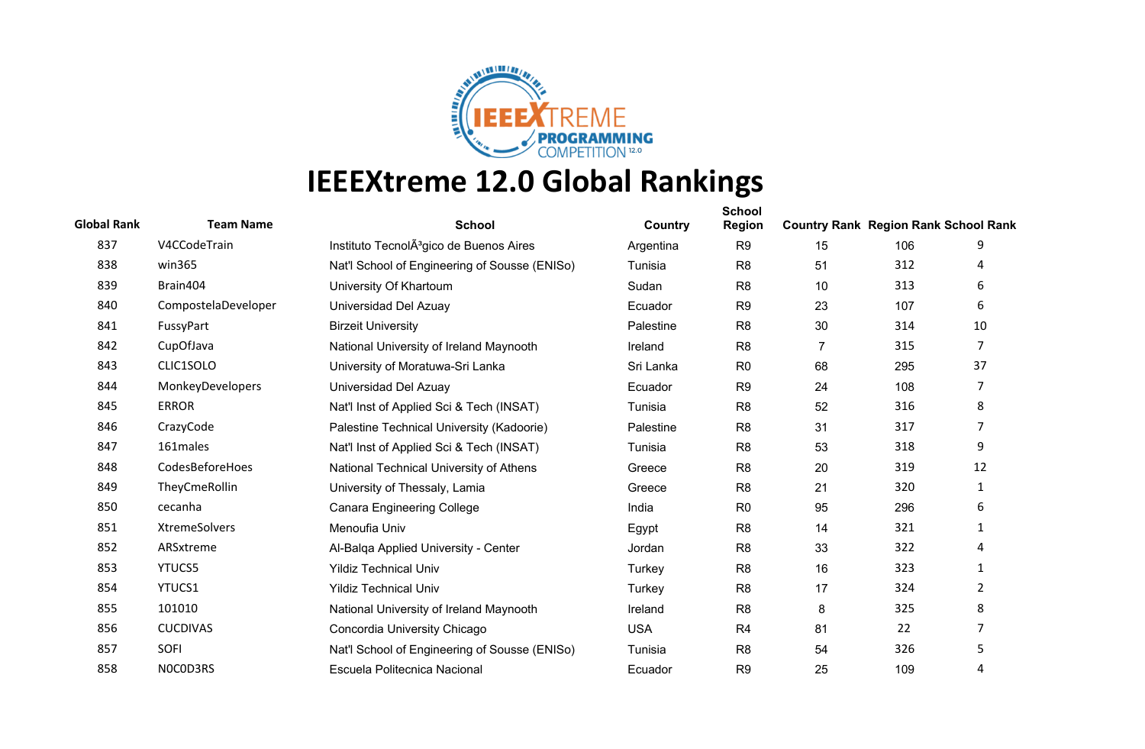

| <b>Global Rank</b> | <b>Team Name</b>    | <b>School</b>                                       | Country    | <b>School</b><br><b>Region</b> | <b>Country Rank Region Rank School Rank</b> |     |                |
|--------------------|---------------------|-----------------------------------------------------|------------|--------------------------------|---------------------------------------------|-----|----------------|
| 837                | V4CCodeTrain        | Instituto TecnolA <sup>3</sup> gico de Buenos Aires | Argentina  | R <sub>9</sub>                 | 15                                          | 106 | 9              |
| 838                | win365              | Nat'l School of Engineering of Sousse (ENISo)       | Tunisia    | R <sub>8</sub>                 | 51                                          | 312 | 4              |
| 839                | Brain404            | University Of Khartoum                              | Sudan      | R <sub>8</sub>                 | 10                                          | 313 | 6              |
| 840                | CompostelaDeveloper | Universidad Del Azuay                               | Ecuador    | R <sub>9</sub>                 | 23                                          | 107 | 6              |
| 841                | FussyPart           | <b>Birzeit University</b>                           | Palestine  | R <sub>8</sub>                 | 30                                          | 314 | 10             |
| 842                | CupOfJava           | National University of Ireland Maynooth             | Ireland    | R <sub>8</sub>                 | $\overline{7}$                              | 315 | 7              |
| 843                | CLIC1SOLO           | University of Moratuwa-Sri Lanka                    | Sri Lanka  | R <sub>0</sub>                 | 68                                          | 295 | 37             |
| 844                | MonkeyDevelopers    | Universidad Del Azuay                               | Ecuador    | R <sub>9</sub>                 | 24                                          | 108 | 7              |
| 845                | <b>ERROR</b>        | Nat'l Inst of Applied Sci & Tech (INSAT)            | Tunisia    | R <sub>8</sub>                 | 52                                          | 316 | 8              |
| 846                | CrazyCode           | Palestine Technical University (Kadoorie)           | Palestine  | R <sub>8</sub>                 | 31                                          | 317 | $\overline{7}$ |
| 847                | 161males            | Nat'l Inst of Applied Sci & Tech (INSAT)            | Tunisia    | R <sub>8</sub>                 | 53                                          | 318 | 9              |
| 848                | CodesBeforeHoes     | National Technical University of Athens             | Greece     | R <sub>8</sub>                 | 20                                          | 319 | 12             |
| 849                | TheyCmeRollin       | University of Thessaly, Lamia                       | Greece     | R <sub>8</sub>                 | 21                                          | 320 | $\mathbf{1}$   |
| 850                | cecanha             | <b>Canara Engineering College</b>                   | India      | R <sub>0</sub>                 | 95                                          | 296 | 6              |
| 851                | XtremeSolvers       | Menoufia Univ                                       | Egypt      | R <sub>8</sub>                 | 14                                          | 321 | 1              |
| 852                | ARSxtreme           | Al-Balga Applied University - Center                | Jordan     | R <sub>8</sub>                 | 33                                          | 322 | 4              |
| 853                | <b>YTUCS5</b>       | <b>Yildiz Technical Univ</b>                        | Turkey     | R <sub>8</sub>                 | 16                                          | 323 | 1              |
| 854                | YTUCS1              | <b>Yildiz Technical Univ</b>                        | Turkey     | R <sub>8</sub>                 | 17                                          | 324 | $\overline{2}$ |
| 855                | 101010              | National University of Ireland Maynooth             | Ireland    | R <sub>8</sub>                 | 8                                           | 325 | 8              |
| 856                | <b>CUCDIVAS</b>     | Concordia University Chicago                        | <b>USA</b> | R <sub>4</sub>                 | 81                                          | 22  | 7              |
| 857                | SOFI                | Nat'l School of Engineering of Sousse (ENISo)       | Tunisia    | R <sub>8</sub>                 | 54                                          | 326 | 5              |
| 858                | NOCOD3RS            | Escuela Politecnica Nacional                        | Ecuador    | R <sub>9</sub>                 | 25                                          | 109 | 4              |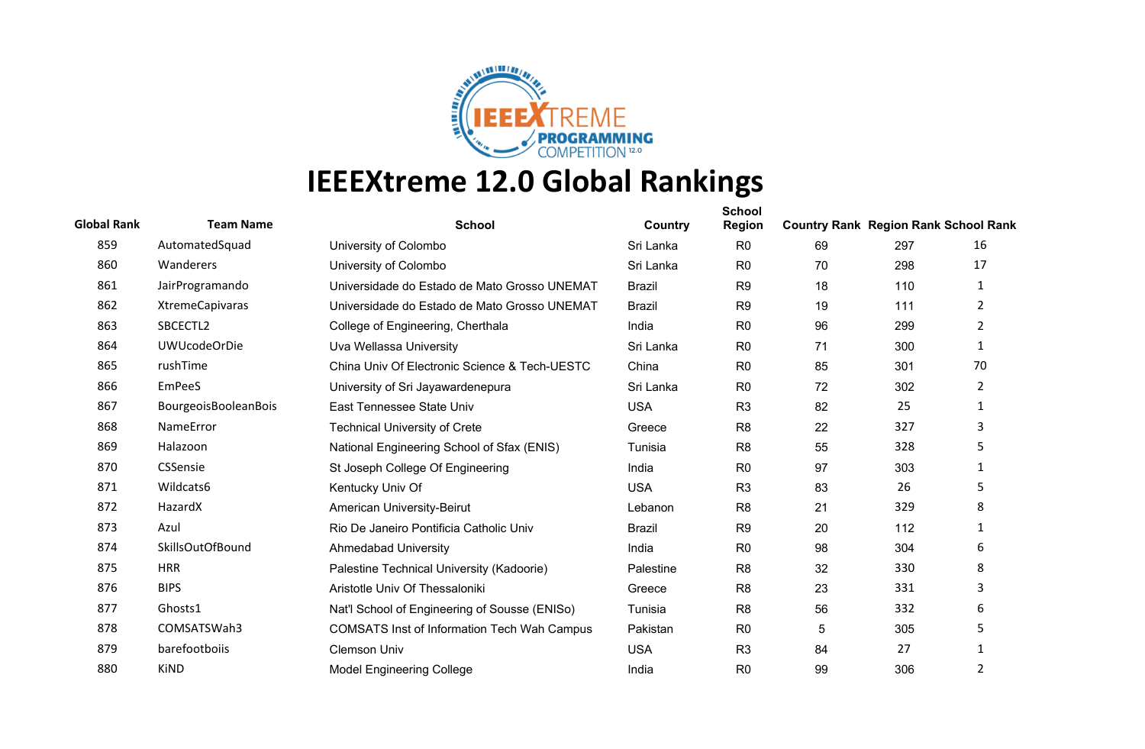

| <b>Global Rank</b> | <b>Team Name</b>       | <b>School</b>                                      | Country       | <b>School</b><br><b>Region</b> | <b>Country Rank Region Rank School Rank</b> |     |                |
|--------------------|------------------------|----------------------------------------------------|---------------|--------------------------------|---------------------------------------------|-----|----------------|
| 859                | AutomatedSquad         | University of Colombo                              | Sri Lanka     | R <sub>0</sub>                 | 69                                          | 297 | 16             |
| 860                | Wanderers              | University of Colombo                              | Sri Lanka     | R <sub>0</sub>                 | 70                                          | 298 | 17             |
| 861                | JairProgramando        | Universidade do Estado de Mato Grosso UNEMAT       | <b>Brazil</b> | R <sub>9</sub>                 | 18                                          | 110 | 1              |
| 862                | <b>XtremeCapivaras</b> | Universidade do Estado de Mato Grosso UNEMAT       | <b>Brazil</b> | R <sub>9</sub>                 | 19                                          | 111 | $\overline{2}$ |
| 863                | SBCECTL2               | College of Engineering, Cherthala                  | India         | R <sub>0</sub>                 | 96                                          | 299 | $\overline{2}$ |
| 864                | <b>UWUcodeOrDie</b>    | Uva Wellassa University                            | Sri Lanka     | R <sub>0</sub>                 | 71                                          | 300 | $\mathbf{1}$   |
| 865                | rushTime               | China Univ Of Electronic Science & Tech-UESTC      | China         | R <sub>0</sub>                 | 85                                          | 301 | 70             |
| 866                | <b>EmPeeS</b>          | University of Sri Jayawardenepura                  | Sri Lanka     | R <sub>0</sub>                 | 72                                          | 302 | $\overline{2}$ |
| 867                | BourgeoisBooleanBois   | East Tennessee State Univ                          | <b>USA</b>    | R <sub>3</sub>                 | 82                                          | 25  | 1              |
| 868                | NameError              | <b>Technical University of Crete</b>               | Greece        | R <sub>8</sub>                 | 22                                          | 327 | 3              |
| 869                | Halazoon               | National Engineering School of Sfax (ENIS)         | Tunisia       | R <sub>8</sub>                 | 55                                          | 328 | 5              |
| 870                | <b>CSSensie</b>        | St Joseph College Of Engineering                   | India         | R <sub>0</sub>                 | 97                                          | 303 | 1              |
| 871                | Wildcats6              | Kentucky Univ Of                                   | <b>USA</b>    | R <sub>3</sub>                 | 83                                          | 26  | 5              |
| 872                | HazardX                | <b>American University-Beirut</b>                  | Lebanon       | R <sub>8</sub>                 | 21                                          | 329 | 8              |
| 873                | Azul                   | Rio De Janeiro Pontificia Catholic Univ            | <b>Brazil</b> | R <sub>9</sub>                 | 20                                          | 112 | 1              |
| 874                | SkillsOutOfBound       | <b>Ahmedabad University</b>                        | India         | R <sub>0</sub>                 | 98                                          | 304 | 6              |
| 875                | <b>HRR</b>             | Palestine Technical University (Kadoorie)          | Palestine     | R <sub>8</sub>                 | 32                                          | 330 | 8              |
| 876                | <b>BIPS</b>            | Aristotle Univ Of Thessaloniki                     | Greece        | R <sub>8</sub>                 | 23                                          | 331 | 3              |
| 877                | Ghosts1                | Nat'l School of Engineering of Sousse (ENISo)      | Tunisia       | R <sub>8</sub>                 | 56                                          | 332 | 6              |
| 878                | COMSATSWah3            | <b>COMSATS Inst of Information Tech Wah Campus</b> | Pakistan      | R <sub>0</sub>                 | 5                                           | 305 | 5              |
| 879                | barefootboiis          | <b>Clemson Univ</b>                                | <b>USA</b>    | R <sub>3</sub>                 | 84                                          | 27  | 1              |
| 880                | <b>KiND</b>            | <b>Model Engineering College</b>                   | India         | R <sub>0</sub>                 | 99                                          | 306 | 2              |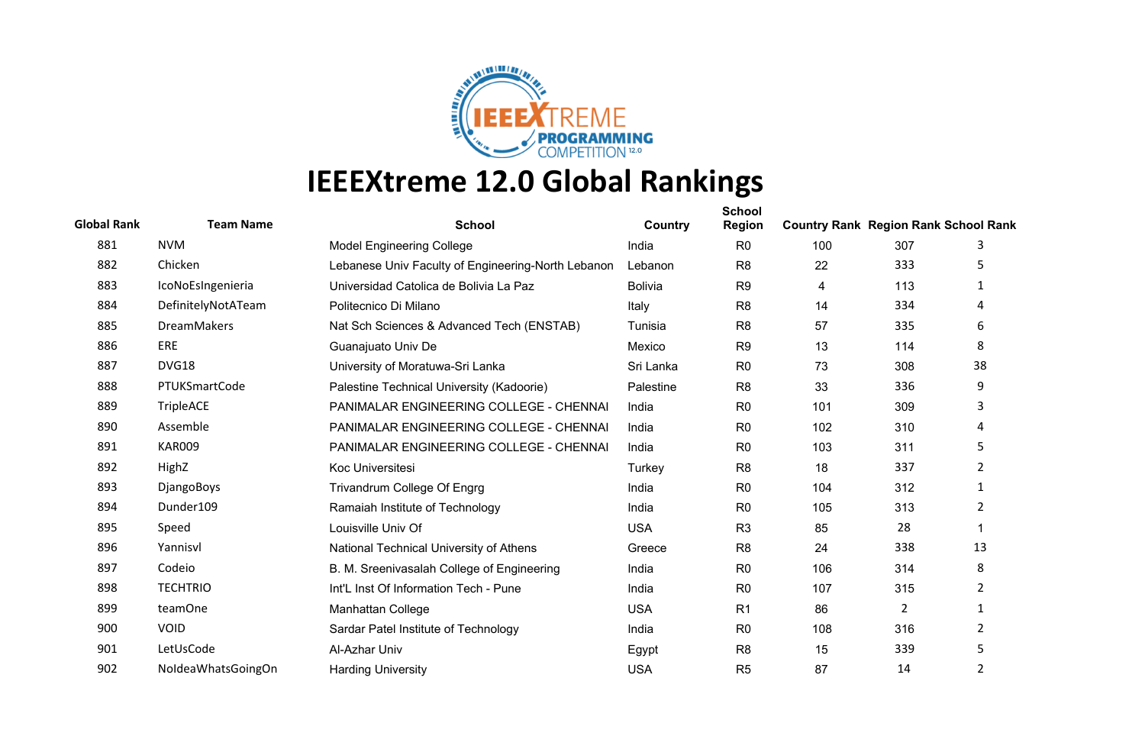

| <b>Global Rank</b> | <b>Team Name</b>   | <b>School</b>                                      | Country        | <b>School</b><br>Region | <b>Country Rank Region Rank School Rank</b> |     |                |
|--------------------|--------------------|----------------------------------------------------|----------------|-------------------------|---------------------------------------------|-----|----------------|
| 881                | <b>NVM</b>         | <b>Model Engineering College</b>                   | India          | R <sub>0</sub>          | 100                                         | 307 | 3              |
| 882                | Chicken            | Lebanese Univ Faculty of Engineering-North Lebanon | Lebanon        | R <sub>8</sub>          | 22                                          | 333 | 5              |
| 883                | IcoNoEsIngenieria  | Universidad Catolica de Bolivia La Paz             | <b>Bolivia</b> | R <sub>9</sub>          | 4                                           | 113 | 1              |
| 884                | DefinitelyNotATeam | Politecnico Di Milano                              | Italy          | R <sub>8</sub>          | 14                                          | 334 | 4              |
| 885                | <b>DreamMakers</b> | Nat Sch Sciences & Advanced Tech (ENSTAB)          | Tunisia        | R <sub>8</sub>          | 57                                          | 335 | 6              |
| 886                | ERE                | Guanajuato Univ De                                 | Mexico         | R <sub>9</sub>          | 13                                          | 114 | 8              |
| 887                | DVG18              | University of Moratuwa-Sri Lanka                   | Sri Lanka      | R <sub>0</sub>          | 73                                          | 308 | 38             |
| 888                | PTUKSmartCode      | Palestine Technical University (Kadoorie)          | Palestine      | R <sub>8</sub>          | 33                                          | 336 | 9              |
| 889                | TripleACE          | PANIMALAR ENGINEERING COLLEGE - CHENNAI            | India          | R <sub>0</sub>          | 101                                         | 309 | 3              |
| 890                | Assemble           | PANIMALAR ENGINEERING COLLEGE - CHENNAI            | India          | R <sub>0</sub>          | 102                                         | 310 | 4              |
| 891                | <b>KAR009</b>      | PANIMALAR ENGINEERING COLLEGE - CHENNAI            | India          | R <sub>0</sub>          | 103                                         | 311 | 5              |
| 892                | HighZ              | Koc Universitesi                                   | Turkey         | R <sub>8</sub>          | 18                                          | 337 | $\overline{2}$ |
| 893                | DjangoBoys         | Trivandrum College Of Engrg                        | India          | R <sub>0</sub>          | 104                                         | 312 | 1              |
| 894                | Dunder109          | Ramaiah Institute of Technology                    | India          | R <sub>0</sub>          | 105                                         | 313 | 2              |
| 895                | Speed              | Louisville Univ Of                                 | <b>USA</b>     | R <sub>3</sub>          | 85                                          | 28  |                |
| 896                | Yannisvl           | National Technical University of Athens            | Greece         | R <sub>8</sub>          | 24                                          | 338 | 13             |
| 897                | Codeio             | B. M. Sreenivasalah College of Engineering         | India          | R <sub>0</sub>          | 106                                         | 314 | 8              |
| 898                | <b>TECHTRIO</b>    | Int'L Inst Of Information Tech - Pune              | India          | R <sub>0</sub>          | 107                                         | 315 | $\overline{2}$ |
| 899                | teamOne            | <b>Manhattan College</b>                           | <b>USA</b>     | R <sub>1</sub>          | 86                                          | 2   | $\mathbf{1}$   |
| 900                | <b>VOID</b>        | Sardar Patel Institute of Technology               | India          | R <sub>0</sub>          | 108                                         | 316 | $\overline{2}$ |
| 901                | LetUsCode          | Al-Azhar Univ                                      | Egypt          | R <sub>8</sub>          | 15                                          | 339 | 5              |
| 902                | NoldeaWhatsGoingOn | <b>Harding University</b>                          | <b>USA</b>     | R <sub>5</sub>          | 87                                          | 14  | 2              |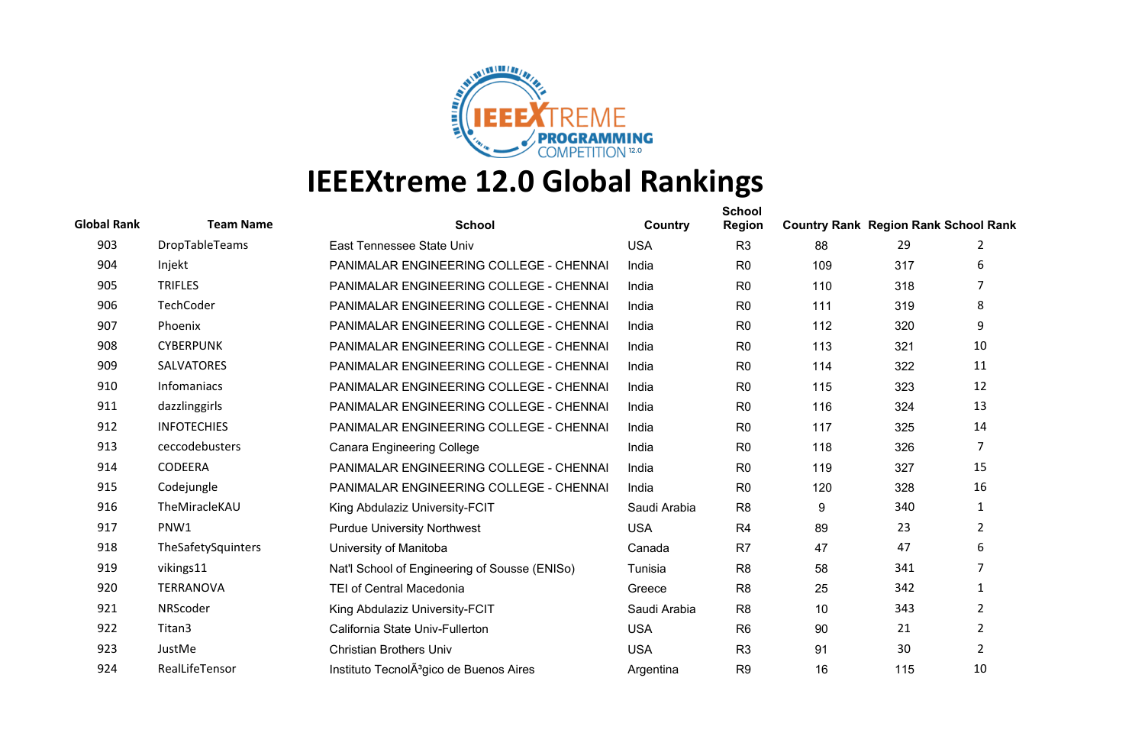

| <b>Global Rank</b> | <b>Team Name</b>   | <b>School</b>                                       | Country      | <b>School</b><br><b>Region</b> | <b>Country Rank Region Rank School Rank</b> |     |                |
|--------------------|--------------------|-----------------------------------------------------|--------------|--------------------------------|---------------------------------------------|-----|----------------|
| 903                | DropTableTeams     | East Tennessee State Univ                           | <b>USA</b>   | R <sub>3</sub>                 | 88                                          | 29  | 2              |
| 904                | Injekt             | PANIMALAR ENGINEERING COLLEGE - CHENNAI             | India        | R <sub>0</sub>                 | 109                                         | 317 | 6              |
| 905                | <b>TRIFLES</b>     | PANIMALAR ENGINEERING COLLEGE - CHENNAI             | India        | R <sub>0</sub>                 | 110                                         | 318 | 7              |
| 906                | TechCoder          | PANIMALAR ENGINEERING COLLEGE - CHENNAI             | India        | R <sub>0</sub>                 | 111                                         | 319 | 8              |
| 907                | Phoenix            | PANIMALAR ENGINEERING COLLEGE - CHENNAI             | India        | R <sub>0</sub>                 | 112                                         | 320 | 9              |
| 908                | <b>CYBERPUNK</b>   | PANIMALAR ENGINEERING COLLEGE - CHENNAI             | India        | R <sub>0</sub>                 | 113                                         | 321 | 10             |
| 909                | <b>SALVATORES</b>  | PANIMALAR ENGINEERING COLLEGE - CHENNAI             | India        | R <sub>0</sub>                 | 114                                         | 322 | 11             |
| 910                | Infomaniacs        | PANIMALAR ENGINEERING COLLEGE - CHENNAI             | India        | R <sub>0</sub>                 | 115                                         | 323 | 12             |
| 911                | dazzlinggirls      | PANIMALAR ENGINEERING COLLEGE - CHENNAI             | India        | R <sub>0</sub>                 | 116                                         | 324 | 13             |
| 912                | <b>INFOTECHIES</b> | PANIMALAR ENGINEERING COLLEGE - CHENNAI             | India        | R <sub>0</sub>                 | 117                                         | 325 | 14             |
| 913                | ceccodebusters     | <b>Canara Engineering College</b>                   | India        | R <sub>0</sub>                 | 118                                         | 326 | $\overline{7}$ |
| 914                | <b>CODEERA</b>     | PANIMALAR ENGINEERING COLLEGE - CHENNAI             | India        | R <sub>0</sub>                 | 119                                         | 327 | 15             |
| 915                | Codejungle         | PANIMALAR ENGINEERING COLLEGE - CHENNAI             | India        | R <sub>0</sub>                 | 120                                         | 328 | 16             |
| 916                | TheMiracleKAU      | King Abdulaziz University-FCIT                      | Saudi Arabia | R <sub>8</sub>                 | 9                                           | 340 | 1              |
| 917                | PNW1               | <b>Purdue University Northwest</b>                  | <b>USA</b>   | R4                             | 89                                          | 23  | $\overline{2}$ |
| 918                | TheSafetySquinters | University of Manitoba                              | Canada       | R <sub>7</sub>                 | 47                                          | 47  | 6              |
| 919                | vikings11          | Nat'l School of Engineering of Sousse (ENISo)       | Tunisia      | R <sub>8</sub>                 | 58                                          | 341 | 7              |
| 920                | <b>TERRANOVA</b>   | <b>TEI of Central Macedonia</b>                     | Greece       | R <sub>8</sub>                 | 25                                          | 342 | 1              |
| 921                | NRScoder           | King Abdulaziz University-FCIT                      | Saudi Arabia | R <sub>8</sub>                 | 10                                          | 343 | 2              |
| 922                | Titan3             | California State Univ-Fullerton                     | <b>USA</b>   | R <sub>6</sub>                 | 90                                          | 21  | $\overline{2}$ |
| 923                | JustMe             | <b>Christian Brothers Univ</b>                      | <b>USA</b>   | R <sub>3</sub>                 | 91                                          | 30  | $\overline{2}$ |
| 924                | RealLifeTensor     | Instituto TecnolA <sup>3</sup> gico de Buenos Aires | Argentina    | R <sub>9</sub>                 | 16                                          | 115 | 10             |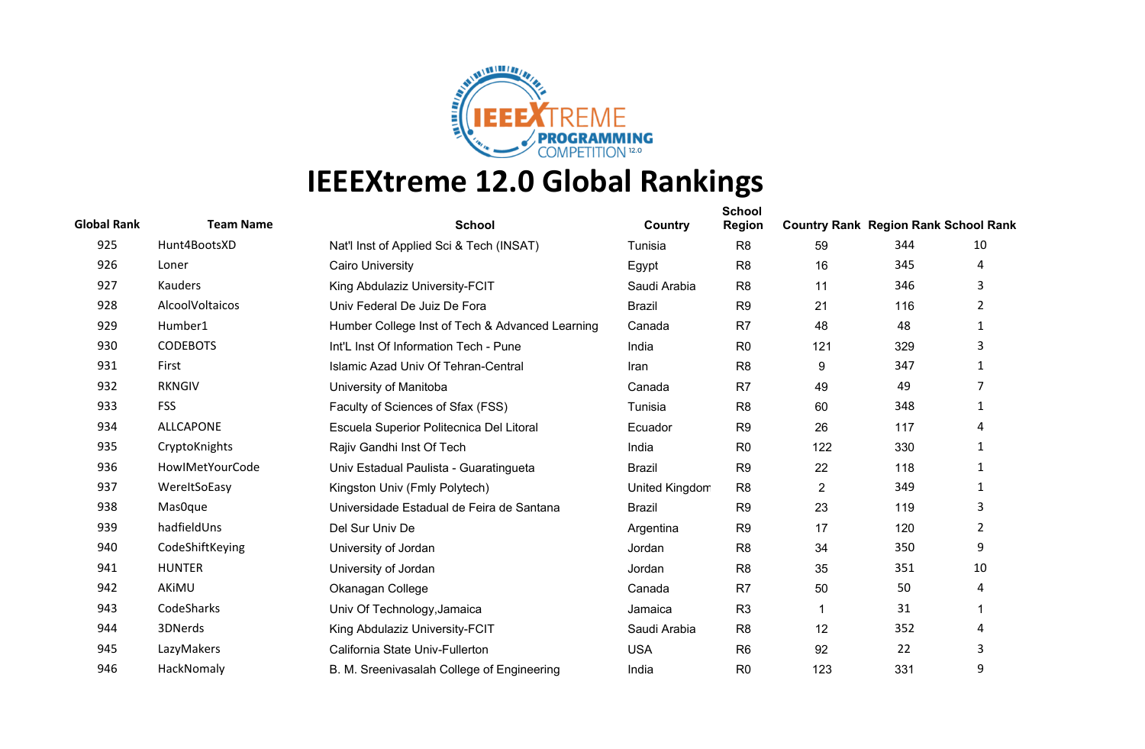

| <b>Global Rank</b> | <b>Team Name</b> | <b>School</b>                                   | Country        | <b>School</b><br><b>Region</b> | <b>Country Rank Region Rank School Rank</b> |     |                |
|--------------------|------------------|-------------------------------------------------|----------------|--------------------------------|---------------------------------------------|-----|----------------|
| 925                | Hunt4BootsXD     | Nat'l Inst of Applied Sci & Tech (INSAT)        | Tunisia        | R <sub>8</sub>                 | 59                                          | 344 | 10             |
| 926                | Loner            | <b>Cairo University</b>                         | Egypt          | R <sub>8</sub>                 | 16                                          | 345 | 4              |
| 927                | Kauders          | King Abdulaziz University-FCIT                  | Saudi Arabia   | R <sub>8</sub>                 | 11                                          | 346 | 3              |
| 928                | AlcoolVoltaicos  | Univ Federal De Juiz De Fora                    | <b>Brazil</b>  | R <sub>9</sub>                 | 21                                          | 116 | $\overline{2}$ |
| 929                | Humber1          | Humber College Inst of Tech & Advanced Learning | Canada         | R <sub>7</sub>                 | 48                                          | 48  | $\mathbf{1}$   |
| 930                | <b>CODEBOTS</b>  | Int'L Inst Of Information Tech - Pune           | India          | R <sub>0</sub>                 | 121                                         | 329 | 3              |
| 931                | First            | Islamic Azad Univ Of Tehran-Central             | Iran           | R <sub>8</sub>                 | 9                                           | 347 | 1              |
| 932                | <b>RKNGIV</b>    | University of Manitoba                          | Canada         | R <sub>7</sub>                 | 49                                          | 49  | 7              |
| 933                | <b>FSS</b>       | Faculty of Sciences of Sfax (FSS)               | Tunisia        | R <sub>8</sub>                 | 60                                          | 348 | 1              |
| 934                | <b>ALLCAPONE</b> | Escuela Superior Politecnica Del Litoral        | Ecuador        | R <sub>9</sub>                 | 26                                          | 117 | 4              |
| 935                | CryptoKnights    | Rajiv Gandhi Inst Of Tech                       | India          | R <sub>0</sub>                 | 122                                         | 330 | 1              |
| 936                | HowlMetYourCode  | Univ Estadual Paulista - Guaratingueta          | <b>Brazil</b>  | R <sub>9</sub>                 | 22                                          | 118 | 1              |
| 937                | WereltSoEasy     | Kingston Univ (Fmly Polytech)                   | United Kingdom | R <sub>8</sub>                 | $\overline{2}$                              | 349 | 1              |
| 938                | Mas0que          | Universidade Estadual de Feira de Santana       | <b>Brazil</b>  | R <sub>9</sub>                 | 23                                          | 119 | 3              |
| 939                | hadfieldUns      | Del Sur Univ De                                 | Argentina      | R <sub>9</sub>                 | 17                                          | 120 | $\overline{2}$ |
| 940                | CodeShiftKeying  | University of Jordan                            | Jordan         | R <sub>8</sub>                 | 34                                          | 350 | 9              |
| 941                | <b>HUNTER</b>    | University of Jordan                            | Jordan         | R <sub>8</sub>                 | 35                                          | 351 | 10             |
| 942                | AKİMU            | Okanagan College                                | Canada         | R <sub>7</sub>                 | 50                                          | 50  | 4              |
| 943                | CodeSharks       | Univ Of Technology, Jamaica                     | Jamaica        | R <sub>3</sub>                 | 1                                           | 31  |                |
| 944                | 3DNerds          | King Abdulaziz University-FCIT                  | Saudi Arabia   | R <sub>8</sub>                 | 12                                          | 352 | 4              |
| 945                | LazyMakers       | California State Univ-Fullerton                 | <b>USA</b>     | R <sub>6</sub>                 | 92                                          | 22  | 3              |
| 946                | HackNomaly       | B. M. Sreenivasalah College of Engineering      | India          | R <sub>0</sub>                 | 123                                         | 331 | 9              |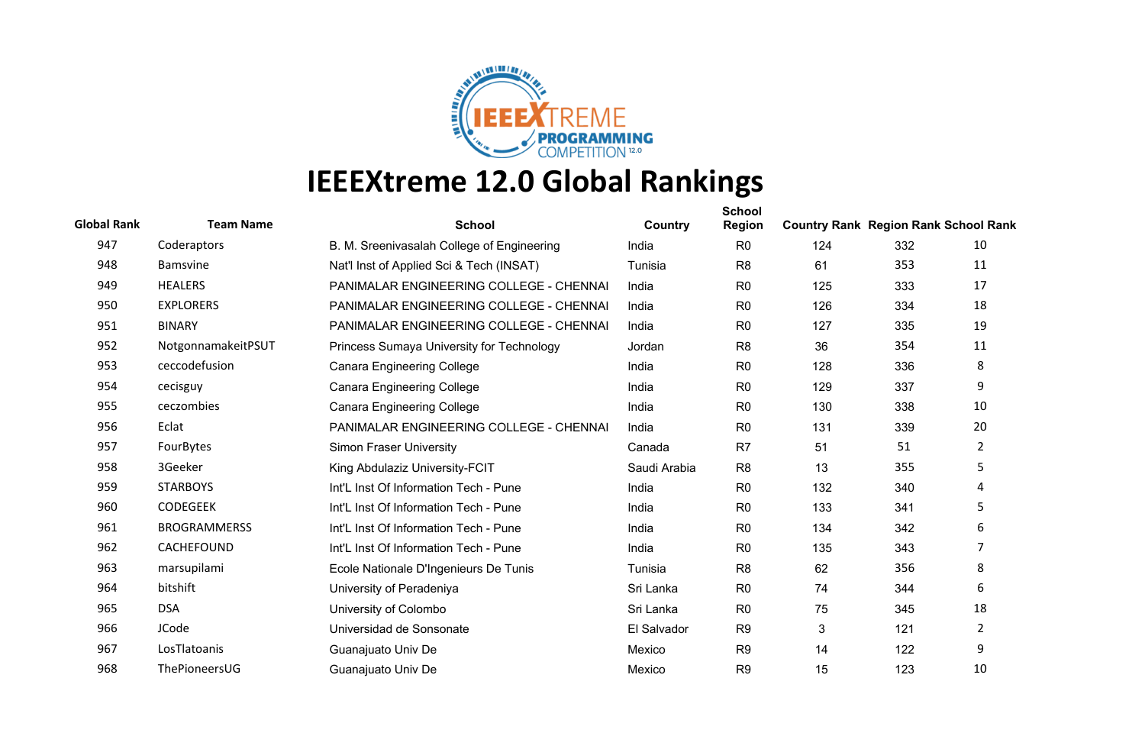

| <b>Global Rank</b> | <b>Team Name</b>    | <b>School</b>                              | Country      | <b>School</b><br><b>Region</b> | <b>Country Rank Region Rank School Rank</b> |     |                |
|--------------------|---------------------|--------------------------------------------|--------------|--------------------------------|---------------------------------------------|-----|----------------|
| 947                | Coderaptors         | B. M. Sreenivasalah College of Engineering | India        | R <sub>0</sub>                 | 124                                         | 332 | 10             |
| 948                | <b>Bamsvine</b>     | Nat'l Inst of Applied Sci & Tech (INSAT)   | Tunisia      | R <sub>8</sub>                 | 61                                          | 353 | 11             |
| 949                | <b>HEALERS</b>      | PANIMALAR ENGINEERING COLLEGE - CHENNAI    | India        | R <sub>0</sub>                 | 125                                         | 333 | 17             |
| 950                | <b>EXPLORERS</b>    | PANIMALAR ENGINEERING COLLEGE - CHENNAI    | India        | R <sub>0</sub>                 | 126                                         | 334 | 18             |
| 951                | <b>BINARY</b>       | PANIMALAR ENGINEERING COLLEGE - CHENNAI    | India        | R <sub>0</sub>                 | 127                                         | 335 | 19             |
| 952                | NotgonnamakeitPSUT  | Princess Sumaya University for Technology  | Jordan       | R <sub>8</sub>                 | 36                                          | 354 | 11             |
| 953                | ceccodefusion       | <b>Canara Engineering College</b>          | India        | R <sub>0</sub>                 | 128                                         | 336 | 8              |
| 954                | cecisguy            | <b>Canara Engineering College</b>          | India        | R <sub>0</sub>                 | 129                                         | 337 | 9              |
| 955                | ceczombies          | <b>Canara Engineering College</b>          | India        | R <sub>0</sub>                 | 130                                         | 338 | 10             |
| 956                | Eclat               | PANIMALAR ENGINEERING COLLEGE - CHENNAI    | India        | R <sub>0</sub>                 | 131                                         | 339 | 20             |
| 957                | FourBytes           | <b>Simon Fraser University</b>             | Canada       | R <sub>7</sub>                 | 51                                          | 51  | $\overline{2}$ |
| 958                | 3Geeker             | King Abdulaziz University-FCIT             | Saudi Arabia | R <sub>8</sub>                 | 13                                          | 355 | 5              |
| 959                | <b>STARBOYS</b>     | Int'L Inst Of Information Tech - Pune      | India        | R <sub>0</sub>                 | 132                                         | 340 | 4              |
| 960                | <b>CODEGEEK</b>     | Int'L Inst Of Information Tech - Pune      | India        | R <sub>0</sub>                 | 133                                         | 341 | 5              |
| 961                | <b>BROGRAMMERSS</b> | Int'L Inst Of Information Tech - Pune      | India        | R <sub>0</sub>                 | 134                                         | 342 | 6              |
| 962                | CACHEFOUND          | Int'L Inst Of Information Tech - Pune      | India        | R <sub>0</sub>                 | 135                                         | 343 | $\overline{7}$ |
| 963                | marsupilami         | Ecole Nationale D'Ingenieurs De Tunis      | Tunisia      | R <sub>8</sub>                 | 62                                          | 356 | 8              |
| 964                | bitshift            | University of Peradeniya                   | Sri Lanka    | R <sub>0</sub>                 | 74                                          | 344 | 6              |
| 965                | <b>DSA</b>          | University of Colombo                      | Sri Lanka    | R <sub>0</sub>                 | 75                                          | 345 | 18             |
| 966                | JCode               | Universidad de Sonsonate                   | El Salvador  | R <sub>9</sub>                 | 3                                           | 121 | $\overline{2}$ |
| 967                | LosTlatoanis        | Guanajuato Univ De                         | Mexico       | R <sub>9</sub>                 | 14                                          | 122 | 9              |
| 968                | ThePioneersUG       | Guanajuato Univ De                         | Mexico       | R <sub>9</sub>                 | 15                                          | 123 | 10             |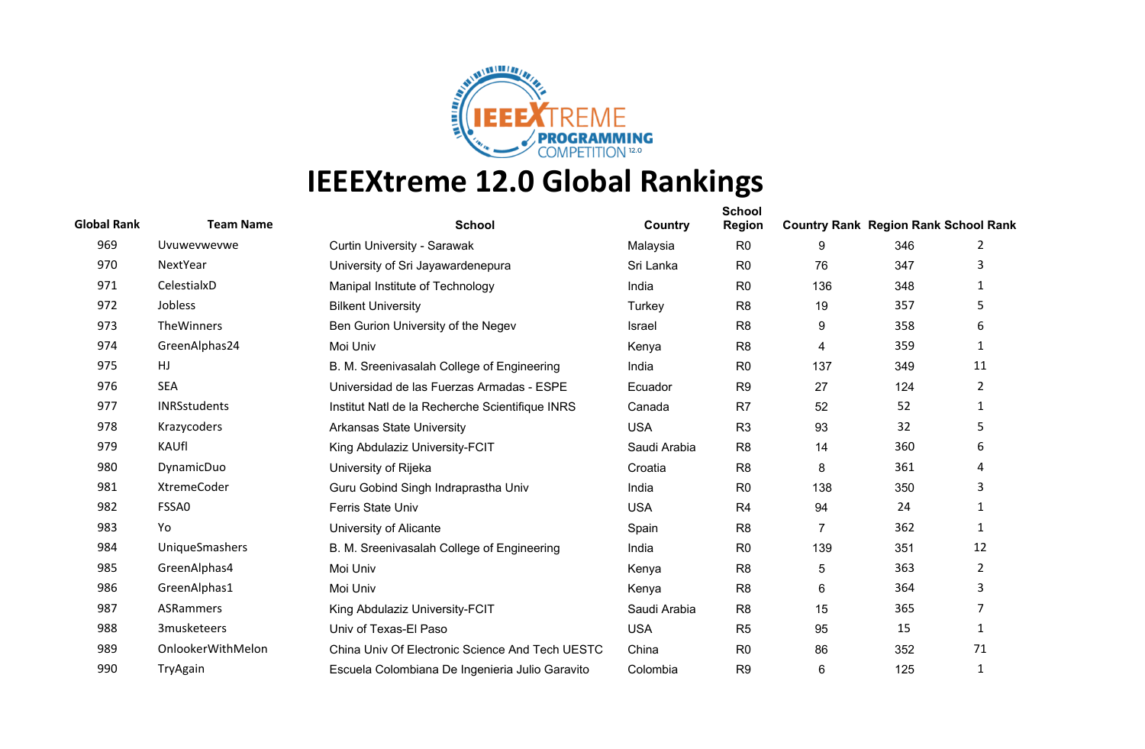

| <b>Global Rank</b> | <b>Team Name</b>    | <b>School</b>                                   | Country      | <b>School</b><br>Region | <b>Country Rank Region Rank School Rank</b> |     |                |
|--------------------|---------------------|-------------------------------------------------|--------------|-------------------------|---------------------------------------------|-----|----------------|
| 969                | Uvuwevwevwe         | Curtin University - Sarawak                     | Malaysia     | R <sub>0</sub>          | 9                                           | 346 | 2              |
| 970                | NextYear            | University of Sri Jayawardenepura               | Sri Lanka    | R <sub>0</sub>          | 76                                          | 347 | 3              |
| 971                | CelestialxD         | Manipal Institute of Technology                 | India        | R <sub>0</sub>          | 136                                         | 348 | $\mathbf{1}$   |
| 972                | Jobless             | <b>Bilkent University</b>                       | Turkey       | R <sub>8</sub>          | 19                                          | 357 | 5              |
| 973                | TheWinners          | Ben Gurion University of the Negev              | Israel       | R <sub>8</sub>          | 9                                           | 358 | 6              |
| 974                | GreenAlphas24       | Moi Univ                                        | Kenya        | R <sub>8</sub>          | 4                                           | 359 | 1              |
| 975                | HJ                  | B. M. Sreenivasalah College of Engineering      | India        | R <sub>0</sub>          | 137                                         | 349 | 11             |
| 976                | <b>SEA</b>          | Universidad de las Fuerzas Armadas - ESPE       | Ecuador      | R <sub>9</sub>          | 27                                          | 124 | $\overline{2}$ |
| 977                | <b>INRSstudents</b> | Institut Natl de la Recherche Scientifique INRS | Canada       | R <sub>7</sub>          | 52                                          | 52  | 1              |
| 978                | Krazycoders         | <b>Arkansas State University</b>                | <b>USA</b>   | R <sub>3</sub>          | 93                                          | 32  | 5              |
| 979                | KAUfl               | King Abdulaziz University-FCIT                  | Saudi Arabia | R <sub>8</sub>          | 14                                          | 360 | 6              |
| 980                | DynamicDuo          | University of Rijeka                            | Croatia      | R <sub>8</sub>          | 8                                           | 361 | 4              |
| 981                | <b>XtremeCoder</b>  | Guru Gobind Singh Indraprastha Univ             | India        | R <sub>0</sub>          | 138                                         | 350 | 3              |
| 982                | FSSA0               | Ferris State Univ                               | <b>USA</b>   | R <sub>4</sub>          | 94                                          | 24  | 1              |
| 983                | Yo                  | University of Alicante                          | Spain        | R <sub>8</sub>          | 7                                           | 362 | 1              |
| 984                | UniqueSmashers      | B. M. Sreenivasalah College of Engineering      | India        | R <sub>0</sub>          | 139                                         | 351 | 12             |
| 985                | GreenAlphas4        | Moi Univ                                        | Kenya        | R <sub>8</sub>          | 5                                           | 363 | $\overline{2}$ |
| 986                | GreenAlphas1        | Moi Univ                                        | Kenya        | R <sub>8</sub>          | 6                                           | 364 | 3              |
| 987                | <b>ASRammers</b>    | King Abdulaziz University-FCIT                  | Saudi Arabia | R <sub>8</sub>          | 15                                          | 365 | 7              |
| 988                | 3musketeers         | Univ of Texas-El Paso                           | <b>USA</b>   | R <sub>5</sub>          | 95                                          | 15  | 1              |
| 989                | OnlookerWithMelon   | China Univ Of Electronic Science And Tech UESTC | China        | R <sub>0</sub>          | 86                                          | 352 | 71             |
| 990                | TryAgain            | Escuela Colombiana De Ingenieria Julio Garavito | Colombia     | R <sub>9</sub>          | 6                                           | 125 | 1              |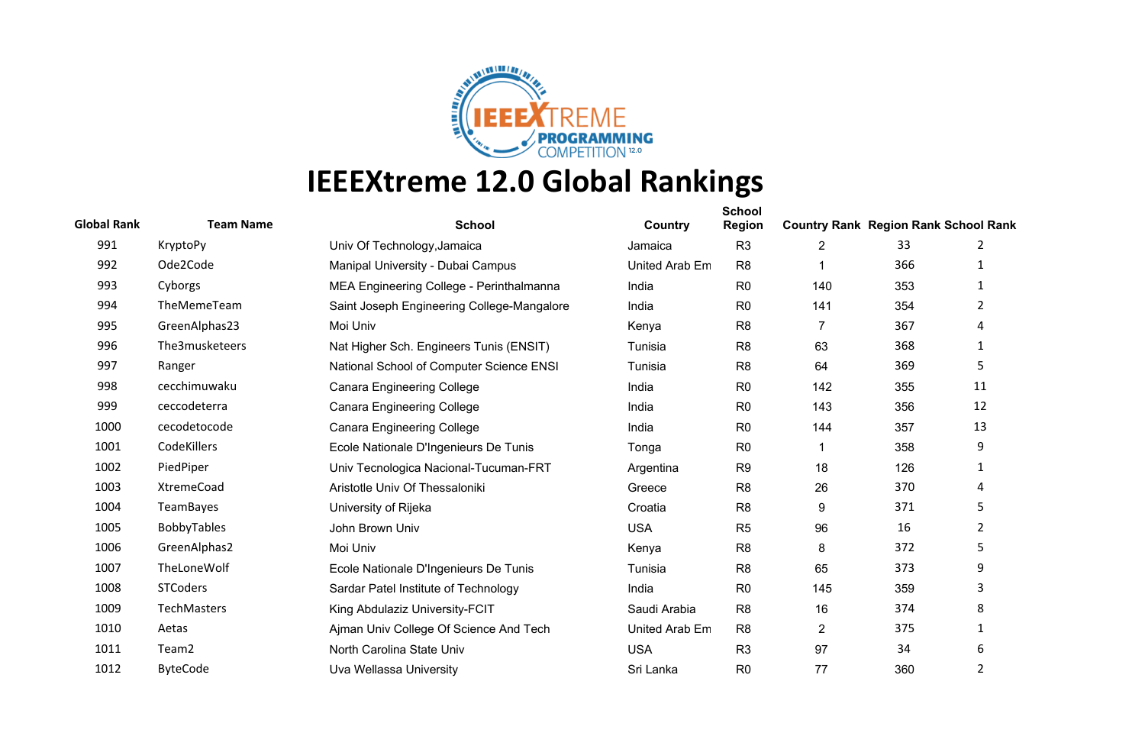

| <b>Global Rank</b> | <b>Team Name</b>   | <b>School</b>                              | Country        | <b>School</b><br><b>Region</b> | <b>Country Rank Region Rank School Rank</b> |     |                |
|--------------------|--------------------|--------------------------------------------|----------------|--------------------------------|---------------------------------------------|-----|----------------|
| 991                | KryptoPy           | Univ Of Technology, Jamaica                | Jamaica        | R <sub>3</sub>                 | 2                                           | 33  | 2              |
| 992                | Ode2Code           | Manipal University - Dubai Campus          | United Arab Em | R <sub>8</sub>                 |                                             | 366 | 1              |
| 993                | Cyborgs            | MEA Engineering College - Perinthalmanna   | India          | R <sub>0</sub>                 | 140                                         | 353 | 1              |
| 994                | TheMemeTeam        | Saint Joseph Engineering College-Mangalore | India          | R <sub>0</sub>                 | 141                                         | 354 | $\overline{2}$ |
| 995                | GreenAlphas23      | Moi Univ                                   | Kenya          | R <sub>8</sub>                 | $\overline{7}$                              | 367 | 4              |
| 996                | The3musketeers     | Nat Higher Sch. Engineers Tunis (ENSIT)    | Tunisia        | R <sub>8</sub>                 | 63                                          | 368 | 1              |
| 997                | Ranger             | National School of Computer Science ENSI   | Tunisia        | R <sub>8</sub>                 | 64                                          | 369 | 5              |
| 998                | cecchimuwaku       | <b>Canara Engineering College</b>          | India          | R <sub>0</sub>                 | 142                                         | 355 | 11             |
| 999                | ceccodeterra       | <b>Canara Engineering College</b>          | India          | R <sub>0</sub>                 | 143                                         | 356 | 12             |
| 1000               | cecodetocode       | <b>Canara Engineering College</b>          | India          | R <sub>0</sub>                 | 144                                         | 357 | 13             |
| 1001               | CodeKillers        | Ecole Nationale D'Ingenieurs De Tunis      | Tonga          | R <sub>0</sub>                 |                                             | 358 | 9              |
| 1002               | PiedPiper          | Univ Tecnologica Nacional-Tucuman-FRT      | Argentina      | R <sub>9</sub>                 | 18                                          | 126 | 1              |
| 1003               | XtremeCoad         | Aristotle Univ Of Thessaloniki             | Greece         | R <sub>8</sub>                 | 26                                          | 370 | 4              |
| 1004               | <b>TeamBayes</b>   | University of Rijeka                       | Croatia        | R <sub>8</sub>                 | 9                                           | 371 | 5              |
| 1005               | <b>BobbyTables</b> | John Brown Univ                            | <b>USA</b>     | R <sub>5</sub>                 | 96                                          | 16  | $\overline{2}$ |
| 1006               | GreenAlphas2       | Moi Univ                                   | Kenya          | R <sub>8</sub>                 | 8                                           | 372 | 5              |
| 1007               | TheLoneWolf        | Ecole Nationale D'Ingenieurs De Tunis      | Tunisia        | R <sub>8</sub>                 | 65                                          | 373 | 9              |
| 1008               | <b>STCoders</b>    | Sardar Patel Institute of Technology       | India          | R <sub>0</sub>                 | 145                                         | 359 | 3              |
| 1009               | TechMasters        | King Abdulaziz University-FCIT             | Saudi Arabia   | R <sub>8</sub>                 | 16                                          | 374 | 8              |
| 1010               | Aetas              | Ajman Univ College Of Science And Tech     | United Arab Em | R <sub>8</sub>                 | $\overline{2}$                              | 375 | $\mathbf{1}$   |
| 1011               | Team <sub>2</sub>  | North Carolina State Univ                  | <b>USA</b>     | R <sub>3</sub>                 | 97                                          | 34  | 6              |
| 1012               | <b>ByteCode</b>    | Uva Wellassa University                    | Sri Lanka      | R <sub>0</sub>                 | 77                                          | 360 | $\overline{2}$ |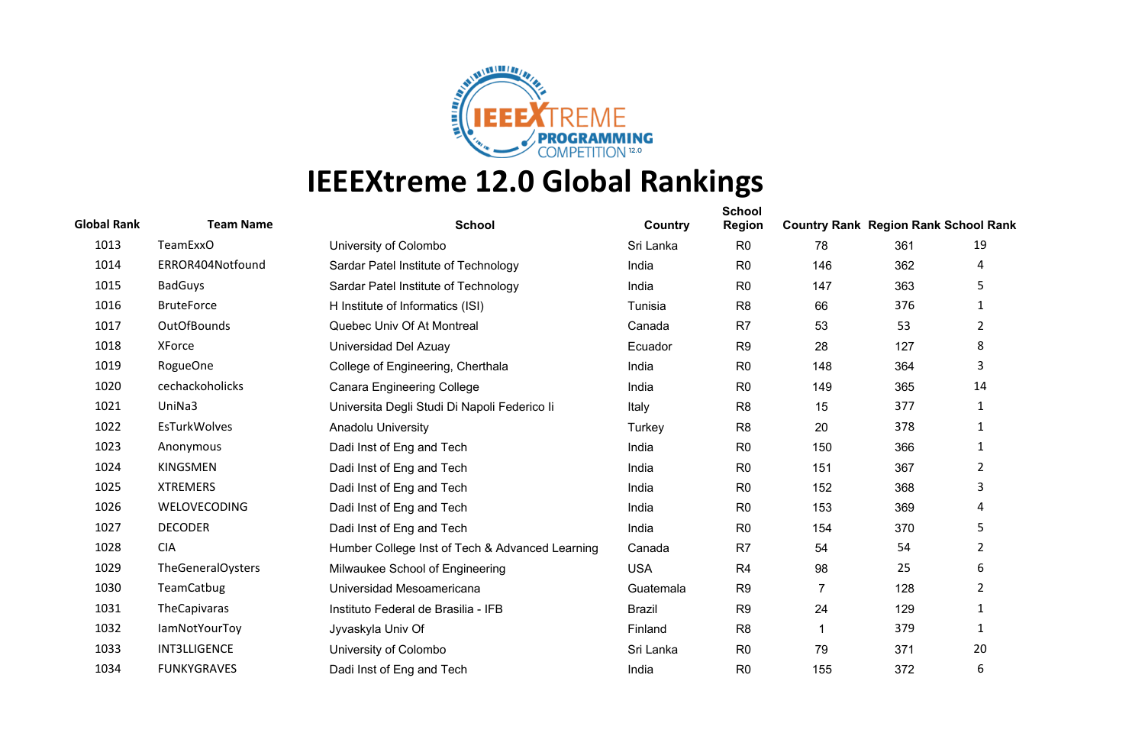

| <b>Global Rank</b> | <b>Team Name</b>         | <b>School</b>                                   | Country       | <b>School</b><br><b>Region</b> | <b>Country Rank Region Rank School Rank</b> |     |                |
|--------------------|--------------------------|-------------------------------------------------|---------------|--------------------------------|---------------------------------------------|-----|----------------|
| 1013               | <b>TeamExxO</b>          | University of Colombo                           | Sri Lanka     | R <sub>0</sub>                 | 78                                          | 361 | 19             |
| 1014               | ERROR404Notfound         | Sardar Patel Institute of Technology            | India         | R <sub>0</sub>                 | 146                                         | 362 | 4              |
| 1015               | <b>BadGuys</b>           | Sardar Patel Institute of Technology            | India         | R <sub>0</sub>                 | 147                                         | 363 | 5.             |
| 1016               | <b>BruteForce</b>        | H Institute of Informatics (ISI)                | Tunisia       | R <sub>8</sub>                 | 66                                          | 376 | 1              |
| 1017               | <b>OutOfBounds</b>       | Quebec Univ Of At Montreal                      | Canada        | R <sub>7</sub>                 | 53                                          | 53  | $\overline{2}$ |
| 1018               | XForce                   | Universidad Del Azuay                           | Ecuador       | R <sub>9</sub>                 | 28                                          | 127 | 8              |
| 1019               | RogueOne                 | College of Engineering, Cherthala               | India         | R <sub>0</sub>                 | 148                                         | 364 | 3              |
| 1020               | cechackoholicks          | <b>Canara Engineering College</b>               | India         | R <sub>0</sub>                 | 149                                         | 365 | 14             |
| 1021               | UniNa3                   | Universita Degli Studi Di Napoli Federico li    | Italy         | R <sub>8</sub>                 | 15                                          | 377 | 1              |
| 1022               | EsTurkWolves             | Anadolu University                              | Turkey        | R <sub>8</sub>                 | 20                                          | 378 | $\mathbf{1}$   |
| 1023               | Anonymous                | Dadi Inst of Eng and Tech                       | India         | R <sub>0</sub>                 | 150                                         | 366 | 1              |
| 1024               | <b>KINGSMEN</b>          | Dadi Inst of Eng and Tech                       | India         | R <sub>0</sub>                 | 151                                         | 367 | $\overline{2}$ |
| 1025               | <b>XTREMERS</b>          | Dadi Inst of Eng and Tech                       | India         | R <sub>0</sub>                 | 152                                         | 368 | 3              |
| 1026               | WELOVECODING             | Dadi Inst of Eng and Tech                       | India         | R <sub>0</sub>                 | 153                                         | 369 | 4              |
| 1027               | <b>DECODER</b>           | Dadi Inst of Eng and Tech                       | India         | R <sub>0</sub>                 | 154                                         | 370 | 5              |
| 1028               | <b>CIA</b>               | Humber College Inst of Tech & Advanced Learning | Canada        | R <sub>7</sub>                 | 54                                          | 54  | $\overline{2}$ |
| 1029               | <b>TheGeneralOysters</b> | Milwaukee School of Engineering                 | <b>USA</b>    | R <sub>4</sub>                 | 98                                          | 25  | 6              |
| 1030               | TeamCatbug               | Universidad Mesoamericana                       | Guatemala     | R <sub>9</sub>                 | $\overline{7}$                              | 128 | $\overline{2}$ |
| 1031               | TheCapivaras             | Instituto Federal de Brasilia - IFB             | <b>Brazil</b> | R <sub>9</sub>                 | 24                                          | 129 | $\mathbf{1}$   |
| 1032               | <b>lamNotYourToy</b>     | Jyvaskyla Univ Of                               | Finland       | R <sub>8</sub>                 |                                             | 379 | 1              |
| 1033               | <b>INT3LLIGENCE</b>      | University of Colombo                           | Sri Lanka     | R <sub>0</sub>                 | 79                                          | 371 | 20             |
| 1034               | <b>FUNKYGRAVES</b>       | Dadi Inst of Eng and Tech                       | India         | R <sub>0</sub>                 | 155                                         | 372 | 6              |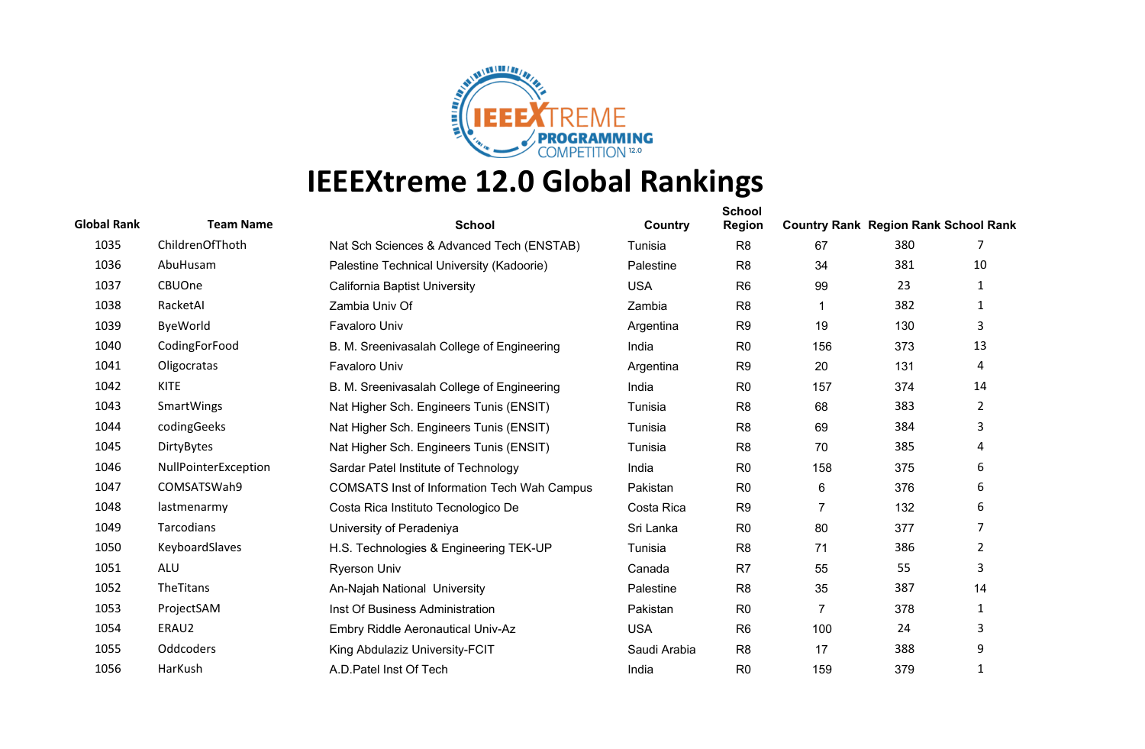

| <b>Global Rank</b> | <b>Team Name</b>     | <b>School</b>                                      | Country      | <b>School</b><br><b>Region</b> | <b>Country Rank Region Rank School Rank</b> |     |                |
|--------------------|----------------------|----------------------------------------------------|--------------|--------------------------------|---------------------------------------------|-----|----------------|
| 1035               | ChildrenOfThoth      | Nat Sch Sciences & Advanced Tech (ENSTAB)          | Tunisia      | R <sub>8</sub>                 | 67                                          | 380 |                |
| 1036               | AbuHusam             | Palestine Technical University (Kadoorie)          | Palestine    | R <sub>8</sub>                 | 34                                          | 381 | 10             |
| 1037               | CBUOne               | <b>California Baptist University</b>               | <b>USA</b>   | R <sub>6</sub>                 | 99                                          | 23  | 1              |
| 1038               | RacketAI             | Zambia Univ Of                                     | Zambia       | R <sub>8</sub>                 | -1                                          | 382 | 1              |
| 1039               | ByeWorld             | Favaloro Univ                                      | Argentina    | R <sub>9</sub>                 | 19                                          | 130 | 3              |
| 1040               | CodingForFood        | B. M. Sreenivasalah College of Engineering         | India        | R <sub>0</sub>                 | 156                                         | 373 | 13             |
| 1041               | Oligocratas          | Favaloro Univ                                      | Argentina    | R <sub>9</sub>                 | 20                                          | 131 | 4              |
| 1042               | <b>KITE</b>          | B. M. Sreenivasalah College of Engineering         | India        | R <sub>0</sub>                 | 157                                         | 374 | 14             |
| 1043               | <b>SmartWings</b>    | Nat Higher Sch. Engineers Tunis (ENSIT)            | Tunisia      | R <sub>8</sub>                 | 68                                          | 383 | $\mathbf{2}$   |
| 1044               | codingGeeks          | Nat Higher Sch. Engineers Tunis (ENSIT)            | Tunisia      | R <sub>8</sub>                 | 69                                          | 384 | 3              |
| 1045               | DirtyBytes           | Nat Higher Sch. Engineers Tunis (ENSIT)            | Tunisia      | R <sub>8</sub>                 | 70                                          | 385 | 4              |
| 1046               | NullPointerException | Sardar Patel Institute of Technology               | India        | R <sub>0</sub>                 | 158                                         | 375 | 6              |
| 1047               | COMSATSWah9          | <b>COMSATS Inst of Information Tech Wah Campus</b> | Pakistan     | R <sub>0</sub>                 | 6                                           | 376 | 6              |
| 1048               | lastmenarmy          | Costa Rica Instituto Tecnologico De                | Costa Rica   | R <sub>9</sub>                 | $\overline{7}$                              | 132 | 6              |
| 1049               | Tarcodians           | University of Peradeniya                           | Sri Lanka    | R <sub>0</sub>                 | 80                                          | 377 | 7              |
| 1050               | KeyboardSlaves       | H.S. Technologies & Engineering TEK-UP             | Tunisia      | R <sub>8</sub>                 | 71                                          | 386 | $\overline{2}$ |
| 1051               | <b>ALU</b>           | <b>Ryerson Univ</b>                                | Canada       | R <sub>7</sub>                 | 55                                          | 55  | 3              |
| 1052               | TheTitans            | An-Najah National University                       | Palestine    | R <sub>8</sub>                 | 35                                          | 387 | 14             |
| 1053               | ProjectSAM           | Inst Of Business Administration                    | Pakistan     | R <sub>0</sub>                 | $\overline{7}$                              | 378 | $\mathbf{1}$   |
| 1054               | ERAU2                | Embry Riddle Aeronautical Univ-Az                  | <b>USA</b>   | R <sub>6</sub>                 | 100                                         | 24  | 3              |
| 1055               | <b>Oddcoders</b>     | King Abdulaziz University-FCIT                     | Saudi Arabia | R <sub>8</sub>                 | 17                                          | 388 | 9              |
| 1056               | HarKush              | A.D.Patel Inst Of Tech                             | India        | R <sub>0</sub>                 | 159                                         | 379 | 1              |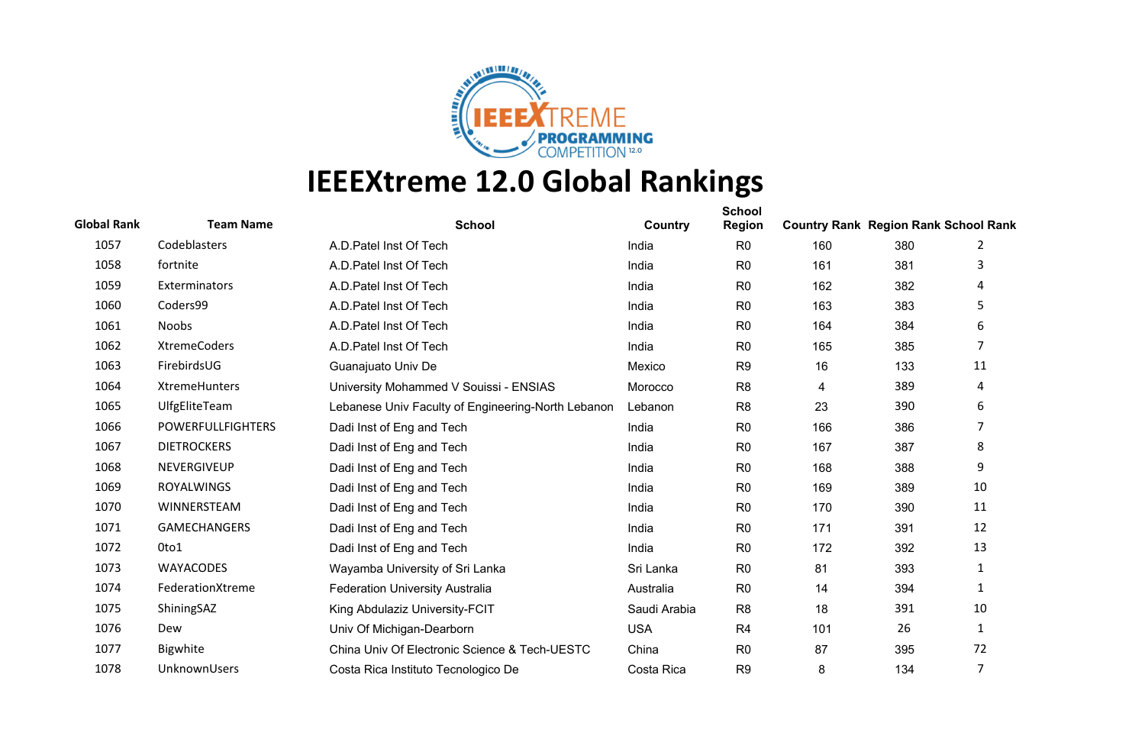

| <b>Global Rank</b> | <b>Team Name</b>         | <b>School</b>                                      | Country      | <b>School</b><br><b>Region</b> | <b>Country Rank Region Rank School Rank</b> |     |                |
|--------------------|--------------------------|----------------------------------------------------|--------------|--------------------------------|---------------------------------------------|-----|----------------|
| 1057               | Codeblasters             | A.D. Patel Inst Of Tech                            | India        | R <sub>0</sub>                 | 160                                         | 380 | 2              |
| 1058               | fortnite                 | A.D. Patel Inst Of Tech                            | India        | R <sub>0</sub>                 | 161                                         | 381 | 3              |
| 1059               | Exterminators            | A.D. Patel Inst Of Tech                            | India        | R <sub>0</sub>                 | 162                                         | 382 | 4              |
| 1060               | Coders99                 | A.D. Patel Inst Of Tech                            | India        | R <sub>0</sub>                 | 163                                         | 383 | 5              |
| 1061               | Noobs                    | A.D. Patel Inst Of Tech                            | India        | R <sub>0</sub>                 | 164                                         | 384 | 6              |
| 1062               | <b>XtremeCoders</b>      | A.D. Patel Inst Of Tech                            | India        | R <sub>0</sub>                 | 165                                         | 385 | 7              |
| 1063               | FirebirdsUG              | Guanajuato Univ De                                 | Mexico       | R <sub>9</sub>                 | 16                                          | 133 | 11             |
| 1064               | XtremeHunters            | University Mohammed V Souissi - ENSIAS             | Morocco      | R <sub>8</sub>                 | 4                                           | 389 | 4              |
| 1065               | UlfgEliteTeam            | Lebanese Univ Faculty of Engineering-North Lebanon | Lebanon      | R <sub>8</sub>                 | 23                                          | 390 | 6              |
| 1066               | <b>POWERFULLFIGHTERS</b> | Dadi Inst of Eng and Tech                          | India        | R <sub>0</sub>                 | 166                                         | 386 | $\overline{7}$ |
| 1067               | <b>DIETROCKERS</b>       | Dadi Inst of Eng and Tech                          | India        | R <sub>0</sub>                 | 167                                         | 387 | 8              |
| 1068               | NEVERGIVEUP              | Dadi Inst of Eng and Tech                          | India        | R <sub>0</sub>                 | 168                                         | 388 | 9              |
| 1069               | <b>ROYALWINGS</b>        | Dadi Inst of Eng and Tech                          | India        | R <sub>0</sub>                 | 169                                         | 389 | 10             |
| 1070               | WINNERSTEAM              | Dadi Inst of Eng and Tech                          | India        | R <sub>0</sub>                 | 170                                         | 390 | 11             |
| 1071               | <b>GAMECHANGERS</b>      | Dadi Inst of Eng and Tech                          | India        | R <sub>0</sub>                 | 171                                         | 391 | 12             |
| 1072               | 0to1                     | Dadi Inst of Eng and Tech                          | India        | R <sub>0</sub>                 | 172                                         | 392 | 13             |
| 1073               | <b>WAYACODES</b>         | Wayamba University of Sri Lanka                    | Sri Lanka    | R <sub>0</sub>                 | 81                                          | 393 | 1              |
| 1074               | FederationXtreme         | <b>Federation University Australia</b>             | Australia    | R <sub>0</sub>                 | 14                                          | 394 | $\mathbf{1}$   |
| 1075               | ShiningSAZ               | King Abdulaziz University-FCIT                     | Saudi Arabia | R <sub>8</sub>                 | 18                                          | 391 | 10             |
| 1076               | Dew                      | Univ Of Michigan-Dearborn                          | <b>USA</b>   | R <sub>4</sub>                 | 101                                         | 26  | $\mathbf{1}$   |
| 1077               | Bigwhite                 | China Univ Of Electronic Science & Tech-UESTC      | China        | R <sub>0</sub>                 | 87                                          | 395 | 72             |
| 1078               | UnknownUsers             | Costa Rica Instituto Tecnologico De                | Costa Rica   | R <sub>9</sub>                 | 8                                           | 134 | 7              |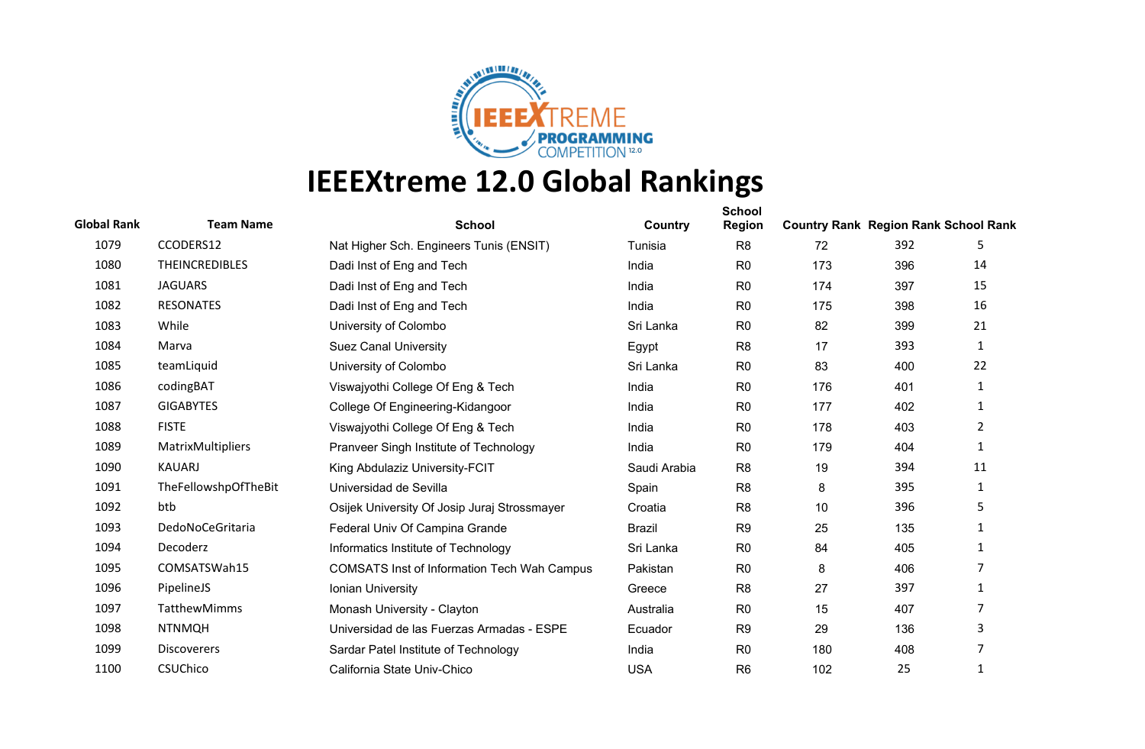

| <b>Global Rank</b> | <b>Team Name</b>      | <b>School</b>                                      | Country       | <b>School</b><br><b>Region</b> | <b>Country Rank Region Rank School Rank</b> |     |                |
|--------------------|-----------------------|----------------------------------------------------|---------------|--------------------------------|---------------------------------------------|-----|----------------|
| 1079               | CCODERS12             | Nat Higher Sch. Engineers Tunis (ENSIT)            | Tunisia       | R <sub>8</sub>                 | 72                                          | 392 | 5              |
| 1080               | <b>THEINCREDIBLES</b> | Dadi Inst of Eng and Tech                          | India         | R <sub>0</sub>                 | 173                                         | 396 | 14             |
| 1081               | <b>JAGUARS</b>        | Dadi Inst of Eng and Tech                          | India         | R <sub>0</sub>                 | 174                                         | 397 | 15             |
| 1082               | <b>RESONATES</b>      | Dadi Inst of Eng and Tech                          | India         | R <sub>0</sub>                 | 175                                         | 398 | 16             |
| 1083               | While                 | University of Colombo                              | Sri Lanka     | R <sub>0</sub>                 | 82                                          | 399 | 21             |
| 1084               | Marva                 | <b>Suez Canal University</b>                       | Egypt         | R <sub>8</sub>                 | 17                                          | 393 | 1              |
| 1085               | teamLiquid            | University of Colombo                              | Sri Lanka     | R <sub>0</sub>                 | 83                                          | 400 | 22             |
| 1086               | codingBAT             | Viswajyothi College Of Eng & Tech                  | India         | R <sub>0</sub>                 | 176                                         | 401 | 1              |
| 1087               | <b>GIGABYTES</b>      | College Of Engineering-Kidangoor                   | India         | R <sub>0</sub>                 | 177                                         | 402 | $\mathbf{1}$   |
| 1088               | <b>FISTE</b>          | Viswajyothi College Of Eng & Tech                  | India         | R <sub>0</sub>                 | 178                                         | 403 | $\overline{2}$ |
| 1089               | MatrixMultipliers     | Pranveer Singh Institute of Technology             | India         | R <sub>0</sub>                 | 179                                         | 404 | $\mathbf{1}$   |
| 1090               | KAUARJ                | King Abdulaziz University-FCIT                     | Saudi Arabia  | R <sub>8</sub>                 | 19                                          | 394 | 11             |
| 1091               | TheFellowshpOfTheBit  | Universidad de Sevilla                             | Spain         | R <sub>8</sub>                 | 8                                           | 395 | 1              |
| 1092               | btb                   | Osijek University Of Josip Juraj Strossmayer       | Croatia       | R <sub>8</sub>                 | 10                                          | 396 | 5              |
| 1093               | DedoNoCeGritaria      | Federal Univ Of Campina Grande                     | <b>Brazil</b> | R <sub>9</sub>                 | 25                                          | 135 | 1              |
| 1094               | Decoderz              | Informatics Institute of Technology                | Sri Lanka     | R <sub>0</sub>                 | 84                                          | 405 | 1              |
| 1095               | COMSATSWah15          | <b>COMSATS Inst of Information Tech Wah Campus</b> | Pakistan      | R <sub>0</sub>                 | 8                                           | 406 | 7              |
| 1096               | PipelineJS            | Ionian University                                  | Greece        | R <sub>8</sub>                 | 27                                          | 397 | 1              |
| 1097               | <b>TatthewMimms</b>   | Monash University - Clayton                        | Australia     | R <sub>0</sub>                 | 15                                          | 407 | 7              |
| 1098               | <b>NTNMQH</b>         | Universidad de las Fuerzas Armadas - ESPE          | Ecuador       | R <sub>9</sub>                 | 29                                          | 136 | 3              |
| 1099               | <b>Discoverers</b>    | Sardar Patel Institute of Technology               | India         | R <sub>0</sub>                 | 180                                         | 408 | 7              |
| 1100               | CSUChico              | California State Univ-Chico                        | <b>USA</b>    | R <sub>6</sub>                 | 102                                         | 25  | 1              |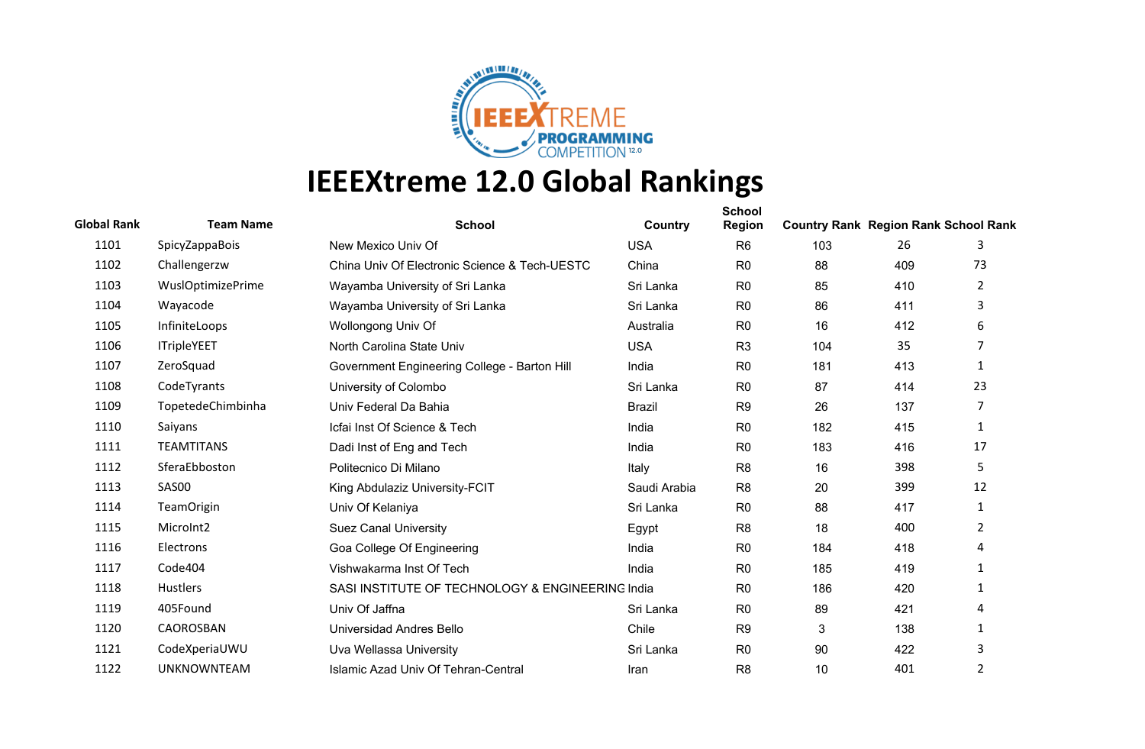

| <b>Global Rank</b> | <b>Team Name</b>         | <b>School</b>                                    | Country       | <b>School</b><br><b>Region</b> | <b>Country Rank Region Rank School Rank</b> |     |                |
|--------------------|--------------------------|--------------------------------------------------|---------------|--------------------------------|---------------------------------------------|-----|----------------|
| 1101               | SpicyZappaBois           | New Mexico Univ Of                               | <b>USA</b>    | R <sub>6</sub>                 | 103                                         | 26  | 3              |
| 1102               | Challengerzw             | China Univ Of Electronic Science & Tech-UESTC    | China         | R <sub>0</sub>                 | 88                                          | 409 | 73             |
| 1103               | <b>WuslOptimizePrime</b> | Wayamba University of Sri Lanka                  | Sri Lanka     | R <sub>0</sub>                 | 85                                          | 410 | $\overline{2}$ |
| 1104               | Wayacode                 | Wayamba University of Sri Lanka                  | Sri Lanka     | R <sub>0</sub>                 | 86                                          | 411 | 3              |
| 1105               | InfiniteLoops            | Wollongong Univ Of                               | Australia     | R <sub>0</sub>                 | 16                                          | 412 | 6              |
| 1106               | <b>ITripleYEET</b>       | North Carolina State Univ                        | <b>USA</b>    | R <sub>3</sub>                 | 104                                         | 35  | 7              |
| 1107               | ZeroSquad                | Government Engineering College - Barton Hill     | India         | R <sub>0</sub>                 | 181                                         | 413 | 1              |
| 1108               | CodeTyrants              | University of Colombo                            | Sri Lanka     | R <sub>0</sub>                 | 87                                          | 414 | 23             |
| 1109               | TopetedeChimbinha        | Univ Federal Da Bahia                            | <b>Brazil</b> | R <sub>9</sub>                 | 26                                          | 137 | 7              |
| 1110               | Saiyans                  | Icfai Inst Of Science & Tech                     | India         | R <sub>0</sub>                 | 182                                         | 415 | 1              |
| 1111               | <b>TEAMTITANS</b>        | Dadi Inst of Eng and Tech                        | India         | R <sub>0</sub>                 | 183                                         | 416 | 17             |
| 1112               | SferaEbboston            | Politecnico Di Milano                            | Italy         | R <sub>8</sub>                 | 16                                          | 398 | 5              |
| 1113               | SAS00                    | King Abdulaziz University-FCIT                   | Saudi Arabia  | R <sub>8</sub>                 | 20                                          | 399 | 12             |
| 1114               | <b>TeamOrigin</b>        | Univ Of Kelaniya                                 | Sri Lanka     | R <sub>0</sub>                 | 88                                          | 417 | $\mathbf{1}$   |
| 1115               | MicroInt2                | <b>Suez Canal University</b>                     | Egypt         | R <sub>8</sub>                 | 18                                          | 400 | $\overline{2}$ |
| 1116               | Electrons                | Goa College Of Engineering                       | India         | R <sub>0</sub>                 | 184                                         | 418 | 4              |
| 1117               | Code404                  | Vishwakarma Inst Of Tech                         | India         | R <sub>0</sub>                 | 185                                         | 419 | 1              |
| 1118               | Hustlers                 | SASI INSTITUTE OF TECHNOLOGY & ENGINEERING India |               | R <sub>0</sub>                 | 186                                         | 420 | 1              |
| 1119               | 405Found                 | Univ Of Jaffna                                   | Sri Lanka     | R <sub>0</sub>                 | 89                                          | 421 | 4              |
| 1120               | CAOROSBAN                | Universidad Andres Bello                         | Chile         | R <sub>9</sub>                 | 3                                           | 138 | 1              |
| 1121               | CodeXperiaUWU            | Uva Wellassa University                          | Sri Lanka     | R <sub>0</sub>                 | 90                                          | 422 | 3              |
| 1122               | <b>UNKNOWNTEAM</b>       | <b>Islamic Azad Univ Of Tehran-Central</b>       | Iran          | R <sub>8</sub>                 | 10                                          | 401 | 2              |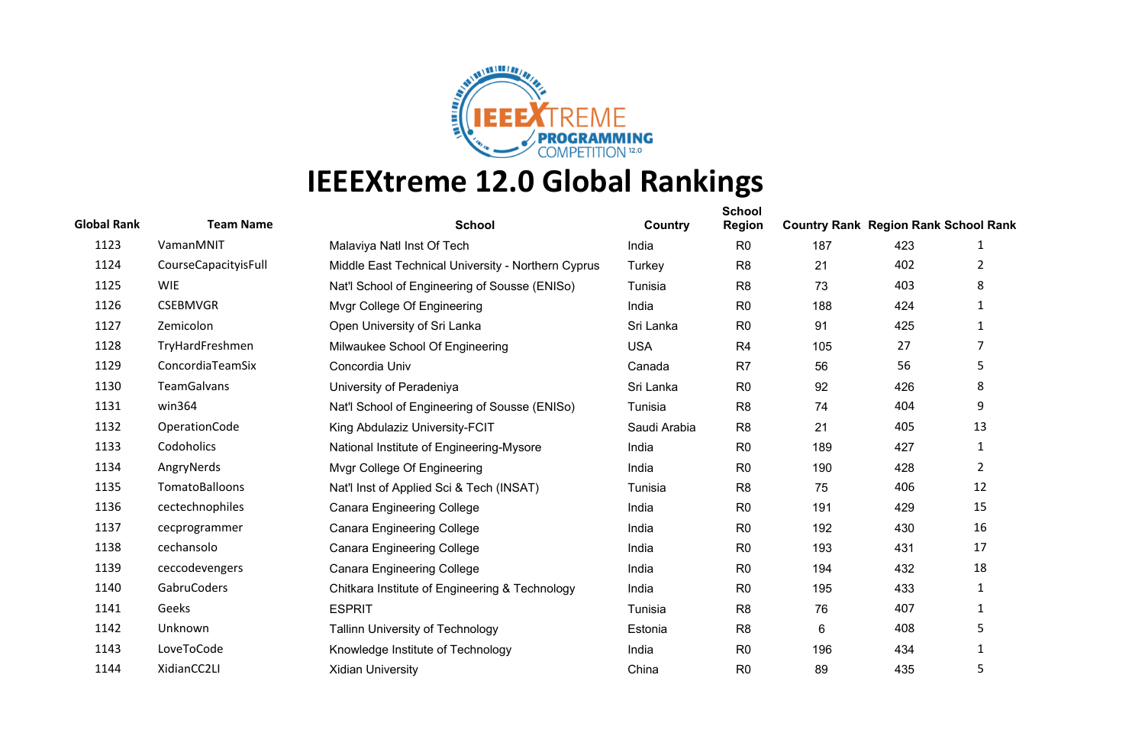

| <b>Global Rank</b> | <b>Team Name</b>     | <b>School</b>                                      | Country      | <b>School</b><br><b>Region</b> | <b>Country Rank Region Rank School Rank</b> |     |                |
|--------------------|----------------------|----------------------------------------------------|--------------|--------------------------------|---------------------------------------------|-----|----------------|
| 1123               | VamanMNIT            | Malaviya Natl Inst Of Tech                         | India        | R <sub>0</sub>                 | 187                                         | 423 | 1              |
| 1124               | CourseCapacityisFull | Middle East Technical University - Northern Cyprus | Turkey       | R <sub>8</sub>                 | 21                                          | 402 | 2              |
| 1125               | <b>WIE</b>           | Nat'l School of Engineering of Sousse (ENISo)      | Tunisia      | R <sub>8</sub>                 | 73                                          | 403 | 8              |
| 1126               | <b>CSEBMVGR</b>      | Mvgr College Of Engineering                        | India        | R <sub>0</sub>                 | 188                                         | 424 | 1              |
| 1127               | Zemicolon            | Open University of Sri Lanka                       | Sri Lanka    | R <sub>0</sub>                 | 91                                          | 425 | $\mathbf{1}$   |
| 1128               | TryHardFreshmen      | Milwaukee School Of Engineering                    | <b>USA</b>   | R <sub>4</sub>                 | 105                                         | 27  | 7              |
| 1129               | ConcordiaTeamSix     | Concordia Univ                                     | Canada       | R <sub>7</sub>                 | 56                                          | 56  | 5              |
| 1130               | <b>TeamGalvans</b>   | University of Peradeniya                           | Sri Lanka    | R <sub>0</sub>                 | 92                                          | 426 | 8              |
| 1131               | win364               | Nat'l School of Engineering of Sousse (ENISo)      | Tunisia      | R <sub>8</sub>                 | 74                                          | 404 | 9              |
| 1132               | OperationCode        | King Abdulaziz University-FCIT                     | Saudi Arabia | R <sub>8</sub>                 | 21                                          | 405 | 13             |
| 1133               | Codoholics           | National Institute of Engineering-Mysore           | India        | R <sub>0</sub>                 | 189                                         | 427 | 1              |
| 1134               | AngryNerds           | Mvgr College Of Engineering                        | India        | R <sub>0</sub>                 | 190                                         | 428 | $\overline{2}$ |
| 1135               | TomatoBalloons       | Nat'l Inst of Applied Sci & Tech (INSAT)           | Tunisia      | R <sub>8</sub>                 | 75                                          | 406 | 12             |
| 1136               | cectechnophiles      | <b>Canara Engineering College</b>                  | India        | R <sub>0</sub>                 | 191                                         | 429 | 15             |
| 1137               | cecprogrammer        | <b>Canara Engineering College</b>                  | India        | R <sub>0</sub>                 | 192                                         | 430 | 16             |
| 1138               | cechansolo           | <b>Canara Engineering College</b>                  | India        | R <sub>0</sub>                 | 193                                         | 431 | 17             |
| 1139               | ceccodevengers       | <b>Canara Engineering College</b>                  | India        | R <sub>0</sub>                 | 194                                         | 432 | 18             |
| 1140               | GabruCoders          | Chitkara Institute of Engineering & Technology     | India        | R <sub>0</sub>                 | 195                                         | 433 | 1              |
| 1141               | Geeks                | <b>ESPRIT</b>                                      | Tunisia      | R <sub>8</sub>                 | 76                                          | 407 | 1              |
| 1142               | Unknown              | Tallinn University of Technology                   | Estonia      | R <sub>8</sub>                 | 6                                           | 408 | 5              |
| 1143               | LoveToCode           | Knowledge Institute of Technology                  | India        | R <sub>0</sub>                 | 196                                         | 434 | 1              |
| 1144               | XidianCC2LI          | <b>Xidian University</b>                           | China        | R <sub>0</sub>                 | 89                                          | 435 | 5              |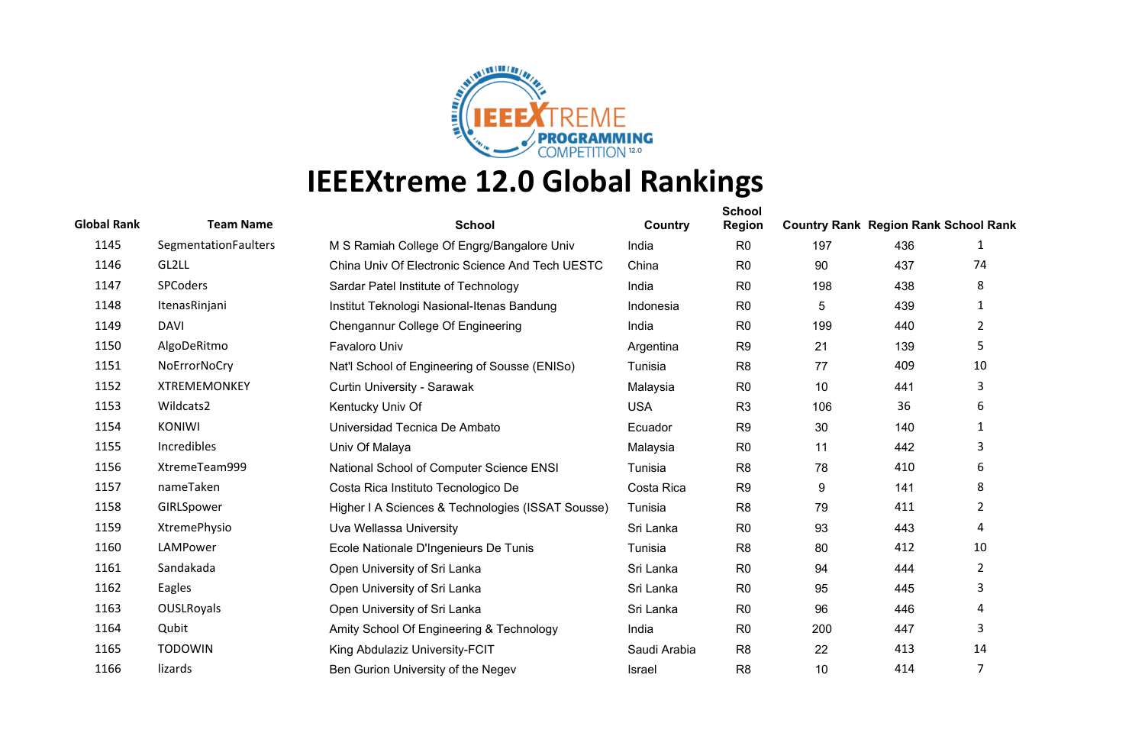

| <b>Global Rank</b> | <b>Team Name</b>     | <b>School</b>                                     | Country      | <b>School</b><br>Region | <b>Country Rank Region Rank School Rank</b> |     |                |
|--------------------|----------------------|---------------------------------------------------|--------------|-------------------------|---------------------------------------------|-----|----------------|
| 1145               | SegmentationFaulters | M S Ramiah College Of Engrg/Bangalore Univ        | India        | R <sub>0</sub>          | 197                                         | 436 | 1              |
| 1146               | GL2LL                | China Univ Of Electronic Science And Tech UESTC   | China        | R <sub>0</sub>          | 90                                          | 437 | 74             |
| 1147               | SPCoders             | Sardar Patel Institute of Technology              | India        | R <sub>0</sub>          | 198                                         | 438 | 8              |
| 1148               | ItenasRinjani        | Institut Teknologi Nasional-Itenas Bandung        | Indonesia    | R <sub>0</sub>          | $\sqrt{5}$                                  | 439 | $\mathbf{1}$   |
| 1149               | <b>DAVI</b>          | Chengannur College Of Engineering                 | India        | R <sub>0</sub>          | 199                                         | 440 | $\overline{2}$ |
| 1150               | AlgoDeRitmo          | Favaloro Univ                                     | Argentina    | R <sub>9</sub>          | 21                                          | 139 | 5              |
| 1151               | NoErrorNoCry         | Nat'l School of Engineering of Sousse (ENISo)     | Tunisia      | R <sub>8</sub>          | 77                                          | 409 | 10             |
| 1152               | <b>XTREMEMONKEY</b>  | Curtin University - Sarawak                       | Malaysia     | R <sub>0</sub>          | 10                                          | 441 | 3              |
| 1153               | Wildcats2            | Kentucky Univ Of                                  | <b>USA</b>   | R <sub>3</sub>          | 106                                         | 36  | 6              |
| 1154               | <b>KONIWI</b>        | Universidad Tecnica De Ambato                     | Ecuador      | R <sub>9</sub>          | 30                                          | 140 | 1              |
| 1155               | Incredibles          | Univ Of Malaya                                    | Malaysia     | R <sub>0</sub>          | 11                                          | 442 | 3              |
| 1156               | XtremeTeam999        | National School of Computer Science ENSI          | Tunisia      | R <sub>8</sub>          | 78                                          | 410 | 6              |
| 1157               | nameTaken            | Costa Rica Instituto Tecnologico De               | Costa Rica   | R <sub>9</sub>          | 9                                           | 141 | 8              |
| 1158               | GIRLSpower           | Higher I A Sciences & Technologies (ISSAT Sousse) | Tunisia      | R <sub>8</sub>          | 79                                          | 411 | $\overline{2}$ |
| 1159               | XtremePhysio         | Uva Wellassa University                           | Sri Lanka    | R <sub>0</sub>          | 93                                          | 443 | 4              |
| 1160               | LAMPower             | Ecole Nationale D'Ingenieurs De Tunis             | Tunisia      | R <sub>8</sub>          | 80                                          | 412 | 10             |
| 1161               | Sandakada            | Open University of Sri Lanka                      | Sri Lanka    | R <sub>0</sub>          | 94                                          | 444 | $\overline{2}$ |
| 1162               | Eagles               | Open University of Sri Lanka                      | Sri Lanka    | R <sub>0</sub>          | 95                                          | 445 | 3              |
| 1163               | OUSLRoyals           | Open University of Sri Lanka                      | Sri Lanka    | R <sub>0</sub>          | 96                                          | 446 | 4              |
| 1164               | Qubit                | Amity School Of Engineering & Technology          | India        | R <sub>0</sub>          | 200                                         | 447 | 3              |
| 1165               | <b>TODOWIN</b>       | King Abdulaziz University-FCIT                    | Saudi Arabia | R <sub>8</sub>          | 22                                          | 413 | 14             |
| 1166               | lizards              | Ben Gurion University of the Negev                | Israel       | R <sub>8</sub>          | 10                                          | 414 | 7              |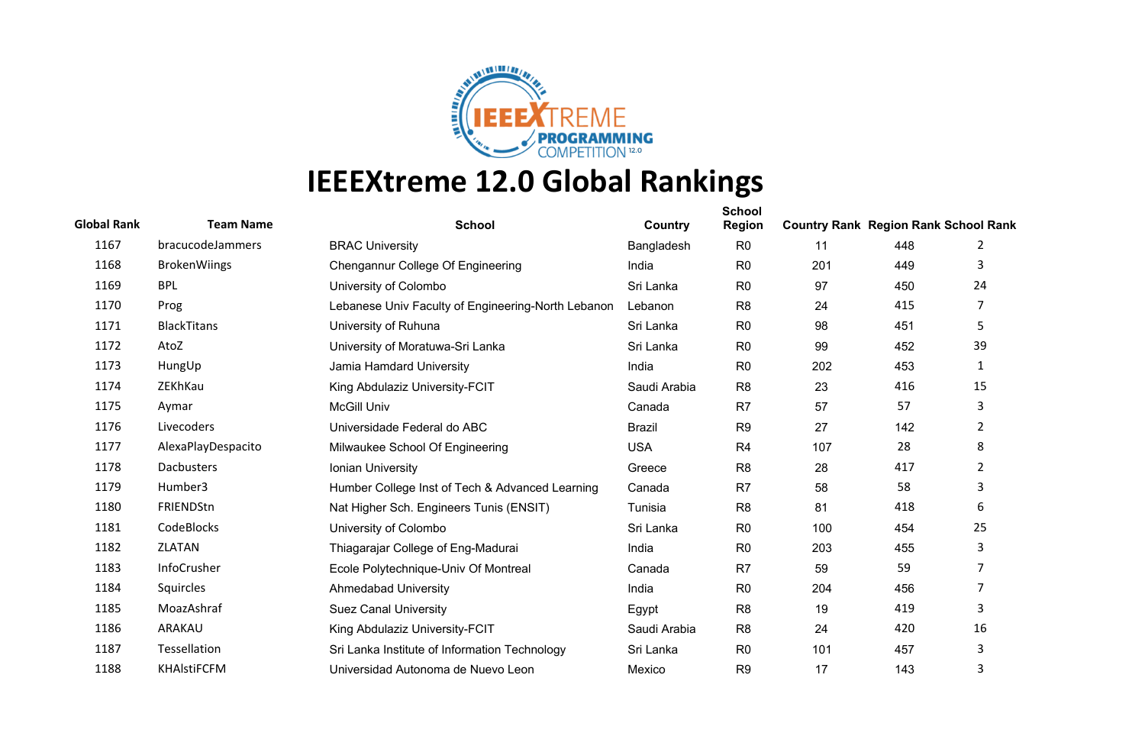

| <b>Global Rank</b> | <b>Team Name</b>    | <b>School</b>                                      | Country       | <b>School</b><br><b>Region</b> | <b>Country Rank Region Rank School Rank</b> |     |                |
|--------------------|---------------------|----------------------------------------------------|---------------|--------------------------------|---------------------------------------------|-----|----------------|
| 1167               | bracucodeJammers    | <b>BRAC University</b>                             | Bangladesh    | R <sub>0</sub>                 | 11                                          | 448 | 2              |
| 1168               | <b>BrokenWiings</b> | Chengannur College Of Engineering                  | India         | R <sub>0</sub>                 | 201                                         | 449 | 3              |
| 1169               | <b>BPL</b>          | University of Colombo                              | Sri Lanka     | R <sub>0</sub>                 | 97                                          | 450 | 24             |
| 1170               | Prog                | Lebanese Univ Faculty of Engineering-North Lebanon | Lebanon       | R <sub>8</sub>                 | 24                                          | 415 | 7              |
| 1171               | <b>BlackTitans</b>  | University of Ruhuna                               | Sri Lanka     | R <sub>0</sub>                 | 98                                          | 451 | 5              |
| 1172               | AtoZ                | University of Moratuwa-Sri Lanka                   | Sri Lanka     | R <sub>0</sub>                 | 99                                          | 452 | 39             |
| 1173               | HungUp              | Jamia Hamdard University                           | India         | R <sub>0</sub>                 | 202                                         | 453 | $\mathbf{1}$   |
| 1174               | ZEKhKau             | King Abdulaziz University-FCIT                     | Saudi Arabia  | R <sub>8</sub>                 | 23                                          | 416 | 15             |
| 1175               | Aymar               | <b>McGill Univ</b>                                 | Canada        | R7                             | 57                                          | 57  | 3              |
| 1176               | Livecoders          | Universidade Federal do ABC                        | <b>Brazil</b> | R <sub>9</sub>                 | 27                                          | 142 | $\overline{2}$ |
| 1177               | AlexaPlayDespacito  | Milwaukee School Of Engineering                    | <b>USA</b>    | R <sub>4</sub>                 | 107                                         | 28  | 8              |
| 1178               | Dacbusters          | Ionian University                                  | Greece        | R <sub>8</sub>                 | 28                                          | 417 | $\overline{2}$ |
| 1179               | Humber3             | Humber College Inst of Tech & Advanced Learning    | Canada        | R <sub>7</sub>                 | 58                                          | 58  | 3              |
| 1180               | FRIENDStn           | Nat Higher Sch. Engineers Tunis (ENSIT)            | Tunisia       | R <sub>8</sub>                 | 81                                          | 418 | 6              |
| 1181               | CodeBlocks          | University of Colombo                              | Sri Lanka     | R <sub>0</sub>                 | 100                                         | 454 | 25             |
| 1182               | <b>ZLATAN</b>       | Thiagarajar College of Eng-Madurai                 | India         | R <sub>0</sub>                 | 203                                         | 455 | 3              |
| 1183               | <b>InfoCrusher</b>  | Ecole Polytechnique-Univ Of Montreal               | Canada        | R <sub>7</sub>                 | 59                                          | 59  | 7              |
| 1184               | Squircles           | <b>Ahmedabad University</b>                        | India         | R <sub>0</sub>                 | 204                                         | 456 | 7              |
| 1185               | MoazAshraf          | <b>Suez Canal University</b>                       | Egypt         | R <sub>8</sub>                 | 19                                          | 419 | 3              |
| 1186               | ARAKAU              | King Abdulaziz University-FCIT                     | Saudi Arabia  | R <sub>8</sub>                 | 24                                          | 420 | 16             |
| 1187               | Tessellation        | Sri Lanka Institute of Information Technology      | Sri Lanka     | R <sub>0</sub>                 | 101                                         | 457 | 3              |
| 1188               | <b>KHAIstiFCFM</b>  | Universidad Autonoma de Nuevo Leon                 | Mexico        | R <sub>9</sub>                 | 17                                          | 143 | 3              |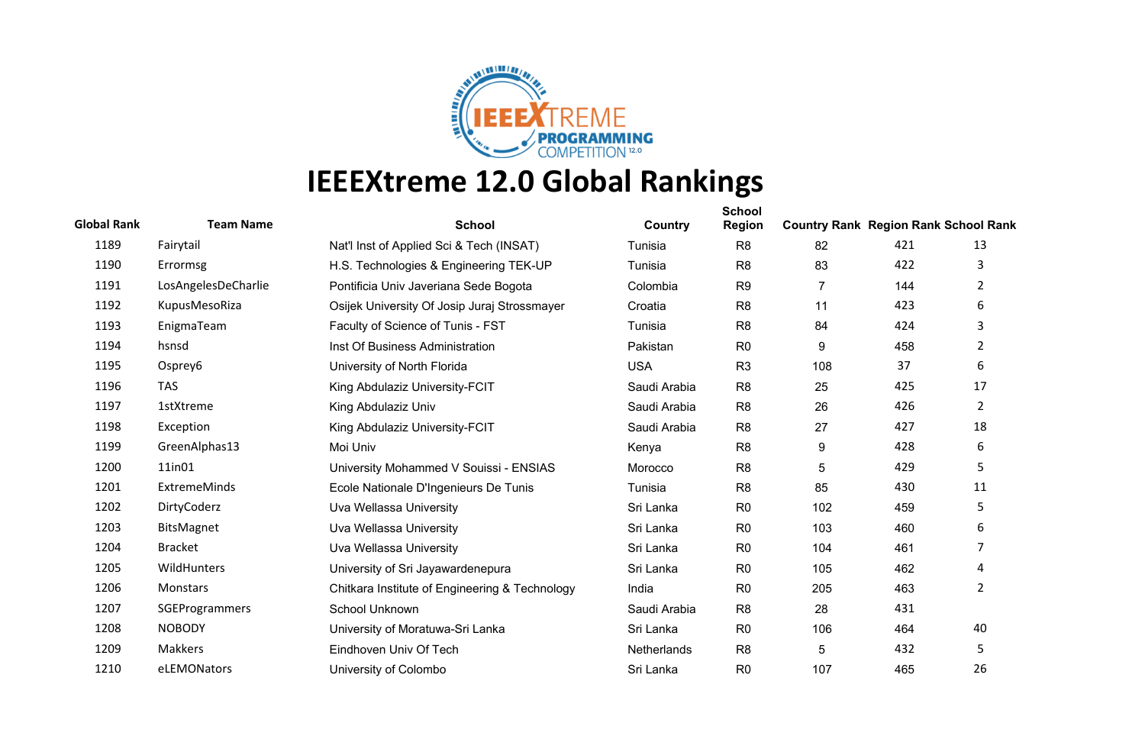

| <b>Global Rank</b> | <b>Team Name</b>    | <b>School</b>                                  | Country            | <b>School</b><br><b>Region</b> | <b>Country Rank Region Rank School Rank</b> |     |                |
|--------------------|---------------------|------------------------------------------------|--------------------|--------------------------------|---------------------------------------------|-----|----------------|
| 1189               | Fairytail           | Nat'l Inst of Applied Sci & Tech (INSAT)       | Tunisia            | R <sub>8</sub>                 | 82                                          | 421 | 13             |
| 1190               | Errormsg            | H.S. Technologies & Engineering TEK-UP         | Tunisia            | R <sub>8</sub>                 | 83                                          | 422 | 3              |
| 1191               | LosAngelesDeCharlie | Pontificia Univ Javeriana Sede Bogota          | Colombia           | R <sub>9</sub>                 | $\overline{7}$                              | 144 | 2              |
| 1192               | KupusMesoRiza       | Osijek University Of Josip Juraj Strossmayer   | Croatia            | R <sub>8</sub>                 | 11                                          | 423 | 6              |
| 1193               | EnigmaTeam          | Faculty of Science of Tunis - FST              | Tunisia            | R <sub>8</sub>                 | 84                                          | 424 | 3              |
| 1194               | hsnsd               | Inst Of Business Administration                | Pakistan           | R <sub>0</sub>                 | 9                                           | 458 | $\overline{2}$ |
| 1195               | Osprey6             | University of North Florida                    | <b>USA</b>         | R <sub>3</sub>                 | 108                                         | 37  | 6              |
| 1196               | <b>TAS</b>          | King Abdulaziz University-FCIT                 | Saudi Arabia       | R <sub>8</sub>                 | 25                                          | 425 | 17             |
| 1197               | <b>1stXtreme</b>    | King Abdulaziz Univ                            | Saudi Arabia       | R <sub>8</sub>                 | 26                                          | 426 | $\overline{2}$ |
| 1198               | Exception           | King Abdulaziz University-FCIT                 | Saudi Arabia       | R <sub>8</sub>                 | 27                                          | 427 | 18             |
| 1199               | GreenAlphas13       | Moi Univ                                       | Kenya              | R <sub>8</sub>                 | 9                                           | 428 | 6              |
| 1200               | 11in01              | University Mohammed V Souissi - ENSIAS         | Morocco            | R <sub>8</sub>                 | 5                                           | 429 | 5              |
| 1201               | <b>ExtremeMinds</b> | Ecole Nationale D'Ingenieurs De Tunis          | Tunisia            | R <sub>8</sub>                 | 85                                          | 430 | 11             |
| 1202               | DirtyCoderz         | Uva Wellassa University                        | Sri Lanka          | R <sub>0</sub>                 | 102                                         | 459 | 5              |
| 1203               | BitsMagnet          | Uva Wellassa University                        | Sri Lanka          | R <sub>0</sub>                 | 103                                         | 460 | 6              |
| 1204               | <b>Bracket</b>      | Uva Wellassa University                        | Sri Lanka          | R <sub>0</sub>                 | 104                                         | 461 | 7              |
| 1205               | WildHunters         | University of Sri Jayawardenepura              | Sri Lanka          | R <sub>0</sub>                 | 105                                         | 462 | 4              |
| 1206               | Monstars            | Chitkara Institute of Engineering & Technology | India              | R <sub>0</sub>                 | 205                                         | 463 | $\overline{2}$ |
| 1207               | SGEProgrammers      | School Unknown                                 | Saudi Arabia       | R <sub>8</sub>                 | 28                                          | 431 |                |
| 1208               | <b>NOBODY</b>       | University of Moratuwa-Sri Lanka               | Sri Lanka          | R <sub>0</sub>                 | 106                                         | 464 | 40             |
| 1209               | Makkers             | Eindhoven Univ Of Tech                         | <b>Netherlands</b> | R <sub>8</sub>                 | 5                                           | 432 | 5              |
| 1210               | eLEMONators         | University of Colombo                          | Sri Lanka          | R <sub>0</sub>                 | 107                                         | 465 | 26             |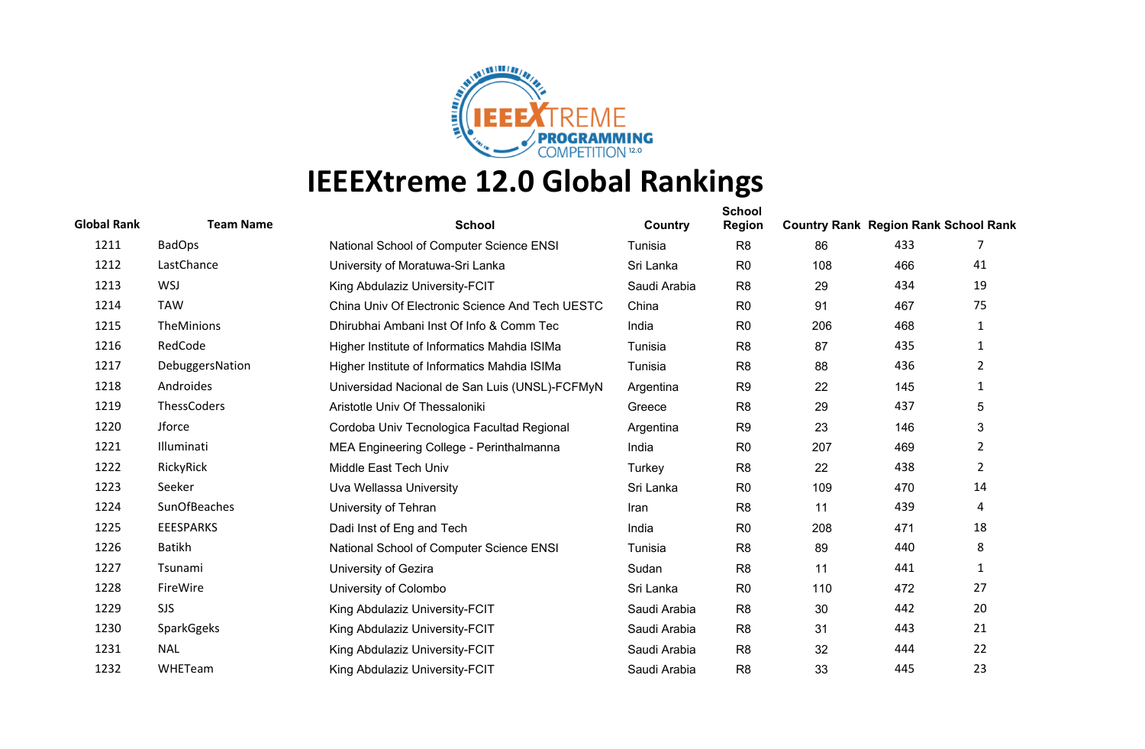

| <b>Global Rank</b> | <b>Team Name</b>   | <b>School</b>                                   | Country      | <b>School</b><br><b>Region</b> | <b>Country Rank Region Rank School Rank</b> |     |                |
|--------------------|--------------------|-------------------------------------------------|--------------|--------------------------------|---------------------------------------------|-----|----------------|
| 1211               | <b>BadOps</b>      | National School of Computer Science ENSI        | Tunisia      | R <sub>8</sub>                 | 86                                          | 433 | 7              |
| 1212               | LastChance         | University of Moratuwa-Sri Lanka                | Sri Lanka    | R <sub>0</sub>                 | 108                                         | 466 | 41             |
| 1213               | <b>WSJ</b>         | King Abdulaziz University-FCIT                  | Saudi Arabia | R <sub>8</sub>                 | 29                                          | 434 | 19             |
| 1214               | <b>TAW</b>         | China Univ Of Electronic Science And Tech UESTC | China        | R <sub>0</sub>                 | 91                                          | 467 | 75             |
| 1215               | TheMinions         | Dhirubhai Ambani Inst Of Info & Comm Tec        | India        | R <sub>0</sub>                 | 206                                         | 468 | $\mathbf{1}$   |
| 1216               | RedCode            | Higher Institute of Informatics Mahdia ISIMa    | Tunisia      | R <sub>8</sub>                 | 87                                          | 435 | $\mathbf{1}$   |
| 1217               | DebuggersNation    | Higher Institute of Informatics Mahdia ISIMa    | Tunisia      | R <sub>8</sub>                 | 88                                          | 436 | $\overline{2}$ |
| 1218               | Androides          | Universidad Nacional de San Luis (UNSL)-FCFMyN  | Argentina    | R <sub>9</sub>                 | 22                                          | 145 | 1              |
| 1219               | <b>ThessCoders</b> | Aristotle Univ Of Thessaloniki                  | Greece       | R <sub>8</sub>                 | 29                                          | 437 | 5              |
| 1220               | Jforce             | Cordoba Univ Tecnologica Facultad Regional      | Argentina    | R <sub>9</sub>                 | 23                                          | 146 | 3              |
| 1221               | Illuminati         | MEA Engineering College - Perinthalmanna        | India        | R <sub>0</sub>                 | 207                                         | 469 | $\overline{2}$ |
| 1222               | RickyRick          | Middle East Tech Univ                           | Turkey       | R <sub>8</sub>                 | 22                                          | 438 | $\overline{2}$ |
| 1223               | Seeker             | Uva Wellassa University                         | Sri Lanka    | R <sub>0</sub>                 | 109                                         | 470 | 14             |
| 1224               | SunOfBeaches       | University of Tehran                            | Iran         | R <sub>8</sub>                 | 11                                          | 439 | 4              |
| 1225               | <b>EEESPARKS</b>   | Dadi Inst of Eng and Tech                       | India        | R <sub>0</sub>                 | 208                                         | 471 | 18             |
| 1226               | <b>Batikh</b>      | National School of Computer Science ENSI        | Tunisia      | R <sub>8</sub>                 | 89                                          | 440 | 8              |
| 1227               | Tsunami            | University of Gezira                            | Sudan        | R <sub>8</sub>                 | 11                                          | 441 | 1              |
| 1228               | FireWire           | University of Colombo                           | Sri Lanka    | R <sub>0</sub>                 | 110                                         | 472 | 27             |
| 1229               | <b>SJS</b>         | King Abdulaziz University-FCIT                  | Saudi Arabia | R <sub>8</sub>                 | 30                                          | 442 | 20             |
| 1230               | SparkGgeks         | King Abdulaziz University-FCIT                  | Saudi Arabia | R <sub>8</sub>                 | 31                                          | 443 | 21             |
| 1231               | <b>NAL</b>         | King Abdulaziz University-FCIT                  | Saudi Arabia | R <sub>8</sub>                 | 32                                          | 444 | 22             |
| 1232               | WHETeam            | King Abdulaziz University-FCIT                  | Saudi Arabia | R <sub>8</sub>                 | 33                                          | 445 | 23             |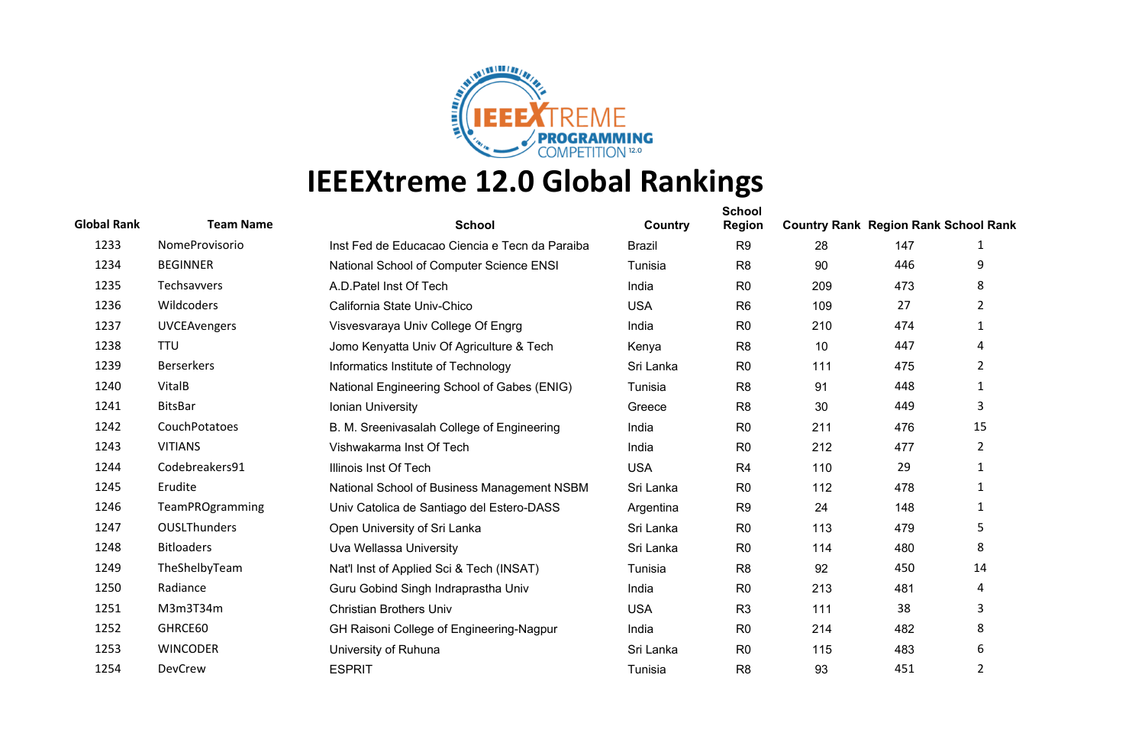

| <b>Global Rank</b> | <b>Team Name</b>    | <b>School</b>                                  | Country       | <b>School</b><br><b>Region</b> | <b>Country Rank Region Rank School Rank</b> |     |                |
|--------------------|---------------------|------------------------------------------------|---------------|--------------------------------|---------------------------------------------|-----|----------------|
| 1233               | NomeProvisorio      | Inst Fed de Educacao Ciencia e Tecn da Paraiba | <b>Brazil</b> | R <sub>9</sub>                 | 28                                          | 147 | 1              |
| 1234               | <b>BEGINNER</b>     | National School of Computer Science ENSI       | Tunisia       | R <sub>8</sub>                 | 90                                          | 446 | 9              |
| 1235               | Techsavvers         | A.D. Patel Inst Of Tech                        | India         | R <sub>0</sub>                 | 209                                         | 473 | 8              |
| 1236               | Wildcoders          | California State Univ-Chico                    | <b>USA</b>    | R <sub>6</sub>                 | 109                                         | 27  | $\overline{2}$ |
| 1237               | <b>UVCEAvengers</b> | Visvesvaraya Univ College Of Engrg             | India         | R <sub>0</sub>                 | 210                                         | 474 | 1              |
| 1238               | <b>TTU</b>          | Jomo Kenyatta Univ Of Agriculture & Tech       | Kenya         | R <sub>8</sub>                 | 10                                          | 447 | 4              |
| 1239               | <b>Berserkers</b>   | Informatics Institute of Technology            | Sri Lanka     | R <sub>0</sub>                 | 111                                         | 475 | $\overline{2}$ |
| 1240               | VitalB              | National Engineering School of Gabes (ENIG)    | Tunisia       | R <sub>8</sub>                 | 91                                          | 448 | 1              |
| 1241               | <b>BitsBar</b>      | Ionian University                              | Greece        | R <sub>8</sub>                 | 30                                          | 449 | 3              |
| 1242               | CouchPotatoes       | B. M. Sreenivasalah College of Engineering     | India         | R <sub>0</sub>                 | 211                                         | 476 | 15             |
| 1243               | <b>VITIANS</b>      | Vishwakarma Inst Of Tech                       | India         | R <sub>0</sub>                 | 212                                         | 477 | $\overline{2}$ |
| 1244               | Codebreakers91      | Illinois Inst Of Tech                          | <b>USA</b>    | R <sub>4</sub>                 | 110                                         | 29  | 1              |
| 1245               | Erudite             | National School of Business Management NSBM    | Sri Lanka     | R <sub>0</sub>                 | 112                                         | 478 | 1              |
| 1246               | TeamPROgramming     | Univ Catolica de Santiago del Estero-DASS      | Argentina     | R <sub>9</sub>                 | 24                                          | 148 | 1              |
| 1247               | <b>OUSLThunders</b> | Open University of Sri Lanka                   | Sri Lanka     | R <sub>0</sub>                 | 113                                         | 479 | 5              |
| 1248               | <b>Bitloaders</b>   | Uva Wellassa University                        | Sri Lanka     | R <sub>0</sub>                 | 114                                         | 480 | 8              |
| 1249               | TheShelbyTeam       | Nat'l Inst of Applied Sci & Tech (INSAT)       | Tunisia       | R <sub>8</sub>                 | 92                                          | 450 | 14             |
| 1250               | Radiance            | Guru Gobind Singh Indraprastha Univ            | India         | R <sub>0</sub>                 | 213                                         | 481 | 4              |
| 1251               | M3m3T34m            | <b>Christian Brothers Univ</b>                 | <b>USA</b>    | R <sub>3</sub>                 | 111                                         | 38  | 3              |
| 1252               | GHRCE60             | GH Raisoni College of Engineering-Nagpur       | India         | R <sub>0</sub>                 | 214                                         | 482 | 8              |
| 1253               | <b>WINCODER</b>     | University of Ruhuna                           | Sri Lanka     | R <sub>0</sub>                 | 115                                         | 483 | 6              |
| 1254               | DevCrew             | <b>ESPRIT</b>                                  | Tunisia       | R <sub>8</sub>                 | 93                                          | 451 | $\overline{2}$ |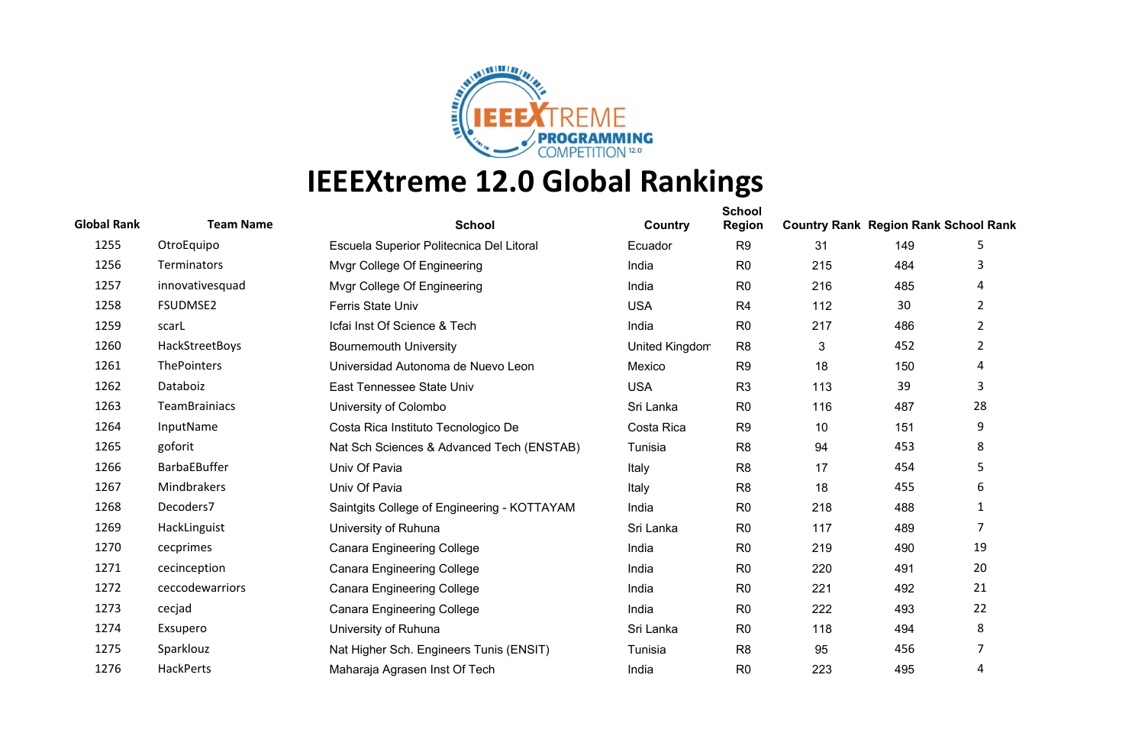

| <b>Global Rank</b> | <b>Team Name</b>     | <b>School</b>                               | Country        | <b>School</b><br><b>Region</b> | <b>Country Rank Region Rank School Rank</b> |     |                |
|--------------------|----------------------|---------------------------------------------|----------------|--------------------------------|---------------------------------------------|-----|----------------|
| 1255               | OtroEquipo           | Escuela Superior Politecnica Del Litoral    | Ecuador        | R <sub>9</sub>                 | 31                                          | 149 | 5              |
| 1256               | <b>Terminators</b>   | Mvgr College Of Engineering                 | India          | R <sub>0</sub>                 | 215                                         | 484 | 3              |
| 1257               | innovativesquad      | Mvgr College Of Engineering                 | India          | R <sub>0</sub>                 | 216                                         | 485 | 4              |
| 1258               | FSUDMSE2             | <b>Ferris State Univ</b>                    | <b>USA</b>     | R <sub>4</sub>                 | 112                                         | 30  | $\overline{2}$ |
| 1259               | scarL                | Icfai Inst Of Science & Tech                | India          | R <sub>0</sub>                 | 217                                         | 486 | $\overline{2}$ |
| 1260               | HackStreetBoys       | <b>Bournemouth University</b>               | United Kingdom | R <sub>8</sub>                 | 3                                           | 452 | $\overline{2}$ |
| 1261               | ThePointers          | Universidad Autonoma de Nuevo Leon          | Mexico         | R <sub>9</sub>                 | 18                                          | 150 | 4              |
| 1262               | Databoiz             | East Tennessee State Univ                   | <b>USA</b>     | R <sub>3</sub>                 | 113                                         | 39  | 3              |
| 1263               | <b>TeamBrainiacs</b> | University of Colombo                       | Sri Lanka      | R <sub>0</sub>                 | 116                                         | 487 | 28             |
| 1264               | InputName            | Costa Rica Instituto Tecnologico De         | Costa Rica     | R <sub>9</sub>                 | 10                                          | 151 | 9              |
| 1265               | goforit              | Nat Sch Sciences & Advanced Tech (ENSTAB)   | Tunisia        | R <sub>8</sub>                 | 94                                          | 453 | 8              |
| 1266               | <b>BarbaEBuffer</b>  | Univ Of Pavia                               | Italy          | R <sub>8</sub>                 | 17                                          | 454 | 5              |
| 1267               | Mindbrakers          | Univ Of Pavia                               | Italy          | R <sub>8</sub>                 | 18                                          | 455 | 6              |
| 1268               | Decoders7            | Saintgits College of Engineering - KOTTAYAM | India          | R <sub>0</sub>                 | 218                                         | 488 | $\mathbf{1}$   |
| 1269               | HackLinguist         | University of Ruhuna                        | Sri Lanka      | R <sub>0</sub>                 | 117                                         | 489 | $\overline{7}$ |
| 1270               | cecprimes            | <b>Canara Engineering College</b>           | India          | R <sub>0</sub>                 | 219                                         | 490 | 19             |
| 1271               | cecinception         | <b>Canara Engineering College</b>           | India          | R <sub>0</sub>                 | 220                                         | 491 | 20             |
| 1272               | ceccodewarriors      | <b>Canara Engineering College</b>           | India          | R <sub>0</sub>                 | 221                                         | 492 | 21             |
| 1273               | cecjad               | <b>Canara Engineering College</b>           | India          | R <sub>0</sub>                 | 222                                         | 493 | 22             |
| 1274               | Exsupero             | University of Ruhuna                        | Sri Lanka      | R <sub>0</sub>                 | 118                                         | 494 | 8              |
| 1275               | Sparklouz            | Nat Higher Sch. Engineers Tunis (ENSIT)     | Tunisia        | R <sub>8</sub>                 | 95                                          | 456 | 7              |
| 1276               | <b>HackPerts</b>     | Maharaja Agrasen Inst Of Tech               | India          | R <sub>0</sub>                 | 223                                         | 495 | 4              |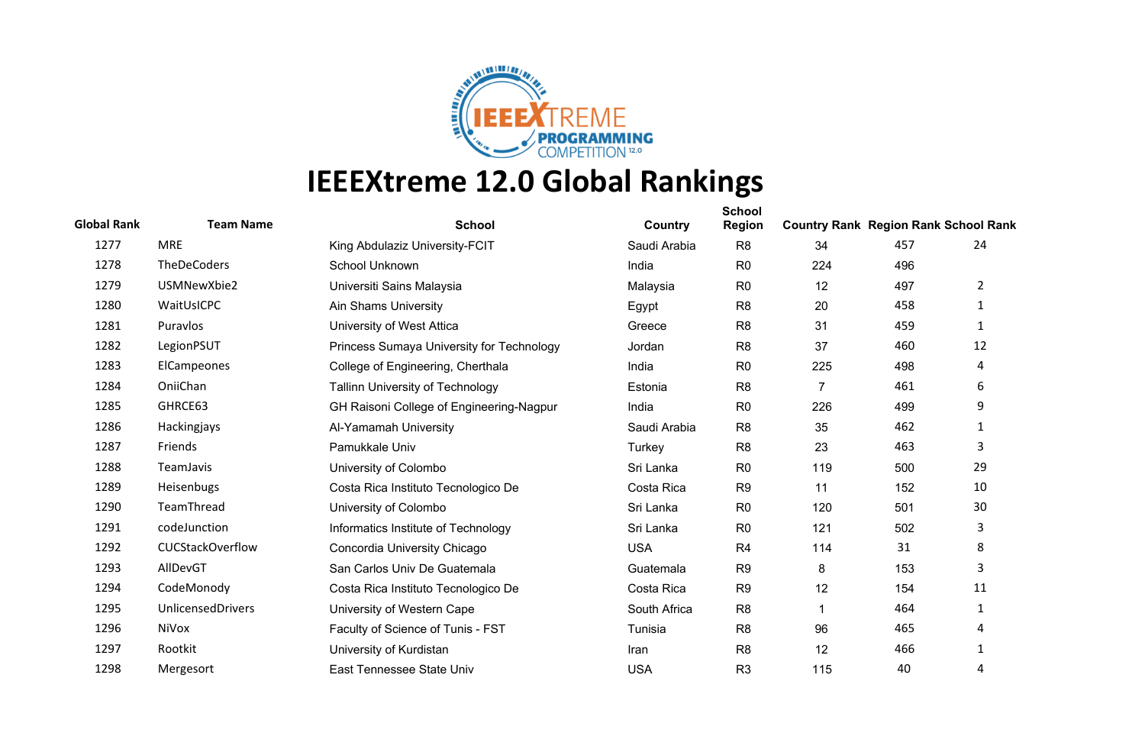

| <b>Global Rank</b> | <b>Team Name</b>         | <b>School</b>                             | Country      | <b>School</b><br><b>Region</b> | <b>Country Rank Region Rank School Rank</b> |     |                |
|--------------------|--------------------------|-------------------------------------------|--------------|--------------------------------|---------------------------------------------|-----|----------------|
| 1277               | <b>MRE</b>               | King Abdulaziz University-FCIT            | Saudi Arabia | R <sub>8</sub>                 | 34                                          | 457 | 24             |
| 1278               | <b>TheDeCoders</b>       | School Unknown                            | India        | R <sub>0</sub>                 | 224                                         | 496 |                |
| 1279               | USMNewXbie2              | Universiti Sains Malaysia                 | Malaysia     | R <sub>0</sub>                 | 12                                          | 497 | $\overline{2}$ |
| 1280               | WaitUsICPC               | <b>Ain Shams University</b>               | Egypt        | R <sub>8</sub>                 | 20                                          | 458 | 1              |
| 1281               | Puravlos                 | University of West Attica                 | Greece       | R <sub>8</sub>                 | 31                                          | 459 | $\mathbf{1}$   |
| 1282               | LegionPSUT               | Princess Sumaya University for Technology | Jordan       | R <sub>8</sub>                 | 37                                          | 460 | 12             |
| 1283               | ElCampeones              | College of Engineering, Cherthala         | India        | R <sub>0</sub>                 | 225                                         | 498 | 4              |
| 1284               | OniiChan                 | Tallinn University of Technology          | Estonia      | R <sub>8</sub>                 | $\overline{7}$                              | 461 | 6              |
| 1285               | GHRCE63                  | GH Raisoni College of Engineering-Nagpur  | India        | R <sub>0</sub>                 | 226                                         | 499 | 9              |
| 1286               | Hackingjays              | Al-Yamamah University                     | Saudi Arabia | R <sub>8</sub>                 | 35                                          | 462 | $\mathbf{1}$   |
| 1287               | Friends                  | Pamukkale Univ                            | Turkey       | R <sub>8</sub>                 | 23                                          | 463 | 3              |
| 1288               | <b>TeamJavis</b>         | University of Colombo                     | Sri Lanka    | R <sub>0</sub>                 | 119                                         | 500 | 29             |
| 1289               | Heisenbugs               | Costa Rica Instituto Tecnologico De       | Costa Rica   | R <sub>9</sub>                 | 11                                          | 152 | 10             |
| 1290               | TeamThread               | University of Colombo                     | Sri Lanka    | R <sub>0</sub>                 | 120                                         | 501 | 30             |
| 1291               | codeJunction             | Informatics Institute of Technology       | Sri Lanka    | R <sub>0</sub>                 | 121                                         | 502 | 3              |
| 1292               | <b>CUCStackOverflow</b>  | Concordia University Chicago              | <b>USA</b>   | R <sub>4</sub>                 | 114                                         | 31  | 8              |
| 1293               | AllDevGT                 | San Carlos Univ De Guatemala              | Guatemala    | R <sub>9</sub>                 | 8                                           | 153 | 3              |
| 1294               | CodeMonody               | Costa Rica Instituto Tecnologico De       | Costa Rica   | R <sub>9</sub>                 | 12                                          | 154 | 11             |
| 1295               | <b>UnlicensedDrivers</b> | University of Western Cape                | South Africa | R <sub>8</sub>                 | 1                                           | 464 | $\mathbf{1}$   |
| 1296               | NiVox                    | Faculty of Science of Tunis - FST         | Tunisia      | R <sub>8</sub>                 | 96                                          | 465 | 4              |
| 1297               | Rootkit                  | University of Kurdistan                   | Iran         | R <sub>8</sub>                 | 12                                          | 466 | 1              |
| 1298               | Mergesort                | East Tennessee State Univ                 | <b>USA</b>   | R <sub>3</sub>                 | 115                                         | 40  | 4              |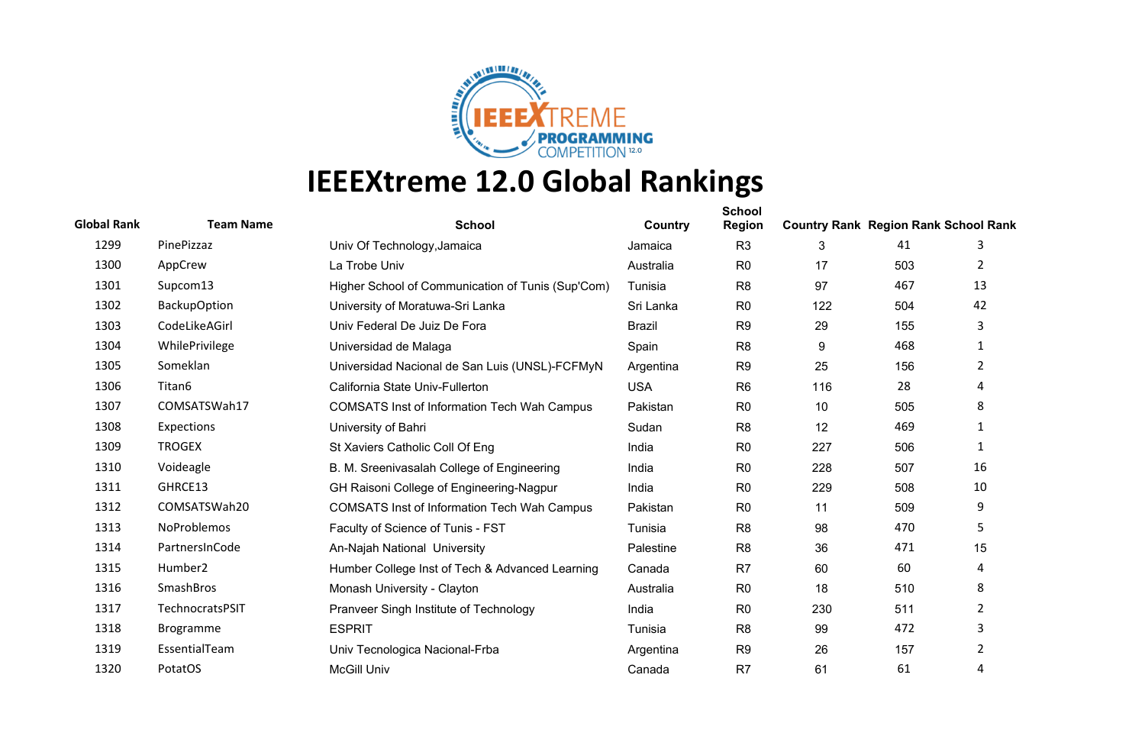

| <b>Global Rank</b> | <b>Team Name</b>    | <b>School</b>                                      | Country       | <b>School</b><br><b>Region</b> | <b>Country Rank Region Rank School Rank</b> |     |                |
|--------------------|---------------------|----------------------------------------------------|---------------|--------------------------------|---------------------------------------------|-----|----------------|
| 1299               | PinePizzaz          | Univ Of Technology, Jamaica                        | Jamaica       | R <sub>3</sub>                 | 3                                           | 41  | 3              |
| 1300               | AppCrew             | La Trobe Univ                                      | Australia     | R <sub>0</sub>                 | 17                                          | 503 | 2              |
| 1301               | Supcom13            | Higher School of Communication of Tunis (Sup'Com)  | Tunisia       | R <sub>8</sub>                 | 97                                          | 467 | 13             |
| 1302               | <b>BackupOption</b> | University of Moratuwa-Sri Lanka                   | Sri Lanka     | R <sub>0</sub>                 | 122                                         | 504 | 42             |
| 1303               | CodeLikeAGirl       | Univ Federal De Juiz De Fora                       | <b>Brazil</b> | R <sub>9</sub>                 | 29                                          | 155 | 3              |
| 1304               | WhilePrivilege      | Universidad de Malaga                              | Spain         | R <sub>8</sub>                 | 9                                           | 468 | 1              |
| 1305               | Someklan            | Universidad Nacional de San Luis (UNSL)-FCFMyN     | Argentina     | R <sub>9</sub>                 | 25                                          | 156 | $\overline{2}$ |
| 1306               | Titan6              | California State Univ-Fullerton                    | <b>USA</b>    | R <sub>6</sub>                 | 116                                         | 28  | 4              |
| 1307               | COMSATSWah17        | <b>COMSATS Inst of Information Tech Wah Campus</b> | Pakistan      | R <sub>0</sub>                 | 10                                          | 505 | 8              |
| 1308               | Expections          | University of Bahri                                | Sudan         | R <sub>8</sub>                 | 12                                          | 469 | 1              |
| 1309               | <b>TROGEX</b>       | St Xaviers Catholic Coll Of Eng                    | India         | R <sub>0</sub>                 | 227                                         | 506 | 1              |
| 1310               | Voideagle           | B. M. Sreenivasalah College of Engineering         | India         | R <sub>0</sub>                 | 228                                         | 507 | 16             |
| 1311               | GHRCE13             | GH Raisoni College of Engineering-Nagpur           | India         | R <sub>0</sub>                 | 229                                         | 508 | 10             |
| 1312               | COMSATSWah20        | <b>COMSATS Inst of Information Tech Wah Campus</b> | Pakistan      | R <sub>0</sub>                 | 11                                          | 509 | 9              |
| 1313               | NoProblemos         | Faculty of Science of Tunis - FST                  | Tunisia       | R <sub>8</sub>                 | 98                                          | 470 | 5              |
| 1314               | PartnersInCode      | An-Najah National University                       | Palestine     | R <sub>8</sub>                 | 36                                          | 471 | 15             |
| 1315               | Humber <sub>2</sub> | Humber College Inst of Tech & Advanced Learning    | Canada        | R <sub>7</sub>                 | 60                                          | 60  | 4              |
| 1316               | SmashBros           | Monash University - Clayton                        | Australia     | R <sub>0</sub>                 | 18                                          | 510 | 8              |
| 1317               | TechnocratsPSIT     | Pranveer Singh Institute of Technology             | India         | R <sub>0</sub>                 | 230                                         | 511 | 2              |
| 1318               | Brogramme           | <b>ESPRIT</b>                                      | Tunisia       | R <sub>8</sub>                 | 99                                          | 472 | 3              |
| 1319               | EssentialTeam       | Univ Tecnologica Nacional-Frba                     | Argentina     | R <sub>9</sub>                 | 26                                          | 157 | 2              |
| 1320               | PotatOS             | <b>McGill Univ</b>                                 | Canada        | R <sub>7</sub>                 | 61                                          | 61  | 4              |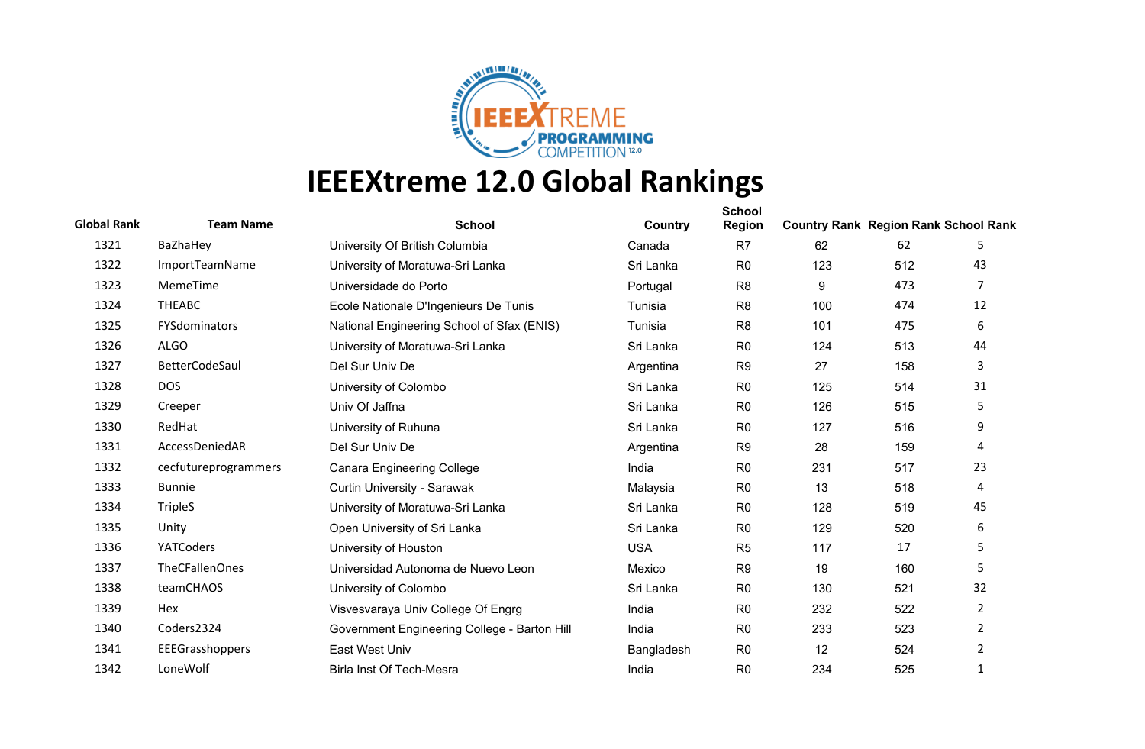

| <b>Global Rank</b> | <b>Team Name</b>      | <b>School</b>                                | Country    | <b>School</b><br><b>Region</b> | <b>Country Rank Region Rank School Rank</b> |     |                |
|--------------------|-----------------------|----------------------------------------------|------------|--------------------------------|---------------------------------------------|-----|----------------|
| 1321               | BaZhaHey              | University Of British Columbia               | Canada     | R <sub>7</sub>                 | 62                                          | 62  | 5              |
| 1322               | ImportTeamName        | University of Moratuwa-Sri Lanka             | Sri Lanka  | R <sub>0</sub>                 | 123                                         | 512 | 43             |
| 1323               | MemeTime              | Universidade do Porto                        | Portugal   | R <sub>8</sub>                 | 9                                           | 473 | 7              |
| 1324               | <b>THEABC</b>         | Ecole Nationale D'Ingenieurs De Tunis        | Tunisia    | R <sub>8</sub>                 | 100                                         | 474 | 12             |
| 1325               | FYSdominators         | National Engineering School of Sfax (ENIS)   | Tunisia    | R <sub>8</sub>                 | 101                                         | 475 | 6              |
| 1326               | <b>ALGO</b>           | University of Moratuwa-Sri Lanka             | Sri Lanka  | R <sub>0</sub>                 | 124                                         | 513 | 44             |
| 1327               | BetterCodeSaul        | Del Sur Univ De                              | Argentina  | R <sub>9</sub>                 | 27                                          | 158 | 3              |
| 1328               | <b>DOS</b>            | University of Colombo                        | Sri Lanka  | R <sub>0</sub>                 | 125                                         | 514 | 31             |
| 1329               | Creeper               | Univ Of Jaffna                               | Sri Lanka  | R <sub>0</sub>                 | 126                                         | 515 | 5              |
| 1330               | RedHat                | University of Ruhuna                         | Sri Lanka  | R <sub>0</sub>                 | 127                                         | 516 | 9              |
| 1331               | AccessDeniedAR        | Del Sur Univ De                              | Argentina  | R <sub>9</sub>                 | 28                                          | 159 | 4              |
| 1332               | cecfutureprogrammers  | <b>Canara Engineering College</b>            | India      | R <sub>0</sub>                 | 231                                         | 517 | 23             |
| 1333               | <b>Bunnie</b>         | Curtin University - Sarawak                  | Malaysia   | R <sub>0</sub>                 | 13                                          | 518 | 4              |
| 1334               | <b>TripleS</b>        | University of Moratuwa-Sri Lanka             | Sri Lanka  | R <sub>0</sub>                 | 128                                         | 519 | 45             |
| 1335               | Unity                 | Open University of Sri Lanka                 | Sri Lanka  | R <sub>0</sub>                 | 129                                         | 520 | 6              |
| 1336               | YATCoders             | University of Houston                        | <b>USA</b> | R <sub>5</sub>                 | 117                                         | 17  | 5              |
| 1337               | <b>TheCFallenOnes</b> | Universidad Autonoma de Nuevo Leon           | Mexico     | R <sub>9</sub>                 | 19                                          | 160 | 5              |
| 1338               | teamCHAOS             | University of Colombo                        | Sri Lanka  | R <sub>0</sub>                 | 130                                         | 521 | 32             |
| 1339               | Hex                   | Visvesvaraya Univ College Of Engrg           | India      | R <sub>0</sub>                 | 232                                         | 522 | $\overline{2}$ |
| 1340               | Coders2324            | Government Engineering College - Barton Hill | India      | R <sub>0</sub>                 | 233                                         | 523 | $\overline{2}$ |
| 1341               | EEEGrasshoppers       | East West Univ                               | Bangladesh | R <sub>0</sub>                 | 12                                          | 524 | $\overline{2}$ |
| 1342               | LoneWolf              | Birla Inst Of Tech-Mesra                     | India      | R <sub>0</sub>                 | 234                                         | 525 | $\mathbf{1}$   |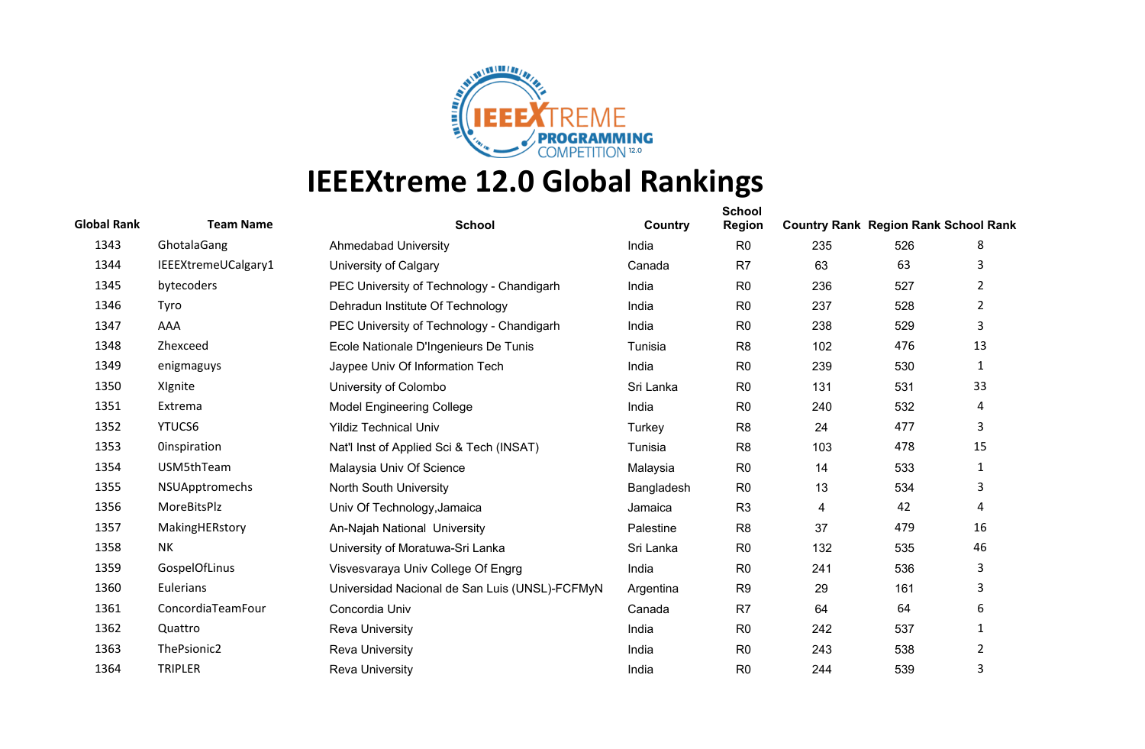

| <b>Global Rank</b> | <b>Team Name</b>    | <b>School</b>                                  | Country    | <b>School</b><br><b>Region</b> | <b>Country Rank Region Rank School Rank</b> |     |                |
|--------------------|---------------------|------------------------------------------------|------------|--------------------------------|---------------------------------------------|-----|----------------|
| 1343               | GhotalaGang         | <b>Ahmedabad University</b>                    | India      | R <sub>0</sub>                 | 235                                         | 526 | 8              |
| 1344               | IEEEXtremeUCalgary1 | University of Calgary                          | Canada     | R <sub>7</sub>                 | 63                                          | 63  | 3              |
| 1345               | bytecoders          | PEC University of Technology - Chandigarh      | India      | R <sub>0</sub>                 | 236                                         | 527 | 2              |
| 1346               | Tyro                | Dehradun Institute Of Technology               | India      | R <sub>0</sub>                 | 237                                         | 528 | $\overline{2}$ |
| 1347               | AAA                 | PEC University of Technology - Chandigarh      | India      | R <sub>0</sub>                 | 238                                         | 529 | 3              |
| 1348               | Zhexceed            | Ecole Nationale D'Ingenieurs De Tunis          | Tunisia    | R <sub>8</sub>                 | 102                                         | 476 | 13             |
| 1349               | enigmaguys          | Jaypee Univ Of Information Tech                | India      | R <sub>0</sub>                 | 239                                         | 530 | $\mathbf{1}$   |
| 1350               | Xignite             | University of Colombo                          | Sri Lanka  | R <sub>0</sub>                 | 131                                         | 531 | 33             |
| 1351               | Extrema             | <b>Model Engineering College</b>               | India      | R <sub>0</sub>                 | 240                                         | 532 | 4              |
| 1352               | YTUCS6              | <b>Yildiz Technical Univ</b>                   | Turkey     | R <sub>8</sub>                 | 24                                          | 477 | 3              |
| 1353               | <b>Oinspiration</b> | Nat'l Inst of Applied Sci & Tech (INSAT)       | Tunisia    | R <sub>8</sub>                 | 103                                         | 478 | 15             |
| 1354               | USM5thTeam          | Malaysia Univ Of Science                       | Malaysia   | R <sub>0</sub>                 | 14                                          | 533 | 1              |
| 1355               | NSUApptromechs      | North South University                         | Bangladesh | R <sub>0</sub>                 | 13                                          | 534 | 3              |
| 1356               | MoreBitsPlz         | Univ Of Technology, Jamaica                    | Jamaica    | R <sub>3</sub>                 | 4                                           | 42  | 4              |
| 1357               | MakingHERstory      | An-Najah National University                   | Palestine  | R <sub>8</sub>                 | 37                                          | 479 | 16             |
| 1358               | NΚ                  | University of Moratuwa-Sri Lanka               | Sri Lanka  | R <sub>0</sub>                 | 132                                         | 535 | 46             |
| 1359               | GospelOfLinus       | Visvesvaraya Univ College Of Engrg             | India      | R <sub>0</sub>                 | 241                                         | 536 | 3              |
| 1360               | Eulerians           | Universidad Nacional de San Luis (UNSL)-FCFMyN | Argentina  | R <sub>9</sub>                 | 29                                          | 161 | 3              |
| 1361               | ConcordiaTeamFour   | Concordia Univ                                 | Canada     | R <sub>7</sub>                 | 64                                          | 64  | 6              |
| 1362               | Quattro             | <b>Reva University</b>                         | India      | R <sub>0</sub>                 | 242                                         | 537 | 1              |
| 1363               | ThePsionic2         | <b>Reva University</b>                         | India      | R <sub>0</sub>                 | 243                                         | 538 | $\overline{2}$ |
| 1364               | <b>TRIPLER</b>      | <b>Reva University</b>                         | India      | R <sub>0</sub>                 | 244                                         | 539 | 3              |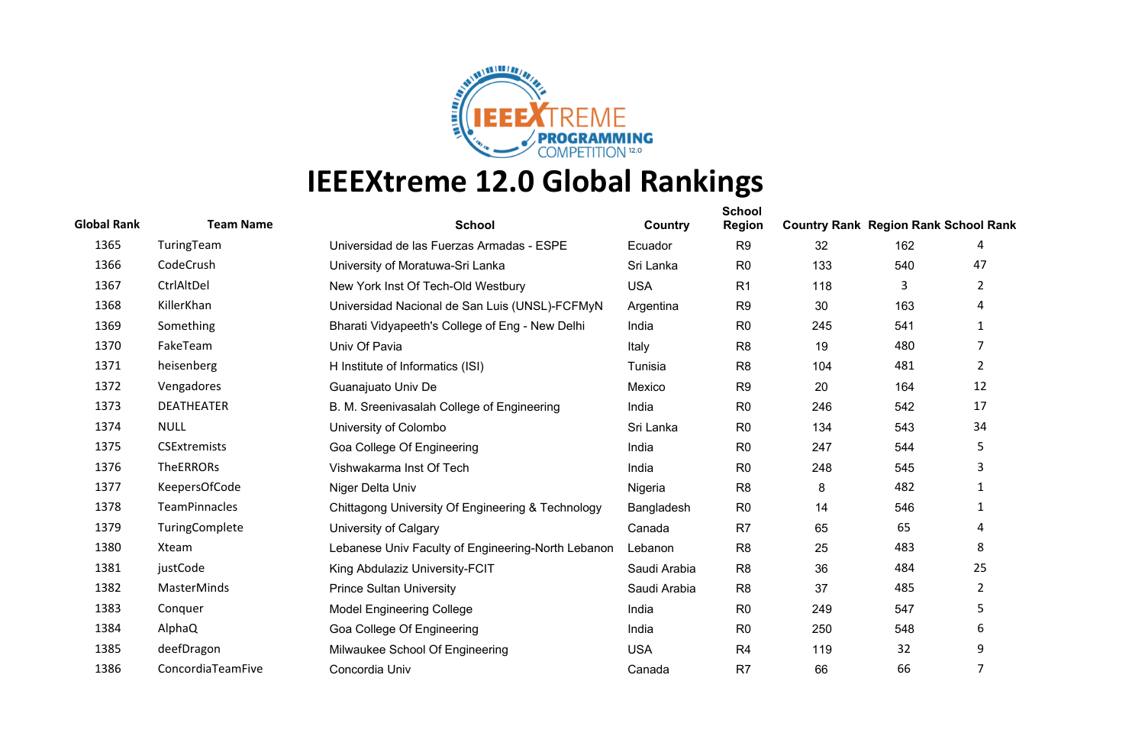

| <b>Global Rank</b> | <b>Team Name</b>     | <b>School</b>                                      | Country      | <b>School</b><br><b>Region</b> | <b>Country Rank Region Rank School Rank</b> |     |                |
|--------------------|----------------------|----------------------------------------------------|--------------|--------------------------------|---------------------------------------------|-----|----------------|
| 1365               | TuringTeam           | Universidad de las Fuerzas Armadas - ESPE          | Ecuador      | R <sub>9</sub>                 | 32                                          | 162 | 4              |
| 1366               | CodeCrush            | University of Moratuwa-Sri Lanka                   | Sri Lanka    | R <sub>0</sub>                 | 133                                         | 540 | 47             |
| 1367               | CtrlAltDel           | New York Inst Of Tech-Old Westbury                 | <b>USA</b>   | R <sub>1</sub>                 | 118                                         | 3   | 2              |
| 1368               | KillerKhan           | Universidad Nacional de San Luis (UNSL)-FCFMyN     | Argentina    | R <sub>9</sub>                 | 30                                          | 163 | 4              |
| 1369               | Something            | Bharati Vidyapeeth's College of Eng - New Delhi    | India        | R <sub>0</sub>                 | 245                                         | 541 | $\mathbf{1}$   |
| 1370               | FakeTeam             | Univ Of Pavia                                      | Italy        | R <sub>8</sub>                 | 19                                          | 480 | 7              |
| 1371               | heisenberg           | H Institute of Informatics (ISI)                   | Tunisia      | R <sub>8</sub>                 | 104                                         | 481 | $2^{\circ}$    |
| 1372               | Vengadores           | Guanajuato Univ De                                 | Mexico       | R <sub>9</sub>                 | 20                                          | 164 | 12             |
| 1373               | <b>DEATHEATER</b>    | B. M. Sreenivasalah College of Engineering         | India        | R <sub>0</sub>                 | 246                                         | 542 | 17             |
| 1374               | <b>NULL</b>          | University of Colombo                              | Sri Lanka    | R <sub>0</sub>                 | 134                                         | 543 | 34             |
| 1375               | <b>CSExtremists</b>  | Goa College Of Engineering                         | India        | R <sub>0</sub>                 | 247                                         | 544 | 5              |
| 1376               | <b>TheERRORs</b>     | Vishwakarma Inst Of Tech                           | India        | R <sub>0</sub>                 | 248                                         | 545 | 3              |
| 1377               | KeepersOfCode        | Niger Delta Univ                                   | Nigeria      | R <sub>8</sub>                 | 8                                           | 482 | 1              |
| 1378               | <b>TeamPinnacles</b> | Chittagong University Of Engineering & Technology  | Bangladesh   | R <sub>0</sub>                 | 14                                          | 546 | 1              |
| 1379               | TuringComplete       | University of Calgary                              | Canada       | R <sub>7</sub>                 | 65                                          | 65  | 4              |
| 1380               | Xteam                | Lebanese Univ Faculty of Engineering-North Lebanon | Lebanon      | R <sub>8</sub>                 | 25                                          | 483 | 8              |
| 1381               | justCode             | King Abdulaziz University-FCIT                     | Saudi Arabia | R <sub>8</sub>                 | 36                                          | 484 | 25             |
| 1382               | MasterMinds          | <b>Prince Sultan University</b>                    | Saudi Arabia | R <sub>8</sub>                 | 37                                          | 485 | $\overline{2}$ |
| 1383               | Conquer              | <b>Model Engineering College</b>                   | India        | R <sub>0</sub>                 | 249                                         | 547 | 5              |
| 1384               | AlphaQ               | Goa College Of Engineering                         | India        | R <sub>0</sub>                 | 250                                         | 548 | 6              |
| 1385               | deefDragon           | Milwaukee School Of Engineering                    | <b>USA</b>   | R <sub>4</sub>                 | 119                                         | 32  | 9              |
| 1386               | ConcordiaTeamFive    | Concordia Univ                                     | Canada       | R7                             | 66                                          | 66  | 7              |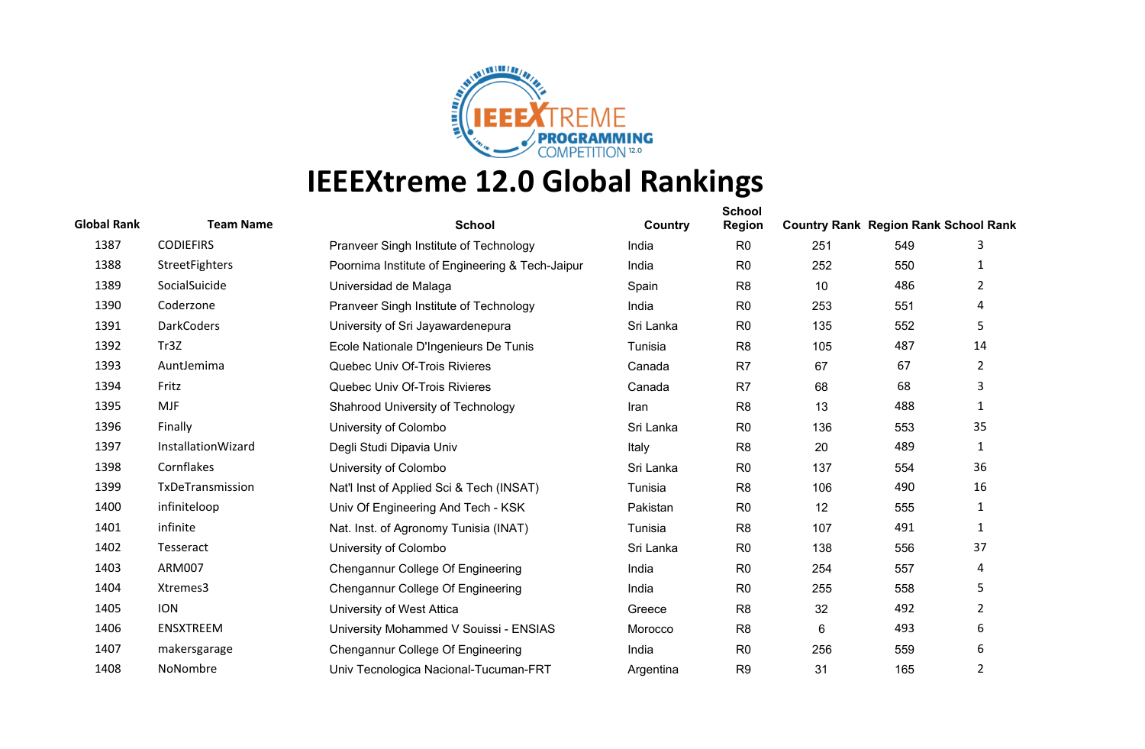

| <b>Global Rank</b> | <b>Team Name</b>      | <b>School</b>                                   | Country   | <b>School</b><br><b>Region</b> | <b>Country Rank Region Rank School Rank</b> |     |                |
|--------------------|-----------------------|-------------------------------------------------|-----------|--------------------------------|---------------------------------------------|-----|----------------|
| 1387               | <b>CODIEFIRS</b>      | Pranveer Singh Institute of Technology          | India     | R <sub>0</sub>                 | 251                                         | 549 | 3              |
| 1388               | <b>StreetFighters</b> | Poornima Institute of Engineering & Tech-Jaipur | India     | R <sub>0</sub>                 | 252                                         | 550 | 1              |
| 1389               | SocialSuicide         | Universidad de Malaga                           | Spain     | R <sub>8</sub>                 | 10                                          | 486 | 2              |
| 1390               | Coderzone             | Pranveer Singh Institute of Technology          | India     | R <sub>0</sub>                 | 253                                         | 551 | 4              |
| 1391               | <b>DarkCoders</b>     | University of Sri Jayawardenepura               | Sri Lanka | R <sub>0</sub>                 | 135                                         | 552 | 5              |
| 1392               | Tr3Z                  | Ecole Nationale D'Ingenieurs De Tunis           | Tunisia   | R <sub>8</sub>                 | 105                                         | 487 | 14             |
| 1393               | AuntJemima            | Quebec Univ Of-Trois Rivieres                   | Canada    | R <sub>7</sub>                 | 67                                          | 67  | $\overline{2}$ |
| 1394               | Fritz                 | Quebec Univ Of-Trois Rivieres                   | Canada    | R7                             | 68                                          | 68  | 3              |
| 1395               | <b>MJF</b>            | Shahrood University of Technology               | Iran      | R <sub>8</sub>                 | 13                                          | 488 | 1              |
| 1396               | Finally               | University of Colombo                           | Sri Lanka | R <sub>0</sub>                 | 136                                         | 553 | 35             |
| 1397               | InstallationWizard    | Degli Studi Dipavia Univ                        | Italy     | R <sub>8</sub>                 | 20                                          | 489 | 1              |
| 1398               | Cornflakes            | University of Colombo                           | Sri Lanka | R <sub>0</sub>                 | 137                                         | 554 | 36             |
| 1399               | TxDeTransmission      | Nat'l Inst of Applied Sci & Tech (INSAT)        | Tunisia   | R <sub>8</sub>                 | 106                                         | 490 | 16             |
| 1400               | infiniteloop          | Univ Of Engineering And Tech - KSK              | Pakistan  | R <sub>0</sub>                 | 12                                          | 555 | 1              |
| 1401               | infinite              | Nat. Inst. of Agronomy Tunisia (INAT)           | Tunisia   | R <sub>8</sub>                 | 107                                         | 491 | $\mathbf{1}$   |
| 1402               | Tesseract             | University of Colombo                           | Sri Lanka | R <sub>0</sub>                 | 138                                         | 556 | 37             |
| 1403               | <b>ARM007</b>         | Chengannur College Of Engineering               | India     | R <sub>0</sub>                 | 254                                         | 557 | 4              |
| 1404               | Xtremes3              | Chengannur College Of Engineering               | India     | R <sub>0</sub>                 | 255                                         | 558 | 5              |
| 1405               | <b>ION</b>            | University of West Attica                       | Greece    | R <sub>8</sub>                 | 32                                          | 492 | 2              |
| 1406               | <b>ENSXTREEM</b>      | University Mohammed V Souissi - ENSIAS          | Morocco   | R <sub>8</sub>                 | 6                                           | 493 | 6              |
| 1407               | makersgarage          | Chengannur College Of Engineering               | India     | R <sub>0</sub>                 | 256                                         | 559 | 6              |
| 1408               | NoNombre              | Univ Tecnologica Nacional-Tucuman-FRT           | Argentina | R <sub>9</sub>                 | 31                                          | 165 | 2              |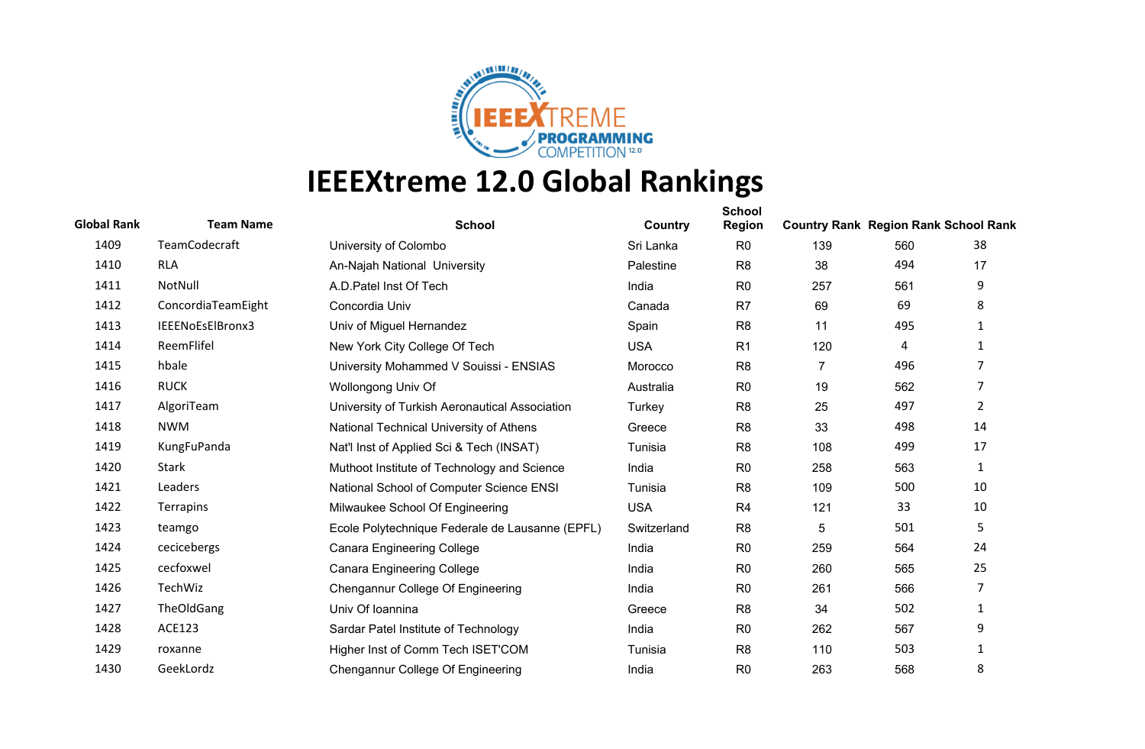

| <b>Global Rank</b> | <b>Team Name</b>   | <b>School</b>                                   | Country     | <b>School</b><br><b>Region</b> | <b>Country Rank Region Rank School Rank</b> |     |                |
|--------------------|--------------------|-------------------------------------------------|-------------|--------------------------------|---------------------------------------------|-----|----------------|
| 1409               | TeamCodecraft      | University of Colombo                           | Sri Lanka   | R <sub>0</sub>                 | 139                                         | 560 | 38             |
| 1410               | <b>RLA</b>         | An-Najah National University                    | Palestine   | R <sub>8</sub>                 | 38                                          | 494 | 17             |
| 1411               | NotNull            | A.D. Patel Inst Of Tech                         | India       | R <sub>0</sub>                 | 257                                         | 561 | 9              |
| 1412               | ConcordiaTeamEight | Concordia Univ                                  | Canada      | R <sub>7</sub>                 | 69                                          | 69  | 8              |
| 1413               | IEEENoEsElBronx3   | Univ of Miguel Hernandez                        | Spain       | R <sub>8</sub>                 | 11                                          | 495 | 1              |
| 1414               | ReemFlifel         | New York City College Of Tech                   | <b>USA</b>  | R <sub>1</sub>                 | 120                                         | 4   | 1              |
| 1415               | hbale              | University Mohammed V Souissi - ENSIAS          | Morocco     | R <sub>8</sub>                 | 7                                           | 496 | 7              |
| 1416               | <b>RUCK</b>        | Wollongong Univ Of                              | Australia   | R <sub>0</sub>                 | 19                                          | 562 | 7              |
| 1417               | AlgoriTeam         | University of Turkish Aeronautical Association  | Turkey      | R <sub>8</sub>                 | 25                                          | 497 | $\overline{2}$ |
| 1418               | <b>NWM</b>         | National Technical University of Athens         | Greece      | R <sub>8</sub>                 | 33                                          | 498 | 14             |
| 1419               | KungFuPanda        | Nat'l Inst of Applied Sci & Tech (INSAT)        | Tunisia     | R <sub>8</sub>                 | 108                                         | 499 | 17             |
| 1420               | Stark              | Muthoot Institute of Technology and Science     | India       | R <sub>0</sub>                 | 258                                         | 563 | $\mathbf{1}$   |
| 1421               | Leaders            | National School of Computer Science ENSI        | Tunisia     | R <sub>8</sub>                 | 109                                         | 500 | 10             |
| 1422               | Terrapins          | Milwaukee School Of Engineering                 | <b>USA</b>  | R <sub>4</sub>                 | 121                                         | 33  | 10             |
| 1423               | teamgo             | Ecole Polytechnique Federale de Lausanne (EPFL) | Switzerland | R <sub>8</sub>                 | 5                                           | 501 | 5              |
| 1424               | cecicebergs        | <b>Canara Engineering College</b>               | India       | R <sub>0</sub>                 | 259                                         | 564 | 24             |
| 1425               | cecfoxwel          | <b>Canara Engineering College</b>               | India       | R <sub>0</sub>                 | 260                                         | 565 | 25             |
| 1426               | TechWiz            | Chengannur College Of Engineering               | India       | R <sub>0</sub>                 | 261                                         | 566 | 7              |
| 1427               | TheOldGang         | Univ Of Ioannina                                | Greece      | R <sub>8</sub>                 | 34                                          | 502 | 1              |
| 1428               | <b>ACE123</b>      | Sardar Patel Institute of Technology            | India       | R <sub>0</sub>                 | 262                                         | 567 | 9              |
| 1429               | roxanne            | Higher Inst of Comm Tech ISET'COM               | Tunisia     | R <sub>8</sub>                 | 110                                         | 503 | $\mathbf{1}$   |
| 1430               | GeekLordz          | Chengannur College Of Engineering               | India       | R <sub>0</sub>                 | 263                                         | 568 | 8              |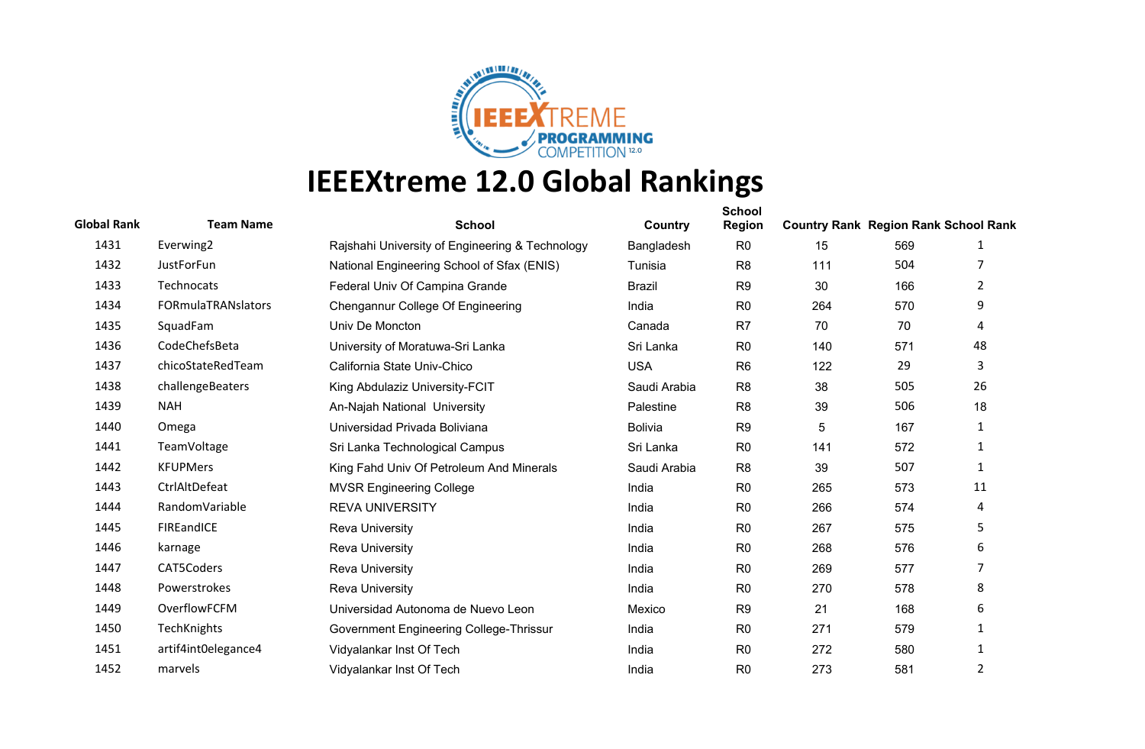

| <b>Global Rank</b> | <b>Team Name</b>          | <b>School</b>                                   | Country        | <b>School</b><br><b>Region</b> | <b>Country Rank Region Rank School Rank</b> |     |              |
|--------------------|---------------------------|-------------------------------------------------|----------------|--------------------------------|---------------------------------------------|-----|--------------|
| 1431               | Everwing2                 | Rajshahi University of Engineering & Technology | Bangladesh     | R <sub>0</sub>                 | 15                                          | 569 | 1            |
| 1432               | JustForFun                | National Engineering School of Sfax (ENIS)      | Tunisia        | R <sub>8</sub>                 | 111                                         | 504 |              |
| 1433               | Technocats                | Federal Univ Of Campina Grande                  | <b>Brazil</b>  | R <sub>9</sub>                 | 30                                          | 166 | 2            |
| 1434               | <b>FORmulaTRANslators</b> | Chengannur College Of Engineering               | India          | R <sub>0</sub>                 | 264                                         | 570 | 9            |
| 1435               | SquadFam                  | Univ De Moncton                                 | Canada         | R <sub>7</sub>                 | 70                                          | 70  | 4            |
| 1436               | CodeChefsBeta             | University of Moratuwa-Sri Lanka                | Sri Lanka      | R <sub>0</sub>                 | 140                                         | 571 | 48           |
| 1437               | chicoStateRedTeam         | California State Univ-Chico                     | <b>USA</b>     | R <sub>6</sub>                 | 122                                         | 29  | 3            |
| 1438               | challengeBeaters          | King Abdulaziz University-FCIT                  | Saudi Arabia   | R <sub>8</sub>                 | 38                                          | 505 | 26           |
| 1439               | <b>NAH</b>                | An-Najah National University                    | Palestine      | R <sub>8</sub>                 | 39                                          | 506 | 18           |
| 1440               | Omega                     | Universidad Privada Boliviana                   | <b>Bolivia</b> | R <sub>9</sub>                 | $\sqrt{5}$                                  | 167 | $\mathbf{1}$ |
| 1441               | TeamVoltage               | Sri Lanka Technological Campus                  | Sri Lanka      | R <sub>0</sub>                 | 141                                         | 572 | 1            |
| 1442               | <b>KFUPMers</b>           | King Fahd Univ Of Petroleum And Minerals        | Saudi Arabia   | R <sub>8</sub>                 | 39                                          | 507 | 1            |
| 1443               | CtrlAltDefeat             | <b>MVSR Engineering College</b>                 | India          | R <sub>0</sub>                 | 265                                         | 573 | 11           |
| 1444               | RandomVariable            | <b>REVA UNIVERSITY</b>                          | India          | R <sub>0</sub>                 | 266                                         | 574 | 4            |
| 1445               | FIREandICE                | <b>Reva University</b>                          | India          | R <sub>0</sub>                 | 267                                         | 575 | 5            |
| 1446               | karnage                   | <b>Reva University</b>                          | India          | R <sub>0</sub>                 | 268                                         | 576 | 6            |
| 1447               | CAT5Coders                | <b>Reva University</b>                          | India          | R <sub>0</sub>                 | 269                                         | 577 | 7            |
| 1448               | Powerstrokes              | <b>Reva University</b>                          | India          | R <sub>0</sub>                 | 270                                         | 578 | 8            |
| 1449               | OverflowFCFM              | Universidad Autonoma de Nuevo Leon              | Mexico         | R <sub>9</sub>                 | 21                                          | 168 | 6            |
| 1450               | TechKnights               | Government Engineering College-Thrissur         | India          | R <sub>0</sub>                 | 271                                         | 579 | 1            |
| 1451               | artif4int0elegance4       | Vidyalankar Inst Of Tech                        | India          | R <sub>0</sub>                 | 272                                         | 580 | 1            |
| 1452               | marvels                   | Vidyalankar Inst Of Tech                        | India          | R <sub>0</sub>                 | 273                                         | 581 | 2            |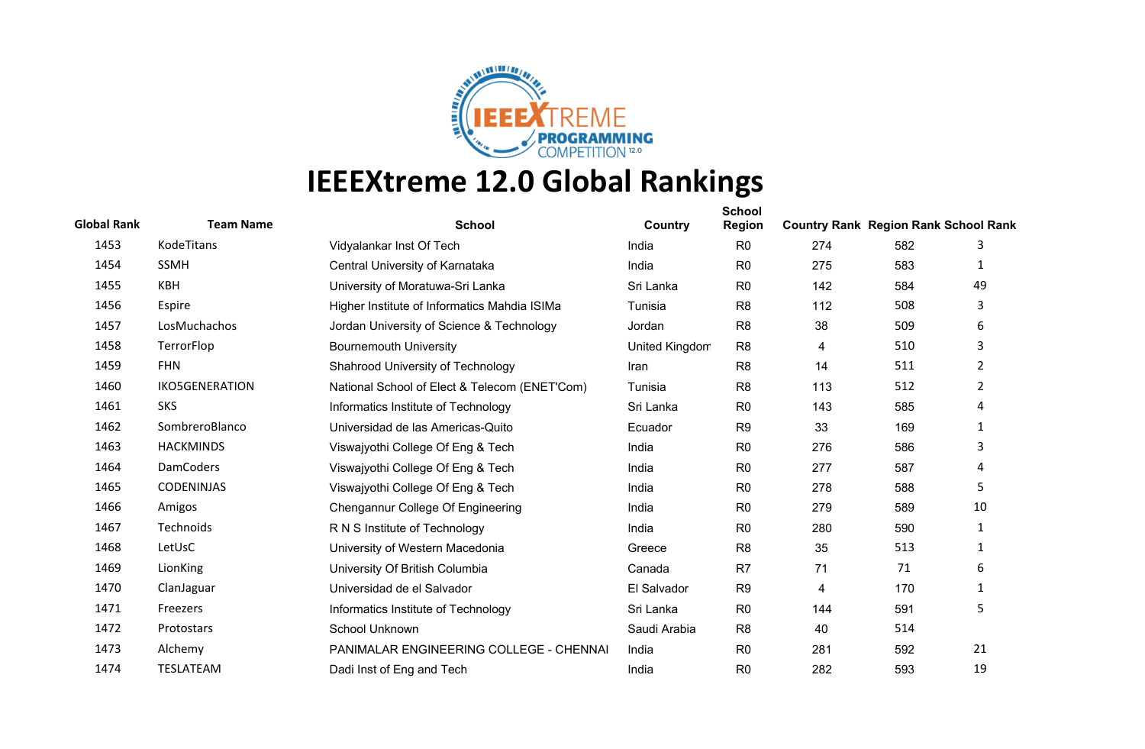

| <b>Global Rank</b> | <b>Team Name</b>      | <b>School</b>                                 | Country        | <b>School</b><br><b>Region</b> | <b>Country Rank Region Rank School Rank</b> |     |                |
|--------------------|-----------------------|-----------------------------------------------|----------------|--------------------------------|---------------------------------------------|-----|----------------|
| 1453               | KodeTitans            | Vidyalankar Inst Of Tech                      | India          | R <sub>0</sub>                 | 274                                         | 582 | 3              |
| 1454               | <b>SSMH</b>           | Central University of Karnataka               | India          | R <sub>0</sub>                 | 275                                         | 583 | 1              |
| 1455               | KBH                   | University of Moratuwa-Sri Lanka              | Sri Lanka      | R <sub>0</sub>                 | 142                                         | 584 | 49             |
| 1456               | Espire                | Higher Institute of Informatics Mahdia ISIMa  | Tunisia        | R <sub>8</sub>                 | 112                                         | 508 | 3              |
| 1457               | LosMuchachos          | Jordan University of Science & Technology     | Jordan         | R <sub>8</sub>                 | 38                                          | 509 | 6              |
| 1458               | TerrorFlop            | <b>Bournemouth University</b>                 | United Kingdom | R <sub>8</sub>                 | 4                                           | 510 | 3              |
| 1459               | <b>FHN</b>            | Shahrood University of Technology             | Iran           | R <sub>8</sub>                 | 14                                          | 511 | $\overline{2}$ |
| 1460               | <b>IKO5GENERATION</b> | National School of Elect & Telecom (ENET'Com) | Tunisia        | R <sub>8</sub>                 | 113                                         | 512 | $\overline{2}$ |
| 1461               | <b>SKS</b>            | Informatics Institute of Technology           | Sri Lanka      | R <sub>0</sub>                 | 143                                         | 585 | 4              |
| 1462               | SombreroBlanco        | Universidad de las Americas-Quito             | Ecuador        | R <sub>9</sub>                 | 33                                          | 169 | 1              |
| 1463               | <b>HACKMINDS</b>      | Viswajyothi College Of Eng & Tech             | India          | R <sub>0</sub>                 | 276                                         | 586 | 3              |
| 1464               | <b>DamCoders</b>      | Viswajyothi College Of Eng & Tech             | India          | R <sub>0</sub>                 | 277                                         | 587 | 4              |
| 1465               | <b>CODENINJAS</b>     | Viswajyothi College Of Eng & Tech             | India          | R <sub>0</sub>                 | 278                                         | 588 | 5              |
| 1466               | Amigos                | Chengannur College Of Engineering             | India          | R <sub>0</sub>                 | 279                                         | 589 | 10             |
| 1467               | Technoids             | R N S Institute of Technology                 | India          | R <sub>0</sub>                 | 280                                         | 590 | 1              |
| 1468               | LetUsC                | University of Western Macedonia               | Greece         | R <sub>8</sub>                 | 35                                          | 513 | 1              |
| 1469               | LionKing              | University Of British Columbia                | Canada         | R <sub>7</sub>                 | 71                                          | 71  | 6              |
| 1470               | ClanJaguar            | Universidad de el Salvador                    | El Salvador    | R <sub>9</sub>                 | 4                                           | 170 | $\mathbf{1}$   |
| 1471               | Freezers              | Informatics Institute of Technology           | Sri Lanka      | R <sub>0</sub>                 | 144                                         | 591 | 5              |
| 1472               | Protostars            | School Unknown                                | Saudi Arabia   | R <sub>8</sub>                 | 40                                          | 514 |                |
| 1473               | Alchemy               | PANIMALAR ENGINEERING COLLEGE - CHENNAI       | India          | R <sub>0</sub>                 | 281                                         | 592 | 21             |
| 1474               | TESLATEAM             | Dadi Inst of Eng and Tech                     | India          | R <sub>0</sub>                 | 282                                         | 593 | 19             |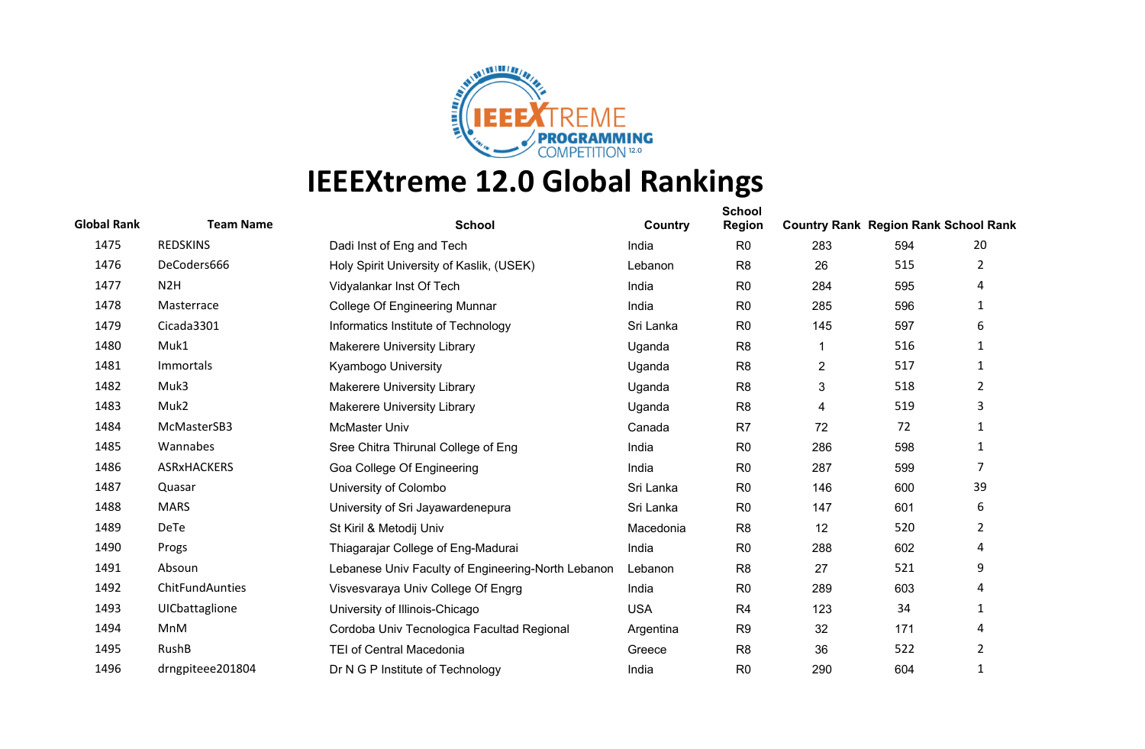

| <b>Global Rank</b> | <b>Team Name</b>   | <b>School</b>                                      | Country    | <b>School</b><br>Region | <b>Country Rank Region Rank School Rank</b> |     |                |
|--------------------|--------------------|----------------------------------------------------|------------|-------------------------|---------------------------------------------|-----|----------------|
| 1475               | <b>REDSKINS</b>    | Dadi Inst of Eng and Tech                          | India      | R <sub>0</sub>          | 283                                         | 594 | 20             |
| 1476               | DeCoders666        | Holy Spirit University of Kaslik, (USEK)           | Lebanon    | R <sub>8</sub>          | 26                                          | 515 | $\overline{2}$ |
| 1477               | N <sub>2</sub> H   | Vidyalankar Inst Of Tech                           | India      | R <sub>0</sub>          | 284                                         | 595 | 4              |
| 1478               | Masterrace         | <b>College Of Engineering Munnar</b>               | India      | R <sub>0</sub>          | 285                                         | 596 | 1              |
| 1479               | Cicada3301         | Informatics Institute of Technology                | Sri Lanka  | R <sub>0</sub>          | 145                                         | 597 | 6              |
| 1480               | Muk1               | <b>Makerere University Library</b>                 | Uganda     | R <sub>8</sub>          |                                             | 516 | 1              |
| 1481               | Immortals          | Kyambogo University                                | Uganda     | R <sub>8</sub>          | $\overline{c}$                              | 517 | 1              |
| 1482               | Muk3               | <b>Makerere University Library</b>                 | Uganda     | R <sub>8</sub>          | 3                                           | 518 | $\overline{2}$ |
| 1483               | Muk2               | <b>Makerere University Library</b>                 | Uganda     | R <sub>8</sub>          | 4                                           | 519 | 3              |
| 1484               | McMasterSB3        | McMaster Univ                                      | Canada     | R7                      | 72                                          | 72  | 1              |
| 1485               | Wannabes           | Sree Chitra Thirunal College of Eng                | India      | R <sub>0</sub>          | 286                                         | 598 | $\mathbf{1}$   |
| 1486               | <b>ASRxHACKERS</b> | Goa College Of Engineering                         | India      | R <sub>0</sub>          | 287                                         | 599 | 7              |
| 1487               | Quasar             | University of Colombo                              | Sri Lanka  | R <sub>0</sub>          | 146                                         | 600 | 39             |
| 1488               | <b>MARS</b>        | University of Sri Jayawardenepura                  | Sri Lanka  | R <sub>0</sub>          | 147                                         | 601 | 6              |
| 1489               | <b>DeTe</b>        | St Kiril & Metodij Univ                            | Macedonia  | R <sub>8</sub>          | 12                                          | 520 | $\overline{2}$ |
| 1490               | Progs              | Thiagarajar College of Eng-Madurai                 | India      | R <sub>0</sub>          | 288                                         | 602 | 4              |
| 1491               | Absoun             | Lebanese Univ Faculty of Engineering-North Lebanon | Lebanon    | R <sub>8</sub>          | 27                                          | 521 | 9              |
| 1492               | ChitFundAunties    | Visvesvaraya Univ College Of Engrg                 | India      | R <sub>0</sub>          | 289                                         | 603 | 4              |
| 1493               | UICbattaglione     | University of Illinois-Chicago                     | <b>USA</b> | R <sub>4</sub>          | 123                                         | 34  | 1              |
| 1494               | MnM                | Cordoba Univ Tecnologica Facultad Regional         | Argentina  | R <sub>9</sub>          | 32                                          | 171 | 4              |
| 1495               | RushB              | <b>TEI of Central Macedonia</b>                    | Greece     | R <sub>8</sub>          | 36                                          | 522 | $\overline{2}$ |
| 1496               | drngpiteee201804   | Dr N G P Institute of Technology                   | India      | R <sub>0</sub>          | 290                                         | 604 | 1              |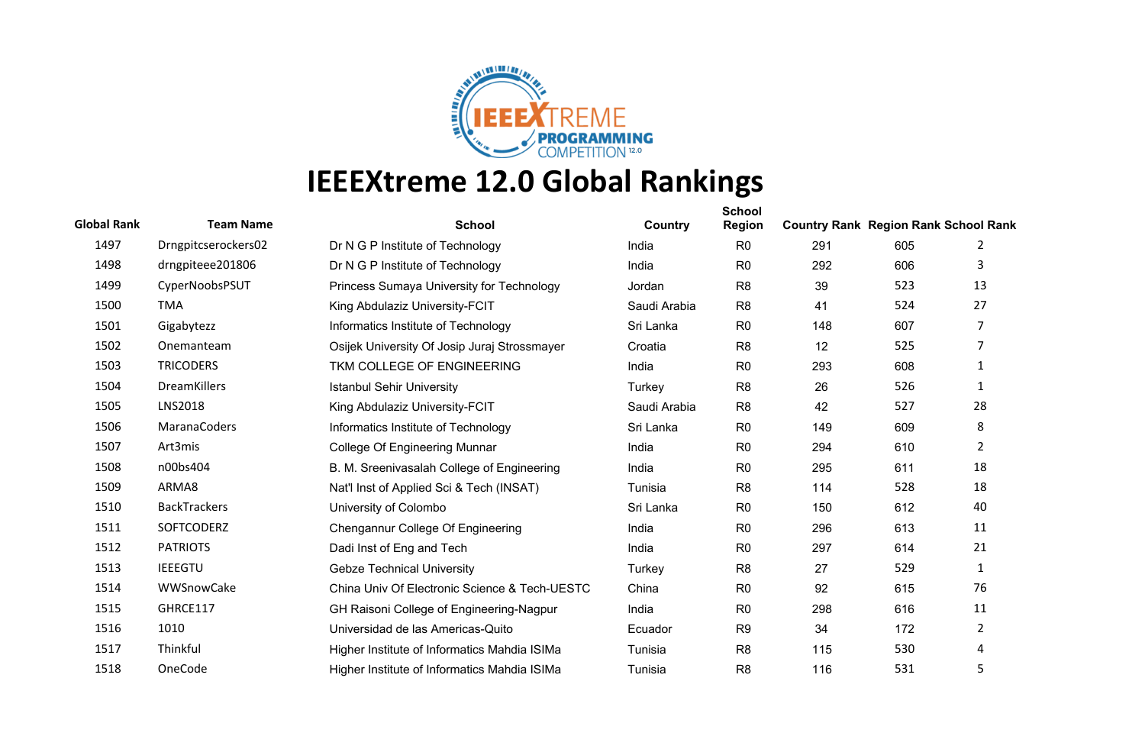

| <b>Global Rank</b> | <b>Team Name</b>    | <b>School</b>                                 | Country      | <b>School</b><br><b>Region</b> | <b>Country Rank Region Rank School Rank</b> |     |                |
|--------------------|---------------------|-----------------------------------------------|--------------|--------------------------------|---------------------------------------------|-----|----------------|
| 1497               | Drngpitcserockers02 | Dr N G P Institute of Technology              | India        | R <sub>0</sub>                 | 291                                         | 605 | 2              |
| 1498               | drngpiteee201806    | Dr N G P Institute of Technology              | India        | R <sub>0</sub>                 | 292                                         | 606 | 3              |
| 1499               | CyperNoobsPSUT      | Princess Sumaya University for Technology     | Jordan       | R <sub>8</sub>                 | 39                                          | 523 | 13             |
| 1500               | <b>TMA</b>          | King Abdulaziz University-FCIT                | Saudi Arabia | R <sub>8</sub>                 | 41                                          | 524 | 27             |
| 1501               | Gigabytezz          | Informatics Institute of Technology           | Sri Lanka    | R <sub>0</sub>                 | 148                                         | 607 | 7              |
| 1502               | Onemanteam          | Osijek University Of Josip Juraj Strossmayer  | Croatia      | R <sub>8</sub>                 | 12                                          | 525 | 7              |
| 1503               | <b>TRICODERS</b>    | TKM COLLEGE OF ENGINEERING                    | India        | R <sub>0</sub>                 | 293                                         | 608 | 1              |
| 1504               | DreamKillers        | <b>Istanbul Sehir University</b>              | Turkey       | R <sub>8</sub>                 | 26                                          | 526 | 1              |
| 1505               | <b>LNS2018</b>      | King Abdulaziz University-FCIT                | Saudi Arabia | R <sub>8</sub>                 | 42                                          | 527 | 28             |
| 1506               | MaranaCoders        | Informatics Institute of Technology           | Sri Lanka    | R <sub>0</sub>                 | 149                                         | 609 | 8              |
| 1507               | Art3mis             | <b>College Of Engineering Munnar</b>          | India        | R <sub>0</sub>                 | 294                                         | 610 | $\overline{2}$ |
| 1508               | n00bs404            | B. M. Sreenivasalah College of Engineering    | India        | R <sub>0</sub>                 | 295                                         | 611 | 18             |
| 1509               | ARMA8               | Nat'l Inst of Applied Sci & Tech (INSAT)      | Tunisia      | R <sub>8</sub>                 | 114                                         | 528 | 18             |
| 1510               | <b>BackTrackers</b> | University of Colombo                         | Sri Lanka    | R <sub>0</sub>                 | 150                                         | 612 | 40             |
| 1511               | <b>SOFTCODERZ</b>   | Chengannur College Of Engineering             | India        | R <sub>0</sub>                 | 296                                         | 613 | 11             |
| 1512               | <b>PATRIOTS</b>     | Dadi Inst of Eng and Tech                     | India        | R <sub>0</sub>                 | 297                                         | 614 | 21             |
| 1513               | <b>IEEEGTU</b>      | <b>Gebze Technical University</b>             | Turkey       | R <sub>8</sub>                 | 27                                          | 529 | 1              |
| 1514               | WWSnowCake          | China Univ Of Electronic Science & Tech-UESTC | China        | R <sub>0</sub>                 | 92                                          | 615 | 76             |
| 1515               | GHRCE117            | GH Raisoni College of Engineering-Nagpur      | India        | R <sub>0</sub>                 | 298                                         | 616 | 11             |
| 1516               | 1010                | Universidad de las Americas-Quito             | Ecuador      | R <sub>9</sub>                 | 34                                          | 172 | $\overline{2}$ |
| 1517               | Thinkful            | Higher Institute of Informatics Mahdia ISIMa  | Tunisia      | R <sub>8</sub>                 | 115                                         | 530 | 4              |
| 1518               | OneCode             | Higher Institute of Informatics Mahdia ISIMa  | Tunisia      | R <sub>8</sub>                 | 116                                         | 531 | 5              |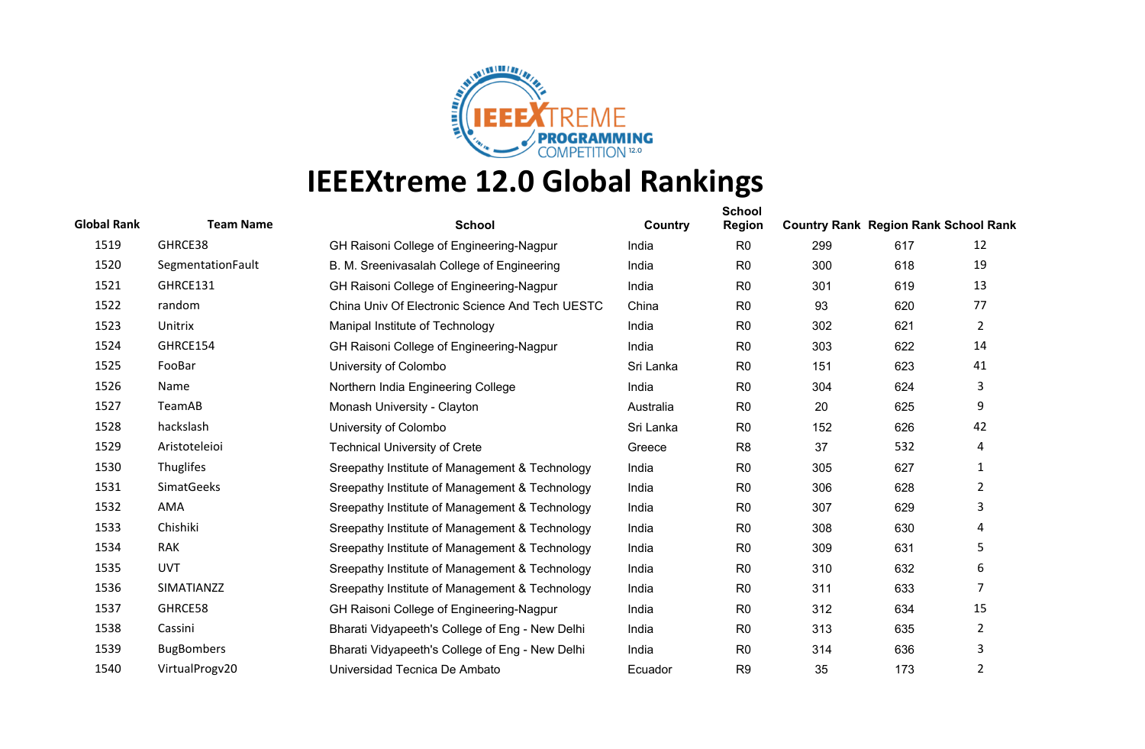

| <b>Global Rank</b> | <b>Team Name</b>  | <b>School</b>                                   | Country   | <b>School</b><br><b>Region</b> | <b>Country Rank Region Rank School Rank</b> |     |                |
|--------------------|-------------------|-------------------------------------------------|-----------|--------------------------------|---------------------------------------------|-----|----------------|
| 1519               | GHRCE38           | GH Raisoni College of Engineering-Nagpur        | India     | R <sub>0</sub>                 | 299                                         | 617 | 12             |
| 1520               | SegmentationFault | B. M. Sreenivasalah College of Engineering      | India     | R <sub>0</sub>                 | 300                                         | 618 | 19             |
| 1521               | GHRCE131          | GH Raisoni College of Engineering-Nagpur        | India     | R <sub>0</sub>                 | 301                                         | 619 | 13             |
| 1522               | random            | China Univ Of Electronic Science And Tech UESTC | China     | R <sub>0</sub>                 | 93                                          | 620 | 77             |
| 1523               | Unitrix           | Manipal Institute of Technology                 | India     | R <sub>0</sub>                 | 302                                         | 621 | $\overline{2}$ |
| 1524               | GHRCE154          | GH Raisoni College of Engineering-Nagpur        | India     | R <sub>0</sub>                 | 303                                         | 622 | 14             |
| 1525               | FooBar            | University of Colombo                           | Sri Lanka | R <sub>0</sub>                 | 151                                         | 623 | 41             |
| 1526               | Name              | Northern India Engineering College              | India     | R <sub>0</sub>                 | 304                                         | 624 | 3              |
| 1527               | TeamAB            | Monash University - Clayton                     | Australia | R <sub>0</sub>                 | 20                                          | 625 | 9              |
| 1528               | hackslash         | University of Colombo                           | Sri Lanka | R <sub>0</sub>                 | 152                                         | 626 | 42             |
| 1529               | Aristoteleioi     | <b>Technical University of Crete</b>            | Greece    | R <sub>8</sub>                 | 37                                          | 532 | 4              |
| 1530               | Thuglifes         | Sreepathy Institute of Management & Technology  | India     | R <sub>0</sub>                 | 305                                         | 627 | 1              |
| 1531               | <b>SimatGeeks</b> | Sreepathy Institute of Management & Technology  | India     | R <sub>0</sub>                 | 306                                         | 628 | $\overline{2}$ |
| 1532               | AMA               | Sreepathy Institute of Management & Technology  | India     | R <sub>0</sub>                 | 307                                         | 629 | 3              |
| 1533               | Chishiki          | Sreepathy Institute of Management & Technology  | India     | R <sub>0</sub>                 | 308                                         | 630 | 4              |
| 1534               | <b>RAK</b>        | Sreepathy Institute of Management & Technology  | India     | R <sub>0</sub>                 | 309                                         | 631 | 5              |
| 1535               | <b>UVT</b>        | Sreepathy Institute of Management & Technology  | India     | R <sub>0</sub>                 | 310                                         | 632 | 6              |
| 1536               | SIMATIANZZ        | Sreepathy Institute of Management & Technology  | India     | R <sub>0</sub>                 | 311                                         | 633 | 7              |
| 1537               | GHRCE58           | GH Raisoni College of Engineering-Nagpur        | India     | R <sub>0</sub>                 | 312                                         | 634 | 15             |
| 1538               | Cassini           | Bharati Vidyapeeth's College of Eng - New Delhi | India     | R <sub>0</sub>                 | 313                                         | 635 | $\overline{2}$ |
| 1539               | <b>BugBombers</b> | Bharati Vidyapeeth's College of Eng - New Delhi | India     | R <sub>0</sub>                 | 314                                         | 636 | 3              |
| 1540               | VirtualProgv20    | Universidad Tecnica De Ambato                   | Ecuador   | R <sub>9</sub>                 | 35                                          | 173 | 2              |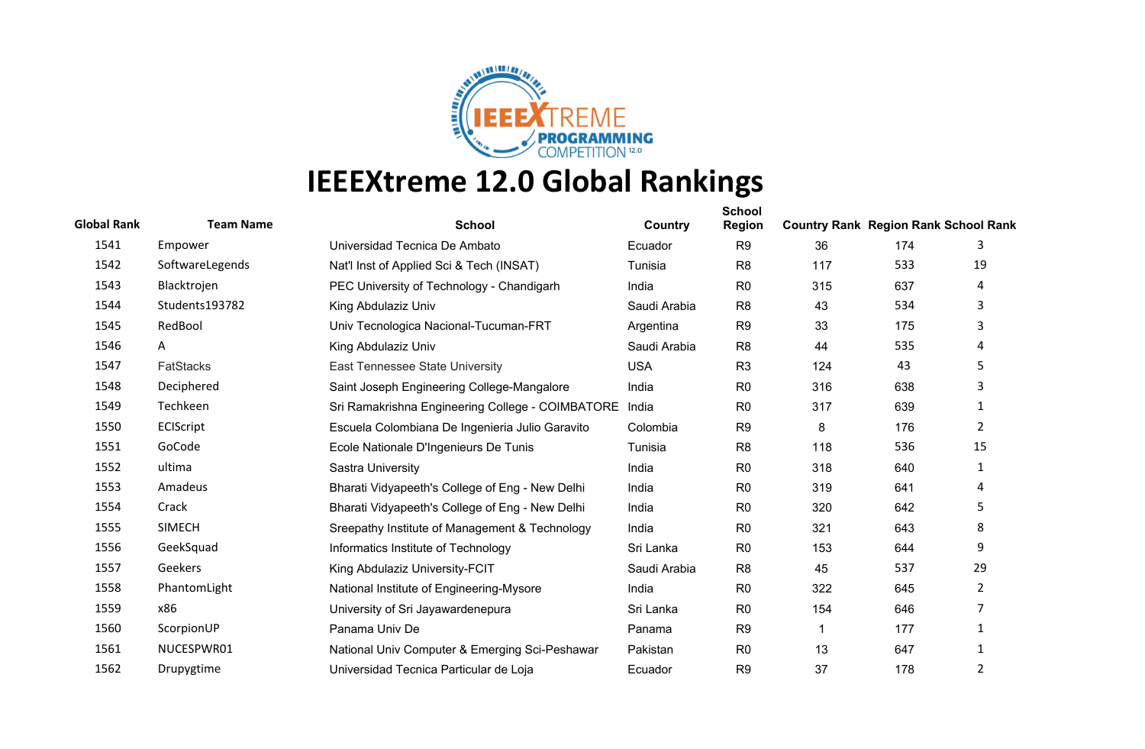

| <b>Global Rank</b> | <b>Team Name</b> | <b>School</b>                                    | Country      | <b>School</b><br><b>Region</b> | <b>Country Rank Region Rank School Rank</b> |     |                |
|--------------------|------------------|--------------------------------------------------|--------------|--------------------------------|---------------------------------------------|-----|----------------|
| 1541               | Empower          | Universidad Tecnica De Ambato                    | Ecuador      | R <sub>9</sub>                 | 36                                          | 174 | 3              |
| 1542               | SoftwareLegends  | Nat'l Inst of Applied Sci & Tech (INSAT)         | Tunisia      | R <sub>8</sub>                 | 117                                         | 533 | 19             |
| 1543               | Blacktrojen      | PEC University of Technology - Chandigarh        | India        | R <sub>0</sub>                 | 315                                         | 637 | 4              |
| 1544               | Students193782   | King Abdulaziz Univ                              | Saudi Arabia | R <sub>8</sub>                 | 43                                          | 534 | 3              |
| 1545               | RedBool          | Univ Tecnologica Nacional-Tucuman-FRT            | Argentina    | R <sub>9</sub>                 | 33                                          | 175 | 3              |
| 1546               | A                | King Abdulaziz Univ                              | Saudi Arabia | R <sub>8</sub>                 | 44                                          | 535 | 4              |
| 1547               | <b>FatStacks</b> | East Tennessee State University                  | <b>USA</b>   | R <sub>3</sub>                 | 124                                         | 43  | 5              |
| 1548               | Deciphered       | Saint Joseph Engineering College-Mangalore       | India        | R <sub>0</sub>                 | 316                                         | 638 | 3              |
| 1549               | Techkeen         | Sri Ramakrishna Engineering College - COIMBATORE | India        | R <sub>0</sub>                 | 317                                         | 639 | 1              |
| 1550               | ECIScript        | Escuela Colombiana De Ingenieria Julio Garavito  | Colombia     | R <sub>9</sub>                 | 8                                           | 176 | $\overline{2}$ |
| 1551               | GoCode           | Ecole Nationale D'Ingenieurs De Tunis            | Tunisia      | R <sub>8</sub>                 | 118                                         | 536 | 15             |
| 1552               | ultima           | Sastra University                                | India        | R <sub>0</sub>                 | 318                                         | 640 | 1              |
| 1553               | Amadeus          | Bharati Vidyapeeth's College of Eng - New Delhi  | India        | R <sub>0</sub>                 | 319                                         | 641 | 4              |
| 1554               | Crack            | Bharati Vidyapeeth's College of Eng - New Delhi  | India        | R <sub>0</sub>                 | 320                                         | 642 | 5              |
| 1555               | <b>SIMECH</b>    | Sreepathy Institute of Management & Technology   | India        | R <sub>0</sub>                 | 321                                         | 643 | 8              |
| 1556               | GeekSquad        | Informatics Institute of Technology              | Sri Lanka    | R <sub>0</sub>                 | 153                                         | 644 | 9              |
| 1557               | Geekers          | King Abdulaziz University-FCIT                   | Saudi Arabia | R <sub>8</sub>                 | 45                                          | 537 | 29             |
| 1558               | PhantomLight     | National Institute of Engineering-Mysore         | India        | R <sub>0</sub>                 | 322                                         | 645 | $\overline{2}$ |
| 1559               | x86              | University of Sri Jayawardenepura                | Sri Lanka    | R <sub>0</sub>                 | 154                                         | 646 | 7              |
| 1560               | ScorpionUP       | Panama Univ De                                   | Panama       | R <sub>9</sub>                 |                                             | 177 | 1              |
| 1561               | NUCESPWR01       | National Univ Computer & Emerging Sci-Peshawar   | Pakistan     | R <sub>0</sub>                 | 13                                          | 647 | 1              |
| 1562               | Drupygtime       | Universidad Tecnica Particular de Loja           | Ecuador      | R <sub>9</sub>                 | 37                                          | 178 | 2              |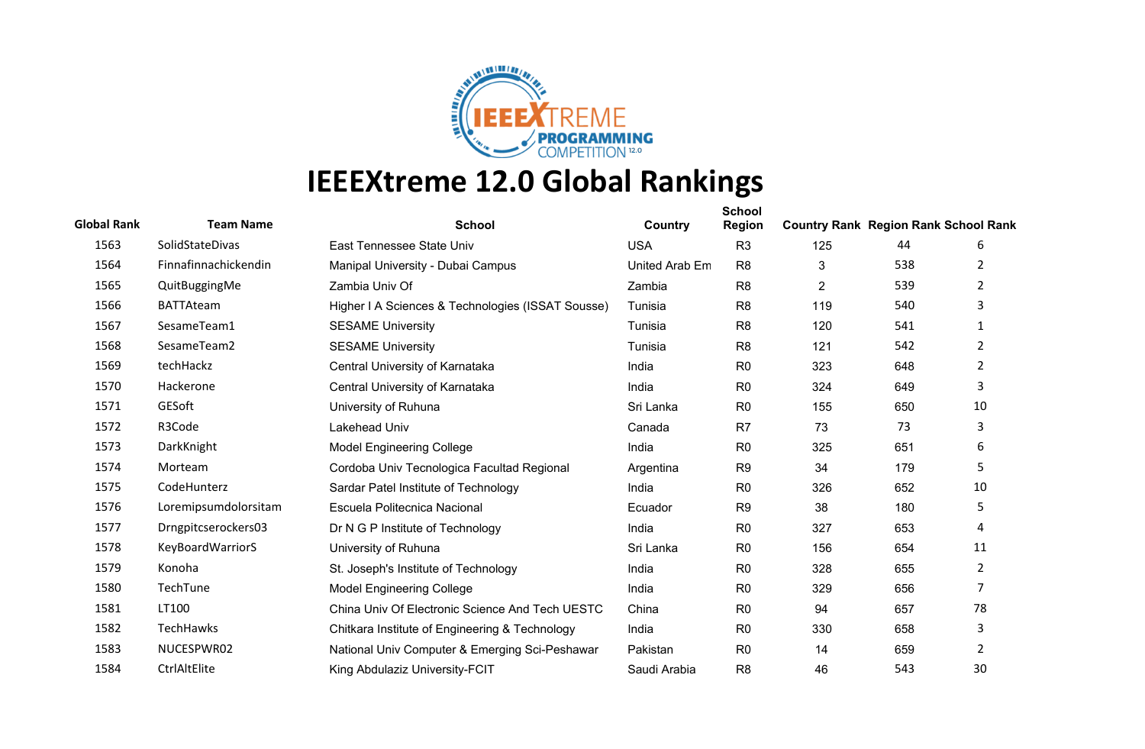

| <b>Global Rank</b> | <b>Team Name</b>        | <b>School</b>                                     | Country        | <b>School</b><br><b>Region</b> | <b>Country Rank Region Rank School Rank</b> |     |                |
|--------------------|-------------------------|---------------------------------------------------|----------------|--------------------------------|---------------------------------------------|-----|----------------|
| 1563               | SolidStateDivas         | East Tennessee State Univ                         | <b>USA</b>     | R <sub>3</sub>                 | 125                                         | 44  | 6              |
| 1564               | Finnafinnachickendin    | Manipal University - Dubai Campus                 | United Arab Em | R <sub>8</sub>                 | 3                                           | 538 | 2              |
| 1565               | QuitBuggingMe           | Zambia Univ Of                                    | Zambia         | R <sub>8</sub>                 | $\overline{2}$                              | 539 | 2              |
| 1566               | <b>BATTAteam</b>        | Higher I A Sciences & Technologies (ISSAT Sousse) | Tunisia        | R <sub>8</sub>                 | 119                                         | 540 | 3              |
| 1567               | SesameTeam1             | <b>SESAME University</b>                          | Tunisia        | R <sub>8</sub>                 | 120                                         | 541 | 1              |
| 1568               | SesameTeam2             | <b>SESAME University</b>                          | Tunisia        | R <sub>8</sub>                 | 121                                         | 542 | $\overline{2}$ |
| 1569               | techHackz               | Central University of Karnataka                   | India          | R <sub>0</sub>                 | 323                                         | 648 | $\overline{2}$ |
| 1570               | Hackerone               | Central University of Karnataka                   | India          | R <sub>0</sub>                 | 324                                         | 649 | 3              |
| 1571               | GESoft                  | University of Ruhuna                              | Sri Lanka      | R <sub>0</sub>                 | 155                                         | 650 | 10             |
| 1572               | R3Code                  | Lakehead Univ                                     | Canada         | R7                             | 73                                          | 73  | 3              |
| 1573               | DarkKnight              | <b>Model Engineering College</b>                  | India          | R <sub>0</sub>                 | 325                                         | 651 | 6              |
| 1574               | Morteam                 | Cordoba Univ Tecnologica Facultad Regional        | Argentina      | R <sub>9</sub>                 | 34                                          | 179 | 5.             |
| 1575               | CodeHunterz             | Sardar Patel Institute of Technology              | India          | R <sub>0</sub>                 | 326                                         | 652 | 10             |
| 1576               | Loremipsumdolorsitam    | Escuela Politecnica Nacional                      | Ecuador        | R <sub>9</sub>                 | 38                                          | 180 | 5              |
| 1577               | Drngpitcserockers03     | Dr N G P Institute of Technology                  | India          | R <sub>0</sub>                 | 327                                         | 653 | 4              |
| 1578               | <b>KeyBoardWarriorS</b> | University of Ruhuna                              | Sri Lanka      | R <sub>0</sub>                 | 156                                         | 654 | 11             |
| 1579               | Konoha                  | St. Joseph's Institute of Technology              | India          | R <sub>0</sub>                 | 328                                         | 655 | $\overline{2}$ |
| 1580               | TechTune                | <b>Model Engineering College</b>                  | India          | R <sub>0</sub>                 | 329                                         | 656 | $\overline{7}$ |
| 1581               | LT100                   | China Univ Of Electronic Science And Tech UESTC   | China          | R <sub>0</sub>                 | 94                                          | 657 | 78             |
| 1582               | TechHawks               | Chitkara Institute of Engineering & Technology    | India          | R <sub>0</sub>                 | 330                                         | 658 | 3              |
| 1583               | NUCESPWR02              | National Univ Computer & Emerging Sci-Peshawar    | Pakistan       | R <sub>0</sub>                 | 14                                          | 659 | 2              |
| 1584               | CtrlAltElite            | King Abdulaziz University-FCIT                    | Saudi Arabia   | R <sub>8</sub>                 | 46                                          | 543 | 30             |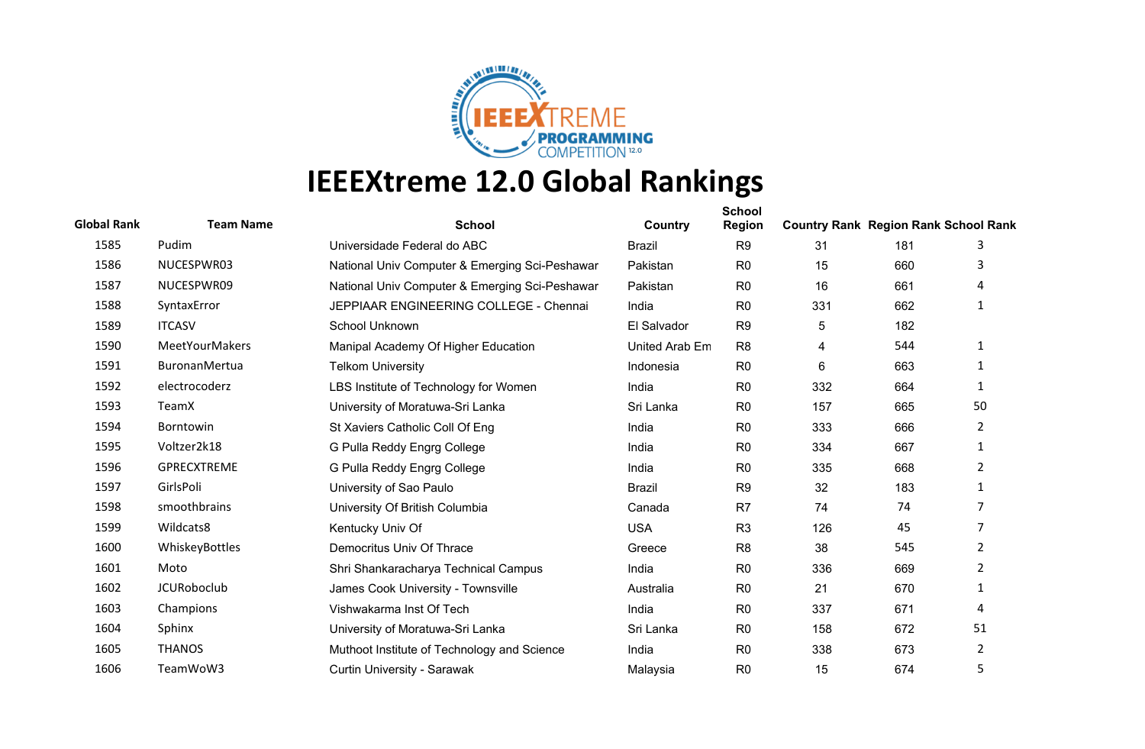

| <b>Global Rank</b> | <b>Team Name</b>      | <b>School</b>                                  | Country        | <b>School</b><br><b>Region</b> | <b>Country Rank Region Rank School Rank</b> |     |                |
|--------------------|-----------------------|------------------------------------------------|----------------|--------------------------------|---------------------------------------------|-----|----------------|
| 1585               | Pudim                 | Universidade Federal do ABC                    | <b>Brazil</b>  | R <sub>9</sub>                 | 31                                          | 181 | 3              |
| 1586               | NUCESPWR03            | National Univ Computer & Emerging Sci-Peshawar | Pakistan       | R <sub>0</sub>                 | 15                                          | 660 | 3              |
| 1587               | NUCESPWR09            | National Univ Computer & Emerging Sci-Peshawar | Pakistan       | R <sub>0</sub>                 | 16                                          | 661 | 4              |
| 1588               | SyntaxError           | JEPPIAAR ENGINEERING COLLEGE - Chennai         | India          | R <sub>0</sub>                 | 331                                         | 662 | 1              |
| 1589               | <b>ITCASV</b>         | School Unknown                                 | El Salvador    | R <sub>9</sub>                 | $\sqrt{5}$                                  | 182 |                |
| 1590               | <b>MeetYourMakers</b> | Manipal Academy Of Higher Education            | United Arab Em | R <sub>8</sub>                 | 4                                           | 544 | 1              |
| 1591               | BuronanMertua         | <b>Telkom University</b>                       | Indonesia      | R <sub>0</sub>                 | 6                                           | 663 | 1              |
| 1592               | electrocoderz         | LBS Institute of Technology for Women          | India          | R <sub>0</sub>                 | 332                                         | 664 | 1              |
| 1593               | TeamX                 | University of Moratuwa-Sri Lanka               | Sri Lanka      | R <sub>0</sub>                 | 157                                         | 665 | 50             |
| 1594               | Borntowin             | St Xaviers Catholic Coll Of Eng                | India          | R <sub>0</sub>                 | 333                                         | 666 | $\overline{2}$ |
| 1595               | Voltzer2k18           | G Pulla Reddy Engrg College                    | India          | R <sub>0</sub>                 | 334                                         | 667 | 1              |
| 1596               | <b>GPRECXTREME</b>    | G Pulla Reddy Engrg College                    | India          | R <sub>0</sub>                 | 335                                         | 668 | $\overline{2}$ |
| 1597               | GirlsPoli             | University of Sao Paulo                        | <b>Brazil</b>  | R <sub>9</sub>                 | 32                                          | 183 | 1              |
| 1598               | smoothbrains          | University Of British Columbia                 | Canada         | R <sub>7</sub>                 | 74                                          | 74  | 7              |
| 1599               | Wildcats8             | Kentucky Univ Of                               | <b>USA</b>     | R <sub>3</sub>                 | 126                                         | 45  | $\overline{7}$ |
| 1600               | WhiskeyBottles        | Democritus Univ Of Thrace                      | Greece         | R <sub>8</sub>                 | 38                                          | 545 | $\overline{2}$ |
| 1601               | Moto                  | Shri Shankaracharya Technical Campus           | India          | R <sub>0</sub>                 | 336                                         | 669 | $\overline{2}$ |
| 1602               | <b>JCURoboclub</b>    | James Cook University - Townsville             | Australia      | R <sub>0</sub>                 | 21                                          | 670 | 1              |
| 1603               | Champions             | Vishwakarma Inst Of Tech                       | India          | R <sub>0</sub>                 | 337                                         | 671 | 4              |
| 1604               | Sphinx                | University of Moratuwa-Sri Lanka               | Sri Lanka      | R <sub>0</sub>                 | 158                                         | 672 | 51             |
| 1605               | <b>THANOS</b>         | Muthoot Institute of Technology and Science    | India          | R <sub>0</sub>                 | 338                                         | 673 | 2              |
| 1606               | TeamWoW3              | Curtin University - Sarawak                    | Malaysia       | R <sub>0</sub>                 | 15                                          | 674 | 5              |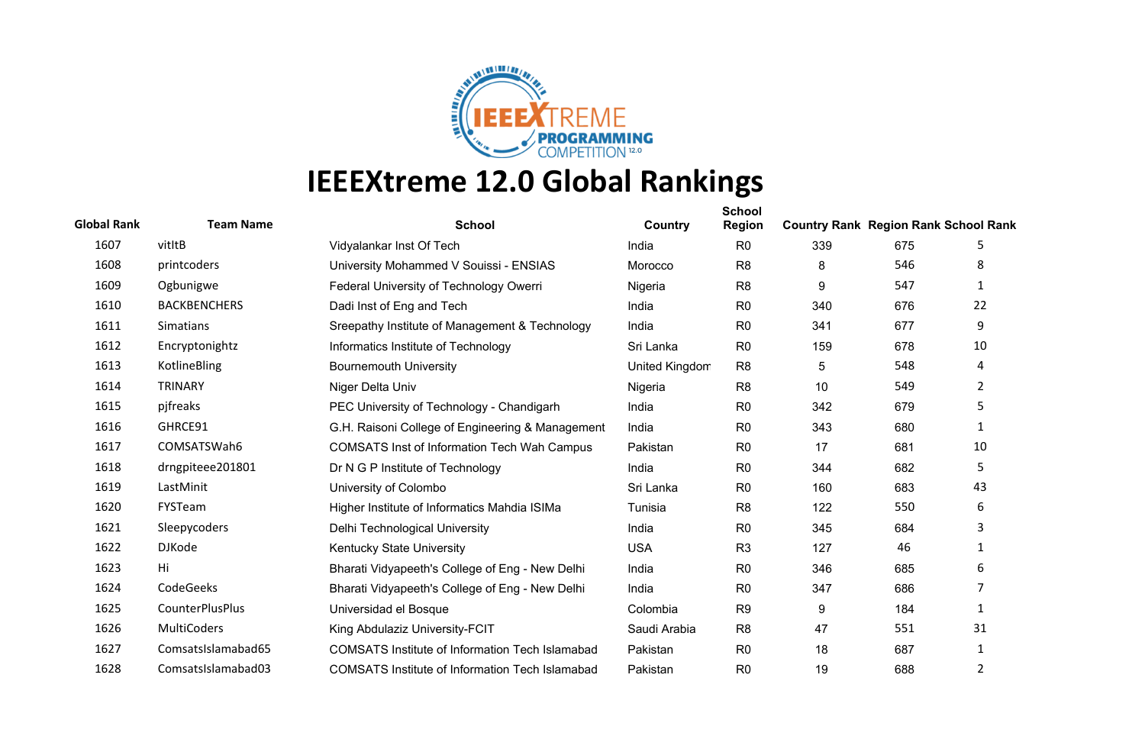

| <b>Global Rank</b> | <b>Team Name</b>       | <b>School</b>                                          | Country        | <b>School</b><br><b>Region</b> | <b>Country Rank Region Rank School Rank</b> |     |                |
|--------------------|------------------------|--------------------------------------------------------|----------------|--------------------------------|---------------------------------------------|-----|----------------|
| 1607               | vitItB                 | Vidyalankar Inst Of Tech                               | India          | R <sub>0</sub>                 | 339                                         | 675 | 5              |
| 1608               | printcoders            | University Mohammed V Souissi - ENSIAS                 | Morocco        | R <sub>8</sub>                 | 8                                           | 546 | 8              |
| 1609               | Ogbunigwe              | Federal University of Technology Owerri                | Nigeria        | R <sub>8</sub>                 | 9                                           | 547 | 1              |
| 1610               | <b>BACKBENCHERS</b>    | Dadi Inst of Eng and Tech                              | India          | R <sub>0</sub>                 | 340                                         | 676 | 22             |
| 1611               | Simatians              | Sreepathy Institute of Management & Technology         | India          | R <sub>0</sub>                 | 341                                         | 677 | 9              |
| 1612               | Encryptonightz         | Informatics Institute of Technology                    | Sri Lanka      | R <sub>0</sub>                 | 159                                         | 678 | 10             |
| 1613               | KotlineBling           | <b>Bournemouth University</b>                          | United Kingdom | R <sub>8</sub>                 | $\overline{5}$                              | 548 | 4              |
| 1614               | <b>TRINARY</b>         | Niger Delta Univ                                       | Nigeria        | R <sub>8</sub>                 | 10                                          | 549 | $\overline{2}$ |
| 1615               | pjfreaks               | PEC University of Technology - Chandigarh              | India          | R <sub>0</sub>                 | 342                                         | 679 | 5              |
| 1616               | GHRCE91                | G.H. Raisoni College of Engineering & Management       | India          | R <sub>0</sub>                 | 343                                         | 680 | 1              |
| 1617               | COMSATSWah6            | <b>COMSATS Inst of Information Tech Wah Campus</b>     | Pakistan       | R <sub>0</sub>                 | 17                                          | 681 | 10             |
| 1618               | drngpiteee201801       | Dr N G P Institute of Technology                       | India          | R <sub>0</sub>                 | 344                                         | 682 | 5.             |
| 1619               | LastMinit              | University of Colombo                                  | Sri Lanka      | R <sub>0</sub>                 | 160                                         | 683 | 43             |
| 1620               | FYSTeam                | Higher Institute of Informatics Mahdia ISIMa           | Tunisia        | R <sub>8</sub>                 | 122                                         | 550 | 6              |
| 1621               | Sleepycoders           | Delhi Technological University                         | India          | R <sub>0</sub>                 | 345                                         | 684 | 3              |
| 1622               | <b>DJKode</b>          | Kentucky State University                              | <b>USA</b>     | R <sub>3</sub>                 | 127                                         | 46  | 1              |
| 1623               | Hi                     | Bharati Vidyapeeth's College of Eng - New Delhi        | India          | R <sub>0</sub>                 | 346                                         | 685 | 6              |
| 1624               | CodeGeeks              | Bharati Vidyapeeth's College of Eng - New Delhi        | India          | R <sub>0</sub>                 | 347                                         | 686 | 7              |
| 1625               | <b>CounterPlusPlus</b> | Universidad el Bosque                                  | Colombia       | R <sub>9</sub>                 | 9                                           | 184 | 1              |
| 1626               | MultiCoders            | King Abdulaziz University-FCIT                         | Saudi Arabia   | R <sub>8</sub>                 | 47                                          | 551 | 31             |
| 1627               | ComsatsIslamabad65     | <b>COMSATS Institute of Information Tech Islamabad</b> | Pakistan       | R <sub>0</sub>                 | 18                                          | 687 | $\mathbf{1}$   |
| 1628               | ComsatsIslamabad03     | <b>COMSATS Institute of Information Tech Islamabad</b> | Pakistan       | R <sub>0</sub>                 | 19                                          | 688 | 2              |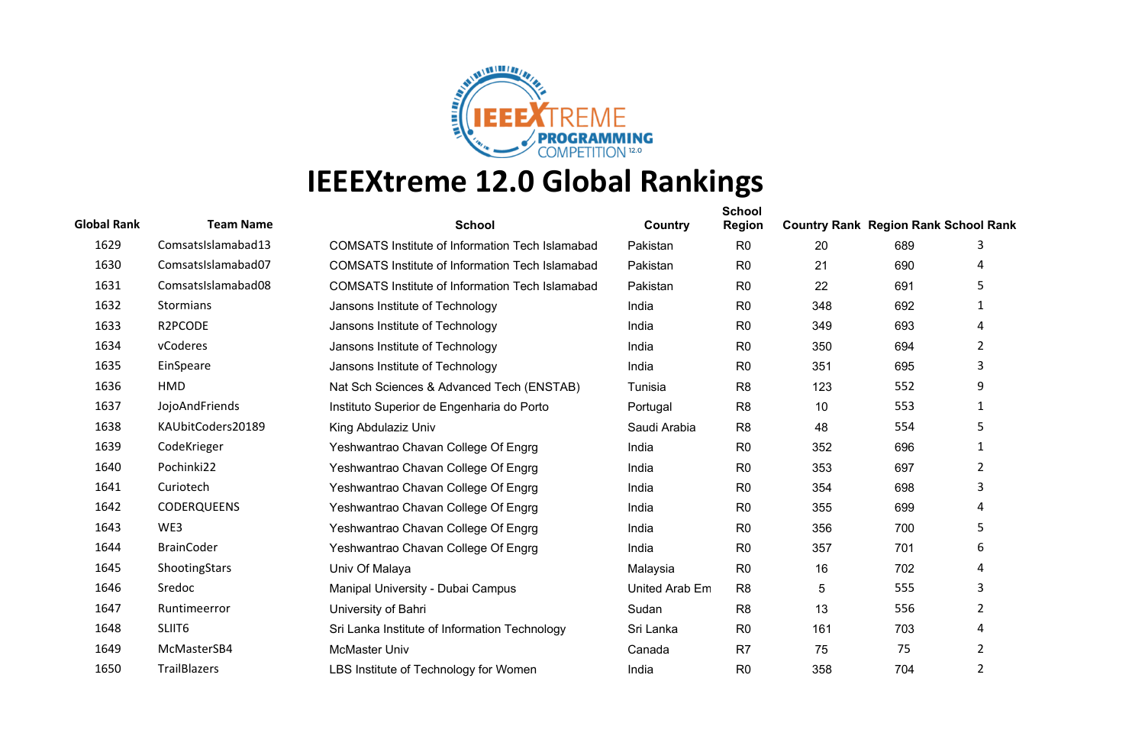

| <b>Global Rank</b> | <b>Team Name</b>   | <b>School</b>                                          | Country        | <b>School</b><br><b>Region</b> | <b>Country Rank Region Rank School Rank</b> |     |                |
|--------------------|--------------------|--------------------------------------------------------|----------------|--------------------------------|---------------------------------------------|-----|----------------|
| 1629               | ComsatsIslamabad13 | <b>COMSATS Institute of Information Tech Islamabad</b> | Pakistan       | R <sub>0</sub>                 | 20                                          | 689 | 3              |
| 1630               | ComsatsIslamabad07 | <b>COMSATS Institute of Information Tech Islamabad</b> | Pakistan       | R <sub>0</sub>                 | 21                                          | 690 | 4              |
| 1631               | ComsatsIslamabad08 | <b>COMSATS Institute of Information Tech Islamabad</b> | Pakistan       | R <sub>0</sub>                 | 22                                          | 691 | 5              |
| 1632               | <b>Stormians</b>   | Jansons Institute of Technology                        | India          | R <sub>0</sub>                 | 348                                         | 692 | 1              |
| 1633               | R2PCODE            | Jansons Institute of Technology                        | India          | R <sub>0</sub>                 | 349                                         | 693 | 4              |
| 1634               | vCoderes           | Jansons Institute of Technology                        | India          | R <sub>0</sub>                 | 350                                         | 694 | 2              |
| 1635               | EinSpeare          | Jansons Institute of Technology                        | India          | R <sub>0</sub>                 | 351                                         | 695 | 3              |
| 1636               | HMD                | Nat Sch Sciences & Advanced Tech (ENSTAB)              | Tunisia        | R <sub>8</sub>                 | 123                                         | 552 | 9              |
| 1637               | JojoAndFriends     | Instituto Superior de Engenharia do Porto              | Portugal       | R <sub>8</sub>                 | 10                                          | 553 | $\mathbf{1}$   |
| 1638               | KAUbitCoders20189  | King Abdulaziz Univ                                    | Saudi Arabia   | R <sub>8</sub>                 | 48                                          | 554 | 5              |
| 1639               | CodeKrieger        | Yeshwantrao Chavan College Of Engrg                    | India          | R <sub>0</sub>                 | 352                                         | 696 | 1              |
| 1640               | Pochinki22         | Yeshwantrao Chavan College Of Engrg                    | India          | R <sub>0</sub>                 | 353                                         | 697 | $\overline{2}$ |
| 1641               | Curiotech          | Yeshwantrao Chavan College Of Engrg                    | India          | R <sub>0</sub>                 | 354                                         | 698 | 3              |
| 1642               | <b>CODERQUEENS</b> | Yeshwantrao Chavan College Of Engrg                    | India          | R <sub>0</sub>                 | 355                                         | 699 | 4              |
| 1643               | WE3                | Yeshwantrao Chavan College Of Engrg                    | India          | R <sub>0</sub>                 | 356                                         | 700 | 5              |
| 1644               | <b>BrainCoder</b>  | Yeshwantrao Chavan College Of Engrg                    | India          | R <sub>0</sub>                 | 357                                         | 701 | 6              |
| 1645               | ShootingStars      | Univ Of Malaya                                         | Malaysia       | R <sub>0</sub>                 | 16                                          | 702 | 4              |
| 1646               | Sredoc             | Manipal University - Dubai Campus                      | United Arab Em | R <sub>8</sub>                 | 5                                           | 555 | 3              |
| 1647               | Runtimeerror       | University of Bahri                                    | Sudan          | R <sub>8</sub>                 | 13                                          | 556 | 2              |
| 1648               | SLIIT <sub>6</sub> | Sri Lanka Institute of Information Technology          | Sri Lanka      | R <sub>0</sub>                 | 161                                         | 703 | 4              |
| 1649               | McMasterSB4        | <b>McMaster Univ</b>                                   | Canada         | R7                             | 75                                          | 75  | 2              |
| 1650               | TrailBlazers       | LBS Institute of Technology for Women                  | India          | R <sub>0</sub>                 | 358                                         | 704 | $\overline{2}$ |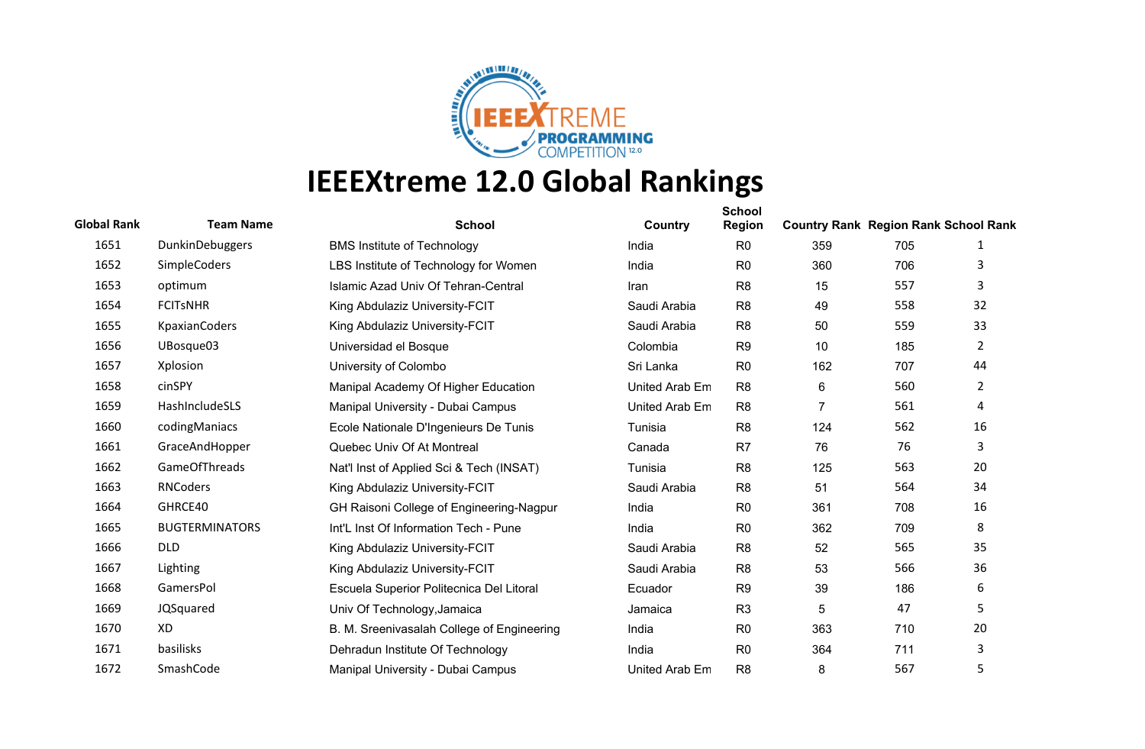

| <b>Global Rank</b> | <b>Team Name</b>      | <b>School</b>                              | Country        | <b>School</b><br><b>Region</b> | <b>Country Rank Region Rank School Rank</b> |     |                |
|--------------------|-----------------------|--------------------------------------------|----------------|--------------------------------|---------------------------------------------|-----|----------------|
| 1651               | DunkinDebuggers       | <b>BMS Institute of Technology</b>         | India          | R <sub>0</sub>                 | 359                                         | 705 | 1              |
| 1652               | <b>SimpleCoders</b>   | LBS Institute of Technology for Women      | India          | R <sub>0</sub>                 | 360                                         | 706 | 3              |
| 1653               | optimum               | Islamic Azad Univ Of Tehran-Central        | Iran           | R <sub>8</sub>                 | 15                                          | 557 | 3              |
| 1654               | <b>FCITSNHR</b>       | King Abdulaziz University-FCIT             | Saudi Arabia   | R <sub>8</sub>                 | 49                                          | 558 | 32             |
| 1655               | <b>KpaxianCoders</b>  | King Abdulaziz University-FCIT             | Saudi Arabia   | R <sub>8</sub>                 | 50                                          | 559 | 33             |
| 1656               | UBosque03             | Universidad el Bosque                      | Colombia       | R <sub>9</sub>                 | 10                                          | 185 | $\overline{2}$ |
| 1657               | Xplosion              | University of Colombo                      | Sri Lanka      | R <sub>0</sub>                 | 162                                         | 707 | 44             |
| 1658               | cinSPY                | Manipal Academy Of Higher Education        | United Arab Em | R <sub>8</sub>                 | 6                                           | 560 | $\overline{2}$ |
| 1659               | HashIncludeSLS        | Manipal University - Dubai Campus          | United Arab Em | R <sub>8</sub>                 | $\overline{7}$                              | 561 | 4              |
| 1660               | codingManiacs         | Ecole Nationale D'Ingenieurs De Tunis      | Tunisia        | R <sub>8</sub>                 | 124                                         | 562 | 16             |
| 1661               | GraceAndHopper        | Quebec Univ Of At Montreal                 | Canada         | R <sub>7</sub>                 | 76                                          | 76  | 3              |
| 1662               | <b>GameOfThreads</b>  | Nat'l Inst of Applied Sci & Tech (INSAT)   | Tunisia        | R <sub>8</sub>                 | 125                                         | 563 | 20             |
| 1663               | <b>RNCoders</b>       | King Abdulaziz University-FCIT             | Saudi Arabia   | R <sub>8</sub>                 | 51                                          | 564 | 34             |
| 1664               | GHRCE40               | GH Raisoni College of Engineering-Nagpur   | India          | R <sub>0</sub>                 | 361                                         | 708 | 16             |
| 1665               | <b>BUGTERMINATORS</b> | Int'L Inst Of Information Tech - Pune      | India          | R <sub>0</sub>                 | 362                                         | 709 | 8              |
| 1666               | <b>DLD</b>            | King Abdulaziz University-FCIT             | Saudi Arabia   | R <sub>8</sub>                 | 52                                          | 565 | 35             |
| 1667               | Lighting              | King Abdulaziz University-FCIT             | Saudi Arabia   | R <sub>8</sub>                 | 53                                          | 566 | 36             |
| 1668               | GamersPol             | Escuela Superior Politecnica Del Litoral   | Ecuador        | R <sub>9</sub>                 | 39                                          | 186 | 6              |
| 1669               | JQSquared             | Univ Of Technology, Jamaica                | Jamaica        | R <sub>3</sub>                 | 5                                           | 47  | 5              |
| 1670               | XD                    | B. M. Sreenivasalah College of Engineering | India          | R <sub>0</sub>                 | 363                                         | 710 | 20             |
| 1671               | basilisks             | Dehradun Institute Of Technology           | India          | R <sub>0</sub>                 | 364                                         | 711 | 3              |
| 1672               | SmashCode             | Manipal University - Dubai Campus          | United Arab Em | R <sub>8</sub>                 | 8                                           | 567 | 5              |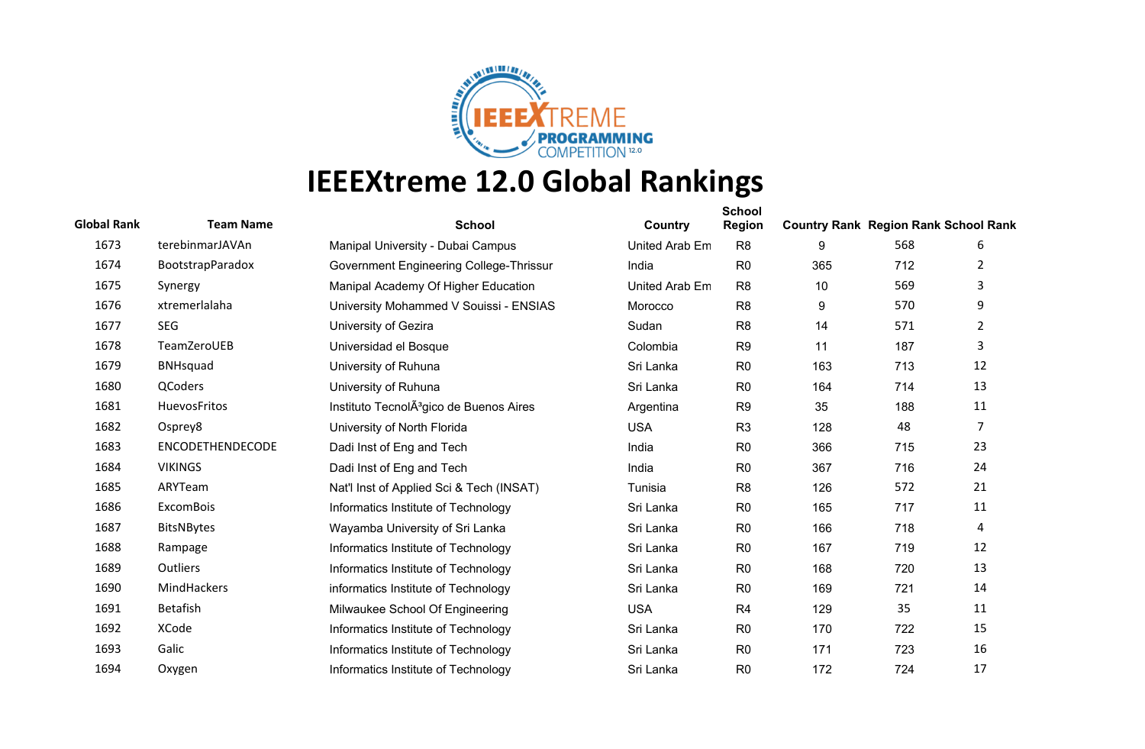

| <b>Global Rank</b> | <b>Team Name</b>  | <b>School</b>                                       | Country        | <b>School</b><br>Region | <b>Country Rank Region Rank School Rank</b> |     |                |
|--------------------|-------------------|-----------------------------------------------------|----------------|-------------------------|---------------------------------------------|-----|----------------|
| 1673               | terebinmarJAVAn   | Manipal University - Dubai Campus                   | United Arab Em | R <sub>8</sub>          | 9                                           | 568 | 6              |
| 1674               | BootstrapParadox  | Government Engineering College-Thrissur             | India          | R <sub>0</sub>          | 365                                         | 712 | 2              |
| 1675               | Synergy           | Manipal Academy Of Higher Education                 | United Arab Em | R <sub>8</sub>          | 10                                          | 569 | 3              |
| 1676               | xtremerlalaha     | University Mohammed V Souissi - ENSIAS              | Morocco        | R <sub>8</sub>          | 9                                           | 570 | 9              |
| 1677               | <b>SEG</b>        | University of Gezira                                | Sudan          | R <sub>8</sub>          | 14                                          | 571 | 2              |
| 1678               | TeamZeroUEB       | Universidad el Bosque                               | Colombia       | R <sub>9</sub>          | 11                                          | 187 | 3              |
| 1679               | <b>BNHsquad</b>   | University of Ruhuna                                | Sri Lanka      | R <sub>0</sub>          | 163                                         | 713 | 12             |
| 1680               | QCoders           | University of Ruhuna                                | Sri Lanka      | R <sub>0</sub>          | 164                                         | 714 | 13             |
| 1681               | HuevosFritos      | Instituto TecnolA <sup>3</sup> gico de Buenos Aires | Argentina      | R <sub>9</sub>          | 35                                          | 188 | 11             |
| 1682               | Osprey8           | University of North Florida                         | <b>USA</b>     | R <sub>3</sub>          | 128                                         | 48  | $\overline{7}$ |
| 1683               | ENCODETHENDECODE  | Dadi Inst of Eng and Tech                           | India          | R <sub>0</sub>          | 366                                         | 715 | 23             |
| 1684               | <b>VIKINGS</b>    | Dadi Inst of Eng and Tech                           | India          | R <sub>0</sub>          | 367                                         | 716 | 24             |
| 1685               | ARYTeam           | Nat'l Inst of Applied Sci & Tech (INSAT)            | Tunisia        | R <sub>8</sub>          | 126                                         | 572 | 21             |
| 1686               | <b>ExcomBois</b>  | Informatics Institute of Technology                 | Sri Lanka      | R <sub>0</sub>          | 165                                         | 717 | 11             |
| 1687               | <b>BitsNBytes</b> | Wayamba University of Sri Lanka                     | Sri Lanka      | R <sub>0</sub>          | 166                                         | 718 | $\overline{4}$ |
| 1688               | Rampage           | Informatics Institute of Technology                 | Sri Lanka      | R <sub>0</sub>          | 167                                         | 719 | 12             |
| 1689               | Outliers          | Informatics Institute of Technology                 | Sri Lanka      | R <sub>0</sub>          | 168                                         | 720 | 13             |
| 1690               | MindHackers       | informatics Institute of Technology                 | Sri Lanka      | R <sub>0</sub>          | 169                                         | 721 | 14             |
| 1691               | Betafish          | Milwaukee School Of Engineering                     | <b>USA</b>     | R <sub>4</sub>          | 129                                         | 35  | 11             |
| 1692               | <b>XCode</b>      | Informatics Institute of Technology                 | Sri Lanka      | R <sub>0</sub>          | 170                                         | 722 | 15             |
| 1693               | Galic             | Informatics Institute of Technology                 | Sri Lanka      | R <sub>0</sub>          | 171                                         | 723 | 16             |
| 1694               | Oxygen            | Informatics Institute of Technology                 | Sri Lanka      | R <sub>0</sub>          | 172                                         | 724 | 17             |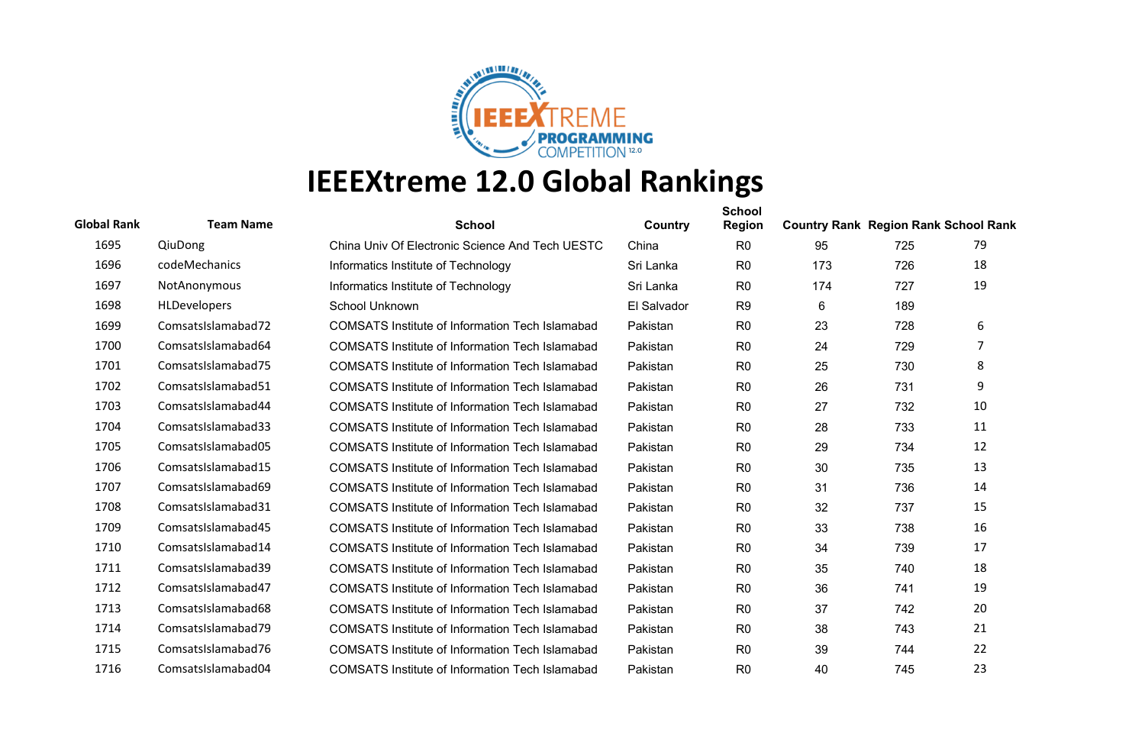

| <b>Global Rank</b> | <b>Team Name</b>    | <b>School</b>                                          | Country     | <b>School</b><br><b>Region</b> | <b>Country Rank Region Rank School Rank</b> |     |    |
|--------------------|---------------------|--------------------------------------------------------|-------------|--------------------------------|---------------------------------------------|-----|----|
| 1695               | QiuDong             | China Univ Of Electronic Science And Tech UESTC        | China       | R <sub>0</sub>                 | 95                                          | 725 | 79 |
| 1696               | codeMechanics       | Informatics Institute of Technology                    | Sri Lanka   | R <sub>0</sub>                 | 173                                         | 726 | 18 |
| 1697               | <b>NotAnonymous</b> | Informatics Institute of Technology                    | Sri Lanka   | R <sub>0</sub>                 | 174                                         | 727 | 19 |
| 1698               | <b>HLDevelopers</b> | School Unknown                                         | El Salvador | R <sub>9</sub>                 | 6                                           | 189 |    |
| 1699               | ComsatsIslamabad72  | COMSATS Institute of Information Tech Islamabad        | Pakistan    | R <sub>0</sub>                 | 23                                          | 728 | 6  |
| 1700               | ComsatsIslamabad64  | COMSATS Institute of Information Tech Islamabad        | Pakistan    | R <sub>0</sub>                 | 24                                          | 729 | 7  |
| 1701               | ComsatsIslamabad75  | <b>COMSATS Institute of Information Tech Islamabad</b> | Pakistan    | R <sub>0</sub>                 | 25                                          | 730 | 8  |
| 1702               | ComsatsIslamabad51  | COMSATS Institute of Information Tech Islamabad        | Pakistan    | R <sub>0</sub>                 | 26                                          | 731 | 9  |
| 1703               | ComsatsIslamabad44  | COMSATS Institute of Information Tech Islamabad        | Pakistan    | R <sub>0</sub>                 | 27                                          | 732 | 10 |
| 1704               | ComsatsIslamabad33  | COMSATS Institute of Information Tech Islamabad        | Pakistan    | R <sub>0</sub>                 | 28                                          | 733 | 11 |
| 1705               | ComsatsIslamabad05  | COMSATS Institute of Information Tech Islamabad        | Pakistan    | R <sub>0</sub>                 | 29                                          | 734 | 12 |
| 1706               | ComsatsIslamabad15  | COMSATS Institute of Information Tech Islamabad        | Pakistan    | R <sub>0</sub>                 | 30                                          | 735 | 13 |
| 1707               | ComsatsIslamabad69  | COMSATS Institute of Information Tech Islamabad        | Pakistan    | R <sub>0</sub>                 | 31                                          | 736 | 14 |
| 1708               | ComsatsIslamabad31  | COMSATS Institute of Information Tech Islamabad        | Pakistan    | R <sub>0</sub>                 | 32                                          | 737 | 15 |
| 1709               | ComsatsIslamabad45  | COMSATS Institute of Information Tech Islamabad        | Pakistan    | R <sub>0</sub>                 | 33                                          | 738 | 16 |
| 1710               | ComsatsIslamabad14  | <b>COMSATS Institute of Information Tech Islamabad</b> | Pakistan    | R <sub>0</sub>                 | 34                                          | 739 | 17 |
| 1711               | ComsatsIslamabad39  | COMSATS Institute of Information Tech Islamabad        | Pakistan    | R <sub>0</sub>                 | 35                                          | 740 | 18 |
| 1712               | ComsatsIslamabad47  | <b>COMSATS Institute of Information Tech Islamabad</b> | Pakistan    | R <sub>0</sub>                 | 36                                          | 741 | 19 |
| 1713               | ComsatsIslamabad68  | COMSATS Institute of Information Tech Islamabad        | Pakistan    | R <sub>0</sub>                 | 37                                          | 742 | 20 |
| 1714               | ComsatsIslamabad79  | COMSATS Institute of Information Tech Islamabad        | Pakistan    | R <sub>0</sub>                 | 38                                          | 743 | 21 |
| 1715               | ComsatsIslamabad76  | COMSATS Institute of Information Tech Islamabad        | Pakistan    | R <sub>0</sub>                 | 39                                          | 744 | 22 |
| 1716               | ComsatsIslamabad04  | <b>COMSATS Institute of Information Tech Islamabad</b> | Pakistan    | R <sub>0</sub>                 | 40                                          | 745 | 23 |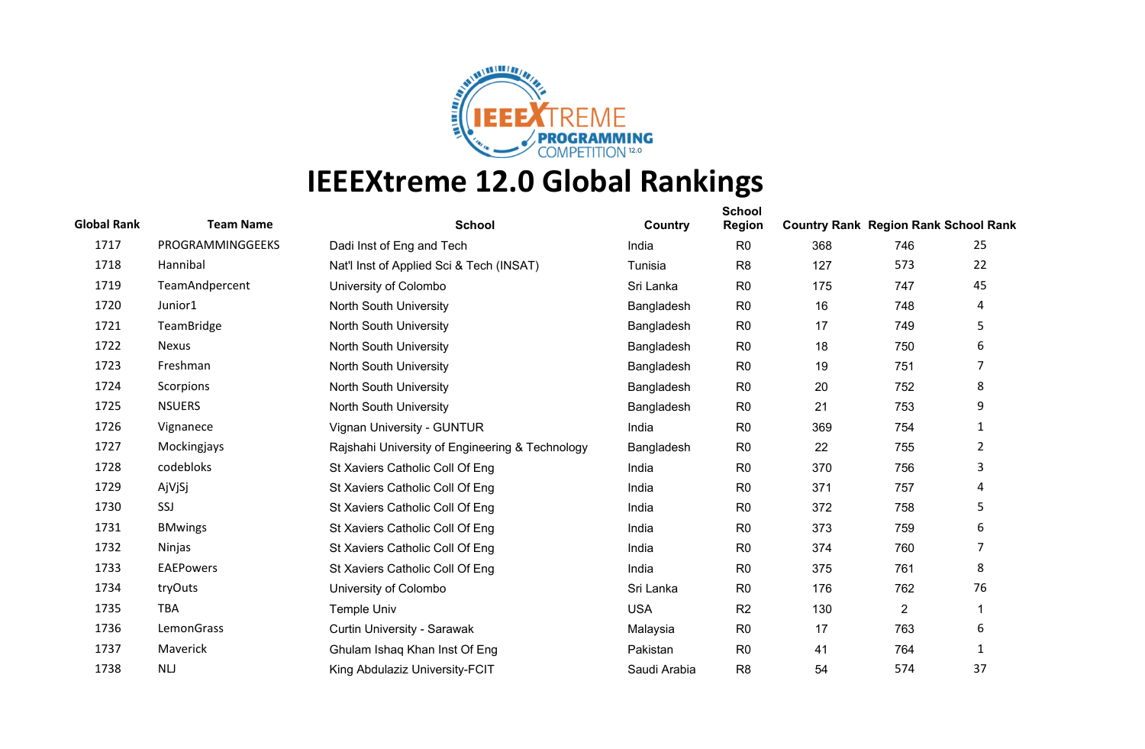

| <b>Global Rank</b> | <b>Team Name</b>  | <b>School</b>                                   | Country      | <b>School</b><br><b>Region</b> | <b>Country Rank Region Rank School Rank</b> |                |                |
|--------------------|-------------------|-------------------------------------------------|--------------|--------------------------------|---------------------------------------------|----------------|----------------|
| 1717               | PROGRAMMINGGEEKS  | Dadi Inst of Eng and Tech                       | India        | R <sub>0</sub>                 | 368                                         | 746            | 25             |
| 1718               | Hannibal          | Nat'l Inst of Applied Sci & Tech (INSAT)        | Tunisia      | R <sub>8</sub>                 | 127                                         | 573            | 22             |
| 1719               | TeamAndpercent    | University of Colombo                           | Sri Lanka    | R <sub>0</sub>                 | 175                                         | 747            | 45             |
| 1720               | Junior1           | North South University                          | Bangladesh   | R <sub>0</sub>                 | 16                                          | 748            | 4              |
| 1721               | <b>TeamBridge</b> | North South University                          | Bangladesh   | R <sub>0</sub>                 | 17                                          | 749            | 5              |
| 1722               | <b>Nexus</b>      | North South University                          | Bangladesh   | R <sub>0</sub>                 | 18                                          | 750            | 6              |
| 1723               | Freshman          | North South University                          | Bangladesh   | R <sub>0</sub>                 | 19                                          | 751            | 7              |
| 1724               | Scorpions         | North South University                          | Bangladesh   | R <sub>0</sub>                 | 20                                          | 752            | 8              |
| 1725               | <b>NSUERS</b>     | North South University                          | Bangladesh   | R <sub>0</sub>                 | 21                                          | 753            | 9              |
| 1726               | Vignanece         | Vignan University - GUNTUR                      | India        | R <sub>0</sub>                 | 369                                         | 754            | 1              |
| 1727               | Mockingjays       | Rajshahi University of Engineering & Technology | Bangladesh   | R <sub>0</sub>                 | 22                                          | 755            | $\overline{2}$ |
| 1728               | codebloks         | St Xaviers Catholic Coll Of Eng                 | India        | R <sub>0</sub>                 | 370                                         | 756            | 3              |
| 1729               | AjVjSj            | St Xaviers Catholic Coll Of Eng                 | India        | R <sub>0</sub>                 | 371                                         | 757            | 4              |
| 1730               | SSJ               | St Xaviers Catholic Coll Of Eng                 | India        | R <sub>0</sub>                 | 372                                         | 758            | 5              |
| 1731               | <b>BMwings</b>    | St Xaviers Catholic Coll Of Eng                 | India        | R <sub>0</sub>                 | 373                                         | 759            | 6              |
| 1732               | Ninjas            | St Xaviers Catholic Coll Of Eng                 | India        | R <sub>0</sub>                 | 374                                         | 760            | 7              |
| 1733               | <b>EAEPowers</b>  | St Xaviers Catholic Coll Of Eng                 | India        | R <sub>0</sub>                 | 375                                         | 761            | 8              |
| 1734               | tryOuts           | University of Colombo                           | Sri Lanka    | R <sub>0</sub>                 | 176                                         | 762            | 76             |
| 1735               | <b>TBA</b>        | <b>Temple Univ</b>                              | <b>USA</b>   | R <sub>2</sub>                 | 130                                         | $\overline{2}$ | 1              |
| 1736               | LemonGrass        | Curtin University - Sarawak                     | Malaysia     | R <sub>0</sub>                 | 17                                          | 763            | 6              |
| 1737               | Maverick          | Ghulam Ishaq Khan Inst Of Eng                   | Pakistan     | R <sub>0</sub>                 | 41                                          | 764            | 1              |
| 1738               | <b>NLJ</b>        | King Abdulaziz University-FCIT                  | Saudi Arabia | R <sub>8</sub>                 | 54                                          | 574            | 37             |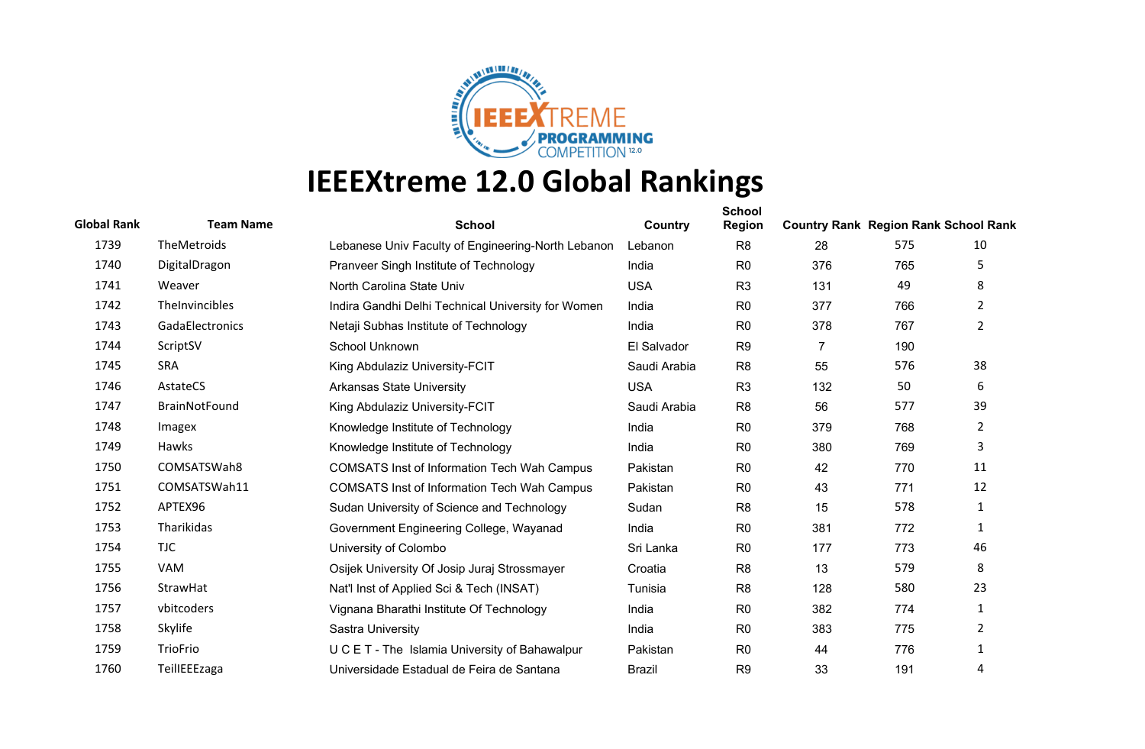

| <b>Global Rank</b> | <b>Team Name</b> | <b>School</b>                                      | Country       | <b>School</b><br><b>Region</b> | <b>Country Rank Region Rank School Rank</b> |     |                       |
|--------------------|------------------|----------------------------------------------------|---------------|--------------------------------|---------------------------------------------|-----|-----------------------|
| 1739               | TheMetroids      | Lebanese Univ Faculty of Engineering-North Lebanon | Lebanon       | R <sub>8</sub>                 | 28                                          | 575 | 10                    |
| 1740               | DigitalDragon    | Pranveer Singh Institute of Technology             | India         | R <sub>0</sub>                 | 376                                         | 765 | 5                     |
| 1741               | Weaver           | North Carolina State Univ                          | <b>USA</b>    | R <sub>3</sub>                 | 131                                         | 49  | 8                     |
| 1742               | TheInvincibles   | Indira Gandhi Delhi Technical University for Women | India         | R <sub>0</sub>                 | 377                                         | 766 | $\mathbf{2}^{\prime}$ |
| 1743               | GadaElectronics  | Netaji Subhas Institute of Technology              | India         | R <sub>0</sub>                 | 378                                         | 767 | $\overline{2}$        |
| 1744               | ScriptSV         | School Unknown                                     | El Salvador   | R <sub>9</sub>                 | 7                                           | 190 |                       |
| 1745               | <b>SRA</b>       | King Abdulaziz University-FCIT                     | Saudi Arabia  | R <sub>8</sub>                 | 55                                          | 576 | 38                    |
| 1746               | AstateCS         | <b>Arkansas State University</b>                   | <b>USA</b>    | R <sub>3</sub>                 | 132                                         | 50  | 6                     |
| 1747               | BrainNotFound    | King Abdulaziz University-FCIT                     | Saudi Arabia  | R <sub>8</sub>                 | 56                                          | 577 | 39                    |
| 1748               | Imagex           | Knowledge Institute of Technology                  | India         | R <sub>0</sub>                 | 379                                         | 768 | $\overline{2}$        |
| 1749               | Hawks            | Knowledge Institute of Technology                  | India         | R <sub>0</sub>                 | 380                                         | 769 | 3                     |
| 1750               | COMSATSWah8      | <b>COMSATS Inst of Information Tech Wah Campus</b> | Pakistan      | R <sub>0</sub>                 | 42                                          | 770 | 11                    |
| 1751               | COMSATSWah11     | <b>COMSATS Inst of Information Tech Wah Campus</b> | Pakistan      | R <sub>0</sub>                 | 43                                          | 771 | 12                    |
| 1752               | APTEX96          | Sudan University of Science and Technology         | Sudan         | R <sub>8</sub>                 | 15                                          | 578 | 1                     |
| 1753               | Tharikidas       | Government Engineering College, Wayanad            | India         | R <sub>0</sub>                 | 381                                         | 772 | 1                     |
| 1754               | <b>TJC</b>       | University of Colombo                              | Sri Lanka     | R <sub>0</sub>                 | 177                                         | 773 | 46                    |
| 1755               | VAM              | Osijek University Of Josip Juraj Strossmayer       | Croatia       | R <sub>8</sub>                 | 13                                          | 579 | 8                     |
| 1756               | StrawHat         | Nat'l Inst of Applied Sci & Tech (INSAT)           | Tunisia       | R <sub>8</sub>                 | 128                                         | 580 | 23                    |
| 1757               | vbitcoders       | Vignana Bharathi Institute Of Technology           | India         | R <sub>0</sub>                 | 382                                         | 774 | 1                     |
| 1758               | Skylife          | Sastra University                                  | India         | R <sub>0</sub>                 | 383                                         | 775 | $\overline{2}$        |
| 1759               | TrioFrio         | U C E T - The Islamia University of Bahawalpur     | Pakistan      | R <sub>0</sub>                 | 44                                          | 776 | 1                     |
| 1760               | TeilIEEEzaga     | Universidade Estadual de Feira de Santana          | <b>Brazil</b> | R <sub>9</sub>                 | 33                                          | 191 | 4                     |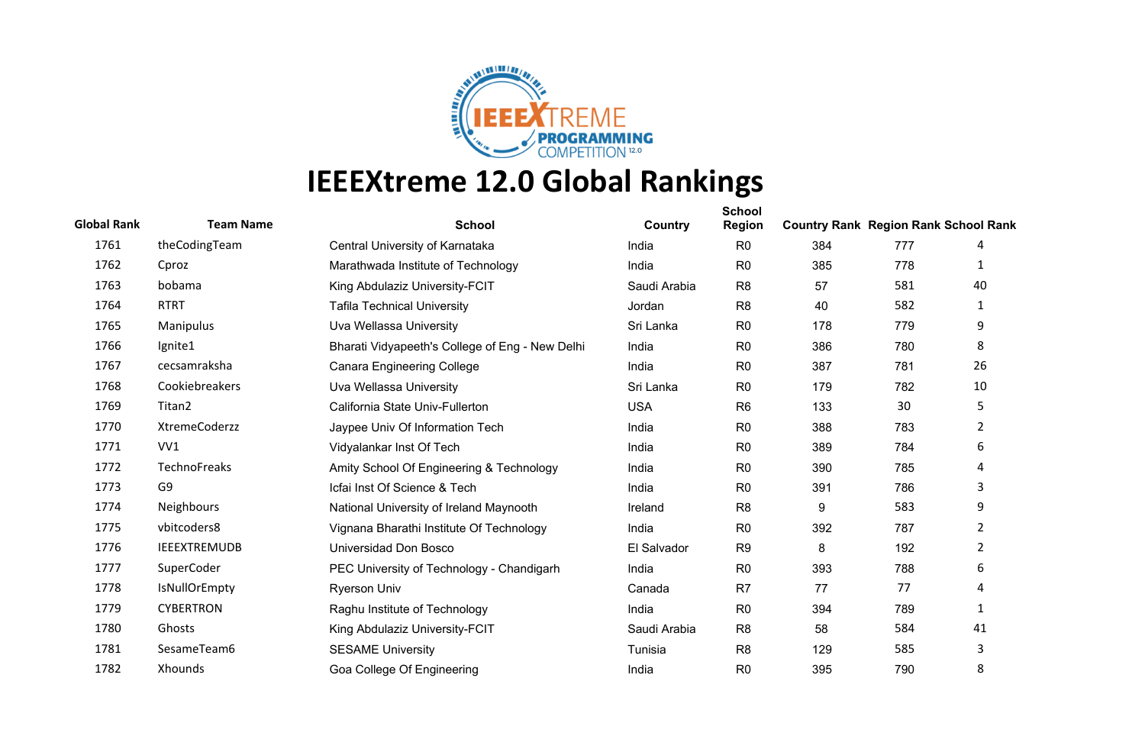

| <b>Global Rank</b> | <b>Team Name</b>    | <b>School</b>                                   | Country      | <b>School</b><br><b>Region</b> | <b>Country Rank Region Rank School Rank</b> |     |                |
|--------------------|---------------------|-------------------------------------------------|--------------|--------------------------------|---------------------------------------------|-----|----------------|
| 1761               | theCodingTeam       | Central University of Karnataka                 | India        | R <sub>0</sub>                 | 384                                         | 777 | 4              |
| 1762               | Cproz               | Marathwada Institute of Technology              | India        | R <sub>0</sub>                 | 385                                         | 778 | 1              |
| 1763               | bobama              | King Abdulaziz University-FCIT                  | Saudi Arabia | R <sub>8</sub>                 | 57                                          | 581 | 40             |
| 1764               | <b>RTRT</b>         | <b>Tafila Technical University</b>              | Jordan       | R <sub>8</sub>                 | 40                                          | 582 | 1              |
| 1765               | Manipulus           | Uva Wellassa University                         | Sri Lanka    | R <sub>0</sub>                 | 178                                         | 779 | 9              |
| 1766               | Ignite1             | Bharati Vidyapeeth's College of Eng - New Delhi | India        | R <sub>0</sub>                 | 386                                         | 780 | 8              |
| 1767               | cecsamraksha        | <b>Canara Engineering College</b>               | India        | R <sub>0</sub>                 | 387                                         | 781 | 26             |
| 1768               | Cookiebreakers      | Uva Wellassa University                         | Sri Lanka    | R <sub>0</sub>                 | 179                                         | 782 | 10             |
| 1769               | Titan2              | California State Univ-Fullerton                 | <b>USA</b>   | R <sub>6</sub>                 | 133                                         | 30  | 5              |
| 1770               | XtremeCoderzz       | Jaypee Univ Of Information Tech                 | India        | R <sub>0</sub>                 | 388                                         | 783 | $\overline{2}$ |
| 1771               | VV1                 | Vidyalankar Inst Of Tech                        | India        | R <sub>0</sub>                 | 389                                         | 784 | 6              |
| 1772               | <b>TechnoFreaks</b> | Amity School Of Engineering & Technology        | India        | R <sub>0</sub>                 | 390                                         | 785 | 4              |
| 1773               | G9                  | Icfai Inst Of Science & Tech                    | India        | R <sub>0</sub>                 | 391                                         | 786 | 3              |
| 1774               | Neighbours          | National University of Ireland Maynooth         | Ireland      | R <sub>8</sub>                 | 9                                           | 583 | 9              |
| 1775               | vbitcoders8         | Vignana Bharathi Institute Of Technology        | India        | R <sub>0</sub>                 | 392                                         | 787 | $\overline{2}$ |
| 1776               | <b>IEEEXTREMUDB</b> | Universidad Don Bosco                           | El Salvador  | R <sub>9</sub>                 | 8                                           | 192 | $\overline{2}$ |
| 1777               | SuperCoder          | PEC University of Technology - Chandigarh       | India        | R <sub>0</sub>                 | 393                                         | 788 | 6              |
| 1778               | IsNullOrEmpty       | <b>Ryerson Univ</b>                             | Canada       | R <sub>7</sub>                 | 77                                          | 77  | 4              |
| 1779               | <b>CYBERTRON</b>    | Raghu Institute of Technology                   | India        | R <sub>0</sub>                 | 394                                         | 789 | 1              |
| 1780               | Ghosts              | King Abdulaziz University-FCIT                  | Saudi Arabia | R <sub>8</sub>                 | 58                                          | 584 | 41             |
| 1781               | SesameTeam6         | <b>SESAME University</b>                        | Tunisia      | R <sub>8</sub>                 | 129                                         | 585 | 3              |
| 1782               | Xhounds             | Goa College Of Engineering                      | India        | R <sub>0</sub>                 | 395                                         | 790 | 8              |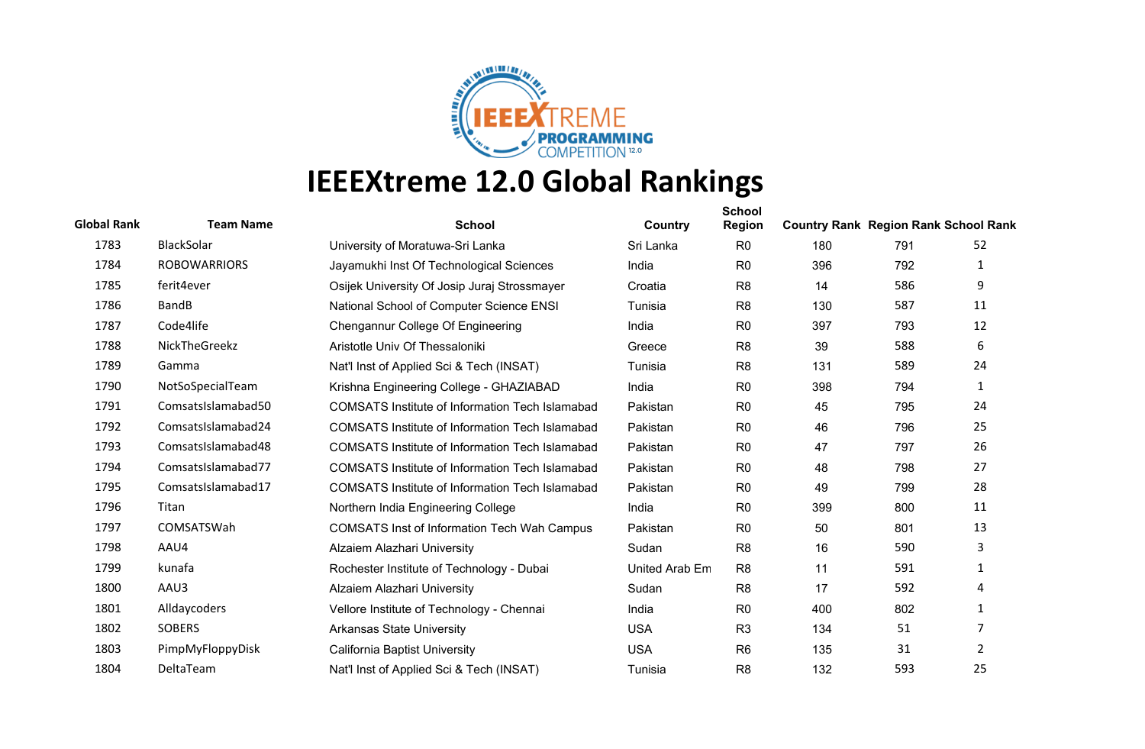

| <b>Global Rank</b> | <b>Team Name</b>    | <b>School</b>                                          | Country        | <b>School</b><br><b>Region</b> | <b>Country Rank Region Rank School Rank</b> |     |                |
|--------------------|---------------------|--------------------------------------------------------|----------------|--------------------------------|---------------------------------------------|-----|----------------|
| 1783               | BlackSolar          | University of Moratuwa-Sri Lanka                       | Sri Lanka      | R <sub>0</sub>                 | 180                                         | 791 | 52             |
| 1784               | <b>ROBOWARRIORS</b> | Jayamukhi Inst Of Technological Sciences               | India          | R <sub>0</sub>                 | 396                                         | 792 | 1              |
| 1785               | ferit4ever          | Osijek University Of Josip Juraj Strossmayer           | Croatia        | R <sub>8</sub>                 | 14                                          | 586 | 9              |
| 1786               | <b>BandB</b>        | National School of Computer Science ENSI               | Tunisia        | R <sub>8</sub>                 | 130                                         | 587 | 11             |
| 1787               | Code4life           | Chengannur College Of Engineering                      | India          | R <sub>0</sub>                 | 397                                         | 793 | 12             |
| 1788               | NickTheGreekz       | Aristotle Univ Of Thessaloniki                         | Greece         | R <sub>8</sub>                 | 39                                          | 588 | 6              |
| 1789               | Gamma               | Nat'l Inst of Applied Sci & Tech (INSAT)               | Tunisia        | R <sub>8</sub>                 | 131                                         | 589 | 24             |
| 1790               | NotSoSpecialTeam    | Krishna Engineering College - GHAZIABAD                | India          | R <sub>0</sub>                 | 398                                         | 794 | 1              |
| 1791               | ComsatsIslamabad50  | <b>COMSATS Institute of Information Tech Islamabad</b> | Pakistan       | R <sub>0</sub>                 | 45                                          | 795 | 24             |
| 1792               | ComsatsIslamabad24  | <b>COMSATS Institute of Information Tech Islamabad</b> | Pakistan       | R <sub>0</sub>                 | 46                                          | 796 | 25             |
| 1793               | ComsatsIslamabad48  | <b>COMSATS Institute of Information Tech Islamabad</b> | Pakistan       | R <sub>0</sub>                 | 47                                          | 797 | 26             |
| 1794               | ComsatsIslamabad77  | COMSATS Institute of Information Tech Islamabad        | Pakistan       | R <sub>0</sub>                 | 48                                          | 798 | 27             |
| 1795               | ComsatsIslamabad17  | <b>COMSATS Institute of Information Tech Islamabad</b> | Pakistan       | R <sub>0</sub>                 | 49                                          | 799 | 28             |
| 1796               | Titan               | Northern India Engineering College                     | India          | R <sub>0</sub>                 | 399                                         | 800 | 11             |
| 1797               | COMSATSWah          | <b>COMSATS Inst of Information Tech Wah Campus</b>     | Pakistan       | R <sub>0</sub>                 | 50                                          | 801 | 13             |
| 1798               | AAU4                | Alzaiem Alazhari University                            | Sudan          | R <sub>8</sub>                 | 16                                          | 590 | 3              |
| 1799               | kunafa              | Rochester Institute of Technology - Dubai              | United Arab Em | R <sub>8</sub>                 | 11                                          | 591 | 1              |
| 1800               | AAU3                | Alzaiem Alazhari University                            | Sudan          | R <sub>8</sub>                 | 17                                          | 592 | 4              |
| 1801               | Alldaycoders        | Vellore Institute of Technology - Chennai              | India          | R <sub>0</sub>                 | 400                                         | 802 | 1              |
| 1802               | <b>SOBERS</b>       | <b>Arkansas State University</b>                       | <b>USA</b>     | R <sub>3</sub>                 | 134                                         | 51  | 7              |
| 1803               | PimpMyFloppyDisk    | California Baptist University                          | <b>USA</b>     | R <sub>6</sub>                 | 135                                         | 31  | $\overline{2}$ |
| 1804               | DeltaTeam           | Nat'l Inst of Applied Sci & Tech (INSAT)               | Tunisia        | R <sub>8</sub>                 | 132                                         | 593 | 25             |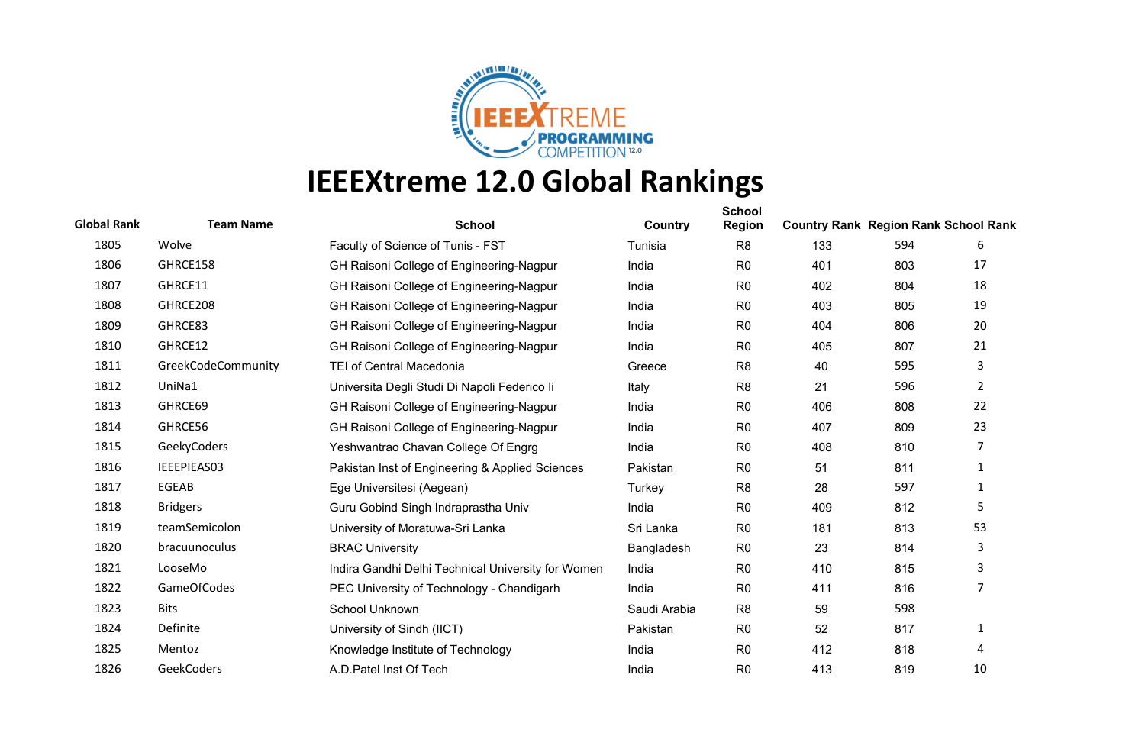

| <b>Global Rank</b> | <b>Team Name</b>   | <b>School</b>                                      | Country      | <b>School</b><br><b>Region</b> | <b>Country Rank Region Rank School Rank</b> |     |                |
|--------------------|--------------------|----------------------------------------------------|--------------|--------------------------------|---------------------------------------------|-----|----------------|
| 1805               | Wolve              | Faculty of Science of Tunis - FST                  | Tunisia      | R <sub>8</sub>                 | 133                                         | 594 | 6              |
| 1806               | GHRCE158           | GH Raisoni College of Engineering-Nagpur           | India        | R <sub>0</sub>                 | 401                                         | 803 | 17             |
| 1807               | GHRCE11            | GH Raisoni College of Engineering-Nagpur           | India        | R <sub>0</sub>                 | 402                                         | 804 | 18             |
| 1808               | GHRCE208           | GH Raisoni College of Engineering-Nagpur           | India        | R <sub>0</sub>                 | 403                                         | 805 | 19             |
| 1809               | GHRCE83            | GH Raisoni College of Engineering-Nagpur           | India        | R <sub>0</sub>                 | 404                                         | 806 | 20             |
| 1810               | GHRCE12            | GH Raisoni College of Engineering-Nagpur           | India        | R <sub>0</sub>                 | 405                                         | 807 | 21             |
| 1811               | GreekCodeCommunity | <b>TEI of Central Macedonia</b>                    | Greece       | R <sub>8</sub>                 | 40                                          | 595 | 3              |
| 1812               | UniNa1             | Universita Degli Studi Di Napoli Federico li       | Italy        | R <sub>8</sub>                 | 21                                          | 596 | $\overline{2}$ |
| 1813               | GHRCE69            | GH Raisoni College of Engineering-Nagpur           | India        | R <sub>0</sub>                 | 406                                         | 808 | 22             |
| 1814               | GHRCE56            | GH Raisoni College of Engineering-Nagpur           | India        | R <sub>0</sub>                 | 407                                         | 809 | 23             |
| 1815               | GeekyCoders        | Yeshwantrao Chavan College Of Engrg                | India        | R <sub>0</sub>                 | 408                                         | 810 | 7              |
| 1816               | IEEEPIEAS03        | Pakistan Inst of Engineering & Applied Sciences    | Pakistan     | R <sub>0</sub>                 | 51                                          | 811 | $\mathbf{1}$   |
| 1817               | EGEAB              | Ege Universitesi (Aegean)                          | Turkey       | R <sub>8</sub>                 | 28                                          | 597 | 1              |
| 1818               | <b>Bridgers</b>    | Guru Gobind Singh Indraprastha Univ                | India        | R <sub>0</sub>                 | 409                                         | 812 | 5              |
| 1819               | teamSemicolon      | University of Moratuwa-Sri Lanka                   | Sri Lanka    | R <sub>0</sub>                 | 181                                         | 813 | 53             |
| 1820               | bracuunoculus      | <b>BRAC University</b>                             | Bangladesh   | R <sub>0</sub>                 | 23                                          | 814 | 3              |
| 1821               | LooseMo            | Indira Gandhi Delhi Technical University for Women | India        | R <sub>0</sub>                 | 410                                         | 815 | 3              |
| 1822               | <b>GameOfCodes</b> | PEC University of Technology - Chandigarh          | India        | R <sub>0</sub>                 | 411                                         | 816 | 7              |
| 1823               | <b>Bits</b>        | School Unknown                                     | Saudi Arabia | R <sub>8</sub>                 | 59                                          | 598 |                |
| 1824               | Definite           | University of Sindh (IICT)                         | Pakistan     | R <sub>0</sub>                 | 52                                          | 817 | 1              |
| 1825               | Mentoz             | Knowledge Institute of Technology                  | India        | R <sub>0</sub>                 | 412                                         | 818 | 4              |
| 1826               | GeekCoders         | A.D. Patel Inst Of Tech                            | India        | R <sub>0</sub>                 | 413                                         | 819 | 10             |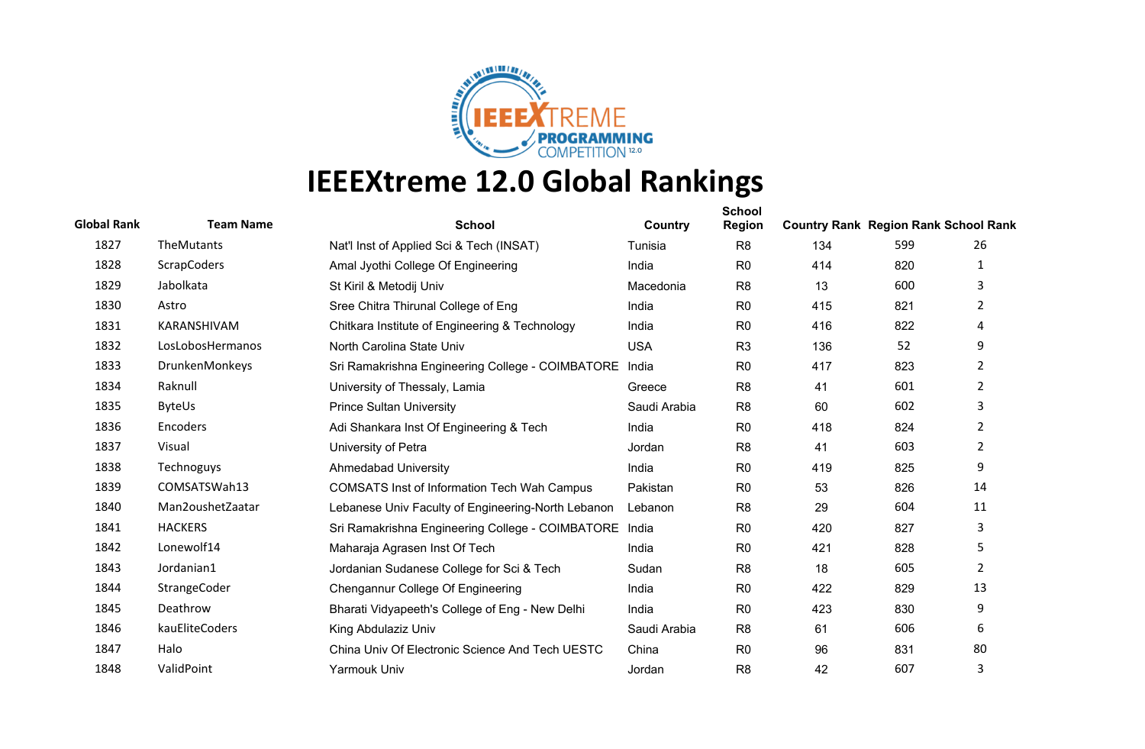

| <b>Global Rank</b> | <b>Team Name</b>   | <b>School</b>                                      | Country      | <b>School</b><br><b>Region</b> | <b>Country Rank Region Rank School Rank</b> |     |                |
|--------------------|--------------------|----------------------------------------------------|--------------|--------------------------------|---------------------------------------------|-----|----------------|
| 1827               | TheMutants         | Nat'l Inst of Applied Sci & Tech (INSAT)           | Tunisia      | R <sub>8</sub>                 | 134                                         | 599 | 26             |
| 1828               | <b>ScrapCoders</b> | Amal Jyothi College Of Engineering                 | India        | R <sub>0</sub>                 | 414                                         | 820 | 1              |
| 1829               | Jabolkata          | St Kiril & Metodij Univ                            | Macedonia    | R <sub>8</sub>                 | 13                                          | 600 | 3              |
| 1830               | Astro              | Sree Chitra Thirunal College of Eng                | India        | R <sub>0</sub>                 | 415                                         | 821 | $\overline{2}$ |
| 1831               | KARANSHIVAM        | Chitkara Institute of Engineering & Technology     | India        | R <sub>0</sub>                 | 416                                         | 822 | 4              |
| 1832               | LosLobosHermanos   | North Carolina State Univ                          | <b>USA</b>   | R <sub>3</sub>                 | 136                                         | 52  | 9              |
| 1833               | DrunkenMonkeys     | Sri Ramakrishna Engineering College - COIMBATORE   | India        | R <sub>0</sub>                 | 417                                         | 823 | $\overline{2}$ |
| 1834               | Raknull            | University of Thessaly, Lamia                      | Greece       | R <sub>8</sub>                 | 41                                          | 601 | $\overline{2}$ |
| 1835               | <b>ByteUs</b>      | <b>Prince Sultan University</b>                    | Saudi Arabia | R <sub>8</sub>                 | 60                                          | 602 | 3              |
| 1836               | Encoders           | Adi Shankara Inst Of Engineering & Tech            | India        | R <sub>0</sub>                 | 418                                         | 824 | 2              |
| 1837               | Visual             | University of Petra                                | Jordan       | R <sub>8</sub>                 | 41                                          | 603 | $\overline{2}$ |
| 1838               | Technoguys         | <b>Ahmedabad University</b>                        | India        | R <sub>0</sub>                 | 419                                         | 825 | 9              |
| 1839               | COMSATSWah13       | <b>COMSATS Inst of Information Tech Wah Campus</b> | Pakistan     | R <sub>0</sub>                 | 53                                          | 826 | 14             |
| 1840               | Man2oushetZaatar   | Lebanese Univ Faculty of Engineering-North Lebanon | Lebanon      | R <sub>8</sub>                 | 29                                          | 604 | 11             |
| 1841               | <b>HACKERS</b>     | Sri Ramakrishna Engineering College - COIMBATORE   | India        | R <sub>0</sub>                 | 420                                         | 827 | 3              |
| 1842               | Lonewolf14         | Maharaja Agrasen Inst Of Tech                      | India        | R <sub>0</sub>                 | 421                                         | 828 | 5              |
| 1843               | Jordanian1         | Jordanian Sudanese College for Sci & Tech          | Sudan        | R <sub>8</sub>                 | 18                                          | 605 | $\overline{2}$ |
| 1844               | StrangeCoder       | Chengannur College Of Engineering                  | India        | R <sub>0</sub>                 | 422                                         | 829 | 13             |
| 1845               | Deathrow           | Bharati Vidyapeeth's College of Eng - New Delhi    | India        | R <sub>0</sub>                 | 423                                         | 830 | 9              |
| 1846               | kauEliteCoders     | King Abdulaziz Univ                                | Saudi Arabia | R <sub>8</sub>                 | 61                                          | 606 | 6              |
| 1847               | Halo               | China Univ Of Electronic Science And Tech UESTC    | China        | R <sub>0</sub>                 | 96                                          | 831 | 80             |
| 1848               | ValidPoint         | <b>Yarmouk Univ</b>                                | Jordan       | R <sub>8</sub>                 | 42                                          | 607 | 3              |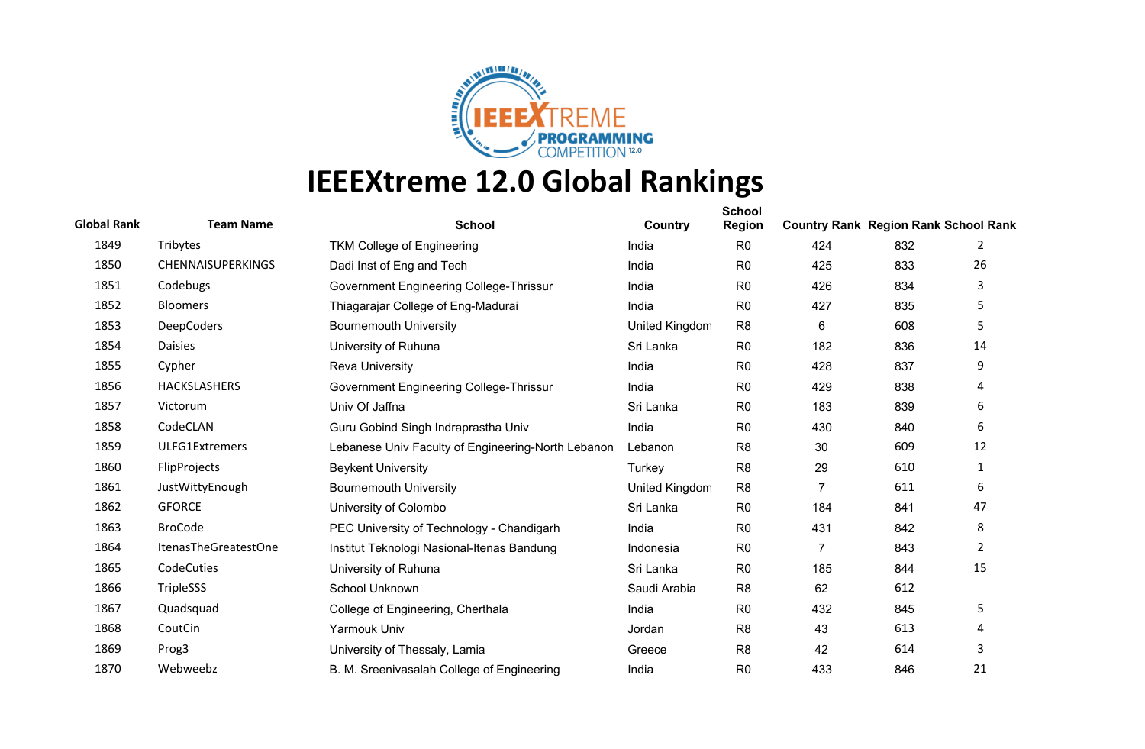

| <b>Global Rank</b> | <b>Team Name</b>         | <b>School</b>                                      | Country        | <b>School</b><br>Region | <b>Country Rank Region Rank School Rank</b> |     |                |
|--------------------|--------------------------|----------------------------------------------------|----------------|-------------------------|---------------------------------------------|-----|----------------|
| 1849               | Tribytes                 | TKM College of Engineering                         | India          | R <sub>0</sub>          | 424                                         | 832 | 2              |
| 1850               | <b>CHENNAISUPERKINGS</b> | Dadi Inst of Eng and Tech                          | India          | R <sub>0</sub>          | 425                                         | 833 | 26             |
| 1851               | Codebugs                 | Government Engineering College-Thrissur            | India          | R <sub>0</sub>          | 426                                         | 834 | 3              |
| 1852               | <b>Bloomers</b>          | Thiagarajar College of Eng-Madurai                 | India          | R <sub>0</sub>          | 427                                         | 835 | 5              |
| 1853               | <b>DeepCoders</b>        | <b>Bournemouth University</b>                      | United Kingdom | R <sub>8</sub>          | 6                                           | 608 | 5              |
| 1854               | <b>Daisies</b>           | University of Ruhuna                               | Sri Lanka      | R <sub>0</sub>          | 182                                         | 836 | 14             |
| 1855               | Cypher                   | <b>Reva University</b>                             | India          | R <sub>0</sub>          | 428                                         | 837 | 9              |
| 1856               | <b>HACKSLASHERS</b>      | Government Engineering College-Thrissur            | India          | R <sub>0</sub>          | 429                                         | 838 | 4              |
| 1857               | Victorum                 | Univ Of Jaffna                                     | Sri Lanka      | R <sub>0</sub>          | 183                                         | 839 | 6              |
| 1858               | CodeCLAN                 | Guru Gobind Singh Indraprastha Univ                | India          | R <sub>0</sub>          | 430                                         | 840 | 6              |
| 1859               | ULFG1Extremers           | Lebanese Univ Faculty of Engineering-North Lebanon | Lebanon        | R <sub>8</sub>          | 30                                          | 609 | 12             |
| 1860               | FlipProjects             | <b>Beykent University</b>                          | Turkey         | R <sub>8</sub>          | 29                                          | 610 | $\mathbf{1}$   |
| 1861               | JustWittyEnough          | <b>Bournemouth University</b>                      | United Kingdom | R <sub>8</sub>          | $\overline{7}$                              | 611 | 6              |
| 1862               | <b>GFORCE</b>            | University of Colombo                              | Sri Lanka      | R <sub>0</sub>          | 184                                         | 841 | 47             |
| 1863               | <b>BroCode</b>           | PEC University of Technology - Chandigarh          | India          | R <sub>0</sub>          | 431                                         | 842 | 8              |
| 1864               | ItenasTheGreatestOne     | Institut Teknologi Nasional-Itenas Bandung         | Indonesia      | R <sub>0</sub>          | $\overline{7}$                              | 843 | $\overline{2}$ |
| 1865               | CodeCuties               | University of Ruhuna                               | Sri Lanka      | R <sub>0</sub>          | 185                                         | 844 | 15             |
| 1866               | TripleSSS                | School Unknown                                     | Saudi Arabia   | R <sub>8</sub>          | 62                                          | 612 |                |
| 1867               | Quadsquad                | College of Engineering, Cherthala                  | India          | R <sub>0</sub>          | 432                                         | 845 | 5              |
| 1868               | CoutCin                  | Yarmouk Univ                                       | Jordan         | R <sub>8</sub>          | 43                                          | 613 | 4              |
| 1869               | Prog3                    | University of Thessaly, Lamia                      | Greece         | R <sub>8</sub>          | 42                                          | 614 | 3              |
| 1870               | Webweebz                 | B. M. Sreenivasalah College of Engineering         | India          | R <sub>0</sub>          | 433                                         | 846 | 21             |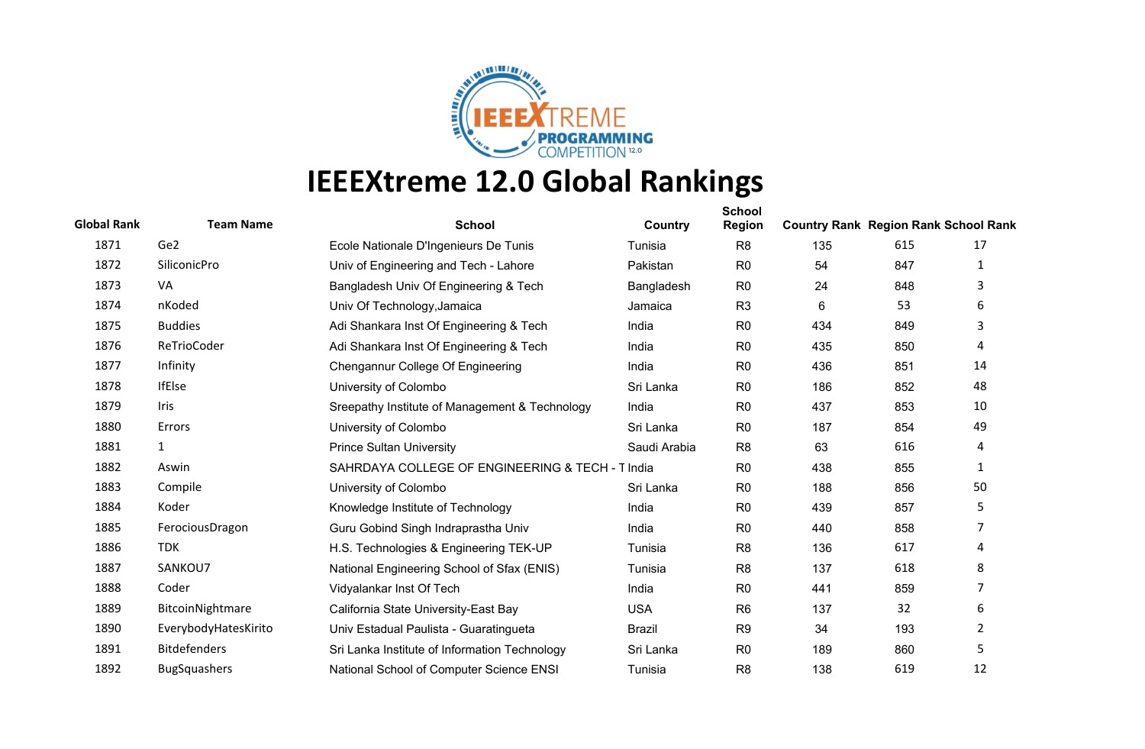

| <b>Global Rank</b> | <b>Team Name</b>     | <b>School</b>                                    | Country       | <b>School</b><br><b>Region</b> | <b>Country Rank Region Rank School Rank</b> |     |                |
|--------------------|----------------------|--------------------------------------------------|---------------|--------------------------------|---------------------------------------------|-----|----------------|
| 1871               | Ge2                  | Ecole Nationale D'Ingenieurs De Tunis            | Tunisia       | R <sub>8</sub>                 | 135                                         | 615 | 17             |
| 1872               | SiliconicPro         | Univ of Engineering and Tech - Lahore            | Pakistan      | R <sub>0</sub>                 | 54                                          | 847 | 1              |
| 1873               | VA                   | Bangladesh Univ Of Engineering & Tech            | Bangladesh    | R <sub>0</sub>                 | 24                                          | 848 | 3              |
| 1874               | nKoded               | Univ Of Technology, Jamaica                      | Jamaica       | R <sub>3</sub>                 | 6                                           | 53  | 6              |
| 1875               | <b>Buddies</b>       | Adi Shankara Inst Of Engineering & Tech          | India         | R <sub>0</sub>                 | 434                                         | 849 | 3              |
| 1876               | ReTrioCoder          | Adi Shankara Inst Of Engineering & Tech          | India         | R <sub>0</sub>                 | 435                                         | 850 | 4              |
| 1877               | Infinity             | Chengannur College Of Engineering                | India         | R <sub>0</sub>                 | 436                                         | 851 | 14             |
| 1878               | <b>IfElse</b>        | University of Colombo                            | Sri Lanka     | R <sub>0</sub>                 | 186                                         | 852 | 48             |
| 1879               | Iris                 | Sreepathy Institute of Management & Technology   | India         | R <sub>0</sub>                 | 437                                         | 853 | 10             |
| 1880               | Errors               | University of Colombo                            | Sri Lanka     | R <sub>0</sub>                 | 187                                         | 854 | 49             |
| 1881               | $\mathbf{1}$         | <b>Prince Sultan University</b>                  | Saudi Arabia  | R <sub>8</sub>                 | 63                                          | 616 | 4              |
| 1882               | Aswin                | SAHRDAYA COLLEGE OF ENGINEERING & TECH - T India |               | R <sub>0</sub>                 | 438                                         | 855 | $\mathbf{1}$   |
| 1883               | Compile              | University of Colombo                            | Sri Lanka     | R <sub>0</sub>                 | 188                                         | 856 | 50             |
| 1884               | Koder                | Knowledge Institute of Technology                | India         | R <sub>0</sub>                 | 439                                         | 857 | 5              |
| 1885               | FerociousDragon      | Guru Gobind Singh Indraprastha Univ              | India         | R <sub>0</sub>                 | 440                                         | 858 | 7              |
| 1886               | <b>TDK</b>           | H.S. Technologies & Engineering TEK-UP           | Tunisia       | R <sub>8</sub>                 | 136                                         | 617 | 4              |
| 1887               | SANKOU7              | National Engineering School of Sfax (ENIS)       | Tunisia       | R <sub>8</sub>                 | 137                                         | 618 | 8              |
| 1888               | Coder                | Vidyalankar Inst Of Tech                         | India         | R <sub>0</sub>                 | 441                                         | 859 | 7              |
| 1889               | BitcoinNightmare     | California State University-East Bay             | <b>USA</b>    | R <sub>6</sub>                 | 137                                         | 32  | 6              |
| 1890               | EverybodyHatesKirito | Univ Estadual Paulista - Guaratingueta           | <b>Brazil</b> | R <sub>9</sub>                 | 34                                          | 193 | $\overline{2}$ |
| 1891               | <b>Bitdefenders</b>  | Sri Lanka Institute of Information Technology    | Sri Lanka     | R <sub>0</sub>                 | 189                                         | 860 | 5              |
| 1892               | <b>BugSquashers</b>  | National School of Computer Science ENSI         | Tunisia       | R <sub>8</sub>                 | 138                                         | 619 | 12             |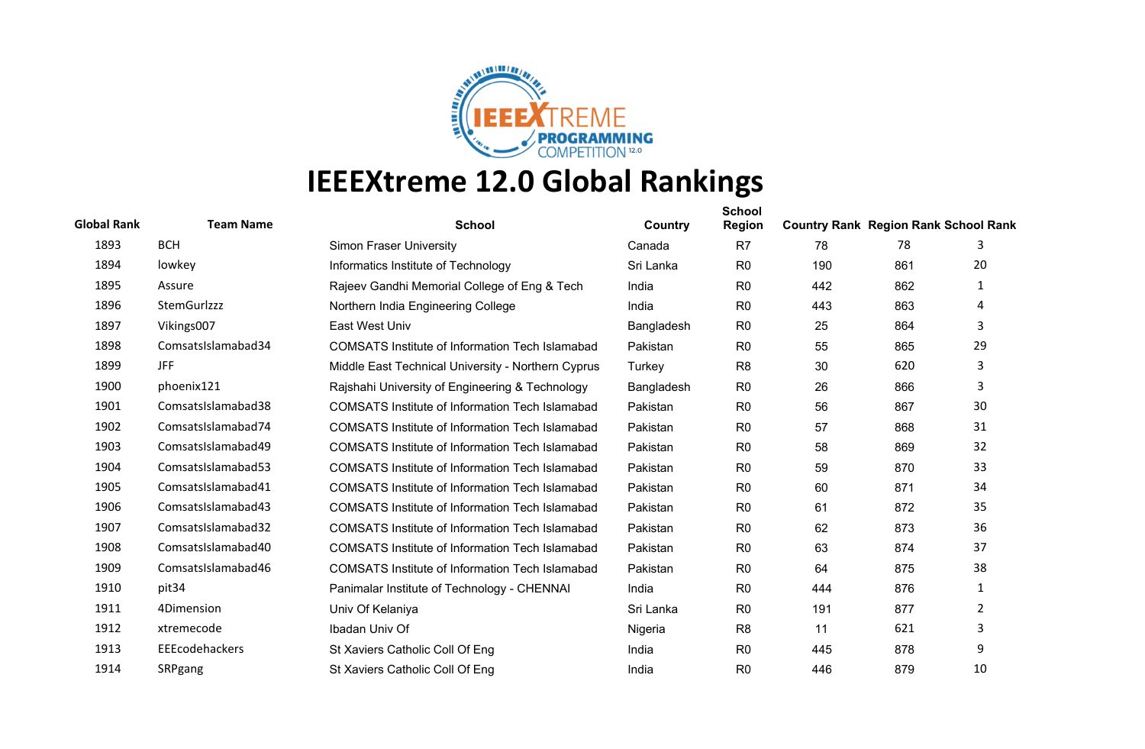

| <b>Global Rank</b> | <b>Team Name</b>   | <b>School</b>                                          | Country    | <b>School</b><br><b>Region</b> | <b>Country Rank Region Rank School Rank</b> |     |    |
|--------------------|--------------------|--------------------------------------------------------|------------|--------------------------------|---------------------------------------------|-----|----|
| 1893               | <b>BCH</b>         | <b>Simon Fraser University</b>                         | Canada     | R7                             | 78                                          | 78  | 3  |
| 1894               | lowkey             | Informatics Institute of Technology                    | Sri Lanka  | R <sub>0</sub>                 | 190                                         | 861 | 20 |
| 1895               | Assure             | Rajeev Gandhi Memorial College of Eng & Tech           | India      | R <sub>0</sub>                 | 442                                         | 862 | 1  |
| 1896               | <b>StemGurlzzz</b> | Northern India Engineering College                     | India      | R <sub>0</sub>                 | 443                                         | 863 | 4  |
| 1897               | Vikings007         | East West Univ                                         | Bangladesh | R <sub>0</sub>                 | 25                                          | 864 | 3  |
| 1898               | ComsatsIslamabad34 | <b>COMSATS Institute of Information Tech Islamabad</b> | Pakistan   | R <sub>0</sub>                 | 55                                          | 865 | 29 |
| 1899               | JFF                | Middle East Technical University - Northern Cyprus     | Turkey     | R <sub>8</sub>                 | 30                                          | 620 | 3  |
| 1900               | phoenix121         | Rajshahi University of Engineering & Technology        | Bangladesh | R <sub>0</sub>                 | 26                                          | 866 | 3  |
| 1901               | ComsatsIslamabad38 | <b>COMSATS Institute of Information Tech Islamabad</b> | Pakistan   | R <sub>0</sub>                 | 56                                          | 867 | 30 |
| 1902               | ComsatsIslamabad74 | COMSATS Institute of Information Tech Islamabad        | Pakistan   | R <sub>0</sub>                 | 57                                          | 868 | 31 |
| 1903               | ComsatsIslamabad49 | <b>COMSATS Institute of Information Tech Islamabad</b> | Pakistan   | R <sub>0</sub>                 | 58                                          | 869 | 32 |
| 1904               | ComsatsIslamabad53 | <b>COMSATS Institute of Information Tech Islamabad</b> | Pakistan   | R <sub>0</sub>                 | 59                                          | 870 | 33 |
| 1905               | ComsatsIslamabad41 | <b>COMSATS Institute of Information Tech Islamabad</b> | Pakistan   | R <sub>0</sub>                 | 60                                          | 871 | 34 |
| 1906               | ComsatsIslamabad43 | <b>COMSATS Institute of Information Tech Islamabad</b> | Pakistan   | R <sub>0</sub>                 | 61                                          | 872 | 35 |
| 1907               | ComsatsIslamabad32 | <b>COMSATS Institute of Information Tech Islamabad</b> | Pakistan   | R <sub>0</sub>                 | 62                                          | 873 | 36 |
| 1908               | ComsatsIslamabad40 | <b>COMSATS Institute of Information Tech Islamabad</b> | Pakistan   | R <sub>0</sub>                 | 63                                          | 874 | 37 |
| 1909               | ComsatsIslamabad46 | <b>COMSATS Institute of Information Tech Islamabad</b> | Pakistan   | R <sub>0</sub>                 | 64                                          | 875 | 38 |
| 1910               | pit34              | Panimalar Institute of Technology - CHENNAI            | India      | R <sub>0</sub>                 | 444                                         | 876 | 1  |
| 1911               | 4Dimension         | Univ Of Kelaniya                                       | Sri Lanka  | R <sub>0</sub>                 | 191                                         | 877 | 2  |
| 1912               | xtremecode         | Ibadan Univ Of                                         | Nigeria    | R <sub>8</sub>                 | 11                                          | 621 | 3  |
| 1913               | EEEcodehackers     | St Xaviers Catholic Coll Of Eng                        | India      | R <sub>0</sub>                 | 445                                         | 878 | 9  |
| 1914               | SRPgang            | St Xaviers Catholic Coll Of Eng                        | India      | R <sub>0</sub>                 | 446                                         | 879 | 10 |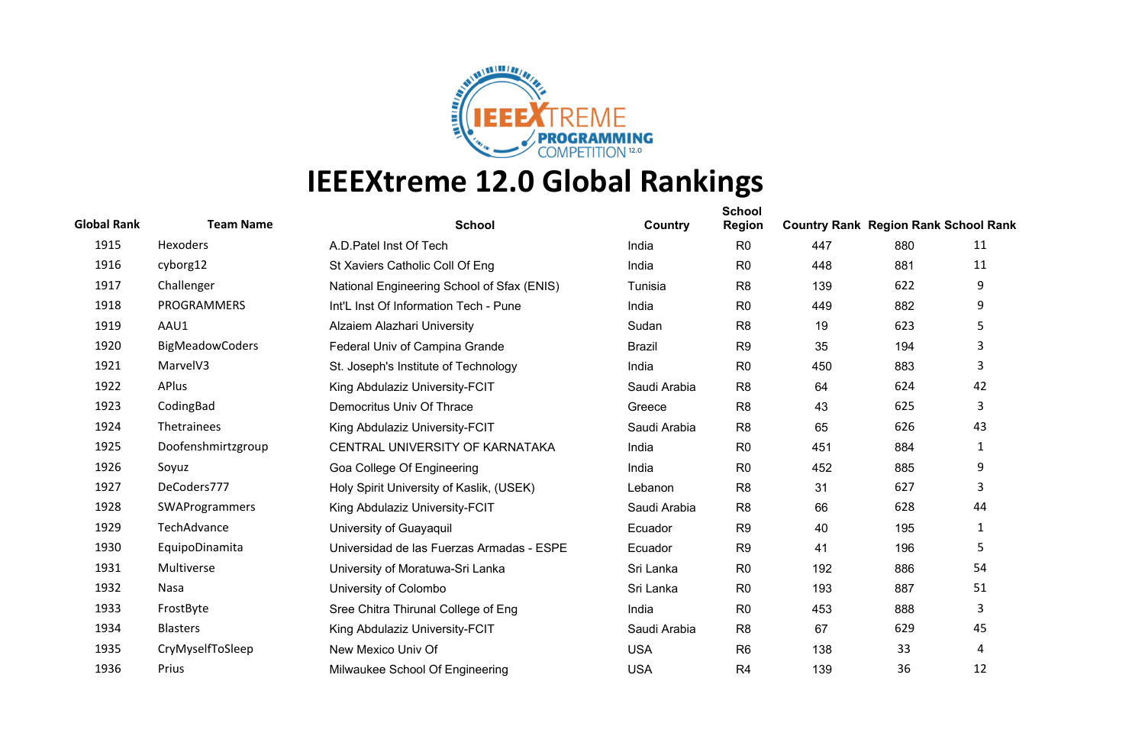

| <b>Global Rank</b> | <b>Team Name</b>       | <b>School</b>                              | Country       | <b>School</b><br><b>Region</b> | <b>Country Rank Region Rank School Rank</b> |     |                |
|--------------------|------------------------|--------------------------------------------|---------------|--------------------------------|---------------------------------------------|-----|----------------|
| 1915               | Hexoders               | A.D. Patel Inst Of Tech                    | India         | R <sub>0</sub>                 | 447                                         | 880 | 11             |
| 1916               | cyborg12               | St Xaviers Catholic Coll Of Eng            | India         | R <sub>0</sub>                 | 448                                         | 881 | 11             |
| 1917               | Challenger             | National Engineering School of Sfax (ENIS) | Tunisia       | R <sub>8</sub>                 | 139                                         | 622 | 9              |
| 1918               | PROGRAMMERS            | Int'L Inst Of Information Tech - Pune      | India         | R <sub>0</sub>                 | 449                                         | 882 | 9              |
| 1919               | AAU1                   | Alzaiem Alazhari University                | Sudan         | R <sub>8</sub>                 | 19                                          | 623 | 5              |
| 1920               | <b>BigMeadowCoders</b> | Federal Univ of Campina Grande             | <b>Brazil</b> | R <sub>9</sub>                 | 35                                          | 194 | 3              |
| 1921               | MarvelV3               | St. Joseph's Institute of Technology       | India         | R <sub>0</sub>                 | 450                                         | 883 | 3              |
| 1922               | APlus                  | King Abdulaziz University-FCIT             | Saudi Arabia  | R <sub>8</sub>                 | 64                                          | 624 | 42             |
| 1923               | CodingBad              | Democritus Univ Of Thrace                  | Greece        | R <sub>8</sub>                 | 43                                          | 625 | 3              |
| 1924               | Thetrainees            | King Abdulaziz University-FCIT             | Saudi Arabia  | R <sub>8</sub>                 | 65                                          | 626 | 43             |
| 1925               | Doofenshmirtzgroup     | CENTRAL UNIVERSITY OF KARNATAKA            | India         | R <sub>0</sub>                 | 451                                         | 884 | 1              |
| 1926               | Soyuz                  | Goa College Of Engineering                 | India         | R <sub>0</sub>                 | 452                                         | 885 | 9              |
| 1927               | DeCoders777            | Holy Spirit University of Kaslik, (USEK)   | Lebanon       | R <sub>8</sub>                 | 31                                          | 627 | 3              |
| 1928               | SWAProgrammers         | King Abdulaziz University-FCIT             | Saudi Arabia  | R <sub>8</sub>                 | 66                                          | 628 | 44             |
| 1929               | TechAdvance            | University of Guayaquil                    | Ecuador       | R <sub>9</sub>                 | 40                                          | 195 | 1              |
| 1930               | EquipoDinamita         | Universidad de las Fuerzas Armadas - ESPE  | Ecuador       | R <sub>9</sub>                 | 41                                          | 196 | 5              |
| 1931               | Multiverse             | University of Moratuwa-Sri Lanka           | Sri Lanka     | R <sub>0</sub>                 | 192                                         | 886 | 54             |
| 1932               | Nasa                   | University of Colombo                      | Sri Lanka     | R <sub>0</sub>                 | 193                                         | 887 | 51             |
| 1933               | FrostByte              | Sree Chitra Thirunal College of Eng        | India         | R <sub>0</sub>                 | 453                                         | 888 | 3              |
| 1934               | <b>Blasters</b>        | King Abdulaziz University-FCIT             | Saudi Arabia  | R <sub>8</sub>                 | 67                                          | 629 | 45             |
| 1935               | CryMyselfToSleep       | New Mexico Univ Of                         | <b>USA</b>    | R <sub>6</sub>                 | 138                                         | 33  | $\overline{4}$ |
| 1936               | Prius                  | Milwaukee School Of Engineering            | <b>USA</b>    | R <sub>4</sub>                 | 139                                         | 36  | 12             |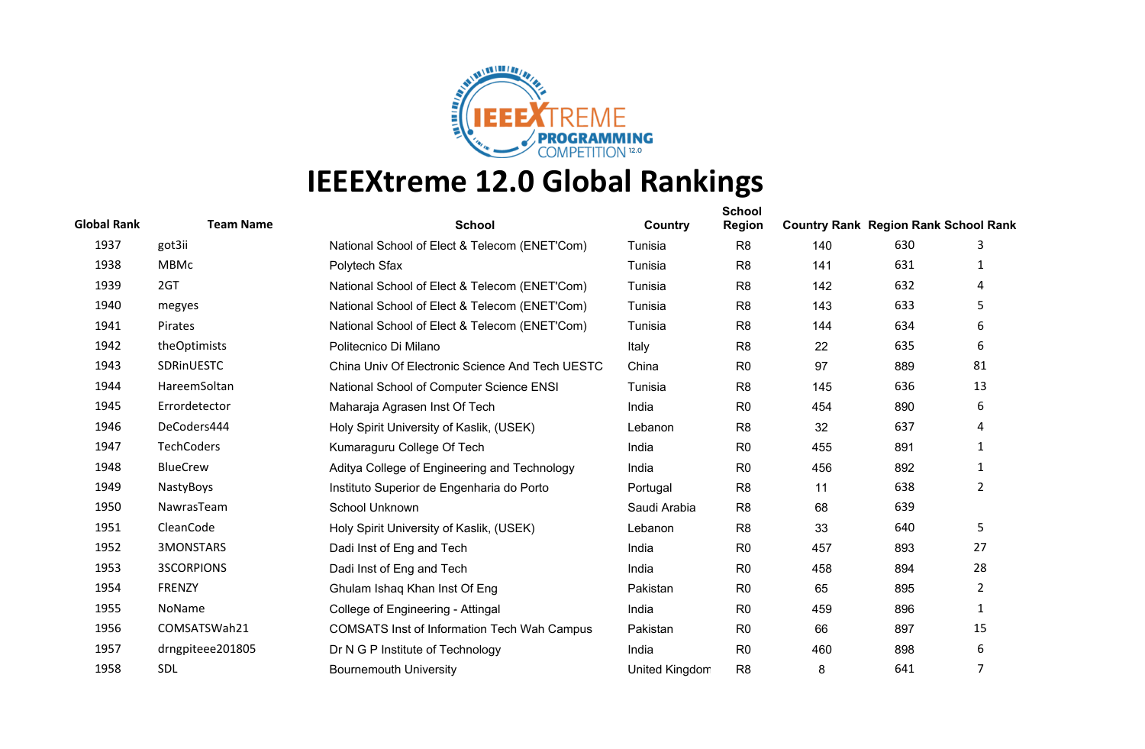

| <b>Global Rank</b> | <b>Team Name</b>  | <b>School</b>                                      | Country               | <b>School</b><br><b>Region</b> | <b>Country Rank Region Rank School Rank</b> |     |                |
|--------------------|-------------------|----------------------------------------------------|-----------------------|--------------------------------|---------------------------------------------|-----|----------------|
| 1937               | got3ii            | National School of Elect & Telecom (ENET'Com)      | Tunisia               | R <sub>8</sub>                 | 140                                         | 630 | 3              |
| 1938               | <b>MBMc</b>       | Polytech Sfax                                      | Tunisia               | R <sub>8</sub>                 | 141                                         | 631 | 1              |
| 1939               | 2GT               | National School of Elect & Telecom (ENET'Com)      | Tunisia               | R <sub>8</sub>                 | 142                                         | 632 | 4              |
| 1940               | megyes            | National School of Elect & Telecom (ENET'Com)      | Tunisia               | R <sub>8</sub>                 | 143                                         | 633 | 5              |
| 1941               | Pirates           | National School of Elect & Telecom (ENET'Com)      | Tunisia               | R <sub>8</sub>                 | 144                                         | 634 | 6              |
| 1942               | theOptimists      | Politecnico Di Milano                              | Italy                 | R <sub>8</sub>                 | 22                                          | 635 | 6              |
| 1943               | SDRinUESTC        | China Univ Of Electronic Science And Tech UESTC    | China                 | R <sub>0</sub>                 | 97                                          | 889 | 81             |
| 1944               | HareemSoltan      | National School of Computer Science ENSI           | Tunisia               | R <sub>8</sub>                 | 145                                         | 636 | 13             |
| 1945               | Errordetector     | Maharaja Agrasen Inst Of Tech                      | India                 | R <sub>0</sub>                 | 454                                         | 890 | 6              |
| 1946               | DeCoders444       | Holy Spirit University of Kaslik, (USEK)           | Lebanon               | R <sub>8</sub>                 | 32                                          | 637 | 4              |
| 1947               | <b>TechCoders</b> | Kumaraguru College Of Tech                         | India                 | R <sub>0</sub>                 | 455                                         | 891 | 1              |
| 1948               | <b>BlueCrew</b>   | Aditya College of Engineering and Technology       | India                 | R <sub>0</sub>                 | 456                                         | 892 | 1              |
| 1949               | NastyBoys         | Instituto Superior de Engenharia do Porto          | Portugal              | R <sub>8</sub>                 | 11                                          | 638 | $\overline{2}$ |
| 1950               | NawrasTeam        | School Unknown                                     | Saudi Arabia          | R <sub>8</sub>                 | 68                                          | 639 |                |
| 1951               | CleanCode         | Holy Spirit University of Kaslik, (USEK)           | Lebanon               | R <sub>8</sub>                 | 33                                          | 640 | 5              |
| 1952               | 3MONSTARS         | Dadi Inst of Eng and Tech                          | India                 | R <sub>0</sub>                 | 457                                         | 893 | 27             |
| 1953               | <b>3SCORPIONS</b> | Dadi Inst of Eng and Tech                          | India                 | R <sub>0</sub>                 | 458                                         | 894 | 28             |
| 1954               | <b>FRENZY</b>     | Ghulam Ishaq Khan Inst Of Eng                      | Pakistan              | R <sub>0</sub>                 | 65                                          | 895 | $\overline{2}$ |
| 1955               | <b>NoName</b>     | College of Engineering - Attingal                  | India                 | R <sub>0</sub>                 | 459                                         | 896 | 1              |
| 1956               | COMSATSWah21      | <b>COMSATS Inst of Information Tech Wah Campus</b> | Pakistan              | R <sub>0</sub>                 | 66                                          | 897 | 15             |
| 1957               | drngpiteee201805  | Dr N G P Institute of Technology                   | India                 | R <sub>0</sub>                 | 460                                         | 898 | 6              |
| 1958               | <b>SDL</b>        | <b>Bournemouth University</b>                      | <b>United Kingdom</b> | R <sub>8</sub>                 | 8                                           | 641 | 7              |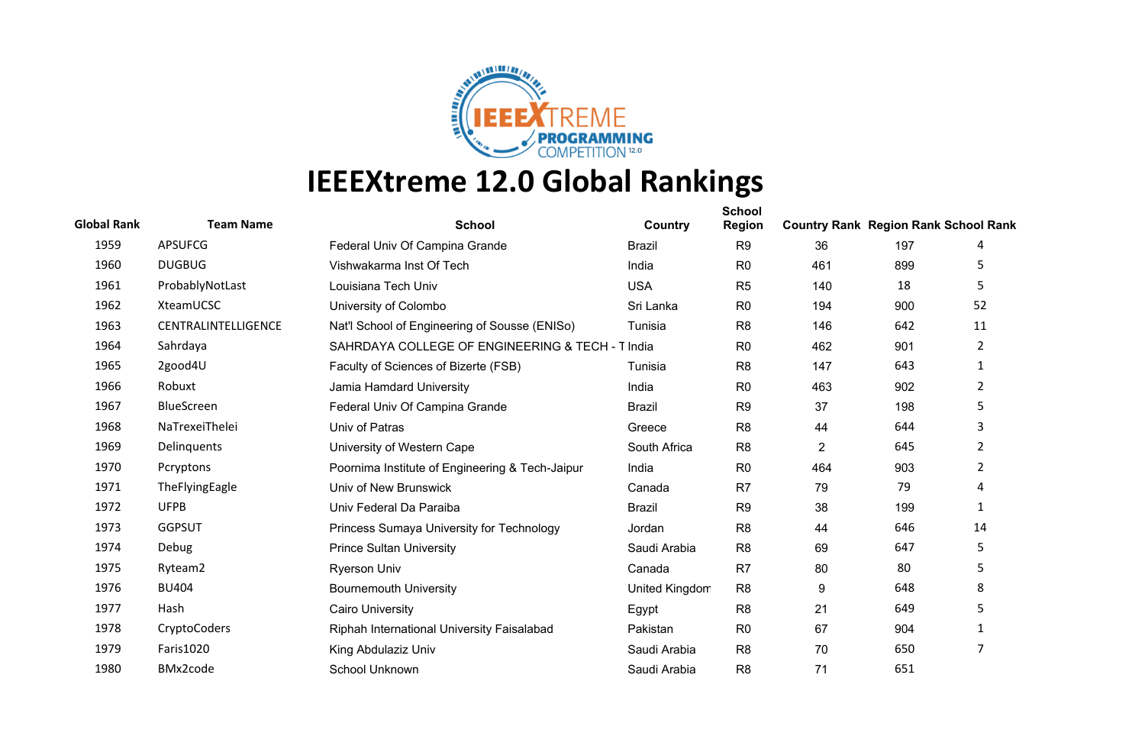

| <b>Global Rank</b> | <b>Team Name</b>    | <b>School</b>                                    | Country        | <b>School</b><br><b>Region</b> | <b>Country Rank Region Rank School Rank</b> |     |                |
|--------------------|---------------------|--------------------------------------------------|----------------|--------------------------------|---------------------------------------------|-----|----------------|
| 1959               | <b>APSUFCG</b>      | Federal Univ Of Campina Grande                   | <b>Brazil</b>  | R <sub>9</sub>                 | 36                                          | 197 | 4              |
| 1960               | <b>DUGBUG</b>       | Vishwakarma Inst Of Tech                         | India          | R <sub>0</sub>                 | 461                                         | 899 | 5              |
| 1961               | ProbablyNotLast     | Louisiana Tech Univ                              | <b>USA</b>     | R <sub>5</sub>                 | 140                                         | 18  | 5              |
| 1962               | XteamUCSC           | University of Colombo                            | Sri Lanka      | R <sub>0</sub>                 | 194                                         | 900 | 52             |
| 1963               | CENTRALINTELLIGENCE | Nat'l School of Engineering of Sousse (ENISo)    | Tunisia        | R <sub>8</sub>                 | 146                                         | 642 | 11             |
| 1964               | Sahrdaya            | SAHRDAYA COLLEGE OF ENGINEERING & TECH - T India |                | R <sub>0</sub>                 | 462                                         | 901 | $\overline{2}$ |
| 1965               | 2good4U             | Faculty of Sciences of Bizerte (FSB)             | Tunisia        | R <sub>8</sub>                 | 147                                         | 643 | 1              |
| 1966               | Robuxt              | Jamia Hamdard University                         | India          | R <sub>0</sub>                 | 463                                         | 902 | 2              |
| 1967               | BlueScreen          | Federal Univ Of Campina Grande                   | <b>Brazil</b>  | R <sub>9</sub>                 | 37                                          | 198 | 5              |
| 1968               | NaTrexeiThelei      | Univ of Patras                                   | Greece         | R <sub>8</sub>                 | 44                                          | 644 | 3              |
| 1969               | Delinquents         | University of Western Cape                       | South Africa   | R <sub>8</sub>                 | $\overline{2}$                              | 645 | 2              |
| 1970               | Pcryptons           | Poornima Institute of Engineering & Tech-Jaipur  | India          | R <sub>0</sub>                 | 464                                         | 903 | 2              |
| 1971               | TheFlyingEagle      | Univ of New Brunswick                            | Canada         | R <sub>7</sub>                 | 79                                          | 79  | 4              |
| 1972               | <b>UFPB</b>         | Univ Federal Da Paraiba                          | <b>Brazil</b>  | R <sub>9</sub>                 | 38                                          | 199 | $\mathbf{1}$   |
| 1973               | <b>GGPSUT</b>       | Princess Sumaya University for Technology        | Jordan         | R <sub>8</sub>                 | 44                                          | 646 | 14             |
| 1974               | Debug               | <b>Prince Sultan University</b>                  | Saudi Arabia   | R <sub>8</sub>                 | 69                                          | 647 | 5              |
| 1975               | Ryteam2             | <b>Ryerson Univ</b>                              | Canada         | R <sub>7</sub>                 | 80                                          | 80  | 5              |
| 1976               | <b>BU404</b>        | <b>Bournemouth University</b>                    | United Kingdom | R <sub>8</sub>                 | 9                                           | 648 | 8              |
| 1977               | Hash                | <b>Cairo University</b>                          | Egypt          | R <sub>8</sub>                 | 21                                          | 649 | 5              |
| 1978               | CryptoCoders        | Riphah International University Faisalabad       | Pakistan       | R <sub>0</sub>                 | 67                                          | 904 | 1              |
| 1979               | Faris1020           | King Abdulaziz Univ                              | Saudi Arabia   | R <sub>8</sub>                 | 70                                          | 650 | 7              |
| 1980               | BMx2code            | School Unknown                                   | Saudi Arabia   | R <sub>8</sub>                 | 71                                          | 651 |                |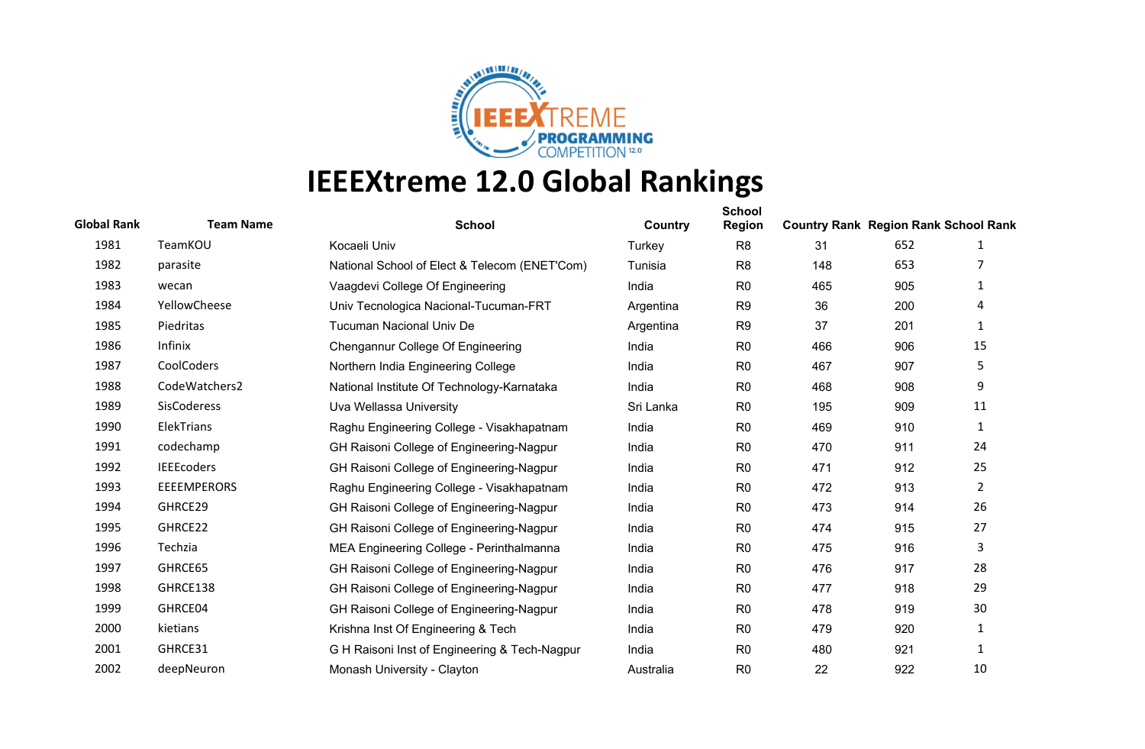

| <b>Global Rank</b> | <b>Team Name</b>   | <b>School</b>                                 | Country   | <b>School</b><br><b>Region</b> | <b>Country Rank Region Rank School Rank</b> |     |              |
|--------------------|--------------------|-----------------------------------------------|-----------|--------------------------------|---------------------------------------------|-----|--------------|
| 1981               | TeamKOU            | Kocaeli Univ                                  | Turkey    | R <sub>8</sub>                 | 31                                          | 652 | 1            |
| 1982               | parasite           | National School of Elect & Telecom (ENET'Com) | Tunisia   | R <sub>8</sub>                 | 148                                         | 653 |              |
| 1983               | wecan              | Vaagdevi College Of Engineering               | India     | R <sub>0</sub>                 | 465                                         | 905 | 1            |
| 1984               | YellowCheese       | Univ Tecnologica Nacional-Tucuman-FRT         | Argentina | R <sub>9</sub>                 | 36                                          | 200 | 4            |
| 1985               | Piedritas          | <b>Tucuman Nacional Univ De</b>               | Argentina | R <sub>9</sub>                 | 37                                          | 201 | 1            |
| 1986               | Infinix            | Chengannur College Of Engineering             | India     | R <sub>0</sub>                 | 466                                         | 906 | 15           |
| 1987               | CoolCoders         | Northern India Engineering College            | India     | R <sub>0</sub>                 | 467                                         | 907 | 5            |
| 1988               | CodeWatchers2      | National Institute Of Technology-Karnataka    | India     | R <sub>0</sub>                 | 468                                         | 908 | 9            |
| 1989               | <b>SisCoderess</b> | Uva Wellassa University                       | Sri Lanka | R <sub>0</sub>                 | 195                                         | 909 | 11           |
| 1990               | ElekTrians         | Raghu Engineering College - Visakhapatnam     | India     | R <sub>0</sub>                 | 469                                         | 910 | $\mathbf{1}$ |
| 1991               | codechamp          | GH Raisoni College of Engineering-Nagpur      | India     | R <sub>0</sub>                 | 470                                         | 911 | 24           |
| 1992               | <b>IEEEcoders</b>  | GH Raisoni College of Engineering-Nagpur      | India     | R <sub>0</sub>                 | 471                                         | 912 | 25           |
| 1993               | <b>EEEEMPERORS</b> | Raghu Engineering College - Visakhapatnam     | India     | R <sub>0</sub>                 | 472                                         | 913 | $2^{\circ}$  |
| 1994               | GHRCE29            | GH Raisoni College of Engineering-Nagpur      | India     | R <sub>0</sub>                 | 473                                         | 914 | 26           |
| 1995               | GHRCE22            | GH Raisoni College of Engineering-Nagpur      | India     | R <sub>0</sub>                 | 474                                         | 915 | 27           |
| 1996               | Techzia            | MEA Engineering College - Perinthalmanna      | India     | R <sub>0</sub>                 | 475                                         | 916 | 3            |
| 1997               | GHRCE65            | GH Raisoni College of Engineering-Nagpur      | India     | R <sub>0</sub>                 | 476                                         | 917 | 28           |
| 1998               | GHRCE138           | GH Raisoni College of Engineering-Nagpur      | India     | R <sub>0</sub>                 | 477                                         | 918 | 29           |
| 1999               | GHRCE04            | GH Raisoni College of Engineering-Nagpur      | India     | R <sub>0</sub>                 | 478                                         | 919 | 30           |
| 2000               | kietians           | Krishna Inst Of Engineering & Tech            | India     | R <sub>0</sub>                 | 479                                         | 920 | 1            |
| 2001               | GHRCE31            | G H Raisoni Inst of Engineering & Tech-Nagpur | India     | R <sub>0</sub>                 | 480                                         | 921 | $\mathbf{1}$ |
| 2002               | deepNeuron         | Monash University - Clayton                   | Australia | R <sub>0</sub>                 | 22                                          | 922 | 10           |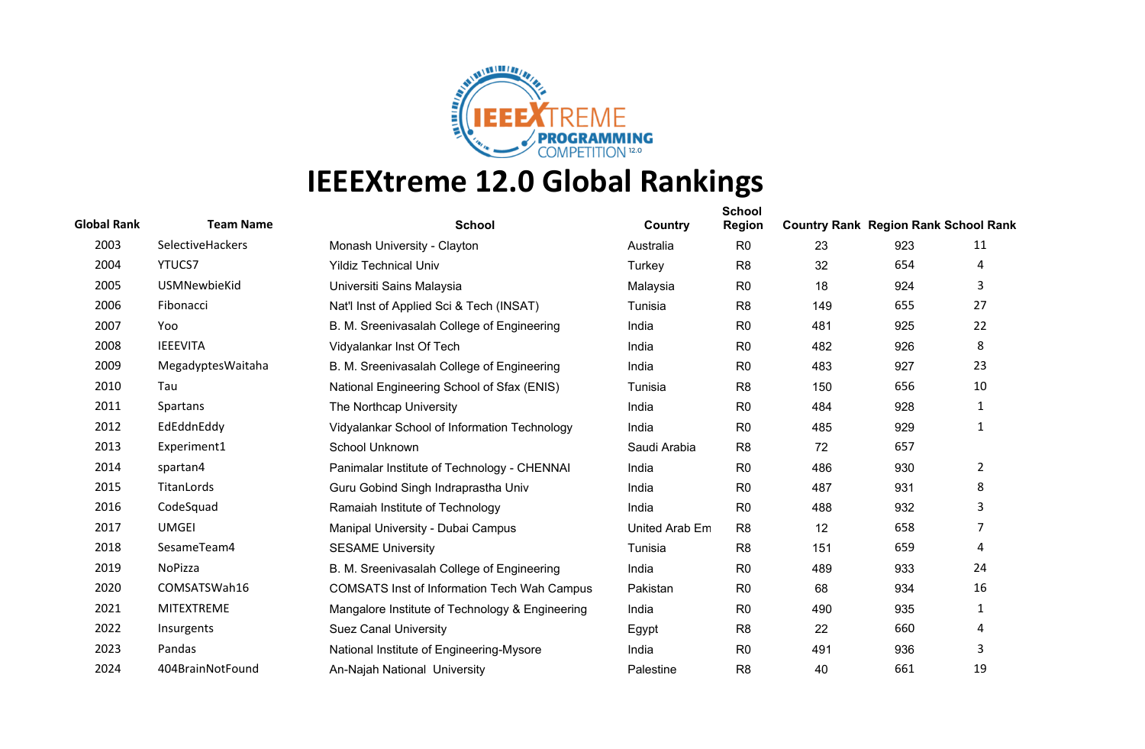

| <b>Global Rank</b> | <b>Team Name</b>  | <b>School</b>                                      | Country        | <b>School</b><br><b>Region</b> | <b>Country Rank Region Rank School Rank</b> |     |                |
|--------------------|-------------------|----------------------------------------------------|----------------|--------------------------------|---------------------------------------------|-----|----------------|
| 2003               | SelectiveHackers  | Monash University - Clayton                        | Australia      | R <sub>0</sub>                 | 23                                          | 923 | 11             |
| 2004               | <b>YTUCS7</b>     | <b>Yildiz Technical Univ</b>                       | Turkey         | R <sub>8</sub>                 | 32                                          | 654 | 4              |
| 2005               | USMNewbieKid      | Universiti Sains Malaysia                          | Malaysia       | R <sub>0</sub>                 | 18                                          | 924 | 3              |
| 2006               | Fibonacci         | Nat'l Inst of Applied Sci & Tech (INSAT)           | Tunisia        | R <sub>8</sub>                 | 149                                         | 655 | 27             |
| 2007               | Yoo               | B. M. Sreenivasalah College of Engineering         | India          | R <sub>0</sub>                 | 481                                         | 925 | 22             |
| 2008               | <b>IEEEVITA</b>   | Vidyalankar Inst Of Tech                           | India          | R <sub>0</sub>                 | 482                                         | 926 | 8              |
| 2009               | MegadyptesWaitaha | B. M. Sreenivasalah College of Engineering         | India          | R <sub>0</sub>                 | 483                                         | 927 | 23             |
| 2010               | Tau               | National Engineering School of Sfax (ENIS)         | Tunisia        | R <sub>8</sub>                 | 150                                         | 656 | 10             |
| 2011               | Spartans          | The Northcap University                            | India          | R <sub>0</sub>                 | 484                                         | 928 | 1              |
| 2012               | EdEddnEddy        | Vidyalankar School of Information Technology       | India          | R <sub>0</sub>                 | 485                                         | 929 | 1              |
| 2013               | Experiment1       | School Unknown                                     | Saudi Arabia   | R <sub>8</sub>                 | 72                                          | 657 |                |
| 2014               | spartan4          | Panimalar Institute of Technology - CHENNAI        | India          | R <sub>0</sub>                 | 486                                         | 930 | $\overline{2}$ |
| 2015               | TitanLords        | Guru Gobind Singh Indraprastha Univ                | India          | R <sub>0</sub>                 | 487                                         | 931 | 8              |
| 2016               | CodeSquad         | Ramaiah Institute of Technology                    | India          | R <sub>0</sub>                 | 488                                         | 932 | 3              |
| 2017               | <b>UMGEI</b>      | Manipal University - Dubai Campus                  | United Arab Em | R <sub>8</sub>                 | 12                                          | 658 | $\overline{7}$ |
| 2018               | SesameTeam4       | <b>SESAME University</b>                           | Tunisia        | R <sub>8</sub>                 | 151                                         | 659 | 4              |
| 2019               | NoPizza           | B. M. Sreenivasalah College of Engineering         | India          | R <sub>0</sub>                 | 489                                         | 933 | 24             |
| 2020               | COMSATSWah16      | <b>COMSATS Inst of Information Tech Wah Campus</b> | Pakistan       | R <sub>0</sub>                 | 68                                          | 934 | 16             |
| 2021               | <b>MITEXTREME</b> | Mangalore Institute of Technology & Engineering    | India          | R <sub>0</sub>                 | 490                                         | 935 | $\mathbf{1}$   |
| 2022               | Insurgents        | <b>Suez Canal University</b>                       | Egypt          | R <sub>8</sub>                 | 22                                          | 660 | 4              |
| 2023               | Pandas            | National Institute of Engineering-Mysore           | India          | R <sub>0</sub>                 | 491                                         | 936 | 3              |
| 2024               | 404BrainNotFound  | An-Najah National University                       | Palestine      | R <sub>8</sub>                 | 40                                          | 661 | 19             |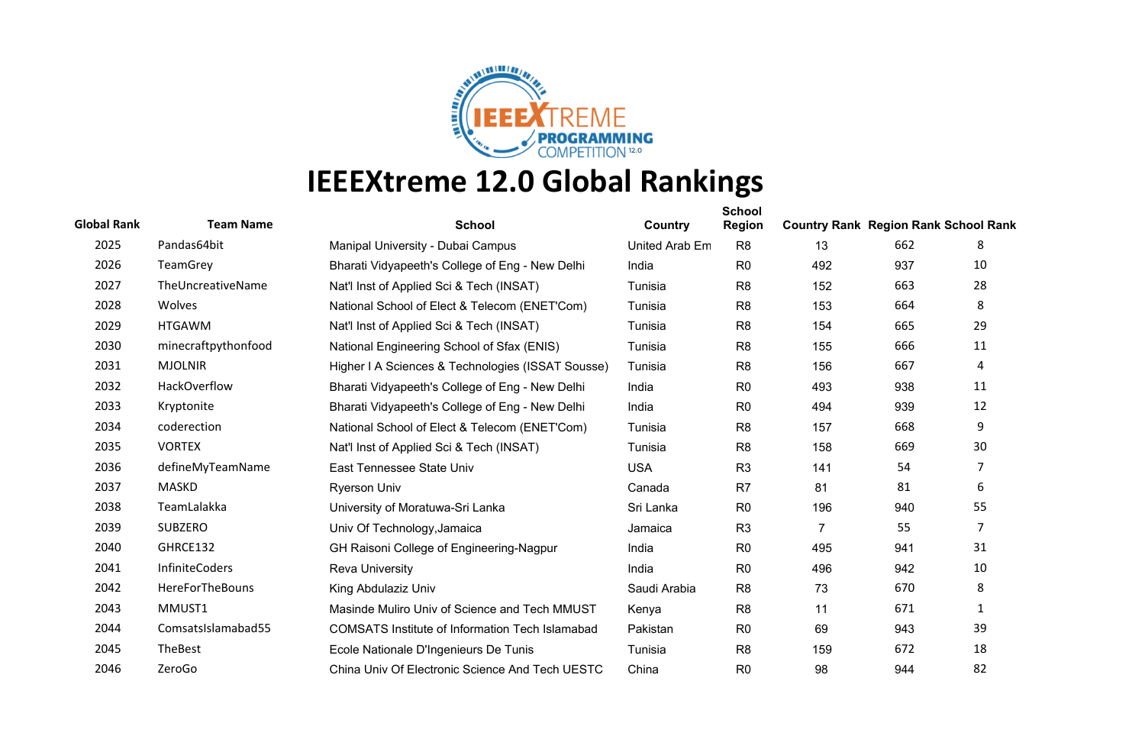

| <b>Global Rank</b> | <b>Team Name</b>      | <b>School</b>                                          | Country        | <b>School</b><br><b>Region</b> | <b>Country Rank Region Rank School Rank</b> |     |                |
|--------------------|-----------------------|--------------------------------------------------------|----------------|--------------------------------|---------------------------------------------|-----|----------------|
| 2025               | Pandas64bit           | Manipal University - Dubai Campus                      | United Arab Em | R <sub>8</sub>                 | 13                                          | 662 | 8              |
| 2026               | TeamGrey              | Bharati Vidyapeeth's College of Eng - New Delhi        | India          | R <sub>0</sub>                 | 492                                         | 937 | 10             |
| 2027               | TheUncreativeName     | Nat'l Inst of Applied Sci & Tech (INSAT)               | Tunisia        | R <sub>8</sub>                 | 152                                         | 663 | 28             |
| 2028               | Wolves                | National School of Elect & Telecom (ENET'Com)          | Tunisia        | R <sub>8</sub>                 | 153                                         | 664 | 8              |
| 2029               | <b>HTGAWM</b>         | Nat'l Inst of Applied Sci & Tech (INSAT)               | Tunisia        | R <sub>8</sub>                 | 154                                         | 665 | 29             |
| 2030               | minecraftpythonfood   | National Engineering School of Sfax (ENIS)             | Tunisia        | R <sub>8</sub>                 | 155                                         | 666 | 11             |
| 2031               | <b>MJOLNIR</b>        | Higher I A Sciences & Technologies (ISSAT Sousse)      | Tunisia        | R <sub>8</sub>                 | 156                                         | 667 | 4              |
| 2032               | HackOverflow          | Bharati Vidyapeeth's College of Eng - New Delhi        | India          | R <sub>0</sub>                 | 493                                         | 938 | 11             |
| 2033               | Kryptonite            | Bharati Vidyapeeth's College of Eng - New Delhi        | India          | R <sub>0</sub>                 | 494                                         | 939 | 12             |
| 2034               | coderection           | National School of Elect & Telecom (ENET'Com)          | Tunisia        | R <sub>8</sub>                 | 157                                         | 668 | 9              |
| 2035               | <b>VORTEX</b>         | Nat'l Inst of Applied Sci & Tech (INSAT)               | Tunisia        | R <sub>8</sub>                 | 158                                         | 669 | 30             |
| 2036               | defineMyTeamName      | East Tennessee State Univ                              | <b>USA</b>     | R <sub>3</sub>                 | 141                                         | 54  | 7              |
| 2037               | <b>MASKD</b>          | <b>Ryerson Univ</b>                                    | Canada         | R <sub>7</sub>                 | 81                                          | 81  | 6              |
| 2038               | TeamLalakka           | University of Moratuwa-Sri Lanka                       | Sri Lanka      | R <sub>0</sub>                 | 196                                         | 940 | 55             |
| 2039               | <b>SUBZERO</b>        | Univ Of Technology, Jamaica                            | Jamaica        | R <sub>3</sub>                 | 7                                           | 55  | $\overline{7}$ |
| 2040               | GHRCE132              | GH Raisoni College of Engineering-Nagpur               | India          | R <sub>0</sub>                 | 495                                         | 941 | 31             |
| 2041               | <b>InfiniteCoders</b> | <b>Reva University</b>                                 | India          | R <sub>0</sub>                 | 496                                         | 942 | 10             |
| 2042               | HereForTheBouns       | King Abdulaziz Univ                                    | Saudi Arabia   | R <sub>8</sub>                 | 73                                          | 670 | 8              |
| 2043               | MMUST1                | Masinde Muliro Univ of Science and Tech MMUST          | Kenya          | R <sub>8</sub>                 | 11                                          | 671 | 1              |
| 2044               | ComsatsIslamabad55    | <b>COMSATS Institute of Information Tech Islamabad</b> | Pakistan       | R <sub>0</sub>                 | 69                                          | 943 | 39             |
| 2045               | TheBest               | Ecole Nationale D'Ingenieurs De Tunis                  | Tunisia        | R <sub>8</sub>                 | 159                                         | 672 | 18             |
| 2046               | ZeroGo                | China Univ Of Electronic Science And Tech UESTC        | China          | R <sub>0</sub>                 | 98                                          | 944 | 82             |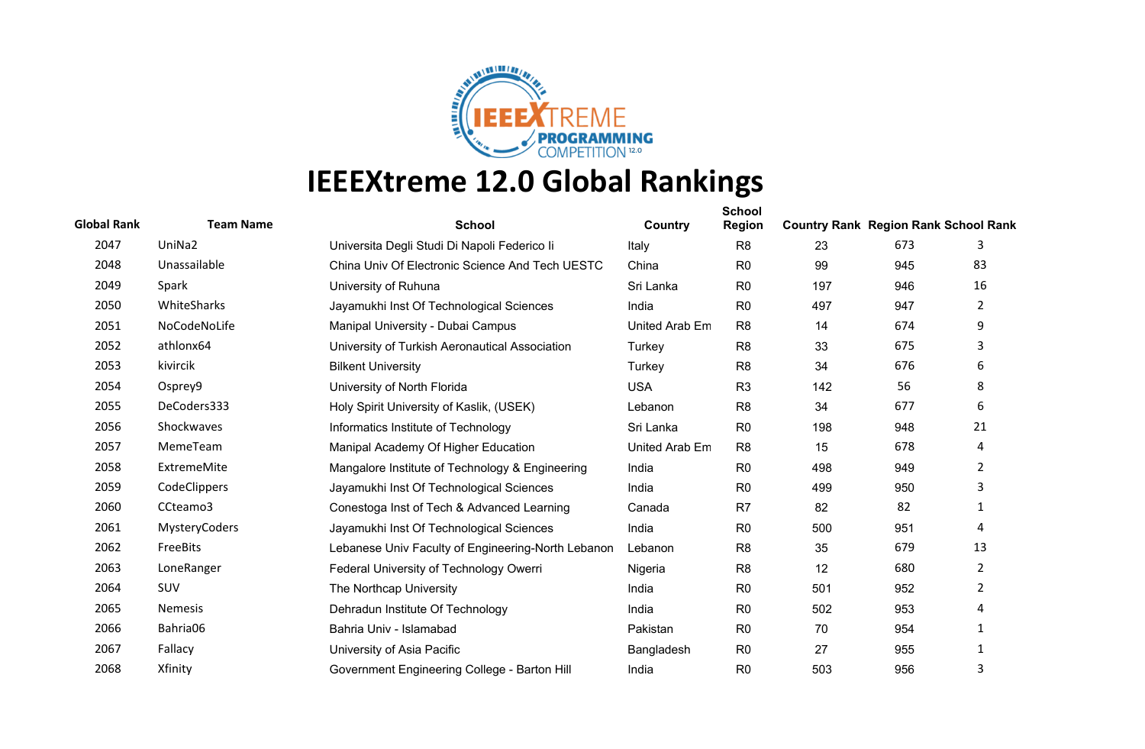

| <b>Global Rank</b> | <b>Team Name</b> | <b>School</b>                                      | Country        | <b>School</b><br><b>Region</b> | <b>Country Rank Region Rank School Rank</b> |     |                       |
|--------------------|------------------|----------------------------------------------------|----------------|--------------------------------|---------------------------------------------|-----|-----------------------|
| 2047               | UniNa2           | Universita Degli Studi Di Napoli Federico li       | Italy          | R <sub>8</sub>                 | 23                                          | 673 | 3                     |
| 2048               | Unassailable     | China Univ Of Electronic Science And Tech UESTC    | China          | R <sub>0</sub>                 | 99                                          | 945 | 83                    |
| 2049               | Spark            | University of Ruhuna                               | Sri Lanka      | R <sub>0</sub>                 | 197                                         | 946 | 16                    |
| 2050               | WhiteSharks      | Jayamukhi Inst Of Technological Sciences           | India          | R <sub>0</sub>                 | 497                                         | 947 | $\mathbf{2}^{\prime}$ |
| 2051               | NoCodeNoLife     | Manipal University - Dubai Campus                  | United Arab Em | R <sub>8</sub>                 | 14                                          | 674 | 9                     |
| 2052               | athlonx64        | University of Turkish Aeronautical Association     | Turkey         | R <sub>8</sub>                 | 33                                          | 675 | 3                     |
| 2053               | kivircik         | <b>Bilkent University</b>                          | Turkey         | R <sub>8</sub>                 | 34                                          | 676 | 6                     |
| 2054               | Osprey9          | University of North Florida                        | <b>USA</b>     | R <sub>3</sub>                 | 142                                         | 56  | 8                     |
| 2055               | DeCoders333      | Holy Spirit University of Kaslik, (USEK)           | Lebanon        | R <sub>8</sub>                 | 34                                          | 677 | 6                     |
| 2056               | Shockwaves       | Informatics Institute of Technology                | Sri Lanka      | R <sub>0</sub>                 | 198                                         | 948 | 21                    |
| 2057               | MemeTeam         | Manipal Academy Of Higher Education                | United Arab Em | R <sub>8</sub>                 | 15                                          | 678 | 4                     |
| 2058               | ExtremeMite      | Mangalore Institute of Technology & Engineering    | India          | R <sub>0</sub>                 | 498                                         | 949 | $\overline{2}$        |
| 2059               | CodeClippers     | Jayamukhi Inst Of Technological Sciences           | India          | R <sub>0</sub>                 | 499                                         | 950 | 3                     |
| 2060               | CCteamo3         | Conestoga Inst of Tech & Advanced Learning         | Canada         | R <sub>7</sub>                 | 82                                          | 82  | 1                     |
| 2061               | MysteryCoders    | Jayamukhi Inst Of Technological Sciences           | India          | R <sub>0</sub>                 | 500                                         | 951 | 4                     |
| 2062               | FreeBits         | Lebanese Univ Faculty of Engineering-North Lebanon | Lebanon        | R <sub>8</sub>                 | 35                                          | 679 | 13                    |
| 2063               | LoneRanger       | Federal University of Technology Owerri            | Nigeria        | R <sub>8</sub>                 | 12                                          | 680 | $\overline{2}$        |
| 2064               | SUV              | The Northcap University                            | India          | R <sub>0</sub>                 | 501                                         | 952 | $\overline{2}$        |
| 2065               | <b>Nemesis</b>   | Dehradun Institute Of Technology                   | India          | R <sub>0</sub>                 | 502                                         | 953 | 4                     |
| 2066               | Bahria06         | Bahria Univ - Islamabad                            | Pakistan       | R <sub>0</sub>                 | 70                                          | 954 | 1                     |
| 2067               | Fallacy          | University of Asia Pacific                         | Bangladesh     | R <sub>0</sub>                 | 27                                          | 955 | $\mathbf{1}$          |
| 2068               | Xfinity          | Government Engineering College - Barton Hill       | India          | R <sub>0</sub>                 | 503                                         | 956 | 3                     |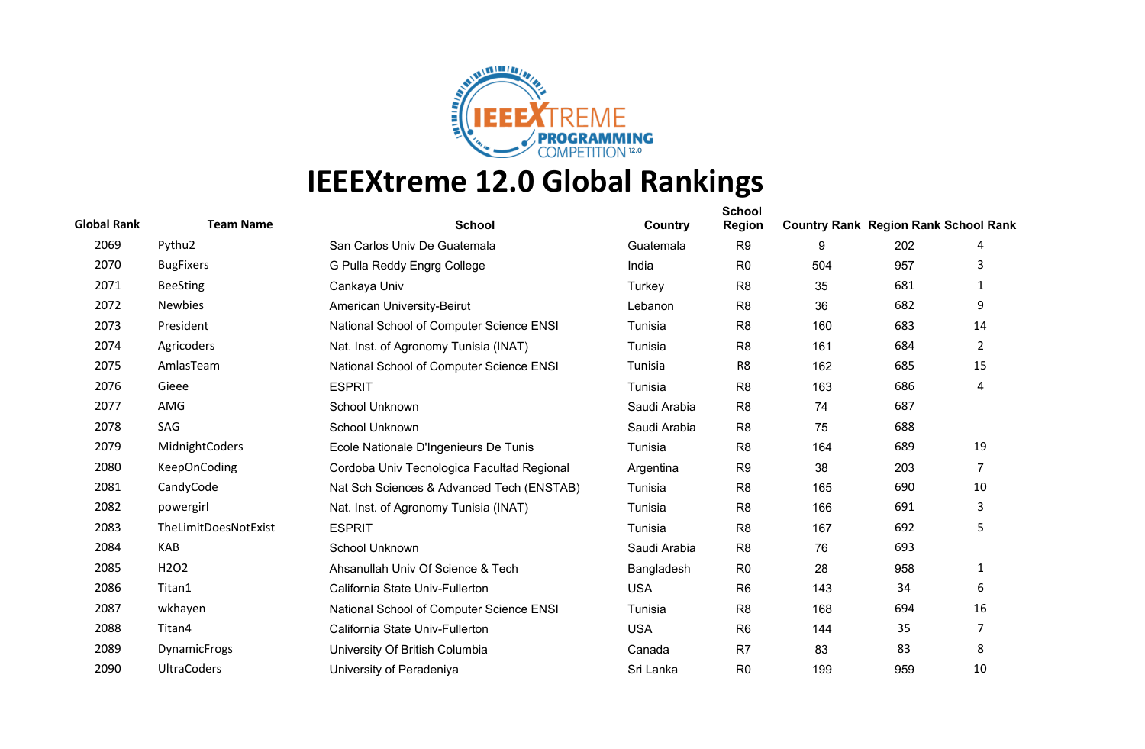

| <b>Global Rank</b> | <b>Team Name</b>              | <b>School</b>                              | Country      | <b>School</b><br><b>Region</b> | <b>Country Rank Region Rank School Rank</b> |     |                |
|--------------------|-------------------------------|--------------------------------------------|--------------|--------------------------------|---------------------------------------------|-----|----------------|
| 2069               | Pythu2                        | San Carlos Univ De Guatemala               | Guatemala    | R <sub>9</sub>                 | 9                                           | 202 | 4              |
| 2070               | <b>BugFixers</b>              | G Pulla Reddy Engrg College                | India        | R <sub>0</sub>                 | 504                                         | 957 | 3              |
| 2071               | <b>BeeSting</b>               | Cankaya Univ                               | Turkey       | R <sub>8</sub>                 | 35                                          | 681 | 1              |
| 2072               | <b>Newbies</b>                | American University-Beirut                 | Lebanon      | R <sub>8</sub>                 | 36                                          | 682 | 9              |
| 2073               | President                     | National School of Computer Science ENSI   | Tunisia      | R <sub>8</sub>                 | 160                                         | 683 | 14             |
| 2074               | Agricoders                    | Nat. Inst. of Agronomy Tunisia (INAT)      | Tunisia      | R <sub>8</sub>                 | 161                                         | 684 | $\overline{2}$ |
| 2075               | AmlasTeam                     | National School of Computer Science ENSI   | Tunisia      | R8                             | 162                                         | 685 | 15             |
| 2076               | Gieee                         | <b>ESPRIT</b>                              | Tunisia      | R <sub>8</sub>                 | 163                                         | 686 | 4              |
| 2077               | AMG                           | School Unknown                             | Saudi Arabia | R <sub>8</sub>                 | 74                                          | 687 |                |
| 2078               | SAG                           | School Unknown                             | Saudi Arabia | R <sub>8</sub>                 | 75                                          | 688 |                |
| 2079               | MidnightCoders                | Ecole Nationale D'Ingenieurs De Tunis      | Tunisia      | R <sub>8</sub>                 | 164                                         | 689 | 19             |
| 2080               | <b>KeepOnCoding</b>           | Cordoba Univ Tecnologica Facultad Regional | Argentina    | R <sub>9</sub>                 | 38                                          | 203 | 7              |
| 2081               | CandyCode                     | Nat Sch Sciences & Advanced Tech (ENSTAB)  | Tunisia      | R <sub>8</sub>                 | 165                                         | 690 | 10             |
| 2082               | powergirl                     | Nat. Inst. of Agronomy Tunisia (INAT)      | Tunisia      | R <sub>8</sub>                 | 166                                         | 691 | 3              |
| 2083               | TheLimitDoesNotExist          | <b>ESPRIT</b>                              | Tunisia      | R <sub>8</sub>                 | 167                                         | 692 | 5              |
| 2084               | <b>KAB</b>                    | School Unknown                             | Saudi Arabia | R <sub>8</sub>                 | 76                                          | 693 |                |
| 2085               | H <sub>2</sub> O <sub>2</sub> | Ahsanullah Univ Of Science & Tech          | Bangladesh   | R <sub>0</sub>                 | 28                                          | 958 | 1              |
| 2086               | Titan1                        | California State Univ-Fullerton            | <b>USA</b>   | R <sub>6</sub>                 | 143                                         | 34  | 6              |
| 2087               | wkhayen                       | National School of Computer Science ENSI   | Tunisia      | R <sub>8</sub>                 | 168                                         | 694 | 16             |
| 2088               | Titan4                        | California State Univ-Fullerton            | <b>USA</b>   | R <sub>6</sub>                 | 144                                         | 35  | $\overline{7}$ |
| 2089               | <b>DynamicFrogs</b>           | University Of British Columbia             | Canada       | R <sub>7</sub>                 | 83                                          | 83  | 8              |
| 2090               | <b>UltraCoders</b>            | University of Peradeniya                   | Sri Lanka    | R <sub>0</sub>                 | 199                                         | 959 | 10             |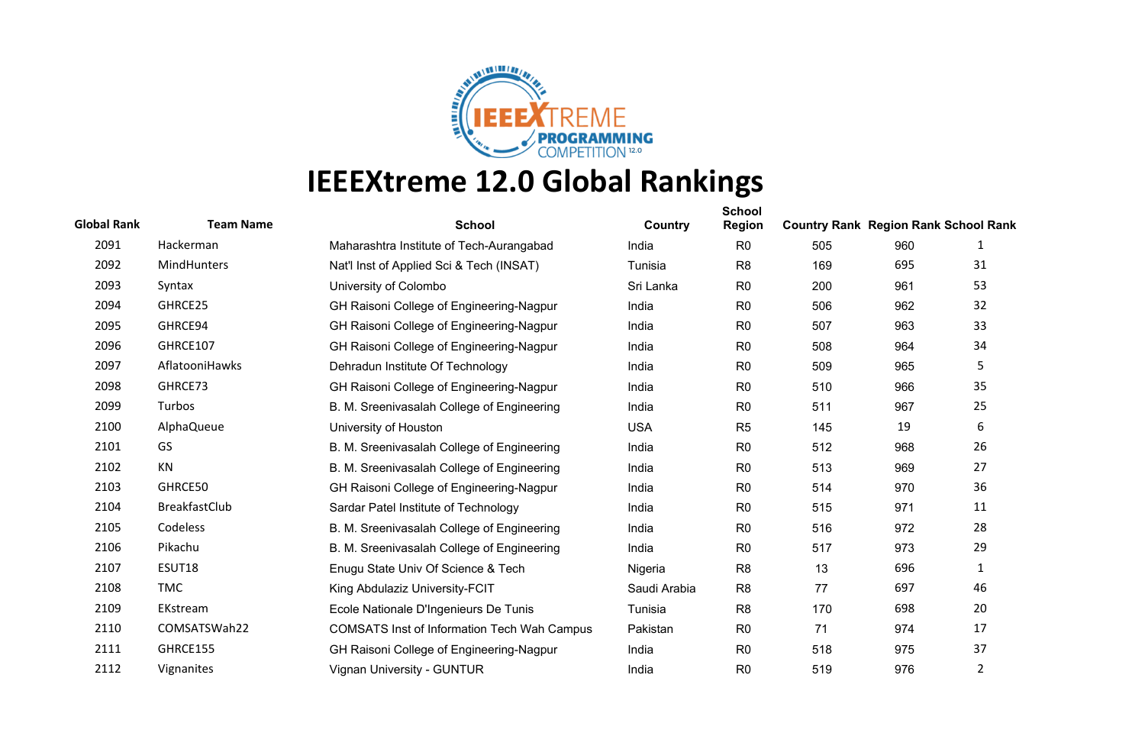

| <b>Global Rank</b> | <b>Team Name</b>     | <b>School</b>                                      | Country      | <b>School</b><br><b>Region</b> | <b>Country Rank Region Rank School Rank</b> |     |                |
|--------------------|----------------------|----------------------------------------------------|--------------|--------------------------------|---------------------------------------------|-----|----------------|
| 2091               | Hackerman            | Maharashtra Institute of Tech-Aurangabad           | India        | R <sub>0</sub>                 | 505                                         | 960 | 1              |
| 2092               | MindHunters          | Nat'l Inst of Applied Sci & Tech (INSAT)           | Tunisia      | R <sub>8</sub>                 | 169                                         | 695 | 31             |
| 2093               | Syntax               | University of Colombo                              | Sri Lanka    | R <sub>0</sub>                 | 200                                         | 961 | 53             |
| 2094               | GHRCE25              | GH Raisoni College of Engineering-Nagpur           | India        | R <sub>0</sub>                 | 506                                         | 962 | 32             |
| 2095               | GHRCE94              | GH Raisoni College of Engineering-Nagpur           | India        | R <sub>0</sub>                 | 507                                         | 963 | 33             |
| 2096               | GHRCE107             | GH Raisoni College of Engineering-Nagpur           | India        | R <sub>0</sub>                 | 508                                         | 964 | 34             |
| 2097               | AflatooniHawks       | Dehradun Institute Of Technology                   | India        | R <sub>0</sub>                 | 509                                         | 965 | 5              |
| 2098               | GHRCE73              | GH Raisoni College of Engineering-Nagpur           | India        | R <sub>0</sub>                 | 510                                         | 966 | 35             |
| 2099               | Turbos               | B. M. Sreenivasalah College of Engineering         | India        | R <sub>0</sub>                 | 511                                         | 967 | 25             |
| 2100               | AlphaQueue           | University of Houston                              | <b>USA</b>   | R <sub>5</sub>                 | 145                                         | 19  | 6              |
| 2101               | GS                   | B. M. Sreenivasalah College of Engineering         | India        | R <sub>0</sub>                 | 512                                         | 968 | 26             |
| 2102               | KN                   | B. M. Sreenivasalah College of Engineering         | India        | R <sub>0</sub>                 | 513                                         | 969 | 27             |
| 2103               | GHRCE50              | GH Raisoni College of Engineering-Nagpur           | India        | R <sub>0</sub>                 | 514                                         | 970 | 36             |
| 2104               | <b>BreakfastClub</b> | Sardar Patel Institute of Technology               | India        | R <sub>0</sub>                 | 515                                         | 971 | 11             |
| 2105               | Codeless             | B. M. Sreenivasalah College of Engineering         | India        | R <sub>0</sub>                 | 516                                         | 972 | 28             |
| 2106               | Pikachu              | B. M. Sreenivasalah College of Engineering         | India        | R <sub>0</sub>                 | 517                                         | 973 | 29             |
| 2107               | ESUT18               | Enugu State Univ Of Science & Tech                 | Nigeria      | R <sub>8</sub>                 | 13                                          | 696 | 1              |
| 2108               | <b>TMC</b>           | King Abdulaziz University-FCIT                     | Saudi Arabia | R <sub>8</sub>                 | 77                                          | 697 | 46             |
| 2109               | EKstream             | Ecole Nationale D'Ingenieurs De Tunis              | Tunisia      | R <sub>8</sub>                 | 170                                         | 698 | 20             |
| 2110               | COMSATSWah22         | <b>COMSATS Inst of Information Tech Wah Campus</b> | Pakistan     | R <sub>0</sub>                 | 71                                          | 974 | 17             |
| 2111               | GHRCE155             | GH Raisoni College of Engineering-Nagpur           | India        | R <sub>0</sub>                 | 518                                         | 975 | 37             |
| 2112               | Vignanites           | Vignan University - GUNTUR                         | India        | R <sub>0</sub>                 | 519                                         | 976 | $\overline{2}$ |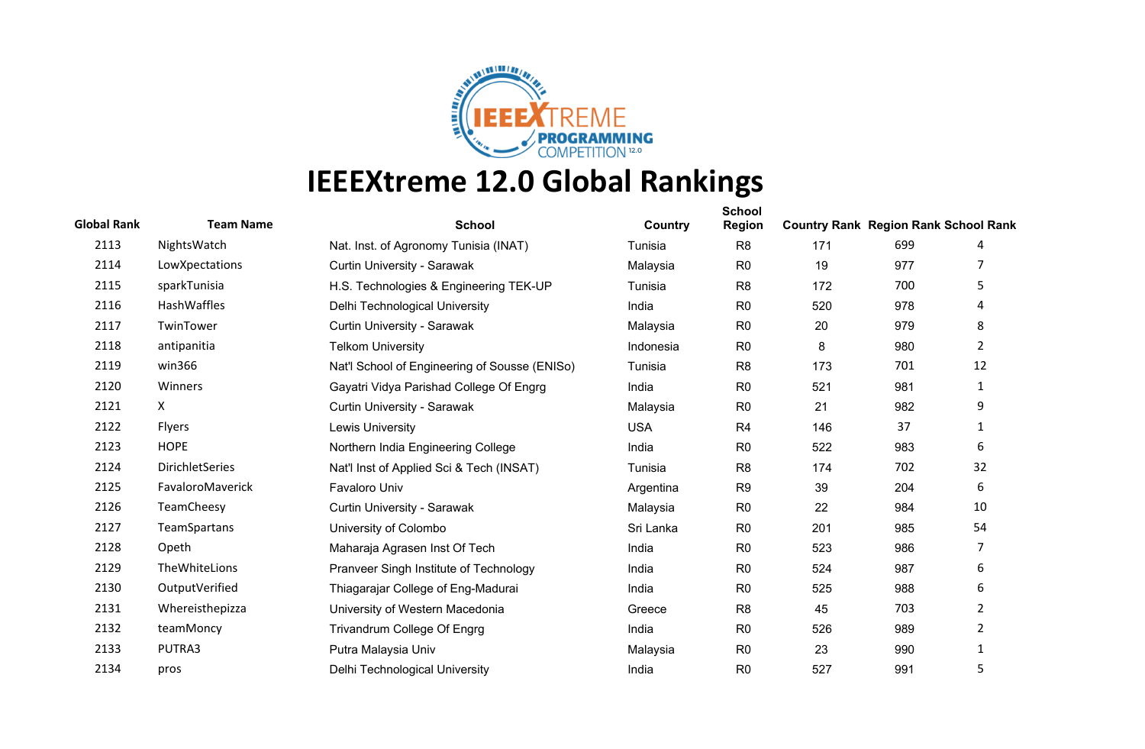

| <b>Global Rank</b> | <b>Team Name</b> | <b>School</b>                                 | Country    | <b>School</b><br><b>Region</b> | <b>Country Rank Region Rank School Rank</b> |     |                |
|--------------------|------------------|-----------------------------------------------|------------|--------------------------------|---------------------------------------------|-----|----------------|
| 2113               | NightsWatch      | Nat. Inst. of Agronomy Tunisia (INAT)         | Tunisia    | R <sub>8</sub>                 | 171                                         | 699 | 4              |
| 2114               | LowXpectations   | Curtin University - Sarawak                   | Malaysia   | R <sub>0</sub>                 | 19                                          | 977 |                |
| 2115               | sparkTunisia     | H.S. Technologies & Engineering TEK-UP        | Tunisia    | R <sub>8</sub>                 | 172                                         | 700 | 5              |
| 2116               | HashWaffles      | Delhi Technological University                | India      | R <sub>0</sub>                 | 520                                         | 978 | 4              |
| 2117               | TwinTower        | Curtin University - Sarawak                   | Malaysia   | R <sub>0</sub>                 | 20                                          | 979 | 8              |
| 2118               | antipanitia      | <b>Telkom University</b>                      | Indonesia  | R <sub>0</sub>                 | 8                                           | 980 | $\overline{2}$ |
| 2119               | win366           | Nat'l School of Engineering of Sousse (ENISo) | Tunisia    | R <sub>8</sub>                 | 173                                         | 701 | 12             |
| 2120               | Winners          | Gayatri Vidya Parishad College Of Engrg       | India      | R <sub>0</sub>                 | 521                                         | 981 | 1              |
| 2121               | X.               | Curtin University - Sarawak                   | Malaysia   | R <sub>0</sub>                 | 21                                          | 982 | 9              |
| 2122               | Flyers           | <b>Lewis University</b>                       | <b>USA</b> | R <sub>4</sub>                 | 146                                         | 37  | 1              |
| 2123               | <b>HOPE</b>      | Northern India Engineering College            | India      | R <sub>0</sub>                 | 522                                         | 983 | 6              |
| 2124               | DirichletSeries  | Nat'l Inst of Applied Sci & Tech (INSAT)      | Tunisia    | R <sub>8</sub>                 | 174                                         | 702 | 32             |
| 2125               | FavaloroMaverick | <b>Favaloro Univ</b>                          | Argentina  | R <sub>9</sub>                 | 39                                          | 204 | 6              |
| 2126               | TeamCheesy       | Curtin University - Sarawak                   | Malaysia   | R <sub>0</sub>                 | 22                                          | 984 | 10             |
| 2127               | TeamSpartans     | University of Colombo                         | Sri Lanka  | R <sub>0</sub>                 | 201                                         | 985 | 54             |
| 2128               | Opeth            | Maharaja Agrasen Inst Of Tech                 | India      | R <sub>0</sub>                 | 523                                         | 986 | 7              |
| 2129               | TheWhiteLions    | Pranveer Singh Institute of Technology        | India      | R <sub>0</sub>                 | 524                                         | 987 | 6              |
| 2130               | OutputVerified   | Thiagarajar College of Eng-Madurai            | India      | R <sub>0</sub>                 | 525                                         | 988 | 6              |
| 2131               | Whereisthepizza  | University of Western Macedonia               | Greece     | R <sub>8</sub>                 | 45                                          | 703 | $\overline{2}$ |
| 2132               | teamMoncy        | Trivandrum College Of Engrg                   | India      | R <sub>0</sub>                 | 526                                         | 989 | $\overline{2}$ |
| 2133               | PUTRA3           | Putra Malaysia Univ                           | Malaysia   | R <sub>0</sub>                 | 23                                          | 990 | 1              |
| 2134               | pros             | Delhi Technological University                | India      | R <sub>0</sub>                 | 527                                         | 991 | 5              |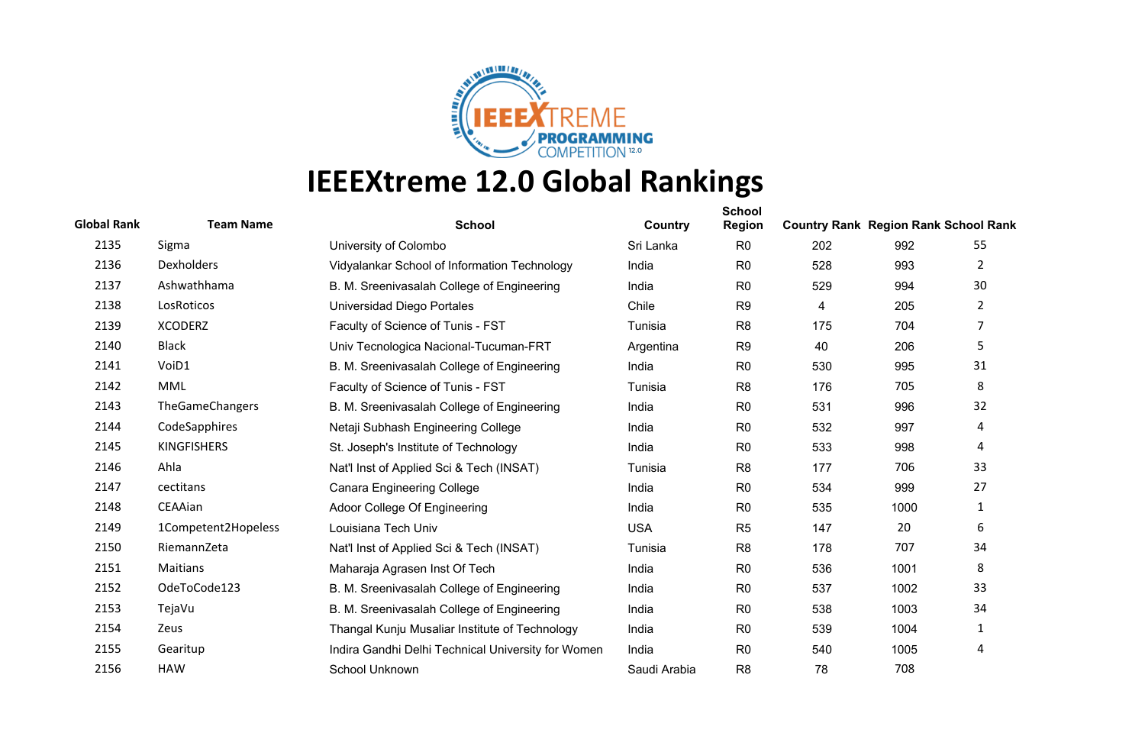

| <b>Global Rank</b> | <b>Team Name</b>    | <b>School</b>                                      | Country      | <b>School</b><br>Region | <b>Country Rank Region Rank School Rank</b> |      |                       |
|--------------------|---------------------|----------------------------------------------------|--------------|-------------------------|---------------------------------------------|------|-----------------------|
| 2135               | Sigma               | University of Colombo                              | Sri Lanka    | R <sub>0</sub>          | 202                                         | 992  | 55                    |
| 2136               | <b>Dexholders</b>   | Vidyalankar School of Information Technology       | India        | R <sub>0</sub>          | 528                                         | 993  | $\overline{2}$        |
| 2137               | Ashwathhama         | B. M. Sreenivasalah College of Engineering         | India        | R <sub>0</sub>          | 529                                         | 994  | 30                    |
| 2138               | LosRoticos          | Universidad Diego Portales                         | Chile        | R <sub>9</sub>          | 4                                           | 205  | $\mathbf{2}^{\prime}$ |
| 2139               | <b>XCODERZ</b>      | Faculty of Science of Tunis - FST                  | Tunisia      | R <sub>8</sub>          | 175                                         | 704  | $\overline{7}$        |
| 2140               | <b>Black</b>        | Univ Tecnologica Nacional-Tucuman-FRT              | Argentina    | R <sub>9</sub>          | 40                                          | 206  | 5                     |
| 2141               | VoiD1               | B. M. Sreenivasalah College of Engineering         | India        | R <sub>0</sub>          | 530                                         | 995  | 31                    |
| 2142               | <b>MML</b>          | Faculty of Science of Tunis - FST                  | Tunisia      | R <sub>8</sub>          | 176                                         | 705  | 8                     |
| 2143               | TheGameChangers     | B. M. Sreenivasalah College of Engineering         | India        | R <sub>0</sub>          | 531                                         | 996  | 32                    |
| 2144               | CodeSapphires       | Netaji Subhash Engineering College                 | India        | R <sub>0</sub>          | 532                                         | 997  | 4                     |
| 2145               | <b>KINGFISHERS</b>  | St. Joseph's Institute of Technology               | India        | R <sub>0</sub>          | 533                                         | 998  | 4                     |
| 2146               | Ahla                | Nat'l Inst of Applied Sci & Tech (INSAT)           | Tunisia      | R <sub>8</sub>          | 177                                         | 706  | 33                    |
| 2147               | cectitans           | <b>Canara Engineering College</b>                  | India        | R <sub>0</sub>          | 534                                         | 999  | 27                    |
| 2148               | CEAAian             | Adoor College Of Engineering                       | India        | R <sub>0</sub>          | 535                                         | 1000 | 1                     |
| 2149               | 1Competent2Hopeless | Louisiana Tech Univ                                | <b>USA</b>   | R <sub>5</sub>          | 147                                         | 20   | 6                     |
| 2150               | RiemannZeta         | Nat'l Inst of Applied Sci & Tech (INSAT)           | Tunisia      | R <sub>8</sub>          | 178                                         | 707  | 34                    |
| 2151               | Maitians            | Maharaja Agrasen Inst Of Tech                      | India        | R <sub>0</sub>          | 536                                         | 1001 | 8                     |
| 2152               | OdeToCode123        | B. M. Sreenivasalah College of Engineering         | India        | R <sub>0</sub>          | 537                                         | 1002 | 33                    |
| 2153               | TejaVu              | B. M. Sreenivasalah College of Engineering         | India        | R <sub>0</sub>          | 538                                         | 1003 | 34                    |
| 2154               | Zeus                | Thangal Kunju Musaliar Institute of Technology     | India        | R <sub>0</sub>          | 539                                         | 1004 | 1                     |
| 2155               | Gearitup            | Indira Gandhi Delhi Technical University for Women | India        | R <sub>0</sub>          | 540                                         | 1005 | 4                     |
| 2156               | <b>HAW</b>          | School Unknown                                     | Saudi Arabia | R <sub>8</sub>          | 78                                          | 708  |                       |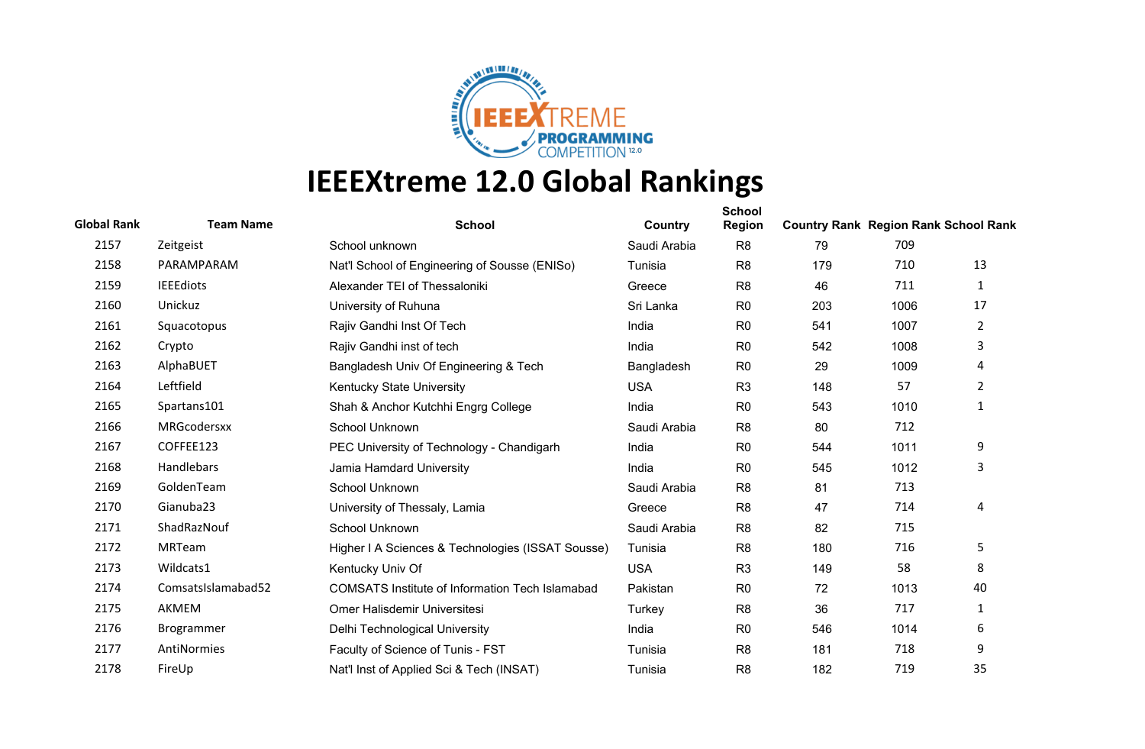

| <b>Global Rank</b> | <b>Team Name</b>   | <b>School</b>                                          | Country      | <b>School</b><br><b>Region</b> | <b>Country Rank Region Rank School Rank</b> |      |                |
|--------------------|--------------------|--------------------------------------------------------|--------------|--------------------------------|---------------------------------------------|------|----------------|
| 2157               | Zeitgeist          | School unknown                                         | Saudi Arabia | R <sub>8</sub>                 | 79                                          | 709  |                |
| 2158               | PARAMPARAM         | Nat'l School of Engineering of Sousse (ENISo)          | Tunisia      | R <sub>8</sub>                 | 179                                         | 710  | 13             |
| 2159               | <b>IEEEdiots</b>   | Alexander TEI of Thessaloniki                          | Greece       | R <sub>8</sub>                 | 46                                          | 711  | 1              |
| 2160               | Unickuz            | University of Ruhuna                                   | Sri Lanka    | R <sub>0</sub>                 | 203                                         | 1006 | 17             |
| 2161               | Squacotopus        | Rajiv Gandhi Inst Of Tech                              | India        | R <sub>0</sub>                 | 541                                         | 1007 | $\overline{2}$ |
| 2162               | Crypto             | Rajiv Gandhi inst of tech                              | India        | R <sub>0</sub>                 | 542                                         | 1008 | 3              |
| 2163               | AlphaBUET          | Bangladesh Univ Of Engineering & Tech                  | Bangladesh   | R <sub>0</sub>                 | 29                                          | 1009 | 4              |
| 2164               | Leftfield          | Kentucky State University                              | <b>USA</b>   | R <sub>3</sub>                 | 148                                         | 57   | $\overline{2}$ |
| 2165               | Spartans101        | Shah & Anchor Kutchhi Engrg College                    | India        | R <sub>0</sub>                 | 543                                         | 1010 | $\mathbf{1}$   |
| 2166               | MRGcodersxx        | School Unknown                                         | Saudi Arabia | R <sub>8</sub>                 | 80                                          | 712  |                |
| 2167               | COFFEE123          | PEC University of Technology - Chandigarh              | India        | R <sub>0</sub>                 | 544                                         | 1011 | 9              |
| 2168               | Handlebars         | Jamia Hamdard University                               | India        | R <sub>0</sub>                 | 545                                         | 1012 | 3              |
| 2169               | GoldenTeam         | School Unknown                                         | Saudi Arabia | R <sub>8</sub>                 | 81                                          | 713  |                |
| 2170               | Gianuba23          | University of Thessaly, Lamia                          | Greece       | R <sub>8</sub>                 | 47                                          | 714  | 4              |
| 2171               | ShadRazNouf        | School Unknown                                         | Saudi Arabia | R <sub>8</sub>                 | 82                                          | 715  |                |
| 2172               | <b>MRTeam</b>      | Higher I A Sciences & Technologies (ISSAT Sousse)      | Tunisia      | R <sub>8</sub>                 | 180                                         | 716  | 5              |
| 2173               | Wildcats1          | Kentucky Univ Of                                       | <b>USA</b>   | R <sub>3</sub>                 | 149                                         | 58   | 8              |
| 2174               | ComsatsIslamabad52 | <b>COMSATS Institute of Information Tech Islamabad</b> | Pakistan     | R <sub>0</sub>                 | 72                                          | 1013 | 40             |
| 2175               | AKMEM              | Omer Halisdemir Universitesi                           | Turkey       | R <sub>8</sub>                 | 36                                          | 717  | 1              |
| 2176               | <b>Brogrammer</b>  | Delhi Technological University                         | India        | R <sub>0</sub>                 | 546                                         | 1014 | 6              |
| 2177               | AntiNormies        | Faculty of Science of Tunis - FST                      | Tunisia      | R <sub>8</sub>                 | 181                                         | 718  | 9              |
| 2178               | FireUp             | Nat'l Inst of Applied Sci & Tech (INSAT)               | Tunisia      | R <sub>8</sub>                 | 182                                         | 719  | 35             |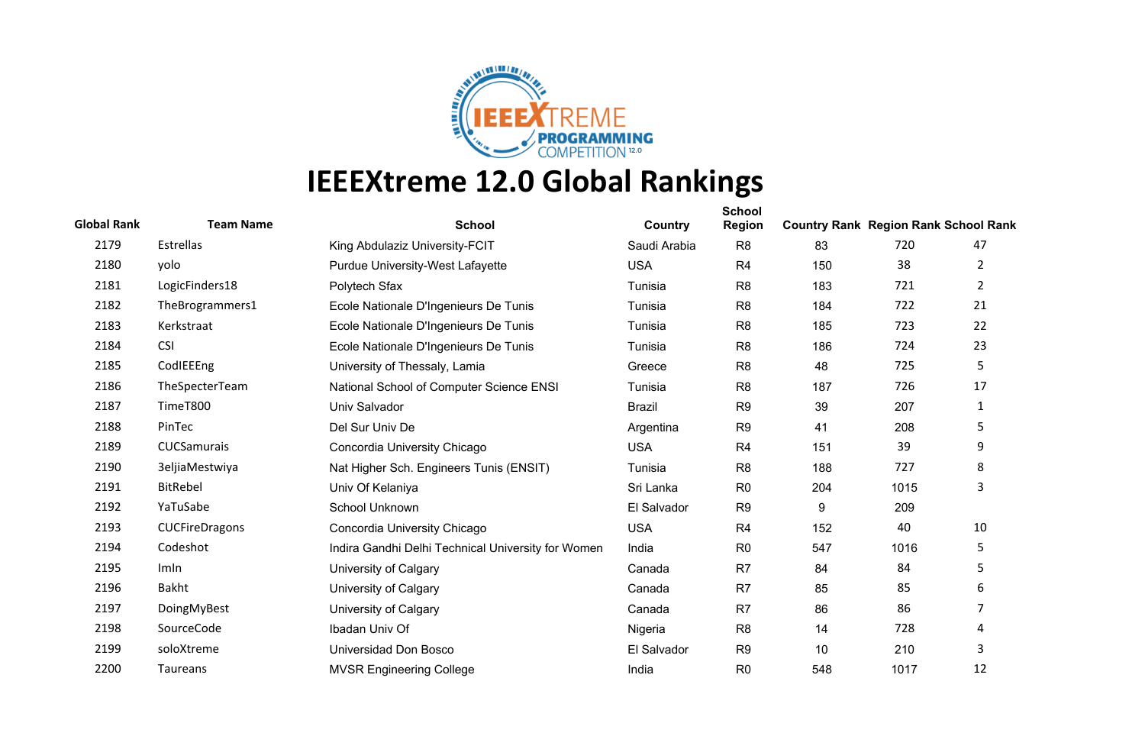

| <b>Global Rank</b> | <b>Team Name</b> | <b>School</b>                                      | Country       | <b>School</b><br><b>Region</b> | <b>Country Rank Region Rank School Rank</b> |      |                |
|--------------------|------------------|----------------------------------------------------|---------------|--------------------------------|---------------------------------------------|------|----------------|
| 2179               | Estrellas        | King Abdulaziz University-FCIT                     | Saudi Arabia  | R <sub>8</sub>                 | 83                                          | 720  | 47             |
| 2180               | yolo             | Purdue University-West Lafayette                   | <b>USA</b>    | R <sub>4</sub>                 | 150                                         | 38   | 2              |
| 2181               | LogicFinders18   | Polytech Sfax                                      | Tunisia       | R <sub>8</sub>                 | 183                                         | 721  | $\overline{2}$ |
| 2182               | TheBrogrammers1  | Ecole Nationale D'Ingenieurs De Tunis              | Tunisia       | R <sub>8</sub>                 | 184                                         | 722  | 21             |
| 2183               | Kerkstraat       | Ecole Nationale D'Ingenieurs De Tunis              | Tunisia       | R <sub>8</sub>                 | 185                                         | 723  | 22             |
| 2184               | <b>CSI</b>       | Ecole Nationale D'Ingenieurs De Tunis              | Tunisia       | R <sub>8</sub>                 | 186                                         | 724  | 23             |
| 2185               | CodlEEEng        | University of Thessaly, Lamia                      | Greece        | R <sub>8</sub>                 | 48                                          | 725  | 5              |
| 2186               | TheSpecterTeam   | National School of Computer Science ENSI           | Tunisia       | R <sub>8</sub>                 | 187                                         | 726  | 17             |
| 2187               | TimeT800         | Univ Salvador                                      | <b>Brazil</b> | R <sub>9</sub>                 | 39                                          | 207  | 1              |
| 2188               | PinTec           | Del Sur Univ De                                    | Argentina     | R <sub>9</sub>                 | 41                                          | 208  | 5              |
| 2189               | CUCSamurais      | Concordia University Chicago                       | <b>USA</b>    | R <sub>4</sub>                 | 151                                         | 39   | 9              |
| 2190               | 3eljiaMestwiya   | Nat Higher Sch. Engineers Tunis (ENSIT)            | Tunisia       | R <sub>8</sub>                 | 188                                         | 727  | 8              |
| 2191               | <b>BitRebel</b>  | Univ Of Kelaniya                                   | Sri Lanka     | R <sub>0</sub>                 | 204                                         | 1015 | 3              |
| 2192               | YaTuSabe         | School Unknown                                     | El Salvador   | R <sub>9</sub>                 | 9                                           | 209  |                |
| 2193               | CUCFireDragons   | Concordia University Chicago                       | <b>USA</b>    | R <sub>4</sub>                 | 152                                         | 40   | 10             |
| 2194               | Codeshot         | Indira Gandhi Delhi Technical University for Women | India         | R <sub>0</sub>                 | 547                                         | 1016 | 5              |
| 2195               | Imln             | University of Calgary                              | Canada        | R <sub>7</sub>                 | 84                                          | 84   | 5              |
| 2196               | Bakht            | University of Calgary                              | Canada        | R <sub>7</sub>                 | 85                                          | 85   | 6              |
| 2197               | DoingMyBest      | University of Calgary                              | Canada        | R <sub>7</sub>                 | 86                                          | 86   | 7              |
| 2198               | SourceCode       | Ibadan Univ Of                                     | Nigeria       | R <sub>8</sub>                 | 14                                          | 728  | 4              |
| 2199               | soloXtreme       | Universidad Don Bosco                              | El Salvador   | R <sub>9</sub>                 | 10                                          | 210  | 3              |
| 2200               | Taureans         | <b>MVSR Engineering College</b>                    | India         | R <sub>0</sub>                 | 548                                         | 1017 | 12             |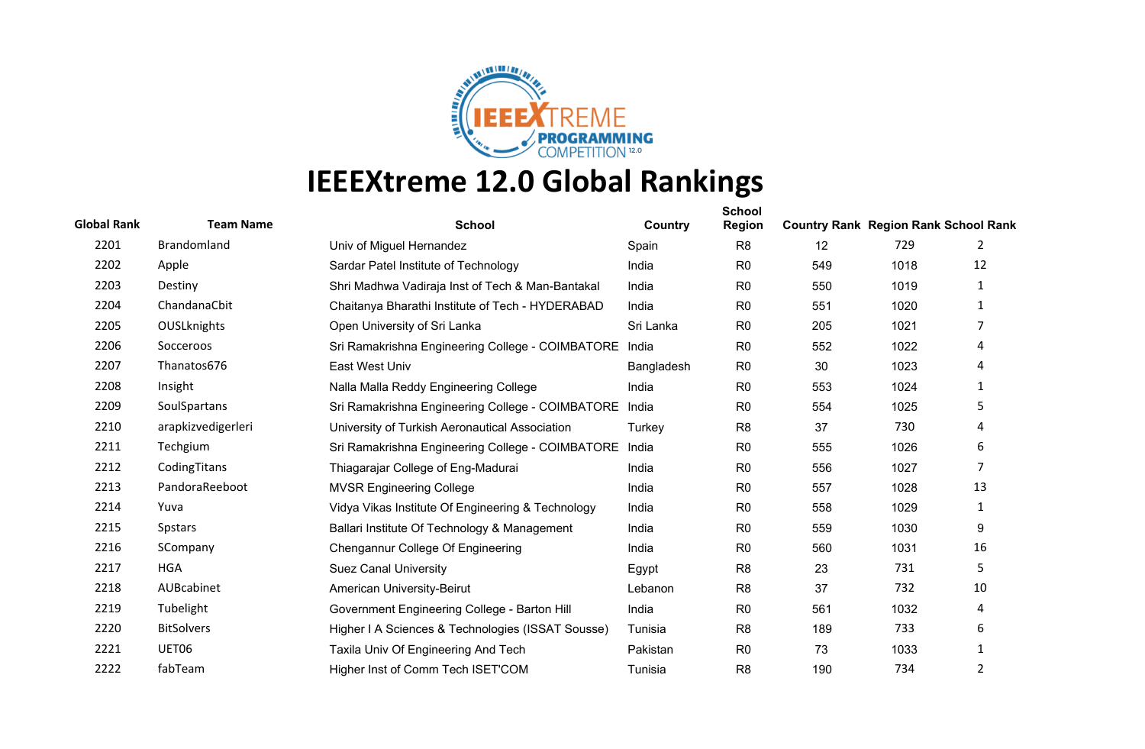

| <b>Global Rank</b> | <b>Team Name</b>   | <b>School</b>                                     | Country    | <b>School</b><br><b>Region</b> | <b>Country Rank Region Rank School Rank</b> |      |                |
|--------------------|--------------------|---------------------------------------------------|------------|--------------------------------|---------------------------------------------|------|----------------|
| 2201               | <b>Brandomland</b> | Univ of Miguel Hernandez                          | Spain      | R <sub>8</sub>                 | 12                                          | 729  | 2              |
| 2202               | Apple              | Sardar Patel Institute of Technology              | India      | R <sub>0</sub>                 | 549                                         | 1018 | 12             |
| 2203               | Destiny            | Shri Madhwa Vadiraja Inst of Tech & Man-Bantakal  | India      | R <sub>0</sub>                 | 550                                         | 1019 | 1              |
| 2204               | ChandanaCbit       | Chaitanya Bharathi Institute of Tech - HYDERABAD  | India      | R <sub>0</sub>                 | 551                                         | 1020 | $\mathbf{1}$   |
| 2205               | OUSLknights        | Open University of Sri Lanka                      | Sri Lanka  | R <sub>0</sub>                 | 205                                         | 1021 | 7              |
| 2206               | Socceroos          | Sri Ramakrishna Engineering College - COIMBATORE  | India      | R <sub>0</sub>                 | 552                                         | 1022 | 4              |
| 2207               | Thanatos676        | East West Univ                                    | Bangladesh | R <sub>0</sub>                 | 30                                          | 1023 | 4              |
| 2208               | Insight            | Nalla Malla Reddy Engineering College             | India      | R <sub>0</sub>                 | 553                                         | 1024 | 1              |
| 2209               | SoulSpartans       | Sri Ramakrishna Engineering College - COIMBATORE  | India      | R <sub>0</sub>                 | 554                                         | 1025 | 5              |
| 2210               | arapkizvedigerleri | University of Turkish Aeronautical Association    | Turkey     | R <sub>8</sub>                 | 37                                          | 730  | 4              |
| 2211               | Techgium           | Sri Ramakrishna Engineering College - COIMBATORE  | India      | R <sub>0</sub>                 | 555                                         | 1026 | 6              |
| 2212               | CodingTitans       | Thiagarajar College of Eng-Madurai                | India      | R <sub>0</sub>                 | 556                                         | 1027 | $\overline{7}$ |
| 2213               | PandoraReeboot     | <b>MVSR Engineering College</b>                   | India      | R <sub>0</sub>                 | 557                                         | 1028 | 13             |
| 2214               | Yuva               | Vidya Vikas Institute Of Engineering & Technology | India      | R <sub>0</sub>                 | 558                                         | 1029 | 1              |
| 2215               | <b>Spstars</b>     | Ballari Institute Of Technology & Management      | India      | R <sub>0</sub>                 | 559                                         | 1030 | 9              |
| 2216               | SCompany           | Chengannur College Of Engineering                 | India      | R <sub>0</sub>                 | 560                                         | 1031 | 16             |
| 2217               | <b>HGA</b>         | <b>Suez Canal University</b>                      | Egypt      | R <sub>8</sub>                 | 23                                          | 731  | 5.             |
| 2218               | AUBcabinet         | American University-Beirut                        | Lebanon    | R <sub>8</sub>                 | 37                                          | 732  | 10             |
| 2219               | Tubelight          | Government Engineering College - Barton Hill      | India      | R <sub>0</sub>                 | 561                                         | 1032 | 4              |
| 2220               | <b>BitSolvers</b>  | Higher I A Sciences & Technologies (ISSAT Sousse) | Tunisia    | R <sub>8</sub>                 | 189                                         | 733  | 6              |
| 2221               | UET06              | Taxila Univ Of Engineering And Tech               | Pakistan   | R <sub>0</sub>                 | 73                                          | 1033 | $\mathbf{1}$   |
| 2222               | fabTeam            | Higher Inst of Comm Tech ISET'COM                 | Tunisia    | R <sub>8</sub>                 | 190                                         | 734  | $\overline{2}$ |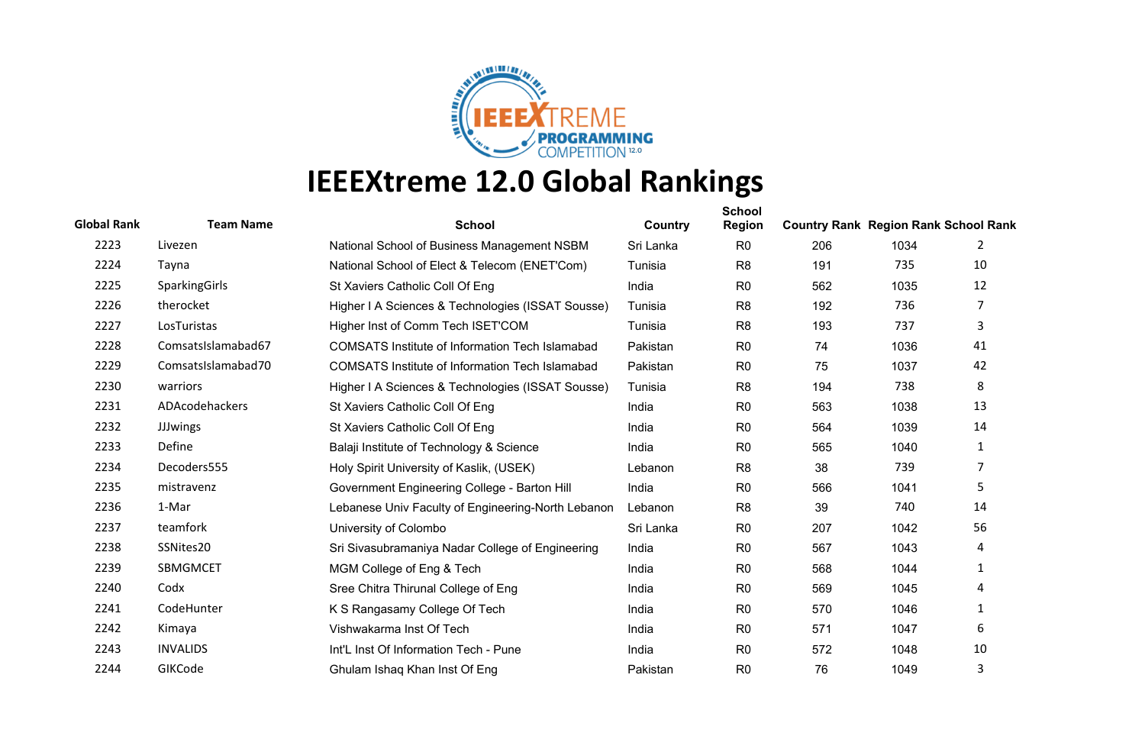

| <b>Global Rank</b> | <b>Team Name</b>   | <b>School</b>                                          | Country   | <b>School</b><br><b>Region</b> | <b>Country Rank Region Rank School Rank</b> |      |                |
|--------------------|--------------------|--------------------------------------------------------|-----------|--------------------------------|---------------------------------------------|------|----------------|
| 2223               | Livezen            | National School of Business Management NSBM            | Sri Lanka | R <sub>0</sub>                 | 206                                         | 1034 | 2              |
| 2224               | Tayna              | National School of Elect & Telecom (ENET'Com)          | Tunisia   | R <sub>8</sub>                 | 191                                         | 735  | 10             |
| 2225               | SparkingGirls      | St Xaviers Catholic Coll Of Eng                        | India     | R <sub>0</sub>                 | 562                                         | 1035 | 12             |
| 2226               | therocket          | Higher I A Sciences & Technologies (ISSAT Sousse)      | Tunisia   | R <sub>8</sub>                 | 192                                         | 736  | $\overline{7}$ |
| 2227               | LosTuristas        | Higher Inst of Comm Tech ISET'COM                      | Tunisia   | R <sub>8</sub>                 | 193                                         | 737  | 3              |
| 2228               | ComsatsIslamabad67 | <b>COMSATS Institute of Information Tech Islamabad</b> | Pakistan  | R <sub>0</sub>                 | 74                                          | 1036 | 41             |
| 2229               | ComsatsIslamabad70 | <b>COMSATS Institute of Information Tech Islamabad</b> | Pakistan  | R <sub>0</sub>                 | 75                                          | 1037 | 42             |
| 2230               | warriors           | Higher I A Sciences & Technologies (ISSAT Sousse)      | Tunisia   | R <sub>8</sub>                 | 194                                         | 738  | 8              |
| 2231               | ADAcodehackers     | St Xaviers Catholic Coll Of Eng                        | India     | R <sub>0</sub>                 | 563                                         | 1038 | 13             |
| 2232               | <b>JJJwings</b>    | St Xaviers Catholic Coll Of Eng                        | India     | R <sub>0</sub>                 | 564                                         | 1039 | 14             |
| 2233               | Define             | Balaji Institute of Technology & Science               | India     | R <sub>0</sub>                 | 565                                         | 1040 | 1              |
| 2234               | Decoders555        | Holy Spirit University of Kaslik, (USEK)               | Lebanon   | R <sub>8</sub>                 | 38                                          | 739  | 7              |
| 2235               | mistravenz         | Government Engineering College - Barton Hill           | India     | R <sub>0</sub>                 | 566                                         | 1041 | 5              |
| 2236               | 1-Mar              | Lebanese Univ Faculty of Engineering-North Lebanon     | Lebanon   | R <sub>8</sub>                 | 39                                          | 740  | 14             |
| 2237               | teamfork           | University of Colombo                                  | Sri Lanka | R <sub>0</sub>                 | 207                                         | 1042 | 56             |
| 2238               | SSNites20          | Sri Sivasubramaniya Nadar College of Engineering       | India     | R <sub>0</sub>                 | 567                                         | 1043 | 4              |
| 2239               | SBMGMCET           | MGM College of Eng & Tech                              | India     | R <sub>0</sub>                 | 568                                         | 1044 | 1              |
| 2240               | Codx               | Sree Chitra Thirunal College of Eng                    | India     | R <sub>0</sub>                 | 569                                         | 1045 | 4              |
| 2241               | CodeHunter         | K S Rangasamy College Of Tech                          | India     | R <sub>0</sub>                 | 570                                         | 1046 | $\mathbf{1}$   |
| 2242               | Kimaya             | Vishwakarma Inst Of Tech                               | India     | R <sub>0</sub>                 | 571                                         | 1047 | 6              |
| 2243               | <b>INVALIDS</b>    | Int'L Inst Of Information Tech - Pune                  | India     | R <sub>0</sub>                 | 572                                         | 1048 | 10             |
| 2244               | GIKCode            | Ghulam Ishaq Khan Inst Of Eng                          | Pakistan  | R <sub>0</sub>                 | 76                                          | 1049 | 3              |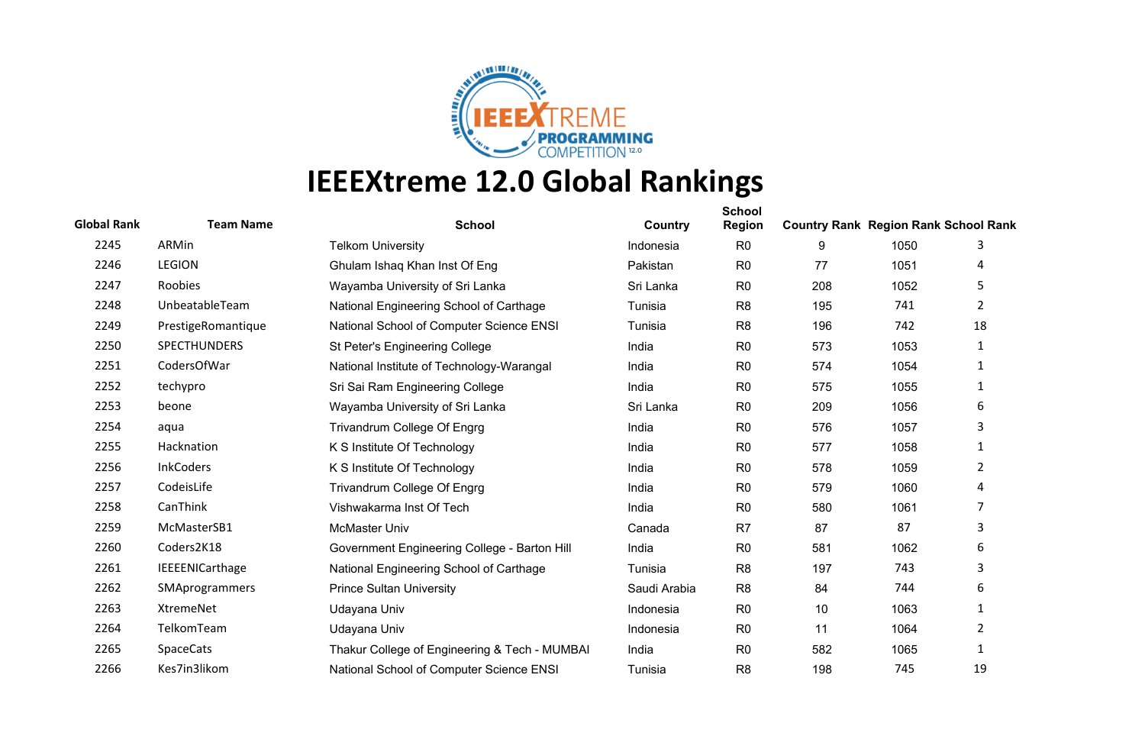

| <b>Global Rank</b> | <b>Team Name</b>    | <b>School</b>                                 | Country      | <b>School</b><br><b>Region</b> | <b>Country Rank Region Rank School Rank</b> |      |                       |
|--------------------|---------------------|-----------------------------------------------|--------------|--------------------------------|---------------------------------------------|------|-----------------------|
| 2245               | ARMin               | <b>Telkom University</b>                      | Indonesia    | R <sub>0</sub>                 | 9                                           | 1050 | 3                     |
| 2246               | <b>LEGION</b>       | Ghulam Ishaq Khan Inst Of Eng                 | Pakistan     | R <sub>0</sub>                 | 77                                          | 1051 | 4                     |
| 2247               | Roobies             | Wayamba University of Sri Lanka               | Sri Lanka    | R <sub>0</sub>                 | 208                                         | 1052 | 5                     |
| 2248               | UnbeatableTeam      | National Engineering School of Carthage       | Tunisia      | R <sub>8</sub>                 | 195                                         | 741  | $\mathbf{2}^{\prime}$ |
| 2249               | PrestigeRomantique  | National School of Computer Science ENSI      | Tunisia      | R <sub>8</sub>                 | 196                                         | 742  | 18                    |
| 2250               | <b>SPECTHUNDERS</b> | St Peter's Engineering College                | India        | R <sub>0</sub>                 | 573                                         | 1053 | 1                     |
| 2251               | CodersOfWar         | National Institute of Technology-Warangal     | India        | R <sub>0</sub>                 | 574                                         | 1054 | $\mathbf{1}$          |
| 2252               | techypro            | Sri Sai Ram Engineering College               | India        | R <sub>0</sub>                 | 575                                         | 1055 | 1                     |
| 2253               | beone               | Wayamba University of Sri Lanka               | Sri Lanka    | R <sub>0</sub>                 | 209                                         | 1056 | 6                     |
| 2254               | aqua                | Trivandrum College Of Engrg                   | India        | R <sub>0</sub>                 | 576                                         | 1057 | 3                     |
| 2255               | Hacknation          | K S Institute Of Technology                   | India        | R <sub>0</sub>                 | 577                                         | 1058 | 1                     |
| 2256               | <b>InkCoders</b>    | K S Institute Of Technology                   | India        | R <sub>0</sub>                 | 578                                         | 1059 | 2                     |
| 2257               | CodeisLife          | Trivandrum College Of Engrg                   | India        | R <sub>0</sub>                 | 579                                         | 1060 | 4                     |
| 2258               | CanThink            | Vishwakarma Inst Of Tech                      | India        | R <sub>0</sub>                 | 580                                         | 1061 | 7                     |
| 2259               | McMasterSB1         | McMaster Univ                                 | Canada       | R7                             | 87                                          | 87   | 3                     |
| 2260               | Coders2K18          | Government Engineering College - Barton Hill  | India        | R <sub>0</sub>                 | 581                                         | 1062 | 6                     |
| 2261               | IEEEENICarthage     | National Engineering School of Carthage       | Tunisia      | R <sub>8</sub>                 | 197                                         | 743  | 3                     |
| 2262               | SMAprogrammers      | <b>Prince Sultan University</b>               | Saudi Arabia | R <sub>8</sub>                 | 84                                          | 744  | 6                     |
| 2263               | XtremeNet           | Udayana Univ                                  | Indonesia    | R <sub>0</sub>                 | 10                                          | 1063 | $\mathbf{1}$          |
| 2264               | TelkomTeam          | Udayana Univ                                  | Indonesia    | R <sub>0</sub>                 | 11                                          | 1064 | 2                     |
| 2265               | <b>SpaceCats</b>    | Thakur College of Engineering & Tech - MUMBAI | India        | R <sub>0</sub>                 | 582                                         | 1065 | 1                     |
| 2266               | Kes7in3likom        | National School of Computer Science ENSI      | Tunisia      | R <sub>8</sub>                 | 198                                         | 745  | 19                    |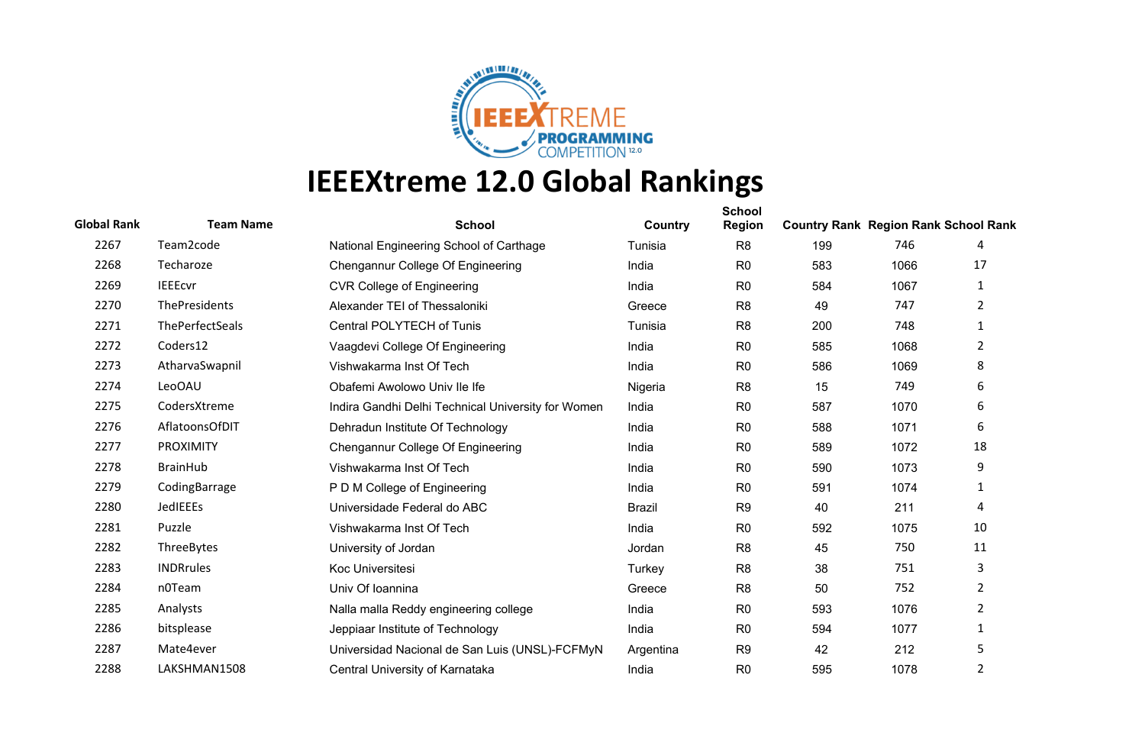

| <b>Global Rank</b> | <b>Team Name</b> | <b>School</b>                                      | Country       | <b>School</b><br><b>Region</b> | <b>Country Rank Region Rank School Rank</b> |      |                |
|--------------------|------------------|----------------------------------------------------|---------------|--------------------------------|---------------------------------------------|------|----------------|
| 2267               | Team2code        | National Engineering School of Carthage            | Tunisia       | R <sub>8</sub>                 | 199                                         | 746  | 4              |
| 2268               | Techaroze        | Chengannur College Of Engineering                  | India         | R <sub>0</sub>                 | 583                                         | 1066 | 17             |
| 2269               | <b>IEEEcvr</b>   | <b>CVR College of Engineering</b>                  | India         | R <sub>0</sub>                 | 584                                         | 1067 | 1              |
| 2270               | ThePresidents    | Alexander TEI of Thessaloniki                      | Greece        | R <sub>8</sub>                 | 49                                          | 747  | $\overline{2}$ |
| 2271               | ThePerfectSeals  | Central POLYTECH of Tunis                          | Tunisia       | R <sub>8</sub>                 | 200                                         | 748  | $\mathbf{1}$   |
| 2272               | Coders12         | Vaagdevi College Of Engineering                    | India         | R <sub>0</sub>                 | 585                                         | 1068 | 2              |
| 2273               | AtharvaSwapnil   | Vishwakarma Inst Of Tech                           | India         | R <sub>0</sub>                 | 586                                         | 1069 | 8              |
| 2274               | <b>LeoOAU</b>    | Obafemi Awolowo Univ Ile Ife                       | Nigeria       | R <sub>8</sub>                 | 15                                          | 749  | 6              |
| 2275               | CodersXtreme     | Indira Gandhi Delhi Technical University for Women | India         | R <sub>0</sub>                 | 587                                         | 1070 | 6              |
| 2276               | AflatoonsOfDIT   | Dehradun Institute Of Technology                   | India         | R <sub>0</sub>                 | 588                                         | 1071 | 6              |
| 2277               | <b>PROXIMITY</b> | Chengannur College Of Engineering                  | India         | R <sub>0</sub>                 | 589                                         | 1072 | 18             |
| 2278               | <b>BrainHub</b>  | Vishwakarma Inst Of Tech                           | India         | R <sub>0</sub>                 | 590                                         | 1073 | 9              |
| 2279               | CodingBarrage    | P D M College of Engineering                       | India         | R <sub>0</sub>                 | 591                                         | 1074 | 1              |
| 2280               | JedIEEEs         | Universidade Federal do ABC                        | <b>Brazil</b> | R <sub>9</sub>                 | 40                                          | 211  | 4              |
| 2281               | Puzzle           | Vishwakarma Inst Of Tech                           | India         | R <sub>0</sub>                 | 592                                         | 1075 | 10             |
| 2282               | ThreeBytes       | University of Jordan                               | Jordan        | R <sub>8</sub>                 | 45                                          | 750  | 11             |
| 2283               | <b>INDRrules</b> | Koc Universitesi                                   | Turkey        | R <sub>8</sub>                 | 38                                          | 751  | 3              |
| 2284               | n0Team           | Univ Of Ioannina                                   | Greece        | R <sub>8</sub>                 | 50                                          | 752  | $\overline{2}$ |
| 2285               | Analysts         | Nalla malla Reddy engineering college              | India         | R <sub>0</sub>                 | 593                                         | 1076 | $\overline{2}$ |
| 2286               | bitsplease       | Jeppiaar Institute of Technology                   | India         | R <sub>0</sub>                 | 594                                         | 1077 | 1              |
| 2287               | Mate4ever        | Universidad Nacional de San Luis (UNSL)-FCFMyN     | Argentina     | R <sub>9</sub>                 | 42                                          | 212  | 5              |
| 2288               | LAKSHMAN1508     | Central University of Karnataka                    | India         | R <sub>0</sub>                 | 595                                         | 1078 | $\overline{2}$ |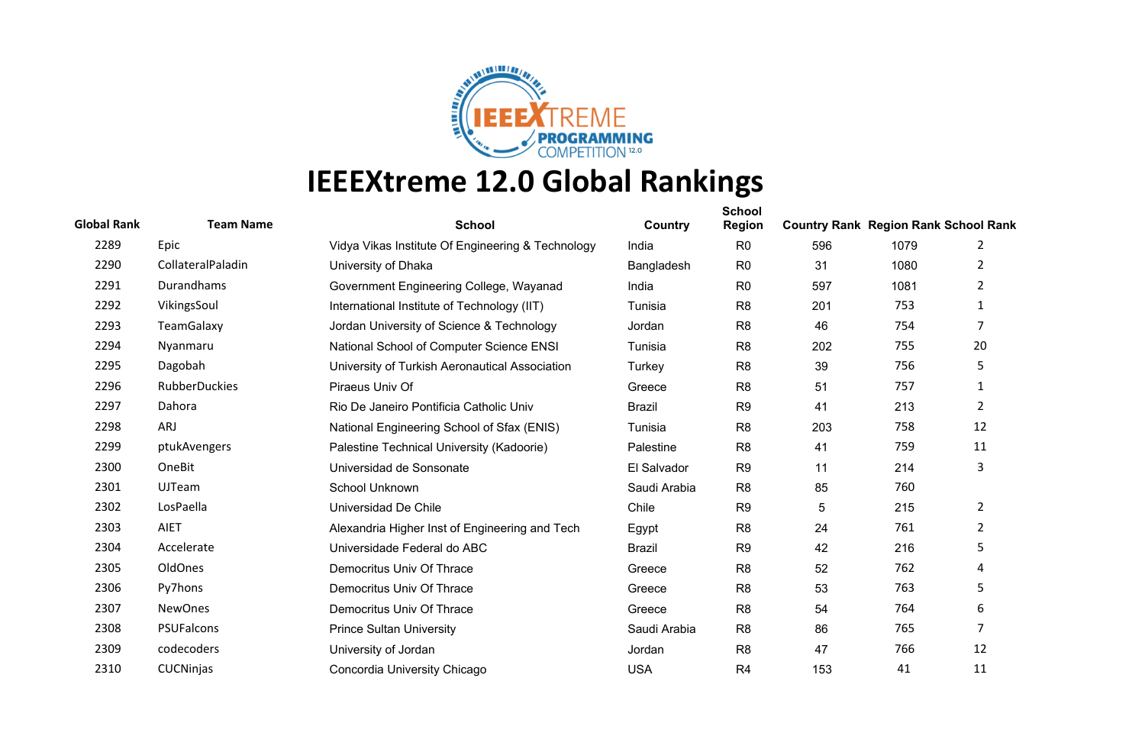

| <b>Global Rank</b> | <b>Team Name</b>     | <b>School</b>                                     | Country       | <b>School</b><br><b>Region</b> | <b>Country Rank Region Rank School Rank</b> |      |                |
|--------------------|----------------------|---------------------------------------------------|---------------|--------------------------------|---------------------------------------------|------|----------------|
| 2289               | Epic                 | Vidya Vikas Institute Of Engineering & Technology | India         | R <sub>0</sub>                 | 596                                         | 1079 | 2              |
| 2290               | CollateralPaladin    | University of Dhaka                               | Bangladesh    | R <sub>0</sub>                 | 31                                          | 1080 | 2              |
| 2291               | Durandhams           | Government Engineering College, Wayanad           | India         | R <sub>0</sub>                 | 597                                         | 1081 | 2              |
| 2292               | VikingsSoul          | International Institute of Technology (IIT)       | Tunisia       | R <sub>8</sub>                 | 201                                         | 753  | 1              |
| 2293               | <b>TeamGalaxy</b>    | Jordan University of Science & Technology         | Jordan        | R <sub>8</sub>                 | 46                                          | 754  | $\overline{7}$ |
| 2294               | Nyanmaru             | National School of Computer Science ENSI          | Tunisia       | R <sub>8</sub>                 | 202                                         | 755  | 20             |
| 2295               | Dagobah              | University of Turkish Aeronautical Association    | Turkey        | R <sub>8</sub>                 | 39                                          | 756  | 5              |
| 2296               | <b>RubberDuckies</b> | Piraeus Univ Of                                   | Greece        | R <sub>8</sub>                 | 51                                          | 757  | 1              |
| 2297               | Dahora               | Rio De Janeiro Pontificia Catholic Univ           | <b>Brazil</b> | R <sub>9</sub>                 | 41                                          | 213  | $\overline{2}$ |
| 2298               | ARJ                  | National Engineering School of Sfax (ENIS)        | Tunisia       | R <sub>8</sub>                 | 203                                         | 758  | 12             |
| 2299               | ptukAvengers         | Palestine Technical University (Kadoorie)         | Palestine     | R <sub>8</sub>                 | 41                                          | 759  | 11             |
| 2300               | OneBit               | Universidad de Sonsonate                          | El Salvador   | R <sub>9</sub>                 | 11                                          | 214  | 3              |
| 2301               | <b>UJTeam</b>        | School Unknown                                    | Saudi Arabia  | R <sub>8</sub>                 | 85                                          | 760  |                |
| 2302               | LosPaella            | Universidad De Chile                              | Chile         | R <sub>9</sub>                 | 5                                           | 215  | $\overline{2}$ |
| 2303               | <b>AIET</b>          | Alexandria Higher Inst of Engineering and Tech    | Egypt         | R <sub>8</sub>                 | 24                                          | 761  | $\overline{2}$ |
| 2304               | Accelerate           | Universidade Federal do ABC                       | <b>Brazil</b> | R <sub>9</sub>                 | 42                                          | 216  | 5              |
| 2305               | OldOnes              | Democritus Univ Of Thrace                         | Greece        | R <sub>8</sub>                 | 52                                          | 762  | 4              |
| 2306               | Py7hons              | Democritus Univ Of Thrace                         | Greece        | R <sub>8</sub>                 | 53                                          | 763  | 5              |
| 2307               | <b>NewOnes</b>       | Democritus Univ Of Thrace                         | Greece        | R <sub>8</sub>                 | 54                                          | 764  | 6              |
| 2308               | <b>PSUFalcons</b>    | <b>Prince Sultan University</b>                   | Saudi Arabia  | R <sub>8</sub>                 | 86                                          | 765  | 7              |
| 2309               | codecoders           | University of Jordan                              | Jordan        | R <sub>8</sub>                 | 47                                          | 766  | 12             |
| 2310               | CUCNinjas            | Concordia University Chicago                      | <b>USA</b>    | R <sub>4</sub>                 | 153                                         | 41   | 11             |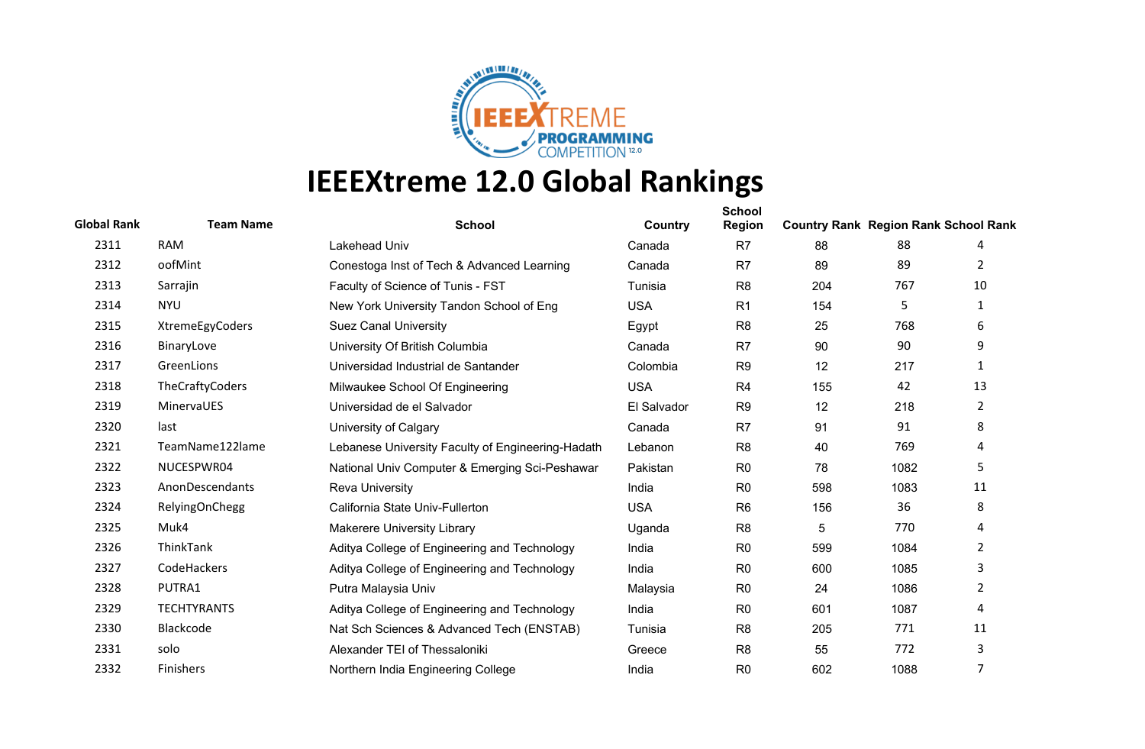

| <b>Global Rank</b> | <b>Team Name</b>      | <b>School</b>                                     | Country     | <b>School</b><br><b>Region</b> | <b>Country Rank Region Rank School Rank</b> |      |                |
|--------------------|-----------------------|---------------------------------------------------|-------------|--------------------------------|---------------------------------------------|------|----------------|
| 2311               | <b>RAM</b>            | Lakehead Univ                                     | Canada      | R7                             | 88                                          | 88   | 4              |
| 2312               | oofMint               | Conestoga Inst of Tech & Advanced Learning        | Canada      | R <sub>7</sub>                 | 89                                          | 89   | 2              |
| 2313               | Sarrajin              | Faculty of Science of Tunis - FST                 | Tunisia     | R <sub>8</sub>                 | 204                                         | 767  | 10             |
| 2314               | <b>NYU</b>            | New York University Tandon School of Eng          | <b>USA</b>  | R1                             | 154                                         | 5    | 1              |
| 2315               | XtremeEgyCoders       | <b>Suez Canal University</b>                      | Egypt       | R <sub>8</sub>                 | 25                                          | 768  | 6              |
| 2316               | BinaryLove            | University Of British Columbia                    | Canada      | R <sub>7</sub>                 | 90                                          | 90   | 9              |
| 2317               | GreenLions            | Universidad Industrial de Santander               | Colombia    | R <sub>9</sub>                 | 12                                          | 217  | 1              |
| 2318               | TheCraftyCoders       | Milwaukee School Of Engineering                   | <b>USA</b>  | R <sub>4</sub>                 | 155                                         | 42   | 13             |
| 2319               | MinervaUES            | Universidad de el Salvador                        | El Salvador | R <sub>9</sub>                 | 12                                          | 218  | $\overline{2}$ |
| 2320               | last                  | University of Calgary                             | Canada      | R <sub>7</sub>                 | 91                                          | 91   | 8              |
| 2321               | TeamName122lame       | Lebanese University Faculty of Engineering-Hadath | Lebanon     | R <sub>8</sub>                 | 40                                          | 769  | 4              |
| 2322               | NUCESPWR04            | National Univ Computer & Emerging Sci-Peshawar    | Pakistan    | R <sub>0</sub>                 | 78                                          | 1082 | 5              |
| 2323               | AnonDescendants       | <b>Reva University</b>                            | India       | R <sub>0</sub>                 | 598                                         | 1083 | 11             |
| 2324               | <b>RelyingOnChegg</b> | California State Univ-Fullerton                   | <b>USA</b>  | R <sub>6</sub>                 | 156                                         | 36   | 8              |
| 2325               | Muk4                  | <b>Makerere University Library</b>                | Uganda      | R <sub>8</sub>                 | 5                                           | 770  | 4              |
| 2326               | ThinkTank             | Aditya College of Engineering and Technology      | India       | R <sub>0</sub>                 | 599                                         | 1084 | $\overline{2}$ |
| 2327               | CodeHackers           | Aditya College of Engineering and Technology      | India       | R <sub>0</sub>                 | 600                                         | 1085 | 3              |
| 2328               | PUTRA1                | Putra Malaysia Univ                               | Malaysia    | R <sub>0</sub>                 | 24                                          | 1086 | $\overline{2}$ |
| 2329               | <b>TECHTYRANTS</b>    | Aditya College of Engineering and Technology      | India       | R <sub>0</sub>                 | 601                                         | 1087 | 4              |
| 2330               | Blackcode             | Nat Sch Sciences & Advanced Tech (ENSTAB)         | Tunisia     | R <sub>8</sub>                 | 205                                         | 771  | 11             |
| 2331               | solo                  | Alexander TEI of Thessaloniki                     | Greece      | R <sub>8</sub>                 | 55                                          | 772  | 3              |
| 2332               | Finishers             | Northern India Engineering College                | India       | R <sub>0</sub>                 | 602                                         | 1088 | 7              |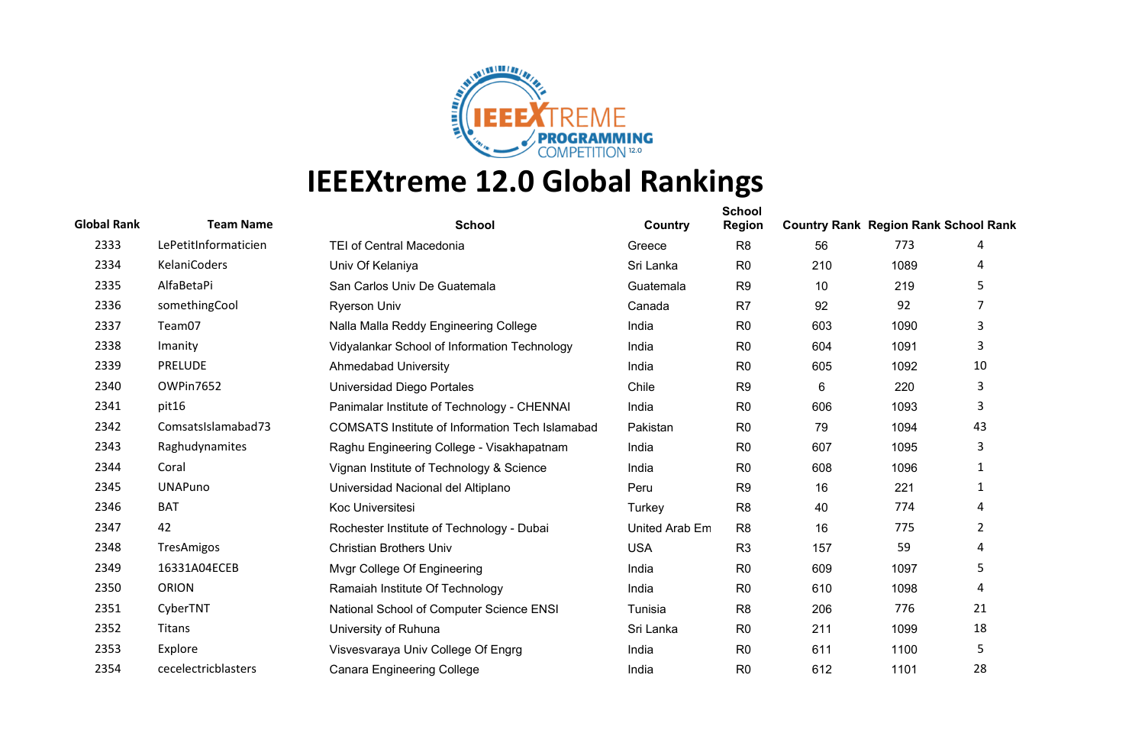

| <b>Global Rank</b> | <b>Team Name</b>     | <b>School</b>                                          | Country        | <b>School</b><br><b>Region</b> | <b>Country Rank Region Rank School Rank</b> |      |                |
|--------------------|----------------------|--------------------------------------------------------|----------------|--------------------------------|---------------------------------------------|------|----------------|
| 2333               | LePetitInformaticien | <b>TEI of Central Macedonia</b>                        | Greece         | R <sub>8</sub>                 | 56                                          | 773  | 4              |
| 2334               | KelaniCoders         | Univ Of Kelaniya                                       | Sri Lanka      | R <sub>0</sub>                 | 210                                         | 1089 | 4              |
| 2335               | AlfaBetaPi           | San Carlos Univ De Guatemala                           | Guatemala      | R <sub>9</sub>                 | 10                                          | 219  | 5              |
| 2336               | somethingCool        | <b>Ryerson Univ</b>                                    | Canada         | R <sub>7</sub>                 | 92                                          | 92   | 7              |
| 2337               | Team07               | Nalla Malla Reddy Engineering College                  | India          | R <sub>0</sub>                 | 603                                         | 1090 | 3              |
| 2338               | Imanity              | Vidyalankar School of Information Technology           | India          | R <sub>0</sub>                 | 604                                         | 1091 | 3              |
| 2339               | <b>PRELUDE</b>       | <b>Ahmedabad University</b>                            | India          | R <sub>0</sub>                 | 605                                         | 1092 | 10             |
| 2340               | OWPin7652            | Universidad Diego Portales                             | Chile          | R <sub>9</sub>                 | 6                                           | 220  | 3              |
| 2341               | pit16                | Panimalar Institute of Technology - CHENNAI            | India          | R <sub>0</sub>                 | 606                                         | 1093 | 3              |
| 2342               | ComsatsIslamabad73   | <b>COMSATS Institute of Information Tech Islamabad</b> | Pakistan       | R <sub>0</sub>                 | 79                                          | 1094 | 43             |
| 2343               | Raghudynamites       | Raghu Engineering College - Visakhapatnam              | India          | R <sub>0</sub>                 | 607                                         | 1095 | 3              |
| 2344               | Coral                | Vignan Institute of Technology & Science               | India          | R <sub>0</sub>                 | 608                                         | 1096 | 1              |
| 2345               | <b>UNAPuno</b>       | Universidad Nacional del Altiplano                     | Peru           | R <sub>9</sub>                 | 16                                          | 221  | 1              |
| 2346               | <b>BAT</b>           | Koc Universitesi                                       | Turkey         | R <sub>8</sub>                 | 40                                          | 774  | 4              |
| 2347               | 42                   | Rochester Institute of Technology - Dubai              | United Arab Em | R <sub>8</sub>                 | 16                                          | 775  | $\overline{2}$ |
| 2348               | <b>TresAmigos</b>    | <b>Christian Brothers Univ</b>                         | <b>USA</b>     | R <sub>3</sub>                 | 157                                         | 59   | 4              |
| 2349               | 16331A04ECEB         | Mvgr College Of Engineering                            | India          | R <sub>0</sub>                 | 609                                         | 1097 | 5              |
| 2350               | ORION                | Ramaiah Institute Of Technology                        | India          | R <sub>0</sub>                 | 610                                         | 1098 | 4              |
| 2351               | CyberTNT             | National School of Computer Science ENSI               | Tunisia        | R <sub>8</sub>                 | 206                                         | 776  | 21             |
| 2352               | Titans               | University of Ruhuna                                   | Sri Lanka      | R <sub>0</sub>                 | 211                                         | 1099 | 18             |
| 2353               | Explore              | Visvesvaraya Univ College Of Engrg                     | India          | R <sub>0</sub>                 | 611                                         | 1100 | 5              |
| 2354               | cecelectricblasters  | <b>Canara Engineering College</b>                      | India          | R <sub>0</sub>                 | 612                                         | 1101 | 28             |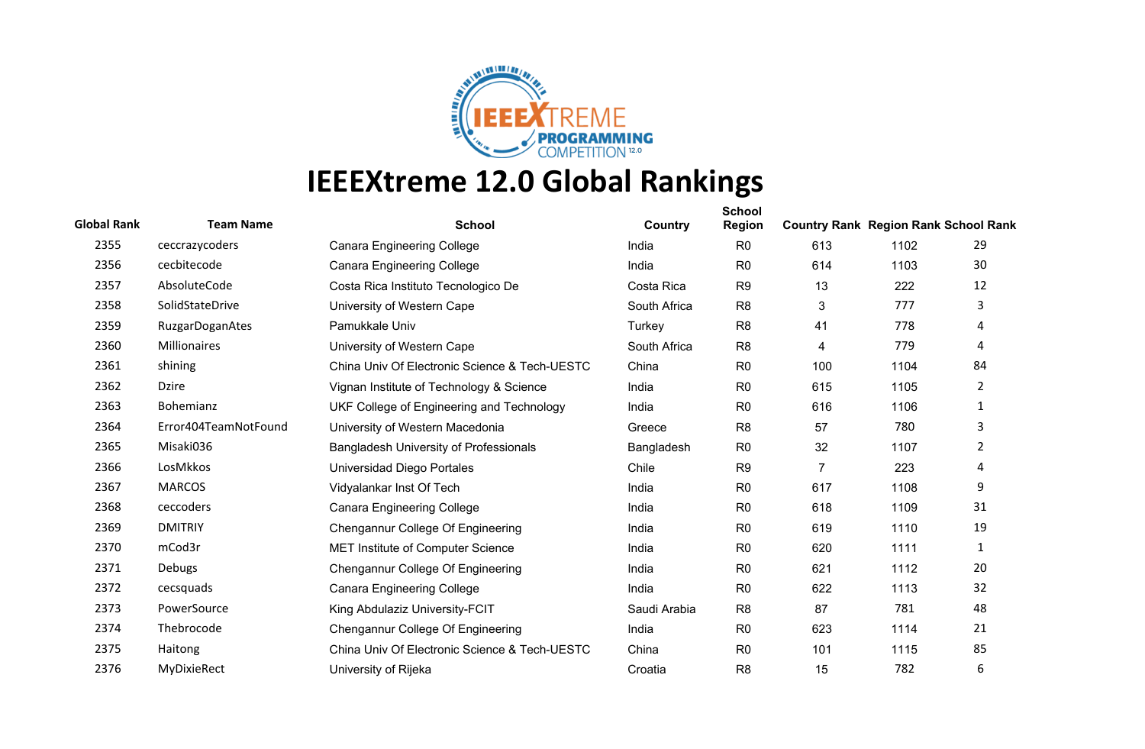

| <b>Global Rank</b> | <b>Team Name</b>       | <b>School</b>                                 | Country      | <b>School</b><br><b>Region</b> | <b>Country Rank Region Rank School Rank</b> |      |                |
|--------------------|------------------------|-----------------------------------------------|--------------|--------------------------------|---------------------------------------------|------|----------------|
| 2355               | ceccrazycoders         | <b>Canara Engineering College</b>             | India        | R <sub>0</sub>                 | 613                                         | 1102 | 29             |
| 2356               | cecbitecode            | <b>Canara Engineering College</b>             | India        | R <sub>0</sub>                 | 614                                         | 1103 | 30             |
| 2357               | AbsoluteCode           | Costa Rica Instituto Tecnologico De           | Costa Rica   | R <sub>9</sub>                 | 13                                          | 222  | 12             |
| 2358               | SolidStateDrive        | University of Western Cape                    | South Africa | R <sub>8</sub>                 | 3                                           | 777  | 3              |
| 2359               | <b>RuzgarDoganAtes</b> | Pamukkale Univ                                | Turkey       | R <sub>8</sub>                 | 41                                          | 778  | 4              |
| 2360               | <b>Millionaires</b>    | University of Western Cape                    | South Africa | R <sub>8</sub>                 | 4                                           | 779  | 4              |
| 2361               | shining                | China Univ Of Electronic Science & Tech-UESTC | China        | R <sub>0</sub>                 | 100                                         | 1104 | 84             |
| 2362               | <b>Dzire</b>           | Vignan Institute of Technology & Science      | India        | R <sub>0</sub>                 | 615                                         | 1105 | $\overline{2}$ |
| 2363               | Bohemianz              | UKF College of Engineering and Technology     | India        | R <sub>0</sub>                 | 616                                         | 1106 | $\mathbf{1}$   |
| 2364               | Error404TeamNotFound   | University of Western Macedonia               | Greece       | R <sub>8</sub>                 | 57                                          | 780  | 3              |
| 2365               | Misaki036              | <b>Bangladesh University of Professionals</b> | Bangladesh   | R <sub>0</sub>                 | 32                                          | 1107 | $\overline{2}$ |
| 2366               | LosMkkos               | Universidad Diego Portales                    | Chile        | R <sub>9</sub>                 | $\overline{7}$                              | 223  | 4              |
| 2367               | <b>MARCOS</b>          | Vidyalankar Inst Of Tech                      | India        | R <sub>0</sub>                 | 617                                         | 1108 | 9              |
| 2368               | ceccoders              | <b>Canara Engineering College</b>             | India        | R <sub>0</sub>                 | 618                                         | 1109 | 31             |
| 2369               | <b>DMITRIY</b>         | Chengannur College Of Engineering             | India        | R <sub>0</sub>                 | 619                                         | 1110 | 19             |
| 2370               | mCod3r                 | MET Institute of Computer Science             | India        | R <sub>0</sub>                 | 620                                         | 1111 | $\mathbf{1}$   |
| 2371               | Debugs                 | Chengannur College Of Engineering             | India        | R <sub>0</sub>                 | 621                                         | 1112 | 20             |
| 2372               | cecsquads              | <b>Canara Engineering College</b>             | India        | R <sub>0</sub>                 | 622                                         | 1113 | 32             |
| 2373               | PowerSource            | King Abdulaziz University-FCIT                | Saudi Arabia | R <sub>8</sub>                 | 87                                          | 781  | 48             |
| 2374               | Thebrocode             | Chengannur College Of Engineering             | India        | R <sub>0</sub>                 | 623                                         | 1114 | 21             |
| 2375               | Haitong                | China Univ Of Electronic Science & Tech-UESTC | China        | R <sub>0</sub>                 | 101                                         | 1115 | 85             |
| 2376               | <b>MyDixieRect</b>     | University of Rijeka                          | Croatia      | R <sub>8</sub>                 | 15                                          | 782  | 6              |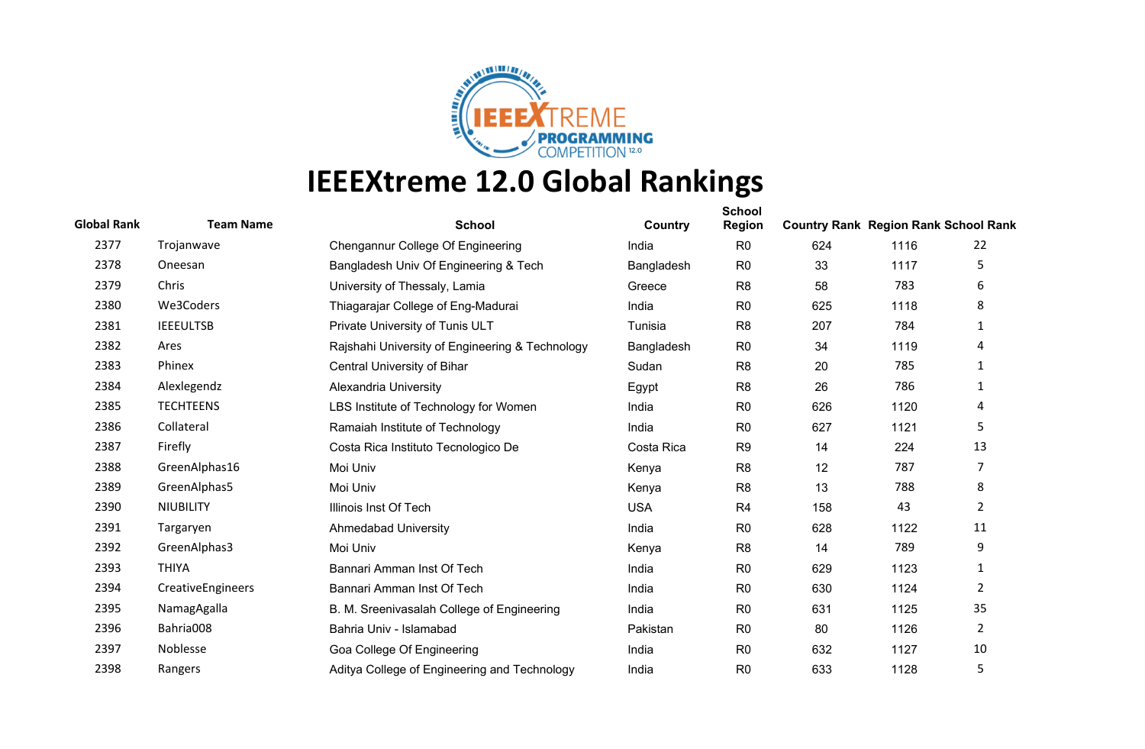

| <b>Global Rank</b> | <b>Team Name</b>  | <b>School</b>                                   | Country    | <b>School</b><br><b>Region</b> | <b>Country Rank Region Rank School Rank</b> |      |                |
|--------------------|-------------------|-------------------------------------------------|------------|--------------------------------|---------------------------------------------|------|----------------|
| 2377               | Trojanwave        | Chengannur College Of Engineering               | India      | R <sub>0</sub>                 | 624                                         | 1116 | 22             |
| 2378               | Oneesan           | Bangladesh Univ Of Engineering & Tech           | Bangladesh | R <sub>0</sub>                 | 33                                          | 1117 | 5              |
| 2379               | Chris             | University of Thessaly, Lamia                   | Greece     | R <sub>8</sub>                 | 58                                          | 783  | 6              |
| 2380               | We3Coders         | Thiagarajar College of Eng-Madurai              | India      | R <sub>0</sub>                 | 625                                         | 1118 | 8              |
| 2381               | <b>IEEEULTSB</b>  | Private University of Tunis ULT                 | Tunisia    | R <sub>8</sub>                 | 207                                         | 784  | $\mathbf{1}$   |
| 2382               | Ares              | Rajshahi University of Engineering & Technology | Bangladesh | R <sub>0</sub>                 | 34                                          | 1119 | 4              |
| 2383               | Phinex            | Central University of Bihar                     | Sudan      | R <sub>8</sub>                 | 20                                          | 785  | 1              |
| 2384               | Alexlegendz       | Alexandria University                           | Egypt      | R <sub>8</sub>                 | 26                                          | 786  | 1              |
| 2385               | <b>TECHTEENS</b>  | LBS Institute of Technology for Women           | India      | R <sub>0</sub>                 | 626                                         | 1120 | 4              |
| 2386               | Collateral        | Ramaiah Institute of Technology                 | India      | R <sub>0</sub>                 | 627                                         | 1121 | 5              |
| 2387               | Firefly           | Costa Rica Instituto Tecnologico De             | Costa Rica | R <sub>9</sub>                 | 14                                          | 224  | 13             |
| 2388               | GreenAlphas16     | Moi Univ                                        | Kenya      | R <sub>8</sub>                 | 12                                          | 787  | 7              |
| 2389               | GreenAlphas5      | Moi Univ                                        | Kenya      | R <sub>8</sub>                 | 13                                          | 788  | 8              |
| 2390               | <b>NIUBILITY</b>  | Illinois Inst Of Tech                           | <b>USA</b> | R <sub>4</sub>                 | 158                                         | 43   | $\overline{2}$ |
| 2391               | Targaryen         | <b>Ahmedabad University</b>                     | India      | R <sub>0</sub>                 | 628                                         | 1122 | 11             |
| 2392               | GreenAlphas3      | Moi Univ                                        | Kenya      | R <sub>8</sub>                 | 14                                          | 789  | 9              |
| 2393               | <b>THIYA</b>      | Bannari Amman Inst Of Tech                      | India      | R <sub>0</sub>                 | 629                                         | 1123 | 1              |
| 2394               | CreativeEngineers | Bannari Amman Inst Of Tech                      | India      | R <sub>0</sub>                 | 630                                         | 1124 | $\overline{2}$ |
| 2395               | NamagAgalla       | B. M. Sreenivasalah College of Engineering      | India      | R <sub>0</sub>                 | 631                                         | 1125 | 35             |
| 2396               | Bahria008         | Bahria Univ - Islamabad                         | Pakistan   | R <sub>0</sub>                 | 80                                          | 1126 | $\overline{2}$ |
| 2397               | Noblesse          | Goa College Of Engineering                      | India      | R <sub>0</sub>                 | 632                                         | 1127 | 10             |
| 2398               | Rangers           | Aditya College of Engineering and Technology    | India      | R <sub>0</sub>                 | 633                                         | 1128 | 5              |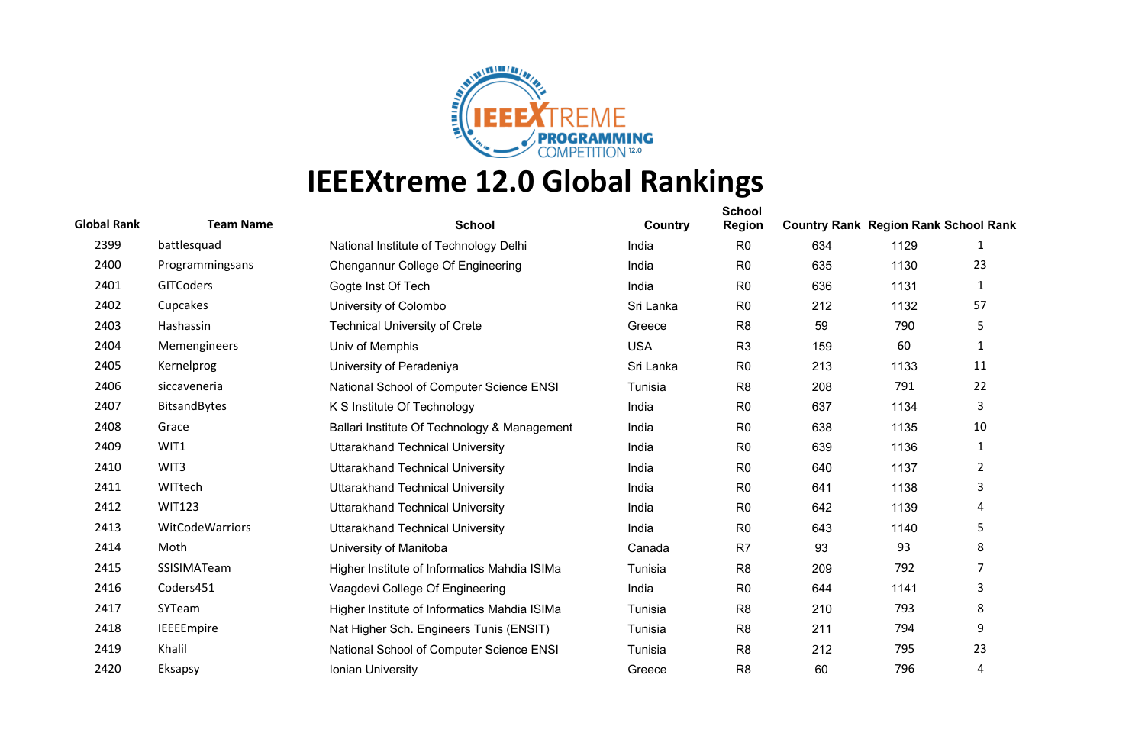

| <b>Global Rank</b> | <b>Team Name</b>    | <b>School</b>                                | Country    | <b>School</b><br><b>Region</b> | <b>Country Rank Region Rank School Rank</b> |      |                |
|--------------------|---------------------|----------------------------------------------|------------|--------------------------------|---------------------------------------------|------|----------------|
| 2399               | battlesquad         | National Institute of Technology Delhi       | India      | R <sub>0</sub>                 | 634                                         | 1129 | 1              |
| 2400               | Programmingsans     | Chengannur College Of Engineering            | India      | R <sub>0</sub>                 | 635                                         | 1130 | 23             |
| 2401               | <b>GITCoders</b>    | Gogte Inst Of Tech                           | India      | R <sub>0</sub>                 | 636                                         | 1131 | 1              |
| 2402               | Cupcakes            | University of Colombo                        | Sri Lanka  | R <sub>0</sub>                 | 212                                         | 1132 | 57             |
| 2403               | Hashassin           | <b>Technical University of Crete</b>         | Greece     | R <sub>8</sub>                 | 59                                          | 790  | 5              |
| 2404               | Memengineers        | Univ of Memphis                              | <b>USA</b> | R <sub>3</sub>                 | 159                                         | 60   | 1              |
| 2405               | Kernelprog          | University of Peradeniya                     | Sri Lanka  | R <sub>0</sub>                 | 213                                         | 1133 | 11             |
| 2406               | siccaveneria        | National School of Computer Science ENSI     | Tunisia    | R <sub>8</sub>                 | 208                                         | 791  | 22             |
| 2407               | <b>BitsandBytes</b> | K S Institute Of Technology                  | India      | R <sub>0</sub>                 | 637                                         | 1134 | 3              |
| 2408               | Grace               | Ballari Institute Of Technology & Management | India      | R <sub>0</sub>                 | 638                                         | 1135 | 10             |
| 2409               | WIT1                | <b>Uttarakhand Technical University</b>      | India      | R <sub>0</sub>                 | 639                                         | 1136 | 1              |
| 2410               | WIT3                | <b>Uttarakhand Technical University</b>      | India      | R <sub>0</sub>                 | 640                                         | 1137 | $\overline{2}$ |
| 2411               | WITtech             | <b>Uttarakhand Technical University</b>      | India      | R <sub>0</sub>                 | 641                                         | 1138 | 3              |
| 2412               | <b>WIT123</b>       | <b>Uttarakhand Technical University</b>      | India      | R <sub>0</sub>                 | 642                                         | 1139 | 4              |
| 2413               | WitCodeWarriors     | <b>Uttarakhand Technical University</b>      | India      | R <sub>0</sub>                 | 643                                         | 1140 | 5              |
| 2414               | Moth                | University of Manitoba                       | Canada     | R <sub>7</sub>                 | 93                                          | 93   | 8              |
| 2415               | SSISIMATeam         | Higher Institute of Informatics Mahdia ISIMa | Tunisia    | R <sub>8</sub>                 | 209                                         | 792  | 7              |
| 2416               | Coders451           | Vaagdevi College Of Engineering              | India      | R <sub>0</sub>                 | 644                                         | 1141 | 3              |
| 2417               | SYTeam              | Higher Institute of Informatics Mahdia ISIMa | Tunisia    | R <sub>8</sub>                 | 210                                         | 793  | 8              |
| 2418               | IEEEEmpire          | Nat Higher Sch. Engineers Tunis (ENSIT)      | Tunisia    | R <sub>8</sub>                 | 211                                         | 794  | 9              |
| 2419               | Khalil              | National School of Computer Science ENSI     | Tunisia    | R <sub>8</sub>                 | 212                                         | 795  | 23             |
| 2420               | Eksapsy             | Ionian University                            | Greece     | R <sub>8</sub>                 | 60                                          | 796  | 4              |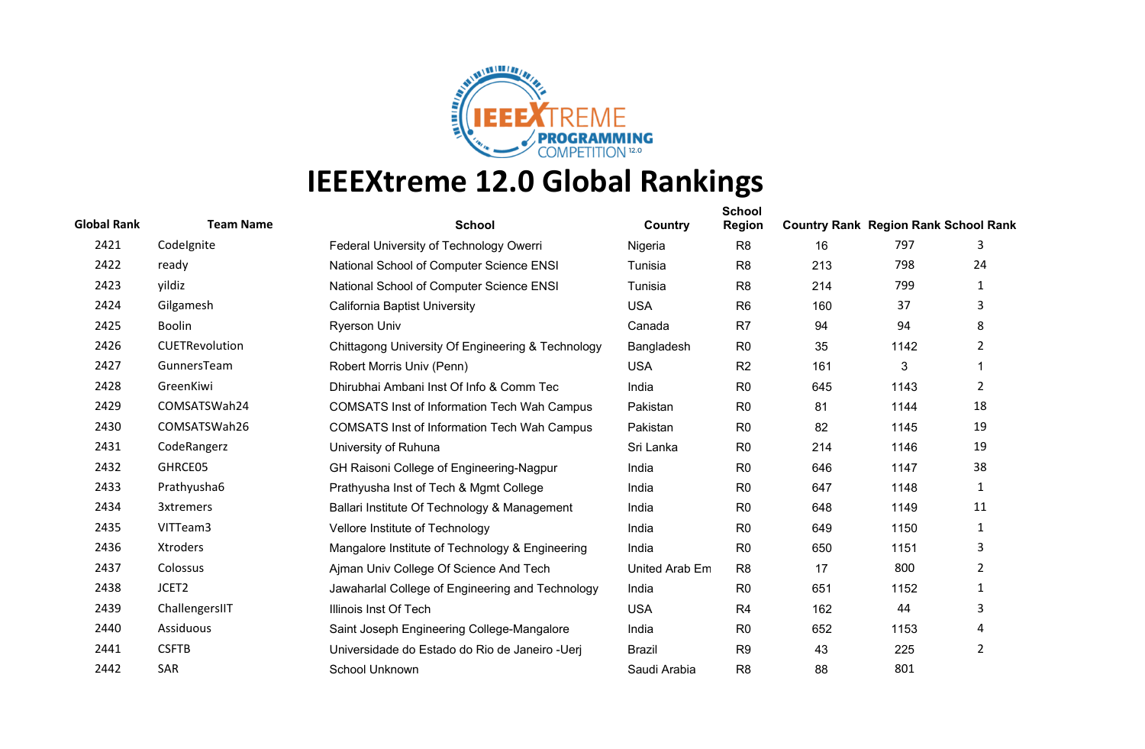

| <b>Global Rank</b> | <b>Team Name</b> | <b>School</b>                                      | Country        | <b>School</b><br><b>Region</b> | <b>Country Rank Region Rank School Rank</b> |      |                |
|--------------------|------------------|----------------------------------------------------|----------------|--------------------------------|---------------------------------------------|------|----------------|
| 2421               | Codelgnite       | Federal University of Technology Owerri            | Nigeria        | R <sub>8</sub>                 | 16                                          | 797  | 3              |
| 2422               | ready            | National School of Computer Science ENSI           | Tunisia        | R <sub>8</sub>                 | 213                                         | 798  | 24             |
| 2423               | yildiz           | National School of Computer Science ENSI           | Tunisia        | R <sub>8</sub>                 | 214                                         | 799  | 1              |
| 2424               | Gilgamesh        | California Baptist University                      | <b>USA</b>     | R <sub>6</sub>                 | 160                                         | 37   | 3              |
| 2425               | <b>Boolin</b>    | <b>Ryerson Univ</b>                                | Canada         | R <sub>7</sub>                 | 94                                          | 94   | 8              |
| 2426               | CUETRevolution   | Chittagong University Of Engineering & Technology  | Bangladesh     | R <sub>0</sub>                 | 35                                          | 1142 | 2              |
| 2427               | GunnersTeam      | Robert Morris Univ (Penn)                          | <b>USA</b>     | R <sub>2</sub>                 | 161                                         | 3    |                |
| 2428               | GreenKiwi        | Dhirubhai Ambani Inst Of Info & Comm Tec           | India          | R <sub>0</sub>                 | 645                                         | 1143 | $\overline{2}$ |
| 2429               | COMSATSWah24     | <b>COMSATS Inst of Information Tech Wah Campus</b> | Pakistan       | R <sub>0</sub>                 | 81                                          | 1144 | 18             |
| 2430               | COMSATSWah26     | <b>COMSATS Inst of Information Tech Wah Campus</b> | Pakistan       | R <sub>0</sub>                 | 82                                          | 1145 | 19             |
| 2431               | CodeRangerz      | University of Ruhuna                               | Sri Lanka      | R <sub>0</sub>                 | 214                                         | 1146 | 19             |
| 2432               | GHRCE05          | GH Raisoni College of Engineering-Nagpur           | India          | R <sub>0</sub>                 | 646                                         | 1147 | 38             |
| 2433               | Prathyusha6      | Prathyusha Inst of Tech & Mgmt College             | India          | R <sub>0</sub>                 | 647                                         | 1148 | 1              |
| 2434               | 3xtremers        | Ballari Institute Of Technology & Management       | India          | R <sub>0</sub>                 | 648                                         | 1149 | 11             |
| 2435               | VITTeam3         | Vellore Institute of Technology                    | India          | R <sub>0</sub>                 | 649                                         | 1150 | $\mathbf{1}$   |
| 2436               | Xtroders         | Mangalore Institute of Technology & Engineering    | India          | R <sub>0</sub>                 | 650                                         | 1151 | 3              |
| 2437               | Colossus         | Ajman Univ College Of Science And Tech             | United Arab Em | R <sub>8</sub>                 | 17                                          | 800  | $\overline{2}$ |
| 2438               | JCET2            | Jawaharlal College of Engineering and Technology   | India          | R <sub>0</sub>                 | 651                                         | 1152 | 1              |
| 2439               | ChallengersIIT   | Illinois Inst Of Tech                              | <b>USA</b>     | R <sub>4</sub>                 | 162                                         | 44   | 3              |
| 2440               | Assiduous        | Saint Joseph Engineering College-Mangalore         | India          | R <sub>0</sub>                 | 652                                         | 1153 | 4              |
| 2441               | <b>CSFTB</b>     | Universidade do Estado do Rio de Janeiro - Ueri    | <b>Brazil</b>  | R <sub>9</sub>                 | 43                                          | 225  | $\overline{2}$ |
| 2442               | SAR              | School Unknown                                     | Saudi Arabia   | R <sub>8</sub>                 | 88                                          | 801  |                |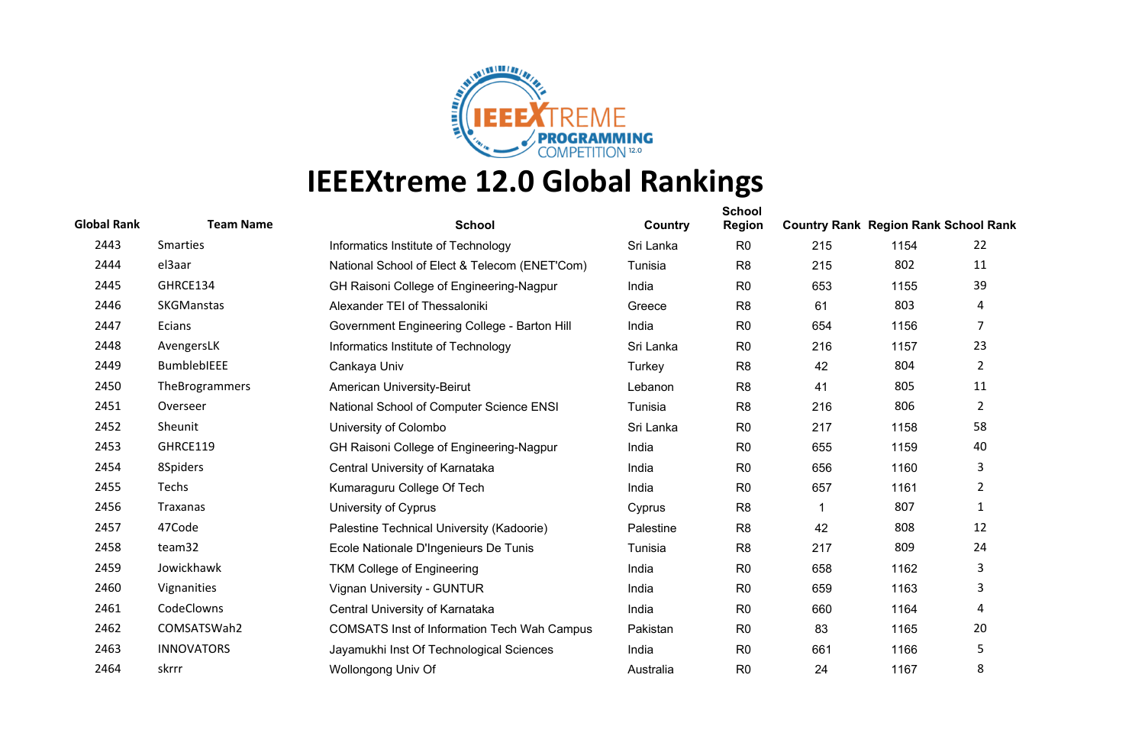

| <b>Global Rank</b> | <b>Team Name</b>   | <b>School</b>                                      | Country   | <b>School</b><br><b>Region</b> | <b>Country Rank Region Rank School Rank</b> |      |                |
|--------------------|--------------------|----------------------------------------------------|-----------|--------------------------------|---------------------------------------------|------|----------------|
| 2443               | Smarties           | Informatics Institute of Technology                | Sri Lanka | R <sub>0</sub>                 | 215                                         | 1154 | 22             |
| 2444               | el3aar             | National School of Elect & Telecom (ENET'Com)      | Tunisia   | R <sub>8</sub>                 | 215                                         | 802  | 11             |
| 2445               | GHRCE134           | GH Raisoni College of Engineering-Nagpur           | India     | R <sub>0</sub>                 | 653                                         | 1155 | 39             |
| 2446               | <b>SKGManstas</b>  | Alexander TEI of Thessaloniki                      | Greece    | R <sub>8</sub>                 | 61                                          | 803  | 4              |
| 2447               | Ecians             | Government Engineering College - Barton Hill       | India     | R <sub>0</sub>                 | 654                                         | 1156 | $\overline{7}$ |
| 2448               | AvengersLK         | Informatics Institute of Technology                | Sri Lanka | R <sub>0</sub>                 | 216                                         | 1157 | 23             |
| 2449               | <b>BumblebIEEE</b> | Cankaya Univ                                       | Turkey    | R <sub>8</sub>                 | 42                                          | 804  | $\overline{2}$ |
| 2450               | TheBrogrammers     | American University-Beirut                         | Lebanon   | R <sub>8</sub>                 | 41                                          | 805  | 11             |
| 2451               | Overseer           | National School of Computer Science ENSI           | Tunisia   | R <sub>8</sub>                 | 216                                         | 806  | $\overline{2}$ |
| 2452               | Sheunit            | University of Colombo                              | Sri Lanka | R <sub>0</sub>                 | 217                                         | 1158 | 58             |
| 2453               | GHRCE119           | GH Raisoni College of Engineering-Nagpur           | India     | R <sub>0</sub>                 | 655                                         | 1159 | 40             |
| 2454               | 8Spiders           | Central University of Karnataka                    | India     | R <sub>0</sub>                 | 656                                         | 1160 | 3              |
| 2455               | Techs              | Kumaraguru College Of Tech                         | India     | R <sub>0</sub>                 | 657                                         | 1161 | $\overline{2}$ |
| 2456               | Traxanas           | University of Cyprus                               | Cyprus    | R <sub>8</sub>                 | 1                                           | 807  | 1              |
| 2457               | 47Code             | Palestine Technical University (Kadoorie)          | Palestine | R <sub>8</sub>                 | 42                                          | 808  | 12             |
| 2458               | team32             | Ecole Nationale D'Ingenieurs De Tunis              | Tunisia   | R <sub>8</sub>                 | 217                                         | 809  | 24             |
| 2459               | Jowickhawk         | <b>TKM College of Engineering</b>                  | India     | R <sub>0</sub>                 | 658                                         | 1162 | 3              |
| 2460               | Vignanities        | Vignan University - GUNTUR                         | India     | R <sub>0</sub>                 | 659                                         | 1163 | 3              |
| 2461               | CodeClowns         | Central University of Karnataka                    | India     | R <sub>0</sub>                 | 660                                         | 1164 | 4              |
| 2462               | COMSATSWah2        | <b>COMSATS Inst of Information Tech Wah Campus</b> | Pakistan  | R <sub>0</sub>                 | 83                                          | 1165 | 20             |
| 2463               | <b>INNOVATORS</b>  | Jayamukhi Inst Of Technological Sciences           | India     | R <sub>0</sub>                 | 661                                         | 1166 | 5              |
| 2464               | skrrr              | Wollongong Univ Of                                 | Australia | R <sub>0</sub>                 | 24                                          | 1167 | 8              |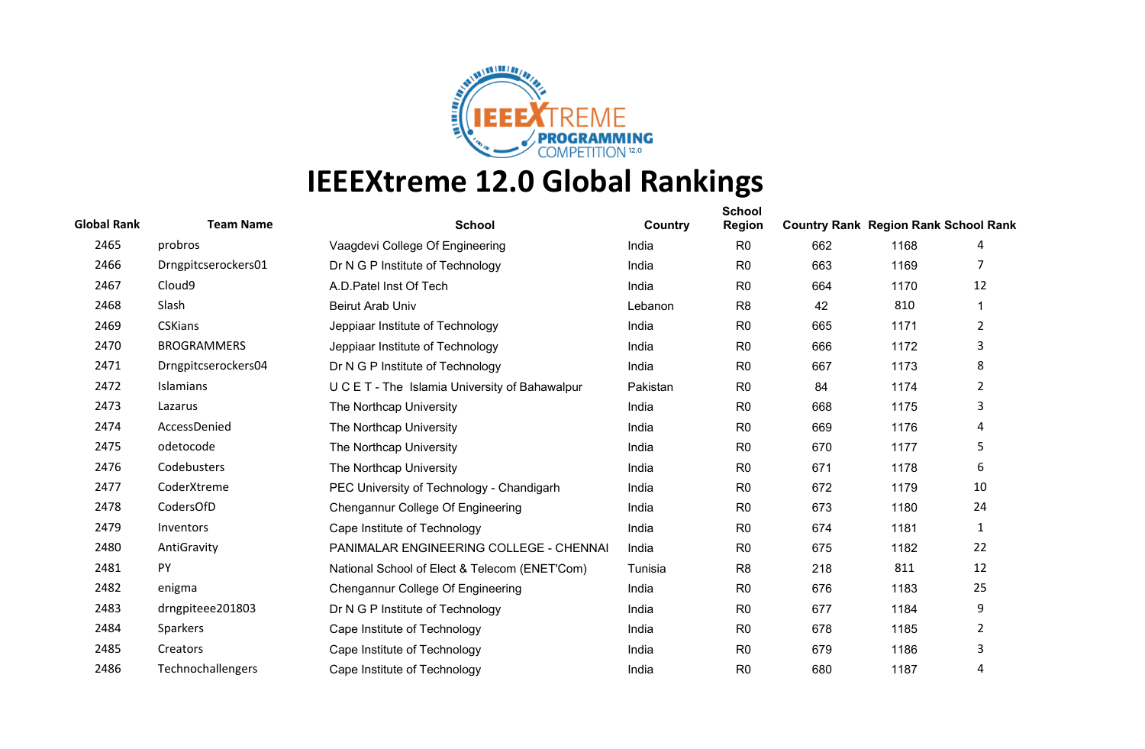

| <b>Global Rank</b> | <b>Team Name</b>    | <b>School</b>                                  | Country  | <b>School</b><br><b>Region</b> | <b>Country Rank Region Rank School Rank</b> |      |                |
|--------------------|---------------------|------------------------------------------------|----------|--------------------------------|---------------------------------------------|------|----------------|
| 2465               | probros             | Vaagdevi College Of Engineering                | India    | R <sub>0</sub>                 | 662                                         | 1168 | 4              |
| 2466               | Drngpitcserockers01 | Dr N G P Institute of Technology               | India    | R <sub>0</sub>                 | 663                                         | 1169 |                |
| 2467               | Cloud <sub>9</sub>  | A.D. Patel Inst Of Tech                        | India    | R <sub>0</sub>                 | 664                                         | 1170 | 12             |
| 2468               | Slash               | <b>Beirut Arab Univ</b>                        | Lebanon  | R <sub>8</sub>                 | 42                                          | 810  |                |
| 2469               | <b>CSKians</b>      | Jeppiaar Institute of Technology               | India    | R <sub>0</sub>                 | 665                                         | 1171 | 2              |
| 2470               | <b>BROGRAMMERS</b>  | Jeppiaar Institute of Technology               | India    | R <sub>0</sub>                 | 666                                         | 1172 | 3              |
| 2471               | Drngpitcserockers04 | Dr N G P Institute of Technology               | India    | R <sub>0</sub>                 | 667                                         | 1173 | 8              |
| 2472               | <b>Islamians</b>    | U C E T - The Islamia University of Bahawalpur | Pakistan | R <sub>0</sub>                 | 84                                          | 1174 | $\overline{2}$ |
| 2473               | Lazarus             | The Northcap University                        | India    | R <sub>0</sub>                 | 668                                         | 1175 | 3              |
| 2474               | AccessDenied        | The Northcap University                        | India    | R <sub>0</sub>                 | 669                                         | 1176 | 4              |
| 2475               | odetocode           | The Northcap University                        | India    | R <sub>0</sub>                 | 670                                         | 1177 | 5              |
| 2476               | Codebusters         | The Northcap University                        | India    | R <sub>0</sub>                 | 671                                         | 1178 | 6              |
| 2477               | CoderXtreme         | PEC University of Technology - Chandigarh      | India    | R <sub>0</sub>                 | 672                                         | 1179 | 10             |
| 2478               | CodersOfD           | Chengannur College Of Engineering              | India    | R <sub>0</sub>                 | 673                                         | 1180 | 24             |
| 2479               | Inventors           | Cape Institute of Technology                   | India    | R <sub>0</sub>                 | 674                                         | 1181 | 1              |
| 2480               | AntiGravity         | PANIMALAR ENGINEERING COLLEGE - CHENNAI        | India    | R <sub>0</sub>                 | 675                                         | 1182 | 22             |
| 2481               | PY                  | National School of Elect & Telecom (ENET'Com)  | Tunisia  | R <sub>8</sub>                 | 218                                         | 811  | 12             |
| 2482               | enigma              | Chengannur College Of Engineering              | India    | R <sub>0</sub>                 | 676                                         | 1183 | 25             |
| 2483               | drngpiteee201803    | Dr N G P Institute of Technology               | India    | R <sub>0</sub>                 | 677                                         | 1184 | 9              |
| 2484               | Sparkers            | Cape Institute of Technology                   | India    | R <sub>0</sub>                 | 678                                         | 1185 | 2              |
| 2485               | Creators            | Cape Institute of Technology                   | India    | R <sub>0</sub>                 | 679                                         | 1186 | 3              |
| 2486               | Technochallengers   | Cape Institute of Technology                   | India    | R <sub>0</sub>                 | 680                                         | 1187 | 4              |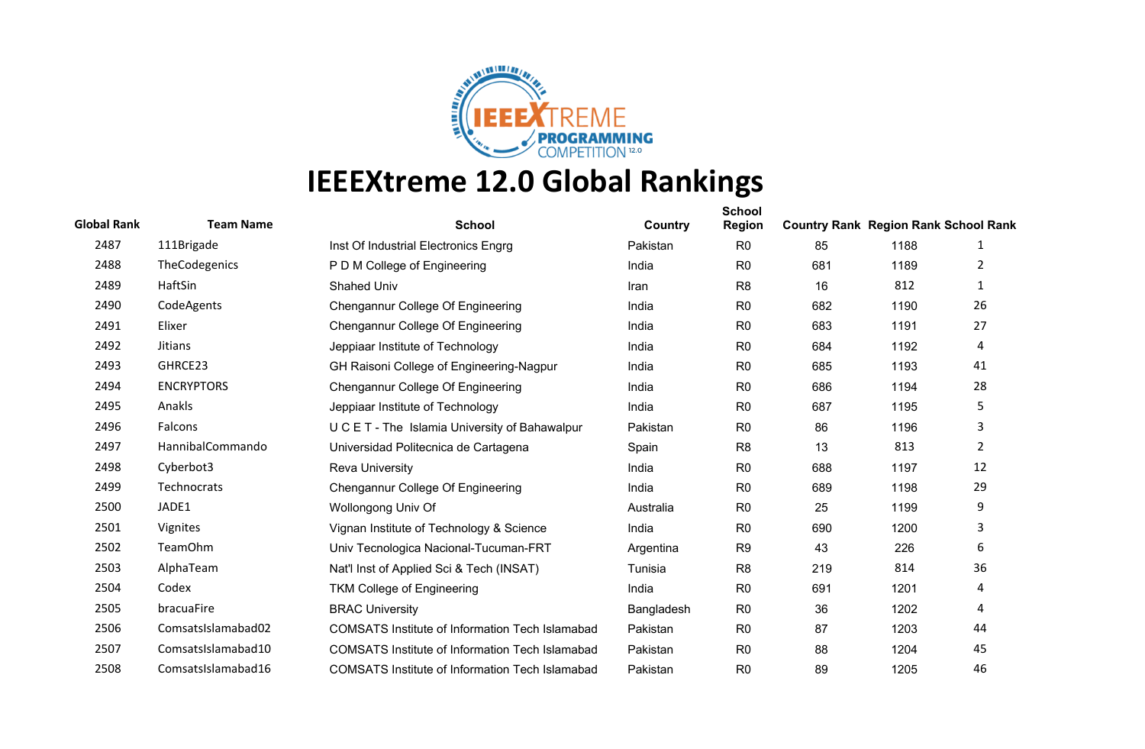

| <b>Global Rank</b> | <b>Team Name</b>   | <b>School</b>                                          | Country    | <b>School</b><br><b>Region</b> | <b>Country Rank Region Rank School Rank</b> |      |                |
|--------------------|--------------------|--------------------------------------------------------|------------|--------------------------------|---------------------------------------------|------|----------------|
| 2487               | 111Brigade         | Inst Of Industrial Electronics Engrg                   | Pakistan   | R <sub>0</sub>                 | 85                                          | 1188 | 1              |
| 2488               | TheCodegenics      | P D M College of Engineering                           | India      | R <sub>0</sub>                 | 681                                         | 1189 | 2              |
| 2489               | HaftSin            | <b>Shahed Univ</b>                                     | Iran       | R <sub>8</sub>                 | 16                                          | 812  | 1              |
| 2490               | CodeAgents         | Chengannur College Of Engineering                      | India      | R <sub>0</sub>                 | 682                                         | 1190 | 26             |
| 2491               | Elixer             | Chengannur College Of Engineering                      | India      | R <sub>0</sub>                 | 683                                         | 1191 | 27             |
| 2492               | <b>Jitians</b>     | Jeppiaar Institute of Technology                       | India      | R <sub>0</sub>                 | 684                                         | 1192 | 4              |
| 2493               | GHRCE23            | GH Raisoni College of Engineering-Nagpur               | India      | R <sub>0</sub>                 | 685                                         | 1193 | 41             |
| 2494               | <b>ENCRYPTORS</b>  | Chengannur College Of Engineering                      | India      | R <sub>0</sub>                 | 686                                         | 1194 | 28             |
| 2495               | Anakls             | Jeppiaar Institute of Technology                       | India      | R <sub>0</sub>                 | 687                                         | 1195 | 5              |
| 2496               | Falcons            | U C E T - The Islamia University of Bahawalpur         | Pakistan   | R <sub>0</sub>                 | 86                                          | 1196 | 3              |
| 2497               | HannibalCommando   | Universidad Politecnica de Cartagena                   | Spain      | R <sub>8</sub>                 | 13                                          | 813  | $\overline{2}$ |
| 2498               | Cyberbot3          | <b>Reva University</b>                                 | India      | R <sub>0</sub>                 | 688                                         | 1197 | 12             |
| 2499               | <b>Technocrats</b> | Chengannur College Of Engineering                      | India      | R <sub>0</sub>                 | 689                                         | 1198 | 29             |
| 2500               | JADE1              | Wollongong Univ Of                                     | Australia  | R <sub>0</sub>                 | 25                                          | 1199 | 9              |
| 2501               | Vignites           | Vignan Institute of Technology & Science               | India      | R <sub>0</sub>                 | 690                                         | 1200 | 3              |
| 2502               | <b>TeamOhm</b>     | Univ Tecnologica Nacional-Tucuman-FRT                  | Argentina  | R <sub>9</sub>                 | 43                                          | 226  | 6              |
| 2503               | AlphaTeam          | Nat'l Inst of Applied Sci & Tech (INSAT)               | Tunisia    | R <sub>8</sub>                 | 219                                         | 814  | 36             |
| 2504               | Codex              | <b>TKM College of Engineering</b>                      | India      | R <sub>0</sub>                 | 691                                         | 1201 | 4              |
| 2505               | bracuaFire         | <b>BRAC University</b>                                 | Bangladesh | R <sub>0</sub>                 | 36                                          | 1202 | 4              |
| 2506               | ComsatsIslamabad02 | <b>COMSATS Institute of Information Tech Islamabad</b> | Pakistan   | R <sub>0</sub>                 | 87                                          | 1203 | 44             |
| 2507               | ComsatsIslamabad10 | <b>COMSATS Institute of Information Tech Islamabad</b> | Pakistan   | R <sub>0</sub>                 | 88                                          | 1204 | 45             |
| 2508               | ComsatsIslamabad16 | <b>COMSATS Institute of Information Tech Islamabad</b> | Pakistan   | R <sub>0</sub>                 | 89                                          | 1205 | 46             |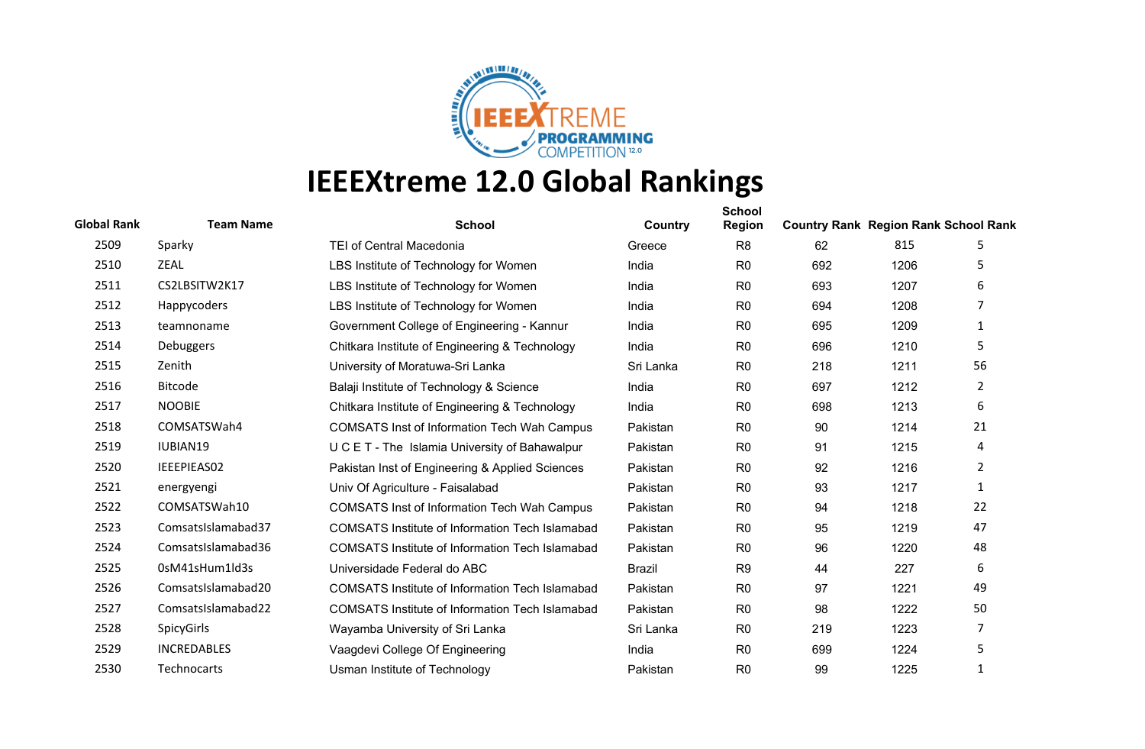

| <b>Global Rank</b> | <b>Team Name</b>   | <b>School</b>                                          | Country       | <b>School</b><br><b>Region</b> | <b>Country Rank Region Rank School Rank</b> |      |                |
|--------------------|--------------------|--------------------------------------------------------|---------------|--------------------------------|---------------------------------------------|------|----------------|
| 2509               | Sparky             | <b>TEI of Central Macedonia</b>                        | Greece        | R <sub>8</sub>                 | 62                                          | 815  | 5              |
| 2510               | <b>ZEAL</b>        | LBS Institute of Technology for Women                  | India         | R <sub>0</sub>                 | 692                                         | 1206 | 5              |
| 2511               | CS2LBSITW2K17      | LBS Institute of Technology for Women                  | India         | R <sub>0</sub>                 | 693                                         | 1207 | 6              |
| 2512               | Happycoders        | LBS Institute of Technology for Women                  | India         | R <sub>0</sub>                 | 694                                         | 1208 | 7              |
| 2513               | teamnoname         | Government College of Engineering - Kannur             | India         | R <sub>0</sub>                 | 695                                         | 1209 | 1              |
| 2514               | Debuggers          | Chitkara Institute of Engineering & Technology         | India         | R <sub>0</sub>                 | 696                                         | 1210 | 5              |
| 2515               | Zenith             | University of Moratuwa-Sri Lanka                       | Sri Lanka     | R <sub>0</sub>                 | 218                                         | 1211 | 56             |
| 2516               | <b>Bitcode</b>     | Balaji Institute of Technology & Science               | India         | R <sub>0</sub>                 | 697                                         | 1212 | $\overline{2}$ |
| 2517               | <b>NOOBIE</b>      | Chitkara Institute of Engineering & Technology         | India         | R <sub>0</sub>                 | 698                                         | 1213 | 6              |
| 2518               | COMSATSWah4        | <b>COMSATS Inst of Information Tech Wah Campus</b>     | Pakistan      | R <sub>0</sub>                 | 90                                          | 1214 | 21             |
| 2519               | IUBIAN19           | U C E T - The Islamia University of Bahawalpur         | Pakistan      | R <sub>0</sub>                 | 91                                          | 1215 | 4              |
| 2520               | IEEEPIEAS02        | Pakistan Inst of Engineering & Applied Sciences        | Pakistan      | R <sub>0</sub>                 | 92                                          | 1216 | $\overline{2}$ |
| 2521               | energyengi         | Univ Of Agriculture - Faisalabad                       | Pakistan      | R <sub>0</sub>                 | 93                                          | 1217 | 1              |
| 2522               | COMSATSWah10       | <b>COMSATS Inst of Information Tech Wah Campus</b>     | Pakistan      | R <sub>0</sub>                 | 94                                          | 1218 | 22             |
| 2523               | ComsatsIslamabad37 | <b>COMSATS Institute of Information Tech Islamabad</b> | Pakistan      | R <sub>0</sub>                 | 95                                          | 1219 | 47             |
| 2524               | ComsatsIslamabad36 | <b>COMSATS Institute of Information Tech Islamabad</b> | Pakistan      | R <sub>0</sub>                 | 96                                          | 1220 | 48             |
| 2525               | 0sM41sHum1ld3s     | Universidade Federal do ABC                            | <b>Brazil</b> | R <sub>9</sub>                 | 44                                          | 227  | 6              |
| 2526               | ComsatsIslamabad20 | <b>COMSATS Institute of Information Tech Islamabad</b> | Pakistan      | R <sub>0</sub>                 | 97                                          | 1221 | 49             |
| 2527               | ComsatsIslamabad22 | <b>COMSATS Institute of Information Tech Islamabad</b> | Pakistan      | R <sub>0</sub>                 | 98                                          | 1222 | 50             |
| 2528               | SpicyGirls         | Wayamba University of Sri Lanka                        | Sri Lanka     | R <sub>0</sub>                 | 219                                         | 1223 | $\overline{7}$ |
| 2529               | <b>INCREDABLES</b> | Vaagdevi College Of Engineering                        | India         | R <sub>0</sub>                 | 699                                         | 1224 | 5              |
| 2530               | <b>Technocarts</b> | Usman Institute of Technology                          | Pakistan      | R <sub>0</sub>                 | 99                                          | 1225 | 1              |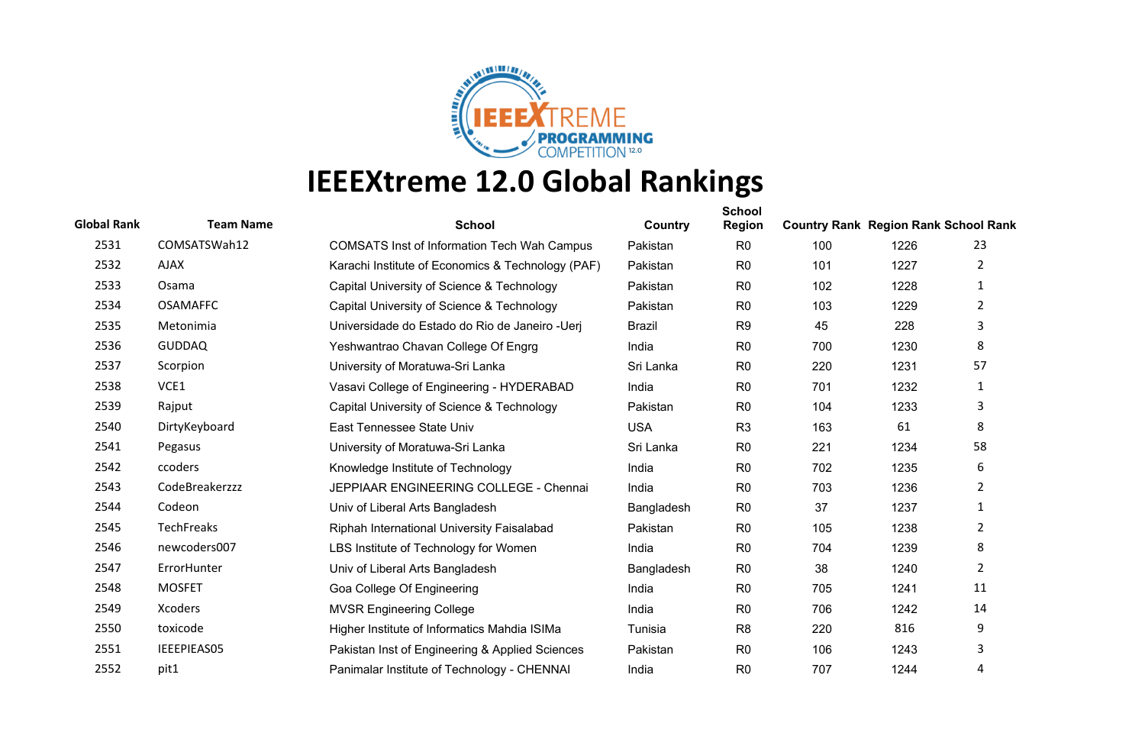

| <b>Global Rank</b> | <b>Team Name</b>  | <b>School</b>                                      | Country       | <b>School</b><br>Region | <b>Country Rank Region Rank School Rank</b> |      |                       |
|--------------------|-------------------|----------------------------------------------------|---------------|-------------------------|---------------------------------------------|------|-----------------------|
| 2531               | COMSATSWah12      | <b>COMSATS Inst of Information Tech Wah Campus</b> | Pakistan      | R <sub>0</sub>          | 100                                         | 1226 | 23                    |
| 2532               | <b>AJAX</b>       | Karachi Institute of Economics & Technology (PAF)  | Pakistan      | R <sub>0</sub>          | 101                                         | 1227 | $\overline{2}$        |
| 2533               | Osama             | Capital University of Science & Technology         | Pakistan      | R <sub>0</sub>          | 102                                         | 1228 | $\mathbf{1}$          |
| 2534               | <b>OSAMAFFC</b>   | Capital University of Science & Technology         | Pakistan      | R <sub>0</sub>          | 103                                         | 1229 | $\overline{2}$        |
| 2535               | Metonimia         | Universidade do Estado do Rio de Janeiro - Uerj    | <b>Brazil</b> | R <sub>9</sub>          | 45                                          | 228  | 3                     |
| 2536               | <b>GUDDAQ</b>     | Yeshwantrao Chavan College Of Engrg                | India         | R <sub>0</sub>          | 700                                         | 1230 | 8                     |
| 2537               | Scorpion          | University of Moratuwa-Sri Lanka                   | Sri Lanka     | R <sub>0</sub>          | 220                                         | 1231 | 57                    |
| 2538               | VCE1              | Vasavi College of Engineering - HYDERABAD          | India         | R <sub>0</sub>          | 701                                         | 1232 | 1                     |
| 2539               | Rajput            | Capital University of Science & Technology         | Pakistan      | R <sub>0</sub>          | 104                                         | 1233 | 3                     |
| 2540               | DirtyKeyboard     | East Tennessee State Univ                          | <b>USA</b>    | R <sub>3</sub>          | 163                                         | 61   | 8                     |
| 2541               | Pegasus           | University of Moratuwa-Sri Lanka                   | Sri Lanka     | R <sub>0</sub>          | 221                                         | 1234 | 58                    |
| 2542               | ccoders           | Knowledge Institute of Technology                  | India         | R <sub>0</sub>          | 702                                         | 1235 | 6                     |
| 2543               | CodeBreakerzzz    | JEPPIAAR ENGINEERING COLLEGE - Chennai             | India         | R <sub>0</sub>          | 703                                         | 1236 | $\mathbf{2}^{\prime}$ |
| 2544               | Codeon            | Univ of Liberal Arts Bangladesh                    | Bangladesh    | R <sub>0</sub>          | 37                                          | 1237 | $\mathbf{1}$          |
| 2545               | <b>TechFreaks</b> | Riphah International University Faisalabad         | Pakistan      | R <sub>0</sub>          | 105                                         | 1238 | $\overline{2}$        |
| 2546               | newcoders007      | LBS Institute of Technology for Women              | India         | R <sub>0</sub>          | 704                                         | 1239 | 8                     |
| 2547               | ErrorHunter       | Univ of Liberal Arts Bangladesh                    | Bangladesh    | R <sub>0</sub>          | 38                                          | 1240 | $\overline{2}$        |
| 2548               | <b>MOSFET</b>     | Goa College Of Engineering                         | India         | R <sub>0</sub>          | 705                                         | 1241 | 11                    |
| 2549               | Xcoders           | <b>MVSR Engineering College</b>                    | India         | R <sub>0</sub>          | 706                                         | 1242 | 14                    |
| 2550               | toxicode          | Higher Institute of Informatics Mahdia ISIMa       | Tunisia       | R <sub>8</sub>          | 220                                         | 816  | 9                     |
| 2551               | IEEEPIEAS05       | Pakistan Inst of Engineering & Applied Sciences    | Pakistan      | R <sub>0</sub>          | 106                                         | 1243 | 3                     |
| 2552               | pit1              | Panimalar Institute of Technology - CHENNAI        | India         | R <sub>0</sub>          | 707                                         | 1244 | 4                     |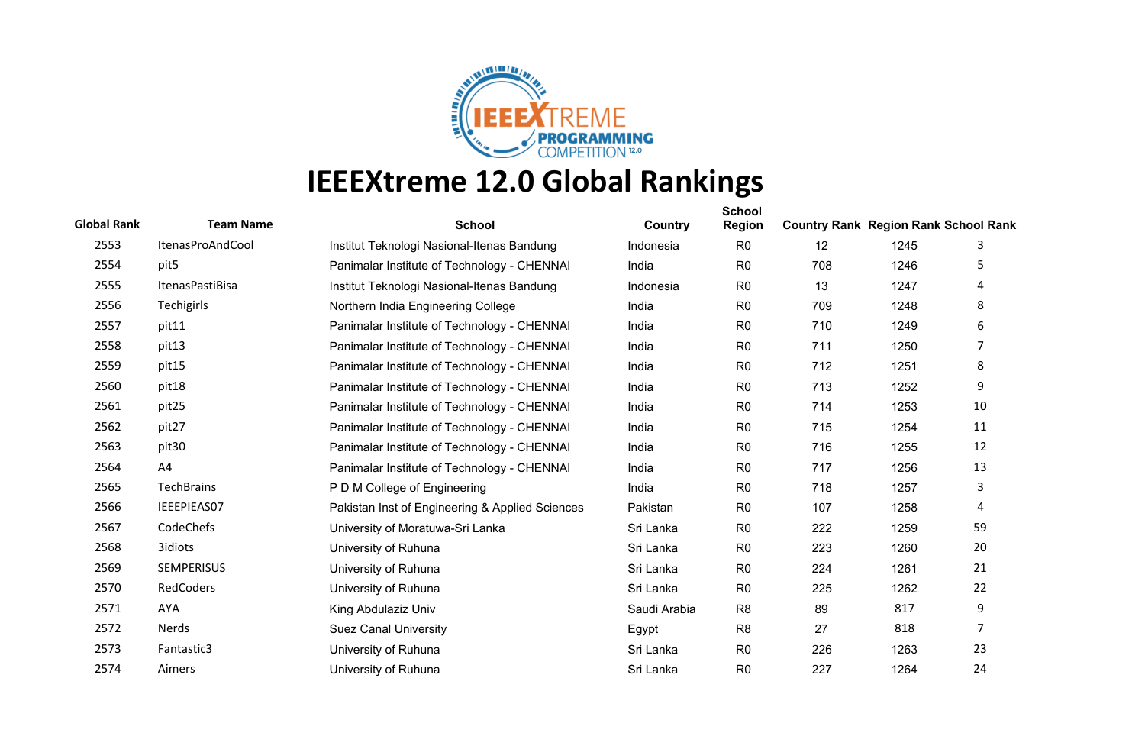

| <b>Global Rank</b> | <b>Team Name</b>  | <b>School</b>                                   | Country      | <b>School</b><br><b>Region</b> | <b>Country Rank Region Rank School Rank</b> |      |    |
|--------------------|-------------------|-------------------------------------------------|--------------|--------------------------------|---------------------------------------------|------|----|
| 2553               | ItenasProAndCool  | Institut Teknologi Nasional-Itenas Bandung      | Indonesia    | R <sub>0</sub>                 | 12                                          | 1245 | 3  |
| 2554               | pit5              | Panimalar Institute of Technology - CHENNAI     | India        | R <sub>0</sub>                 | 708                                         | 1246 | 5  |
| 2555               | ItenasPastiBisa   | Institut Teknologi Nasional-Itenas Bandung      | Indonesia    | R <sub>0</sub>                 | 13                                          | 1247 | 4  |
| 2556               | Techigirls        | Northern India Engineering College              | India        | R <sub>0</sub>                 | 709                                         | 1248 | 8  |
| 2557               | pit11             | Panimalar Institute of Technology - CHENNAI     | India        | R <sub>0</sub>                 | 710                                         | 1249 | 6  |
| 2558               | pit13             | Panimalar Institute of Technology - CHENNAI     | India        | R <sub>0</sub>                 | 711                                         | 1250 | 7  |
| 2559               | pit15             | Panimalar Institute of Technology - CHENNAI     | India        | R <sub>0</sub>                 | 712                                         | 1251 | 8  |
| 2560               | pit18             | Panimalar Institute of Technology - CHENNAI     | India        | R <sub>0</sub>                 | 713                                         | 1252 | 9  |
| 2561               | pit25             | Panimalar Institute of Technology - CHENNAI     | India        | R <sub>0</sub>                 | 714                                         | 1253 | 10 |
| 2562               | pit27             | Panimalar Institute of Technology - CHENNAI     | India        | R <sub>0</sub>                 | 715                                         | 1254 | 11 |
| 2563               | pit <sub>30</sub> | Panimalar Institute of Technology - CHENNAI     | India        | R <sub>0</sub>                 | 716                                         | 1255 | 12 |
| 2564               | A4                | Panimalar Institute of Technology - CHENNAI     | India        | R <sub>0</sub>                 | 717                                         | 1256 | 13 |
| 2565               | <b>TechBrains</b> | P D M College of Engineering                    | India        | R <sub>0</sub>                 | 718                                         | 1257 | 3  |
| 2566               | IEEEPIEAS07       | Pakistan Inst of Engineering & Applied Sciences | Pakistan     | R <sub>0</sub>                 | 107                                         | 1258 | 4  |
| 2567               | CodeChefs         | University of Moratuwa-Sri Lanka                | Sri Lanka    | R <sub>0</sub>                 | 222                                         | 1259 | 59 |
| 2568               | 3idiots           | University of Ruhuna                            | Sri Lanka    | R <sub>0</sub>                 | 223                                         | 1260 | 20 |
| 2569               | <b>SEMPERISUS</b> | University of Ruhuna                            | Sri Lanka    | R <sub>0</sub>                 | 224                                         | 1261 | 21 |
| 2570               | RedCoders         | University of Ruhuna                            | Sri Lanka    | R <sub>0</sub>                 | 225                                         | 1262 | 22 |
| 2571               | AYA               | King Abdulaziz Univ                             | Saudi Arabia | R <sub>8</sub>                 | 89                                          | 817  | 9  |
| 2572               | Nerds             | <b>Suez Canal University</b>                    | Egypt        | R <sub>8</sub>                 | 27                                          | 818  | 7  |
| 2573               | Fantastic3        | University of Ruhuna                            | Sri Lanka    | R <sub>0</sub>                 | 226                                         | 1263 | 23 |
| 2574               | Aimers            | University of Ruhuna                            | Sri Lanka    | R <sub>0</sub>                 | 227                                         | 1264 | 24 |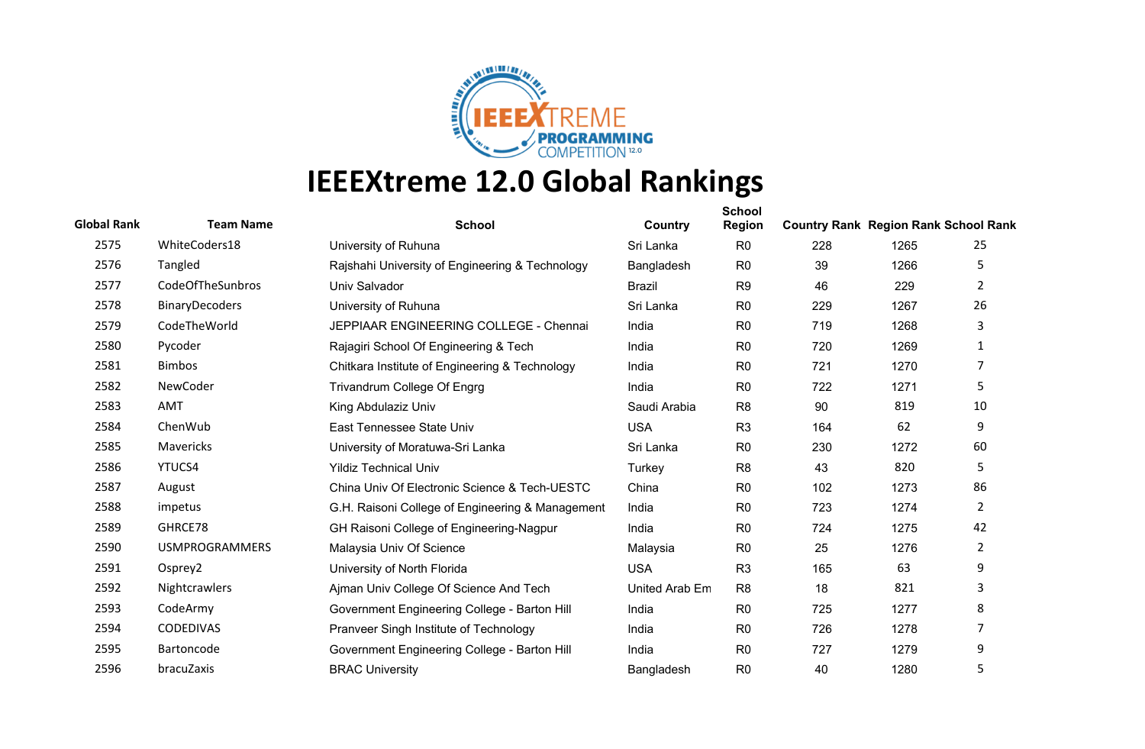

| <b>Global Rank</b> | <b>Team Name</b>      | <b>School</b>                                    | Country        | <b>School</b><br><b>Region</b> | <b>Country Rank Region Rank School Rank</b> |      |                |
|--------------------|-----------------------|--------------------------------------------------|----------------|--------------------------------|---------------------------------------------|------|----------------|
| 2575               | WhiteCoders18         | University of Ruhuna                             | Sri Lanka      | R <sub>0</sub>                 | 228                                         | 1265 | 25             |
| 2576               | Tangled               | Rajshahi University of Engineering & Technology  | Bangladesh     | R <sub>0</sub>                 | 39                                          | 1266 | 5              |
| 2577               | CodeOfTheSunbros      | Univ Salvador                                    | <b>Brazil</b>  | R <sub>9</sub>                 | 46                                          | 229  | $\overline{2}$ |
| 2578               | <b>BinaryDecoders</b> | University of Ruhuna                             | Sri Lanka      | R <sub>0</sub>                 | 229                                         | 1267 | 26             |
| 2579               | CodeTheWorld          | JEPPIAAR ENGINEERING COLLEGE - Chennai           | India          | R <sub>0</sub>                 | 719                                         | 1268 | 3              |
| 2580               | Pycoder               | Rajagiri School Of Engineering & Tech            | India          | R <sub>0</sub>                 | 720                                         | 1269 | 1              |
| 2581               | <b>Bimbos</b>         | Chitkara Institute of Engineering & Technology   | India          | R <sub>0</sub>                 | 721                                         | 1270 | $\overline{7}$ |
| 2582               | NewCoder              | Trivandrum College Of Engrg                      | India          | R <sub>0</sub>                 | 722                                         | 1271 | 5              |
| 2583               | AMT                   | King Abdulaziz Univ                              | Saudi Arabia   | R <sub>8</sub>                 | 90                                          | 819  | 10             |
| 2584               | ChenWub               | East Tennessee State Univ                        | <b>USA</b>     | R <sub>3</sub>                 | 164                                         | 62   | 9              |
| 2585               | Mavericks             | University of Moratuwa-Sri Lanka                 | Sri Lanka      | R <sub>0</sub>                 | 230                                         | 1272 | 60             |
| 2586               | YTUCS4                | <b>Yildiz Technical Univ</b>                     | Turkey         | R <sub>8</sub>                 | 43                                          | 820  | 5              |
| 2587               | August                | China Univ Of Electronic Science & Tech-UESTC    | China          | R <sub>0</sub>                 | 102                                         | 1273 | 86             |
| 2588               | impetus               | G.H. Raisoni College of Engineering & Management | India          | R <sub>0</sub>                 | 723                                         | 1274 | $\overline{2}$ |
| 2589               | GHRCE78               | GH Raisoni College of Engineering-Nagpur         | India          | R <sub>0</sub>                 | 724                                         | 1275 | 42             |
| 2590               | <b>USMPROGRAMMERS</b> | Malaysia Univ Of Science                         | Malaysia       | R <sub>0</sub>                 | 25                                          | 1276 | $\overline{2}$ |
| 2591               | Osprey2               | University of North Florida                      | <b>USA</b>     | R <sub>3</sub>                 | 165                                         | 63   | 9              |
| 2592               | Nightcrawlers         | Ajman Univ College Of Science And Tech           | United Arab Em | R <sub>8</sub>                 | 18                                          | 821  | 3              |
| 2593               | CodeArmy              | Government Engineering College - Barton Hill     | India          | R <sub>0</sub>                 | 725                                         | 1277 | 8              |
| 2594               | <b>CODEDIVAS</b>      | Pranveer Singh Institute of Technology           | India          | R <sub>0</sub>                 | 726                                         | 1278 | 7              |
| 2595               | Bartoncode            | Government Engineering College - Barton Hill     | India          | R <sub>0</sub>                 | 727                                         | 1279 | 9              |
| 2596               | bracuZaxis            | <b>BRAC University</b>                           | Bangladesh     | R <sub>0</sub>                 | 40                                          | 1280 | 5              |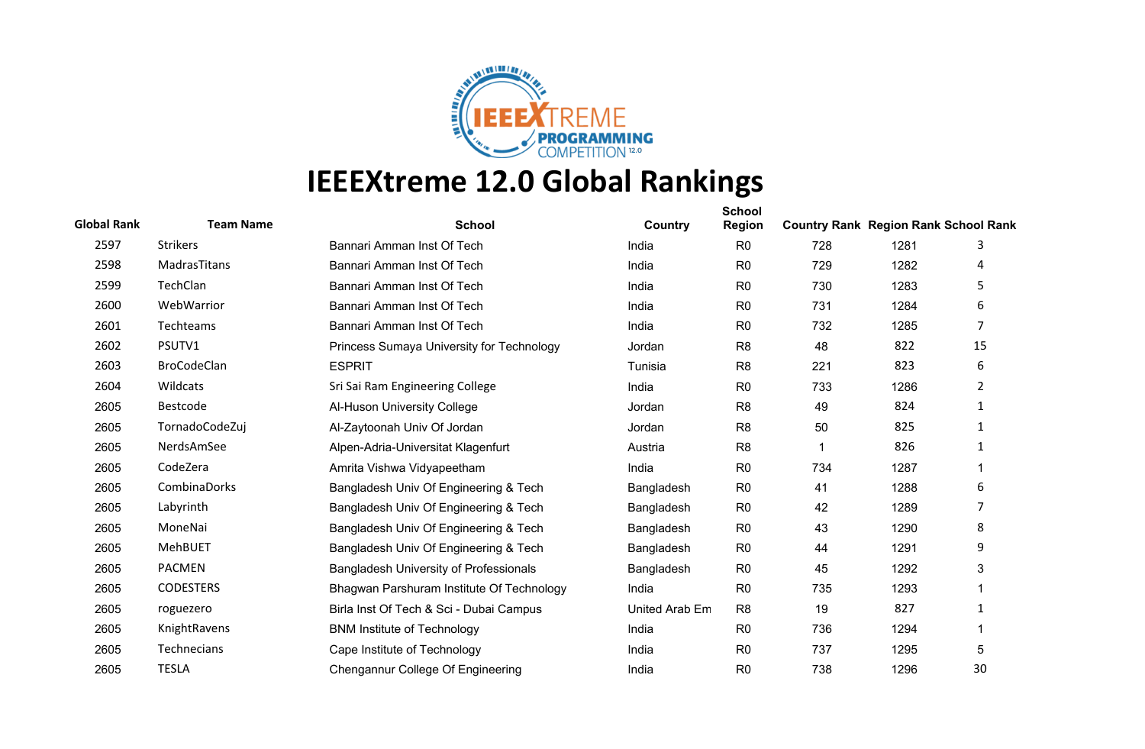

| <b>Global Rank</b> | <b>Team Name</b>   | <b>School</b>                             | Country        | <b>School</b><br><b>Region</b> | <b>Country Rank Region Rank School Rank</b> |      |                |
|--------------------|--------------------|-------------------------------------------|----------------|--------------------------------|---------------------------------------------|------|----------------|
| 2597               | <b>Strikers</b>    | Bannari Amman Inst Of Tech                | India          | R <sub>0</sub>                 | 728                                         | 1281 | 3              |
| 2598               | MadrasTitans       | Bannari Amman Inst Of Tech                | India          | R <sub>0</sub>                 | 729                                         | 1282 | 4              |
| 2599               | TechClan           | Bannari Amman Inst Of Tech                | India          | R <sub>0</sub>                 | 730                                         | 1283 | 5              |
| 2600               | WebWarrior         | Bannari Amman Inst Of Tech                | India          | R <sub>0</sub>                 | 731                                         | 1284 | 6              |
| 2601               | Techteams          | Bannari Amman Inst Of Tech                | India          | R <sub>0</sub>                 | 732                                         | 1285 | $\overline{7}$ |
| 2602               | PSUTV1             | Princess Sumaya University for Technology | Jordan         | R <sub>8</sub>                 | 48                                          | 822  | 15             |
| 2603               | <b>BroCodeClan</b> | <b>ESPRIT</b>                             | Tunisia        | R <sub>8</sub>                 | 221                                         | 823  | 6              |
| 2604               | Wildcats           | Sri Sai Ram Engineering College           | India          | R <sub>0</sub>                 | 733                                         | 1286 | $\overline{2}$ |
| 2605               | Bestcode           | Al-Huson University College               | Jordan         | R <sub>8</sub>                 | 49                                          | 824  | 1              |
| 2605               | TornadoCodeZuj     | Al-Zaytoonah Univ Of Jordan               | Jordan         | R <sub>8</sub>                 | 50                                          | 825  | $\mathbf{1}$   |
| 2605               | NerdsAmSee         | Alpen-Adria-Universitat Klagenfurt        | Austria        | R <sub>8</sub>                 |                                             | 826  | 1              |
| 2605               | CodeZera           | Amrita Vishwa Vidyapeetham                | India          | R <sub>0</sub>                 | 734                                         | 1287 | 1              |
| 2605               | CombinaDorks       | Bangladesh Univ Of Engineering & Tech     | Bangladesh     | R <sub>0</sub>                 | 41                                          | 1288 | 6              |
| 2605               | Labyrinth          | Bangladesh Univ Of Engineering & Tech     | Bangladesh     | R <sub>0</sub>                 | 42                                          | 1289 | 7              |
| 2605               | MoneNai            | Bangladesh Univ Of Engineering & Tech     | Bangladesh     | R <sub>0</sub>                 | 43                                          | 1290 | 8              |
| 2605               | MehBUET            | Bangladesh Univ Of Engineering & Tech     | Bangladesh     | R <sub>0</sub>                 | 44                                          | 1291 | 9              |
| 2605               | <b>PACMEN</b>      | Bangladesh University of Professionals    | Bangladesh     | R <sub>0</sub>                 | 45                                          | 1292 | 3              |
| 2605               | <b>CODESTERS</b>   | Bhagwan Parshuram Institute Of Technology | India          | R <sub>0</sub>                 | 735                                         | 1293 | 1              |
| 2605               | roguezero          | Birla Inst Of Tech & Sci - Dubai Campus   | United Arab Em | R <sub>8</sub>                 | 19                                          | 827  | $\mathbf{1}$   |
| 2605               | KnightRavens       | <b>BNM Institute of Technology</b>        | India          | R <sub>0</sub>                 | 736                                         | 1294 |                |
| 2605               | <b>Technecians</b> | Cape Institute of Technology              | India          | R <sub>0</sub>                 | 737                                         | 1295 | 5              |
| 2605               | <b>TESLA</b>       | Chengannur College Of Engineering         | India          | R <sub>0</sub>                 | 738                                         | 1296 | 30             |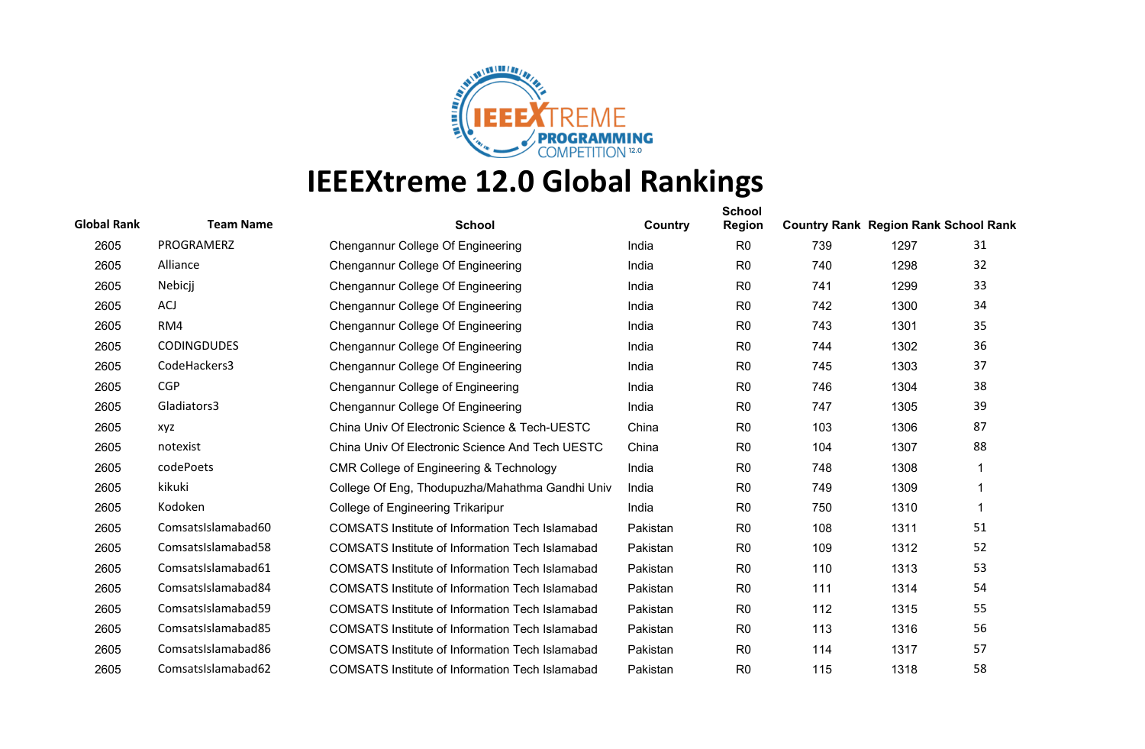

| <b>Global Rank</b> | <b>Team Name</b>   | <b>School</b>                                          | Country  | <b>School</b><br><b>Region</b> | <b>Country Rank Region Rank School Rank</b> |      |    |
|--------------------|--------------------|--------------------------------------------------------|----------|--------------------------------|---------------------------------------------|------|----|
| 2605               | PROGRAMERZ         | Chengannur College Of Engineering                      | India    | R <sub>0</sub>                 | 739                                         | 1297 | 31 |
| 2605               | Alliance           | Chengannur College Of Engineering                      | India    | R <sub>0</sub>                 | 740                                         | 1298 | 32 |
| 2605               | Nebicji            | Chengannur College Of Engineering                      | India    | R <sub>0</sub>                 | 741                                         | 1299 | 33 |
| 2605               | ACJ                | Chengannur College Of Engineering                      | India    | R <sub>0</sub>                 | 742                                         | 1300 | 34 |
| 2605               | RM4                | Chengannur College Of Engineering                      | India    | R <sub>0</sub>                 | 743                                         | 1301 | 35 |
| 2605               | <b>CODINGDUDES</b> | Chengannur College Of Engineering                      | India    | R <sub>0</sub>                 | 744                                         | 1302 | 36 |
| 2605               | CodeHackers3       | Chengannur College Of Engineering                      | India    | R <sub>0</sub>                 | 745                                         | 1303 | 37 |
| 2605               | <b>CGP</b>         | Chengannur College of Engineering                      | India    | R <sub>0</sub>                 | 746                                         | 1304 | 38 |
| 2605               | Gladiators3        | Chengannur College Of Engineering                      | India    | R <sub>0</sub>                 | 747                                         | 1305 | 39 |
| 2605               | xyz                | China Univ Of Electronic Science & Tech-UESTC          | China    | R <sub>0</sub>                 | 103                                         | 1306 | 87 |
| 2605               | notexist           | China Univ Of Electronic Science And Tech UESTC        | China    | R <sub>0</sub>                 | 104                                         | 1307 | 88 |
| 2605               | codePoets          | CMR College of Engineering & Technology                | India    | R <sub>0</sub>                 | 748                                         | 1308 | 1  |
| 2605               | kikuki             | College Of Eng, Thodupuzha/Mahathma Gandhi Univ        | India    | R <sub>0</sub>                 | 749                                         | 1309 | 1  |
| 2605               | Kodoken            | College of Engineering Trikaripur                      | India    | R <sub>0</sub>                 | 750                                         | 1310 | 1  |
| 2605               | ComsatsIslamabad60 | COMSATS Institute of Information Tech Islamabad        | Pakistan | R <sub>0</sub>                 | 108                                         | 1311 | 51 |
| 2605               | ComsatsIslamabad58 | <b>COMSATS Institute of Information Tech Islamabad</b> | Pakistan | R <sub>0</sub>                 | 109                                         | 1312 | 52 |
| 2605               | ComsatsIslamabad61 | <b>COMSATS Institute of Information Tech Islamabad</b> | Pakistan | R <sub>0</sub>                 | 110                                         | 1313 | 53 |
| 2605               | ComsatsIslamabad84 | <b>COMSATS Institute of Information Tech Islamabad</b> | Pakistan | R <sub>0</sub>                 | 111                                         | 1314 | 54 |
| 2605               | ComsatsIslamabad59 | <b>COMSATS Institute of Information Tech Islamabad</b> | Pakistan | R <sub>0</sub>                 | 112                                         | 1315 | 55 |
| 2605               | ComsatsIslamabad85 | <b>COMSATS Institute of Information Tech Islamabad</b> | Pakistan | R <sub>0</sub>                 | 113                                         | 1316 | 56 |
| 2605               | ComsatsIslamabad86 | <b>COMSATS Institute of Information Tech Islamabad</b> | Pakistan | R <sub>0</sub>                 | 114                                         | 1317 | 57 |
| 2605               | ComsatsIslamabad62 | <b>COMSATS Institute of Information Tech Islamabad</b> | Pakistan | R <sub>0</sub>                 | 115                                         | 1318 | 58 |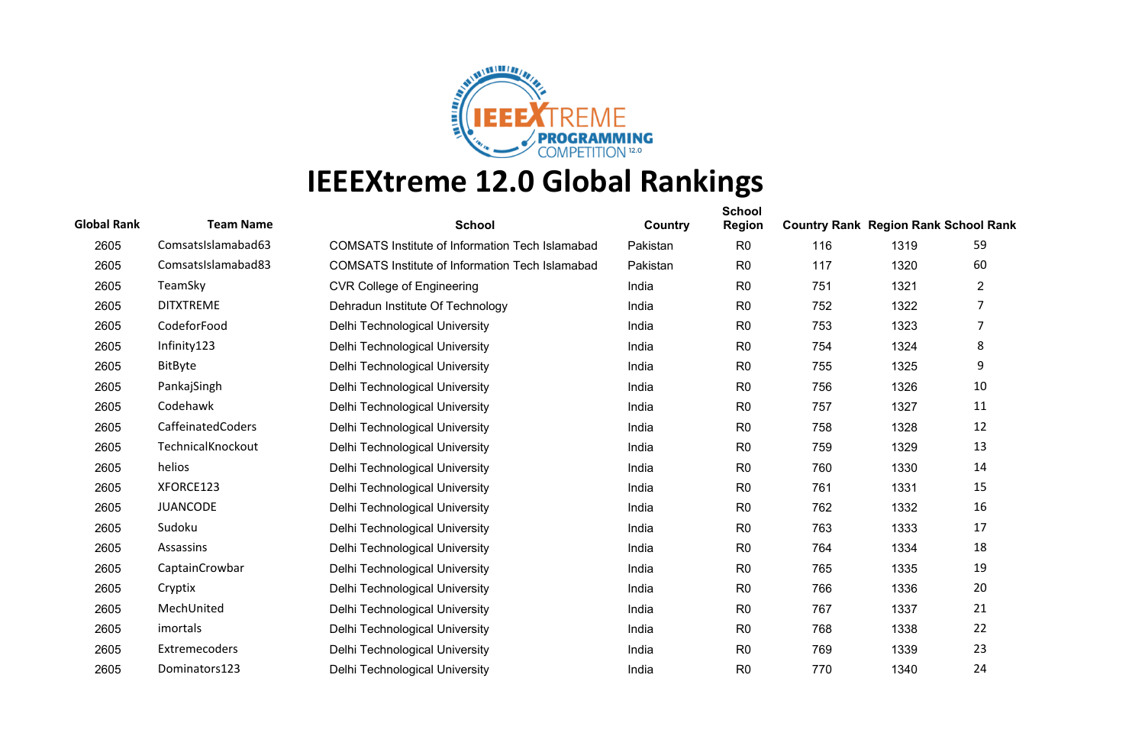

| <b>Global Rank</b> | <b>Team Name</b>   | <b>School</b>                                          | Country  | <b>School</b><br><b>Region</b> | <b>Country Rank Region Rank School Rank</b> |      |                |
|--------------------|--------------------|--------------------------------------------------------|----------|--------------------------------|---------------------------------------------|------|----------------|
| 2605               | ComsatsIslamabad63 | COMSATS Institute of Information Tech Islamabad        | Pakistan | R <sub>0</sub>                 | 116                                         | 1319 | 59             |
| 2605               | ComsatsIslamabad83 | <b>COMSATS Institute of Information Tech Islamabad</b> | Pakistan | R <sub>0</sub>                 | 117                                         | 1320 | 60             |
| 2605               | TeamSky            | <b>CVR College of Engineering</b>                      | India    | R <sub>0</sub>                 | 751                                         | 1321 | $\overline{c}$ |
| 2605               | <b>DITXTREME</b>   | Dehradun Institute Of Technology                       | India    | R <sub>0</sub>                 | 752                                         | 1322 |                |
| 2605               | CodeforFood        | Delhi Technological University                         | India    | R <sub>0</sub>                 | 753                                         | 1323 | 7              |
| 2605               | Infinity123        | Delhi Technological University                         | India    | R <sub>0</sub>                 | 754                                         | 1324 | 8              |
| 2605               | BitByte            | Delhi Technological University                         | India    | R <sub>0</sub>                 | 755                                         | 1325 | 9              |
| 2605               | PankajSingh        | Delhi Technological University                         | India    | R <sub>0</sub>                 | 756                                         | 1326 | 10             |
| 2605               | Codehawk           | Delhi Technological University                         | India    | R <sub>0</sub>                 | 757                                         | 1327 | 11             |
| 2605               | CaffeinatedCoders  | Delhi Technological University                         | India    | R <sub>0</sub>                 | 758                                         | 1328 | 12             |
| 2605               | TechnicalKnockout  | Delhi Technological University                         | India    | R <sub>0</sub>                 | 759                                         | 1329 | 13             |
| 2605               | helios             | Delhi Technological University                         | India    | R <sub>0</sub>                 | 760                                         | 1330 | 14             |
| 2605               | XFORCE123          | Delhi Technological University                         | India    | R <sub>0</sub>                 | 761                                         | 1331 | 15             |
| 2605               | <b>JUANCODE</b>    | Delhi Technological University                         | India    | R <sub>0</sub>                 | 762                                         | 1332 | 16             |
| 2605               | Sudoku             | Delhi Technological University                         | India    | R <sub>0</sub>                 | 763                                         | 1333 | 17             |
| 2605               | Assassins          | Delhi Technological University                         | India    | R <sub>0</sub>                 | 764                                         | 1334 | 18             |
| 2605               | CaptainCrowbar     | Delhi Technological University                         | India    | R <sub>0</sub>                 | 765                                         | 1335 | 19             |
| 2605               | Cryptix            | Delhi Technological University                         | India    | R <sub>0</sub>                 | 766                                         | 1336 | 20             |
| 2605               | MechUnited         | Delhi Technological University                         | India    | R <sub>0</sub>                 | 767                                         | 1337 | 21             |
| 2605               | imortals           | Delhi Technological University                         | India    | R <sub>0</sub>                 | 768                                         | 1338 | 22             |
| 2605               | Extremecoders      | Delhi Technological University                         | India    | R <sub>0</sub>                 | 769                                         | 1339 | 23             |
| 2605               | Dominators123      | Delhi Technological University                         | India    | R <sub>0</sub>                 | 770                                         | 1340 | 24             |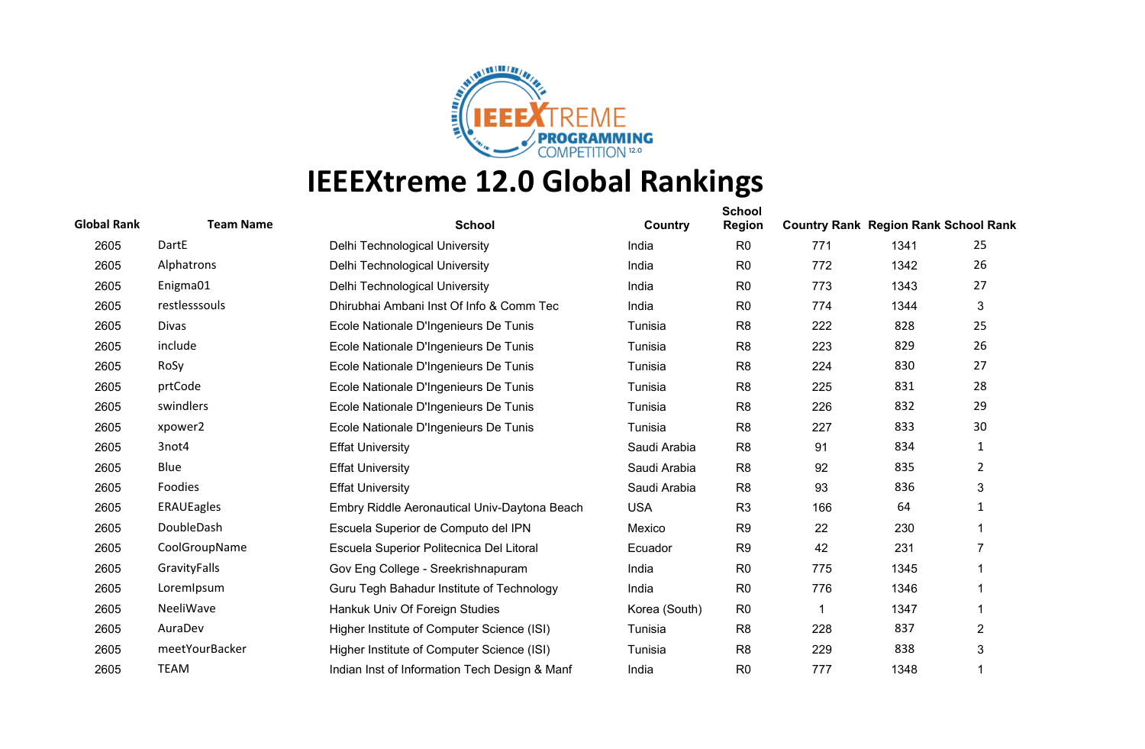

| <b>Global Rank</b> | <b>Team Name</b>  | <b>School</b>                                 | Country       | <b>School</b><br><b>Region</b> | <b>Country Rank Region Rank School Rank</b> |      |                |
|--------------------|-------------------|-----------------------------------------------|---------------|--------------------------------|---------------------------------------------|------|----------------|
| 2605               | DartE             | Delhi Technological University                | India         | R <sub>0</sub>                 | 771                                         | 1341 | 25             |
| 2605               | Alphatrons        | Delhi Technological University                | India         | R <sub>0</sub>                 | 772                                         | 1342 | 26             |
| 2605               | Enigma01          | Delhi Technological University                | India         | R <sub>0</sub>                 | 773                                         | 1343 | 27             |
| 2605               | restlesssouls     | Dhirubhai Ambani Inst Of Info & Comm Tec      | India         | R <sub>0</sub>                 | 774                                         | 1344 | 3              |
| 2605               | Divas             | Ecole Nationale D'Ingenieurs De Tunis         | Tunisia       | R <sub>8</sub>                 | 222                                         | 828  | 25             |
| 2605               | include           | Ecole Nationale D'Ingenieurs De Tunis         | Tunisia       | R <sub>8</sub>                 | 223                                         | 829  | 26             |
| 2605               | RoSy              | Ecole Nationale D'Ingenieurs De Tunis         | Tunisia       | R <sub>8</sub>                 | 224                                         | 830  | 27             |
| 2605               | prtCode           | Ecole Nationale D'Ingenieurs De Tunis         | Tunisia       | R <sub>8</sub>                 | 225                                         | 831  | 28             |
| 2605               | swindlers         | Ecole Nationale D'Ingenieurs De Tunis         | Tunisia       | R <sub>8</sub>                 | 226                                         | 832  | 29             |
| 2605               | xpower2           | Ecole Nationale D'Ingenieurs De Tunis         | Tunisia       | R <sub>8</sub>                 | 227                                         | 833  | 30             |
| 2605               | 3not4             | <b>Effat University</b>                       | Saudi Arabia  | R <sub>8</sub>                 | 91                                          | 834  | 1              |
| 2605               | Blue              | <b>Effat University</b>                       | Saudi Arabia  | R <sub>8</sub>                 | 92                                          | 835  | $\overline{2}$ |
| 2605               | Foodies           | <b>Effat University</b>                       | Saudi Arabia  | R <sub>8</sub>                 | 93                                          | 836  | 3              |
| 2605               | <b>ERAUEagles</b> | Embry Riddle Aeronautical Univ-Daytona Beach  | <b>USA</b>    | R <sub>3</sub>                 | 166                                         | 64   | 1              |
| 2605               | DoubleDash        | Escuela Superior de Computo del IPN           | Mexico        | R <sub>9</sub>                 | 22                                          | 230  |                |
| 2605               | CoolGroupName     | Escuela Superior Politecnica Del Litoral      | Ecuador       | R <sub>9</sub>                 | 42                                          | 231  | 7              |
| 2605               | GravityFalls      | Gov Eng College - Sreekrishnapuram            | India         | R <sub>0</sub>                 | 775                                         | 1345 |                |
| 2605               | LoremIpsum        | Guru Tegh Bahadur Institute of Technology     | India         | R <sub>0</sub>                 | 776                                         | 1346 |                |
| 2605               | NeeliWave         | Hankuk Univ Of Foreign Studies                | Korea (South) | R <sub>0</sub>                 |                                             | 1347 |                |
| 2605               | AuraDev           | Higher Institute of Computer Science (ISI)    | Tunisia       | R <sub>8</sub>                 | 228                                         | 837  | $\overline{2}$ |
| 2605               | meetYourBacker    | Higher Institute of Computer Science (ISI)    | Tunisia       | R <sub>8</sub>                 | 229                                         | 838  | 3              |
| 2605               | <b>TEAM</b>       | Indian Inst of Information Tech Design & Manf | India         | R <sub>0</sub>                 | 777                                         | 1348 |                |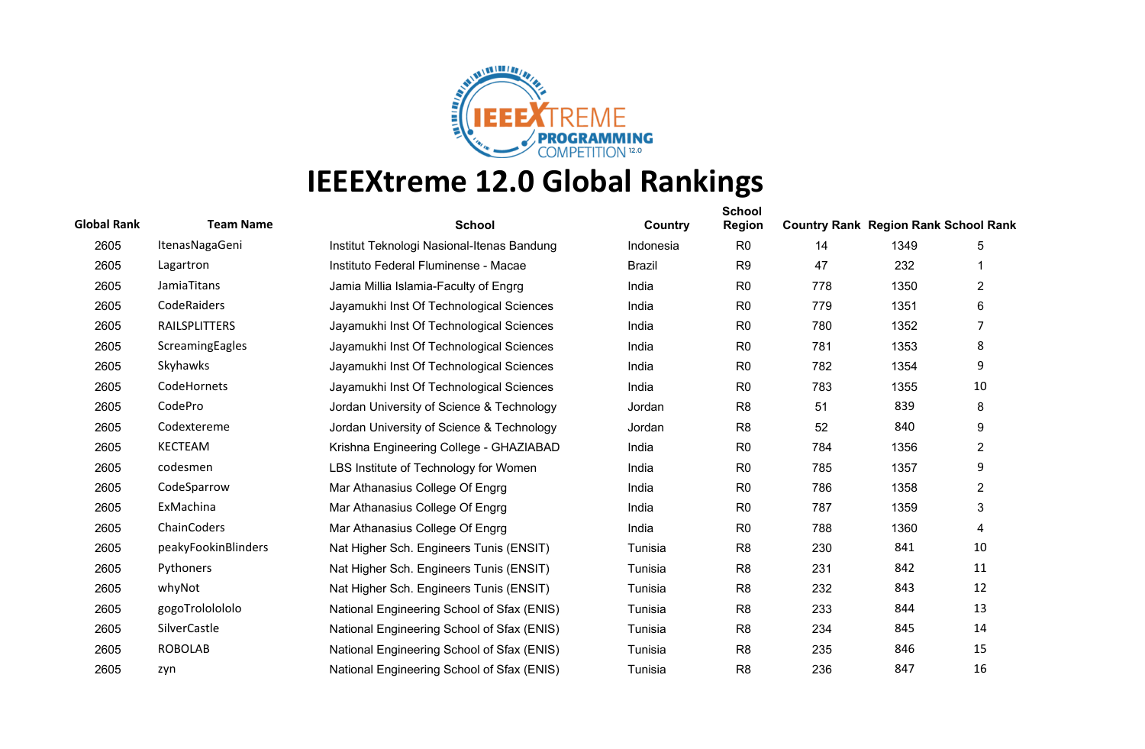

| <b>Global Rank</b> | <b>Team Name</b>     | <b>School</b>                              | Country       | <b>School</b><br><b>Region</b> | <b>Country Rank Region Rank School Rank</b> |      |                |
|--------------------|----------------------|--------------------------------------------|---------------|--------------------------------|---------------------------------------------|------|----------------|
| 2605               | ItenasNagaGeni       | Institut Teknologi Nasional-Itenas Bandung | Indonesia     | R <sub>0</sub>                 | 14                                          | 1349 | 5              |
| 2605               | Lagartron            | Instituto Federal Fluminense - Macae       | <b>Brazil</b> | R <sub>9</sub>                 | 47                                          | 232  |                |
| 2605               | JamiaTitans          | Jamia Millia Islamia-Faculty of Engrg      | India         | R <sub>0</sub>                 | 778                                         | 1350 | $\overline{2}$ |
| 2605               | CodeRaiders          | Jayamukhi Inst Of Technological Sciences   | India         | R <sub>0</sub>                 | 779                                         | 1351 | 6              |
| 2605               | <b>RAILSPLITTERS</b> | Jayamukhi Inst Of Technological Sciences   | India         | R <sub>0</sub>                 | 780                                         | 1352 | 7              |
| 2605               | ScreamingEagles      | Jayamukhi Inst Of Technological Sciences   | India         | R <sub>0</sub>                 | 781                                         | 1353 | 8              |
| 2605               | Skyhawks             | Jayamukhi Inst Of Technological Sciences   | India         | R <sub>0</sub>                 | 782                                         | 1354 | 9              |
| 2605               | CodeHornets          | Jayamukhi Inst Of Technological Sciences   | India         | R <sub>0</sub>                 | 783                                         | 1355 | 10             |
| 2605               | CodePro              | Jordan University of Science & Technology  | Jordan        | R <sub>8</sub>                 | 51                                          | 839  | 8              |
| 2605               | Codextereme          | Jordan University of Science & Technology  | Jordan        | R <sub>8</sub>                 | 52                                          | 840  | 9              |
| 2605               | <b>KECTEAM</b>       | Krishna Engineering College - GHAZIABAD    | India         | R <sub>0</sub>                 | 784                                         | 1356 | $\overline{2}$ |
| 2605               | codesmen             | LBS Institute of Technology for Women      | India         | R <sub>0</sub>                 | 785                                         | 1357 | 9              |
| 2605               | CodeSparrow          | Mar Athanasius College Of Engrg            | India         | R <sub>0</sub>                 | 786                                         | 1358 | 2              |
| 2605               | ExMachina            | Mar Athanasius College Of Engrg            | India         | R <sub>0</sub>                 | 787                                         | 1359 | 3              |
| 2605               | ChainCoders          | Mar Athanasius College Of Engrg            | India         | R <sub>0</sub>                 | 788                                         | 1360 | 4              |
| 2605               | peakyFookinBlinders  | Nat Higher Sch. Engineers Tunis (ENSIT)    | Tunisia       | R <sub>8</sub>                 | 230                                         | 841  | 10             |
| 2605               | Pythoners            | Nat Higher Sch. Engineers Tunis (ENSIT)    | Tunisia       | R <sub>8</sub>                 | 231                                         | 842  | 11             |
| 2605               | whyNot               | Nat Higher Sch. Engineers Tunis (ENSIT)    | Tunisia       | R <sub>8</sub>                 | 232                                         | 843  | 12             |
| 2605               | gogoTrololololo      | National Engineering School of Sfax (ENIS) | Tunisia       | R <sub>8</sub>                 | 233                                         | 844  | 13             |
| 2605               | SilverCastle         | National Engineering School of Sfax (ENIS) | Tunisia       | R <sub>8</sub>                 | 234                                         | 845  | 14             |
| 2605               | <b>ROBOLAB</b>       | National Engineering School of Sfax (ENIS) | Tunisia       | R <sub>8</sub>                 | 235                                         | 846  | 15             |
| 2605               | zyn                  | National Engineering School of Sfax (ENIS) | Tunisia       | R <sub>8</sub>                 | 236                                         | 847  | 16             |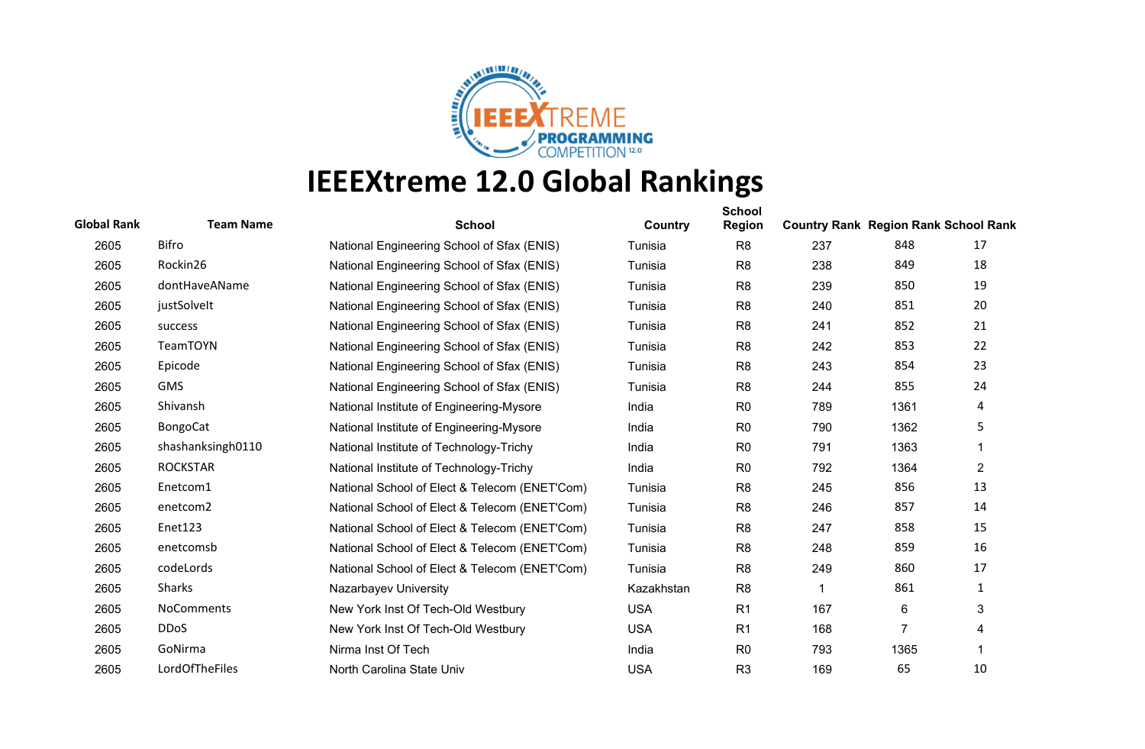

| <b>Global Rank</b> | <b>Team Name</b>  | <b>School</b>                                 | Country    | <b>School</b><br><b>Region</b> | <b>Country Rank Region Rank School Rank</b> |                 |    |
|--------------------|-------------------|-----------------------------------------------|------------|--------------------------------|---------------------------------------------|-----------------|----|
| 2605               | Bifro             | National Engineering School of Sfax (ENIS)    | Tunisia    | R <sub>8</sub>                 | 237                                         | 848             | 17 |
| 2605               | Rockin26          | National Engineering School of Sfax (ENIS)    | Tunisia    | R <sub>8</sub>                 | 238                                         | 849             | 18 |
| 2605               | dontHaveAName     | National Engineering School of Sfax (ENIS)    | Tunisia    | R <sub>8</sub>                 | 239                                         | 850             | 19 |
| 2605               | justSolveIt       | National Engineering School of Sfax (ENIS)    | Tunisia    | R <sub>8</sub>                 | 240                                         | 851             | 20 |
| 2605               | success           | National Engineering School of Sfax (ENIS)    | Tunisia    | R <sub>8</sub>                 | 241                                         | 852             | 21 |
| 2605               | TeamTOYN          | National Engineering School of Sfax (ENIS)    | Tunisia    | R <sub>8</sub>                 | 242                                         | 853             | 22 |
| 2605               | Epicode           | National Engineering School of Sfax (ENIS)    | Tunisia    | R <sub>8</sub>                 | 243                                         | 854             | 23 |
| 2605               | <b>GMS</b>        | National Engineering School of Sfax (ENIS)    | Tunisia    | R <sub>8</sub>                 | 244                                         | 855             | 24 |
| 2605               | Shivansh          | National Institute of Engineering-Mysore      | India      | R <sub>0</sub>                 | 789                                         | 1361            | 4  |
| 2605               | <b>BongoCat</b>   | National Institute of Engineering-Mysore      | India      | R <sub>0</sub>                 | 790                                         | 1362            | 5  |
| 2605               | shashanksingh0110 | National Institute of Technology-Trichy       | India      | R <sub>0</sub>                 | 791                                         | 1363            | 1  |
| 2605               | <b>ROCKSTAR</b>   | National Institute of Technology-Trichy       | India      | R <sub>0</sub>                 | 792                                         | 1364            | 2  |
| 2605               | Enetcom1          | National School of Elect & Telecom (ENET'Com) | Tunisia    | R <sub>8</sub>                 | 245                                         | 856             | 13 |
| 2605               | enetcom2          | National School of Elect & Telecom (ENET'Com) | Tunisia    | R <sub>8</sub>                 | 246                                         | 857             | 14 |
| 2605               | Enet123           | National School of Elect & Telecom (ENET'Com) | Tunisia    | R <sub>8</sub>                 | 247                                         | 858             | 15 |
| 2605               | enetcomsb         | National School of Elect & Telecom (ENET'Com) | Tunisia    | R <sub>8</sub>                 | 248                                         | 859             | 16 |
| 2605               | codeLords         | National School of Elect & Telecom (ENET'Com) | Tunisia    | R <sub>8</sub>                 | 249                                         | 860             | 17 |
| 2605               | Sharks            | Nazarbayev University                         | Kazakhstan | R <sub>8</sub>                 |                                             | 861             | 1  |
| 2605               | <b>NoComments</b> | New York Inst Of Tech-Old Westbury            | <b>USA</b> | R <sub>1</sub>                 | 167                                         | $6\phantom{1}6$ | 3  |
| 2605               | <b>DDoS</b>       | New York Inst Of Tech-Old Westbury            | <b>USA</b> | R <sub>1</sub>                 | 168                                         |                 | 4  |
| 2605               | GoNirma           | Nirma Inst Of Tech                            | India      | R <sub>0</sub>                 | 793                                         | 1365            | 1  |
| 2605               | LordOfTheFiles    | North Carolina State Univ                     | <b>USA</b> | R <sub>3</sub>                 | 169                                         | 65              | 10 |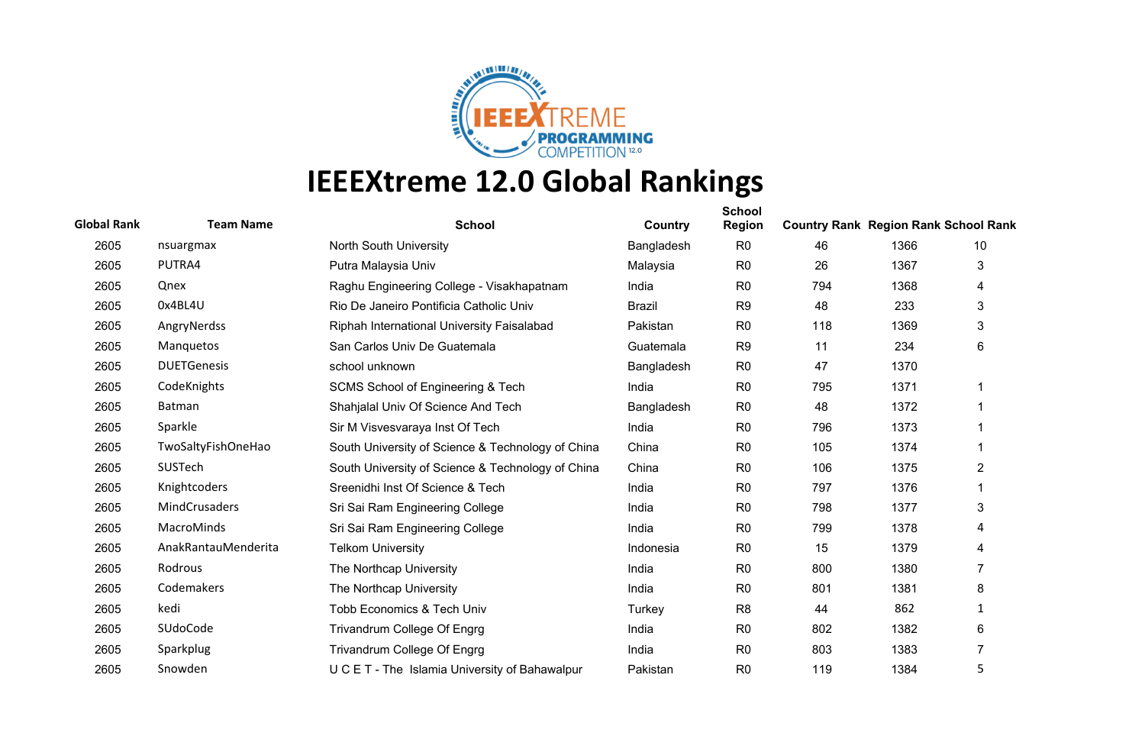

| <b>Global Rank</b> | <b>Team Name</b>    | <b>School</b>                                     | Country       | <b>School</b><br><b>Region</b> | <b>Country Rank Region Rank School Rank</b> |      |                |
|--------------------|---------------------|---------------------------------------------------|---------------|--------------------------------|---------------------------------------------|------|----------------|
| 2605               | nsuargmax           | North South University                            | Bangladesh    | R <sub>0</sub>                 | 46                                          | 1366 | 10             |
| 2605               | PUTRA4              | Putra Malaysia Univ                               | Malaysia      | R <sub>0</sub>                 | 26                                          | 1367 | 3              |
| 2605               | Qnex                | Raghu Engineering College - Visakhapatnam         | India         | R <sub>0</sub>                 | 794                                         | 1368 | 4              |
| 2605               | 0x4BL4U             | Rio De Janeiro Pontificia Catholic Univ           | <b>Brazil</b> | R <sub>9</sub>                 | 48                                          | 233  | 3              |
| 2605               | AngryNerdss         | Riphah International University Faisalabad        | Pakistan      | R <sub>0</sub>                 | 118                                         | 1369 | 3              |
| 2605               | Manquetos           | San Carlos Univ De Guatemala                      | Guatemala     | R <sub>9</sub>                 | 11                                          | 234  | 6              |
| 2605               | <b>DUETGenesis</b>  | school unknown                                    | Bangladesh    | R <sub>0</sub>                 | 47                                          | 1370 |                |
| 2605               | CodeKnights         | <b>SCMS School of Engineering &amp; Tech</b>      | India         | R <sub>0</sub>                 | 795                                         | 1371 |                |
| 2605               | Batman              | Shahjalal Univ Of Science And Tech                | Bangladesh    | R <sub>0</sub>                 | 48                                          | 1372 |                |
| 2605               | Sparkle             | Sir M Visvesvaraya Inst Of Tech                   | India         | R <sub>0</sub>                 | 796                                         | 1373 |                |
| 2605               | TwoSaltyFishOneHao  | South University of Science & Technology of China | China         | R <sub>0</sub>                 | 105                                         | 1374 |                |
| 2605               | SUSTech             | South University of Science & Technology of China | China         | R <sub>0</sub>                 | 106                                         | 1375 | 2              |
| 2605               | Knightcoders        | Sreenidhi Inst Of Science & Tech                  | India         | R <sub>0</sub>                 | 797                                         | 1376 |                |
| 2605               | MindCrusaders       | Sri Sai Ram Engineering College                   | India         | R <sub>0</sub>                 | 798                                         | 1377 | 3              |
| 2605               | MacroMinds          | Sri Sai Ram Engineering College                   | India         | R <sub>0</sub>                 | 799                                         | 1378 | 4              |
| 2605               | AnakRantauMenderita | <b>Telkom University</b>                          | Indonesia     | R <sub>0</sub>                 | 15                                          | 1379 | 4              |
| 2605               | Rodrous             | The Northcap University                           | India         | R <sub>0</sub>                 | 800                                         | 1380 | 7              |
| 2605               | Codemakers          | The Northcap University                           | India         | R <sub>0</sub>                 | 801                                         | 1381 | 8              |
| 2605               | kedi                | <b>Tobb Economics &amp; Tech Univ</b>             | Turkey        | R <sub>8</sub>                 | 44                                          | 862  | 1              |
| 2605               | SUdoCode            | Trivandrum College Of Engrg                       | India         | R <sub>0</sub>                 | 802                                         | 1382 | 6              |
| 2605               | Sparkplug           | Trivandrum College Of Engrg                       | India         | R <sub>0</sub>                 | 803                                         | 1383 | $\overline{7}$ |
| 2605               | Snowden             | U C E T - The Islamia University of Bahawalpur    | Pakistan      | R <sub>0</sub>                 | 119                                         | 1384 | 5              |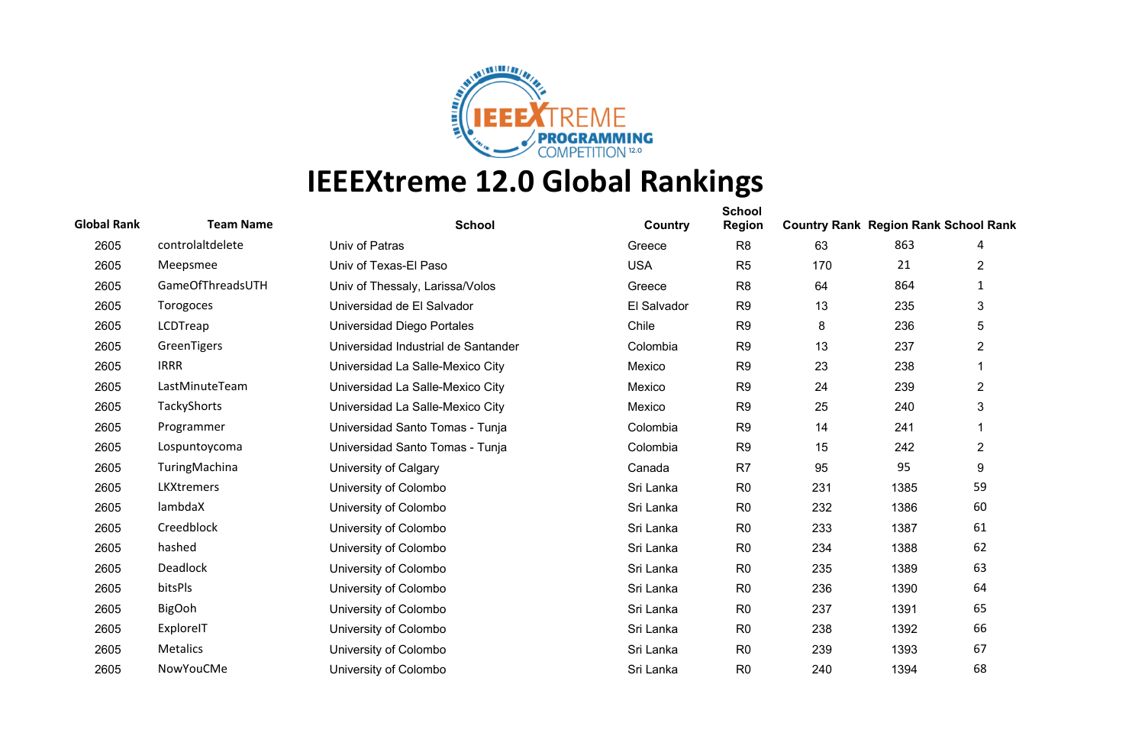

| <b>Global Rank</b> | <b>Team Name</b>  | <b>School</b>                       | Country     | <b>School</b><br><b>Region</b> | <b>Country Rank Region Rank School Rank</b> |      |                |
|--------------------|-------------------|-------------------------------------|-------------|--------------------------------|---------------------------------------------|------|----------------|
| 2605               | controlaltdelete  | Univ of Patras                      | Greece      | R <sub>8</sub>                 | 63                                          | 863  | 4              |
| 2605               | Meepsmee          | Univ of Texas-El Paso               | <b>USA</b>  | R <sub>5</sub>                 | 170                                         | 21   | 2              |
| 2605               | GameOfThreadsUTH  | Univ of Thessaly, Larissa/Volos     | Greece      | R <sub>8</sub>                 | 64                                          | 864  | $\mathbf{1}$   |
| 2605               | Torogoces         | Universidad de El Salvador          | El Salvador | R <sub>9</sub>                 | 13                                          | 235  | 3              |
| 2605               | LCDTreap          | Universidad Diego Portales          | Chile       | R <sub>9</sub>                 | 8                                           | 236  | 5              |
| 2605               | GreenTigers       | Universidad Industrial de Santander | Colombia    | R <sub>9</sub>                 | 13                                          | 237  | $\overline{2}$ |
| 2605               | <b>IRRR</b>       | Universidad La Salle-Mexico City    | Mexico      | R <sub>9</sub>                 | 23                                          | 238  | 1              |
| 2605               | LastMinuteTeam    | Universidad La Salle-Mexico City    | Mexico      | R <sub>9</sub>                 | 24                                          | 239  | $\overline{2}$ |
| 2605               | TackyShorts       | Universidad La Salle-Mexico City    | Mexico      | R <sub>9</sub>                 | 25                                          | 240  | 3              |
| 2605               | Programmer        | Universidad Santo Tomas - Tunja     | Colombia    | R <sub>9</sub>                 | 14                                          | 241  |                |
| 2605               | Lospuntoycoma     | Universidad Santo Tomas - Tunja     | Colombia    | R <sub>9</sub>                 | 15                                          | 242  | $\overline{2}$ |
| 2605               | TuringMachina     | University of Calgary               | Canada      | R <sub>7</sub>                 | 95                                          | 95   | 9              |
| 2605               | <b>LKXtremers</b> | University of Colombo               | Sri Lanka   | R <sub>0</sub>                 | 231                                         | 1385 | 59             |
| 2605               | lambdaX           | University of Colombo               | Sri Lanka   | R <sub>0</sub>                 | 232                                         | 1386 | 60             |
| 2605               | Creedblock        | University of Colombo               | Sri Lanka   | R <sub>0</sub>                 | 233                                         | 1387 | 61             |
| 2605               | hashed            | University of Colombo               | Sri Lanka   | R <sub>0</sub>                 | 234                                         | 1388 | 62             |
| 2605               | Deadlock          | University of Colombo               | Sri Lanka   | R <sub>0</sub>                 | 235                                         | 1389 | 63             |
| 2605               | bitsPls           | University of Colombo               | Sri Lanka   | R <sub>0</sub>                 | 236                                         | 1390 | 64             |
| 2605               | <b>BigOoh</b>     | University of Colombo               | Sri Lanka   | R <sub>0</sub>                 | 237                                         | 1391 | 65             |
| 2605               | ExploreIT         | University of Colombo               | Sri Lanka   | R <sub>0</sub>                 | 238                                         | 1392 | 66             |
| 2605               | Metalics          | University of Colombo               | Sri Lanka   | R <sub>0</sub>                 | 239                                         | 1393 | 67             |
| 2605               | NowYouCMe         | University of Colombo               | Sri Lanka   | R <sub>0</sub>                 | 240                                         | 1394 | 68             |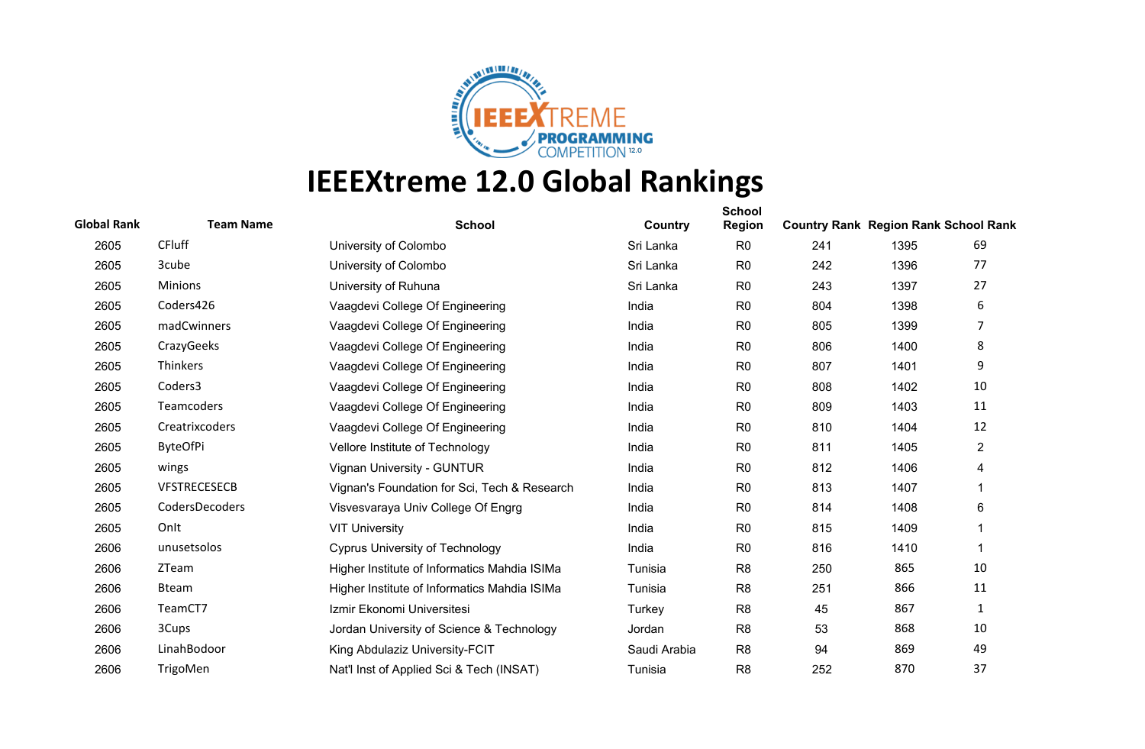

| <b>Global Rank</b> | <b>Team Name</b>    | <b>School</b>                                | Country      | <b>School</b><br><b>Region</b> | <b>Country Rank Region Rank School Rank</b> |      |                |
|--------------------|---------------------|----------------------------------------------|--------------|--------------------------------|---------------------------------------------|------|----------------|
| 2605               | <b>CFluff</b>       | University of Colombo                        | Sri Lanka    | R <sub>0</sub>                 | 241                                         | 1395 | 69             |
| 2605               | 3cube               | University of Colombo                        | Sri Lanka    | R <sub>0</sub>                 | 242                                         | 1396 | 77             |
| 2605               | <b>Minions</b>      | University of Ruhuna                         | Sri Lanka    | R <sub>0</sub>                 | 243                                         | 1397 | 27             |
| 2605               | Coders426           | Vaagdevi College Of Engineering              | India        | R <sub>0</sub>                 | 804                                         | 1398 | 6              |
| 2605               | madCwinners         | Vaagdevi College Of Engineering              | India        | R <sub>0</sub>                 | 805                                         | 1399 | 7              |
| 2605               | CrazyGeeks          | Vaagdevi College Of Engineering              | India        | R <sub>0</sub>                 | 806                                         | 1400 | 8              |
| 2605               | Thinkers            | Vaagdevi College Of Engineering              | India        | R <sub>0</sub>                 | 807                                         | 1401 | 9              |
| 2605               | Coders3             | Vaagdevi College Of Engineering              | India        | R <sub>0</sub>                 | 808                                         | 1402 | 10             |
| 2605               | Teamcoders          | Vaagdevi College Of Engineering              | India        | R <sub>0</sub>                 | 809                                         | 1403 | 11             |
| 2605               | Creatrixcoders      | Vaagdevi College Of Engineering              | India        | R <sub>0</sub>                 | 810                                         | 1404 | 12             |
| 2605               | <b>ByteOfPi</b>     | Vellore Institute of Technology              | India        | R <sub>0</sub>                 | 811                                         | 1405 | $\overline{2}$ |
| 2605               | wings               | Vignan University - GUNTUR                   | India        | R <sub>0</sub>                 | 812                                         | 1406 | 4              |
| 2605               | <b>VFSTRECESECB</b> | Vignan's Foundation for Sci, Tech & Research | India        | R <sub>0</sub>                 | 813                                         | 1407 | 1              |
| 2605               | CodersDecoders      | Visvesvaraya Univ College Of Engrg           | India        | R <sub>0</sub>                 | 814                                         | 1408 | 6              |
| 2605               | Onlt                | <b>VIT University</b>                        | India        | R <sub>0</sub>                 | 815                                         | 1409 | 1              |
| 2606               | unusetsolos         | <b>Cyprus University of Technology</b>       | India        | R <sub>0</sub>                 | 816                                         | 1410 | 1              |
| 2606               | ZTeam               | Higher Institute of Informatics Mahdia ISIMa | Tunisia      | R <sub>8</sub>                 | 250                                         | 865  | 10             |
| 2606               | <b>Bteam</b>        | Higher Institute of Informatics Mahdia ISIMa | Tunisia      | R <sub>8</sub>                 | 251                                         | 866  | 11             |
| 2606               | TeamCT7             | Izmir Ekonomi Universitesi                   | Turkey       | R <sub>8</sub>                 | 45                                          | 867  | $\mathbf{1}$   |
| 2606               | 3Cups               | Jordan University of Science & Technology    | Jordan       | R <sub>8</sub>                 | 53                                          | 868  | 10             |
| 2606               | LinahBodoor         | King Abdulaziz University-FCIT               | Saudi Arabia | R <sub>8</sub>                 | 94                                          | 869  | 49             |
| 2606               | TrigoMen            | Nat'l Inst of Applied Sci & Tech (INSAT)     | Tunisia      | R <sub>8</sub>                 | 252                                         | 870  | 37             |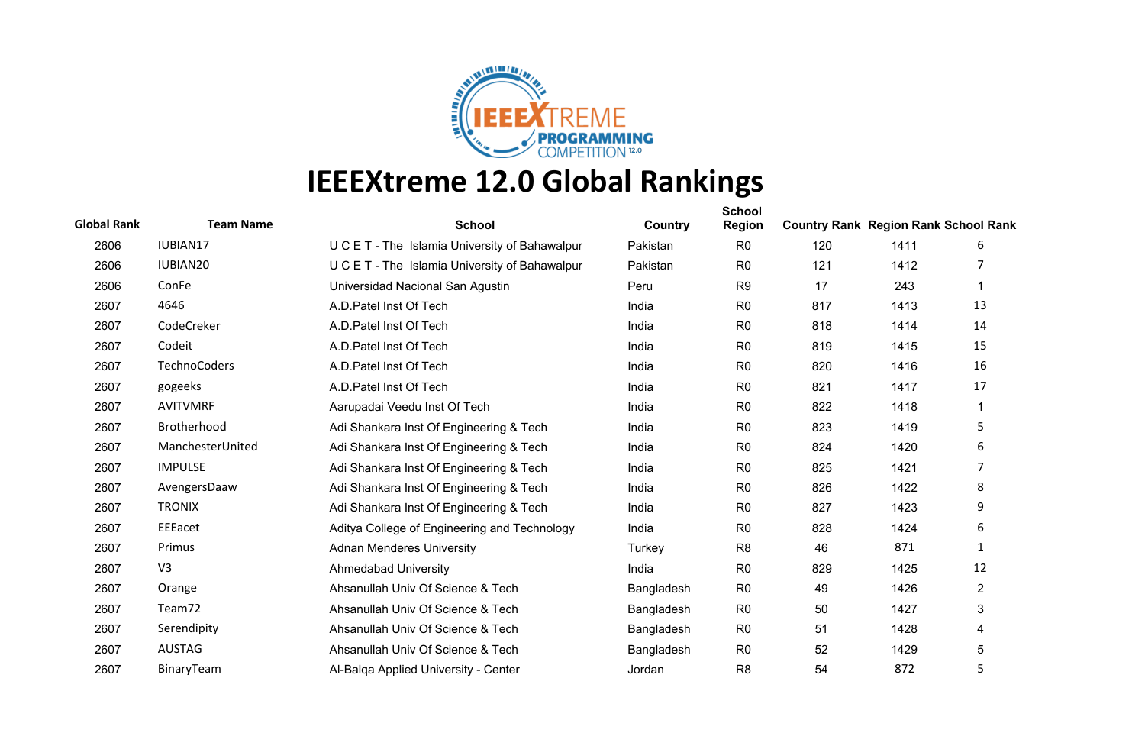

| <b>Global Rank</b> | <b>Team Name</b>     | <b>School</b>                                  | Country    | <b>School</b><br><b>Region</b> | <b>Country Rank Region Rank School Rank</b> |      |                |
|--------------------|----------------------|------------------------------------------------|------------|--------------------------------|---------------------------------------------|------|----------------|
| 2606               | IUBIAN17             | U C E T - The Islamia University of Bahawalpur | Pakistan   | R <sub>0</sub>                 | 120                                         | 1411 | 6              |
| 2606               | IUBIAN <sub>20</sub> | U C E T - The Islamia University of Bahawalpur | Pakistan   | R <sub>0</sub>                 | 121                                         | 1412 |                |
| 2606               | ConFe                | Universidad Nacional San Agustin               | Peru       | R <sub>9</sub>                 | 17                                          | 243  | 1              |
| 2607               | 4646                 | A.D. Patel Inst Of Tech                        | India      | R <sub>0</sub>                 | 817                                         | 1413 | 13             |
| 2607               | CodeCreker           | A.D. Patel Inst Of Tech                        | India      | R <sub>0</sub>                 | 818                                         | 1414 | 14             |
| 2607               | Codeit               | A.D. Patel Inst Of Tech                        | India      | R <sub>0</sub>                 | 819                                         | 1415 | 15             |
| 2607               | TechnoCoders         | A.D. Patel Inst Of Tech                        | India      | R <sub>0</sub>                 | 820                                         | 1416 | 16             |
| 2607               | gogeeks              | A.D. Patel Inst Of Tech                        | India      | R <sub>0</sub>                 | 821                                         | 1417 | 17             |
| 2607               | <b>AVITVMRF</b>      | Aarupadai Veedu Inst Of Tech                   | India      | R <sub>0</sub>                 | 822                                         | 1418 | 1              |
| 2607               | Brotherhood          | Adi Shankara Inst Of Engineering & Tech        | India      | R <sub>0</sub>                 | 823                                         | 1419 | 5              |
| 2607               | ManchesterUnited     | Adi Shankara Inst Of Engineering & Tech        | India      | R <sub>0</sub>                 | 824                                         | 1420 | 6              |
| 2607               | <b>IMPULSE</b>       | Adi Shankara Inst Of Engineering & Tech        | India      | R <sub>0</sub>                 | 825                                         | 1421 | 7              |
| 2607               | AvengersDaaw         | Adi Shankara Inst Of Engineering & Tech        | India      | R <sub>0</sub>                 | 826                                         | 1422 | 8              |
| 2607               | <b>TRONIX</b>        | Adi Shankara Inst Of Engineering & Tech        | India      | R <sub>0</sub>                 | 827                                         | 1423 | 9              |
| 2607               | EEEacet              | Aditya College of Engineering and Technology   | India      | R <sub>0</sub>                 | 828                                         | 1424 | 6              |
| 2607               | Primus               | <b>Adnan Menderes University</b>               | Turkey     | R <sub>8</sub>                 | 46                                          | 871  | 1              |
| 2607               | V <sub>3</sub>       | <b>Ahmedabad University</b>                    | India      | R <sub>0</sub>                 | 829                                         | 1425 | 12             |
| 2607               | Orange               | Ahsanullah Univ Of Science & Tech              | Bangladesh | R <sub>0</sub>                 | 49                                          | 1426 | $\overline{2}$ |
| 2607               | Team72               | Ahsanullah Univ Of Science & Tech              | Bangladesh | R <sub>0</sub>                 | 50                                          | 1427 | 3              |
| 2607               | Serendipity          | Ahsanullah Univ Of Science & Tech              | Bangladesh | R <sub>0</sub>                 | 51                                          | 1428 | 4              |
| 2607               | <b>AUSTAG</b>        | Ahsanullah Univ Of Science & Tech              | Bangladesh | R <sub>0</sub>                 | 52                                          | 1429 | 5              |
| 2607               | BinaryTeam           | Al-Balga Applied University - Center           | Jordan     | R <sub>8</sub>                 | 54                                          | 872  | 5              |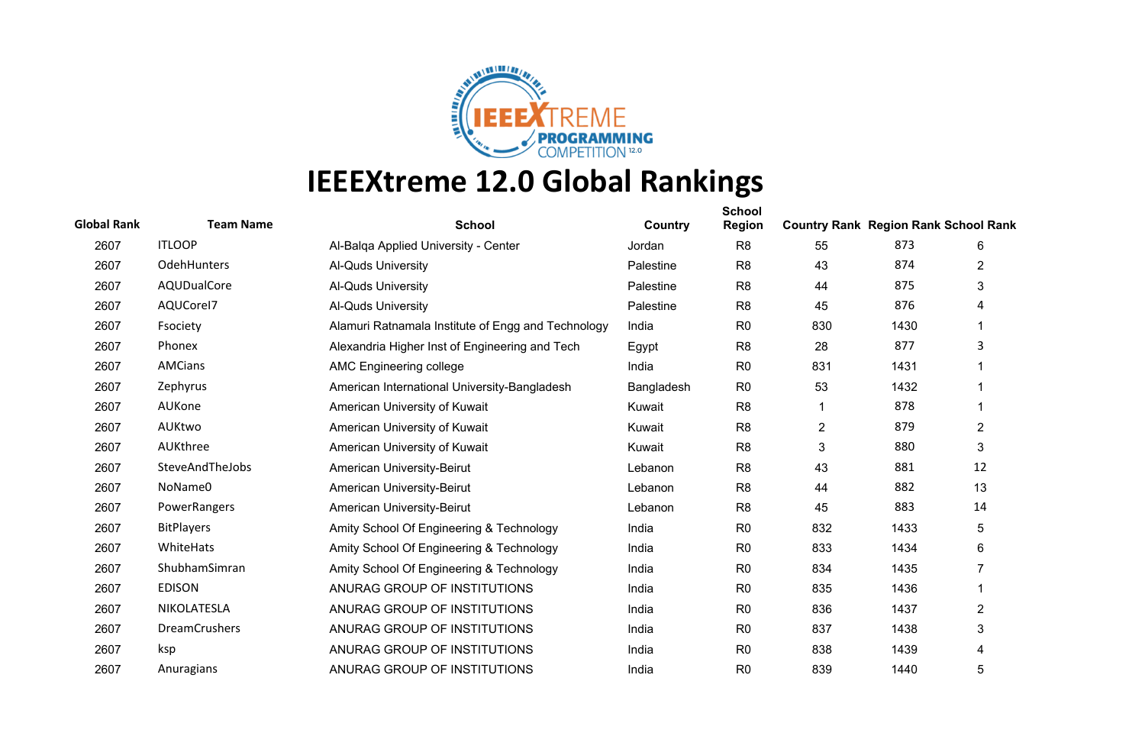

| <b>Global Rank</b> | <b>Team Name</b>     | <b>School</b>                                      | Country    | <b>School</b><br><b>Region</b> | <b>Country Rank Region Rank School Rank</b> |      |                |
|--------------------|----------------------|----------------------------------------------------|------------|--------------------------------|---------------------------------------------|------|----------------|
| 2607               | <b>ITLOOP</b>        | Al-Balga Applied University - Center               | Jordan     | R <sub>8</sub>                 | 55                                          | 873  | 6              |
| 2607               | OdehHunters          | Al-Quds University                                 | Palestine  | R <sub>8</sub>                 | 43                                          | 874  | 2              |
| 2607               | AQUDualCore          | Al-Quds University                                 | Palestine  | R <sub>8</sub>                 | 44                                          | 875  | 3              |
| 2607               | AQUCorel7            | Al-Quds University                                 | Palestine  | R <sub>8</sub>                 | 45                                          | 876  | 4              |
| 2607               | Fsociety             | Alamuri Ratnamala Institute of Engg and Technology | India      | R <sub>0</sub>                 | 830                                         | 1430 |                |
| 2607               | Phonex               | Alexandria Higher Inst of Engineering and Tech     | Egypt      | R <sub>8</sub>                 | 28                                          | 877  | 3              |
| 2607               | <b>AMCians</b>       | AMC Engineering college                            | India      | R <sub>0</sub>                 | 831                                         | 1431 |                |
| 2607               | Zephyrus             | American International University-Bangladesh       | Bangladesh | R <sub>0</sub>                 | 53                                          | 1432 |                |
| 2607               | AUKone               | American University of Kuwait                      | Kuwait     | R <sub>8</sub>                 |                                             | 878  | 1              |
| 2607               | AUKtwo               | American University of Kuwait                      | Kuwait     | R <sub>8</sub>                 | $\overline{2}$                              | 879  | $\overline{2}$ |
| 2607               | AUKthree             | American University of Kuwait                      | Kuwait     | R <sub>8</sub>                 | $\sqrt{3}$                                  | 880  | 3              |
| 2607               | SteveAndTheJobs      | American University-Beirut                         | Lebanon    | R <sub>8</sub>                 | 43                                          | 881  | 12             |
| 2607               | NoName0              | American University-Beirut                         | Lebanon    | R <sub>8</sub>                 | 44                                          | 882  | 13             |
| 2607               | PowerRangers         | American University-Beirut                         | Lebanon    | R <sub>8</sub>                 | 45                                          | 883  | 14             |
| 2607               | <b>BitPlayers</b>    | Amity School Of Engineering & Technology           | India      | R <sub>0</sub>                 | 832                                         | 1433 | 5              |
| 2607               | WhiteHats            | Amity School Of Engineering & Technology           | India      | R <sub>0</sub>                 | 833                                         | 1434 | 6              |
| 2607               | ShubhamSimran        | Amity School Of Engineering & Technology           | India      | R <sub>0</sub>                 | 834                                         | 1435 | 7              |
| 2607               | <b>EDISON</b>        | ANURAG GROUP OF INSTITUTIONS                       | India      | R <sub>0</sub>                 | 835                                         | 1436 | 1              |
| 2607               | NIKOLATESLA          | ANURAG GROUP OF INSTITUTIONS                       | India      | R <sub>0</sub>                 | 836                                         | 1437 | $\overline{2}$ |
| 2607               | <b>DreamCrushers</b> | ANURAG GROUP OF INSTITUTIONS                       | India      | R <sub>0</sub>                 | 837                                         | 1438 | 3              |
| 2607               | ksp                  | ANURAG GROUP OF INSTITUTIONS                       | India      | R <sub>0</sub>                 | 838                                         | 1439 | 4              |
| 2607               | Anuragians           | ANURAG GROUP OF INSTITUTIONS                       | India      | R <sub>0</sub>                 | 839                                         | 1440 | 5              |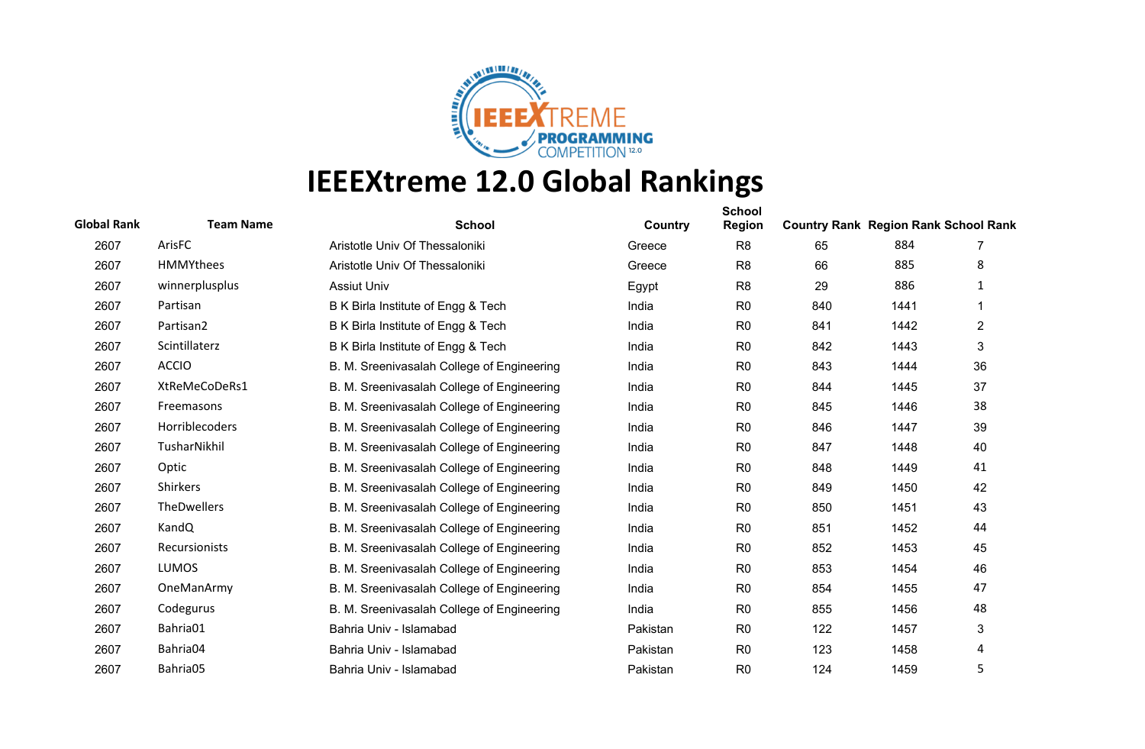

| <b>Global Rank</b> | <b>Team Name</b>     | <b>School</b>                              | Country  | <b>School</b><br><b>Region</b> | <b>Country Rank Region Rank School Rank</b> |      |                |
|--------------------|----------------------|--------------------------------------------|----------|--------------------------------|---------------------------------------------|------|----------------|
| 2607               | ArisFC               | Aristotle Univ Of Thessaloniki             | Greece   | R <sub>8</sub>                 | 65                                          | 884  | 7              |
| 2607               | HMMYthees            | Aristotle Univ Of Thessaloniki             | Greece   | R <sub>8</sub>                 | 66                                          | 885  | 8              |
| 2607               | winnerplusplus       | <b>Assiut Univ</b>                         | Egypt    | R <sub>8</sub>                 | 29                                          | 886  | 1              |
| 2607               | Partisan             | B K Birla Institute of Engg & Tech         | India    | R <sub>0</sub>                 | 840                                         | 1441 |                |
| 2607               | Partisan2            | B K Birla Institute of Engg & Tech         | India    | R <sub>0</sub>                 | 841                                         | 1442 | $\overline{2}$ |
| 2607               | Scintillaterz        | B K Birla Institute of Engg & Tech         | India    | R <sub>0</sub>                 | 842                                         | 1443 | 3              |
| 2607               | <b>ACCIO</b>         | B. M. Sreenivasalah College of Engineering | India    | R <sub>0</sub>                 | 843                                         | 1444 | 36             |
| 2607               | XtReMeCoDeRs1        | B. M. Sreenivasalah College of Engineering | India    | R <sub>0</sub>                 | 844                                         | 1445 | 37             |
| 2607               | Freemasons           | B. M. Sreenivasalah College of Engineering | India    | R <sub>0</sub>                 | 845                                         | 1446 | 38             |
| 2607               | Horriblecoders       | B. M. Sreenivasalah College of Engineering | India    | R <sub>0</sub>                 | 846                                         | 1447 | 39             |
| 2607               | TusharNikhil         | B. M. Sreenivasalah College of Engineering | India    | R <sub>0</sub>                 | 847                                         | 1448 | 40             |
| 2607               | Optic                | B. M. Sreenivasalah College of Engineering | India    | R <sub>0</sub>                 | 848                                         | 1449 | 41             |
| 2607               | <b>Shirkers</b>      | B. M. Sreenivasalah College of Engineering | India    | R <sub>0</sub>                 | 849                                         | 1450 | 42             |
| 2607               | TheDwellers          | B. M. Sreenivasalah College of Engineering | India    | R <sub>0</sub>                 | 850                                         | 1451 | 43             |
| 2607               | KandQ                | B. M. Sreenivasalah College of Engineering | India    | R <sub>0</sub>                 | 851                                         | 1452 | 44             |
| 2607               | <b>Recursionists</b> | B. M. Sreenivasalah College of Engineering | India    | R <sub>0</sub>                 | 852                                         | 1453 | 45             |
| 2607               | <b>LUMOS</b>         | B. M. Sreenivasalah College of Engineering | India    | R <sub>0</sub>                 | 853                                         | 1454 | 46             |
| 2607               | OneManArmy           | B. M. Sreenivasalah College of Engineering | India    | R <sub>0</sub>                 | 854                                         | 1455 | 47             |
| 2607               | Codegurus            | B. M. Sreenivasalah College of Engineering | India    | R <sub>0</sub>                 | 855                                         | 1456 | 48             |
| 2607               | Bahria01             | Bahria Univ - Islamabad                    | Pakistan | R <sub>0</sub>                 | 122                                         | 1457 | 3              |
| 2607               | Bahria04             | Bahria Univ - Islamabad                    | Pakistan | R <sub>0</sub>                 | 123                                         | 1458 | 4              |
| 2607               | Bahria05             | Bahria Univ - Islamabad                    | Pakistan | R <sub>0</sub>                 | 124                                         | 1459 | 5              |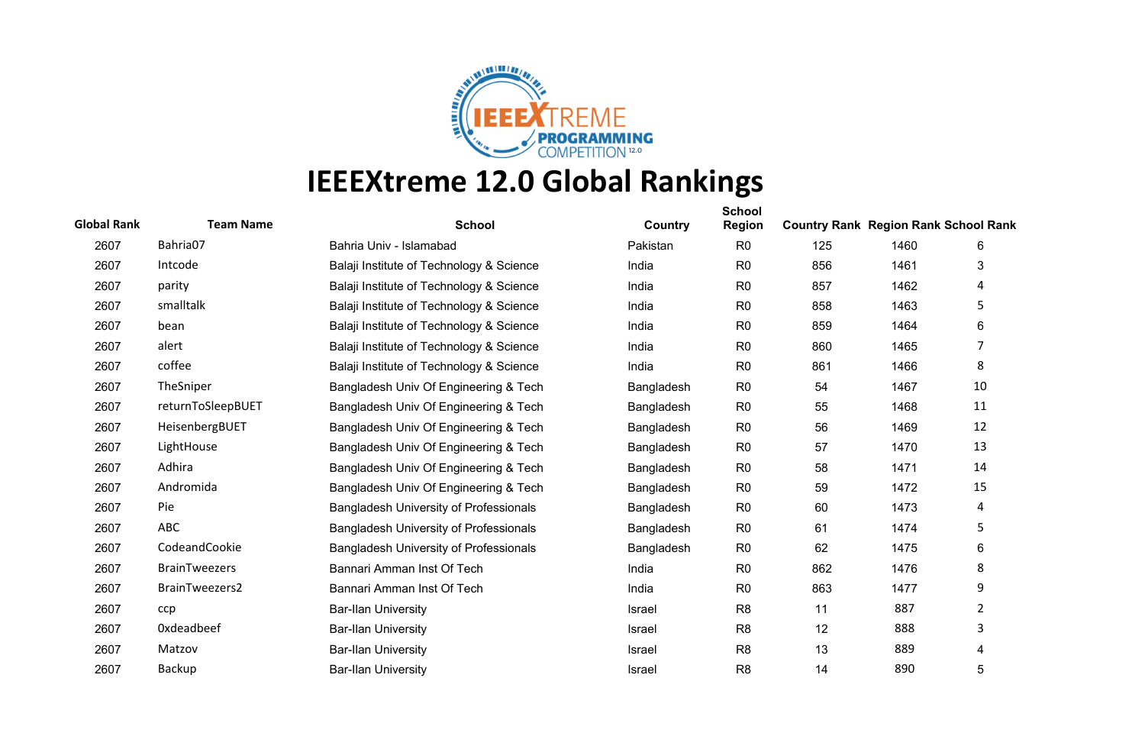

| <b>Global Rank</b> | <b>Team Name</b>     | <b>School</b>                                 | Country    | <b>School</b><br><b>Region</b> | <b>Country Rank Region Rank School Rank</b> |      |    |
|--------------------|----------------------|-----------------------------------------------|------------|--------------------------------|---------------------------------------------|------|----|
| 2607               | Bahria07             | Bahria Univ - Islamabad                       | Pakistan   | R <sub>0</sub>                 | 125                                         | 1460 | 6  |
| 2607               | Intcode              | Balaji Institute of Technology & Science      | India      | R <sub>0</sub>                 | 856                                         | 1461 | 3  |
| 2607               | parity               | Balaji Institute of Technology & Science      | India      | R <sub>0</sub>                 | 857                                         | 1462 | 4  |
| 2607               | smalltalk            | Balaji Institute of Technology & Science      | India      | R <sub>0</sub>                 | 858                                         | 1463 | 5  |
| 2607               | bean                 | Balaji Institute of Technology & Science      | India      | R <sub>0</sub>                 | 859                                         | 1464 | 6  |
| 2607               | alert                | Balaji Institute of Technology & Science      | India      | R <sub>0</sub>                 | 860                                         | 1465 | 7  |
| 2607               | coffee               | Balaji Institute of Technology & Science      | India      | R <sub>0</sub>                 | 861                                         | 1466 | 8  |
| 2607               | TheSniper            | Bangladesh Univ Of Engineering & Tech         | Bangladesh | R <sub>0</sub>                 | 54                                          | 1467 | 10 |
| 2607               | returnToSleepBUET    | Bangladesh Univ Of Engineering & Tech         | Bangladesh | R <sub>0</sub>                 | 55                                          | 1468 | 11 |
| 2607               | HeisenbergBUET       | Bangladesh Univ Of Engineering & Tech         | Bangladesh | R <sub>0</sub>                 | 56                                          | 1469 | 12 |
| 2607               | LightHouse           | Bangladesh Univ Of Engineering & Tech         | Bangladesh | R <sub>0</sub>                 | 57                                          | 1470 | 13 |
| 2607               | Adhira               | Bangladesh Univ Of Engineering & Tech         | Bangladesh | R <sub>0</sub>                 | 58                                          | 1471 | 14 |
| 2607               | Andromida            | Bangladesh Univ Of Engineering & Tech         | Bangladesh | R <sub>0</sub>                 | 59                                          | 1472 | 15 |
| 2607               | Pie                  | <b>Bangladesh University of Professionals</b> | Bangladesh | R <sub>0</sub>                 | 60                                          | 1473 | 4  |
| 2607               | <b>ABC</b>           | <b>Bangladesh University of Professionals</b> | Bangladesh | R <sub>0</sub>                 | 61                                          | 1474 | 5  |
| 2607               | CodeandCookie        | <b>Bangladesh University of Professionals</b> | Bangladesh | R <sub>0</sub>                 | 62                                          | 1475 | 6  |
| 2607               | <b>BrainTweezers</b> | Bannari Amman Inst Of Tech                    | India      | R <sub>0</sub>                 | 862                                         | 1476 | 8  |
| 2607               | BrainTweezers2       | Bannari Amman Inst Of Tech                    | India      | R <sub>0</sub>                 | 863                                         | 1477 | 9  |
| 2607               | ccp                  | <b>Bar-Ilan University</b>                    | Israel     | R <sub>8</sub>                 | 11                                          | 887  | 2  |
| 2607               | Oxdeadbeef           | <b>Bar-Ilan University</b>                    | Israel     | R <sub>8</sub>                 | 12                                          | 888  | 3  |
| 2607               | Matzov               | <b>Bar-Ilan University</b>                    | Israel     | R <sub>8</sub>                 | 13                                          | 889  | 4  |
| 2607               | Backup               | <b>Bar-Ilan University</b>                    | Israel     | R <sub>8</sub>                 | 14                                          | 890  | 5  |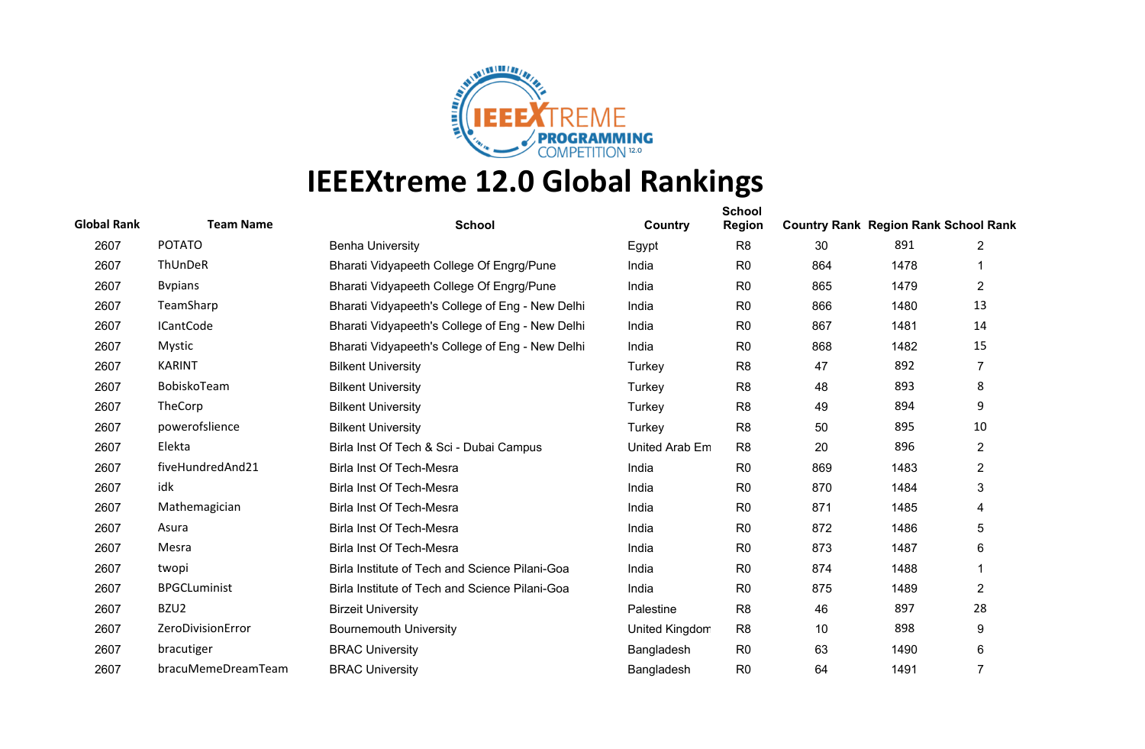

| <b>Global Rank</b> | <b>Team Name</b>    | <b>School</b>                                   | Country        | <b>School</b><br><b>Region</b> | <b>Country Rank Region Rank School Rank</b> |      |                |
|--------------------|---------------------|-------------------------------------------------|----------------|--------------------------------|---------------------------------------------|------|----------------|
| 2607               | <b>POTATO</b>       | <b>Benha University</b>                         | Egypt          | R <sub>8</sub>                 | 30                                          | 891  | $\overline{2}$ |
| 2607               | ThUnDeR             | Bharati Vidyapeeth College Of Engrg/Pune        | India          | R <sub>0</sub>                 | 864                                         | 1478 |                |
| 2607               | <b>B</b> vpians     | Bharati Vidyapeeth College Of Engrg/Pune        | India          | R <sub>0</sub>                 | 865                                         | 1479 | 2              |
| 2607               | TeamSharp           | Bharati Vidyapeeth's College of Eng - New Delhi | India          | R <sub>0</sub>                 | 866                                         | 1480 | 13             |
| 2607               | <b>ICantCode</b>    | Bharati Vidyapeeth's College of Eng - New Delhi | India          | R <sub>0</sub>                 | 867                                         | 1481 | 14             |
| 2607               | <b>Mystic</b>       | Bharati Vidyapeeth's College of Eng - New Delhi | India          | R <sub>0</sub>                 | 868                                         | 1482 | 15             |
| 2607               | <b>KARINT</b>       | <b>Bilkent University</b>                       | Turkey         | R <sub>8</sub>                 | 47                                          | 892  | $\overline{7}$ |
| 2607               | BobiskoTeam         | <b>Bilkent University</b>                       | Turkey         | R <sub>8</sub>                 | 48                                          | 893  | 8              |
| 2607               | TheCorp             | <b>Bilkent University</b>                       | Turkey         | R <sub>8</sub>                 | 49                                          | 894  | 9              |
| 2607               | powerofslience      | <b>Bilkent University</b>                       | Turkey         | R <sub>8</sub>                 | 50                                          | 895  | 10             |
| 2607               | Elekta              | Birla Inst Of Tech & Sci - Dubai Campus         | United Arab Em | R <sub>8</sub>                 | 20                                          | 896  | $\overline{2}$ |
| 2607               | fiveHundredAnd21    | Birla Inst Of Tech-Mesra                        | India          | R <sub>0</sub>                 | 869                                         | 1483 | 2              |
| 2607               | idk                 | Birla Inst Of Tech-Mesra                        | India          | R <sub>0</sub>                 | 870                                         | 1484 | 3              |
| 2607               | Mathemagician       | Birla Inst Of Tech-Mesra                        | India          | R <sub>0</sub>                 | 871                                         | 1485 | 4              |
| 2607               | Asura               | Birla Inst Of Tech-Mesra                        | India          | R <sub>0</sub>                 | 872                                         | 1486 | 5              |
| 2607               | Mesra               | Birla Inst Of Tech-Mesra                        | India          | R <sub>0</sub>                 | 873                                         | 1487 | 6              |
| 2607               | twopi               | Birla Institute of Tech and Science Pilani-Goa  | India          | R <sub>0</sub>                 | 874                                         | 1488 |                |
| 2607               | <b>BPGCLuminist</b> | Birla Institute of Tech and Science Pilani-Goa  | India          | R <sub>0</sub>                 | 875                                         | 1489 | $\overline{2}$ |
| 2607               | BZU <sub>2</sub>    | <b>Birzeit University</b>                       | Palestine      | R <sub>8</sub>                 | 46                                          | 897  | 28             |
| 2607               | ZeroDivisionError   | <b>Bournemouth University</b>                   | United Kingdom | R <sub>8</sub>                 | 10                                          | 898  | 9              |
| 2607               | bracutiger          | <b>BRAC University</b>                          | Bangladesh     | R <sub>0</sub>                 | 63                                          | 1490 | 6              |
| 2607               | bracuMemeDreamTeam  | <b>BRAC University</b>                          | Bangladesh     | R <sub>0</sub>                 | 64                                          | 1491 | 7              |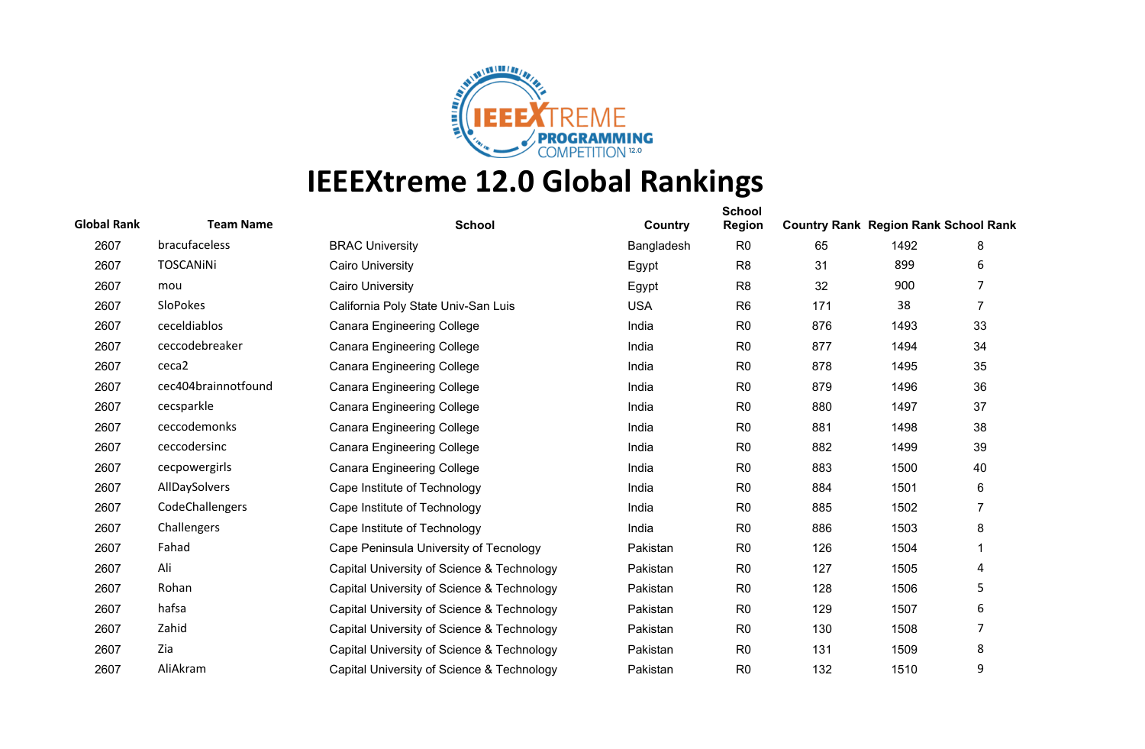

| <b>Global Rank</b> | <b>Team Name</b>    | <b>School</b>                              | Country    | <b>School</b><br><b>Region</b> | <b>Country Rank Region Rank School Rank</b> |      |                |
|--------------------|---------------------|--------------------------------------------|------------|--------------------------------|---------------------------------------------|------|----------------|
| 2607               | bracufaceless       | <b>BRAC University</b>                     | Bangladesh | R <sub>0</sub>                 | 65                                          | 1492 | 8              |
| 2607               | <b>TOSCANINI</b>    | <b>Cairo University</b>                    | Egypt      | R <sub>8</sub>                 | 31                                          | 899  | 6              |
| 2607               | mou                 | <b>Cairo University</b>                    | Egypt      | R <sub>8</sub>                 | 32                                          | 900  | 7              |
| 2607               | SloPokes            | California Poly State Univ-San Luis        | <b>USA</b> | R <sub>6</sub>                 | 171                                         | 38   | $\overline{7}$ |
| 2607               | ceceldiablos        | <b>Canara Engineering College</b>          | India      | R <sub>0</sub>                 | 876                                         | 1493 | 33             |
| 2607               | ceccodebreaker      | <b>Canara Engineering College</b>          | India      | R <sub>0</sub>                 | 877                                         | 1494 | 34             |
| 2607               | ceca2               | <b>Canara Engineering College</b>          | India      | R <sub>0</sub>                 | 878                                         | 1495 | 35             |
| 2607               | cec404brainnotfound | <b>Canara Engineering College</b>          | India      | R <sub>0</sub>                 | 879                                         | 1496 | 36             |
| 2607               | cecsparkle          | <b>Canara Engineering College</b>          | India      | R <sub>0</sub>                 | 880                                         | 1497 | 37             |
| 2607               | ceccodemonks        | <b>Canara Engineering College</b>          | India      | R <sub>0</sub>                 | 881                                         | 1498 | 38             |
| 2607               | ceccodersinc        | <b>Canara Engineering College</b>          | India      | R <sub>0</sub>                 | 882                                         | 1499 | 39             |
| 2607               | cecpowergirls       | <b>Canara Engineering College</b>          | India      | R <sub>0</sub>                 | 883                                         | 1500 | 40             |
| 2607               | AllDaySolvers       | Cape Institute of Technology               | India      | R <sub>0</sub>                 | 884                                         | 1501 | 6              |
| 2607               | CodeChallengers     | Cape Institute of Technology               | India      | R <sub>0</sub>                 | 885                                         | 1502 | 7              |
| 2607               | Challengers         | Cape Institute of Technology               | India      | R <sub>0</sub>                 | 886                                         | 1503 | 8              |
| 2607               | Fahad               | Cape Peninsula University of Tecnology     | Pakistan   | R <sub>0</sub>                 | 126                                         | 1504 |                |
| 2607               | Ali                 | Capital University of Science & Technology | Pakistan   | R <sub>0</sub>                 | 127                                         | 1505 | 4              |
| 2607               | Rohan               | Capital University of Science & Technology | Pakistan   | R <sub>0</sub>                 | 128                                         | 1506 | 5              |
| 2607               | hafsa               | Capital University of Science & Technology | Pakistan   | R <sub>0</sub>                 | 129                                         | 1507 | 6              |
| 2607               | Zahid               | Capital University of Science & Technology | Pakistan   | R <sub>0</sub>                 | 130                                         | 1508 | 7              |
| 2607               | Zia                 | Capital University of Science & Technology | Pakistan   | R <sub>0</sub>                 | 131                                         | 1509 | 8              |
| 2607               | AliAkram            | Capital University of Science & Technology | Pakistan   | R <sub>0</sub>                 | 132                                         | 1510 | 9              |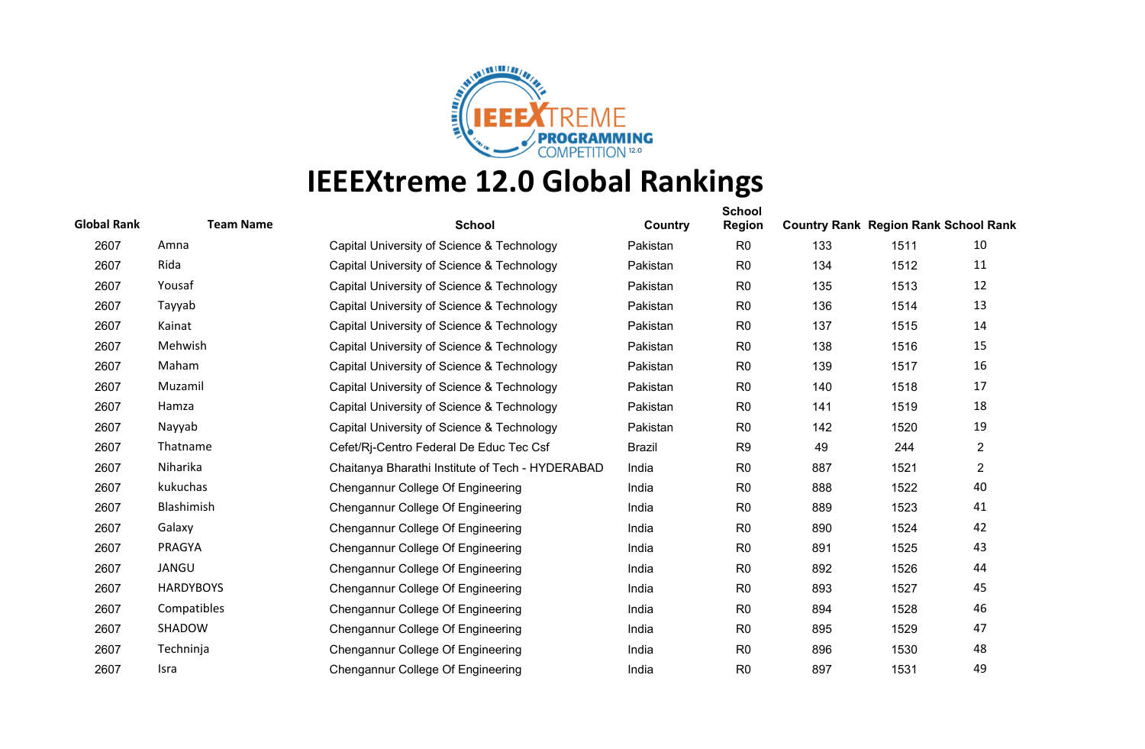

| <b>Global Rank</b> | <b>Team Name</b> | <b>School</b>                                    | Country       | <b>School</b><br><b>Region</b> | <b>Country Rank Region Rank School Rank</b> |      |                |
|--------------------|------------------|--------------------------------------------------|---------------|--------------------------------|---------------------------------------------|------|----------------|
| 2607               | Amna             | Capital University of Science & Technology       | Pakistan      | R <sub>0</sub>                 | 133                                         | 1511 | 10             |
| 2607               | Rida             | Capital University of Science & Technology       | Pakistan      | R <sub>0</sub>                 | 134                                         | 1512 | 11             |
| 2607               | Yousaf           | Capital University of Science & Technology       | Pakistan      | R <sub>0</sub>                 | 135                                         | 1513 | 12             |
| 2607               | Tayyab           | Capital University of Science & Technology       | Pakistan      | R <sub>0</sub>                 | 136                                         | 1514 | 13             |
| 2607               | Kainat           | Capital University of Science & Technology       | Pakistan      | R <sub>0</sub>                 | 137                                         | 1515 | 14             |
| 2607               | Mehwish          | Capital University of Science & Technology       | Pakistan      | R <sub>0</sub>                 | 138                                         | 1516 | 15             |
| 2607               | Maham            | Capital University of Science & Technology       | Pakistan      | R <sub>0</sub>                 | 139                                         | 1517 | 16             |
| 2607               | Muzamil          | Capital University of Science & Technology       | Pakistan      | R <sub>0</sub>                 | 140                                         | 1518 | 17             |
| 2607               | Hamza            | Capital University of Science & Technology       | Pakistan      | R <sub>0</sub>                 | 141                                         | 1519 | 18             |
| 2607               | Nayyab           | Capital University of Science & Technology       | Pakistan      | R <sub>0</sub>                 | 142                                         | 1520 | 19             |
| 2607               | Thatname         | Cefet/Rj-Centro Federal De Educ Tec Csf          | <b>Brazil</b> | R <sub>9</sub>                 | 49                                          | 244  | $\overline{2}$ |
| 2607               | Niharika         | Chaitanya Bharathi Institute of Tech - HYDERABAD | India         | R <sub>0</sub>                 | 887                                         | 1521 | $\overline{2}$ |
| 2607               | kukuchas         | Chengannur College Of Engineering                | India         | R <sub>0</sub>                 | 888                                         | 1522 | 40             |
| 2607               | Blashimish       | Chengannur College Of Engineering                | India         | R <sub>0</sub>                 | 889                                         | 1523 | 41             |
| 2607               | Galaxy           | Chengannur College Of Engineering                | India         | R <sub>0</sub>                 | 890                                         | 1524 | 42             |
| 2607               | PRAGYA           | Chengannur College Of Engineering                | India         | R <sub>0</sub>                 | 891                                         | 1525 | 43             |
| 2607               | JANGU            | Chengannur College Of Engineering                | India         | R <sub>0</sub>                 | 892                                         | 1526 | 44             |
| 2607               | <b>HARDYBOYS</b> | Chengannur College Of Engineering                | India         | R <sub>0</sub>                 | 893                                         | 1527 | 45             |
| 2607               | Compatibles      | Chengannur College Of Engineering                | India         | R <sub>0</sub>                 | 894                                         | 1528 | 46             |
| 2607               | SHADOW           | Chengannur College Of Engineering                | India         | R <sub>0</sub>                 | 895                                         | 1529 | 47             |
| 2607               | Techninja        | Chengannur College Of Engineering                | India         | R <sub>0</sub>                 | 896                                         | 1530 | 48             |
| 2607               | Isra             | Chengannur College Of Engineering                | India         | R <sub>0</sub>                 | 897                                         | 1531 | 49             |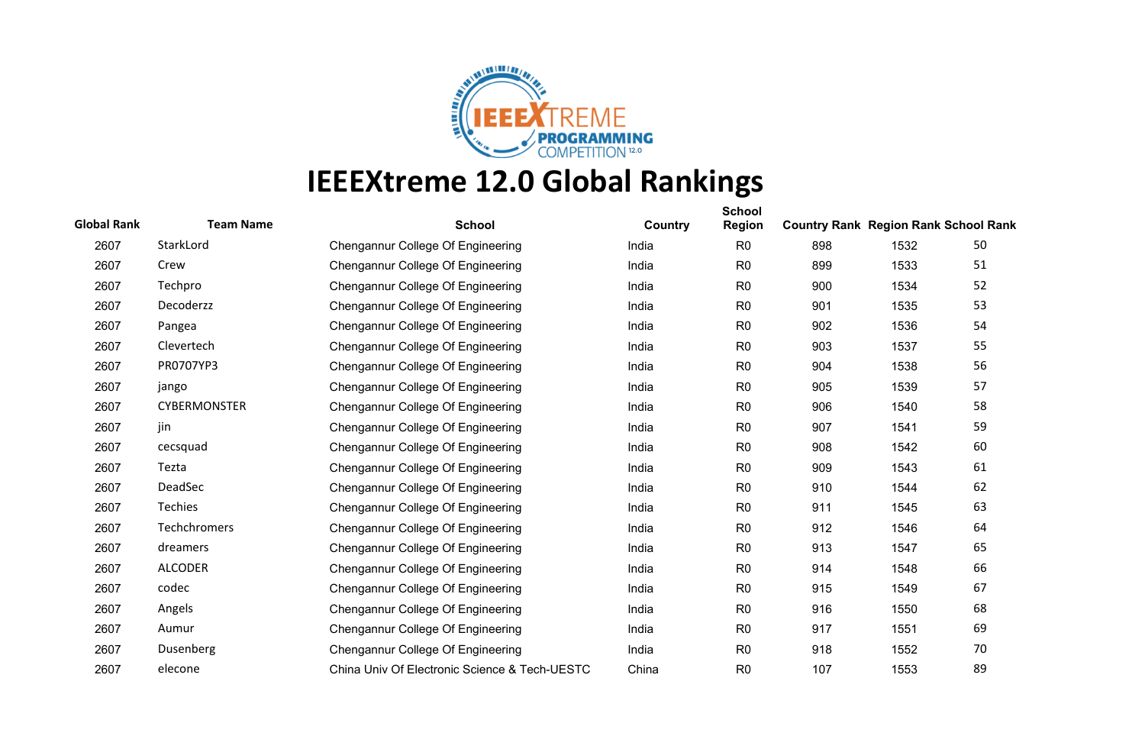

| <b>Global Rank</b> | <b>Team Name</b>    | <b>School</b>                                 | Country | <b>School</b><br><b>Region</b> | <b>Country Rank Region Rank School Rank</b> |      |    |
|--------------------|---------------------|-----------------------------------------------|---------|--------------------------------|---------------------------------------------|------|----|
| 2607               | StarkLord           | Chengannur College Of Engineering             | India   | R <sub>0</sub>                 | 898                                         | 1532 | 50 |
| 2607               | Crew                | Chengannur College Of Engineering             | India   | R <sub>0</sub>                 | 899                                         | 1533 | 51 |
| 2607               | Techpro             | Chengannur College Of Engineering             | India   | R <sub>0</sub>                 | 900                                         | 1534 | 52 |
| 2607               | Decoderzz           | Chengannur College Of Engineering             | India   | R <sub>0</sub>                 | 901                                         | 1535 | 53 |
| 2607               | Pangea              | Chengannur College Of Engineering             | India   | R <sub>0</sub>                 | 902                                         | 1536 | 54 |
| 2607               | Clevertech          | Chengannur College Of Engineering             | India   | R <sub>0</sub>                 | 903                                         | 1537 | 55 |
| 2607               | PR0707YP3           | Chengannur College Of Engineering             | India   | R <sub>0</sub>                 | 904                                         | 1538 | 56 |
| 2607               | jango               | Chengannur College Of Engineering             | India   | R <sub>0</sub>                 | 905                                         | 1539 | 57 |
| 2607               | <b>CYBERMONSTER</b> | Chengannur College Of Engineering             | India   | R <sub>0</sub>                 | 906                                         | 1540 | 58 |
| 2607               | jin                 | Chengannur College Of Engineering             | India   | R <sub>0</sub>                 | 907                                         | 1541 | 59 |
| 2607               | cecsquad            | Chengannur College Of Engineering             | India   | R <sub>0</sub>                 | 908                                         | 1542 | 60 |
| 2607               | Tezta               | Chengannur College Of Engineering             | India   | R <sub>0</sub>                 | 909                                         | 1543 | 61 |
| 2607               | DeadSec             | Chengannur College Of Engineering             | India   | R <sub>0</sub>                 | 910                                         | 1544 | 62 |
| 2607               | Techies             | Chengannur College Of Engineering             | India   | R <sub>0</sub>                 | 911                                         | 1545 | 63 |
| 2607               | Techchromers        | Chengannur College Of Engineering             | India   | R <sub>0</sub>                 | 912                                         | 1546 | 64 |
| 2607               | dreamers            | Chengannur College Of Engineering             | India   | R <sub>0</sub>                 | 913                                         | 1547 | 65 |
| 2607               | <b>ALCODER</b>      | Chengannur College Of Engineering             | India   | R <sub>0</sub>                 | 914                                         | 1548 | 66 |
| 2607               | codec               | Chengannur College Of Engineering             | India   | R <sub>0</sub>                 | 915                                         | 1549 | 67 |
| 2607               | Angels              | Chengannur College Of Engineering             | India   | R <sub>0</sub>                 | 916                                         | 1550 | 68 |
| 2607               | Aumur               | Chengannur College Of Engineering             | India   | R <sub>0</sub>                 | 917                                         | 1551 | 69 |
| 2607               | Dusenberg           | Chengannur College Of Engineering             | India   | R <sub>0</sub>                 | 918                                         | 1552 | 70 |
| 2607               | elecone             | China Univ Of Electronic Science & Tech-UESTC | China   | R <sub>0</sub>                 | 107                                         | 1553 | 89 |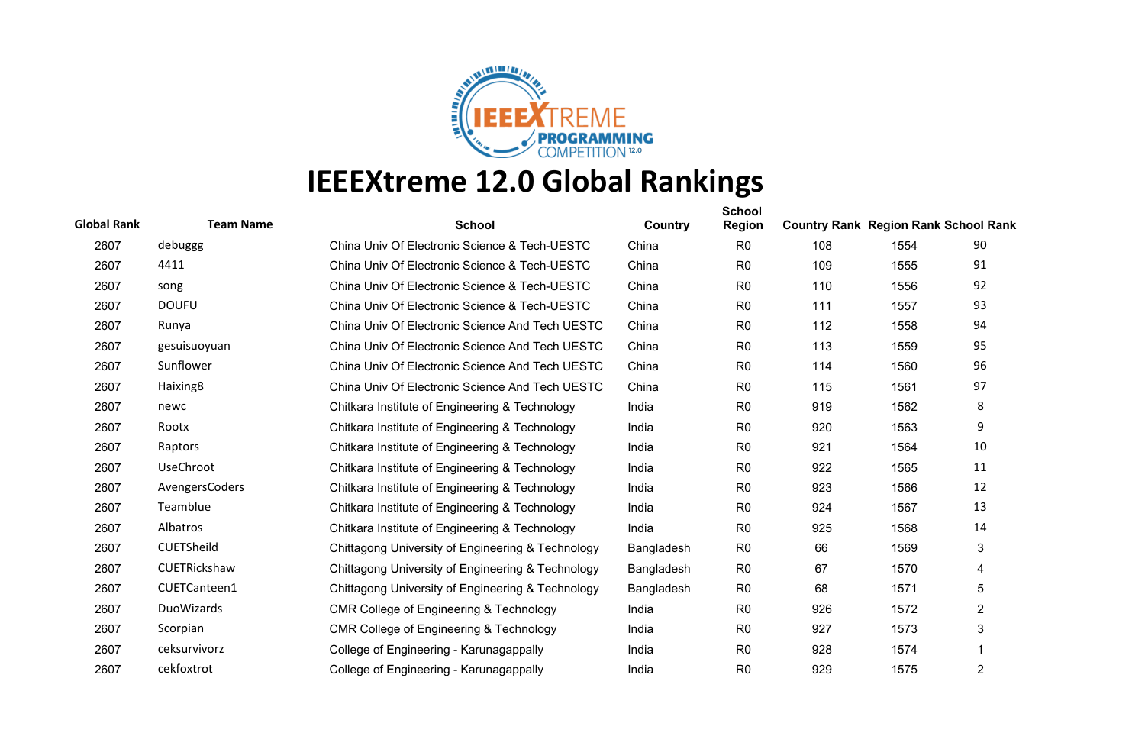

| <b>Global Rank</b> | <b>Team Name</b> | <b>School</b>                                      | Country    | <b>School</b><br><b>Region</b> | <b>Country Rank Region Rank School Rank</b> |      |                |
|--------------------|------------------|----------------------------------------------------|------------|--------------------------------|---------------------------------------------|------|----------------|
| 2607               | debuggg          | China Univ Of Electronic Science & Tech-UESTC      | China      | R <sub>0</sub>                 | 108                                         | 1554 | 90             |
| 2607               | 4411             | China Univ Of Electronic Science & Tech-UESTC      | China      | R <sub>0</sub>                 | 109                                         | 1555 | 91             |
| 2607               | song             | China Univ Of Electronic Science & Tech-UESTC      | China      | R <sub>0</sub>                 | 110                                         | 1556 | 92             |
| 2607               | <b>DOUFU</b>     | China Univ Of Electronic Science & Tech-UESTC      | China      | R <sub>0</sub>                 | 111                                         | 1557 | 93             |
| 2607               | Runya            | China Univ Of Electronic Science And Tech UESTC    | China      | R <sub>0</sub>                 | 112                                         | 1558 | 94             |
| 2607               | gesuisuoyuan     | China Univ Of Electronic Science And Tech UESTC    | China      | R <sub>0</sub>                 | 113                                         | 1559 | 95             |
| 2607               | Sunflower        | China Univ Of Electronic Science And Tech UESTC    | China      | R <sub>0</sub>                 | 114                                         | 1560 | 96             |
| 2607               | Haixing8         | China Univ Of Electronic Science And Tech UESTC    | China      | R <sub>0</sub>                 | 115                                         | 1561 | 97             |
| 2607               | newc             | Chitkara Institute of Engineering & Technology     | India      | R <sub>0</sub>                 | 919                                         | 1562 | 8              |
| 2607               | Rootx            | Chitkara Institute of Engineering & Technology     | India      | R <sub>0</sub>                 | 920                                         | 1563 | 9              |
| 2607               | Raptors          | Chitkara Institute of Engineering & Technology     | India      | R <sub>0</sub>                 | 921                                         | 1564 | 10             |
| 2607               | UseChroot        | Chitkara Institute of Engineering & Technology     | India      | R <sub>0</sub>                 | 922                                         | 1565 | 11             |
| 2607               | AvengersCoders   | Chitkara Institute of Engineering & Technology     | India      | R <sub>0</sub>                 | 923                                         | 1566 | 12             |
| 2607               | Teamblue         | Chitkara Institute of Engineering & Technology     | India      | R <sub>0</sub>                 | 924                                         | 1567 | 13             |
| 2607               | Albatros         | Chitkara Institute of Engineering & Technology     | India      | R <sub>0</sub>                 | 925                                         | 1568 | 14             |
| 2607               | CUETSheild       | Chittagong University of Engineering & Technology  | Bangladesh | R <sub>0</sub>                 | 66                                          | 1569 | 3              |
| 2607               | CUETRickshaw     | Chittagong University of Engineering & Technology  | Bangladesh | R <sub>0</sub>                 | 67                                          | 1570 | 4              |
| 2607               | CUETCanteen1     | Chittagong University of Engineering & Technology  | Bangladesh | R <sub>0</sub>                 | 68                                          | 1571 | 5              |
| 2607               | DuoWizards       | <b>CMR College of Engineering &amp; Technology</b> | India      | R <sub>0</sub>                 | 926                                         | 1572 | $\overline{c}$ |
| 2607               | Scorpian         | CMR College of Engineering & Technology            | India      | R <sub>0</sub>                 | 927                                         | 1573 | 3              |
| 2607               | ceksurvivorz     | College of Engineering - Karunagappally            | India      | R <sub>0</sub>                 | 928                                         | 1574 | 1              |
| 2607               | cekfoxtrot       | College of Engineering - Karunagappally            | India      | R <sub>0</sub>                 | 929                                         | 1575 | 2              |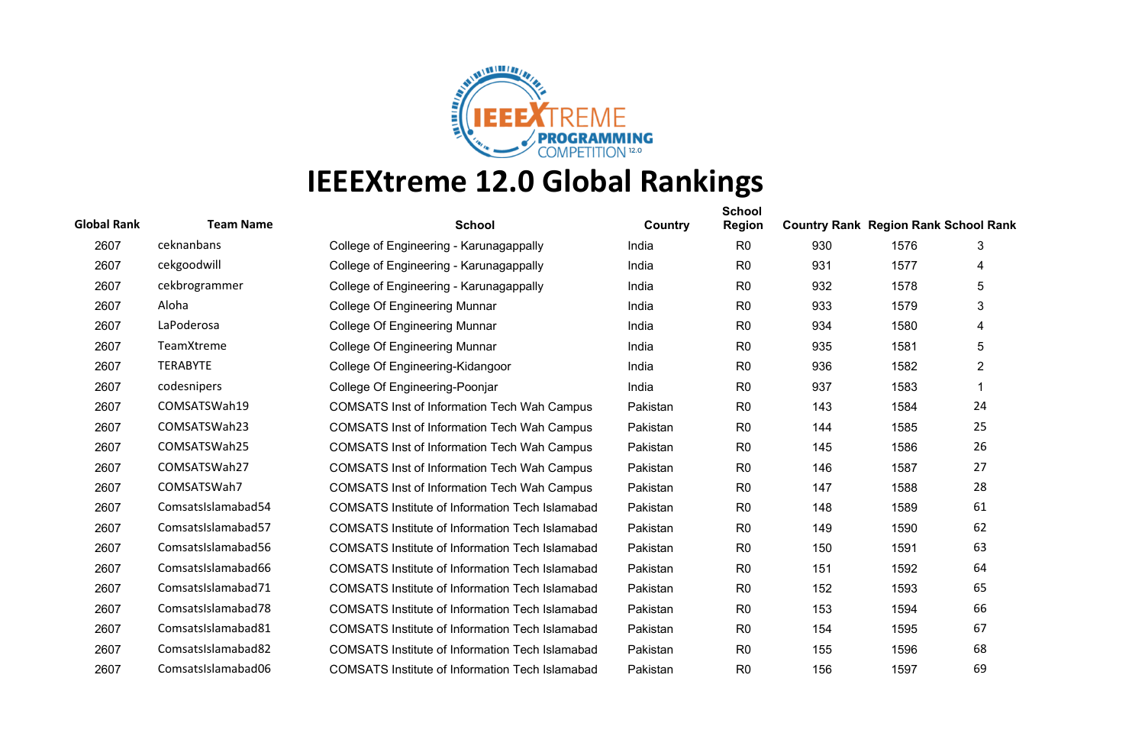

| <b>Global Rank</b> | <b>Team Name</b>   | <b>School</b>                                          | Country  | <b>School</b><br><b>Region</b> | <b>Country Rank Region Rank School Rank</b> |      |                |
|--------------------|--------------------|--------------------------------------------------------|----------|--------------------------------|---------------------------------------------|------|----------------|
| 2607               | ceknanbans         | College of Engineering - Karunagappally                | India    | R <sub>0</sub>                 | 930                                         | 1576 | 3              |
| 2607               | cekgoodwill        | College of Engineering - Karunagappally                | India    | R <sub>0</sub>                 | 931                                         | 1577 | 4              |
| 2607               | cekbrogrammer      | College of Engineering - Karunagappally                | India    | R <sub>0</sub>                 | 932                                         | 1578 | 5              |
| 2607               | Aloha              | College Of Engineering Munnar                          | India    | R <sub>0</sub>                 | 933                                         | 1579 | 3              |
| 2607               | LaPoderosa         | College Of Engineering Munnar                          | India    | R <sub>0</sub>                 | 934                                         | 1580 | 4              |
| 2607               | TeamXtreme         | <b>College Of Engineering Munnar</b>                   | India    | R <sub>0</sub>                 | 935                                         | 1581 | 5              |
| 2607               | <b>TERABYTE</b>    | College Of Engineering-Kidangoor                       | India    | R <sub>0</sub>                 | 936                                         | 1582 | $\overline{2}$ |
| 2607               | codesnipers        | College Of Engineering-Poonjar                         | India    | R <sub>0</sub>                 | 937                                         | 1583 | 1              |
| 2607               | COMSATSWah19       | <b>COMSATS Inst of Information Tech Wah Campus</b>     | Pakistan | R <sub>0</sub>                 | 143                                         | 1584 | 24             |
| 2607               | COMSATSWah23       | <b>COMSATS Inst of Information Tech Wah Campus</b>     | Pakistan | R <sub>0</sub>                 | 144                                         | 1585 | 25             |
| 2607               | COMSATSWah25       | <b>COMSATS Inst of Information Tech Wah Campus</b>     | Pakistan | R <sub>0</sub>                 | 145                                         | 1586 | 26             |
| 2607               | COMSATSWah27       | <b>COMSATS Inst of Information Tech Wah Campus</b>     | Pakistan | R <sub>0</sub>                 | 146                                         | 1587 | 27             |
| 2607               | COMSATSWah7        | <b>COMSATS Inst of Information Tech Wah Campus</b>     | Pakistan | R <sub>0</sub>                 | 147                                         | 1588 | 28             |
| 2607               | ComsatsIslamabad54 | <b>COMSATS Institute of Information Tech Islamabad</b> | Pakistan | R <sub>0</sub>                 | 148                                         | 1589 | 61             |
| 2607               | ComsatsIslamabad57 | COMSATS Institute of Information Tech Islamabad        | Pakistan | R <sub>0</sub>                 | 149                                         | 1590 | 62             |
| 2607               | ComsatsIslamabad56 | <b>COMSATS Institute of Information Tech Islamabad</b> | Pakistan | R <sub>0</sub>                 | 150                                         | 1591 | 63             |
| 2607               | ComsatsIslamabad66 | <b>COMSATS Institute of Information Tech Islamabad</b> | Pakistan | R <sub>0</sub>                 | 151                                         | 1592 | 64             |
| 2607               | ComsatsIslamabad71 | <b>COMSATS Institute of Information Tech Islamabad</b> | Pakistan | R <sub>0</sub>                 | 152                                         | 1593 | 65             |
| 2607               | ComsatsIslamabad78 | <b>COMSATS Institute of Information Tech Islamabad</b> | Pakistan | R <sub>0</sub>                 | 153                                         | 1594 | 66             |
| 2607               | ComsatsIslamabad81 | <b>COMSATS Institute of Information Tech Islamabad</b> | Pakistan | R <sub>0</sub>                 | 154                                         | 1595 | 67             |
| 2607               | ComsatsIslamabad82 | <b>COMSATS Institute of Information Tech Islamabad</b> | Pakistan | R <sub>0</sub>                 | 155                                         | 1596 | 68             |
| 2607               | ComsatsIslamabad06 | <b>COMSATS Institute of Information Tech Islamabad</b> | Pakistan | R <sub>0</sub>                 | 156                                         | 1597 | 69             |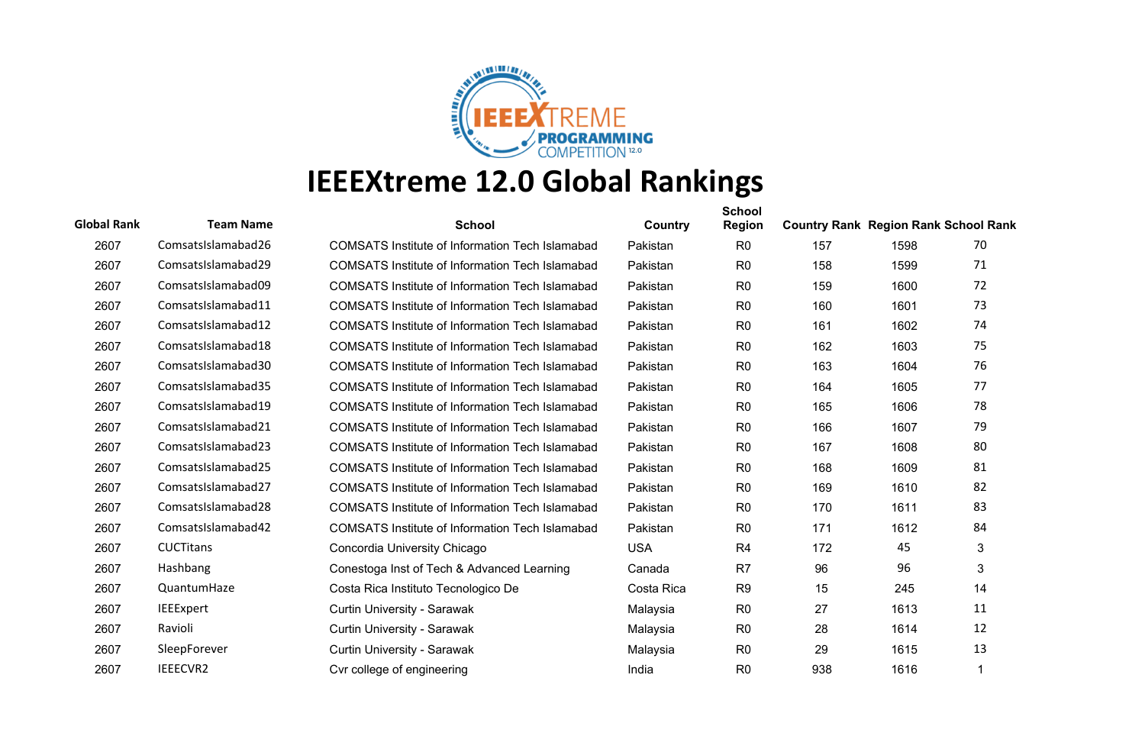

| <b>Global Rank</b> | <b>Team Name</b>   | <b>School</b>                                          | <b>Country</b> | <b>School</b><br><b>Region</b> | <b>Country Rank Region Rank School Rank</b> |      |    |
|--------------------|--------------------|--------------------------------------------------------|----------------|--------------------------------|---------------------------------------------|------|----|
| 2607               | ComsatsIslamabad26 | <b>COMSATS Institute of Information Tech Islamabad</b> | Pakistan       | R <sub>0</sub>                 | 157                                         | 1598 | 70 |
| 2607               | ComsatsIslamabad29 | <b>COMSATS Institute of Information Tech Islamabad</b> | Pakistan       | R <sub>0</sub>                 | 158                                         | 1599 | 71 |
| 2607               | ComsatsIslamabad09 | <b>COMSATS Institute of Information Tech Islamabad</b> | Pakistan       | R <sub>0</sub>                 | 159                                         | 1600 | 72 |
| 2607               | ComsatsIslamabad11 | <b>COMSATS Institute of Information Tech Islamabad</b> | Pakistan       | R <sub>0</sub>                 | 160                                         | 1601 | 73 |
| 2607               | ComsatsIslamabad12 | <b>COMSATS Institute of Information Tech Islamabad</b> | Pakistan       | R <sub>0</sub>                 | 161                                         | 1602 | 74 |
| 2607               | ComsatsIslamabad18 | <b>COMSATS Institute of Information Tech Islamabad</b> | Pakistan       | R <sub>0</sub>                 | 162                                         | 1603 | 75 |
| 2607               | ComsatsIslamabad30 | <b>COMSATS Institute of Information Tech Islamabad</b> | Pakistan       | R <sub>0</sub>                 | 163                                         | 1604 | 76 |
| 2607               | ComsatsIslamabad35 | <b>COMSATS Institute of Information Tech Islamabad</b> | Pakistan       | R <sub>0</sub>                 | 164                                         | 1605 | 77 |
| 2607               | ComsatsIslamabad19 | <b>COMSATS Institute of Information Tech Islamabad</b> | Pakistan       | R <sub>0</sub>                 | 165                                         | 1606 | 78 |
| 2607               | ComsatsIslamabad21 | <b>COMSATS Institute of Information Tech Islamabad</b> | Pakistan       | R <sub>0</sub>                 | 166                                         | 1607 | 79 |
| 2607               | ComsatsIslamabad23 | <b>COMSATS Institute of Information Tech Islamabad</b> | Pakistan       | R <sub>0</sub>                 | 167                                         | 1608 | 80 |
| 2607               | ComsatsIslamabad25 | <b>COMSATS Institute of Information Tech Islamabad</b> | Pakistan       | R <sub>0</sub>                 | 168                                         | 1609 | 81 |
| 2607               | ComsatsIslamabad27 | <b>COMSATS Institute of Information Tech Islamabad</b> | Pakistan       | R <sub>0</sub>                 | 169                                         | 1610 | 82 |
| 2607               | ComsatsIslamabad28 | <b>COMSATS Institute of Information Tech Islamabad</b> | Pakistan       | R <sub>0</sub>                 | 170                                         | 1611 | 83 |
| 2607               | ComsatsIslamabad42 | <b>COMSATS Institute of Information Tech Islamabad</b> | Pakistan       | R <sub>0</sub>                 | 171                                         | 1612 | 84 |
| 2607               | <b>CUCTitans</b>   | Concordia University Chicago                           | <b>USA</b>     | R <sub>4</sub>                 | 172                                         | 45   | 3  |
| 2607               | Hashbang           | Conestoga Inst of Tech & Advanced Learning             | Canada         | R <sub>7</sub>                 | 96                                          | 96   | 3  |
| 2607               | QuantumHaze        | Costa Rica Instituto Tecnologico De                    | Costa Rica     | R <sub>9</sub>                 | 15                                          | 245  | 14 |
| 2607               | <b>IEEExpert</b>   | Curtin University - Sarawak                            | Malaysia       | R <sub>0</sub>                 | 27                                          | 1613 | 11 |
| 2607               | Ravioli            | Curtin University - Sarawak                            | Malaysia       | R <sub>0</sub>                 | 28                                          | 1614 | 12 |
| 2607               | SleepForever       | Curtin University - Sarawak                            | Malaysia       | R <sub>0</sub>                 | 29                                          | 1615 | 13 |
| 2607               | IEEECVR2           | Cvr college of engineering                             | India          | R <sub>0</sub>                 | 938                                         | 1616 |    |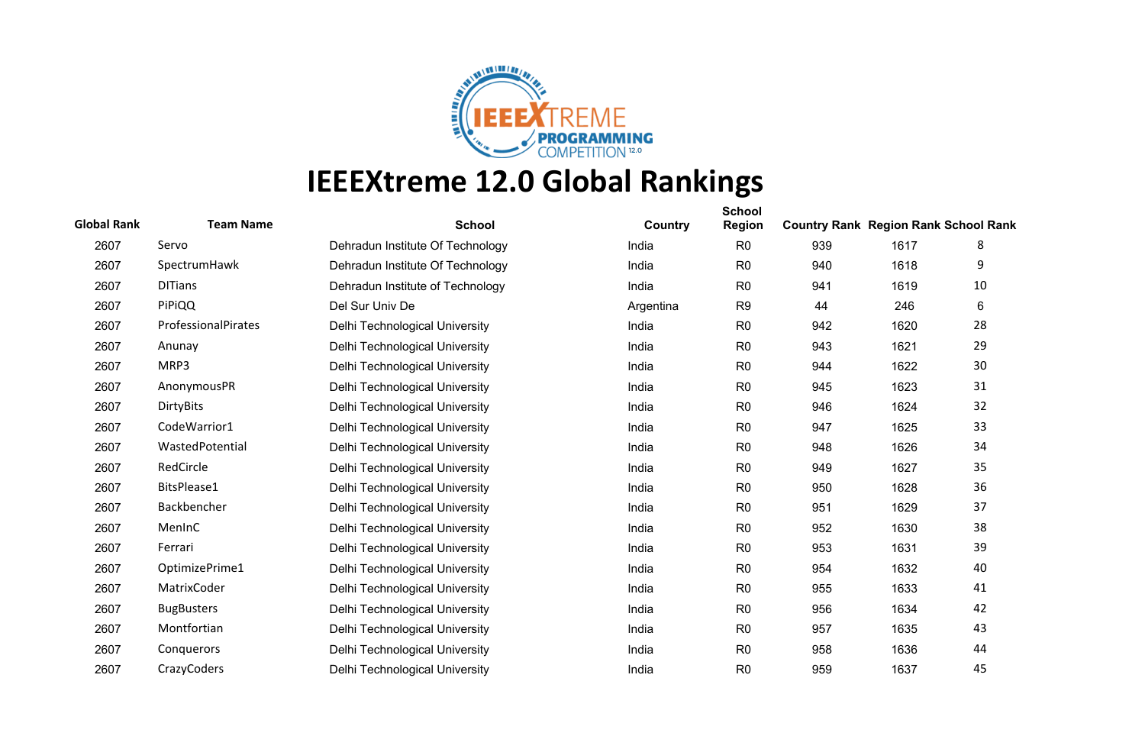

| <b>Global Rank</b> | <b>Team Name</b>    | <b>School</b>                    | Country   | <b>School</b><br><b>Region</b> | <b>Country Rank Region Rank School Rank</b> |      |    |
|--------------------|---------------------|----------------------------------|-----------|--------------------------------|---------------------------------------------|------|----|
| 2607               | Servo               | Dehradun Institute Of Technology | India     | R <sub>0</sub>                 | 939                                         | 1617 | 8  |
| 2607               | SpectrumHawk        | Dehradun Institute Of Technology | India     | R <sub>0</sub>                 | 940                                         | 1618 | 9  |
| 2607               | <b>DITians</b>      | Dehradun Institute of Technology | India     | R <sub>0</sub>                 | 941                                         | 1619 | 10 |
| 2607               | PiPiQQ              | Del Sur Univ De                  | Argentina | R <sub>9</sub>                 | 44                                          | 246  | 6  |
| 2607               | ProfessionalPirates | Delhi Technological University   | India     | R <sub>0</sub>                 | 942                                         | 1620 | 28 |
| 2607               | Anunay              | Delhi Technological University   | India     | R <sub>0</sub>                 | 943                                         | 1621 | 29 |
| 2607               | MRP3                | Delhi Technological University   | India     | R <sub>0</sub>                 | 944                                         | 1622 | 30 |
| 2607               | AnonymousPR         | Delhi Technological University   | India     | R <sub>0</sub>                 | 945                                         | 1623 | 31 |
| 2607               | <b>DirtyBits</b>    | Delhi Technological University   | India     | R <sub>0</sub>                 | 946                                         | 1624 | 32 |
| 2607               | CodeWarrior1        | Delhi Technological University   | India     | R <sub>0</sub>                 | 947                                         | 1625 | 33 |
| 2607               | WastedPotential     | Delhi Technological University   | India     | R <sub>0</sub>                 | 948                                         | 1626 | 34 |
| 2607               | RedCircle           | Delhi Technological University   | India     | R <sub>0</sub>                 | 949                                         | 1627 | 35 |
| 2607               | BitsPlease1         | Delhi Technological University   | India     | R <sub>0</sub>                 | 950                                         | 1628 | 36 |
| 2607               | Backbencher         | Delhi Technological University   | India     | R <sub>0</sub>                 | 951                                         | 1629 | 37 |
| 2607               | MenInC              | Delhi Technological University   | India     | R <sub>0</sub>                 | 952                                         | 1630 | 38 |
| 2607               | Ferrari             | Delhi Technological University   | India     | R <sub>0</sub>                 | 953                                         | 1631 | 39 |
| 2607               | OptimizePrime1      | Delhi Technological University   | India     | R <sub>0</sub>                 | 954                                         | 1632 | 40 |
| 2607               | MatrixCoder         | Delhi Technological University   | India     | R <sub>0</sub>                 | 955                                         | 1633 | 41 |
| 2607               | <b>BugBusters</b>   | Delhi Technological University   | India     | R <sub>0</sub>                 | 956                                         | 1634 | 42 |
| 2607               | Montfortian         | Delhi Technological University   | India     | R <sub>0</sub>                 | 957                                         | 1635 | 43 |
| 2607               | Conquerors          | Delhi Technological University   | India     | R <sub>0</sub>                 | 958                                         | 1636 | 44 |
| 2607               | CrazyCoders         | Delhi Technological University   | India     | R <sub>0</sub>                 | 959                                         | 1637 | 45 |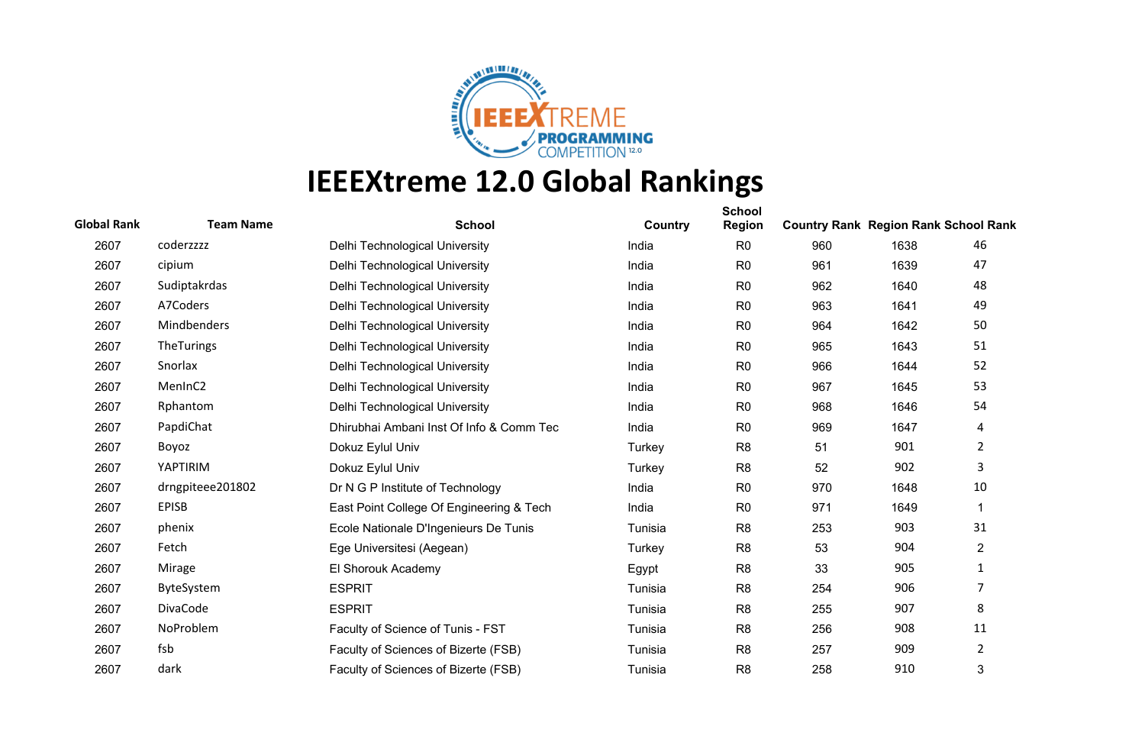

| <b>Global Rank</b> | <b>Team Name</b>   | <b>School</b>                            | Country | <b>School</b><br><b>Region</b> | <b>Country Rank Region Rank School Rank</b> |      |                |
|--------------------|--------------------|------------------------------------------|---------|--------------------------------|---------------------------------------------|------|----------------|
| 2607               | coderzzzz          | Delhi Technological University           | India   | R <sub>0</sub>                 | 960                                         | 1638 | 46             |
| 2607               | cipium             | Delhi Technological University           | India   | R <sub>0</sub>                 | 961                                         | 1639 | 47             |
| 2607               | Sudiptakrdas       | Delhi Technological University           | India   | R <sub>0</sub>                 | 962                                         | 1640 | 48             |
| 2607               | A7Coders           | Delhi Technological University           | India   | R <sub>0</sub>                 | 963                                         | 1641 | 49             |
| 2607               | <b>Mindbenders</b> | Delhi Technological University           | India   | R <sub>0</sub>                 | 964                                         | 1642 | 50             |
| 2607               | TheTurings         | Delhi Technological University           | India   | R <sub>0</sub>                 | 965                                         | 1643 | 51             |
| 2607               | Snorlax            | Delhi Technological University           | India   | R <sub>0</sub>                 | 966                                         | 1644 | 52             |
| 2607               | MenInC2            | Delhi Technological University           | India   | R <sub>0</sub>                 | 967                                         | 1645 | 53             |
| 2607               | Rphantom           | Delhi Technological University           | India   | R <sub>0</sub>                 | 968                                         | 1646 | 54             |
| 2607               | PapdiChat          | Dhirubhai Ambani Inst Of Info & Comm Tec | India   | R <sub>0</sub>                 | 969                                         | 1647 | 4              |
| 2607               | Boyoz              | Dokuz Eylul Univ                         | Turkey  | R <sub>8</sub>                 | 51                                          | 901  | $\overline{2}$ |
| 2607               | YAPTIRIM           | Dokuz Eylul Univ                         | Turkey  | R <sub>8</sub>                 | 52                                          | 902  | 3              |
| 2607               | drngpiteee201802   | Dr N G P Institute of Technology         | India   | R <sub>0</sub>                 | 970                                         | 1648 | 10             |
| 2607               | <b>EPISB</b>       | East Point College Of Engineering & Tech | India   | R <sub>0</sub>                 | 971                                         | 1649 | $\mathbf 1$    |
| 2607               | phenix             | Ecole Nationale D'Ingenieurs De Tunis    | Tunisia | R <sub>8</sub>                 | 253                                         | 903  | 31             |
| 2607               | Fetch              | Ege Universitesi (Aegean)                | Turkey  | R <sub>8</sub>                 | 53                                          | 904  | $\overline{2}$ |
| 2607               | Mirage             | El Shorouk Academy                       | Egypt   | R <sub>8</sub>                 | 33                                          | 905  | 1              |
| 2607               | ByteSystem         | <b>ESPRIT</b>                            | Tunisia | R <sub>8</sub>                 | 254                                         | 906  | 7              |
| 2607               | DivaCode           | <b>ESPRIT</b>                            | Tunisia | R <sub>8</sub>                 | 255                                         | 907  | 8              |
| 2607               | NoProblem          | Faculty of Science of Tunis - FST        | Tunisia | R <sub>8</sub>                 | 256                                         | 908  | 11             |
| 2607               | fsb                | Faculty of Sciences of Bizerte (FSB)     | Tunisia | R <sub>8</sub>                 | 257                                         | 909  | 2              |
| 2607               | dark               | Faculty of Sciences of Bizerte (FSB)     | Tunisia | R <sub>8</sub>                 | 258                                         | 910  | 3              |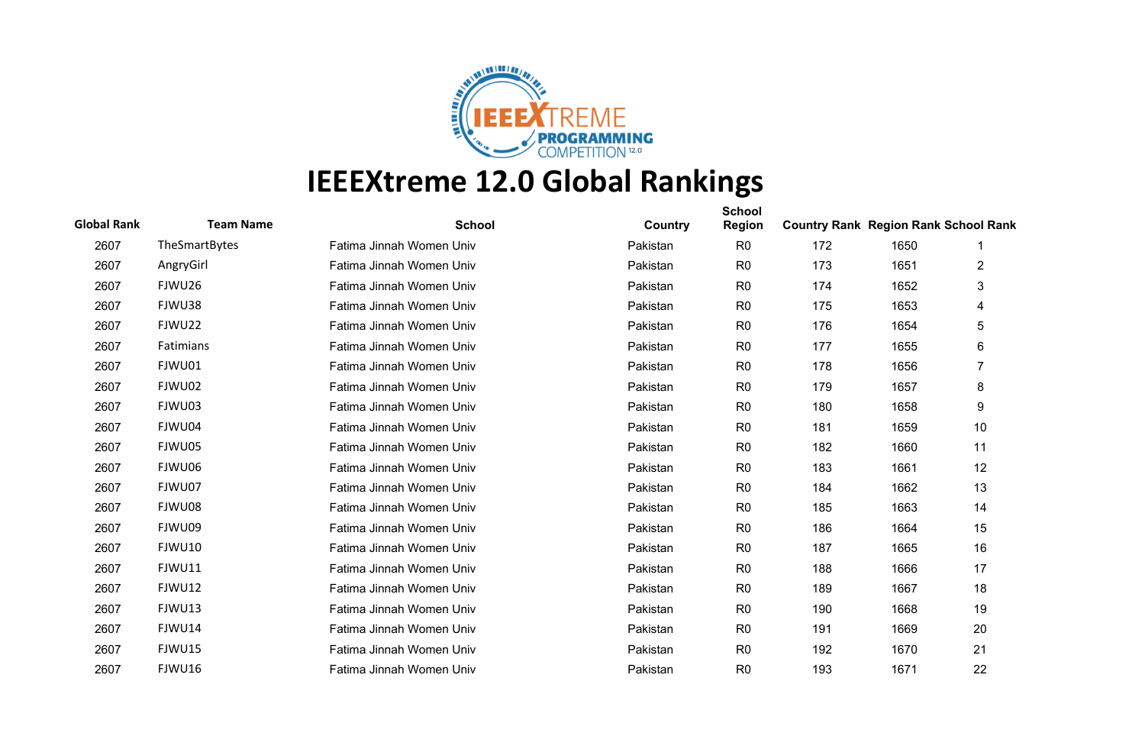

| <b>Global Rank</b> | <b>Team Name</b> | <b>School</b>            | Country  | <b>School</b><br><b>Region</b> | <b>Country Rank Region Rank School Rank</b> |      |    |
|--------------------|------------------|--------------------------|----------|--------------------------------|---------------------------------------------|------|----|
| 2607               | TheSmartBytes    | Fatima Jinnah Women Univ | Pakistan | R <sub>0</sub>                 | 172                                         | 1650 |    |
| 2607               | AngryGirl        | Fatima Jinnah Women Univ | Pakistan | R <sub>0</sub>                 | 173                                         | 1651 | 2  |
| 2607               | FJWU26           | Fatima Jinnah Women Univ | Pakistan | R <sub>0</sub>                 | 174                                         | 1652 | 3  |
| 2607               | FJWU38           | Fatima Jinnah Women Univ | Pakistan | R <sub>0</sub>                 | 175                                         | 1653 | 4  |
| 2607               | FJWU22           | Fatima Jinnah Women Univ | Pakistan | R <sub>0</sub>                 | 176                                         | 1654 | 5  |
| 2607               | Fatimians        | Fatima Jinnah Women Univ | Pakistan | R <sub>0</sub>                 | 177                                         | 1655 | 6  |
| 2607               | FJWU01           | Fatima Jinnah Women Univ | Pakistan | R <sub>0</sub>                 | 178                                         | 1656 |    |
| 2607               | FJWU02           | Fatima Jinnah Women Univ | Pakistan | R <sub>0</sub>                 | 179                                         | 1657 | 8  |
| 2607               | FJWU03           | Fatima Jinnah Women Univ | Pakistan | R <sub>0</sub>                 | 180                                         | 1658 | 9  |
| 2607               | FJWU04           | Fatima Jinnah Women Univ | Pakistan | R <sub>0</sub>                 | 181                                         | 1659 | 10 |
| 2607               | FJWU05           | Fatima Jinnah Women Univ | Pakistan | R <sub>0</sub>                 | 182                                         | 1660 | 11 |
| 2607               | FJWU06           | Fatima Jinnah Women Univ | Pakistan | R <sub>0</sub>                 | 183                                         | 1661 | 12 |
| 2607               | FJWU07           | Fatima Jinnah Women Univ | Pakistan | R <sub>0</sub>                 | 184                                         | 1662 | 13 |
| 2607               | FJWU08           | Fatima Jinnah Women Univ | Pakistan | R <sub>0</sub>                 | 185                                         | 1663 | 14 |
| 2607               | FJWU09           | Fatima Jinnah Women Univ | Pakistan | R <sub>0</sub>                 | 186                                         | 1664 | 15 |
| 2607               | FJWU10           | Fatima Jinnah Women Univ | Pakistan | R <sub>0</sub>                 | 187                                         | 1665 | 16 |
| 2607               | FJWU11           | Fatima Jinnah Women Univ | Pakistan | R <sub>0</sub>                 | 188                                         | 1666 | 17 |
| 2607               | FJWU12           | Fatima Jinnah Women Univ | Pakistan | R <sub>0</sub>                 | 189                                         | 1667 | 18 |
| 2607               | FJWU13           | Fatima Jinnah Women Univ | Pakistan | R <sub>0</sub>                 | 190                                         | 1668 | 19 |
| 2607               | FJWU14           | Fatima Jinnah Women Univ | Pakistan | R <sub>0</sub>                 | 191                                         | 1669 | 20 |
| 2607               | FJWU15           | Fatima Jinnah Women Univ | Pakistan | R <sub>0</sub>                 | 192                                         | 1670 | 21 |
| 2607               | FJWU16           | Fatima Jinnah Women Univ | Pakistan | R <sub>0</sub>                 | 193                                         | 1671 | 22 |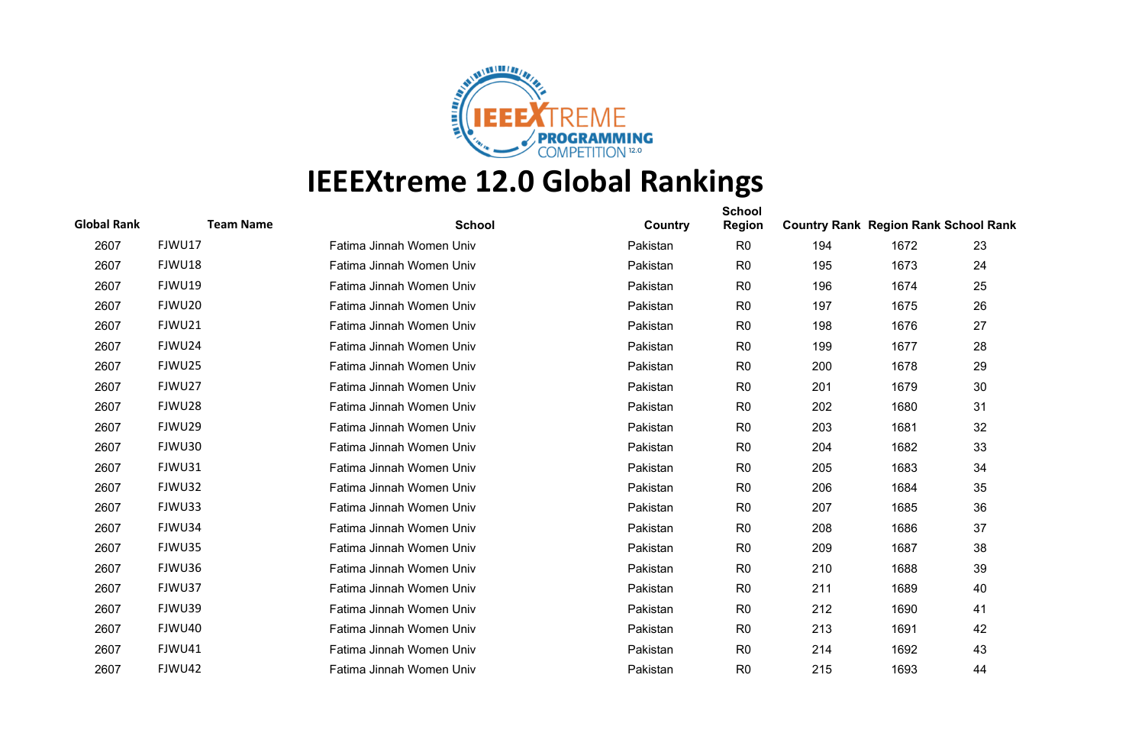

| <b>Global Rank</b> | <b>Team Name</b> | <b>School</b>            | Country  | <b>School</b><br><b>Region</b> | <b>Country Rank Region Rank School Rank</b> |      |    |
|--------------------|------------------|--------------------------|----------|--------------------------------|---------------------------------------------|------|----|
| 2607               | FJWU17           | Fatima Jinnah Women Univ | Pakistan | R <sub>0</sub>                 | 194                                         | 1672 | 23 |
| 2607               | FJWU18           | Fatima Jinnah Women Univ | Pakistan | R <sub>0</sub>                 | 195                                         | 1673 | 24 |
| 2607               | FJWU19           | Fatima Jinnah Women Univ | Pakistan | R <sub>0</sub>                 | 196                                         | 1674 | 25 |
| 2607               | FJWU20           | Fatima Jinnah Women Univ | Pakistan | R <sub>0</sub>                 | 197                                         | 1675 | 26 |
| 2607               | FJWU21           | Fatima Jinnah Women Univ | Pakistan | R <sub>0</sub>                 | 198                                         | 1676 | 27 |
| 2607               | FJWU24           | Fatima Jinnah Women Univ | Pakistan | R <sub>0</sub>                 | 199                                         | 1677 | 28 |
| 2607               | FJWU25           | Fatima Jinnah Women Univ | Pakistan | R <sub>0</sub>                 | 200                                         | 1678 | 29 |
| 2607               | FJWU27           | Fatima Jinnah Women Univ | Pakistan | R <sub>0</sub>                 | 201                                         | 1679 | 30 |
| 2607               | FJWU28           | Fatima Jinnah Women Univ | Pakistan | R <sub>0</sub>                 | 202                                         | 1680 | 31 |
| 2607               | FJWU29           | Fatima Jinnah Women Univ | Pakistan | R <sub>0</sub>                 | 203                                         | 1681 | 32 |
| 2607               | FJWU30           | Fatima Jinnah Women Univ | Pakistan | R <sub>0</sub>                 | 204                                         | 1682 | 33 |
| 2607               | FJWU31           | Fatima Jinnah Women Univ | Pakistan | R <sub>0</sub>                 | 205                                         | 1683 | 34 |
| 2607               | FJWU32           | Fatima Jinnah Women Univ | Pakistan | R <sub>0</sub>                 | 206                                         | 1684 | 35 |
| 2607               | FJWU33           | Fatima Jinnah Women Univ | Pakistan | R <sub>0</sub>                 | 207                                         | 1685 | 36 |
| 2607               | FJWU34           | Fatima Jinnah Women Univ | Pakistan | R <sub>0</sub>                 | 208                                         | 1686 | 37 |
| 2607               | FJWU35           | Fatima Jinnah Women Univ | Pakistan | R <sub>0</sub>                 | 209                                         | 1687 | 38 |
| 2607               | FJWU36           | Fatima Jinnah Women Univ | Pakistan | R <sub>0</sub>                 | 210                                         | 1688 | 39 |
| 2607               | FJWU37           | Fatima Jinnah Women Univ | Pakistan | R <sub>0</sub>                 | 211                                         | 1689 | 40 |
| 2607               | FJWU39           | Fatima Jinnah Women Univ | Pakistan | R <sub>0</sub>                 | 212                                         | 1690 | 41 |
| 2607               | FJWU40           | Fatima Jinnah Women Univ | Pakistan | R <sub>0</sub>                 | 213                                         | 1691 | 42 |
| 2607               | FJWU41           | Fatima Jinnah Women Univ | Pakistan | R <sub>0</sub>                 | 214                                         | 1692 | 43 |
| 2607               | FJWU42           | Fatima Jinnah Women Univ | Pakistan | R <sub>0</sub>                 | 215                                         | 1693 | 44 |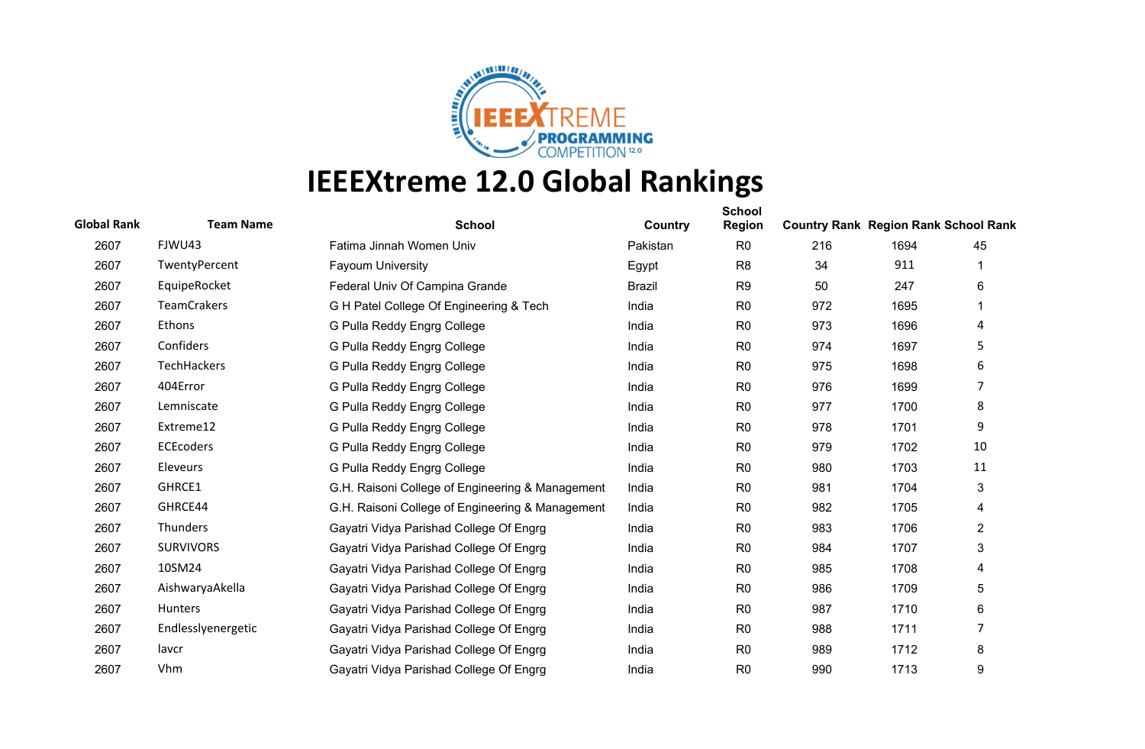

| <b>Global Rank</b> | <b>Team Name</b>   | <b>School</b>                                    | Country       | <b>School</b><br><b>Region</b> | <b>Country Rank Region Rank School Rank</b> |      |                |
|--------------------|--------------------|--------------------------------------------------|---------------|--------------------------------|---------------------------------------------|------|----------------|
| 2607               | FJWU43             | Fatima Jinnah Women Univ                         | Pakistan      | R <sub>0</sub>                 | 216                                         | 1694 | 45             |
| 2607               | TwentyPercent      | <b>Fayoum University</b>                         | Egypt         | R <sub>8</sub>                 | 34                                          | 911  |                |
| 2607               | EquipeRocket       | Federal Univ Of Campina Grande                   | <b>Brazil</b> | R <sub>9</sub>                 | 50                                          | 247  | 6              |
| 2607               | <b>TeamCrakers</b> | G H Patel College Of Engineering & Tech          | India         | R <sub>0</sub>                 | 972                                         | 1695 |                |
| 2607               | Ethons             | G Pulla Reddy Engrg College                      | India         | R <sub>0</sub>                 | 973                                         | 1696 | 4              |
| 2607               | Confiders          | G Pulla Reddy Engrg College                      | India         | R <sub>0</sub>                 | 974                                         | 1697 | 5              |
| 2607               | TechHackers        | G Pulla Reddy Engrg College                      | India         | R <sub>0</sub>                 | 975                                         | 1698 | 6              |
| 2607               | 404Error           | G Pulla Reddy Engrg College                      | India         | R <sub>0</sub>                 | 976                                         | 1699 | 7              |
| 2607               | Lemniscate         | G Pulla Reddy Engrg College                      | India         | R <sub>0</sub>                 | 977                                         | 1700 | 8              |
| 2607               | Extreme12          | G Pulla Reddy Engrg College                      | India         | R <sub>0</sub>                 | 978                                         | 1701 | 9              |
| 2607               | <b>ECEcoders</b>   | G Pulla Reddy Engrg College                      | India         | R <sub>0</sub>                 | 979                                         | 1702 | 10             |
| 2607               | Eleveurs           | G Pulla Reddy Engrg College                      | India         | R <sub>0</sub>                 | 980                                         | 1703 | 11             |
| 2607               | GHRCE1             | G.H. Raisoni College of Engineering & Management | India         | R <sub>0</sub>                 | 981                                         | 1704 | 3              |
| 2607               | GHRCE44            | G.H. Raisoni College of Engineering & Management | India         | R <sub>0</sub>                 | 982                                         | 1705 | 4              |
| 2607               | Thunders           | Gayatri Vidya Parishad College Of Engrg          | India         | R <sub>0</sub>                 | 983                                         | 1706 | $\overline{c}$ |
| 2607               | <b>SURVIVORS</b>   | Gayatri Vidya Parishad College Of Engrg          | India         | R <sub>0</sub>                 | 984                                         | 1707 | 3              |
| 2607               | 10SM24             | Gayatri Vidya Parishad College Of Engrg          | India         | R <sub>0</sub>                 | 985                                         | 1708 | 4              |
| 2607               | AishwaryaAkella    | Gayatri Vidya Parishad College Of Engrg          | India         | R <sub>0</sub>                 | 986                                         | 1709 | 5              |
| 2607               | Hunters            | Gayatri Vidya Parishad College Of Engrg          | India         | R <sub>0</sub>                 | 987                                         | 1710 | 6              |
| 2607               | Endlesslyenergetic | Gayatri Vidya Parishad College Of Engrg          | India         | R <sub>0</sub>                 | 988                                         | 1711 | 7              |
| 2607               | lavcr              | Gayatri Vidya Parishad College Of Engrg          | India         | R <sub>0</sub>                 | 989                                         | 1712 | 8              |
| 2607               | Vhm                | Gayatri Vidya Parishad College Of Engrg          | India         | R <sub>0</sub>                 | 990                                         | 1713 | 9              |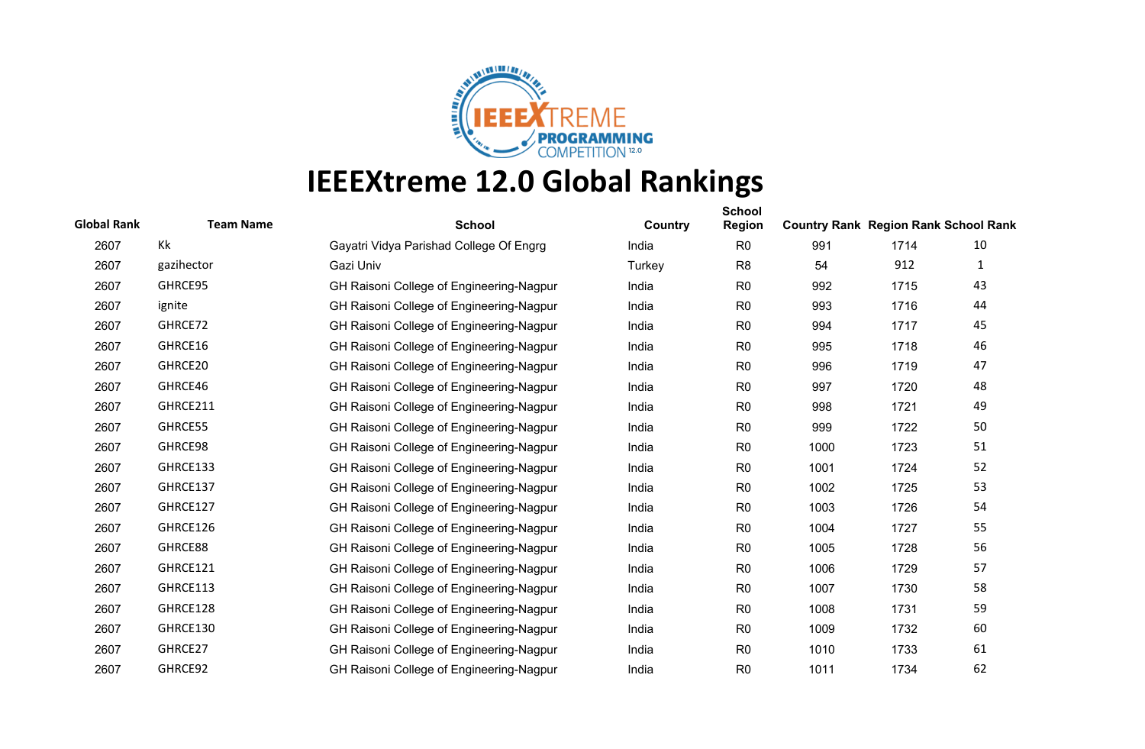

| <b>Global Rank</b> | <b>Team Name</b> | <b>School</b>                            | Country | <b>School</b><br><b>Region</b> | <b>Country Rank Region Rank School Rank</b> |      |              |
|--------------------|------------------|------------------------------------------|---------|--------------------------------|---------------------------------------------|------|--------------|
| 2607               | Kk               | Gayatri Vidya Parishad College Of Engrg  | India   | R <sub>0</sub>                 | 991                                         | 1714 | 10           |
| 2607               | gazihector       | Gazi Univ                                | Turkey  | R <sub>8</sub>                 | 54                                          | 912  | $\mathbf{1}$ |
| 2607               | GHRCE95          | GH Raisoni College of Engineering-Nagpur | India   | R <sub>0</sub>                 | 992                                         | 1715 | 43           |
| 2607               | ignite           | GH Raisoni College of Engineering-Nagpur | India   | R <sub>0</sub>                 | 993                                         | 1716 | 44           |
| 2607               | GHRCE72          | GH Raisoni College of Engineering-Nagpur | India   | R <sub>0</sub>                 | 994                                         | 1717 | 45           |
| 2607               | GHRCE16          | GH Raisoni College of Engineering-Nagpur | India   | R <sub>0</sub>                 | 995                                         | 1718 | 46           |
| 2607               | GHRCE20          | GH Raisoni College of Engineering-Nagpur | India   | R <sub>0</sub>                 | 996                                         | 1719 | 47           |
| 2607               | GHRCE46          | GH Raisoni College of Engineering-Nagpur | India   | R <sub>0</sub>                 | 997                                         | 1720 | 48           |
| 2607               | GHRCE211         | GH Raisoni College of Engineering-Nagpur | India   | R <sub>0</sub>                 | 998                                         | 1721 | 49           |
| 2607               | GHRCE55          | GH Raisoni College of Engineering-Nagpur | India   | R <sub>0</sub>                 | 999                                         | 1722 | 50           |
| 2607               | GHRCE98          | GH Raisoni College of Engineering-Nagpur | India   | R <sub>0</sub>                 | 1000                                        | 1723 | 51           |
| 2607               | GHRCE133         | GH Raisoni College of Engineering-Nagpur | India   | R <sub>0</sub>                 | 1001                                        | 1724 | 52           |
| 2607               | GHRCE137         | GH Raisoni College of Engineering-Nagpur | India   | R <sub>0</sub>                 | 1002                                        | 1725 | 53           |
| 2607               | GHRCE127         | GH Raisoni College of Engineering-Nagpur | India   | R <sub>0</sub>                 | 1003                                        | 1726 | 54           |
| 2607               | GHRCE126         | GH Raisoni College of Engineering-Nagpur | India   | R <sub>0</sub>                 | 1004                                        | 1727 | 55           |
| 2607               | GHRCE88          | GH Raisoni College of Engineering-Nagpur | India   | R <sub>0</sub>                 | 1005                                        | 1728 | 56           |
| 2607               | GHRCE121         | GH Raisoni College of Engineering-Nagpur | India   | R <sub>0</sub>                 | 1006                                        | 1729 | 57           |
| 2607               | GHRCE113         | GH Raisoni College of Engineering-Nagpur | India   | R <sub>0</sub>                 | 1007                                        | 1730 | 58           |
| 2607               | GHRCE128         | GH Raisoni College of Engineering-Nagpur | India   | R <sub>0</sub>                 | 1008                                        | 1731 | 59           |
| 2607               | GHRCE130         | GH Raisoni College of Engineering-Nagpur | India   | R <sub>0</sub>                 | 1009                                        | 1732 | 60           |
| 2607               | GHRCE27          | GH Raisoni College of Engineering-Nagpur | India   | R <sub>0</sub>                 | 1010                                        | 1733 | 61           |
| 2607               | GHRCE92          | GH Raisoni College of Engineering-Nagpur | India   | R <sub>0</sub>                 | 1011                                        | 1734 | 62           |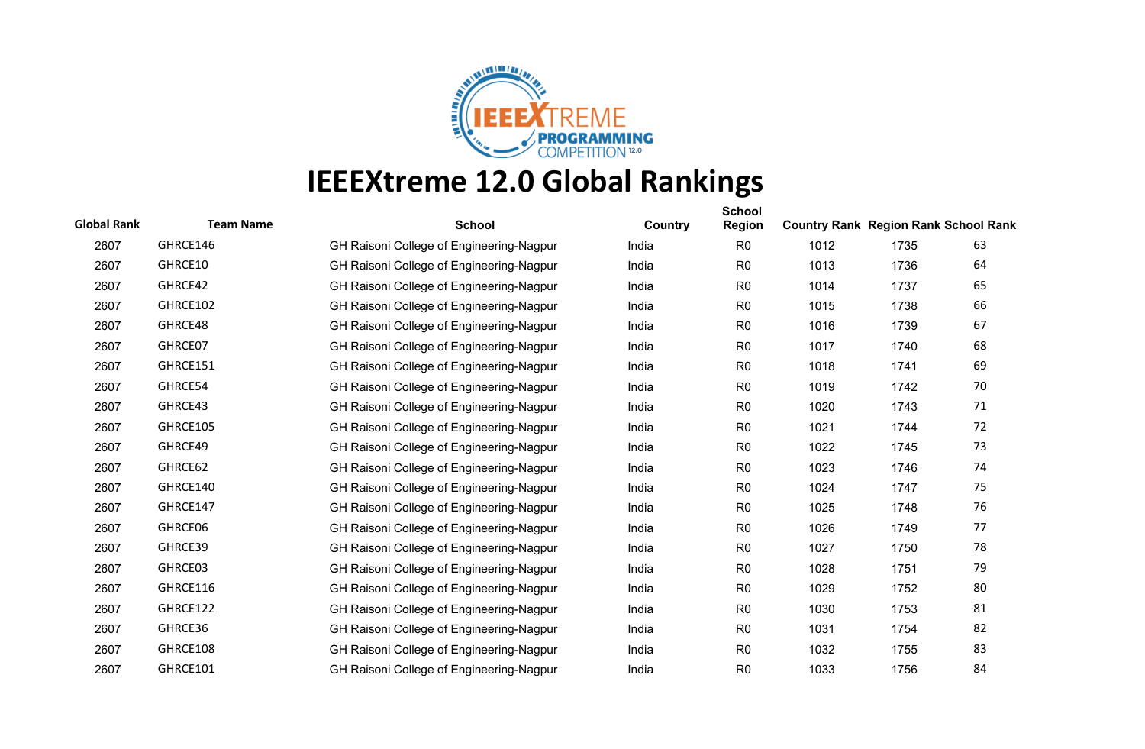

| <b>Global Rank</b> | <b>Team Name</b> | <b>School</b>                            | Country | <b>School</b><br><b>Region</b> | <b>Country Rank Region Rank School Rank</b> |      |    |
|--------------------|------------------|------------------------------------------|---------|--------------------------------|---------------------------------------------|------|----|
| 2607               | GHRCE146         | GH Raisoni College of Engineering-Nagpur | India   | R <sub>0</sub>                 | 1012                                        | 1735 | 63 |
| 2607               | GHRCE10          | GH Raisoni College of Engineering-Nagpur | India   | R <sub>0</sub>                 | 1013                                        | 1736 | 64 |
| 2607               | GHRCE42          | GH Raisoni College of Engineering-Nagpur | India   | R <sub>0</sub>                 | 1014                                        | 1737 | 65 |
| 2607               | GHRCE102         | GH Raisoni College of Engineering-Nagpur | India   | R <sub>0</sub>                 | 1015                                        | 1738 | 66 |
| 2607               | GHRCE48          | GH Raisoni College of Engineering-Nagpur | India   | R <sub>0</sub>                 | 1016                                        | 1739 | 67 |
| 2607               | GHRCE07          | GH Raisoni College of Engineering-Nagpur | India   | R <sub>0</sub>                 | 1017                                        | 1740 | 68 |
| 2607               | GHRCE151         | GH Raisoni College of Engineering-Nagpur | India   | R <sub>0</sub>                 | 1018                                        | 1741 | 69 |
| 2607               | GHRCE54          | GH Raisoni College of Engineering-Nagpur | India   | R <sub>0</sub>                 | 1019                                        | 1742 | 70 |
| 2607               | GHRCE43          | GH Raisoni College of Engineering-Nagpur | India   | R <sub>0</sub>                 | 1020                                        | 1743 | 71 |
| 2607               | GHRCE105         | GH Raisoni College of Engineering-Nagpur | India   | R <sub>0</sub>                 | 1021                                        | 1744 | 72 |
| 2607               | GHRCE49          | GH Raisoni College of Engineering-Nagpur | India   | R <sub>0</sub>                 | 1022                                        | 1745 | 73 |
| 2607               | GHRCE62          | GH Raisoni College of Engineering-Nagpur | India   | R <sub>0</sub>                 | 1023                                        | 1746 | 74 |
| 2607               | GHRCE140         | GH Raisoni College of Engineering-Nagpur | India   | R <sub>0</sub>                 | 1024                                        | 1747 | 75 |
| 2607               | GHRCE147         | GH Raisoni College of Engineering-Nagpur | India   | R <sub>0</sub>                 | 1025                                        | 1748 | 76 |
| 2607               | GHRCE06          | GH Raisoni College of Engineering-Nagpur | India   | R <sub>0</sub>                 | 1026                                        | 1749 | 77 |
| 2607               | GHRCE39          | GH Raisoni College of Engineering-Nagpur | India   | R <sub>0</sub>                 | 1027                                        | 1750 | 78 |
| 2607               | GHRCE03          | GH Raisoni College of Engineering-Nagpur | India   | R <sub>0</sub>                 | 1028                                        | 1751 | 79 |
| 2607               | GHRCE116         | GH Raisoni College of Engineering-Nagpur | India   | R <sub>0</sub>                 | 1029                                        | 1752 | 80 |
| 2607               | GHRCE122         | GH Raisoni College of Engineering-Nagpur | India   | R <sub>0</sub>                 | 1030                                        | 1753 | 81 |
| 2607               | GHRCE36          | GH Raisoni College of Engineering-Nagpur | India   | R <sub>0</sub>                 | 1031                                        | 1754 | 82 |
| 2607               | GHRCE108         | GH Raisoni College of Engineering-Nagpur | India   | R <sub>0</sub>                 | 1032                                        | 1755 | 83 |
| 2607               | GHRCE101         | GH Raisoni College of Engineering-Nagpur | India   | R <sub>0</sub>                 | 1033                                        | 1756 | 84 |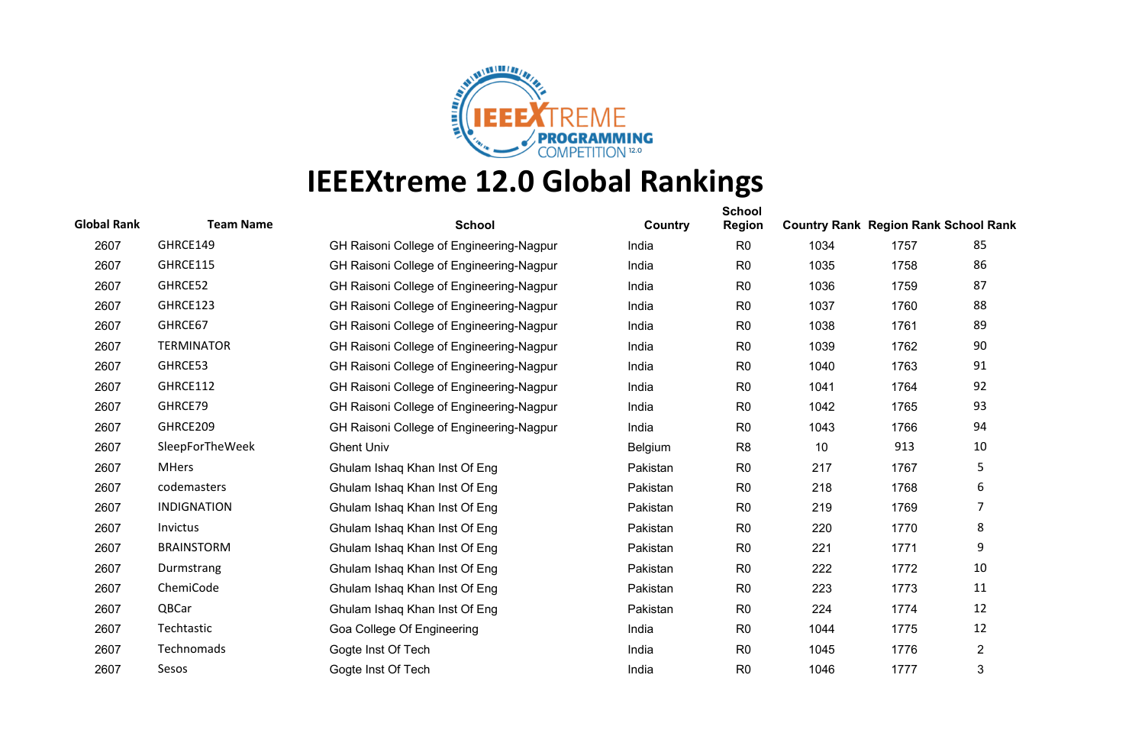

| <b>Global Rank</b> | <b>Team Name</b>   | <b>School</b>                            | Country  | <b>School</b><br>Region | <b>Country Rank Region Rank School Rank</b> |      |                |
|--------------------|--------------------|------------------------------------------|----------|-------------------------|---------------------------------------------|------|----------------|
| 2607               | GHRCE149           | GH Raisoni College of Engineering-Nagpur | India    | R <sub>0</sub>          | 1034                                        | 1757 | 85             |
| 2607               | GHRCE115           | GH Raisoni College of Engineering-Nagpur | India    | R <sub>0</sub>          | 1035                                        | 1758 | 86             |
| 2607               | GHRCE52            | GH Raisoni College of Engineering-Nagpur | India    | R <sub>0</sub>          | 1036                                        | 1759 | 87             |
| 2607               | GHRCE123           | GH Raisoni College of Engineering-Nagpur | India    | R <sub>0</sub>          | 1037                                        | 1760 | 88             |
| 2607               | GHRCE67            | GH Raisoni College of Engineering-Nagpur | India    | R <sub>0</sub>          | 1038                                        | 1761 | 89             |
| 2607               | <b>TERMINATOR</b>  | GH Raisoni College of Engineering-Nagpur | India    | R <sub>0</sub>          | 1039                                        | 1762 | 90             |
| 2607               | GHRCE53            | GH Raisoni College of Engineering-Nagpur | India    | R <sub>0</sub>          | 1040                                        | 1763 | 91             |
| 2607               | GHRCE112           | GH Raisoni College of Engineering-Nagpur | India    | R <sub>0</sub>          | 1041                                        | 1764 | 92             |
| 2607               | GHRCE79            | GH Raisoni College of Engineering-Nagpur | India    | R <sub>0</sub>          | 1042                                        | 1765 | 93             |
| 2607               | GHRCE209           | GH Raisoni College of Engineering-Nagpur | India    | R <sub>0</sub>          | 1043                                        | 1766 | 94             |
| 2607               | SleepForTheWeek    | <b>Ghent Univ</b>                        | Belgium  | R <sub>8</sub>          | 10                                          | 913  | 10             |
| 2607               | <b>MHers</b>       | Ghulam Ishaq Khan Inst Of Eng            | Pakistan | R <sub>0</sub>          | 217                                         | 1767 | 5              |
| 2607               | codemasters        | Ghulam Ishaq Khan Inst Of Eng            | Pakistan | R <sub>0</sub>          | 218                                         | 1768 | 6              |
| 2607               | <b>INDIGNATION</b> | Ghulam Ishaq Khan Inst Of Eng            | Pakistan | R <sub>0</sub>          | 219                                         | 1769 | 7              |
| 2607               | <b>Invictus</b>    | Ghulam Ishaq Khan Inst Of Eng            | Pakistan | R <sub>0</sub>          | 220                                         | 1770 | 8              |
| 2607               | <b>BRAINSTORM</b>  | Ghulam Ishaq Khan Inst Of Eng            | Pakistan | R <sub>0</sub>          | 221                                         | 1771 | 9              |
| 2607               | Durmstrang         | Ghulam Ishaq Khan Inst Of Eng            | Pakistan | R <sub>0</sub>          | 222                                         | 1772 | 10             |
| 2607               | ChemiCode          | Ghulam Ishaq Khan Inst Of Eng            | Pakistan | R <sub>0</sub>          | 223                                         | 1773 | 11             |
| 2607               | QBCar              | Ghulam Ishaq Khan Inst Of Eng            | Pakistan | R <sub>0</sub>          | 224                                         | 1774 | 12             |
| 2607               | Techtastic         | Goa College Of Engineering               | India    | R <sub>0</sub>          | 1044                                        | 1775 | 12             |
| 2607               | Technomads         | Gogte Inst Of Tech                       | India    | R <sub>0</sub>          | 1045                                        | 1776 | $\overline{2}$ |
| 2607               | Sesos              | Gogte Inst Of Tech                       | India    | R <sub>0</sub>          | 1046                                        | 1777 | 3              |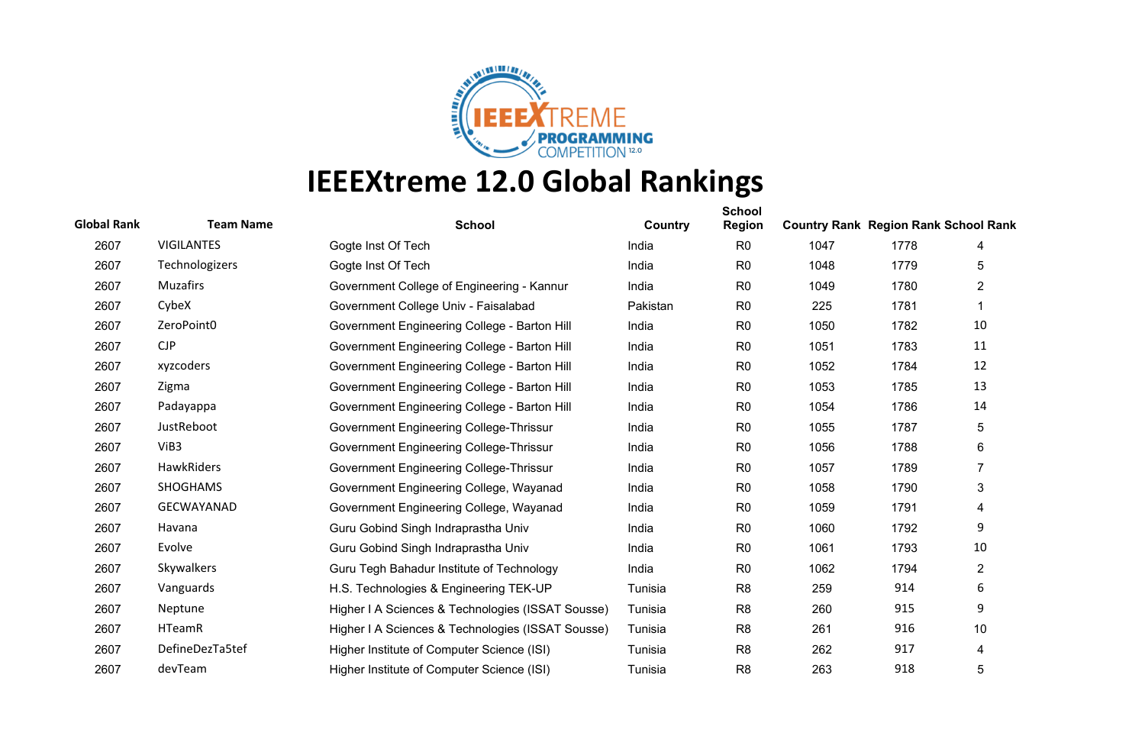

| <b>Global Rank</b> | <b>Team Name</b>  | <b>School</b>                                     | Country  | <b>School</b><br><b>Region</b> | <b>Country Rank Region Rank School Rank</b> |      |                |
|--------------------|-------------------|---------------------------------------------------|----------|--------------------------------|---------------------------------------------|------|----------------|
| 2607               | <b>VIGILANTES</b> | Gogte Inst Of Tech                                | India    | R <sub>0</sub>                 | 1047                                        | 1778 | 4              |
| 2607               | Technologizers    | Gogte Inst Of Tech                                | India    | R <sub>0</sub>                 | 1048                                        | 1779 | 5              |
| 2607               | <b>Muzafirs</b>   | Government College of Engineering - Kannur        | India    | R <sub>0</sub>                 | 1049                                        | 1780 | $\overline{2}$ |
| 2607               | CybeX             | Government College Univ - Faisalabad              | Pakistan | R <sub>0</sub>                 | 225                                         | 1781 |                |
| 2607               | ZeroPoint0        | Government Engineering College - Barton Hill      | India    | R <sub>0</sub>                 | 1050                                        | 1782 | 10             |
| 2607               | CJP               | Government Engineering College - Barton Hill      | India    | R <sub>0</sub>                 | 1051                                        | 1783 | 11             |
| 2607               | xyzcoders         | Government Engineering College - Barton Hill      | India    | R <sub>0</sub>                 | 1052                                        | 1784 | 12             |
| 2607               | Zigma             | Government Engineering College - Barton Hill      | India    | R <sub>0</sub>                 | 1053                                        | 1785 | 13             |
| 2607               | Padayappa         | Government Engineering College - Barton Hill      | India    | R <sub>0</sub>                 | 1054                                        | 1786 | 14             |
| 2607               | JustReboot        | Government Engineering College-Thrissur           | India    | R <sub>0</sub>                 | 1055                                        | 1787 | 5              |
| 2607               | ViB3              | Government Engineering College-Thrissur           | India    | R <sub>0</sub>                 | 1056                                        | 1788 | 6              |
| 2607               | HawkRiders        | Government Engineering College-Thrissur           | India    | R <sub>0</sub>                 | 1057                                        | 1789 | $\overline{7}$ |
| 2607               | <b>SHOGHAMS</b>   | Government Engineering College, Wayanad           | India    | R <sub>0</sub>                 | 1058                                        | 1790 | 3              |
| 2607               | GECWAYANAD        | Government Engineering College, Wayanad           | India    | R <sub>0</sub>                 | 1059                                        | 1791 | 4              |
| 2607               | Havana            | Guru Gobind Singh Indraprastha Univ               | India    | R <sub>0</sub>                 | 1060                                        | 1792 | 9              |
| 2607               | Evolve            | Guru Gobind Singh Indraprastha Univ               | India    | R <sub>0</sub>                 | 1061                                        | 1793 | 10             |
| 2607               | Skywalkers        | Guru Tegh Bahadur Institute of Technology         | India    | R <sub>0</sub>                 | 1062                                        | 1794 | $\overline{2}$ |
| 2607               | Vanguards         | H.S. Technologies & Engineering TEK-UP            | Tunisia  | R <sub>8</sub>                 | 259                                         | 914  | 6              |
| 2607               | Neptune           | Higher I A Sciences & Technologies (ISSAT Sousse) | Tunisia  | R <sub>8</sub>                 | 260                                         | 915  | 9              |
| 2607               | <b>HTeamR</b>     | Higher I A Sciences & Technologies (ISSAT Sousse) | Tunisia  | R <sub>8</sub>                 | 261                                         | 916  | 10             |
| 2607               | DefineDezTa5tef   | Higher Institute of Computer Science (ISI)        | Tunisia  | R <sub>8</sub>                 | 262                                         | 917  | 4              |
| 2607               | devTeam           | Higher Institute of Computer Science (ISI)        | Tunisia  | R <sub>8</sub>                 | 263                                         | 918  | 5              |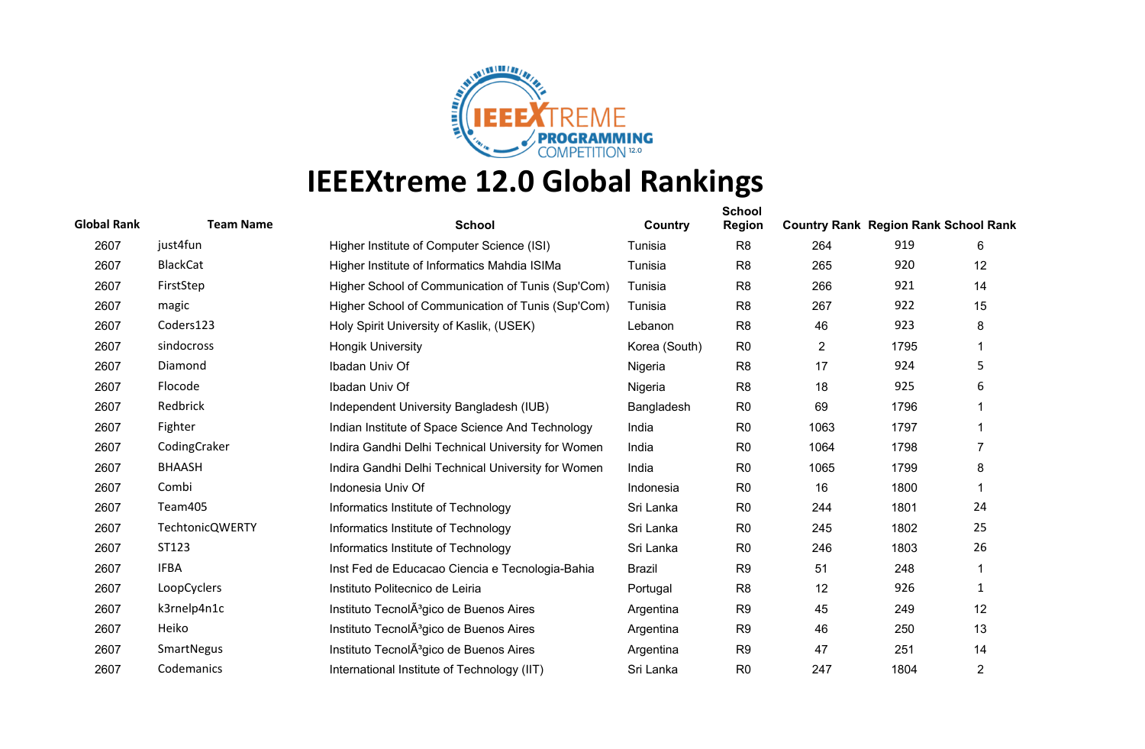

| <b>Global Rank</b> | <b>Team Name</b>       | <b>School</b>                                       | Country       | <b>School</b><br><b>Region</b> | <b>Country Rank Region Rank School Rank</b> |      |              |
|--------------------|------------------------|-----------------------------------------------------|---------------|--------------------------------|---------------------------------------------|------|--------------|
| 2607               | just4fun               | Higher Institute of Computer Science (ISI)          | Tunisia       | R <sub>8</sub>                 | 264                                         | 919  | 6            |
| 2607               | <b>BlackCat</b>        | Higher Institute of Informatics Mahdia ISIMa        | Tunisia       | R <sub>8</sub>                 | 265                                         | 920  | 12           |
| 2607               | FirstStep              | Higher School of Communication of Tunis (Sup'Com)   | Tunisia       | R <sub>8</sub>                 | 266                                         | 921  | 14           |
| 2607               | magic                  | Higher School of Communication of Tunis (Sup'Com)   | Tunisia       | R <sub>8</sub>                 | 267                                         | 922  | 15           |
| 2607               | Coders123              | Holy Spirit University of Kaslik, (USEK)            | Lebanon       | R <sub>8</sub>                 | 46                                          | 923  | 8            |
| 2607               | sindocross             | <b>Hongik University</b>                            | Korea (South) | R <sub>0</sub>                 | $\overline{2}$                              | 1795 | 1            |
| 2607               | Diamond                | Ibadan Univ Of                                      | Nigeria       | R <sub>8</sub>                 | 17                                          | 924  | 5            |
| 2607               | Flocode                | Ibadan Univ Of                                      | Nigeria       | R <sub>8</sub>                 | 18                                          | 925  | 6            |
| 2607               | Redbrick               | Independent University Bangladesh (IUB)             | Bangladesh    | R <sub>0</sub>                 | 69                                          | 1796 |              |
| 2607               | Fighter                | Indian Institute of Space Science And Technology    | India         | R <sub>0</sub>                 | 1063                                        | 1797 |              |
| 2607               | CodingCraker           | Indira Gandhi Delhi Technical University for Women  | India         | R <sub>0</sub>                 | 1064                                        | 1798 | 7            |
| 2607               | <b>BHAASH</b>          | Indira Gandhi Delhi Technical University for Women  | India         | R <sub>0</sub>                 | 1065                                        | 1799 | 8            |
| 2607               | Combi                  | Indonesia Univ Of                                   | Indonesia     | R <sub>0</sub>                 | 16                                          | 1800 | 1            |
| 2607               | Team405                | Informatics Institute of Technology                 | Sri Lanka     | R <sub>0</sub>                 | 244                                         | 1801 | 24           |
| 2607               | <b>TechtonicQWERTY</b> | Informatics Institute of Technology                 | Sri Lanka     | R <sub>0</sub>                 | 245                                         | 1802 | 25           |
| 2607               | ST123                  | Informatics Institute of Technology                 | Sri Lanka     | R <sub>0</sub>                 | 246                                         | 1803 | 26           |
| 2607               | <b>IFBA</b>            | Inst Fed de Educacao Ciencia e Tecnologia-Bahia     | <b>Brazil</b> | R <sub>9</sub>                 | 51                                          | 248  | 1            |
| 2607               | LoopCyclers            | Instituto Politecnico de Leiria                     | Portugal      | R <sub>8</sub>                 | 12                                          | 926  | $\mathbf{1}$ |
| 2607               | k3rnelp4n1c            | Instituto TecnolA <sup>3</sup> gico de Buenos Aires | Argentina     | R <sub>9</sub>                 | 45                                          | 249  | 12           |
| 2607               | Heiko                  | Instituto TecnolA <sup>3</sup> gico de Buenos Aires | Argentina     | R <sub>9</sub>                 | 46                                          | 250  | 13           |
| 2607               | SmartNegus             | Instituto TecnolA <sup>3</sup> gico de Buenos Aires | Argentina     | R <sub>9</sub>                 | 47                                          | 251  | 14           |
| 2607               | Codemanics             | International Institute of Technology (IIT)         | Sri Lanka     | R <sub>0</sub>                 | 247                                         | 1804 | 2            |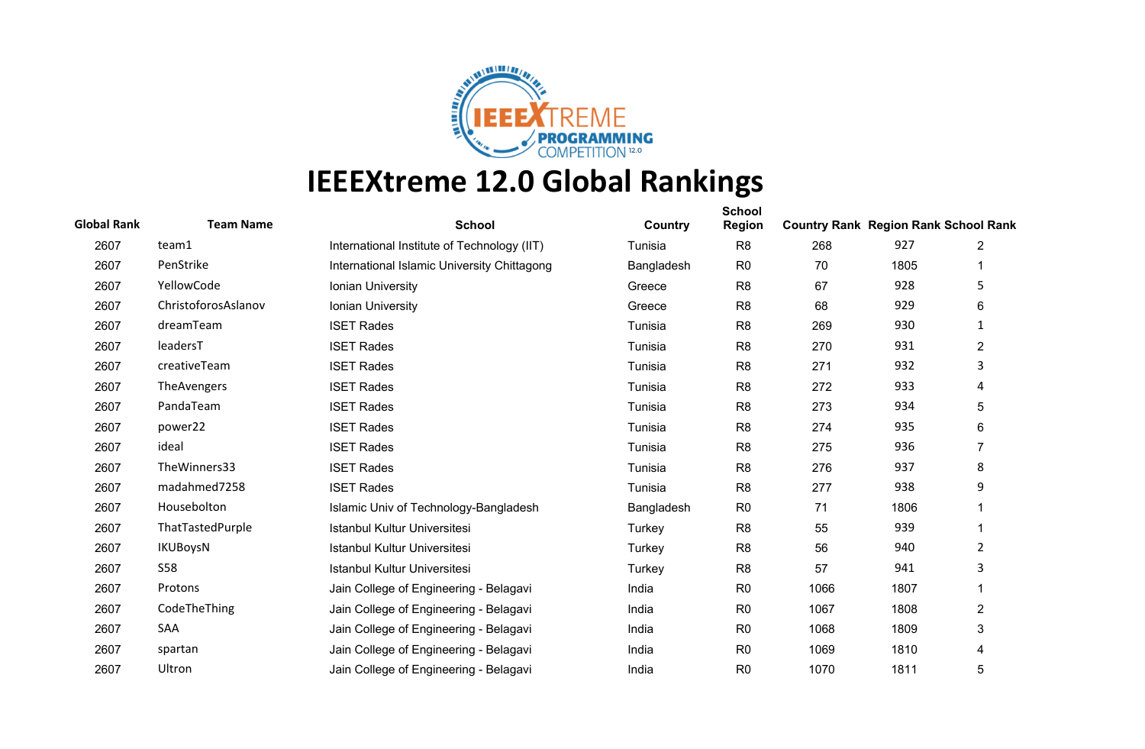

| <b>Global Rank</b> | <b>Team Name</b>    | <b>School</b>                               | Country    | <b>School</b><br><b>Region</b> | <b>Country Rank Region Rank School Rank</b> |      |                |
|--------------------|---------------------|---------------------------------------------|------------|--------------------------------|---------------------------------------------|------|----------------|
| 2607               | team1               | International Institute of Technology (IIT) | Tunisia    | R <sub>8</sub>                 | 268                                         | 927  | 2              |
| 2607               | PenStrike           | International Islamic University Chittagong | Bangladesh | R <sub>0</sub>                 | 70                                          | 1805 |                |
| 2607               | YellowCode          | Ionian University                           | Greece     | R <sub>8</sub>                 | 67                                          | 928  | 5              |
| 2607               | ChristoforosAslanov | Ionian University                           | Greece     | R <sub>8</sub>                 | 68                                          | 929  | 6              |
| 2607               | dreamTeam           | <b>ISET Rades</b>                           | Tunisia    | R <sub>8</sub>                 | 269                                         | 930  | $\mathbf{1}$   |
| 2607               | leadersT            | <b>ISET Rades</b>                           | Tunisia    | R <sub>8</sub>                 | 270                                         | 931  | $\overline{2}$ |
| 2607               | creativeTeam        | <b>ISET Rades</b>                           | Tunisia    | R <sub>8</sub>                 | 271                                         | 932  | 3              |
| 2607               | TheAvengers         | <b>ISET Rades</b>                           | Tunisia    | R <sub>8</sub>                 | 272                                         | 933  | 4              |
| 2607               | PandaTeam           | <b>ISET Rades</b>                           | Tunisia    | R <sub>8</sub>                 | 273                                         | 934  | 5              |
| 2607               | power22             | <b>ISET Rades</b>                           | Tunisia    | R <sub>8</sub>                 | 274                                         | 935  | 6              |
| 2607               | ideal               | <b>ISET Rades</b>                           | Tunisia    | R <sub>8</sub>                 | 275                                         | 936  | 7              |
| 2607               | TheWinners33        | <b>ISET Rades</b>                           | Tunisia    | R <sub>8</sub>                 | 276                                         | 937  | 8              |
| 2607               | madahmed7258        | <b>ISET Rades</b>                           | Tunisia    | R <sub>8</sub>                 | 277                                         | 938  | 9              |
| 2607               | Housebolton         | Islamic Univ of Technology-Bangladesh       | Bangladesh | R <sub>0</sub>                 | 71                                          | 1806 |                |
| 2607               | ThatTastedPurple    | Istanbul Kultur Universitesi                | Turkey     | R <sub>8</sub>                 | 55                                          | 939  |                |
| 2607               | <b>IKUBoysN</b>     | <b>Istanbul Kultur Universitesi</b>         | Turkey     | R <sub>8</sub>                 | 56                                          | 940  | 2              |
| 2607               | <b>S58</b>          | Istanbul Kultur Universitesi                | Turkey     | R <sub>8</sub>                 | 57                                          | 941  | 3              |
| 2607               | Protons             | Jain College of Engineering - Belagavi      | India      | R <sub>0</sub>                 | 1066                                        | 1807 | 1              |
| 2607               | CodeTheThing        | Jain College of Engineering - Belagavi      | India      | R <sub>0</sub>                 | 1067                                        | 1808 | $\overline{2}$ |
| 2607               | SAA                 | Jain College of Engineering - Belagavi      | India      | R <sub>0</sub>                 | 1068                                        | 1809 | 3              |
| 2607               | spartan             | Jain College of Engineering - Belagavi      | India      | R <sub>0</sub>                 | 1069                                        | 1810 | 4              |
| 2607               | Ultron              | Jain College of Engineering - Belagavi      | India      | R <sub>0</sub>                 | 1070                                        | 1811 | 5              |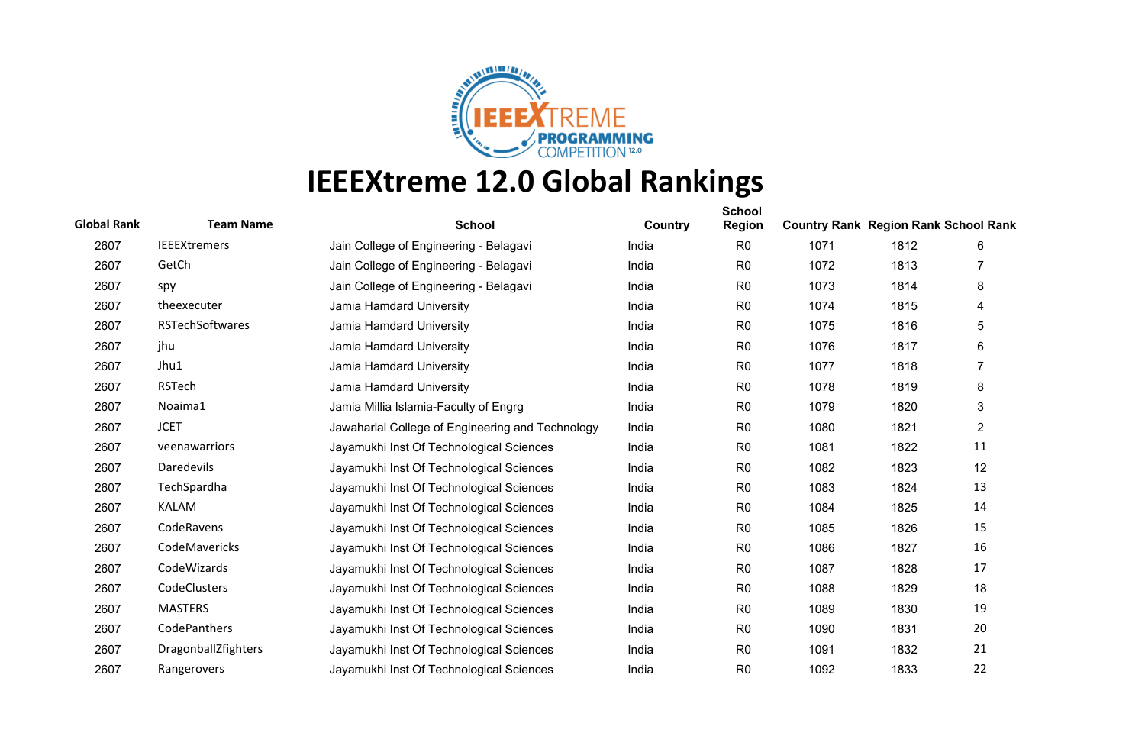

| <b>Global Rank</b> | <b>Team Name</b>       | <b>School</b>                                    | Country | <b>School</b><br><b>Region</b> | <b>Country Rank Region Rank School Rank</b> |      |                |
|--------------------|------------------------|--------------------------------------------------|---------|--------------------------------|---------------------------------------------|------|----------------|
| 2607               | <b>IEEEXtremers</b>    | Jain College of Engineering - Belagavi           | India   | R <sub>0</sub>                 | 1071                                        | 1812 | 6              |
| 2607               | GetCh                  | Jain College of Engineering - Belagavi           | India   | R <sub>0</sub>                 | 1072                                        | 1813 |                |
| 2607               | spy                    | Jain College of Engineering - Belagavi           | India   | R <sub>0</sub>                 | 1073                                        | 1814 | 8              |
| 2607               | theexecuter            | Jamia Hamdard University                         | India   | R <sub>0</sub>                 | 1074                                        | 1815 | 4              |
| 2607               | <b>RSTechSoftwares</b> | Jamia Hamdard University                         | India   | R <sub>0</sub>                 | 1075                                        | 1816 | 5              |
| 2607               | jhu                    | Jamia Hamdard University                         | India   | R <sub>0</sub>                 | 1076                                        | 1817 | 6              |
| 2607               | Jhu1                   | Jamia Hamdard University                         | India   | R <sub>0</sub>                 | 1077                                        | 1818 | 7              |
| 2607               | <b>RSTech</b>          | Jamia Hamdard University                         | India   | R <sub>0</sub>                 | 1078                                        | 1819 | 8              |
| 2607               | Noaima1                | Jamia Millia Islamia-Faculty of Engrg            | India   | R <sub>0</sub>                 | 1079                                        | 1820 | 3              |
| 2607               | <b>JCET</b>            | Jawaharlal College of Engineering and Technology | India   | R <sub>0</sub>                 | 1080                                        | 1821 | $\overline{2}$ |
| 2607               | veenawarriors          | Jayamukhi Inst Of Technological Sciences         | India   | R <sub>0</sub>                 | 1081                                        | 1822 | 11             |
| 2607               | Daredevils             | Jayamukhi Inst Of Technological Sciences         | India   | R <sub>0</sub>                 | 1082                                        | 1823 | 12             |
| 2607               | TechSpardha            | Jayamukhi Inst Of Technological Sciences         | India   | R <sub>0</sub>                 | 1083                                        | 1824 | 13             |
| 2607               | <b>KALAM</b>           | Jayamukhi Inst Of Technological Sciences         | India   | R <sub>0</sub>                 | 1084                                        | 1825 | 14             |
| 2607               | CodeRavens             | Jayamukhi Inst Of Technological Sciences         | India   | R <sub>0</sub>                 | 1085                                        | 1826 | 15             |
| 2607               | CodeMavericks          | Jayamukhi Inst Of Technological Sciences         | India   | R <sub>0</sub>                 | 1086                                        | 1827 | 16             |
| 2607               | CodeWizards            | Jayamukhi Inst Of Technological Sciences         | India   | R <sub>0</sub>                 | 1087                                        | 1828 | 17             |
| 2607               | CodeClusters           | Jayamukhi Inst Of Technological Sciences         | India   | R <sub>0</sub>                 | 1088                                        | 1829 | 18             |
| 2607               | <b>MASTERS</b>         | Jayamukhi Inst Of Technological Sciences         | India   | R <sub>0</sub>                 | 1089                                        | 1830 | 19             |
| 2607               | CodePanthers           | Jayamukhi Inst Of Technological Sciences         | India   | R <sub>0</sub>                 | 1090                                        | 1831 | 20             |
| 2607               | DragonballZfighters    | Jayamukhi Inst Of Technological Sciences         | India   | R <sub>0</sub>                 | 1091                                        | 1832 | 21             |
| 2607               | Rangerovers            | Jayamukhi Inst Of Technological Sciences         | India   | R <sub>0</sub>                 | 1092                                        | 1833 | 22             |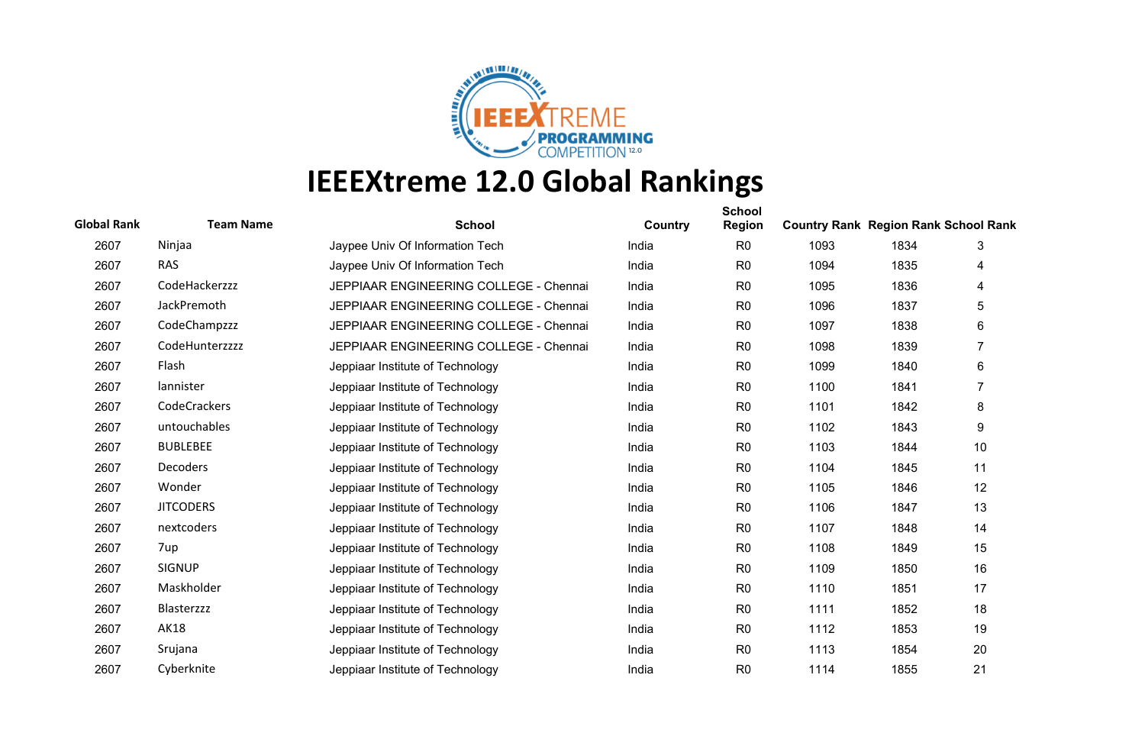

| <b>Global Rank</b> | <b>Team Name</b>   | <b>School</b>                          | Country | <b>School</b><br><b>Region</b> | <b>Country Rank Region Rank School Rank</b> |      |                |
|--------------------|--------------------|----------------------------------------|---------|--------------------------------|---------------------------------------------|------|----------------|
| 2607               | Ninjaa             | Jaypee Univ Of Information Tech        | India   | R <sub>0</sub>                 | 1093                                        | 1834 | 3              |
| 2607               | <b>RAS</b>         | Jaypee Univ Of Information Tech        | India   | R <sub>0</sub>                 | 1094                                        | 1835 | 4              |
| 2607               | CodeHackerzzz      | JEPPIAAR ENGINEERING COLLEGE - Chennai | India   | R <sub>0</sub>                 | 1095                                        | 1836 | 4              |
| 2607               | <b>JackPremoth</b> | JEPPIAAR ENGINEERING COLLEGE - Chennai | India   | R <sub>0</sub>                 | 1096                                        | 1837 | 5              |
| 2607               | CodeChampzzz       | JEPPIAAR ENGINEERING COLLEGE - Chennai | India   | R <sub>0</sub>                 | 1097                                        | 1838 | 6              |
| 2607               | CodeHunterzzzz     | JEPPIAAR ENGINEERING COLLEGE - Chennai | India   | R <sub>0</sub>                 | 1098                                        | 1839 | 7              |
| 2607               | Flash              | Jeppiaar Institute of Technology       | India   | R <sub>0</sub>                 | 1099                                        | 1840 | 6              |
| 2607               | lannister          | Jeppiaar Institute of Technology       | India   | R <sub>0</sub>                 | 1100                                        | 1841 | $\overline{7}$ |
| 2607               | CodeCrackers       | Jeppiaar Institute of Technology       | India   | R <sub>0</sub>                 | 1101                                        | 1842 | 8              |
| 2607               | untouchables       | Jeppiaar Institute of Technology       | India   | R <sub>0</sub>                 | 1102                                        | 1843 | 9              |
| 2607               | <b>BUBLEBEE</b>    | Jeppiaar Institute of Technology       | India   | R <sub>0</sub>                 | 1103                                        | 1844 | 10             |
| 2607               | <b>Decoders</b>    | Jeppiaar Institute of Technology       | India   | R <sub>0</sub>                 | 1104                                        | 1845 | 11             |
| 2607               | Wonder             | Jeppiaar Institute of Technology       | India   | R <sub>0</sub>                 | 1105                                        | 1846 | 12             |
| 2607               | <b>JITCODERS</b>   | Jeppiaar Institute of Technology       | India   | R <sub>0</sub>                 | 1106                                        | 1847 | 13             |
| 2607               | nextcoders         | Jeppiaar Institute of Technology       | India   | R <sub>0</sub>                 | 1107                                        | 1848 | 14             |
| 2607               | 7up                | Jeppiaar Institute of Technology       | India   | R <sub>0</sub>                 | 1108                                        | 1849 | 15             |
| 2607               | <b>SIGNUP</b>      | Jeppiaar Institute of Technology       | India   | R <sub>0</sub>                 | 1109                                        | 1850 | 16             |
| 2607               | Maskholder         | Jeppiaar Institute of Technology       | India   | R <sub>0</sub>                 | 1110                                        | 1851 | 17             |
| 2607               | Blasterzzz         | Jeppiaar Institute of Technology       | India   | R <sub>0</sub>                 | 1111                                        | 1852 | 18             |
| 2607               | <b>AK18</b>        | Jeppiaar Institute of Technology       | India   | R <sub>0</sub>                 | 1112                                        | 1853 | 19             |
| 2607               | Srujana            | Jeppiaar Institute of Technology       | India   | R <sub>0</sub>                 | 1113                                        | 1854 | 20             |
| 2607               | Cyberknite         | Jeppiaar Institute of Technology       | India   | R <sub>0</sub>                 | 1114                                        | 1855 | 21             |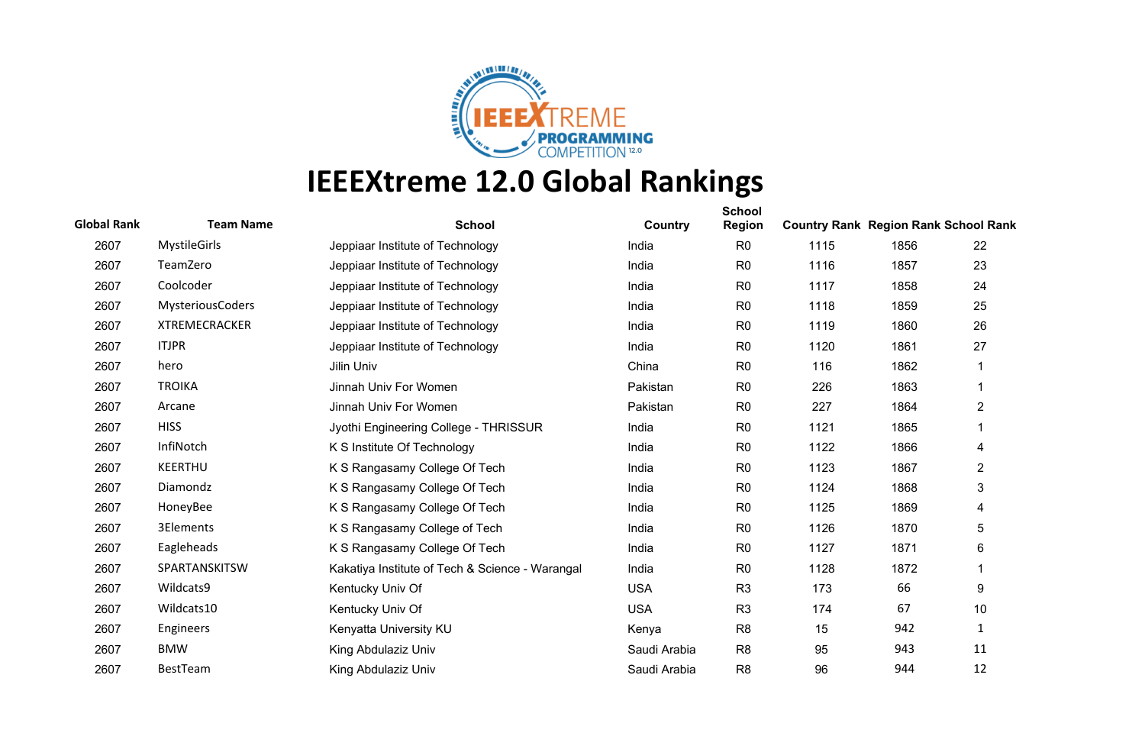

| <b>Global Rank</b> | <b>Team Name</b>        | <b>School</b>                                   | Country      | <b>School</b><br><b>Region</b> | <b>Country Rank Region Rank School Rank</b> |      |                |
|--------------------|-------------------------|-------------------------------------------------|--------------|--------------------------------|---------------------------------------------|------|----------------|
| 2607               | <b>MystileGirls</b>     | Jeppiaar Institute of Technology                | India        | R <sub>0</sub>                 | 1115                                        | 1856 | 22             |
| 2607               | TeamZero                | Jeppiaar Institute of Technology                | India        | R <sub>0</sub>                 | 1116                                        | 1857 | 23             |
| 2607               | Coolcoder               | Jeppiaar Institute of Technology                | India        | R <sub>0</sub>                 | 1117                                        | 1858 | 24             |
| 2607               | <b>MysteriousCoders</b> | Jeppiaar Institute of Technology                | India        | R <sub>0</sub>                 | 1118                                        | 1859 | 25             |
| 2607               | <b>XTREMECRACKER</b>    | Jeppiaar Institute of Technology                | India        | R <sub>0</sub>                 | 1119                                        | 1860 | 26             |
| 2607               | <b>ITJPR</b>            | Jeppiaar Institute of Technology                | India        | R <sub>0</sub>                 | 1120                                        | 1861 | 27             |
| 2607               | hero                    | Jilin Univ                                      | China        | R <sub>0</sub>                 | 116                                         | 1862 |                |
| 2607               | <b>TROIKA</b>           | Jinnah Univ For Women                           | Pakistan     | R <sub>0</sub>                 | 226                                         | 1863 | 1              |
| 2607               | Arcane                  | Jinnah Univ For Women                           | Pakistan     | R <sub>0</sub>                 | 227                                         | 1864 | $\overline{2}$ |
| 2607               | <b>HISS</b>             | Jyothi Engineering College - THRISSUR           | India        | R <sub>0</sub>                 | 1121                                        | 1865 |                |
| 2607               | InfiNotch               | K S Institute Of Technology                     | India        | R <sub>0</sub>                 | 1122                                        | 1866 | 4              |
| 2607               | <b>KEERTHU</b>          | K S Rangasamy College Of Tech                   | India        | R <sub>0</sub>                 | 1123                                        | 1867 | $\overline{2}$ |
| 2607               | Diamondz                | K S Rangasamy College Of Tech                   | India        | R <sub>0</sub>                 | 1124                                        | 1868 | 3              |
| 2607               | HoneyBee                | K S Rangasamy College Of Tech                   | India        | R <sub>0</sub>                 | 1125                                        | 1869 | 4              |
| 2607               | 3Elements               | K S Rangasamy College of Tech                   | India        | R <sub>0</sub>                 | 1126                                        | 1870 | 5              |
| 2607               | Eagleheads              | K S Rangasamy College Of Tech                   | India        | R <sub>0</sub>                 | 1127                                        | 1871 | 6              |
| 2607               | SPARTANSKITSW           | Kakatiya Institute of Tech & Science - Warangal | India        | R <sub>0</sub>                 | 1128                                        | 1872 |                |
| 2607               | Wildcats9               | Kentucky Univ Of                                | <b>USA</b>   | R <sub>3</sub>                 | 173                                         | 66   | 9              |
| 2607               | Wildcats10              | Kentucky Univ Of                                | <b>USA</b>   | R <sub>3</sub>                 | 174                                         | 67   | 10             |
| 2607               | Engineers               | Kenyatta University KU                          | Kenya        | R <sub>8</sub>                 | 15                                          | 942  | 1              |
| 2607               | <b>BMW</b>              | King Abdulaziz Univ                             | Saudi Arabia | R <sub>8</sub>                 | 95                                          | 943  | 11             |
| 2607               | BestTeam                | King Abdulaziz Univ                             | Saudi Arabia | R <sub>8</sub>                 | 96                                          | 944  | 12             |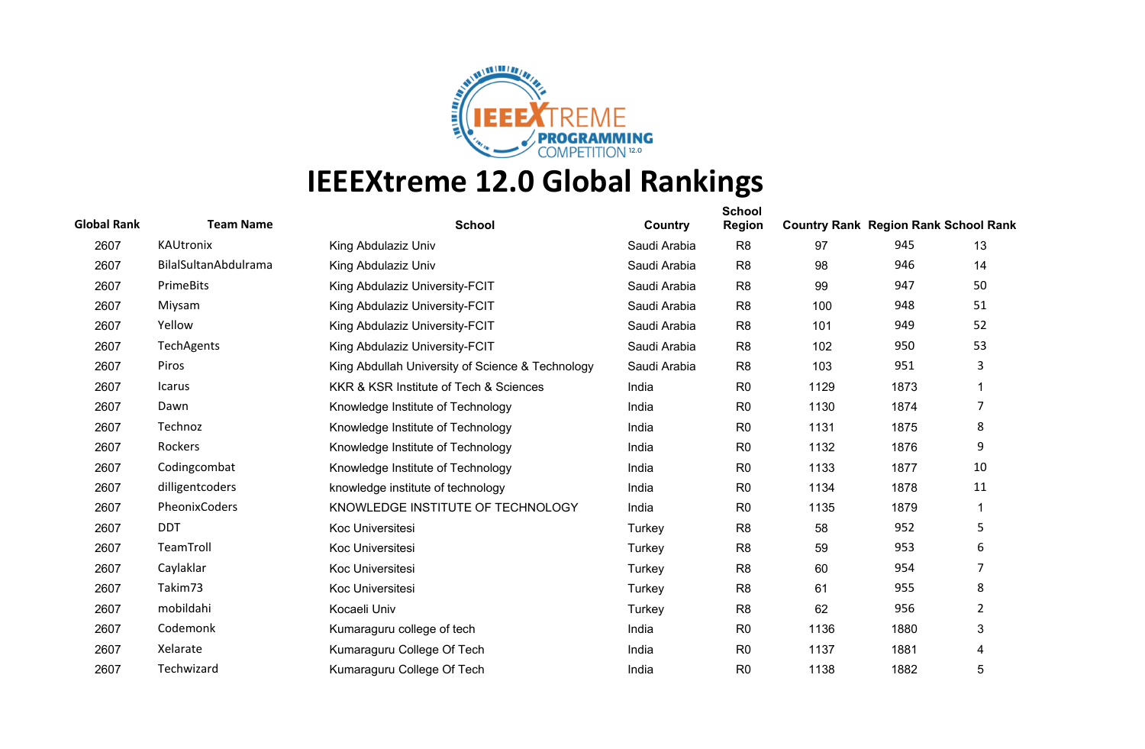

| <b>Global Rank</b> | <b>Team Name</b>     | <b>School</b>                                    | Country      | <b>School</b><br><b>Region</b> | <b>Country Rank Region Rank School Rank</b> |      |    |
|--------------------|----------------------|--------------------------------------------------|--------------|--------------------------------|---------------------------------------------|------|----|
| 2607               | KAUtronix            | King Abdulaziz Univ                              | Saudi Arabia | R <sub>8</sub>                 | 97                                          | 945  | 13 |
| 2607               | BilalSultanAbdulrama | King Abdulaziz Univ                              | Saudi Arabia | R <sub>8</sub>                 | 98                                          | 946  | 14 |
| 2607               | PrimeBits            | King Abdulaziz University-FCIT                   | Saudi Arabia | R <sub>8</sub>                 | 99                                          | 947  | 50 |
| 2607               | Miysam               | King Abdulaziz University-FCIT                   | Saudi Arabia | R <sub>8</sub>                 | 100                                         | 948  | 51 |
| 2607               | Yellow               | King Abdulaziz University-FCIT                   | Saudi Arabia | R <sub>8</sub>                 | 101                                         | 949  | 52 |
| 2607               | TechAgents           | King Abdulaziz University-FCIT                   | Saudi Arabia | R <sub>8</sub>                 | 102                                         | 950  | 53 |
| 2607               | Piros                | King Abdullah University of Science & Technology | Saudi Arabia | R <sub>8</sub>                 | 103                                         | 951  | 3  |
| 2607               | Icarus               | KKR & KSR Institute of Tech & Sciences           | India        | R <sub>0</sub>                 | 1129                                        | 1873 |    |
| 2607               | Dawn                 | Knowledge Institute of Technology                | India        | R <sub>0</sub>                 | 1130                                        | 1874 | 7  |
| 2607               | Technoz              | Knowledge Institute of Technology                | India        | R <sub>0</sub>                 | 1131                                        | 1875 | 8  |
| 2607               | Rockers              | Knowledge Institute of Technology                | India        | R <sub>0</sub>                 | 1132                                        | 1876 | 9  |
| 2607               | Codingcombat         | Knowledge Institute of Technology                | India        | R <sub>0</sub>                 | 1133                                        | 1877 | 10 |
| 2607               | dilligentcoders      | knowledge institute of technology                | India        | R <sub>0</sub>                 | 1134                                        | 1878 | 11 |
| 2607               | PheonixCoders        | KNOWLEDGE INSTITUTE OF TECHNOLOGY                | India        | R <sub>0</sub>                 | 1135                                        | 1879 | 1  |
| 2607               | <b>DDT</b>           | Koc Universitesi                                 | Turkey       | R <sub>8</sub>                 | 58                                          | 952  | 5  |
| 2607               | TeamTroll            | Koc Universitesi                                 | Turkey       | R <sub>8</sub>                 | 59                                          | 953  | 6  |
| 2607               | Caylaklar            | Koc Universitesi                                 | Turkey       | R <sub>8</sub>                 | 60                                          | 954  | 7  |
| 2607               | Takim73              | Koc Universitesi                                 | Turkey       | R <sub>8</sub>                 | 61                                          | 955  | 8  |
| 2607               | mobildahi            | Kocaeli Univ                                     | Turkey       | R <sub>8</sub>                 | 62                                          | 956  | 2  |
| 2607               | Codemonk             | Kumaraguru college of tech                       | India        | R <sub>0</sub>                 | 1136                                        | 1880 | 3  |
| 2607               | Xelarate             | Kumaraguru College Of Tech                       | India        | R <sub>0</sub>                 | 1137                                        | 1881 | 4  |
| 2607               | Techwizard           | Kumaraguru College Of Tech                       | India        | R <sub>0</sub>                 | 1138                                        | 1882 | 5  |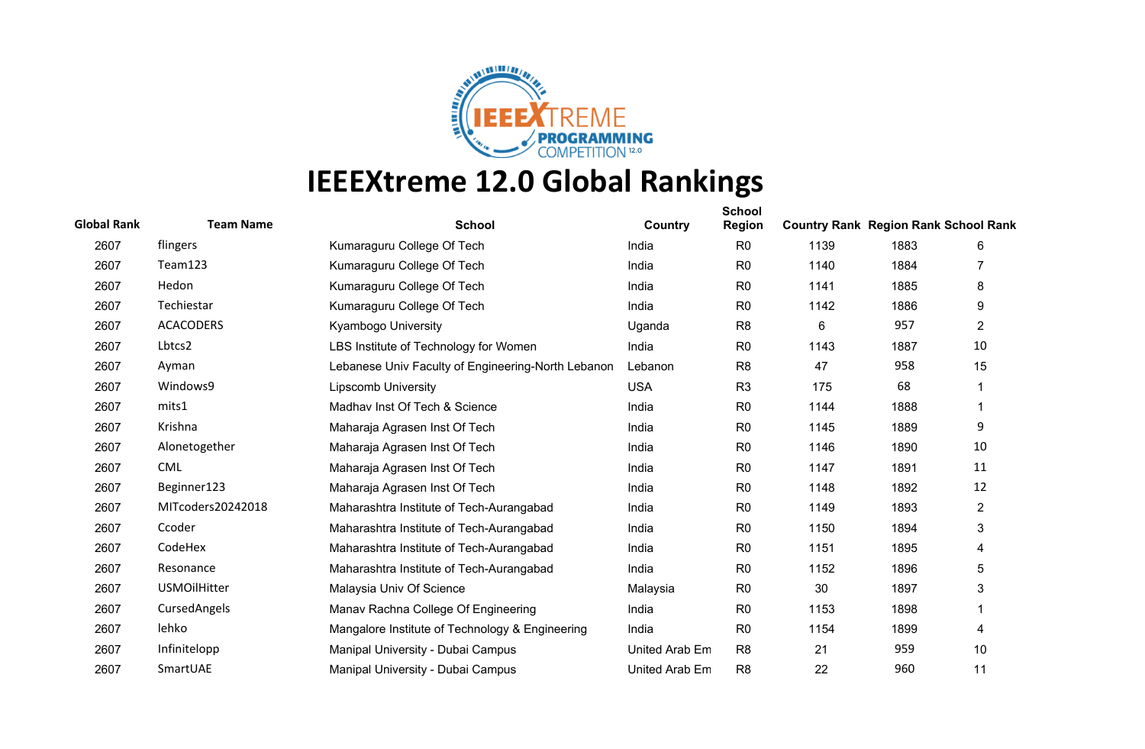

| <b>Global Rank</b> | <b>Team Name</b>    | <b>School</b>                                      | Country        | <b>School</b><br><b>Region</b> | <b>Country Rank Region Rank School Rank</b> |      |                |
|--------------------|---------------------|----------------------------------------------------|----------------|--------------------------------|---------------------------------------------|------|----------------|
| 2607               | flingers            | Kumaraguru College Of Tech                         | India          | R <sub>0</sub>                 | 1139                                        | 1883 | 6              |
| 2607               | Team123             | Kumaraguru College Of Tech                         | India          | R <sub>0</sub>                 | 1140                                        | 1884 |                |
| 2607               | Hedon               | Kumaraguru College Of Tech                         | India          | R <sub>0</sub>                 | 1141                                        | 1885 | 8              |
| 2607               | Techiestar          | Kumaraguru College Of Tech                         | India          | R <sub>0</sub>                 | 1142                                        | 1886 | 9              |
| 2607               | <b>ACACODERS</b>    | Kyambogo University                                | Uganda         | R <sub>8</sub>                 | 6                                           | 957  | 2              |
| 2607               | Lbtcs2              | LBS Institute of Technology for Women              | India          | R <sub>0</sub>                 | 1143                                        | 1887 | 10             |
| 2607               | Ayman               | Lebanese Univ Faculty of Engineering-North Lebanon | Lebanon        | R <sub>8</sub>                 | 47                                          | 958  | 15             |
| 2607               | Windows9            | <b>Lipscomb University</b>                         | <b>USA</b>     | R <sub>3</sub>                 | 175                                         | 68   | 1              |
| 2607               | mits1               | Madhav Inst Of Tech & Science                      | India          | R <sub>0</sub>                 | 1144                                        | 1888 | 1              |
| 2607               | Krishna             | Maharaja Agrasen Inst Of Tech                      | India          | R <sub>0</sub>                 | 1145                                        | 1889 | 9              |
| 2607               | Alonetogether       | Maharaja Agrasen Inst Of Tech                      | India          | R <sub>0</sub>                 | 1146                                        | 1890 | 10             |
| 2607               | <b>CML</b>          | Maharaja Agrasen Inst Of Tech                      | India          | R <sub>0</sub>                 | 1147                                        | 1891 | 11             |
| 2607               | Beginner123         | Maharaja Agrasen Inst Of Tech                      | India          | R <sub>0</sub>                 | 1148                                        | 1892 | 12             |
| 2607               | MITcoders20242018   | Maharashtra Institute of Tech-Aurangabad           | India          | R <sub>0</sub>                 | 1149                                        | 1893 | $\overline{c}$ |
| 2607               | Ccoder              | Maharashtra Institute of Tech-Aurangabad           | India          | R <sub>0</sub>                 | 1150                                        | 1894 | 3              |
| 2607               | CodeHex             | Maharashtra Institute of Tech-Aurangabad           | India          | R <sub>0</sub>                 | 1151                                        | 1895 | 4              |
| 2607               | Resonance           | Maharashtra Institute of Tech-Aurangabad           | India          | R <sub>0</sub>                 | 1152                                        | 1896 | 5              |
| 2607               | <b>USMOilHitter</b> | Malaysia Univ Of Science                           | Malaysia       | R <sub>0</sub>                 | 30                                          | 1897 | 3              |
| 2607               | CursedAngels        | Manav Rachna College Of Engineering                | India          | R <sub>0</sub>                 | 1153                                        | 1898 |                |
| 2607               | lehko               | Mangalore Institute of Technology & Engineering    | India          | R <sub>0</sub>                 | 1154                                        | 1899 | 4              |
| 2607               | Infinitelopp        | Manipal University - Dubai Campus                  | United Arab Em | R <sub>8</sub>                 | 21                                          | 959  | 10             |
| 2607               | SmartUAE            | Manipal University - Dubai Campus                  | United Arab Em | R <sub>8</sub>                 | 22                                          | 960  | 11             |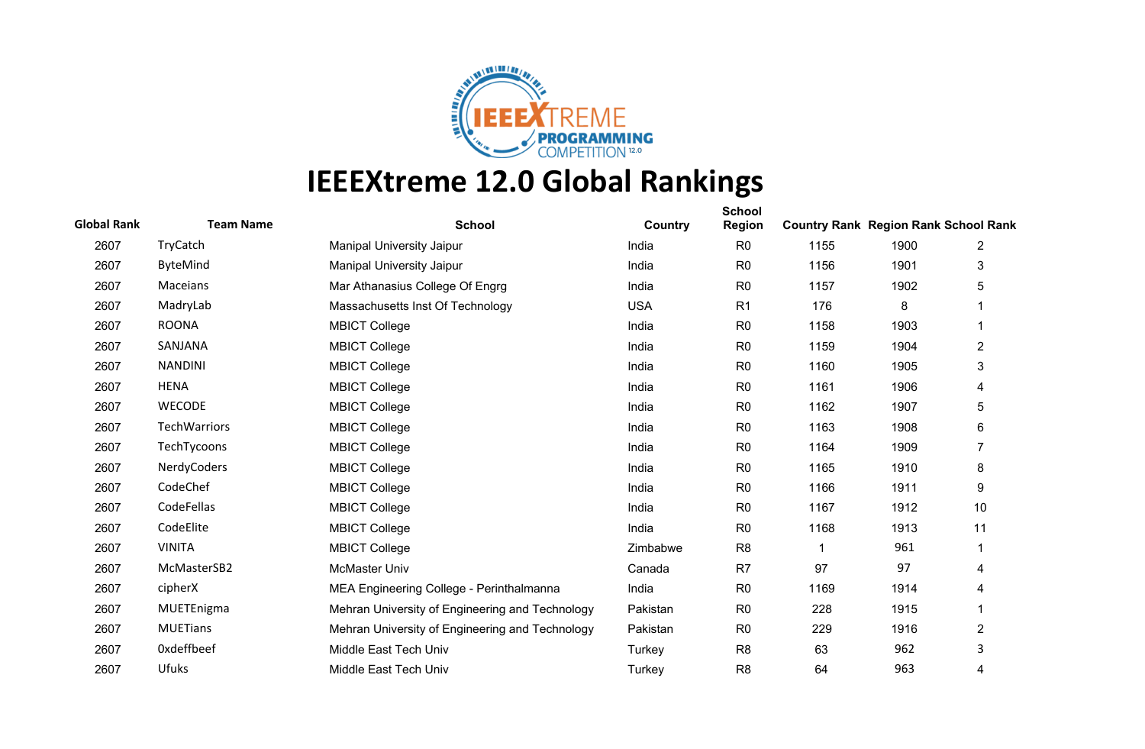

| <b>Global Rank</b> | <b>Team Name</b> | <b>School</b>                                   | Country    | <b>School</b><br><b>Region</b> | <b>Country Rank Region Rank School Rank</b> |      |                |
|--------------------|------------------|-------------------------------------------------|------------|--------------------------------|---------------------------------------------|------|----------------|
| 2607               | TryCatch         | <b>Manipal University Jaipur</b>                | India      | R <sub>0</sub>                 | 1155                                        | 1900 | 2              |
| 2607               | <b>ByteMind</b>  | <b>Manipal University Jaipur</b>                | India      | R <sub>0</sub>                 | 1156                                        | 1901 | 3              |
| 2607               | Maceians         | Mar Athanasius College Of Engrg                 | India      | R <sub>0</sub>                 | 1157                                        | 1902 | 5              |
| 2607               | MadryLab         | Massachusetts Inst Of Technology                | <b>USA</b> | R <sub>1</sub>                 | 176                                         | 8    |                |
| 2607               | <b>ROONA</b>     | <b>MBICT College</b>                            | India      | R <sub>0</sub>                 | 1158                                        | 1903 |                |
| 2607               | SANJANA          | <b>MBICT College</b>                            | India      | R <sub>0</sub>                 | 1159                                        | 1904 | $\overline{2}$ |
| 2607               | <b>NANDINI</b>   | <b>MBICT College</b>                            | India      | R <sub>0</sub>                 | 1160                                        | 1905 | 3              |
| 2607               | <b>HENA</b>      | <b>MBICT College</b>                            | India      | R <sub>0</sub>                 | 1161                                        | 1906 | 4              |
| 2607               | <b>WECODE</b>    | <b>MBICT College</b>                            | India      | R <sub>0</sub>                 | 1162                                        | 1907 | 5              |
| 2607               | TechWarriors     | <b>MBICT College</b>                            | India      | R <sub>0</sub>                 | 1163                                        | 1908 | 6              |
| 2607               | TechTycoons      | <b>MBICT College</b>                            | India      | R <sub>0</sub>                 | 1164                                        | 1909 | $\overline{7}$ |
| 2607               | NerdyCoders      | <b>MBICT College</b>                            | India      | R <sub>0</sub>                 | 1165                                        | 1910 | 8              |
| 2607               | CodeChef         | <b>MBICT College</b>                            | India      | R <sub>0</sub>                 | 1166                                        | 1911 | 9              |
| 2607               | CodeFellas       | <b>MBICT College</b>                            | India      | R <sub>0</sub>                 | 1167                                        | 1912 | 10             |
| 2607               | CodeElite        | <b>MBICT College</b>                            | India      | R <sub>0</sub>                 | 1168                                        | 1913 | 11             |
| 2607               | <b>VINITA</b>    | <b>MBICT College</b>                            | Zimbabwe   | R <sub>8</sub>                 |                                             | 961  | 1              |
| 2607               | McMasterSB2      | <b>McMaster Univ</b>                            | Canada     | R <sub>7</sub>                 | 97                                          | 97   | 4              |
| 2607               | cipherX          | MEA Engineering College - Perinthalmanna        | India      | R <sub>0</sub>                 | 1169                                        | 1914 | 4              |
| 2607               | MUETEnigma       | Mehran University of Engineering and Technology | Pakistan   | R <sub>0</sub>                 | 228                                         | 1915 |                |
| 2607               | <b>MUETians</b>  | Mehran University of Engineering and Technology | Pakistan   | R <sub>0</sub>                 | 229                                         | 1916 | $\overline{2}$ |
| 2607               | Oxdeffbeef       | Middle East Tech Univ                           | Turkey     | R <sub>8</sub>                 | 63                                          | 962  | 3              |
| 2607               | <b>Ufuks</b>     | Middle East Tech Univ                           | Turkey     | R <sub>8</sub>                 | 64                                          | 963  | 4              |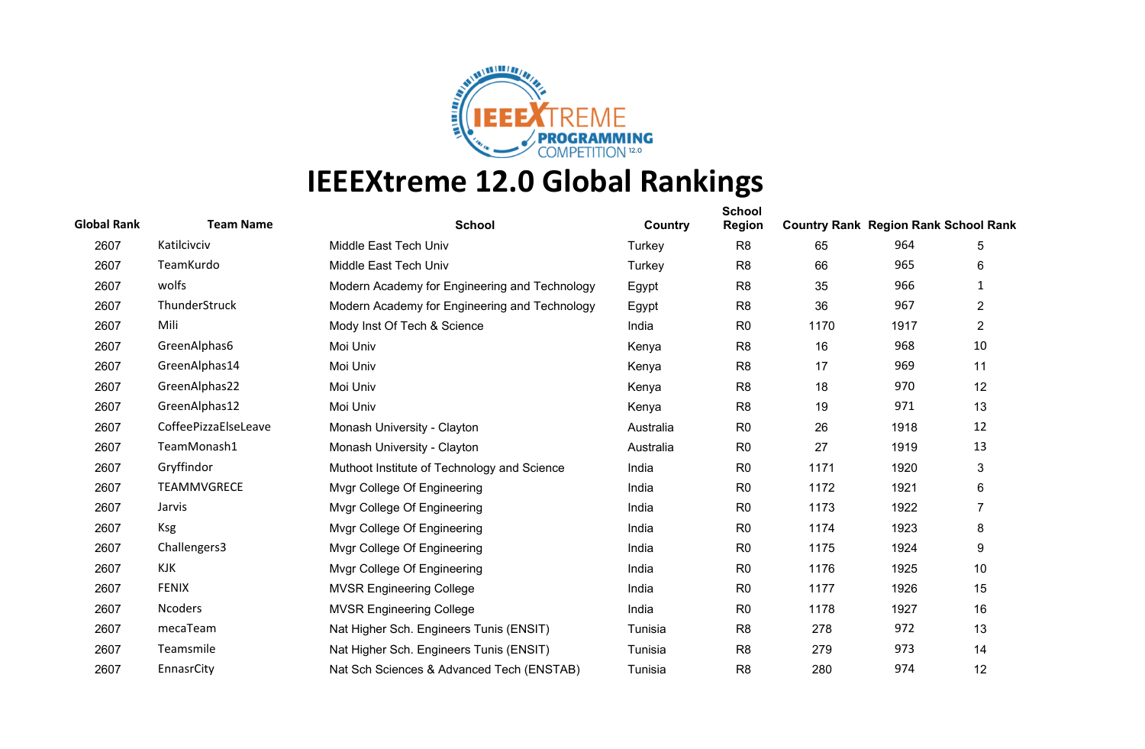

| <b>Global Rank</b> | <b>Team Name</b>     | <b>School</b>                                 | Country   | <b>School</b><br><b>Region</b> | <b>Country Rank Region Rank School Rank</b> |      |                |
|--------------------|----------------------|-----------------------------------------------|-----------|--------------------------------|---------------------------------------------|------|----------------|
| 2607               | Katilcivciv          | Middle East Tech Univ                         | Turkey    | R <sub>8</sub>                 | 65                                          | 964  | 5              |
| 2607               | TeamKurdo            | Middle East Tech Univ                         | Turkey    | R <sub>8</sub>                 | 66                                          | 965  | 6              |
| 2607               | wolfs                | Modern Academy for Engineering and Technology | Egypt     | R <sub>8</sub>                 | 35                                          | 966  | 1              |
| 2607               | ThunderStruck        | Modern Academy for Engineering and Technology | Egypt     | R <sub>8</sub>                 | 36                                          | 967  | $\overline{2}$ |
| 2607               | Mili                 | Mody Inst Of Tech & Science                   | India     | R <sub>0</sub>                 | 1170                                        | 1917 | $\overline{2}$ |
| 2607               | GreenAlphas6         | Moi Univ                                      | Kenya     | R <sub>8</sub>                 | 16                                          | 968  | 10             |
| 2607               | GreenAlphas14        | Moi Univ                                      | Kenya     | R <sub>8</sub>                 | 17                                          | 969  | 11             |
| 2607               | GreenAlphas22        | Moi Univ                                      | Kenya     | R <sub>8</sub>                 | 18                                          | 970  | 12             |
| 2607               | GreenAlphas12        | Moi Univ                                      | Kenya     | R <sub>8</sub>                 | 19                                          | 971  | 13             |
| 2607               | CoffeePizzaElseLeave | Monash University - Clayton                   | Australia | R <sub>0</sub>                 | 26                                          | 1918 | 12             |
| 2607               | TeamMonash1          | Monash University - Clayton                   | Australia | R <sub>0</sub>                 | 27                                          | 1919 | 13             |
| 2607               | Gryffindor           | Muthoot Institute of Technology and Science   | India     | R <sub>0</sub>                 | 1171                                        | 1920 | 3              |
| 2607               | <b>TEAMMVGRECE</b>   | Mvgr College Of Engineering                   | India     | R <sub>0</sub>                 | 1172                                        | 1921 | 6              |
| 2607               | Jarvis               | Mvgr College Of Engineering                   | India     | R <sub>0</sub>                 | 1173                                        | 1922 | 7              |
| 2607               | <b>Ksg</b>           | Mvgr College Of Engineering                   | India     | R <sub>0</sub>                 | 1174                                        | 1923 | 8              |
| 2607               | Challengers3         | Mvgr College Of Engineering                   | India     | R <sub>0</sub>                 | 1175                                        | 1924 | 9              |
| 2607               | KJK                  | Mvgr College Of Engineering                   | India     | R <sub>0</sub>                 | 1176                                        | 1925 | 10             |
| 2607               | <b>FENIX</b>         | <b>MVSR Engineering College</b>               | India     | R <sub>0</sub>                 | 1177                                        | 1926 | 15             |
| 2607               | <b>Ncoders</b>       | <b>MVSR Engineering College</b>               | India     | R <sub>0</sub>                 | 1178                                        | 1927 | 16             |
| 2607               | mecaTeam             | Nat Higher Sch. Engineers Tunis (ENSIT)       | Tunisia   | R <sub>8</sub>                 | 278                                         | 972  | 13             |
| 2607               | Teamsmile            | Nat Higher Sch. Engineers Tunis (ENSIT)       | Tunisia   | R <sub>8</sub>                 | 279                                         | 973  | 14             |
| 2607               | EnnasrCity           | Nat Sch Sciences & Advanced Tech (ENSTAB)     | Tunisia   | R <sub>8</sub>                 | 280                                         | 974  | 12             |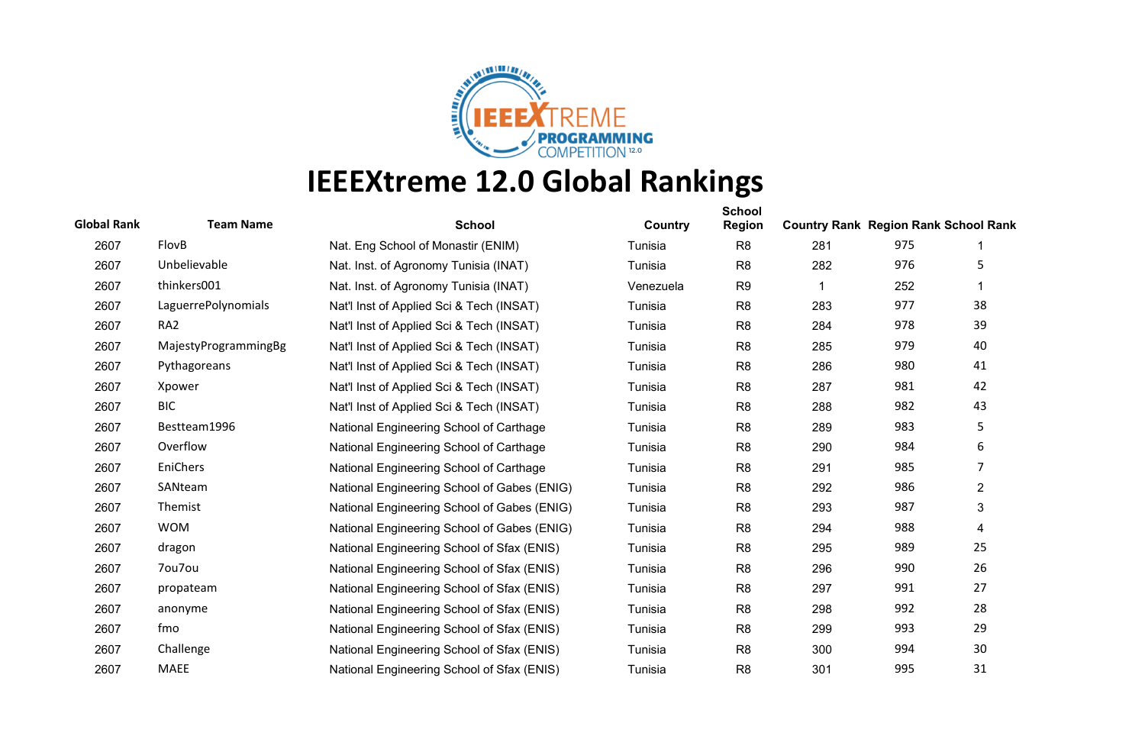

| <b>Global Rank</b> | <b>Team Name</b>     | <b>School</b>                               | Country   | <b>School</b><br><b>Region</b> | <b>Country Rank Region Rank School Rank</b> |     |                |
|--------------------|----------------------|---------------------------------------------|-----------|--------------------------------|---------------------------------------------|-----|----------------|
| 2607               | FlovB                | Nat. Eng School of Monastir (ENIM)          | Tunisia   | R <sub>8</sub>                 | 281                                         | 975 |                |
| 2607               | Unbelievable         | Nat. Inst. of Agronomy Tunisia (INAT)       | Tunisia   | R <sub>8</sub>                 | 282                                         | 976 | 5              |
| 2607               | thinkers001          | Nat. Inst. of Agronomy Tunisia (INAT)       | Venezuela | R <sub>9</sub>                 | 1                                           | 252 | 1              |
| 2607               | LaguerrePolynomials  | Nat'l Inst of Applied Sci & Tech (INSAT)    | Tunisia   | R <sub>8</sub>                 | 283                                         | 977 | 38             |
| 2607               | RA <sub>2</sub>      | Nat'l Inst of Applied Sci & Tech (INSAT)    | Tunisia   | R <sub>8</sub>                 | 284                                         | 978 | 39             |
| 2607               | MajestyProgrammingBg | Nat'l Inst of Applied Sci & Tech (INSAT)    | Tunisia   | R <sub>8</sub>                 | 285                                         | 979 | 40             |
| 2607               | Pythagoreans         | Nat'l Inst of Applied Sci & Tech (INSAT)    | Tunisia   | R <sub>8</sub>                 | 286                                         | 980 | 41             |
| 2607               | Xpower               | Nat'l Inst of Applied Sci & Tech (INSAT)    | Tunisia   | R <sub>8</sub>                 | 287                                         | 981 | 42             |
| 2607               | <b>BIC</b>           | Nat'l Inst of Applied Sci & Tech (INSAT)    | Tunisia   | R <sub>8</sub>                 | 288                                         | 982 | 43             |
| 2607               | Bestteam1996         | National Engineering School of Carthage     | Tunisia   | R <sub>8</sub>                 | 289                                         | 983 | 5              |
| 2607               | Overflow             | National Engineering School of Carthage     | Tunisia   | R <sub>8</sub>                 | 290                                         | 984 | 6              |
| 2607               | EniChers             | National Engineering School of Carthage     | Tunisia   | R <sub>8</sub>                 | 291                                         | 985 | 7              |
| 2607               | SANteam              | National Engineering School of Gabes (ENIG) | Tunisia   | R <sub>8</sub>                 | 292                                         | 986 | $\overline{2}$ |
| 2607               | Themist              | National Engineering School of Gabes (ENIG) | Tunisia   | R <sub>8</sub>                 | 293                                         | 987 | 3              |
| 2607               | <b>WOM</b>           | National Engineering School of Gabes (ENIG) | Tunisia   | R <sub>8</sub>                 | 294                                         | 988 | $\overline{4}$ |
| 2607               | dragon               | National Engineering School of Sfax (ENIS)  | Tunisia   | R <sub>8</sub>                 | 295                                         | 989 | 25             |
| 2607               | 7ou7ou               | National Engineering School of Sfax (ENIS)  | Tunisia   | R <sub>8</sub>                 | 296                                         | 990 | 26             |
| 2607               | propateam            | National Engineering School of Sfax (ENIS)  | Tunisia   | R <sub>8</sub>                 | 297                                         | 991 | 27             |
| 2607               | anonyme              | National Engineering School of Sfax (ENIS)  | Tunisia   | R <sub>8</sub>                 | 298                                         | 992 | 28             |
| 2607               | fmo                  | National Engineering School of Sfax (ENIS)  | Tunisia   | R <sub>8</sub>                 | 299                                         | 993 | 29             |
| 2607               | Challenge            | National Engineering School of Sfax (ENIS)  | Tunisia   | R <sub>8</sub>                 | 300                                         | 994 | 30             |
| 2607               | <b>MAEE</b>          | National Engineering School of Sfax (ENIS)  | Tunisia   | R <sub>8</sub>                 | 301                                         | 995 | 31             |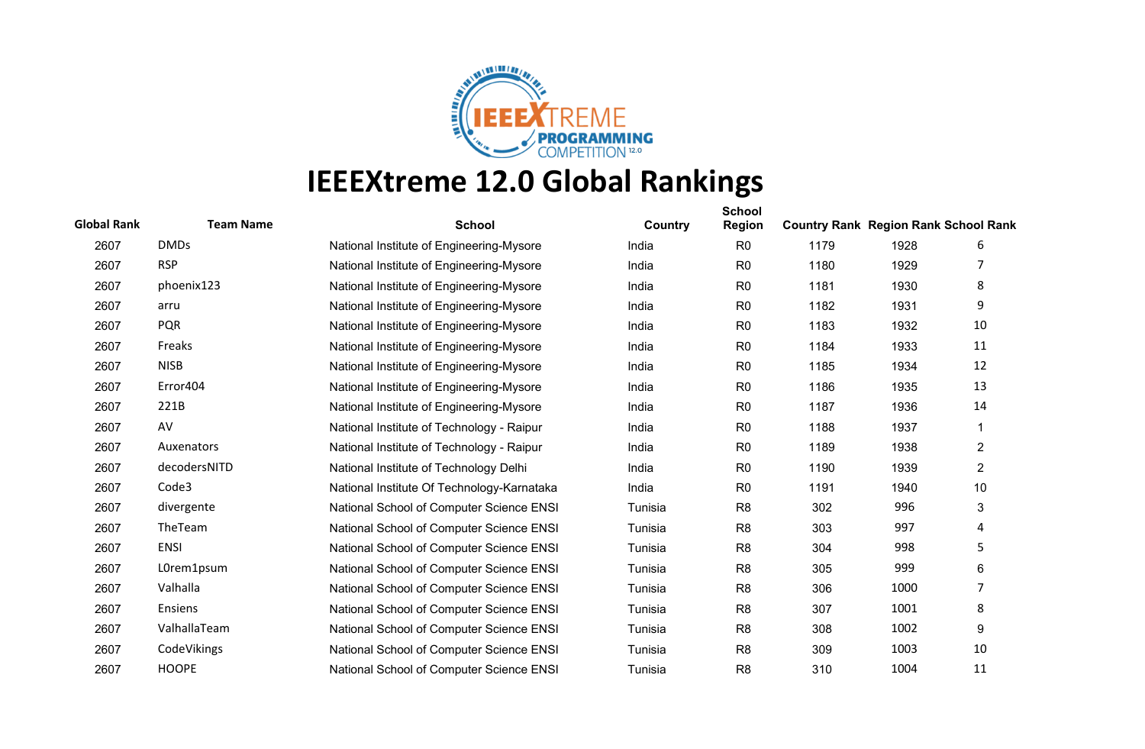

| <b>Global Rank</b> | <b>Team Name</b> | <b>School</b>                              | Country | <b>School</b><br><b>Region</b> | <b>Country Rank Region Rank School Rank</b> |      |                |
|--------------------|------------------|--------------------------------------------|---------|--------------------------------|---------------------------------------------|------|----------------|
| 2607               | <b>DMDs</b>      | National Institute of Engineering-Mysore   | India   | R <sub>0</sub>                 | 1179                                        | 1928 | 6              |
| 2607               | <b>RSP</b>       | National Institute of Engineering-Mysore   | India   | R <sub>0</sub>                 | 1180                                        | 1929 |                |
| 2607               | phoenix123       | National Institute of Engineering-Mysore   | India   | R <sub>0</sub>                 | 1181                                        | 1930 | 8              |
| 2607               | arru             | National Institute of Engineering-Mysore   | India   | R <sub>0</sub>                 | 1182                                        | 1931 | 9              |
| 2607               | <b>PQR</b>       | National Institute of Engineering-Mysore   | India   | R <sub>0</sub>                 | 1183                                        | 1932 | 10             |
| 2607               | Freaks           | National Institute of Engineering-Mysore   | India   | R <sub>0</sub>                 | 1184                                        | 1933 | 11             |
| 2607               | <b>NISB</b>      | National Institute of Engineering-Mysore   | India   | R <sub>0</sub>                 | 1185                                        | 1934 | 12             |
| 2607               | Error404         | National Institute of Engineering-Mysore   | India   | R <sub>0</sub>                 | 1186                                        | 1935 | 13             |
| 2607               | 221B             | National Institute of Engineering-Mysore   | India   | R <sub>0</sub>                 | 1187                                        | 1936 | 14             |
| 2607               | AV               | National Institute of Technology - Raipur  | India   | R <sub>0</sub>                 | 1188                                        | 1937 | 1              |
| 2607               | Auxenators       | National Institute of Technology - Raipur  | India   | R <sub>0</sub>                 | 1189                                        | 1938 | $\overline{2}$ |
| 2607               | decodersNITD     | National Institute of Technology Delhi     | India   | R <sub>0</sub>                 | 1190                                        | 1939 | $\overline{2}$ |
| 2607               | Code3            | National Institute Of Technology-Karnataka | India   | R <sub>0</sub>                 | 1191                                        | 1940 | 10             |
| 2607               | divergente       | National School of Computer Science ENSI   | Tunisia | R <sub>8</sub>                 | 302                                         | 996  | 3              |
| 2607               | TheTeam          | National School of Computer Science ENSI   | Tunisia | R <sub>8</sub>                 | 303                                         | 997  | $\overline{4}$ |
| 2607               | <b>ENSI</b>      | National School of Computer Science ENSI   | Tunisia | R <sub>8</sub>                 | 304                                         | 998  | 5              |
| 2607               | L0rem1psum       | National School of Computer Science ENSI   | Tunisia | R <sub>8</sub>                 | 305                                         | 999  | 6              |
| 2607               | Valhalla         | National School of Computer Science ENSI   | Tunisia | R <sub>8</sub>                 | 306                                         | 1000 | 7              |
| 2607               | <b>Ensiens</b>   | National School of Computer Science ENSI   | Tunisia | R <sub>8</sub>                 | 307                                         | 1001 | 8              |
| 2607               | ValhallaTeam     | National School of Computer Science ENSI   | Tunisia | R <sub>8</sub>                 | 308                                         | 1002 | 9              |
| 2607               | CodeVikings      | National School of Computer Science ENSI   | Tunisia | R <sub>8</sub>                 | 309                                         | 1003 | 10             |
| 2607               | <b>HOOPE</b>     | National School of Computer Science ENSI   | Tunisia | R <sub>8</sub>                 | 310                                         | 1004 | 11             |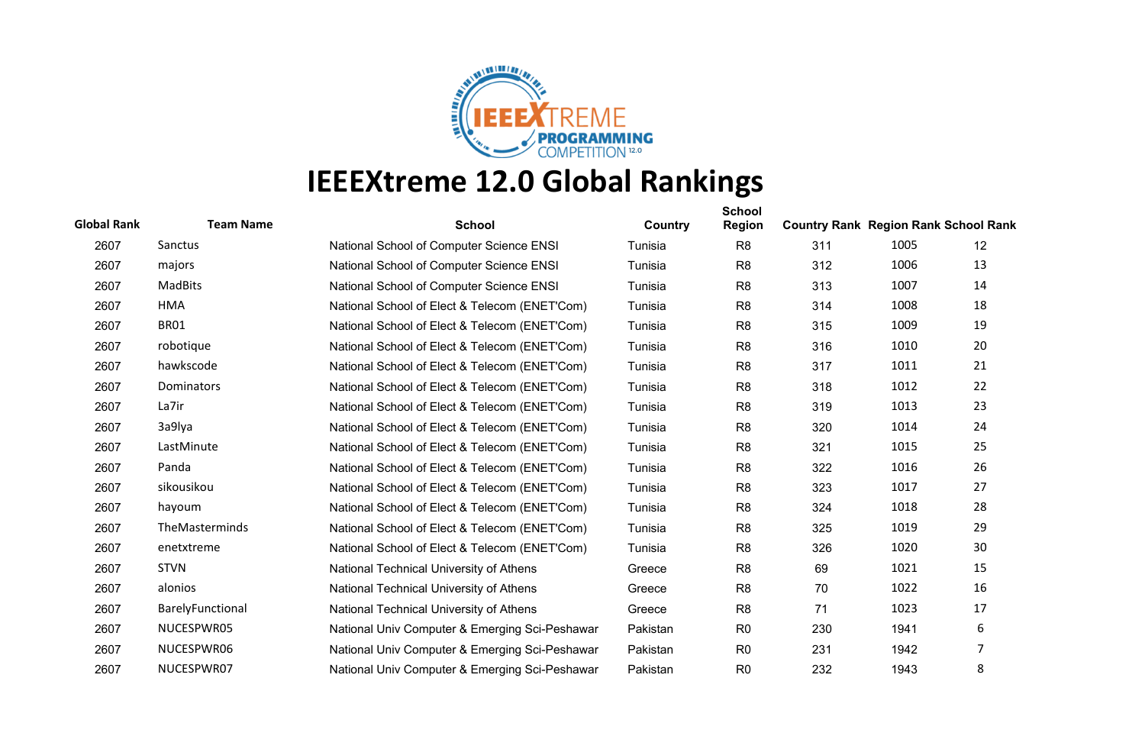

| <b>Global Rank</b> | <b>Team Name</b> | <b>School</b>                                  | Country  | <b>School</b><br><b>Region</b> | <b>Country Rank Region Rank School Rank</b> |      |    |
|--------------------|------------------|------------------------------------------------|----------|--------------------------------|---------------------------------------------|------|----|
| 2607               | Sanctus          | National School of Computer Science ENSI       | Tunisia  | R <sub>8</sub>                 | 311                                         | 1005 | 12 |
| 2607               | majors           | National School of Computer Science ENSI       | Tunisia  | R <sub>8</sub>                 | 312                                         | 1006 | 13 |
| 2607               | <b>MadBits</b>   | National School of Computer Science ENSI       | Tunisia  | R <sub>8</sub>                 | 313                                         | 1007 | 14 |
| 2607               | <b>HMA</b>       | National School of Elect & Telecom (ENET'Com)  | Tunisia  | R <sub>8</sub>                 | 314                                         | 1008 | 18 |
| 2607               | <b>BR01</b>      | National School of Elect & Telecom (ENET'Com)  | Tunisia  | R <sub>8</sub>                 | 315                                         | 1009 | 19 |
| 2607               | robotique        | National School of Elect & Telecom (ENET'Com)  | Tunisia  | R <sub>8</sub>                 | 316                                         | 1010 | 20 |
| 2607               | hawkscode        | National School of Elect & Telecom (ENET'Com)  | Tunisia  | R <sub>8</sub>                 | 317                                         | 1011 | 21 |
| 2607               | Dominators       | National School of Elect & Telecom (ENET'Com)  | Tunisia  | R <sub>8</sub>                 | 318                                         | 1012 | 22 |
| 2607               | La7ir            | National School of Elect & Telecom (ENET'Com)  | Tunisia  | R <sub>8</sub>                 | 319                                         | 1013 | 23 |
| 2607               | 3a9lya           | National School of Elect & Telecom (ENET'Com)  | Tunisia  | R <sub>8</sub>                 | 320                                         | 1014 | 24 |
| 2607               | LastMinute       | National School of Elect & Telecom (ENET'Com)  | Tunisia  | R <sub>8</sub>                 | 321                                         | 1015 | 25 |
| 2607               | Panda            | National School of Elect & Telecom (ENET'Com)  | Tunisia  | R <sub>8</sub>                 | 322                                         | 1016 | 26 |
| 2607               | sikousikou       | National School of Elect & Telecom (ENET'Com)  | Tunisia  | R <sub>8</sub>                 | 323                                         | 1017 | 27 |
| 2607               | hayoum           | National School of Elect & Telecom (ENET'Com)  | Tunisia  | R <sub>8</sub>                 | 324                                         | 1018 | 28 |
| 2607               | TheMasterminds   | National School of Elect & Telecom (ENET'Com)  | Tunisia  | R <sub>8</sub>                 | 325                                         | 1019 | 29 |
| 2607               | enetxtreme       | National School of Elect & Telecom (ENET'Com)  | Tunisia  | R <sub>8</sub>                 | 326                                         | 1020 | 30 |
| 2607               | <b>STVN</b>      | National Technical University of Athens        | Greece   | R <sub>8</sub>                 | 69                                          | 1021 | 15 |
| 2607               | alonios          | National Technical University of Athens        | Greece   | R <sub>8</sub>                 | 70                                          | 1022 | 16 |
| 2607               | BarelyFunctional | National Technical University of Athens        | Greece   | R <sub>8</sub>                 | 71                                          | 1023 | 17 |
| 2607               | NUCESPWR05       | National Univ Computer & Emerging Sci-Peshawar | Pakistan | R <sub>0</sub>                 | 230                                         | 1941 | 6  |
| 2607               | NUCESPWR06       | National Univ Computer & Emerging Sci-Peshawar | Pakistan | R <sub>0</sub>                 | 231                                         | 1942 | 7  |
| 2607               | NUCESPWR07       | National Univ Computer & Emerging Sci-Peshawar | Pakistan | R <sub>0</sub>                 | 232                                         | 1943 | 8  |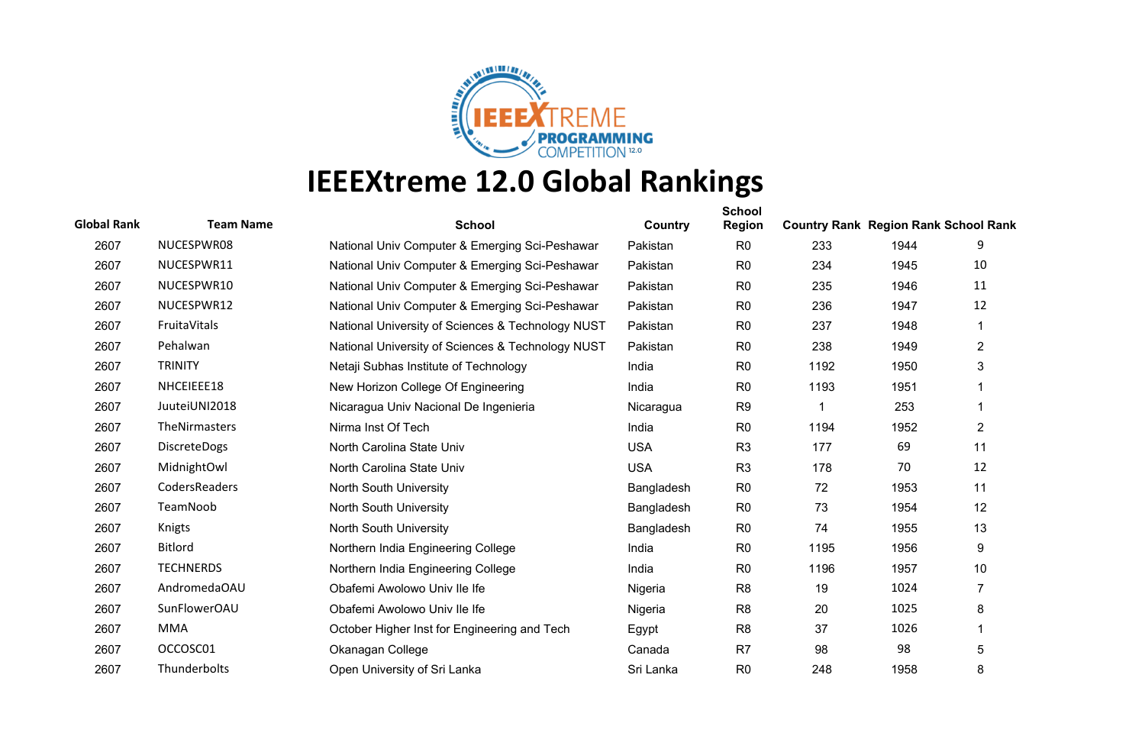

| <b>Global Rank</b> | <b>Team Name</b>    | <b>School</b>                                     | Country    | <b>School</b><br><b>Region</b> | <b>Country Rank Region Rank School Rank</b> |      |                |
|--------------------|---------------------|---------------------------------------------------|------------|--------------------------------|---------------------------------------------|------|----------------|
| 2607               | NUCESPWR08          | National Univ Computer & Emerging Sci-Peshawar    | Pakistan   | R <sub>0</sub>                 | 233                                         | 1944 | 9              |
| 2607               | NUCESPWR11          | National Univ Computer & Emerging Sci-Peshawar    | Pakistan   | R <sub>0</sub>                 | 234                                         | 1945 | 10             |
| 2607               | NUCESPWR10          | National Univ Computer & Emerging Sci-Peshawar    | Pakistan   | R <sub>0</sub>                 | 235                                         | 1946 | 11             |
| 2607               | NUCESPWR12          | National Univ Computer & Emerging Sci-Peshawar    | Pakistan   | R <sub>0</sub>                 | 236                                         | 1947 | 12             |
| 2607               | FruitaVitals        | National University of Sciences & Technology NUST | Pakistan   | R <sub>0</sub>                 | 237                                         | 1948 | 1              |
| 2607               | Pehalwan            | National University of Sciences & Technology NUST | Pakistan   | R <sub>0</sub>                 | 238                                         | 1949 | $\overline{2}$ |
| 2607               | <b>TRINITY</b>      | Netaji Subhas Institute of Technology             | India      | R <sub>0</sub>                 | 1192                                        | 1950 | 3              |
| 2607               | NHCEIEEE18          | New Horizon College Of Engineering                | India      | R <sub>0</sub>                 | 1193                                        | 1951 |                |
| 2607               | JuuteiUNI2018       | Nicaragua Univ Nacional De Ingenieria             | Nicaragua  | R <sub>9</sub>                 |                                             | 253  |                |
| 2607               | TheNirmasters       | Nirma Inst Of Tech                                | India      | R <sub>0</sub>                 | 1194                                        | 1952 | $\overline{2}$ |
| 2607               | <b>DiscreteDogs</b> | North Carolina State Univ                         | <b>USA</b> | R <sub>3</sub>                 | 177                                         | 69   | 11             |
| 2607               | MidnightOwl         | North Carolina State Univ                         | <b>USA</b> | R <sub>3</sub>                 | 178                                         | 70   | 12             |
| 2607               | CodersReaders       | North South University                            | Bangladesh | R <sub>0</sub>                 | 72                                          | 1953 | 11             |
| 2607               | TeamNoob            | North South University                            | Bangladesh | R <sub>0</sub>                 | 73                                          | 1954 | 12             |
| 2607               | Knigts              | <b>North South University</b>                     | Bangladesh | R <sub>0</sub>                 | 74                                          | 1955 | 13             |
| 2607               | <b>Bitlord</b>      | Northern India Engineering College                | India      | R <sub>0</sub>                 | 1195                                        | 1956 | 9              |
| 2607               | <b>TECHNERDS</b>    | Northern India Engineering College                | India      | R <sub>0</sub>                 | 1196                                        | 1957 | 10             |
| 2607               | AndromedaOAU        | Obafemi Awolowo Univ Ile Ife                      | Nigeria    | R <sub>8</sub>                 | 19                                          | 1024 | $\overline{7}$ |
| 2607               | SunFlowerOAU        | Obafemi Awolowo Univ Ile Ife                      | Nigeria    | R <sub>8</sub>                 | 20                                          | 1025 | 8              |
| 2607               | <b>MMA</b>          | October Higher Inst for Engineering and Tech      | Egypt      | R <sub>8</sub>                 | 37                                          | 1026 |                |
| 2607               | OCCOSC01            | Okanagan College                                  | Canada     | R <sub>7</sub>                 | 98                                          | 98   | 5              |
| 2607               | <b>Thunderbolts</b> | Open University of Sri Lanka                      | Sri Lanka  | R <sub>0</sub>                 | 248                                         | 1958 | 8              |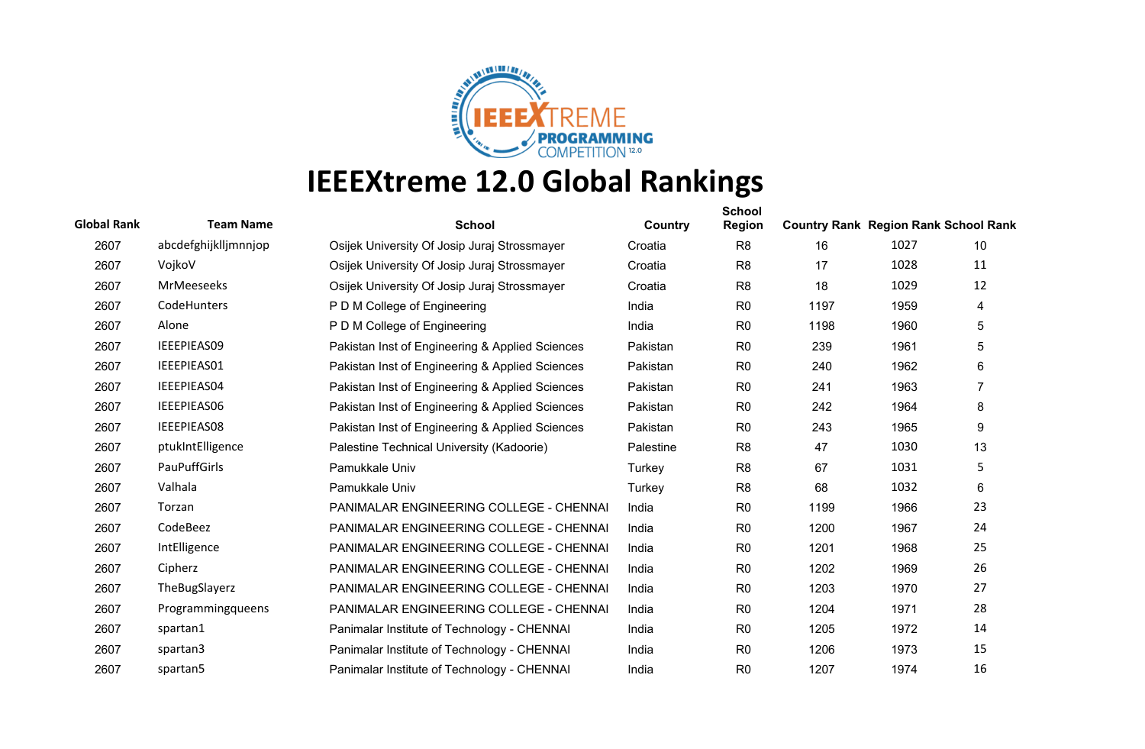

| <b>Global Rank</b> | <b>Team Name</b>     | <b>School</b>                                   | Country   | <b>School</b><br><b>Region</b> | <b>Country Rank Region Rank School Rank</b> |      |                |
|--------------------|----------------------|-------------------------------------------------|-----------|--------------------------------|---------------------------------------------|------|----------------|
| 2607               | abcdefghijklljmnnjop | Osijek University Of Josip Juraj Strossmayer    | Croatia   | R <sub>8</sub>                 | 16                                          | 1027 | 10             |
| 2607               | VojkoV               | Osijek University Of Josip Juraj Strossmayer    | Croatia   | R <sub>8</sub>                 | 17                                          | 1028 | 11             |
| 2607               | <b>MrMeeseeks</b>    | Osijek University Of Josip Juraj Strossmayer    | Croatia   | R <sub>8</sub>                 | 18                                          | 1029 | 12             |
| 2607               | CodeHunters          | P D M College of Engineering                    | India     | R <sub>0</sub>                 | 1197                                        | 1959 | 4              |
| 2607               | Alone                | P D M College of Engineering                    | India     | R <sub>0</sub>                 | 1198                                        | 1960 | 5              |
| 2607               | IEEEPIEAS09          | Pakistan Inst of Engineering & Applied Sciences | Pakistan  | R <sub>0</sub>                 | 239                                         | 1961 | 5              |
| 2607               | IEEEPIEAS01          | Pakistan Inst of Engineering & Applied Sciences | Pakistan  | R <sub>0</sub>                 | 240                                         | 1962 | 6              |
| 2607               | IEEEPIEAS04          | Pakistan Inst of Engineering & Applied Sciences | Pakistan  | R <sub>0</sub>                 | 241                                         | 1963 | $\overline{7}$ |
| 2607               | IEEEPIEAS06          | Pakistan Inst of Engineering & Applied Sciences | Pakistan  | R <sub>0</sub>                 | 242                                         | 1964 | 8              |
| 2607               | IEEEPIEAS08          | Pakistan Inst of Engineering & Applied Sciences | Pakistan  | R <sub>0</sub>                 | 243                                         | 1965 | 9              |
| 2607               | ptukIntElligence     | Palestine Technical University (Kadoorie)       | Palestine | R <sub>8</sub>                 | 47                                          | 1030 | 13             |
| 2607               | PauPuffGirls         | Pamukkale Univ                                  | Turkey    | R <sub>8</sub>                 | 67                                          | 1031 | 5              |
| 2607               | Valhala              | Pamukkale Univ                                  | Turkey    | R <sub>8</sub>                 | 68                                          | 1032 | 6              |
| 2607               | Torzan               | PANIMALAR ENGINEERING COLLEGE - CHENNAI         | India     | R <sub>0</sub>                 | 1199                                        | 1966 | 23             |
| 2607               | CodeBeez             | <b>PANIMALAR ENGINEERING COLLEGE - CHENNAI</b>  | India     | R <sub>0</sub>                 | 1200                                        | 1967 | 24             |
| 2607               | IntElligence         | PANIMALAR ENGINEERING COLLEGE - CHENNAI         | India     | R <sub>0</sub>                 | 1201                                        | 1968 | 25             |
| 2607               | Cipherz              | PANIMALAR ENGINEERING COLLEGE - CHENNAI         | India     | R <sub>0</sub>                 | 1202                                        | 1969 | 26             |
| 2607               | TheBugSlayerz        | PANIMALAR ENGINEERING COLLEGE - CHENNAI         | India     | R <sub>0</sub>                 | 1203                                        | 1970 | 27             |
| 2607               | Programmingqueens    | PANIMALAR ENGINEERING COLLEGE - CHENNAI         | India     | R <sub>0</sub>                 | 1204                                        | 1971 | 28             |
| 2607               | spartan1             | Panimalar Institute of Technology - CHENNAI     | India     | R <sub>0</sub>                 | 1205                                        | 1972 | 14             |
| 2607               | spartan3             | Panimalar Institute of Technology - CHENNAI     | India     | R <sub>0</sub>                 | 1206                                        | 1973 | 15             |
| 2607               | spartan5             | Panimalar Institute of Technology - CHENNAI     | India     | R <sub>0</sub>                 | 1207                                        | 1974 | 16             |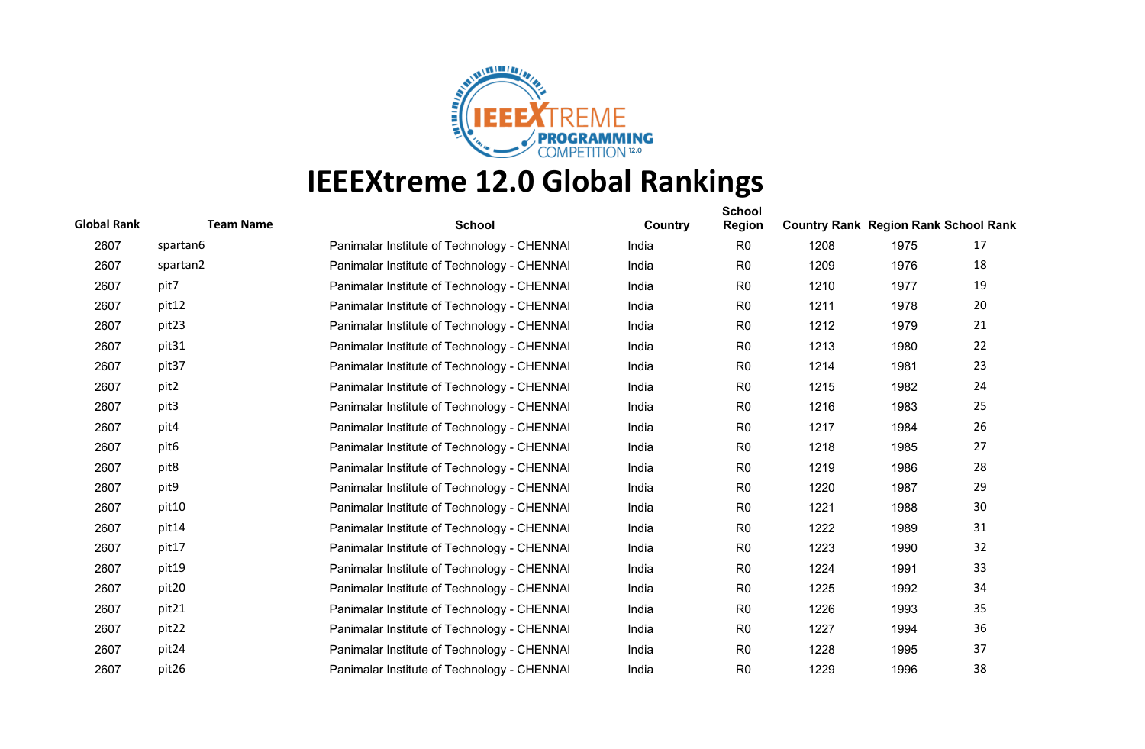

| <b>Global Rank</b> | <b>Team Name</b> | <b>School</b>                               | Country | <b>School</b><br><b>Region</b> | <b>Country Rank Region Rank School Rank</b> |      |    |
|--------------------|------------------|---------------------------------------------|---------|--------------------------------|---------------------------------------------|------|----|
| 2607               | spartan6         | Panimalar Institute of Technology - CHENNAI | India   | R <sub>0</sub>                 | 1208                                        | 1975 | 17 |
| 2607               | spartan2         | Panimalar Institute of Technology - CHENNAI | India   | R <sub>0</sub>                 | 1209                                        | 1976 | 18 |
| 2607               | pit7             | Panimalar Institute of Technology - CHENNAI | India   | R <sub>0</sub>                 | 1210                                        | 1977 | 19 |
| 2607               | pit12            | Panimalar Institute of Technology - CHENNAI | India   | R <sub>0</sub>                 | 1211                                        | 1978 | 20 |
| 2607               | pit23            | Panimalar Institute of Technology - CHENNAI | India   | R <sub>0</sub>                 | 1212                                        | 1979 | 21 |
| 2607               | pit31            | Panimalar Institute of Technology - CHENNAI | India   | R <sub>0</sub>                 | 1213                                        | 1980 | 22 |
| 2607               | pit37            | Panimalar Institute of Technology - CHENNAI | India   | R <sub>0</sub>                 | 1214                                        | 1981 | 23 |
| 2607               | pit2             | Panimalar Institute of Technology - CHENNAI | India   | R <sub>0</sub>                 | 1215                                        | 1982 | 24 |
| 2607               | pit3             | Panimalar Institute of Technology - CHENNAI | India   | R <sub>0</sub>                 | 1216                                        | 1983 | 25 |
| 2607               | pit4             | Panimalar Institute of Technology - CHENNAI | India   | R <sub>0</sub>                 | 1217                                        | 1984 | 26 |
| 2607               | pit <sub>6</sub> | Panimalar Institute of Technology - CHENNAI | India   | R <sub>0</sub>                 | 1218                                        | 1985 | 27 |
| 2607               | pit8             | Panimalar Institute of Technology - CHENNAI | India   | R <sub>0</sub>                 | 1219                                        | 1986 | 28 |
| 2607               | pit9             | Panimalar Institute of Technology - CHENNAI | India   | R <sub>0</sub>                 | 1220                                        | 1987 | 29 |
| 2607               | pit10            | Panimalar Institute of Technology - CHENNAI | India   | R <sub>0</sub>                 | 1221                                        | 1988 | 30 |
| 2607               | pit14            | Panimalar Institute of Technology - CHENNAI | India   | R <sub>0</sub>                 | 1222                                        | 1989 | 31 |
| 2607               | pit17            | Panimalar Institute of Technology - CHENNAI | India   | R <sub>0</sub>                 | 1223                                        | 1990 | 32 |
| 2607               | pit19            | Panimalar Institute of Technology - CHENNAI | India   | R <sub>0</sub>                 | 1224                                        | 1991 | 33 |
| 2607               | pit20            | Panimalar Institute of Technology - CHENNAI | India   | R <sub>0</sub>                 | 1225                                        | 1992 | 34 |
| 2607               | pit21            | Panimalar Institute of Technology - CHENNAI | India   | R <sub>0</sub>                 | 1226                                        | 1993 | 35 |
| 2607               | pit22            | Panimalar Institute of Technology - CHENNAI | India   | R <sub>0</sub>                 | 1227                                        | 1994 | 36 |
| 2607               | pit24            | Panimalar Institute of Technology - CHENNAI | India   | R <sub>0</sub>                 | 1228                                        | 1995 | 37 |
| 2607               | pit26            | Panimalar Institute of Technology - CHENNAI | India   | R <sub>0</sub>                 | 1229                                        | 1996 | 38 |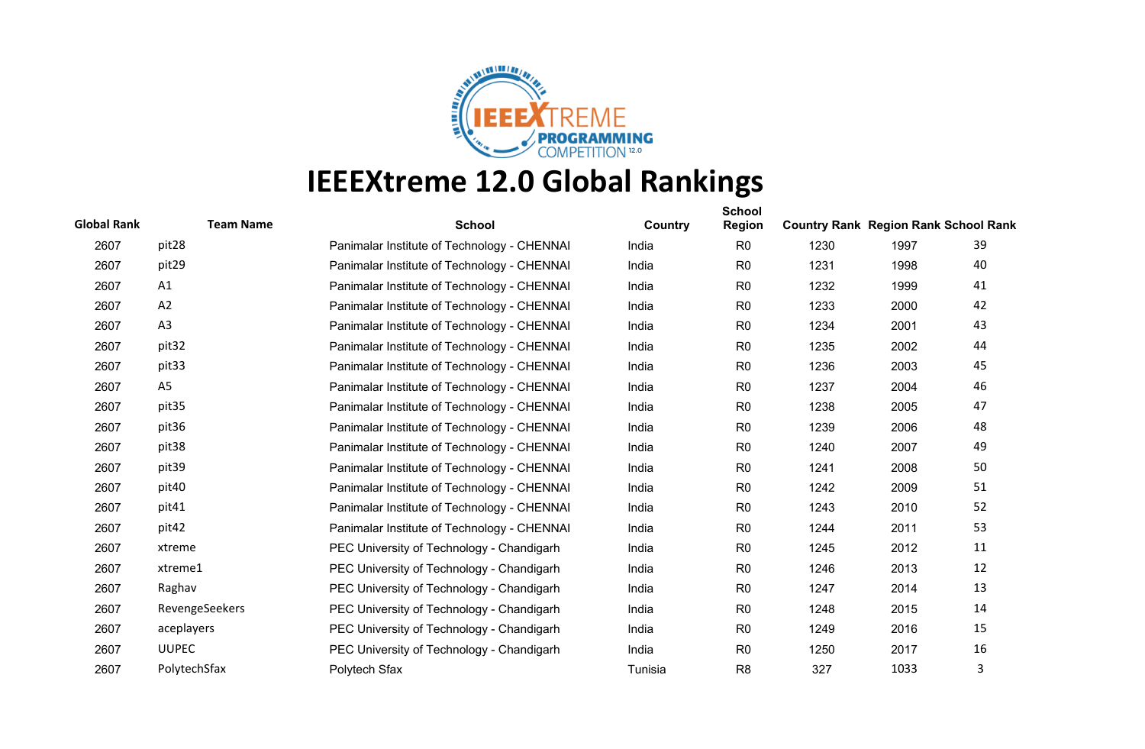

| <b>Global Rank</b> | <b>Team Name</b>  | <b>School</b>                               | Country | <b>School</b><br><b>Region</b> | <b>Country Rank Region Rank School Rank</b> |      |    |
|--------------------|-------------------|---------------------------------------------|---------|--------------------------------|---------------------------------------------|------|----|
| 2607               | pit28             | Panimalar Institute of Technology - CHENNAI | India   | R <sub>0</sub>                 | 1230                                        | 1997 | 39 |
| 2607               | pit29             | Panimalar Institute of Technology - CHENNAI | India   | R <sub>0</sub>                 | 1231                                        | 1998 | 40 |
| 2607               | A1                | Panimalar Institute of Technology - CHENNAI | India   | R <sub>0</sub>                 | 1232                                        | 1999 | 41 |
| 2607               | A2                | Panimalar Institute of Technology - CHENNAI | India   | R <sub>0</sub>                 | 1233                                        | 2000 | 42 |
| 2607               | A3                | Panimalar Institute of Technology - CHENNAI | India   | R <sub>0</sub>                 | 1234                                        | 2001 | 43 |
| 2607               | pit <sub>32</sub> | Panimalar Institute of Technology - CHENNAI | India   | R <sub>0</sub>                 | 1235                                        | 2002 | 44 |
| 2607               | pit33             | Panimalar Institute of Technology - CHENNAI | India   | R <sub>0</sub>                 | 1236                                        | 2003 | 45 |
| 2607               | A <sub>5</sub>    | Panimalar Institute of Technology - CHENNAI | India   | R <sub>0</sub>                 | 1237                                        | 2004 | 46 |
| 2607               | pit35             | Panimalar Institute of Technology - CHENNAI | India   | R <sub>0</sub>                 | 1238                                        | 2005 | 47 |
| 2607               | pit36             | Panimalar Institute of Technology - CHENNAI | India   | R <sub>0</sub>                 | 1239                                        | 2006 | 48 |
| 2607               | pit38             | Panimalar Institute of Technology - CHENNAI | India   | R <sub>0</sub>                 | 1240                                        | 2007 | 49 |
| 2607               | pit39             | Panimalar Institute of Technology - CHENNAI | India   | R <sub>0</sub>                 | 1241                                        | 2008 | 50 |
| 2607               | pit40             | Panimalar Institute of Technology - CHENNAI | India   | R <sub>0</sub>                 | 1242                                        | 2009 | 51 |
| 2607               | pit41             | Panimalar Institute of Technology - CHENNAI | India   | R <sub>0</sub>                 | 1243                                        | 2010 | 52 |
| 2607               | pit42             | Panimalar Institute of Technology - CHENNAI | India   | R <sub>0</sub>                 | 1244                                        | 2011 | 53 |
| 2607               | xtreme            | PEC University of Technology - Chandigarh   | India   | R <sub>0</sub>                 | 1245                                        | 2012 | 11 |
| 2607               | xtreme1           | PEC University of Technology - Chandigarh   | India   | R <sub>0</sub>                 | 1246                                        | 2013 | 12 |
| 2607               | Raghav            | PEC University of Technology - Chandigarh   | India   | R <sub>0</sub>                 | 1247                                        | 2014 | 13 |
| 2607               | RevengeSeekers    | PEC University of Technology - Chandigarh   | India   | R <sub>0</sub>                 | 1248                                        | 2015 | 14 |
| 2607               | aceplayers        | PEC University of Technology - Chandigarh   | India   | R <sub>0</sub>                 | 1249                                        | 2016 | 15 |
| 2607               | <b>UUPEC</b>      | PEC University of Technology - Chandigarh   | India   | R <sub>0</sub>                 | 1250                                        | 2017 | 16 |
| 2607               | PolytechSfax      | Polytech Sfax                               | Tunisia | R <sub>8</sub>                 | 327                                         | 1033 | 3  |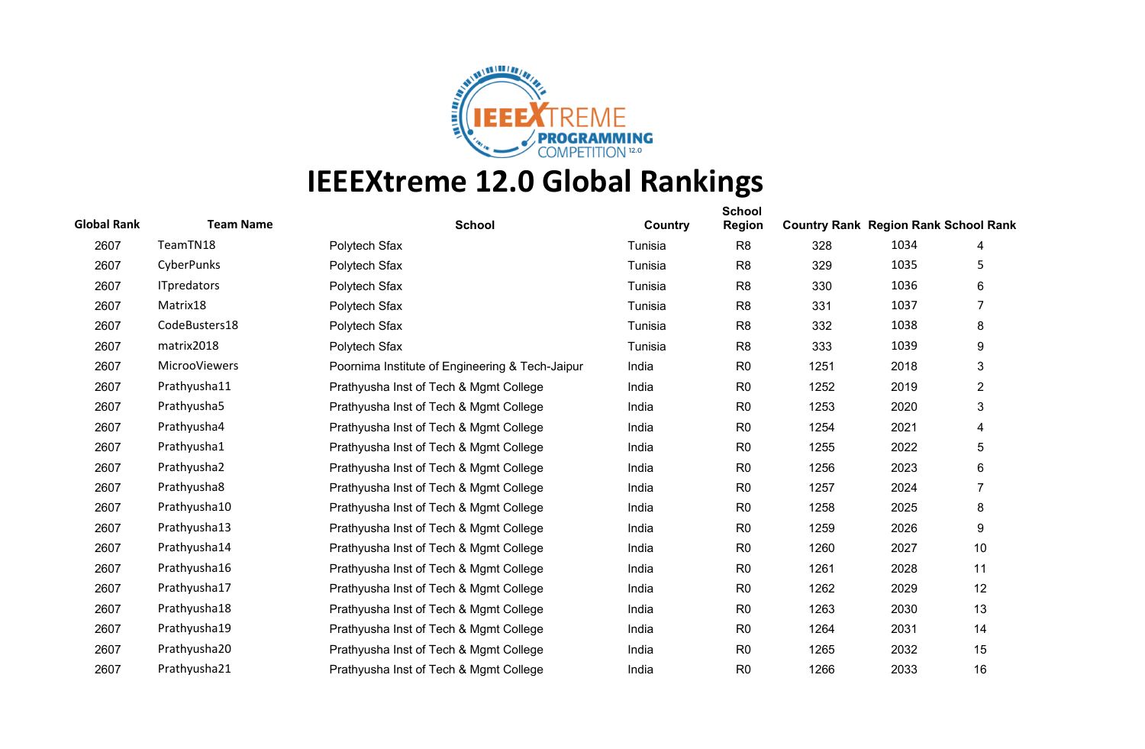

| <b>Global Rank</b> | <b>Team Name</b>   | <b>School</b>                                   | Country | <b>School</b><br><b>Region</b> | <b>Country Rank Region Rank School Rank</b> |      |                |
|--------------------|--------------------|-------------------------------------------------|---------|--------------------------------|---------------------------------------------|------|----------------|
| 2607               | TeamTN18           | Polytech Sfax                                   | Tunisia | R <sub>8</sub>                 | 328                                         | 1034 | 4              |
| 2607               | CyberPunks         | Polytech Sfax                                   | Tunisia | R <sub>8</sub>                 | 329                                         | 1035 | 5              |
| 2607               | <b>ITpredators</b> | Polytech Sfax                                   | Tunisia | R <sub>8</sub>                 | 330                                         | 1036 | 6              |
| 2607               | Matrix18           | Polytech Sfax                                   | Tunisia | R <sub>8</sub>                 | 331                                         | 1037 | 7              |
| 2607               | CodeBusters18      | Polytech Sfax                                   | Tunisia | R <sub>8</sub>                 | 332                                         | 1038 | 8              |
| 2607               | matrix2018         | Polytech Sfax                                   | Tunisia | R <sub>8</sub>                 | 333                                         | 1039 | 9              |
| 2607               | MicrooViewers      | Poornima Institute of Engineering & Tech-Jaipur | India   | R <sub>0</sub>                 | 1251                                        | 2018 | 3              |
| 2607               | Prathyusha11       | Prathyusha Inst of Tech & Mgmt College          | India   | R <sub>0</sub>                 | 1252                                        | 2019 | 2              |
| 2607               | Prathyusha5        | Prathyusha Inst of Tech & Mgmt College          | India   | R <sub>0</sub>                 | 1253                                        | 2020 | 3              |
| 2607               | Prathyusha4        | Prathyusha Inst of Tech & Mgmt College          | India   | R <sub>0</sub>                 | 1254                                        | 2021 | 4              |
| 2607               | Prathyusha1        | Prathyusha Inst of Tech & Mgmt College          | India   | R <sub>0</sub>                 | 1255                                        | 2022 | 5              |
| 2607               | Prathyusha2        | Prathyusha Inst of Tech & Mgmt College          | India   | R <sub>0</sub>                 | 1256                                        | 2023 | 6              |
| 2607               | Prathyusha8        | Prathyusha Inst of Tech & Mgmt College          | India   | R <sub>0</sub>                 | 1257                                        | 2024 | $\overline{7}$ |
| 2607               | Prathyusha10       | Prathyusha Inst of Tech & Mgmt College          | India   | R <sub>0</sub>                 | 1258                                        | 2025 | 8              |
| 2607               | Prathyusha13       | Prathyusha Inst of Tech & Mgmt College          | India   | R <sub>0</sub>                 | 1259                                        | 2026 | 9              |
| 2607               | Prathyusha14       | Prathyusha Inst of Tech & Mgmt College          | India   | R <sub>0</sub>                 | 1260                                        | 2027 | 10             |
| 2607               | Prathyusha16       | Prathyusha Inst of Tech & Mgmt College          | India   | R <sub>0</sub>                 | 1261                                        | 2028 | 11             |
| 2607               | Prathyusha17       | Prathyusha Inst of Tech & Mgmt College          | India   | R <sub>0</sub>                 | 1262                                        | 2029 | 12             |
| 2607               | Prathyusha18       | Prathyusha Inst of Tech & Mgmt College          | India   | R <sub>0</sub>                 | 1263                                        | 2030 | 13             |
| 2607               | Prathyusha19       | Prathyusha Inst of Tech & Mgmt College          | India   | R <sub>0</sub>                 | 1264                                        | 2031 | 14             |
| 2607               | Prathyusha20       | Prathyusha Inst of Tech & Mgmt College          | India   | R <sub>0</sub>                 | 1265                                        | 2032 | 15             |
| 2607               | Prathyusha21       | Prathyusha Inst of Tech & Mgmt College          | India   | R <sub>0</sub>                 | 1266                                        | 2033 | 16             |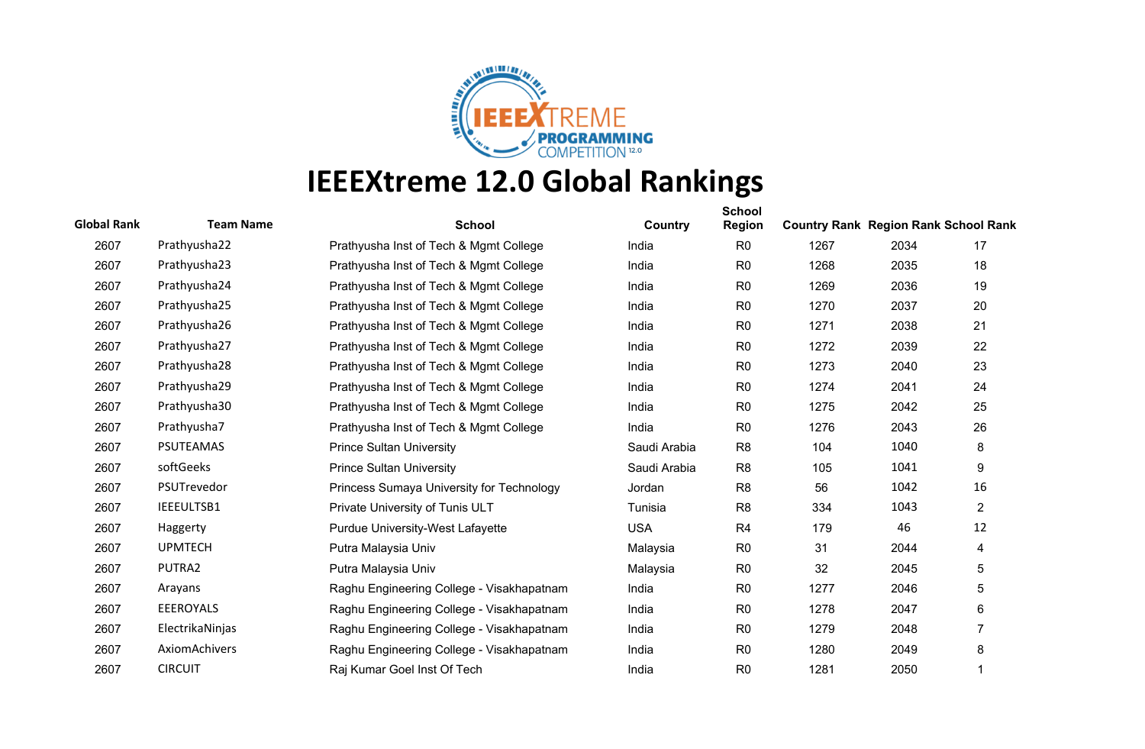

| <b>Global Rank</b> | <b>Team Name</b> | <b>School</b>                             | Country      | <b>School</b><br><b>Region</b> | <b>Country Rank Region Rank School Rank</b> |      |                |
|--------------------|------------------|-------------------------------------------|--------------|--------------------------------|---------------------------------------------|------|----------------|
| 2607               | Prathyusha22     | Prathyusha Inst of Tech & Mgmt College    | India        | R <sub>0</sub>                 | 1267                                        | 2034 | 17             |
| 2607               | Prathyusha23     | Prathyusha Inst of Tech & Mgmt College    | India        | R <sub>0</sub>                 | 1268                                        | 2035 | 18             |
| 2607               | Prathyusha24     | Prathyusha Inst of Tech & Mgmt College    | India        | R <sub>0</sub>                 | 1269                                        | 2036 | 19             |
| 2607               | Prathyusha25     | Prathyusha Inst of Tech & Mgmt College    | India        | R <sub>0</sub>                 | 1270                                        | 2037 | 20             |
| 2607               | Prathyusha26     | Prathyusha Inst of Tech & Mgmt College    | India        | R <sub>0</sub>                 | 1271                                        | 2038 | 21             |
| 2607               | Prathyusha27     | Prathyusha Inst of Tech & Mgmt College    | India        | R <sub>0</sub>                 | 1272                                        | 2039 | 22             |
| 2607               | Prathyusha28     | Prathyusha Inst of Tech & Mgmt College    | India        | R <sub>0</sub>                 | 1273                                        | 2040 | 23             |
| 2607               | Prathyusha29     | Prathyusha Inst of Tech & Mgmt College    | India        | R <sub>0</sub>                 | 1274                                        | 2041 | 24             |
| 2607               | Prathyusha30     | Prathyusha Inst of Tech & Mgmt College    | India        | R <sub>0</sub>                 | 1275                                        | 2042 | 25             |
| 2607               | Prathyusha7      | Prathyusha Inst of Tech & Mgmt College    | India        | R <sub>0</sub>                 | 1276                                        | 2043 | 26             |
| 2607               | <b>PSUTEAMAS</b> | <b>Prince Sultan University</b>           | Saudi Arabia | R <sub>8</sub>                 | 104                                         | 1040 | 8              |
| 2607               | softGeeks        | <b>Prince Sultan University</b>           | Saudi Arabia | R <sub>8</sub>                 | 105                                         | 1041 | 9              |
| 2607               | PSUTrevedor      | Princess Sumaya University for Technology | Jordan       | R <sub>8</sub>                 | 56                                          | 1042 | 16             |
| 2607               | IEEEULTSB1       | Private University of Tunis ULT           | Tunisia      | R <sub>8</sub>                 | 334                                         | 1043 | $\overline{2}$ |
| 2607               | Haggerty         | <b>Purdue University-West Lafayette</b>   | <b>USA</b>   | R <sub>4</sub>                 | 179                                         | 46   | 12             |
| 2607               | <b>UPMTECH</b>   | Putra Malaysia Univ                       | Malaysia     | R <sub>0</sub>                 | 31                                          | 2044 | 4              |
| 2607               | PUTRA2           | Putra Malaysia Univ                       | Malaysia     | R <sub>0</sub>                 | 32                                          | 2045 | 5              |
| 2607               | Arayans          | Raghu Engineering College - Visakhapatnam | India        | R <sub>0</sub>                 | 1277                                        | 2046 | 5              |
| 2607               | <b>EEEROYALS</b> | Raghu Engineering College - Visakhapatnam | India        | R <sub>0</sub>                 | 1278                                        | 2047 | 6              |
| 2607               | ElectrikaNinjas  | Raghu Engineering College - Visakhapatnam | India        | R <sub>0</sub>                 | 1279                                        | 2048 | $\overline{7}$ |
| 2607               | AxiomAchivers    | Raghu Engineering College - Visakhapatnam | India        | R <sub>0</sub>                 | 1280                                        | 2049 | 8              |
| 2607               | <b>CIRCUIT</b>   | Raj Kumar Goel Inst Of Tech               | India        | R <sub>0</sub>                 | 1281                                        | 2050 | 1              |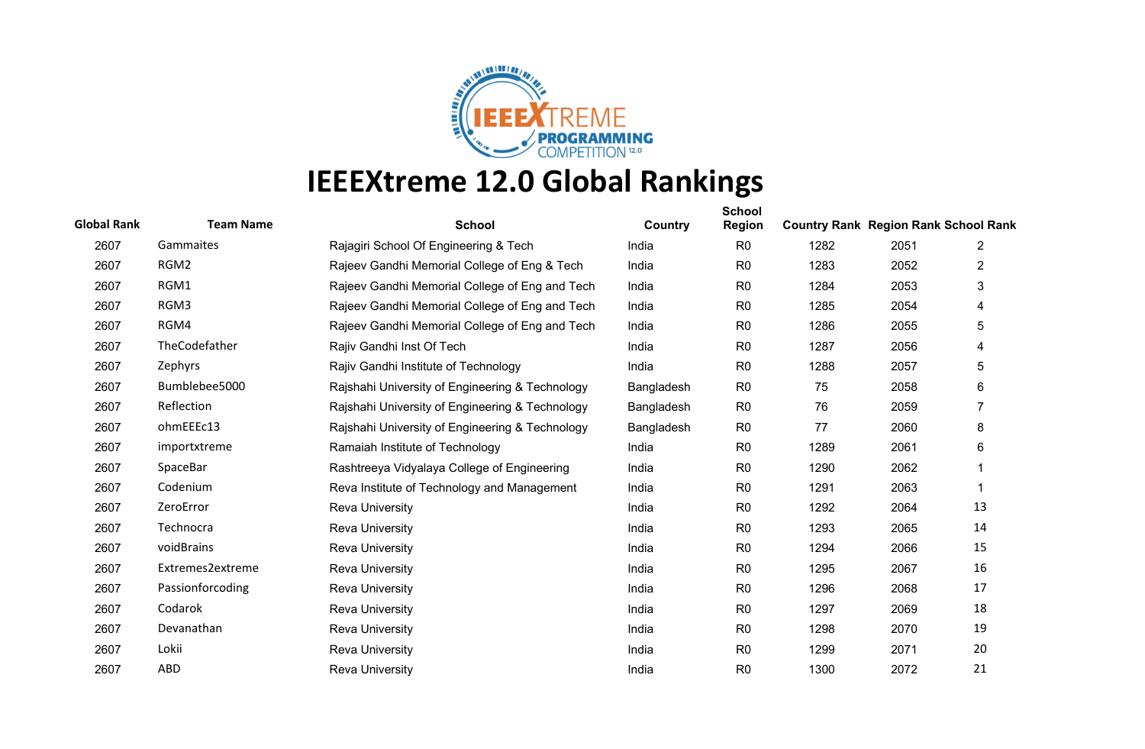

| <b>Global Rank</b> | <b>Team Name</b> | <b>School</b>                                   | Country    | <b>School</b><br><b>Region</b> | <b>Country Rank Region Rank School Rank</b> |      |                |
|--------------------|------------------|-------------------------------------------------|------------|--------------------------------|---------------------------------------------|------|----------------|
| 2607               | Gammaites        | Rajagiri School Of Engineering & Tech           | India      | R <sub>0</sub>                 | 1282                                        | 2051 | $\overline{2}$ |
| 2607               | RGM2             | Rajeev Gandhi Memorial College of Eng & Tech    | India      | R <sub>0</sub>                 | 1283                                        | 2052 | 2              |
| 2607               | RGM1             | Rajeev Gandhi Memorial College of Eng and Tech  | India      | R <sub>0</sub>                 | 1284                                        | 2053 | 3              |
| 2607               | RGM3             | Rajeev Gandhi Memorial College of Eng and Tech  | India      | R <sub>0</sub>                 | 1285                                        | 2054 | 4              |
| 2607               | RGM4             | Rajeev Gandhi Memorial College of Eng and Tech  | India      | R <sub>0</sub>                 | 1286                                        | 2055 | 5              |
| 2607               | TheCodefather    | Rajiv Gandhi Inst Of Tech                       | India      | R <sub>0</sub>                 | 1287                                        | 2056 | 4              |
| 2607               | Zephyrs          | Rajiv Gandhi Institute of Technology            | India      | R <sub>0</sub>                 | 1288                                        | 2057 | 5              |
| 2607               | Bumblebee5000    | Raishahi University of Engineering & Technology | Bangladesh | R <sub>0</sub>                 | 75                                          | 2058 | 6              |
| 2607               | Reflection       | Rajshahi University of Engineering & Technology | Bangladesh | R <sub>0</sub>                 | 76                                          | 2059 | 7              |
| 2607               | ohmEEEc13        | Rajshahi University of Engineering & Technology | Bangladesh | R <sub>0</sub>                 | 77                                          | 2060 | 8              |
| 2607               | importxtreme     | Ramaiah Institute of Technology                 | India      | R <sub>0</sub>                 | 1289                                        | 2061 | 6              |
| 2607               | SpaceBar         | Rashtreeya Vidyalaya College of Engineering     | India      | R <sub>0</sub>                 | 1290                                        | 2062 |                |
| 2607               | Codenium         | Reva Institute of Technology and Management     | India      | R <sub>0</sub>                 | 1291                                        | 2063 | 1              |
| 2607               | ZeroError        | <b>Reva University</b>                          | India      | R <sub>0</sub>                 | 1292                                        | 2064 | 13             |
| 2607               | Technocra        | <b>Reva University</b>                          | India      | R <sub>0</sub>                 | 1293                                        | 2065 | 14             |
| 2607               | voidBrains       | <b>Reva University</b>                          | India      | R <sub>0</sub>                 | 1294                                        | 2066 | 15             |
| 2607               | Extremes2extreme | <b>Reva University</b>                          | India      | R <sub>0</sub>                 | 1295                                        | 2067 | 16             |
| 2607               | Passionforcoding | <b>Reva University</b>                          | India      | R <sub>0</sub>                 | 1296                                        | 2068 | 17             |
| 2607               | Codarok          | <b>Reva University</b>                          | India      | R <sub>0</sub>                 | 1297                                        | 2069 | 18             |
| 2607               | Devanathan       | <b>Reva University</b>                          | India      | R <sub>0</sub>                 | 1298                                        | 2070 | 19             |
| 2607               | Lokii            | <b>Reva University</b>                          | India      | R <sub>0</sub>                 | 1299                                        | 2071 | 20             |
| 2607               | ABD              | <b>Reva University</b>                          | India      | R <sub>0</sub>                 | 1300                                        | 2072 | 21             |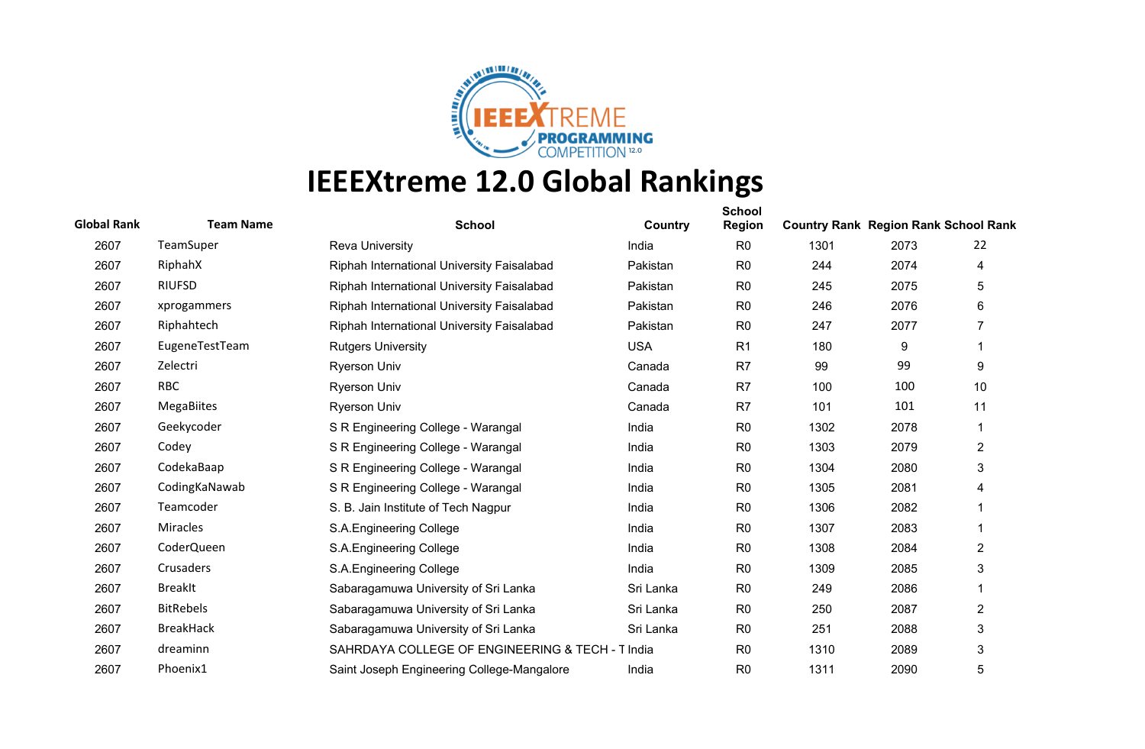

| <b>Global Rank</b> | <b>Team Name</b>  | <b>School</b>                                    | Country    | <b>School</b><br><b>Region</b> | <b>Country Rank Region Rank School Rank</b> |      |                |
|--------------------|-------------------|--------------------------------------------------|------------|--------------------------------|---------------------------------------------|------|----------------|
| 2607               | TeamSuper         | <b>Reva University</b>                           | India      | R <sub>0</sub>                 | 1301                                        | 2073 | 22             |
| 2607               | RiphahX           | Riphah International University Faisalabad       | Pakistan   | R <sub>0</sub>                 | 244                                         | 2074 | 4              |
| 2607               | <b>RIUFSD</b>     | Riphah International University Faisalabad       | Pakistan   | R <sub>0</sub>                 | 245                                         | 2075 | 5              |
| 2607               | xprogammers       | Riphah International University Faisalabad       | Pakistan   | R <sub>0</sub>                 | 246                                         | 2076 | 6              |
| 2607               | Riphahtech        | Riphah International University Faisalabad       | Pakistan   | R <sub>0</sub>                 | 247                                         | 2077 | $\overline{7}$ |
| 2607               | EugeneTestTeam    | <b>Rutgers University</b>                        | <b>USA</b> | R <sub>1</sub>                 | 180                                         | 9    |                |
| 2607               | Zelectri          | <b>Ryerson Univ</b>                              | Canada     | R <sub>7</sub>                 | 99                                          | 99   | 9              |
| 2607               | <b>RBC</b>        | <b>Ryerson Univ</b>                              | Canada     | R7                             | 100                                         | 100  | 10             |
| 2607               | <b>MegaBiites</b> | <b>Ryerson Univ</b>                              | Canada     | R7                             | 101                                         | 101  | 11             |
| 2607               | Geekycoder        | S R Engineering College - Warangal               | India      | R <sub>0</sub>                 | 1302                                        | 2078 | 1              |
| 2607               | Codey             | S R Engineering College - Warangal               | India      | R <sub>0</sub>                 | 1303                                        | 2079 | 2              |
| 2607               | CodekaBaap        | S R Engineering College - Warangal               | India      | R <sub>0</sub>                 | 1304                                        | 2080 | 3              |
| 2607               | CodingKaNawab     | S R Engineering College - Warangal               | India      | R <sub>0</sub>                 | 1305                                        | 2081 | 4              |
| 2607               | Teamcoder         | S. B. Jain Institute of Tech Nagpur              | India      | R <sub>0</sub>                 | 1306                                        | 2082 |                |
| 2607               | <b>Miracles</b>   | S.A.Engineering College                          | India      | R <sub>0</sub>                 | 1307                                        | 2083 |                |
| 2607               | CoderQueen        | S.A. Engineering College                         | India      | R <sub>0</sub>                 | 1308                                        | 2084 | $\overline{2}$ |
| 2607               | Crusaders         | S.A.Engineering College                          | India      | R <sub>0</sub>                 | 1309                                        | 2085 | 3              |
| 2607               | <b>BreakIt</b>    | Sabaragamuwa University of Sri Lanka             | Sri Lanka  | R <sub>0</sub>                 | 249                                         | 2086 | 1              |
| 2607               | <b>BitRebels</b>  | Sabaragamuwa University of Sri Lanka             | Sri Lanka  | R <sub>0</sub>                 | 250                                         | 2087 | $\overline{2}$ |
| 2607               | <b>BreakHack</b>  | Sabaragamuwa University of Sri Lanka             | Sri Lanka  | R <sub>0</sub>                 | 251                                         | 2088 | 3              |
| 2607               | dreaminn          | SAHRDAYA COLLEGE OF ENGINEERING & TECH - T India |            | R <sub>0</sub>                 | 1310                                        | 2089 | 3              |
| 2607               | Phoenix1          | Saint Joseph Engineering College-Mangalore       | India      | R <sub>0</sub>                 | 1311                                        | 2090 | 5              |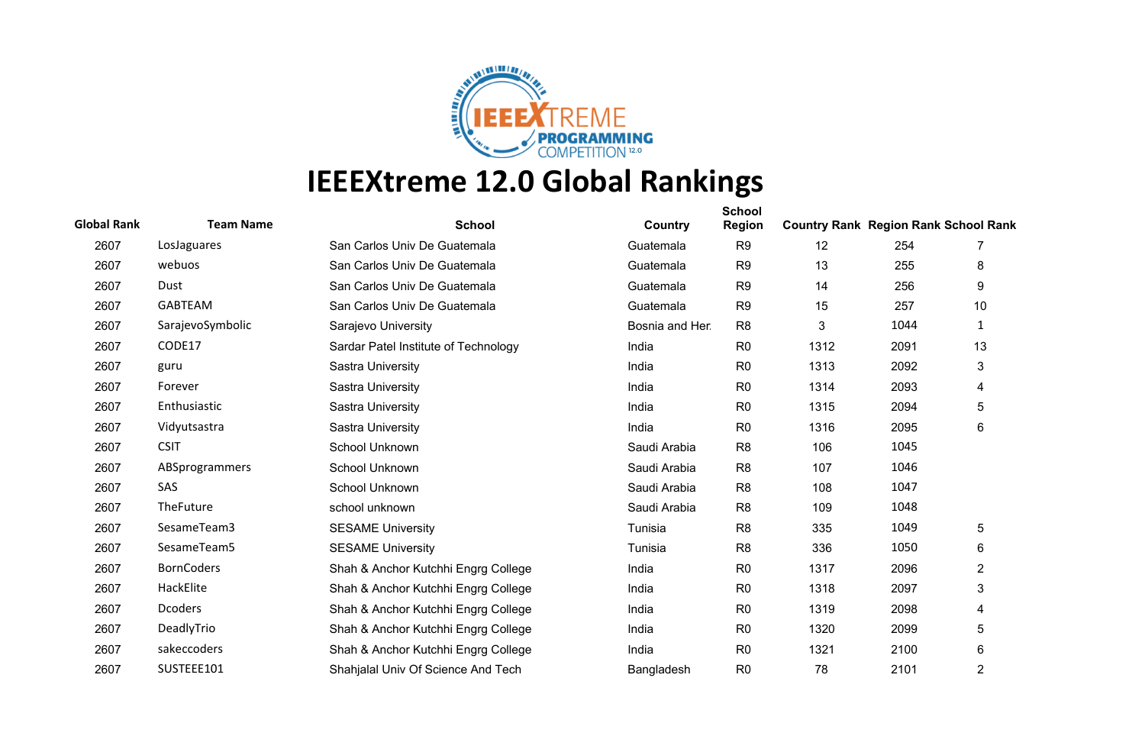

| <b>Global Rank</b> | <b>Team Name</b>  | <b>School</b>                        | Country         | <b>School</b><br><b>Region</b> | <b>Country Rank Region Rank School Rank</b> |      |                |
|--------------------|-------------------|--------------------------------------|-----------------|--------------------------------|---------------------------------------------|------|----------------|
| 2607               | LosJaguares       | San Carlos Univ De Guatemala         | Guatemala       | R <sub>9</sub>                 | 12                                          | 254  | 7              |
| 2607               | webuos            | San Carlos Univ De Guatemala         | Guatemala       | R <sub>9</sub>                 | 13                                          | 255  | 8              |
| 2607               | Dust              | San Carlos Univ De Guatemala         | Guatemala       | R <sub>9</sub>                 | 14                                          | 256  | 9              |
| 2607               | <b>GABTEAM</b>    | San Carlos Univ De Guatemala         | Guatemala       | R <sub>9</sub>                 | 15                                          | 257  | 10             |
| 2607               | SarajevoSymbolic  | Sarajevo University                  | Bosnia and Her. | R <sub>8</sub>                 | 3                                           | 1044 | $\mathbf{1}$   |
| 2607               | CODE17            | Sardar Patel Institute of Technology | India           | R <sub>0</sub>                 | 1312                                        | 2091 | 13             |
| 2607               | guru              | Sastra University                    | India           | R <sub>0</sub>                 | 1313                                        | 2092 | 3              |
| 2607               | Forever           | Sastra University                    | India           | R <sub>0</sub>                 | 1314                                        | 2093 | 4              |
| 2607               | Enthusiastic      | Sastra University                    | India           | R <sub>0</sub>                 | 1315                                        | 2094 | 5              |
| 2607               | Vidyutsastra      | Sastra University                    | India           | R <sub>0</sub>                 | 1316                                        | 2095 | 6              |
| 2607               | <b>CSIT</b>       | School Unknown                       | Saudi Arabia    | R <sub>8</sub>                 | 106                                         | 1045 |                |
| 2607               | ABSprogrammers    | School Unknown                       | Saudi Arabia    | R <sub>8</sub>                 | 107                                         | 1046 |                |
| 2607               | SAS               | School Unknown                       | Saudi Arabia    | R <sub>8</sub>                 | 108                                         | 1047 |                |
| 2607               | TheFuture         | school unknown                       | Saudi Arabia    | R <sub>8</sub>                 | 109                                         | 1048 |                |
| 2607               | SesameTeam3       | <b>SESAME University</b>             | Tunisia         | R <sub>8</sub>                 | 335                                         | 1049 | 5              |
| 2607               | SesameTeam5       | <b>SESAME University</b>             | Tunisia         | R <sub>8</sub>                 | 336                                         | 1050 | 6              |
| 2607               | <b>BornCoders</b> | Shah & Anchor Kutchhi Engrg College  | India           | R <sub>0</sub>                 | 1317                                        | 2096 | $\overline{2}$ |
| 2607               | HackElite         | Shah & Anchor Kutchhi Engrg College  | India           | R <sub>0</sub>                 | 1318                                        | 2097 | 3              |
| 2607               | <b>Dcoders</b>    | Shah & Anchor Kutchhi Engrg College  | India           | R <sub>0</sub>                 | 1319                                        | 2098 | 4              |
| 2607               | DeadlyTrio        | Shah & Anchor Kutchhi Engrg College  | India           | R <sub>0</sub>                 | 1320                                        | 2099 | 5              |
| 2607               | sakeccoders       | Shah & Anchor Kutchhi Engrg College  | India           | R <sub>0</sub>                 | 1321                                        | 2100 | 6              |
| 2607               | SUSTEEE101        | Shahjalal Univ Of Science And Tech   | Bangladesh      | R <sub>0</sub>                 | 78                                          | 2101 | 2              |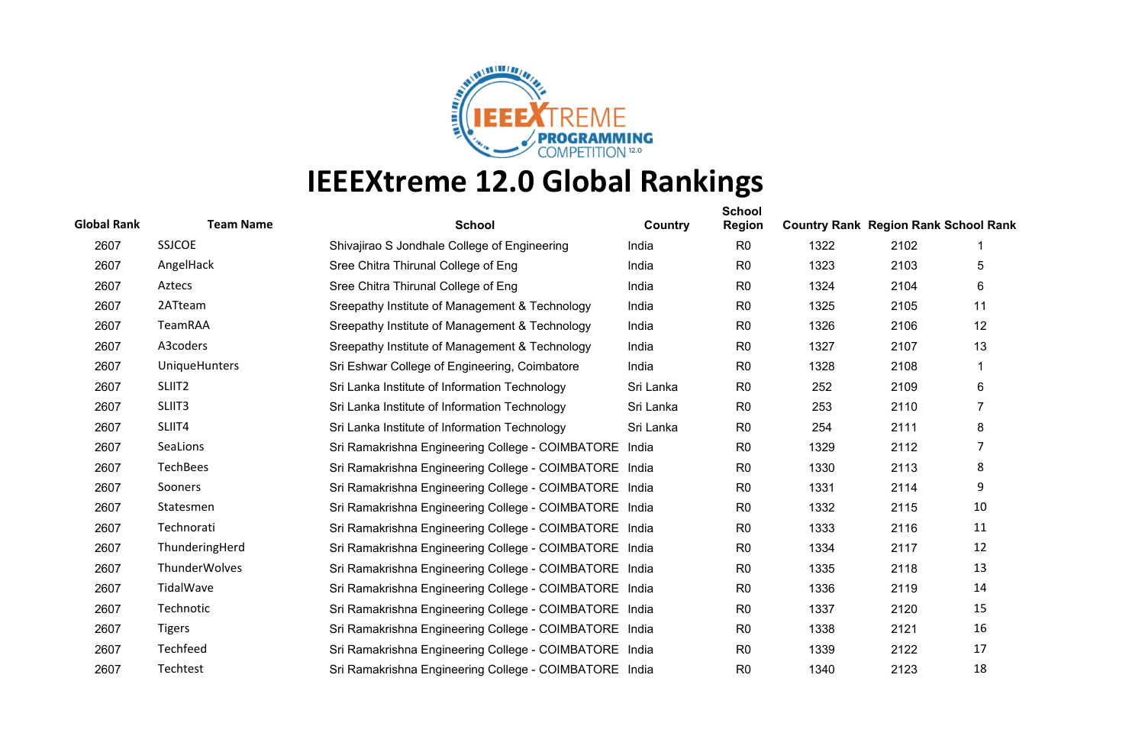

| <b>Global Rank</b> | <b>Team Name</b>     | <b>School</b>                                          | Country   | <b>School</b><br><b>Region</b> | <b>Country Rank Region Rank School Rank</b> |      |    |
|--------------------|----------------------|--------------------------------------------------------|-----------|--------------------------------|---------------------------------------------|------|----|
| 2607               | <b>SSJCOE</b>        | Shivajirao S Jondhale College of Engineering           | India     | R <sub>0</sub>                 | 1322                                        | 2102 |    |
| 2607               | AngelHack            | Sree Chitra Thirunal College of Eng                    | India     | R <sub>0</sub>                 | 1323                                        | 2103 | 5  |
| 2607               | Aztecs               | Sree Chitra Thirunal College of Eng                    | India     | R <sub>0</sub>                 | 1324                                        | 2104 | 6  |
| 2607               | 2ATteam              | Sreepathy Institute of Management & Technology         | India     | R <sub>0</sub>                 | 1325                                        | 2105 | 11 |
| 2607               | TeamRAA              | Sreepathy Institute of Management & Technology         | India     | R <sub>0</sub>                 | 1326                                        | 2106 | 12 |
| 2607               | A3coders             | Sreepathy Institute of Management & Technology         | India     | R <sub>0</sub>                 | 1327                                        | 2107 | 13 |
| 2607               | <b>UniqueHunters</b> | Sri Eshwar College of Engineering, Coimbatore          | India     | R <sub>0</sub>                 | 1328                                        | 2108 |    |
| 2607               | SLIIT <sub>2</sub>   | Sri Lanka Institute of Information Technology          | Sri Lanka | R <sub>0</sub>                 | 252                                         | 2109 | 6  |
| 2607               | SLIIT3               | Sri Lanka Institute of Information Technology          | Sri Lanka | R <sub>0</sub>                 | 253                                         | 2110 | 7  |
| 2607               | SLIIT4               | Sri Lanka Institute of Information Technology          | Sri Lanka | R <sub>0</sub>                 | 254                                         | 2111 | 8  |
| 2607               | SeaLions             | Sri Ramakrishna Engineering College - COIMBATORE India |           | R <sub>0</sub>                 | 1329                                        | 2112 | 7  |
| 2607               | TechBees             | Sri Ramakrishna Engineering College - COIMBATORE India |           | R <sub>0</sub>                 | 1330                                        | 2113 | 8  |
| 2607               | <b>Sooners</b>       | Sri Ramakrishna Engineering College - COIMBATORE India |           | R <sub>0</sub>                 | 1331                                        | 2114 | 9  |
| 2607               | Statesmen            | Sri Ramakrishna Engineering College - COIMBATORE India |           | R <sub>0</sub>                 | 1332                                        | 2115 | 10 |
| 2607               | Technorati           | Sri Ramakrishna Engineering College - COIMBATORE India |           | R <sub>0</sub>                 | 1333                                        | 2116 | 11 |
| 2607               | ThunderingHerd       | Sri Ramakrishna Engineering College - COIMBATORE India |           | R <sub>0</sub>                 | 1334                                        | 2117 | 12 |
| 2607               | <b>ThunderWolves</b> | Sri Ramakrishna Engineering College - COIMBATORE India |           | R <sub>0</sub>                 | 1335                                        | 2118 | 13 |
| 2607               | TidalWave            | Sri Ramakrishna Engineering College - COIMBATORE India |           | R <sub>0</sub>                 | 1336                                        | 2119 | 14 |
| 2607               | Technotic            | Sri Ramakrishna Engineering College - COIMBATORE India |           | R <sub>0</sub>                 | 1337                                        | 2120 | 15 |
| 2607               | <b>Tigers</b>        | Sri Ramakrishna Engineering College - COIMBATORE India |           | R <sub>0</sub>                 | 1338                                        | 2121 | 16 |
| 2607               | Techfeed             | Sri Ramakrishna Engineering College - COIMBATORE India |           | R <sub>0</sub>                 | 1339                                        | 2122 | 17 |
| 2607               | Techtest             | Sri Ramakrishna Engineering College - COIMBATORE India |           | R <sub>0</sub>                 | 1340                                        | 2123 | 18 |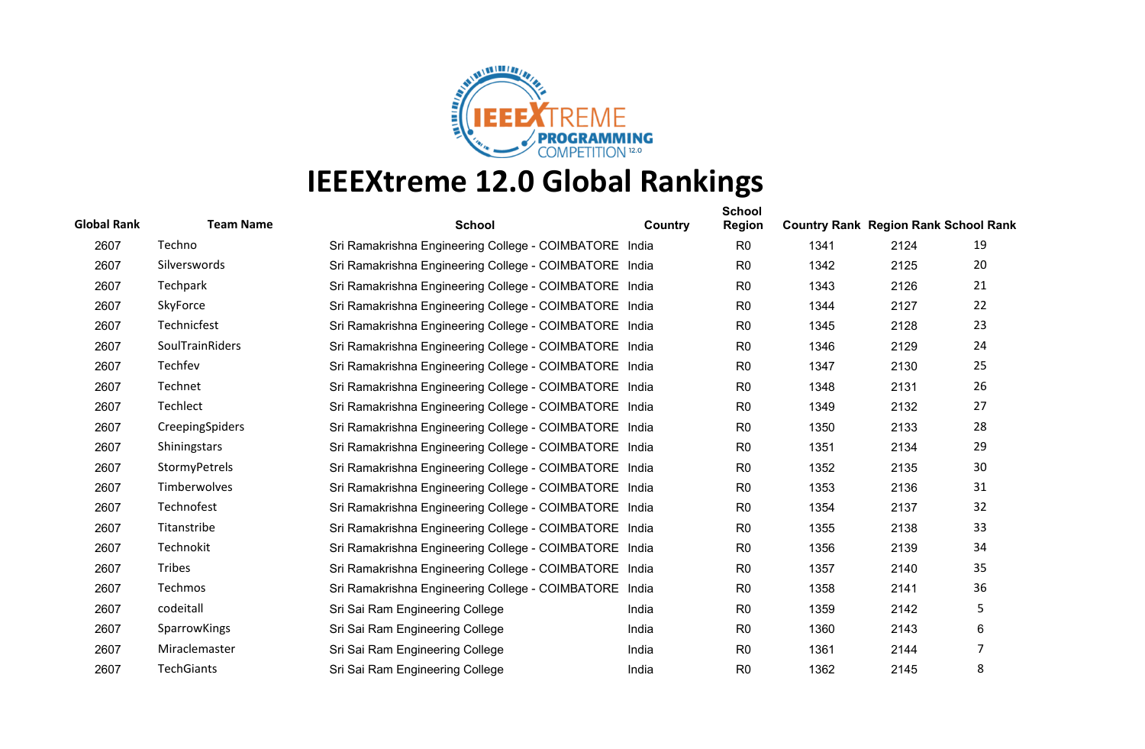

| <b>Global Rank</b> | <b>Team Name</b>       | <b>School</b>                                          | Country | <b>School</b><br><b>Region</b> | <b>Country Rank Region Rank School Rank</b> |      |    |
|--------------------|------------------------|--------------------------------------------------------|---------|--------------------------------|---------------------------------------------|------|----|
| 2607               | Techno                 | Sri Ramakrishna Engineering College - COIMBATORE India |         | R <sub>0</sub>                 | 1341                                        | 2124 | 19 |
| 2607               | Silverswords           | Sri Ramakrishna Engineering College - COIMBATORE India |         | R <sub>0</sub>                 | 1342                                        | 2125 | 20 |
| 2607               | Techpark               | Sri Ramakrishna Engineering College - COIMBATORE India |         | R <sub>0</sub>                 | 1343                                        | 2126 | 21 |
| 2607               | SkyForce               | Sri Ramakrishna Engineering College - COIMBATORE India |         | R <sub>0</sub>                 | 1344                                        | 2127 | 22 |
| 2607               | Technicfest            | Sri Ramakrishna Engineering College - COIMBATORE India |         | R <sub>0</sub>                 | 1345                                        | 2128 | 23 |
| 2607               | <b>SoulTrainRiders</b> | Sri Ramakrishna Engineering College - COIMBATORE India |         | R <sub>0</sub>                 | 1346                                        | 2129 | 24 |
| 2607               | Techfev                | Sri Ramakrishna Engineering College - COIMBATORE India |         | R <sub>0</sub>                 | 1347                                        | 2130 | 25 |
| 2607               | Technet                | Sri Ramakrishna Engineering College - COIMBATORE India |         | R <sub>0</sub>                 | 1348                                        | 2131 | 26 |
| 2607               | Techlect               | Sri Ramakrishna Engineering College - COIMBATORE India |         | R <sub>0</sub>                 | 1349                                        | 2132 | 27 |
| 2607               | CreepingSpiders        | Sri Ramakrishna Engineering College - COIMBATORE India |         | R <sub>0</sub>                 | 1350                                        | 2133 | 28 |
| 2607               | <b>Shiningstars</b>    | Sri Ramakrishna Engineering College - COIMBATORE India |         | R <sub>0</sub>                 | 1351                                        | 2134 | 29 |
| 2607               | StormyPetrels          | Sri Ramakrishna Engineering College - COIMBATORE India |         | R <sub>0</sub>                 | 1352                                        | 2135 | 30 |
| 2607               | Timberwolves           | Sri Ramakrishna Engineering College - COIMBATORE India |         | R <sub>0</sub>                 | 1353                                        | 2136 | 31 |
| 2607               | Technofest             | Sri Ramakrishna Engineering College - COIMBATORE India |         | R <sub>0</sub>                 | 1354                                        | 2137 | 32 |
| 2607               | Titanstribe            | Sri Ramakrishna Engineering College - COIMBATORE India |         | R <sub>0</sub>                 | 1355                                        | 2138 | 33 |
| 2607               | Technokit              | Sri Ramakrishna Engineering College - COIMBATORE India |         | R <sub>0</sub>                 | 1356                                        | 2139 | 34 |
| 2607               | Tribes                 | Sri Ramakrishna Engineering College - COIMBATORE India |         | R <sub>0</sub>                 | 1357                                        | 2140 | 35 |
| 2607               | Techmos                | Sri Ramakrishna Engineering College - COIMBATORE India |         | R <sub>0</sub>                 | 1358                                        | 2141 | 36 |
| 2607               | codeitall              | Sri Sai Ram Engineering College                        | India   | R <sub>0</sub>                 | 1359                                        | 2142 | 5  |
| 2607               | SparrowKings           | Sri Sai Ram Engineering College                        | India   | R <sub>0</sub>                 | 1360                                        | 2143 | 6  |
| 2607               | Miraclemaster          | Sri Sai Ram Engineering College                        | India   | R <sub>0</sub>                 | 1361                                        | 2144 | 7  |
| 2607               | <b>TechGiants</b>      | Sri Sai Ram Engineering College                        | India   | R <sub>0</sub>                 | 1362                                        | 2145 | 8  |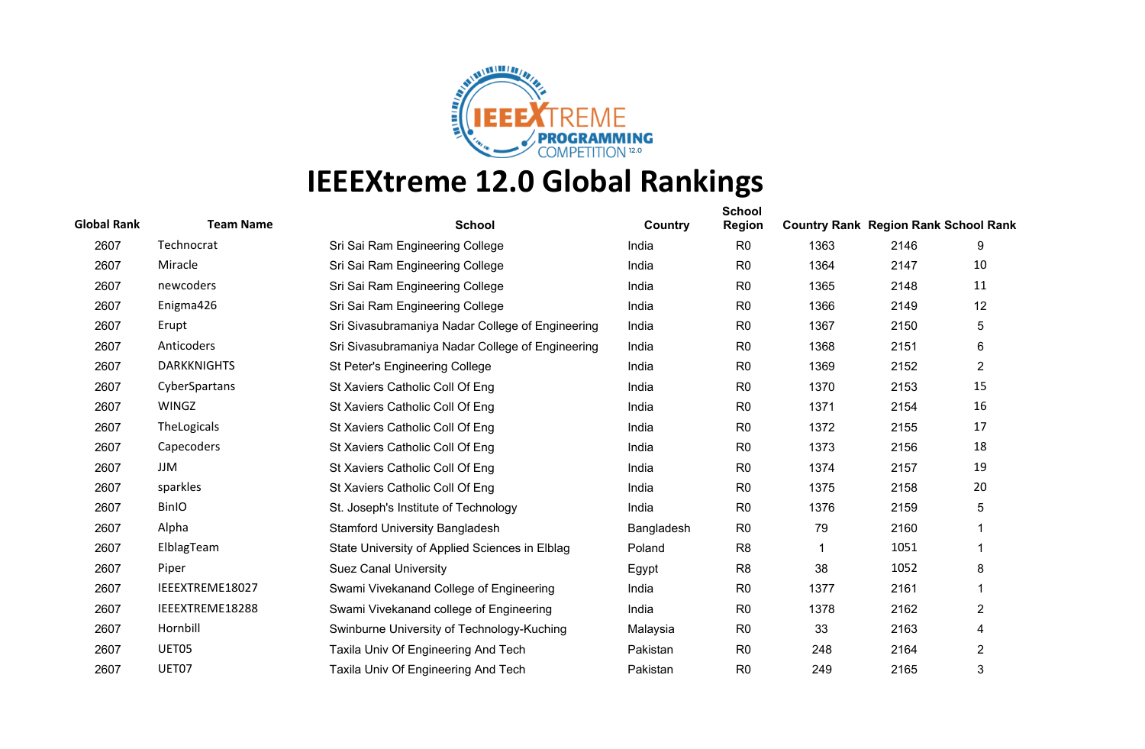

| <b>Global Rank</b> | <b>Team Name</b>   | <b>School</b>                                    | Country    | <b>School</b><br><b>Region</b> | <b>Country Rank Region Rank School Rank</b> |      |                |
|--------------------|--------------------|--------------------------------------------------|------------|--------------------------------|---------------------------------------------|------|----------------|
| 2607               | Technocrat         | Sri Sai Ram Engineering College                  | India      | R <sub>0</sub>                 | 1363                                        | 2146 | 9              |
| 2607               | Miracle            | Sri Sai Ram Engineering College                  | India      | R <sub>0</sub>                 | 1364                                        | 2147 | 10             |
| 2607               | newcoders          | Sri Sai Ram Engineering College                  | India      | R <sub>0</sub>                 | 1365                                        | 2148 | 11             |
| 2607               | Enigma426          | Sri Sai Ram Engineering College                  | India      | R <sub>0</sub>                 | 1366                                        | 2149 | 12             |
| 2607               | Erupt              | Sri Sivasubramaniya Nadar College of Engineering | India      | R <sub>0</sub>                 | 1367                                        | 2150 | 5              |
| 2607               | Anticoders         | Sri Sivasubramaniya Nadar College of Engineering | India      | R <sub>0</sub>                 | 1368                                        | 2151 | 6              |
| 2607               | <b>DARKKNIGHTS</b> | St Peter's Engineering College                   | India      | R <sub>0</sub>                 | 1369                                        | 2152 | $\overline{2}$ |
| 2607               | CyberSpartans      | St Xaviers Catholic Coll Of Eng                  | India      | R <sub>0</sub>                 | 1370                                        | 2153 | 15             |
| 2607               | <b>WINGZ</b>       | St Xaviers Catholic Coll Of Eng                  | India      | R <sub>0</sub>                 | 1371                                        | 2154 | 16             |
| 2607               | TheLogicals        | St Xaviers Catholic Coll Of Eng                  | India      | R <sub>0</sub>                 | 1372                                        | 2155 | 17             |
| 2607               | Capecoders         | St Xaviers Catholic Coll Of Eng                  | India      | R <sub>0</sub>                 | 1373                                        | 2156 | 18             |
| 2607               | JJM                | St Xaviers Catholic Coll Of Eng                  | India      | R <sub>0</sub>                 | 1374                                        | 2157 | 19             |
| 2607               | sparkles           | St Xaviers Catholic Coll Of Eng                  | India      | R <sub>0</sub>                 | 1375                                        | 2158 | 20             |
| 2607               | <b>BinIO</b>       | St. Joseph's Institute of Technology             | India      | R <sub>0</sub>                 | 1376                                        | 2159 | 5              |
| 2607               | Alpha              | <b>Stamford University Bangladesh</b>            | Bangladesh | R <sub>0</sub>                 | 79                                          | 2160 |                |
| 2607               | ElblagTeam         | State University of Applied Sciences in Elblag   | Poland     | R <sub>8</sub>                 |                                             | 1051 | 1              |
| 2607               | Piper              | <b>Suez Canal University</b>                     | Egypt      | R <sub>8</sub>                 | 38                                          | 1052 | 8              |
| 2607               | IEEEXTREME18027    | Swami Vivekanand College of Engineering          | India      | R <sub>0</sub>                 | 1377                                        | 2161 | 1              |
| 2607               | IEEEXTREME18288    | Swami Vivekanand college of Engineering          | India      | R <sub>0</sub>                 | 1378                                        | 2162 | $\overline{2}$ |
| 2607               | Hornbill           | Swinburne University of Technology-Kuching       | Malaysia   | R <sub>0</sub>                 | 33                                          | 2163 | 4              |
| 2607               | UET05              | Taxila Univ Of Engineering And Tech              | Pakistan   | R <sub>0</sub>                 | 248                                         | 2164 | $\overline{2}$ |
| 2607               | UET07              | Taxila Univ Of Engineering And Tech              | Pakistan   | R <sub>0</sub>                 | 249                                         | 2165 | 3              |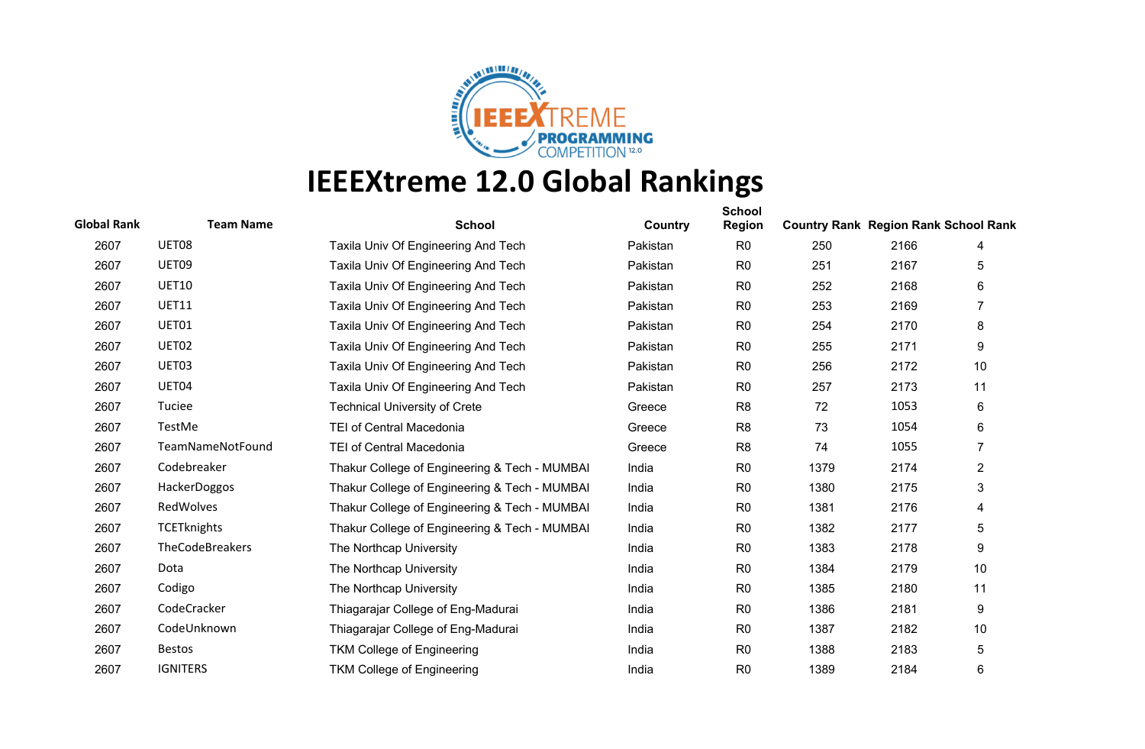

| <b>Global Rank</b> | <b>Team Name</b>   | <b>School</b>                                 | Country  | <b>School</b><br><b>Region</b> | <b>Country Rank Region Rank School Rank</b> |      |                |
|--------------------|--------------------|-----------------------------------------------|----------|--------------------------------|---------------------------------------------|------|----------------|
| 2607               | UET08              | Taxila Univ Of Engineering And Tech           | Pakistan | R <sub>0</sub>                 | 250                                         | 2166 | 4              |
| 2607               | UET09              | Taxila Univ Of Engineering And Tech           | Pakistan | R <sub>0</sub>                 | 251                                         | 2167 | 5              |
| 2607               | <b>UET10</b>       | Taxila Univ Of Engineering And Tech           | Pakistan | R <sub>0</sub>                 | 252                                         | 2168 | 6              |
| 2607               | <b>UET11</b>       | Taxila Univ Of Engineering And Tech           | Pakistan | R <sub>0</sub>                 | 253                                         | 2169 | 7              |
| 2607               | UET01              | Taxila Univ Of Engineering And Tech           | Pakistan | R <sub>0</sub>                 | 254                                         | 2170 | 8              |
| 2607               | UET02              | Taxila Univ Of Engineering And Tech           | Pakistan | R <sub>0</sub>                 | 255                                         | 2171 | 9              |
| 2607               | UET03              | Taxila Univ Of Engineering And Tech           | Pakistan | R <sub>0</sub>                 | 256                                         | 2172 | 10             |
| 2607               | UET04              | Taxila Univ Of Engineering And Tech           | Pakistan | R <sub>0</sub>                 | 257                                         | 2173 | 11             |
| 2607               | Tuciee             | <b>Technical University of Crete</b>          | Greece   | R <sub>8</sub>                 | 72                                          | 1053 | $\,6$          |
| 2607               | TestMe             | <b>TEI of Central Macedonia</b>               | Greece   | R <sub>8</sub>                 | 73                                          | 1054 | 6              |
| 2607               | TeamNameNotFound   | TEI of Central Macedonia                      | Greece   | R <sub>8</sub>                 | 74                                          | 1055 | $\overline{7}$ |
| 2607               | Codebreaker        | Thakur College of Engineering & Tech - MUMBAI | India    | R <sub>0</sub>                 | 1379                                        | 2174 | $\overline{2}$ |
| 2607               | HackerDoggos       | Thakur College of Engineering & Tech - MUMBAI | India    | R <sub>0</sub>                 | 1380                                        | 2175 | 3              |
| 2607               | RedWolves          | Thakur College of Engineering & Tech - MUMBAI | India    | R <sub>0</sub>                 | 1381                                        | 2176 | 4              |
| 2607               | <b>TCETknights</b> | Thakur College of Engineering & Tech - MUMBAI | India    | R <sub>0</sub>                 | 1382                                        | 2177 | 5              |
| 2607               | TheCodeBreakers    | The Northcap University                       | India    | R <sub>0</sub>                 | 1383                                        | 2178 | 9              |
| 2607               | Dota               | The Northcap University                       | India    | R <sub>0</sub>                 | 1384                                        | 2179 | 10             |
| 2607               | Codigo             | The Northcap University                       | India    | R <sub>0</sub>                 | 1385                                        | 2180 | 11             |
| 2607               | CodeCracker        | Thiagarajar College of Eng-Madurai            | India    | R <sub>0</sub>                 | 1386                                        | 2181 | 9              |
| 2607               | CodeUnknown        | Thiagarajar College of Eng-Madurai            | India    | R <sub>0</sub>                 | 1387                                        | 2182 | 10             |
| 2607               | <b>Bestos</b>      | <b>TKM College of Engineering</b>             | India    | R <sub>0</sub>                 | 1388                                        | 2183 | 5              |
| 2607               | <b>IGNITERS</b>    | <b>TKM College of Engineering</b>             | India    | R <sub>0</sub>                 | 1389                                        | 2184 | 6              |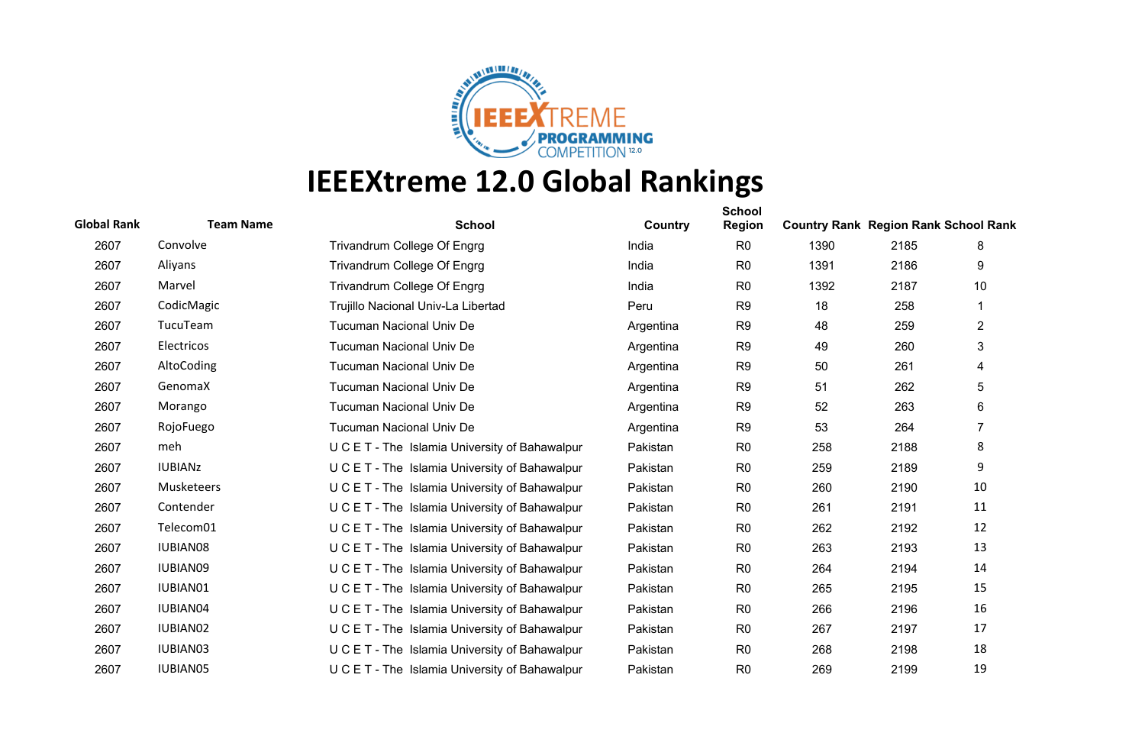

| <b>Global Rank</b> | <b>Team Name</b> | <b>School</b>                                  | Country   | <b>School</b><br><b>Region</b> | <b>Country Rank Region Rank School Rank</b> |      |                |
|--------------------|------------------|------------------------------------------------|-----------|--------------------------------|---------------------------------------------|------|----------------|
| 2607               | Convolve         | Trivandrum College Of Engrg                    | India     | R <sub>0</sub>                 | 1390                                        | 2185 | 8              |
| 2607               | Aliyans          | Trivandrum College Of Engrg                    | India     | R <sub>0</sub>                 | 1391                                        | 2186 | 9              |
| 2607               | Marvel           | Trivandrum College Of Engrg                    | India     | R <sub>0</sub>                 | 1392                                        | 2187 | 10             |
| 2607               | CodicMagic       | Trujillo Nacional Univ-La Libertad             | Peru      | R <sub>9</sub>                 | 18                                          | 258  |                |
| 2607               | TucuTeam         | <b>Tucuman Nacional Univ De</b>                | Argentina | R <sub>9</sub>                 | 48                                          | 259  | $\overline{2}$ |
| 2607               | Electricos       | <b>Tucuman Nacional Univ De</b>                | Argentina | R <sub>9</sub>                 | 49                                          | 260  | 3              |
| 2607               | AltoCoding       | <b>Tucuman Nacional Univ De</b>                | Argentina | R <sub>9</sub>                 | 50                                          | 261  | 4              |
| 2607               | GenomaX          | <b>Tucuman Nacional Univ De</b>                | Argentina | R <sub>9</sub>                 | 51                                          | 262  | 5              |
| 2607               | Morango          | <b>Tucuman Nacional Univ De</b>                | Argentina | R <sub>9</sub>                 | 52                                          | 263  | 6              |
| 2607               | RojoFuego        | <b>Tucuman Nacional Univ De</b>                | Argentina | R <sub>9</sub>                 | 53                                          | 264  | 7              |
| 2607               | meh              | U C E T - The Islamia University of Bahawalpur | Pakistan  | R <sub>0</sub>                 | 258                                         | 2188 | 8              |
| 2607               | <b>IUBIANZ</b>   | U C E T - The Islamia University of Bahawalpur | Pakistan  | R <sub>0</sub>                 | 259                                         | 2189 | 9              |
| 2607               | Musketeers       | U C E T - The Islamia University of Bahawalpur | Pakistan  | R <sub>0</sub>                 | 260                                         | 2190 | 10             |
| 2607               | Contender        | U C E T - The Islamia University of Bahawalpur | Pakistan  | R <sub>0</sub>                 | 261                                         | 2191 | 11             |
| 2607               | Telecom01        | U C E T - The Islamia University of Bahawalpur | Pakistan  | R <sub>0</sub>                 | 262                                         | 2192 | 12             |
| 2607               | <b>IUBIAN08</b>  | U C E T - The Islamia University of Bahawalpur | Pakistan  | R <sub>0</sub>                 | 263                                         | 2193 | 13             |
| 2607               | IUBIAN09         | U C E T - The Islamia University of Bahawalpur | Pakistan  | R <sub>0</sub>                 | 264                                         | 2194 | 14             |
| 2607               | IUBIAN01         | U C E T - The Islamia University of Bahawalpur | Pakistan  | R <sub>0</sub>                 | 265                                         | 2195 | 15             |
| 2607               | IUBIAN04         | U C E T - The Islamia University of Bahawalpur | Pakistan  | R <sub>0</sub>                 | 266                                         | 2196 | 16             |
| 2607               | IUBIAN02         | U C E T - The Islamia University of Bahawalpur | Pakistan  | R <sub>0</sub>                 | 267                                         | 2197 | 17             |
| 2607               | IUBIAN03         | U C E T - The Islamia University of Bahawalpur | Pakistan  | R <sub>0</sub>                 | 268                                         | 2198 | 18             |
| 2607               | <b>IUBIAN05</b>  | U C E T - The Islamia University of Bahawalpur | Pakistan  | R <sub>0</sub>                 | 269                                         | 2199 | 19             |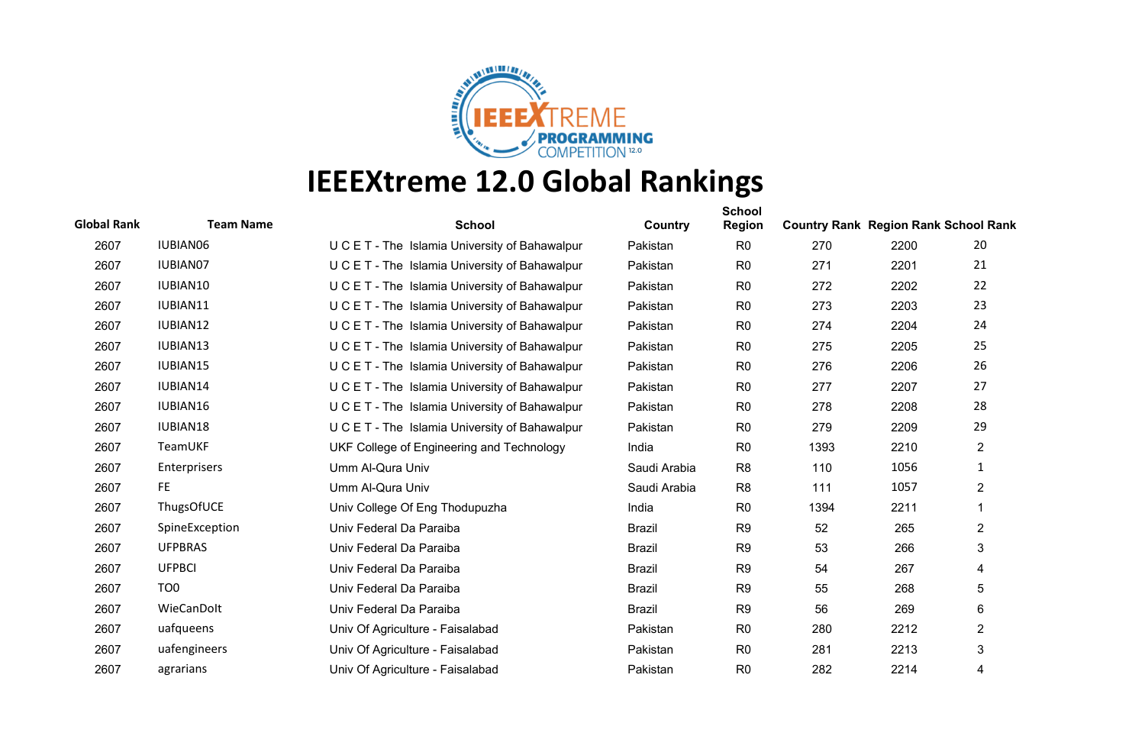

| <b>Global Rank</b> | <b>Team Name</b> | <b>School</b>                                  | Country       | <b>School</b><br><b>Region</b> | <b>Country Rank Region Rank School Rank</b> |      |                |
|--------------------|------------------|------------------------------------------------|---------------|--------------------------------|---------------------------------------------|------|----------------|
| 2607               | IUBIAN06         | U C E T - The Islamia University of Bahawalpur | Pakistan      | R <sub>0</sub>                 | 270                                         | 2200 | 20             |
| 2607               | <b>IUBIAN07</b>  | U C E T - The Islamia University of Bahawalpur | Pakistan      | R <sub>0</sub>                 | 271                                         | 2201 | 21             |
| 2607               | IUBIAN10         | U C E T - The Islamia University of Bahawalpur | Pakistan      | R <sub>0</sub>                 | 272                                         | 2202 | 22             |
| 2607               | IUBIAN11         | U C E T - The Islamia University of Bahawalpur | Pakistan      | R <sub>0</sub>                 | 273                                         | 2203 | 23             |
| 2607               | IUBIAN12         | U C E T - The Islamia University of Bahawalpur | Pakistan      | R <sub>0</sub>                 | 274                                         | 2204 | 24             |
| 2607               | IUBIAN13         | U C E T - The Islamia University of Bahawalpur | Pakistan      | R <sub>0</sub>                 | 275                                         | 2205 | 25             |
| 2607               | IUBIAN15         | U C E T - The Islamia University of Bahawalpur | Pakistan      | R <sub>0</sub>                 | 276                                         | 2206 | 26             |
| 2607               | IUBIAN14         | U C E T - The Islamia University of Bahawalpur | Pakistan      | R <sub>0</sub>                 | 277                                         | 2207 | 27             |
| 2607               | IUBIAN16         | U C E T - The Islamia University of Bahawalpur | Pakistan      | R <sub>0</sub>                 | 278                                         | 2208 | 28             |
| 2607               | IUBIAN18         | U C E T - The Islamia University of Bahawalpur | Pakistan      | R <sub>0</sub>                 | 279                                         | 2209 | 29             |
| 2607               | TeamUKF          | UKF College of Engineering and Technology      | India         | R <sub>0</sub>                 | 1393                                        | 2210 | $\overline{2}$ |
| 2607               | Enterprisers     | Umm Al-Qura Univ                               | Saudi Arabia  | R <sub>8</sub>                 | 110                                         | 1056 | 1              |
| 2607               | FE.              | Umm Al-Qura Univ                               | Saudi Arabia  | R <sub>8</sub>                 | 111                                         | 1057 | $\overline{2}$ |
| 2607               | ThugsOfUCE       | Univ College Of Eng Thodupuzha                 | India         | R <sub>0</sub>                 | 1394                                        | 2211 |                |
| 2607               | SpineException   | Univ Federal Da Paraiba                        | <b>Brazil</b> | R <sub>9</sub>                 | 52                                          | 265  | $\overline{2}$ |
| 2607               | <b>UFPBRAS</b>   | Univ Federal Da Paraiba                        | <b>Brazil</b> | R <sub>9</sub>                 | 53                                          | 266  | 3              |
| 2607               | <b>UFPBCI</b>    | Univ Federal Da Paraiba                        | <b>Brazil</b> | R <sub>9</sub>                 | 54                                          | 267  | 4              |
| 2607               | TO <sub>0</sub>  | Univ Federal Da Paraiba                        | <b>Brazil</b> | R <sub>9</sub>                 | 55                                          | 268  | 5              |
| 2607               | WieCanDolt       | Univ Federal Da Paraiba                        | <b>Brazil</b> | R <sub>9</sub>                 | 56                                          | 269  | 6              |
| 2607               | uafqueens        | Univ Of Agriculture - Faisalabad               | Pakistan      | R <sub>0</sub>                 | 280                                         | 2212 | 2              |
| 2607               | uafengineers     | Univ Of Agriculture - Faisalabad               | Pakistan      | R <sub>0</sub>                 | 281                                         | 2213 | 3              |
| 2607               | agrarians        | Univ Of Agriculture - Faisalabad               | Pakistan      | R <sub>0</sub>                 | 282                                         | 2214 | 4              |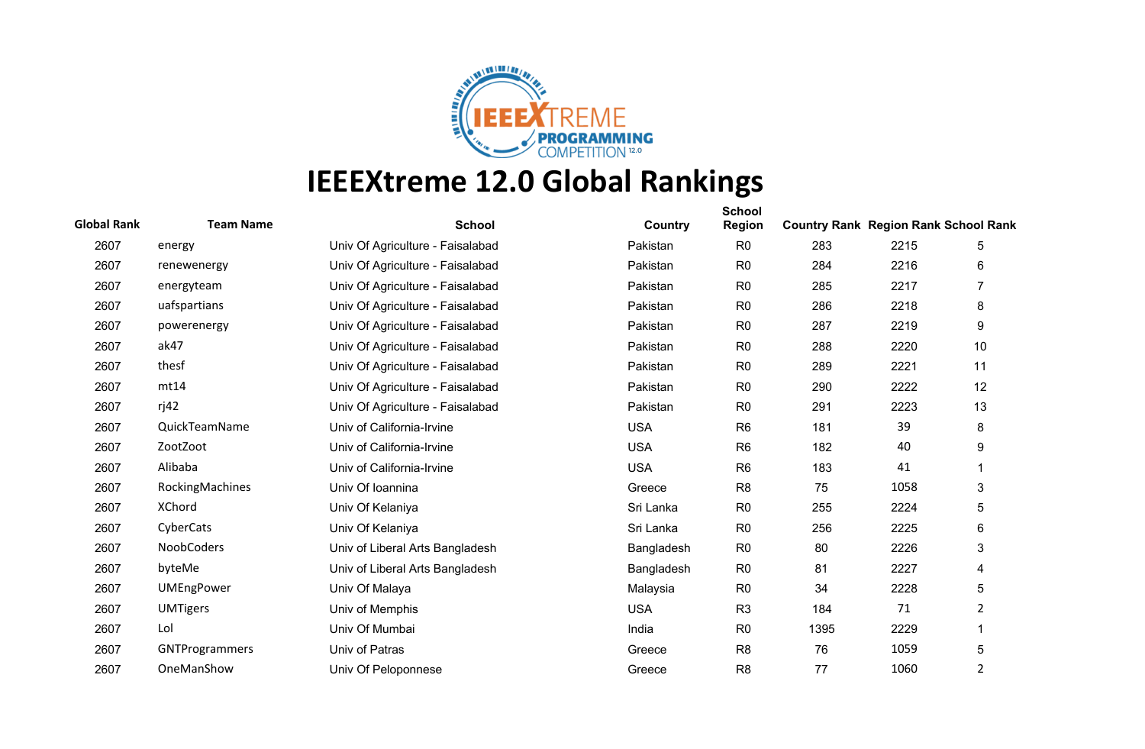

| <b>Global Rank</b> | <b>Team Name</b>  | <b>School</b>                    | Country    | <b>School</b><br><b>Region</b> | <b>Country Rank Region Rank School Rank</b> |      |                |
|--------------------|-------------------|----------------------------------|------------|--------------------------------|---------------------------------------------|------|----------------|
| 2607               | energy            | Univ Of Agriculture - Faisalabad | Pakistan   | R <sub>0</sub>                 | 283                                         | 2215 | 5              |
| 2607               | renewenergy       | Univ Of Agriculture - Faisalabad | Pakistan   | R <sub>0</sub>                 | 284                                         | 2216 | 6              |
| 2607               | energyteam        | Univ Of Agriculture - Faisalabad | Pakistan   | R <sub>0</sub>                 | 285                                         | 2217 | $\overline{7}$ |
| 2607               | uafspartians      | Univ Of Agriculture - Faisalabad | Pakistan   | R <sub>0</sub>                 | 286                                         | 2218 | 8              |
| 2607               | powerenergy       | Univ Of Agriculture - Faisalabad | Pakistan   | R <sub>0</sub>                 | 287                                         | 2219 | 9              |
| 2607               | ak47              | Univ Of Agriculture - Faisalabad | Pakistan   | R <sub>0</sub>                 | 288                                         | 2220 | 10             |
| 2607               | thesf             | Univ Of Agriculture - Faisalabad | Pakistan   | R <sub>0</sub>                 | 289                                         | 2221 | 11             |
| 2607               | mt14              | Univ Of Agriculture - Faisalabad | Pakistan   | R <sub>0</sub>                 | 290                                         | 2222 | 12             |
| 2607               | ri42              | Univ Of Agriculture - Faisalabad | Pakistan   | R <sub>0</sub>                 | 291                                         | 2223 | 13             |
| 2607               | QuickTeamName     | Univ of California-Irvine        | <b>USA</b> | R <sub>6</sub>                 | 181                                         | 39   | 8              |
| 2607               | ZootZoot          | Univ of California-Irvine        | <b>USA</b> | R <sub>6</sub>                 | 182                                         | 40   | 9              |
| 2607               | Alibaba           | Univ of California-Irvine        | <b>USA</b> | R <sub>6</sub>                 | 183                                         | 41   |                |
| 2607               | RockingMachines   | Univ Of Ioannina                 | Greece     | R <sub>8</sub>                 | 75                                          | 1058 | 3              |
| 2607               | <b>XChord</b>     | Univ Of Kelaniya                 | Sri Lanka  | R <sub>0</sub>                 | 255                                         | 2224 | 5              |
| 2607               | CyberCats         | Univ Of Kelaniya                 | Sri Lanka  | R <sub>0</sub>                 | 256                                         | 2225 | 6              |
| 2607               | NoobCoders        | Univ of Liberal Arts Bangladesh  | Bangladesh | R <sub>0</sub>                 | 80                                          | 2226 | 3              |
| 2607               | byteMe            | Univ of Liberal Arts Bangladesh  | Bangladesh | R <sub>0</sub>                 | 81                                          | 2227 | 4              |
| 2607               | <b>UMEngPower</b> | Univ Of Malaya                   | Malaysia   | R <sub>0</sub>                 | 34                                          | 2228 | 5              |
| 2607               | <b>UMTigers</b>   | Univ of Memphis                  | <b>USA</b> | R <sub>3</sub>                 | 184                                         | 71   | 2              |
| 2607               | Lol               | Univ Of Mumbai                   | India      | R <sub>0</sub>                 | 1395                                        | 2229 |                |
| 2607               | GNTProgrammers    | Univ of Patras                   | Greece     | R <sub>8</sub>                 | 76                                          | 1059 | 5              |
| 2607               | OneManShow        | Univ Of Peloponnese              | Greece     | R <sub>8</sub>                 | 77                                          | 1060 | $\overline{2}$ |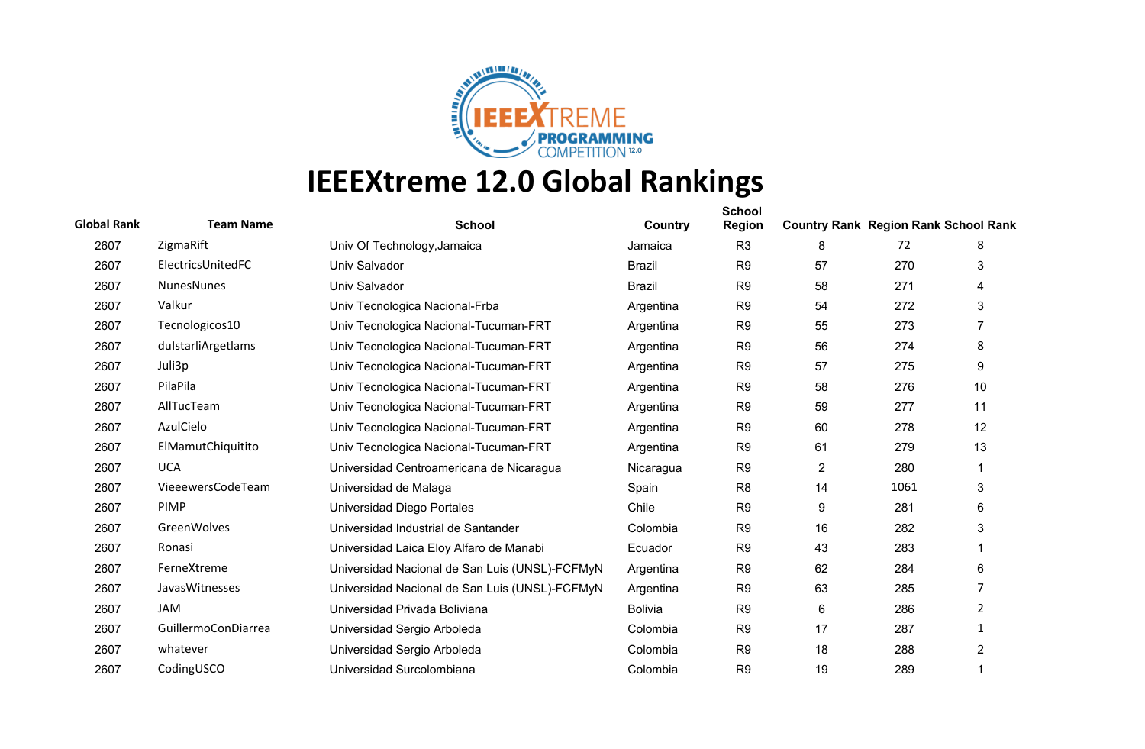

| <b>Global Rank</b> | <b>Team Name</b>    | <b>School</b>                                  | Country        | <b>School</b><br><b>Region</b> | <b>Country Rank Region Rank School Rank</b> |      |                |
|--------------------|---------------------|------------------------------------------------|----------------|--------------------------------|---------------------------------------------|------|----------------|
| 2607               | ZigmaRift           | Univ Of Technology, Jamaica                    | Jamaica        | R <sub>3</sub>                 | 8                                           | 72   | 8              |
| 2607               | ElectricsUnitedFC   | Univ Salvador                                  | <b>Brazil</b>  | R <sub>9</sub>                 | 57                                          | 270  | 3              |
| 2607               | NunesNunes          | Univ Salvador                                  | <b>Brazil</b>  | R <sub>9</sub>                 | 58                                          | 271  | 4              |
| 2607               | Valkur              | Univ Tecnologica Nacional-Frba                 | Argentina      | R <sub>9</sub>                 | 54                                          | 272  | 3              |
| 2607               | Tecnologicos10      | Univ Tecnologica Nacional-Tucuman-FRT          | Argentina      | R <sub>9</sub>                 | 55                                          | 273  | $\overline{7}$ |
| 2607               | dulstarliArgetlams  | Univ Tecnologica Nacional-Tucuman-FRT          | Argentina      | R <sub>9</sub>                 | 56                                          | 274  | 8              |
| 2607               | Juli3p              | Univ Tecnologica Nacional-Tucuman-FRT          | Argentina      | R <sub>9</sub>                 | 57                                          | 275  | 9              |
| 2607               | PilaPila            | Univ Tecnologica Nacional-Tucuman-FRT          | Argentina      | R <sub>9</sub>                 | 58                                          | 276  | 10             |
| 2607               | AllTucTeam          | Univ Tecnologica Nacional-Tucuman-FRT          | Argentina      | R <sub>9</sub>                 | 59                                          | 277  | 11             |
| 2607               | AzulCielo           | Univ Tecnologica Nacional-Tucuman-FRT          | Argentina      | R <sub>9</sub>                 | 60                                          | 278  | 12             |
| 2607               | ElMamutChiquitito   | Univ Tecnologica Nacional-Tucuman-FRT          | Argentina      | R <sub>9</sub>                 | 61                                          | 279  | 13             |
| 2607               | <b>UCA</b>          | Universidad Centroamericana de Nicaragua       | Nicaragua      | R <sub>9</sub>                 | $\overline{2}$                              | 280  |                |
| 2607               | VieeewersCodeTeam   | Universidad de Malaga                          | Spain          | R <sub>8</sub>                 | 14                                          | 1061 | 3              |
| 2607               | <b>PIMP</b>         | <b>Universidad Diego Portales</b>              | Chile          | R <sub>9</sub>                 | 9                                           | 281  | 6              |
| 2607               | GreenWolves         | Universidad Industrial de Santander            | Colombia       | R <sub>9</sub>                 | 16                                          | 282  | 3              |
| 2607               | Ronasi              | Universidad Laica Eloy Alfaro de Manabi        | Ecuador        | R <sub>9</sub>                 | 43                                          | 283  | 1              |
| 2607               | FerneXtreme         | Universidad Nacional de San Luis (UNSL)-FCFMyN | Argentina      | R <sub>9</sub>                 | 62                                          | 284  | 6              |
| 2607               | JavasWitnesses      | Universidad Nacional de San Luis (UNSL)-FCFMyN | Argentina      | R <sub>9</sub>                 | 63                                          | 285  | 7              |
| 2607               | <b>JAM</b>          | Universidad Privada Boliviana                  | <b>Bolivia</b> | R <sub>9</sub>                 | 6                                           | 286  | 2              |
| 2607               | GuillermoConDiarrea | Universidad Sergio Arboleda                    | Colombia       | R <sub>9</sub>                 | 17                                          | 287  | 1              |
| 2607               | whatever            | Universidad Sergio Arboleda                    | Colombia       | R <sub>9</sub>                 | 18                                          | 288  | $\overline{2}$ |
| 2607               | CodingUSCO          | Universidad Surcolombiana                      | Colombia       | R <sub>9</sub>                 | 19                                          | 289  | 1              |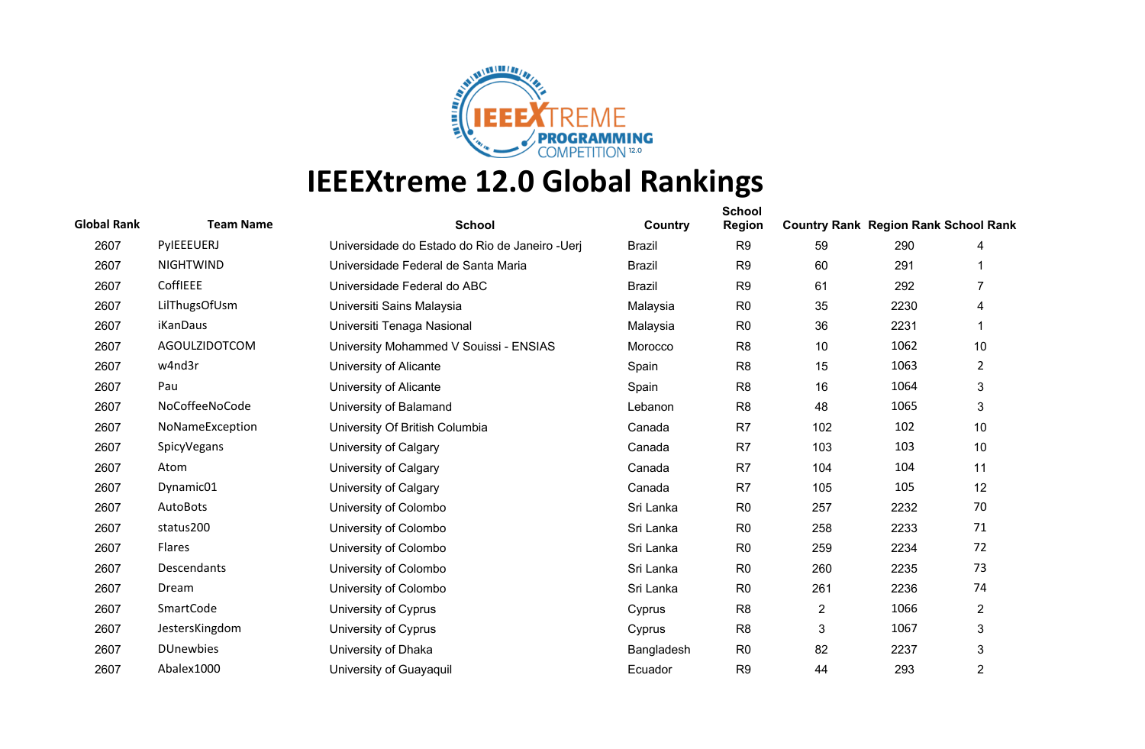

| <b>Global Rank</b> | <b>Team Name</b> | <b>School</b>                                   | Country       | <b>School</b><br><b>Region</b> | <b>Country Rank Region Rank School Rank</b> |      |                |
|--------------------|------------------|-------------------------------------------------|---------------|--------------------------------|---------------------------------------------|------|----------------|
| 2607               | PyIEEEUERJ       | Universidade do Estado do Rio de Janeiro - Uerj | <b>Brazil</b> | R <sub>9</sub>                 | 59                                          | 290  | 4              |
| 2607               | <b>NIGHTWIND</b> | Universidade Federal de Santa Maria             | <b>Brazil</b> | R <sub>9</sub>                 | 60                                          | 291  |                |
| 2607               | CoffIEEE         | Universidade Federal do ABC                     | <b>Brazil</b> | R <sub>9</sub>                 | 61                                          | 292  | 7              |
| 2607               | LilThugsOfUsm    | Universiti Sains Malaysia                       | Malaysia      | R <sub>0</sub>                 | 35                                          | 2230 | 4              |
| 2607               | <b>iKanDaus</b>  | Universiti Tenaga Nasional                      | Malaysia      | R <sub>0</sub>                 | 36                                          | 2231 |                |
| 2607               | AGOULZIDOTCOM    | University Mohammed V Souissi - ENSIAS          | Morocco       | R <sub>8</sub>                 | 10                                          | 1062 | 10             |
| 2607               | w4nd3r           | University of Alicante                          | Spain         | R <sub>8</sub>                 | 15                                          | 1063 | 2              |
| 2607               | Pau              | University of Alicante                          | Spain         | R <sub>8</sub>                 | 16                                          | 1064 | 3              |
| 2607               | NoCoffeeNoCode   | University of Balamand                          | Lebanon       | R <sub>8</sub>                 | 48                                          | 1065 | 3              |
| 2607               | NoNameException  | University Of British Columbia                  | Canada        | R7                             | 102                                         | 102  | 10             |
| 2607               | SpicyVegans      | University of Calgary                           | Canada        | R <sub>7</sub>                 | 103                                         | 103  | 10             |
| 2607               | Atom             | University of Calgary                           | Canada        | R <sub>7</sub>                 | 104                                         | 104  | 11             |
| 2607               | Dynamic01        | University of Calgary                           | Canada        | R <sub>7</sub>                 | 105                                         | 105  | 12             |
| 2607               | AutoBots         | University of Colombo                           | Sri Lanka     | R <sub>0</sub>                 | 257                                         | 2232 | 70             |
| 2607               | status200        | University of Colombo                           | Sri Lanka     | R <sub>0</sub>                 | 258                                         | 2233 | 71             |
| 2607               | <b>Flares</b>    | University of Colombo                           | Sri Lanka     | R <sub>0</sub>                 | 259                                         | 2234 | 72             |
| 2607               | Descendants      | University of Colombo                           | Sri Lanka     | R <sub>0</sub>                 | 260                                         | 2235 | 73             |
| 2607               | Dream            | University of Colombo                           | Sri Lanka     | R <sub>0</sub>                 | 261                                         | 2236 | 74             |
| 2607               | SmartCode        | University of Cyprus                            | Cyprus        | R <sub>8</sub>                 | $\overline{2}$                              | 1066 | $\overline{2}$ |
| 2607               | JestersKingdom   | University of Cyprus                            | Cyprus        | R <sub>8</sub>                 | $\sqrt{3}$                                  | 1067 | 3              |
| 2607               | <b>DUnewbies</b> | University of Dhaka                             | Bangladesh    | R <sub>0</sub>                 | 82                                          | 2237 | 3              |
| 2607               | Abalex1000       | University of Guayaquil                         | Ecuador       | R <sub>9</sub>                 | 44                                          | 293  | 2              |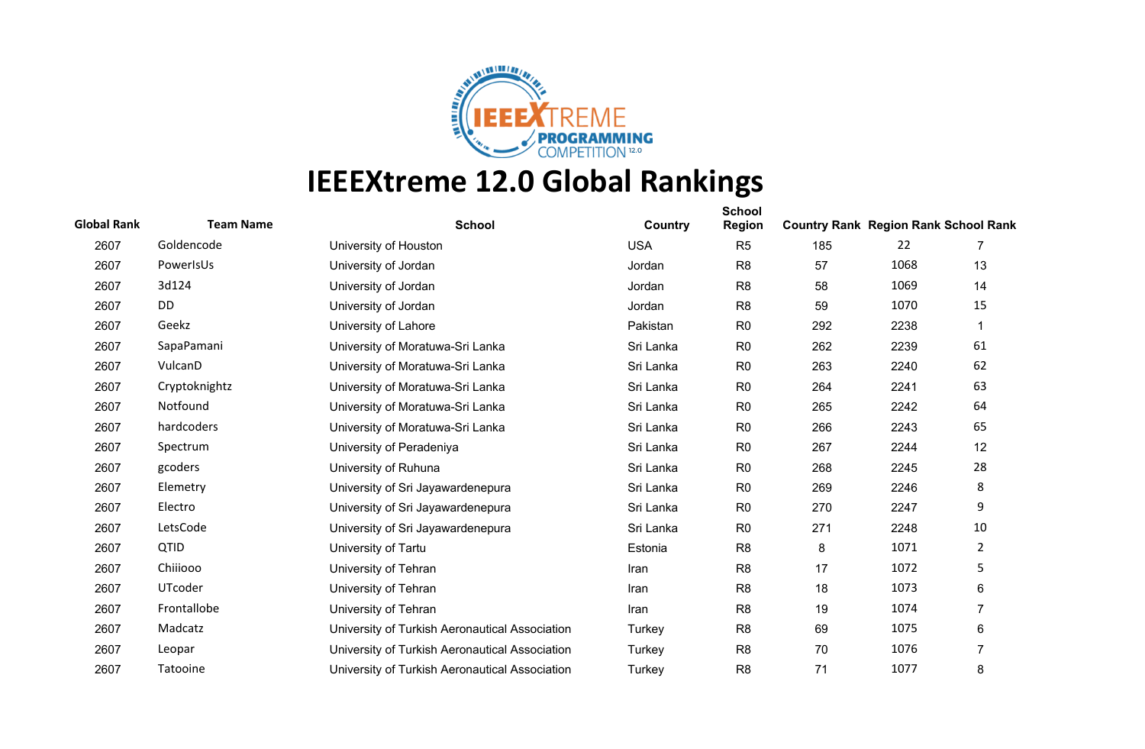

| <b>Global Rank</b> | <b>Team Name</b> | <b>School</b>                                  | Country    | <b>School</b><br><b>Region</b> | <b>Country Rank Region Rank School Rank</b> |      |                |
|--------------------|------------------|------------------------------------------------|------------|--------------------------------|---------------------------------------------|------|----------------|
| 2607               | Goldencode       | University of Houston                          | <b>USA</b> | R <sub>5</sub>                 | 185                                         | 22   |                |
| 2607               | PowerIsUs        | University of Jordan                           | Jordan     | R <sub>8</sub>                 | 57                                          | 1068 | 13             |
| 2607               | 3d124            | University of Jordan                           | Jordan     | R <sub>8</sub>                 | 58                                          | 1069 | 14             |
| 2607               | DD               | University of Jordan                           | Jordan     | R <sub>8</sub>                 | 59                                          | 1070 | 15             |
| 2607               | Geekz            | University of Lahore                           | Pakistan   | R <sub>0</sub>                 | 292                                         | 2238 | $\mathbf 1$    |
| 2607               | SapaPamani       | University of Moratuwa-Sri Lanka               | Sri Lanka  | R <sub>0</sub>                 | 262                                         | 2239 | 61             |
| 2607               | VulcanD          | University of Moratuwa-Sri Lanka               | Sri Lanka  | R <sub>0</sub>                 | 263                                         | 2240 | 62             |
| 2607               | Cryptoknightz    | University of Moratuwa-Sri Lanka               | Sri Lanka  | R <sub>0</sub>                 | 264                                         | 2241 | 63             |
| 2607               | Notfound         | University of Moratuwa-Sri Lanka               | Sri Lanka  | R <sub>0</sub>                 | 265                                         | 2242 | 64             |
| 2607               | hardcoders       | University of Moratuwa-Sri Lanka               | Sri Lanka  | R <sub>0</sub>                 | 266                                         | 2243 | 65             |
| 2607               | Spectrum         | University of Peradeniya                       | Sri Lanka  | R <sub>0</sub>                 | 267                                         | 2244 | 12             |
| 2607               | gcoders          | University of Ruhuna                           | Sri Lanka  | R <sub>0</sub>                 | 268                                         | 2245 | 28             |
| 2607               | Elemetry         | University of Sri Jayawardenepura              | Sri Lanka  | R <sub>0</sub>                 | 269                                         | 2246 | 8              |
| 2607               | Electro          | University of Sri Jayawardenepura              | Sri Lanka  | R <sub>0</sub>                 | 270                                         | 2247 | 9              |
| 2607               | LetsCode         | University of Sri Jayawardenepura              | Sri Lanka  | R <sub>0</sub>                 | 271                                         | 2248 | 10             |
| 2607               | QTID             | University of Tartu                            | Estonia    | R <sub>8</sub>                 | 8                                           | 1071 | $\overline{2}$ |
| 2607               | Chiiiooo         | University of Tehran                           | Iran       | R <sub>8</sub>                 | 17                                          | 1072 | 5              |
| 2607               | UTcoder          | University of Tehran                           | Iran       | R <sub>8</sub>                 | 18                                          | 1073 | 6              |
| 2607               | Frontallobe      | University of Tehran                           | Iran       | R <sub>8</sub>                 | 19                                          | 1074 | 7              |
| 2607               | Madcatz          | University of Turkish Aeronautical Association | Turkey     | R <sub>8</sub>                 | 69                                          | 1075 | 6              |
| 2607               | Leopar           | University of Turkish Aeronautical Association | Turkey     | R <sub>8</sub>                 | 70                                          | 1076 | $\overline{7}$ |
| 2607               | Tatooine         | University of Turkish Aeronautical Association | Turkey     | R <sub>8</sub>                 | 71                                          | 1077 | 8              |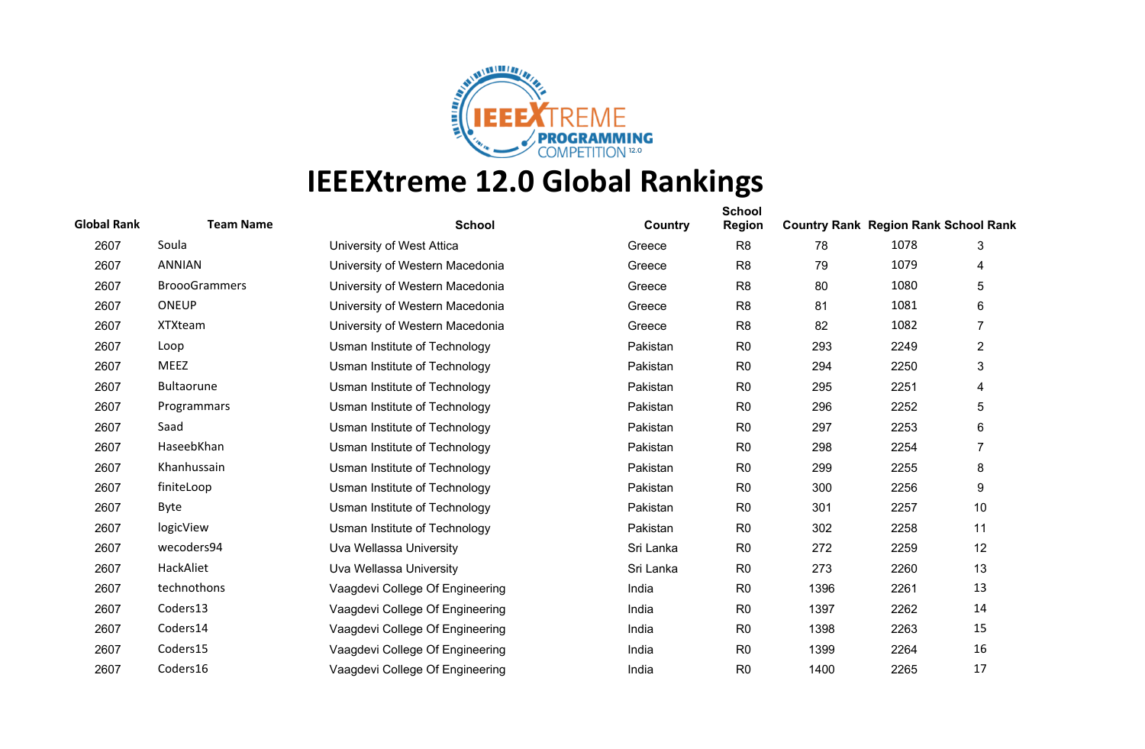

| <b>Global Rank</b> | <b>Team Name</b>     | <b>School</b>                   | Country   | <b>School</b><br><b>Region</b> | <b>Country Rank Region Rank School Rank</b> |      |                |
|--------------------|----------------------|---------------------------------|-----------|--------------------------------|---------------------------------------------|------|----------------|
| 2607               | Soula                | University of West Attica       | Greece    | R <sub>8</sub>                 | 78                                          | 1078 | 3              |
| 2607               | <b>ANNIAN</b>        | University of Western Macedonia | Greece    | R <sub>8</sub>                 | 79                                          | 1079 | 4              |
| 2607               | <b>BroooGrammers</b> | University of Western Macedonia | Greece    | R <sub>8</sub>                 | 80                                          | 1080 | 5              |
| 2607               | <b>ONEUP</b>         | University of Western Macedonia | Greece    | R <sub>8</sub>                 | 81                                          | 1081 | 6              |
| 2607               | <b>XTXteam</b>       | University of Western Macedonia | Greece    | R <sub>8</sub>                 | 82                                          | 1082 | $\overline{7}$ |
| 2607               | Loop                 | Usman Institute of Technology   | Pakistan  | R <sub>0</sub>                 | 293                                         | 2249 | $\overline{2}$ |
| 2607               | <b>MEEZ</b>          | Usman Institute of Technology   | Pakistan  | R <sub>0</sub>                 | 294                                         | 2250 | 3              |
| 2607               | <b>Bultaorune</b>    | Usman Institute of Technology   | Pakistan  | R <sub>0</sub>                 | 295                                         | 2251 | 4              |
| 2607               | Programmars          | Usman Institute of Technology   | Pakistan  | R <sub>0</sub>                 | 296                                         | 2252 | 5              |
| 2607               | Saad                 | Usman Institute of Technology   | Pakistan  | R <sub>0</sub>                 | 297                                         | 2253 | 6              |
| 2607               | HaseebKhan           | Usman Institute of Technology   | Pakistan  | R <sub>0</sub>                 | 298                                         | 2254 | $\overline{7}$ |
| 2607               | Khanhussain          | Usman Institute of Technology   | Pakistan  | R <sub>0</sub>                 | 299                                         | 2255 | 8              |
| 2607               | finiteLoop           | Usman Institute of Technology   | Pakistan  | R <sub>0</sub>                 | 300                                         | 2256 | 9              |
| 2607               | Byte                 | Usman Institute of Technology   | Pakistan  | R <sub>0</sub>                 | 301                                         | 2257 | 10             |
| 2607               | logicView            | Usman Institute of Technology   | Pakistan  | R <sub>0</sub>                 | 302                                         | 2258 | 11             |
| 2607               | wecoders94           | Uva Wellassa University         | Sri Lanka | R <sub>0</sub>                 | 272                                         | 2259 | 12             |
| 2607               | HackAliet            | Uva Wellassa University         | Sri Lanka | R <sub>0</sub>                 | 273                                         | 2260 | 13             |
| 2607               | technothons          | Vaagdevi College Of Engineering | India     | R <sub>0</sub>                 | 1396                                        | 2261 | 13             |
| 2607               | Coders13             | Vaagdevi College Of Engineering | India     | R <sub>0</sub>                 | 1397                                        | 2262 | 14             |
| 2607               | Coders14             | Vaagdevi College Of Engineering | India     | R <sub>0</sub>                 | 1398                                        | 2263 | 15             |
| 2607               | Coders15             | Vaagdevi College Of Engineering | India     | R <sub>0</sub>                 | 1399                                        | 2264 | 16             |
| 2607               | Coders16             | Vaagdevi College Of Engineering | India     | R <sub>0</sub>                 | 1400                                        | 2265 | 17             |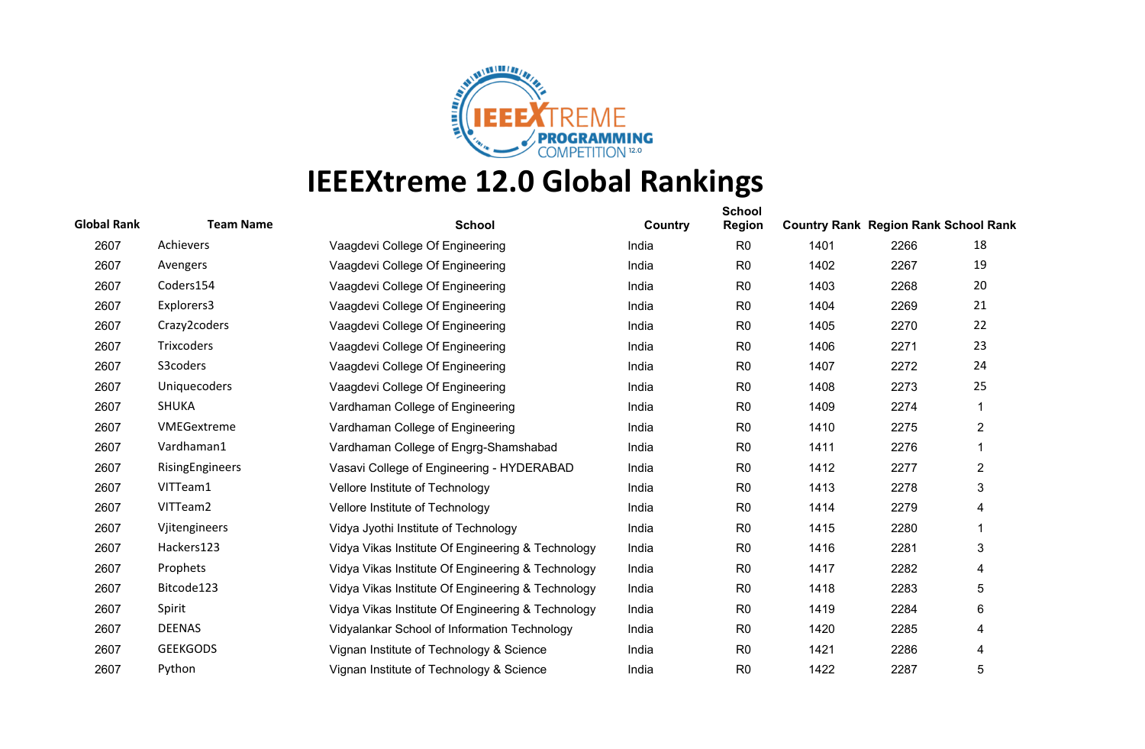

| <b>Global Rank</b> | <b>Team Name</b> | <b>School</b>                                     | Country | <b>School</b><br><b>Region</b> | <b>Country Rank Region Rank School Rank</b> |      |                |
|--------------------|------------------|---------------------------------------------------|---------|--------------------------------|---------------------------------------------|------|----------------|
| 2607               | Achievers        | Vaagdevi College Of Engineering                   | India   | R <sub>0</sub>                 | 1401                                        | 2266 | 18             |
| 2607               | Avengers         | Vaagdevi College Of Engineering                   | India   | R <sub>0</sub>                 | 1402                                        | 2267 | 19             |
| 2607               | Coders154        | Vaagdevi College Of Engineering                   | India   | R <sub>0</sub>                 | 1403                                        | 2268 | 20             |
| 2607               | Explorers3       | Vaagdevi College Of Engineering                   | India   | R <sub>0</sub>                 | 1404                                        | 2269 | 21             |
| 2607               | Crazy2coders     | Vaagdevi College Of Engineering                   | India   | R <sub>0</sub>                 | 1405                                        | 2270 | 22             |
| 2607               | Trixcoders       | Vaagdevi College Of Engineering                   | India   | R <sub>0</sub>                 | 1406                                        | 2271 | 23             |
| 2607               | S3coders         | Vaagdevi College Of Engineering                   | India   | R <sub>0</sub>                 | 1407                                        | 2272 | 24             |
| 2607               | Uniquecoders     | Vaagdevi College Of Engineering                   | India   | R <sub>0</sub>                 | 1408                                        | 2273 | 25             |
| 2607               | <b>SHUKA</b>     | Vardhaman College of Engineering                  | India   | R <sub>0</sub>                 | 1409                                        | 2274 | 1              |
| 2607               | VMEGextreme      | Vardhaman College of Engineering                  | India   | R <sub>0</sub>                 | 1410                                        | 2275 | $\overline{c}$ |
| 2607               | Vardhaman1       | Vardhaman College of Engrg-Shamshabad             | India   | R <sub>0</sub>                 | 1411                                        | 2276 | 1              |
| 2607               | RisingEngineers  | Vasavi College of Engineering - HYDERABAD         | India   | R <sub>0</sub>                 | 1412                                        | 2277 | $\overline{2}$ |
| 2607               | VITTeam1         | Vellore Institute of Technology                   | India   | R <sub>0</sub>                 | 1413                                        | 2278 | 3              |
| 2607               | VITTeam2         | Vellore Institute of Technology                   | India   | R <sub>0</sub>                 | 1414                                        | 2279 | 4              |
| 2607               | Vjitengineers    | Vidya Jyothi Institute of Technology              | India   | R <sub>0</sub>                 | 1415                                        | 2280 | 1              |
| 2607               | Hackers123       | Vidya Vikas Institute Of Engineering & Technology | India   | R <sub>0</sub>                 | 1416                                        | 2281 | 3              |
| 2607               | Prophets         | Vidya Vikas Institute Of Engineering & Technology | India   | R <sub>0</sub>                 | 1417                                        | 2282 | 4              |
| 2607               | Bitcode123       | Vidya Vikas Institute Of Engineering & Technology | India   | R <sub>0</sub>                 | 1418                                        | 2283 | 5              |
| 2607               | Spirit           | Vidya Vikas Institute Of Engineering & Technology | India   | R <sub>0</sub>                 | 1419                                        | 2284 | 6              |
| 2607               | <b>DEENAS</b>    | Vidyalankar School of Information Technology      | India   | R <sub>0</sub>                 | 1420                                        | 2285 | 4              |
| 2607               | <b>GEEKGODS</b>  | Vignan Institute of Technology & Science          | India   | R <sub>0</sub>                 | 1421                                        | 2286 | 4              |
| 2607               | Python           | Vignan Institute of Technology & Science          | India   | R <sub>0</sub>                 | 1422                                        | 2287 | 5              |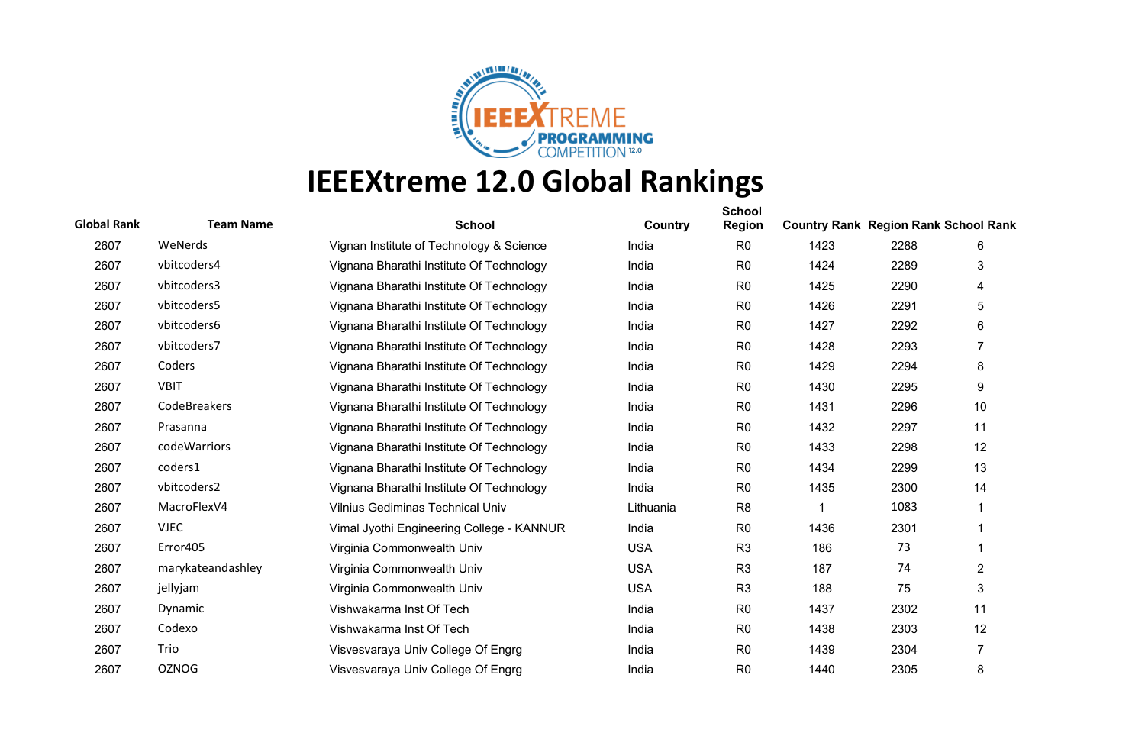

## **IEEEXtreme 12.0 Global Rankings**

| <b>Global Rank</b> | <b>Team Name</b>  | <b>School</b>                             | Country    | <b>School</b><br><b>Region</b> | <b>Country Rank Region Rank School Rank</b> |      |                |
|--------------------|-------------------|-------------------------------------------|------------|--------------------------------|---------------------------------------------|------|----------------|
| 2607               | WeNerds           | Vignan Institute of Technology & Science  | India      | R <sub>0</sub>                 | 1423                                        | 2288 | 6              |
| 2607               | vbitcoders4       | Vignana Bharathi Institute Of Technology  | India      | R <sub>0</sub>                 | 1424                                        | 2289 | 3              |
| 2607               | vbitcoders3       | Vignana Bharathi Institute Of Technology  | India      | R <sub>0</sub>                 | 1425                                        | 2290 | 4              |
| 2607               | vbitcoders5       | Vignana Bharathi Institute Of Technology  | India      | R <sub>0</sub>                 | 1426                                        | 2291 | 5              |
| 2607               | vbitcoders6       | Vignana Bharathi Institute Of Technology  | India      | R <sub>0</sub>                 | 1427                                        | 2292 | 6              |
| 2607               | vbitcoders7       | Vignana Bharathi Institute Of Technology  | India      | R <sub>0</sub>                 | 1428                                        | 2293 | 7              |
| 2607               | Coders            | Vignana Bharathi Institute Of Technology  | India      | R <sub>0</sub>                 | 1429                                        | 2294 | 8              |
| 2607               | <b>VBIT</b>       | Vignana Bharathi Institute Of Technology  | India      | R <sub>0</sub>                 | 1430                                        | 2295 | 9              |
| 2607               | CodeBreakers      | Vignana Bharathi Institute Of Technology  | India      | R <sub>0</sub>                 | 1431                                        | 2296 | 10             |
| 2607               | Prasanna          | Vignana Bharathi Institute Of Technology  | India      | R <sub>0</sub>                 | 1432                                        | 2297 | 11             |
| 2607               | codeWarriors      | Vignana Bharathi Institute Of Technology  | India      | R <sub>0</sub>                 | 1433                                        | 2298 | 12             |
| 2607               | coders1           | Vignana Bharathi Institute Of Technology  | India      | R <sub>0</sub>                 | 1434                                        | 2299 | 13             |
| 2607               | vbitcoders2       | Vignana Bharathi Institute Of Technology  | India      | R <sub>0</sub>                 | 1435                                        | 2300 | 14             |
| 2607               | MacroFlexV4       | <b>Vilnius Gediminas Technical Univ</b>   | Lithuania  | R <sub>8</sub>                 |                                             | 1083 |                |
| 2607               | <b>VJEC</b>       | Vimal Jyothi Engineering College - KANNUR | India      | R <sub>0</sub>                 | 1436                                        | 2301 |                |
| 2607               | Error405          | Virginia Commonwealth Univ                | <b>USA</b> | R <sub>3</sub>                 | 186                                         | 73   |                |
| 2607               | marykateandashley | Virginia Commonwealth Univ                | <b>USA</b> | R <sub>3</sub>                 | 187                                         | 74   | 2              |
| 2607               | jellyjam          | Virginia Commonwealth Univ                | <b>USA</b> | R <sub>3</sub>                 | 188                                         | 75   | 3              |
| 2607               | Dynamic           | Vishwakarma Inst Of Tech                  | India      | R <sub>0</sub>                 | 1437                                        | 2302 | 11             |
| 2607               | Codexo            | Vishwakarma Inst Of Tech                  | India      | R <sub>0</sub>                 | 1438                                        | 2303 | 12             |
| 2607               | Trio              | Visvesvaraya Univ College Of Engrg        | India      | R <sub>0</sub>                 | 1439                                        | 2304 | $\overline{7}$ |
| 2607               | <b>OZNOG</b>      | Visvesvaraya Univ College Of Engrg        | India      | R <sub>0</sub>                 | 1440                                        | 2305 | 8              |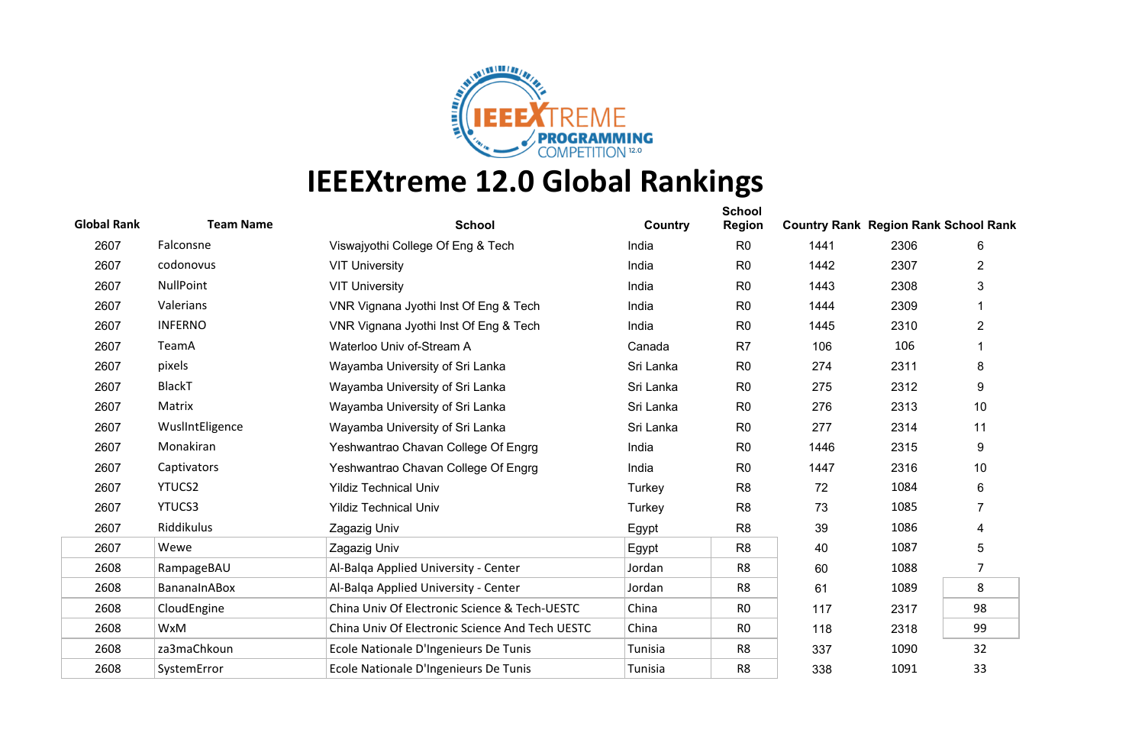

## **IEEEXtreme 12.0 Global Rankings**

| <b>Global Rank</b> | <b>Team Name</b> | <b>School</b>                                   | Country   | <b>School</b><br><b>Region</b> | <b>Country Rank Region Rank School Rank</b> |      |                |
|--------------------|------------------|-------------------------------------------------|-----------|--------------------------------|---------------------------------------------|------|----------------|
| 2607               | Falconsne        | Viswajyothi College Of Eng & Tech               | India     | R <sub>0</sub>                 | 1441                                        | 2306 | 6              |
| 2607               | codonovus        | <b>VIT University</b>                           | India     | R <sub>0</sub>                 | 1442                                        | 2307 | $\overline{2}$ |
| 2607               | <b>NullPoint</b> | <b>VIT University</b>                           | India     | R <sub>0</sub>                 | 1443                                        | 2308 | 3              |
| 2607               | Valerians        | VNR Vignana Jyothi Inst Of Eng & Tech           | India     | R <sub>0</sub>                 | 1444                                        | 2309 |                |
| 2607               | <b>INFERNO</b>   | VNR Vignana Jyothi Inst Of Eng & Tech           | India     | R <sub>0</sub>                 | 1445                                        | 2310 | $\overline{2}$ |
| 2607               | TeamA            | Waterloo Univ of-Stream A                       | Canada    | R <sub>7</sub>                 | 106                                         | 106  |                |
| 2607               | pixels           | Wayamba University of Sri Lanka                 | Sri Lanka | R <sub>0</sub>                 | 274                                         | 2311 | 8              |
| 2607               | <b>BlackT</b>    | Wayamba University of Sri Lanka                 | Sri Lanka | R <sub>0</sub>                 | 275                                         | 2312 | 9              |
| 2607               | Matrix           | Wayamba University of Sri Lanka                 | Sri Lanka | R <sub>0</sub>                 | 276                                         | 2313 | 10             |
| 2607               | WuslIntEligence  | Wayamba University of Sri Lanka                 | Sri Lanka | R <sub>0</sub>                 | 277                                         | 2314 | 11             |
| 2607               | Monakiran        | Yeshwantrao Chavan College Of Engrg             | India     | R <sub>0</sub>                 | 1446                                        | 2315 | 9              |
| 2607               | Captivators      | Yeshwantrao Chavan College Of Engrg             | India     | R <sub>0</sub>                 | 1447                                        | 2316 | 10             |
| 2607               | YTUCS2           | <b>Yildiz Technical Univ</b>                    | Turkey    | R <sub>8</sub>                 | 72                                          | 1084 | 6              |
| 2607               | YTUCS3           | <b>Yildiz Technical Univ</b>                    | Turkey    | R <sub>8</sub>                 | 73                                          | 1085 | $\overline{7}$ |
| 2607               | Riddikulus       | Zagazig Univ                                    | Egypt     | R <sub>8</sub>                 | 39                                          | 1086 | 4              |
| 2607               | Wewe             | Zagazig Univ                                    | Egypt     | R <sub>8</sub>                 | 40                                          | 1087 | 5              |
| 2608               | RampageBAU       | Al-Balga Applied University - Center            | Jordan    | R8                             | 60                                          | 1088 | 7              |
| 2608               | BananaInABox     | Al-Balga Applied University - Center            | Jordan    | R <sub>8</sub>                 | 61                                          | 1089 | 8              |
| 2608               | CloudEngine      | China Univ Of Electronic Science & Tech-UESTC   | China     | R <sub>0</sub>                 | 117                                         | 2317 | 98             |
| 2608               | WxM              | China Univ Of Electronic Science And Tech UESTC | China     | R <sub>0</sub>                 | 118                                         | 2318 | 99             |
| 2608               | za3maChkoun      | Ecole Nationale D'Ingenieurs De Tunis           | Tunisia   | R8                             | 337                                         | 1090 | 32             |
| 2608               | SystemError      | Ecole Nationale D'Ingenieurs De Tunis           | Tunisia   | R <sub>8</sub>                 | 338                                         | 1091 | 33             |